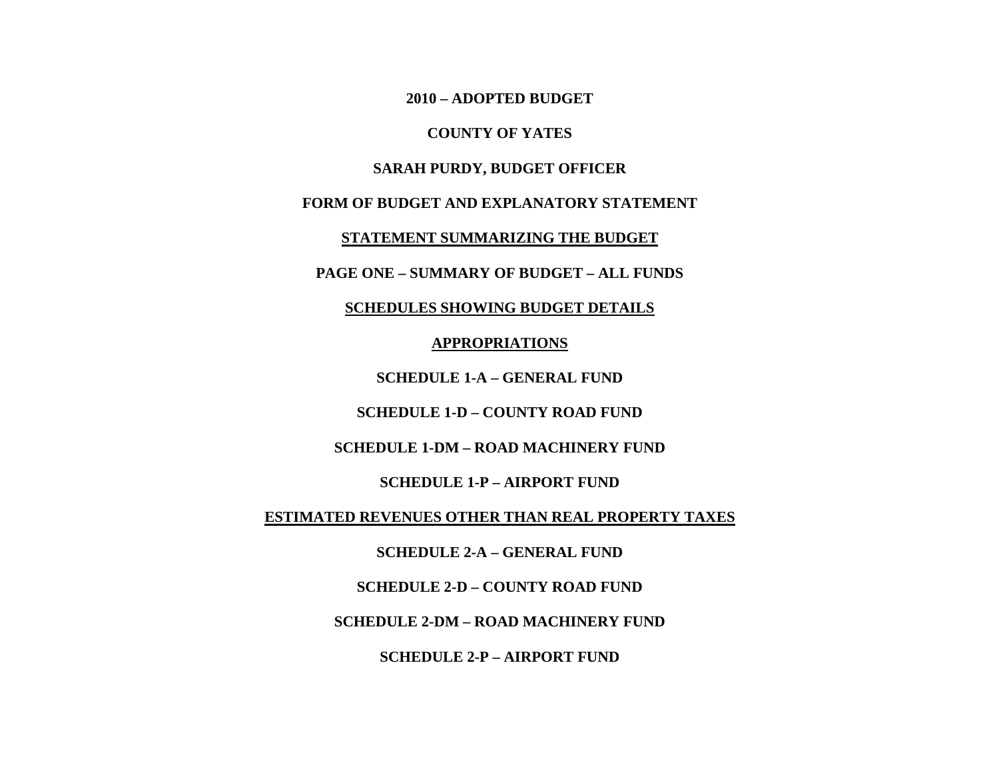**2010 – ADOPTED BUDGET**

#### **COUNTY OF YATES**

# **SARAH PURDY, BUDGET OFFICER**

## **FORM OF BUDGET AND EXPLANATORY STATEMENT**

**STATEMENT SUMMARIZING THE BUDGET**

**PAGE ONE – SUMMARY OF BUDGET – ALL FUNDS**

**SCHEDULES SHOWING BUDGET DETAILS**

**APPROPRIATIONS**

**SCHEDULE 1-A – GENERAL FUND**

**SCHEDULE 1-D – COUNTY ROAD FUND**

**SCHEDULE 1-DM – ROAD MACHINERY FUND**

**SCHEDULE 1-P – AIRPORT FUND**

**ESTIMATED REVENUES OTHER THAN REAL PROPERTY TAXES**

**SCHEDULE 2-A – GENERAL FUND**

**SCHEDULE 2-D – COUNTY ROAD FUND**

**SCHEDULE 2-DM – ROAD MACHINERY FUND**

**SCHEDULE 2-P – AIRPORT FUND**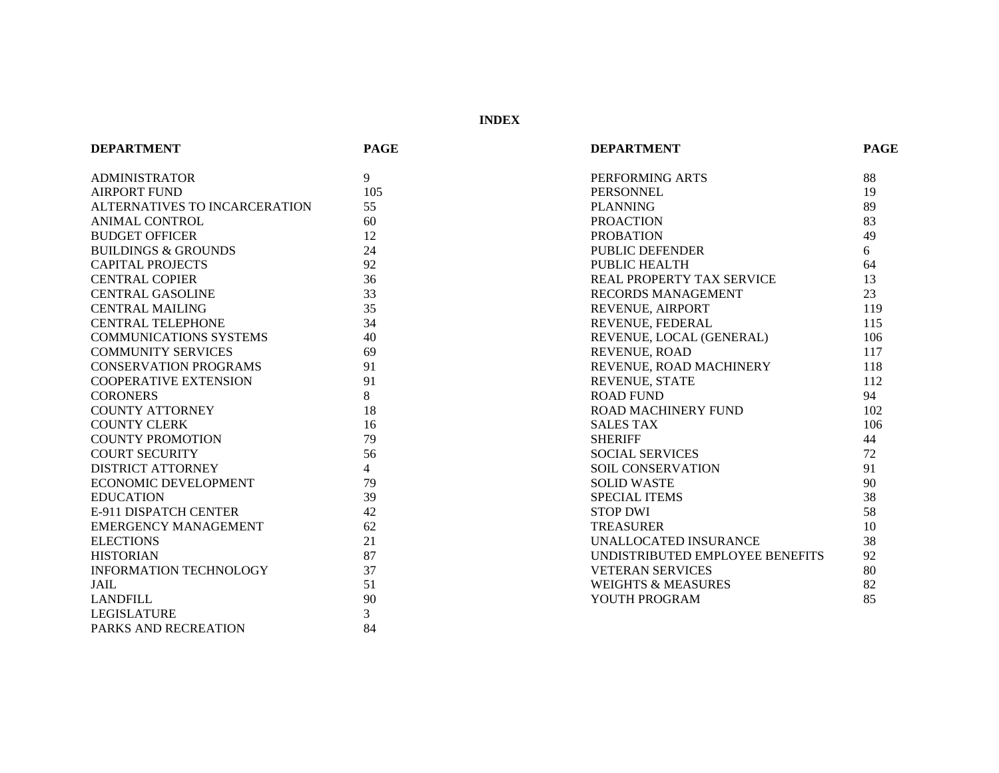**INDEX**

| <b>DEPARTMENT</b>              | <b>PAGE</b>    | <b>DEPARTMENT</b>               | <b>PAGE</b> |
|--------------------------------|----------------|---------------------------------|-------------|
| <b>ADMINISTRATOR</b>           | 9              | PERFORMING ARTS                 | 88          |
| <b>AIRPORT FUND</b>            | 105            | <b>PERSONNEL</b>                | 19          |
| ALTERNATIVES TO INCARCERATION  | 55             | <b>PLANNING</b>                 | 89          |
| <b>ANIMAL CONTROL</b>          | 60             | <b>PROACTION</b>                | 83          |
| <b>BUDGET OFFICER</b>          | 12             | <b>PROBATION</b>                | 49          |
| <b>BUILDINGS &amp; GROUNDS</b> | 24             | PUBLIC DEFENDER                 | 6           |
| <b>CAPITAL PROJECTS</b>        | 92             | PUBLIC HEALTH                   | 64          |
| <b>CENTRAL COPIER</b>          | 36             | REAL PROPERTY TAX SERVICE       | 13          |
| <b>CENTRAL GASOLINE</b>        | 33             | RECORDS MANAGEMENT              | 23          |
| <b>CENTRAL MAILING</b>         | 35             | REVENUE, AIRPORT                | 119         |
| <b>CENTRAL TELEPHONE</b>       | 34             | REVENUE, FEDERAL                | 115         |
| COMMUNICATIONS SYSTEMS         | 40             | REVENUE, LOCAL (GENERAL)        | 106         |
| <b>COMMUNITY SERVICES</b>      | 69             | REVENUE, ROAD                   | 117         |
| <b>CONSERVATION PROGRAMS</b>   | 91             | REVENUE, ROAD MACHINERY         | 118         |
| <b>COOPERATIVE EXTENSION</b>   | 91             | <b>REVENUE, STATE</b>           | 112         |
| <b>CORONERS</b>                | 8              | <b>ROAD FUND</b>                | 94          |
| <b>COUNTY ATTORNEY</b>         | 18             | ROAD MACHINERY FUND             | 102         |
| <b>COUNTY CLERK</b>            | 16             | <b>SALES TAX</b>                | 106         |
| <b>COUNTY PROMOTION</b>        | 79             | <b>SHERIFF</b>                  | 44          |
| <b>COURT SECURITY</b>          | 56             | <b>SOCIAL SERVICES</b>          | 72          |
| <b>DISTRICT ATTORNEY</b>       | $\overline{4}$ | SOIL CONSERVATION               | 91          |
| <b>ECONOMIC DEVELOPMENT</b>    | 79             | <b>SOLID WASTE</b>              | 90          |
| <b>EDUCATION</b>               | 39             | <b>SPECIAL ITEMS</b>            | 38          |
| E-911 DISPATCH CENTER          | 42             | <b>STOP DWI</b>                 | 58          |
| <b>EMERGENCY MANAGEMENT</b>    | 62             | <b>TREASURER</b>                | 10          |
| <b>ELECTIONS</b>               | 21             | UNALLOCATED INSURANCE           | 38          |
| <b>HISTORIAN</b>               | 87             | UNDISTRIBUTED EMPLOYEE BENEFITS | 92          |
| <b>INFORMATION TECHNOLOGY</b>  | 37             | <b>VETERAN SERVICES</b>         | 80          |
| JAIL                           | 51             | <b>WEIGHTS &amp; MEASURES</b>   | 82          |
| <b>LANDFILL</b>                | 90             | YOUTH PROGRAM                   | 85          |
| <b>LEGISLATURE</b>             | 3              |                                 |             |
| PARKS AND RECREATION           | 84             |                                 |             |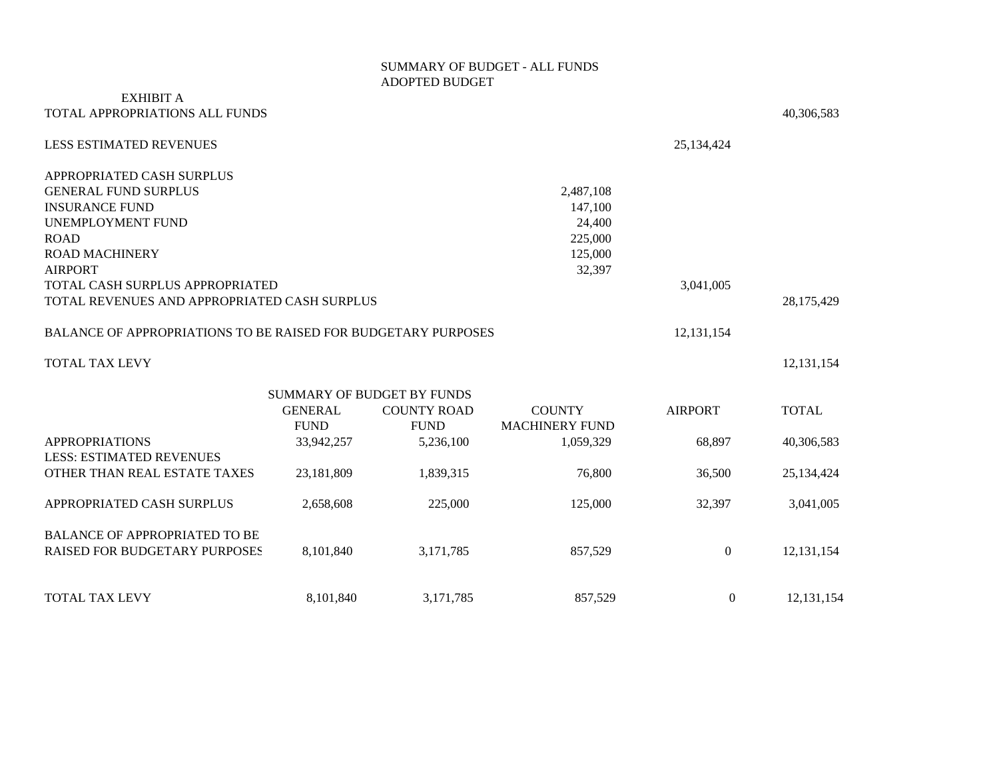#### SUMMARY OF BUDGET - ALL FUNDS ADOPTED BUDGET

## EXHIBIT A TOTAL APPROPRIATIONS ALL FUNDS 40,306,583

| 1110 111 1101 1111 1110 110 1100 1 011 101                           |                |                                   |                       |                | 70,000,000   |
|----------------------------------------------------------------------|----------------|-----------------------------------|-----------------------|----------------|--------------|
| <b>LESS ESTIMATED REVENUES</b>                                       |                |                                   |                       | 25,134,424     |              |
| APPROPRIATED CASH SURPLUS                                            |                |                                   |                       |                |              |
| <b>GENERAL FUND SURPLUS</b>                                          |                |                                   | 2,487,108             |                |              |
| <b>INSURANCE FUND</b>                                                |                |                                   | 147,100               |                |              |
| <b>UNEMPLOYMENT FUND</b>                                             |                |                                   | 24,400                |                |              |
| <b>ROAD</b>                                                          |                |                                   | 225,000               |                |              |
| <b>ROAD MACHINERY</b>                                                |                |                                   | 125,000               |                |              |
| <b>AIRPORT</b>                                                       |                |                                   | 32,397                |                |              |
| TOTAL CASH SURPLUS APPROPRIATED                                      |                |                                   |                       | 3,041,005      |              |
| TOTAL REVENUES AND APPROPRIATED CASH SURPLUS                         |                |                                   |                       |                | 28,175,429   |
| <b>BALANCE OF APPROPRIATIONS TO BE RAISED FOR BUDGETARY PURPOSES</b> |                |                                   |                       | 12, 131, 154   |              |
| <b>TOTAL TAX LEVY</b>                                                |                |                                   |                       |                | 12, 131, 154 |
|                                                                      |                | <b>SUMMARY OF BUDGET BY FUNDS</b> |                       |                |              |
|                                                                      | <b>GENERAL</b> | <b>COUNTY ROAD</b>                | <b>COUNTY</b>         | <b>AIRPORT</b> | <b>TOTAL</b> |
|                                                                      | <b>FUND</b>    | <b>FUND</b>                       | <b>MACHINERY FUND</b> |                |              |
| <b>APPROPRIATIONS</b>                                                | 33,942,257     | 5,236,100                         | 1,059,329             | 68,897         | 40,306,583   |
| <b>LESS: ESTIMATED REVENUES</b>                                      |                |                                   |                       |                |              |
| OTHER THAN REAL ESTATE TAXES                                         | 23,181,809     | 1,839,315                         | 76,800                | 36,500         | 25,134,424   |
| APPROPRIATED CASH SURPLUS                                            | 2,658,608      | 225,000                           | 125,000               | 32,397         | 3,041,005    |
| <b>BALANCE OF APPROPRIATED TO BE</b>                                 |                |                                   |                       |                |              |
| <b>RAISED FOR BUDGETARY PURPOSES</b>                                 | 8,101,840      | 3,171,785                         | 857,529               | $\overline{0}$ | 12, 131, 154 |
|                                                                      |                |                                   |                       |                |              |
| <b>TOTAL TAX LEVY</b>                                                | 8,101,840      | 3,171,785                         | 857,529               | $\overline{0}$ | 12, 131, 154 |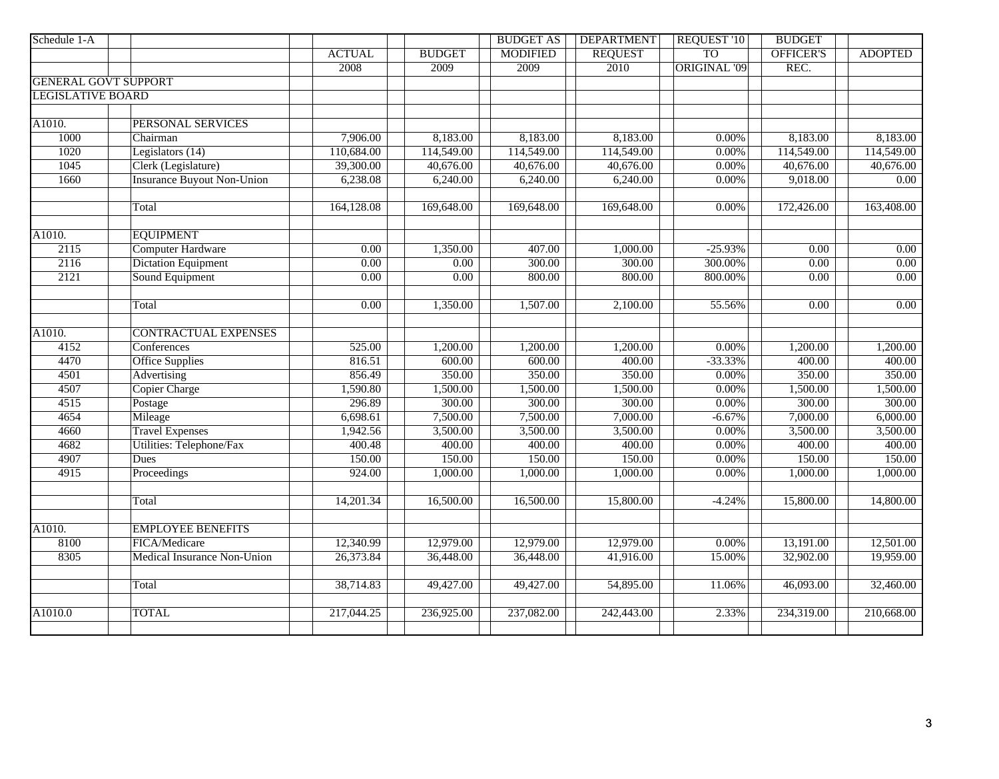| Schedule 1-A                |                                   |                   |                   | <b>BUDGET AS</b> | <b>DEPARTMENT</b> | REQUEST '10         | <b>BUDGET</b>           |                   |
|-----------------------------|-----------------------------------|-------------------|-------------------|------------------|-------------------|---------------------|-------------------------|-------------------|
|                             |                                   | <b>ACTUAL</b>     | <b>BUDGET</b>     | <b>MODIFIED</b>  | <b>REQUEST</b>    | <b>TO</b>           | OFFICER'S               | <b>ADOPTED</b>    |
|                             |                                   | 2008              | 2009              | 2009             | 2010              | <b>ORIGINAL '09</b> | REC.                    |                   |
| <b>GENERAL GOVT SUPPORT</b> |                                   |                   |                   |                  |                   |                     |                         |                   |
| <b>LEGISLATIVE BOARD</b>    |                                   |                   |                   |                  |                   |                     |                         |                   |
|                             |                                   |                   |                   |                  |                   |                     |                         |                   |
| A1010.                      | PERSONAL SERVICES                 |                   |                   |                  |                   |                     |                         |                   |
| 1000                        | Chairman                          | 7,906.00          | 8,183.00          | 8,183.00         | 8,183.00          | 0.00%               | 8,183.00                | 8,183.00          |
| 1020                        | Legislators $(14)$                | 110,684.00        | 114,549.00        | 114,549.00       | 114,549.00        | 0.00%               | 114,549.00              | 114,549.00        |
| 1045                        | Clerk (Legislature)               | 39,300.00         | 40,676.00         | 40,676.00        | 40,676.00         | 0.00%               | 40,676.00               | 40,676.00         |
| 1660                        | <b>Insurance Buyout Non-Union</b> | 6,238.08          | 6,240.00          | 6,240.00         | 6,240.00          | $0.00\%$            | 9,018.00                | $\overline{0.00}$ |
|                             |                                   |                   |                   |                  |                   |                     |                         |                   |
|                             | Total                             | 164,128.08        | 169,648.00        | 169,648.00       | 169,648.00        | 0.00%               | 172,426.00              | 163,408.00        |
|                             |                                   |                   |                   |                  |                   |                     |                         |                   |
| A1010.                      | <b>EQUIPMENT</b>                  |                   |                   |                  |                   |                     |                         |                   |
| 2115                        | <b>Computer Hardware</b>          | $\overline{0.00}$ | 1,350.00          | 407.00           | 1,000.00          | $-25.93%$           | 0.00                    | 0.00              |
| 2116                        | <b>Dictation Equipment</b>        | 0.00              | 0.00              | 300.00           | 300.00            | 300.00%             | 0.00                    | 0.00              |
| 2121                        | Sound Equipment                   | $\overline{0.00}$ | $\overline{0.00}$ | 800.00           | 800.00            | 800.00%             | $\overline{0.00}$       | 0.00              |
|                             |                                   |                   |                   |                  |                   |                     |                         |                   |
|                             | Total                             | $\overline{0.00}$ | 1,350.00          | 1,507.00         | 2,100.00          | 55.56%              | 0.00                    | 0.00              |
|                             |                                   |                   |                   |                  |                   |                     |                         |                   |
| A1010.                      | <b>CONTRACTUAL EXPENSES</b>       |                   |                   |                  |                   |                     |                         |                   |
| 4152                        | Conferences                       | 525.00            | 1,200.00          | 1,200.00         | 1,200.00          | 0.00%               | 1,200.00                | 1,200.00          |
| 4470                        | <b>Office Supplies</b>            | 816.51            | 600.00            | 600.00           | 400.00            | $-33.33%$           | 400.00                  | 400.00            |
| 4501                        | Advertising                       | 856.49            | 350.00            | 350.00           | 350.00            | $0.00\%$            | 350.00                  | 350.00            |
| 4507                        | <b>Copier Charge</b>              | 1,590.80          | 1,500.00          | 1,500.00         | 1,500.00          | 0.00%               | 1,500.00                | 1,500.00          |
| 4515                        | Postage                           | 296.89            | 300.00            | 300.00           | 300.00            | $0.00\%$            | 300.00                  | 300.00            |
| 4654                        | Mileage                           | 6,698.61          | 7,500.00          | 7,500.00         | 7,000.00          | $-6.67%$            | 7,000.00                | 6,000.00          |
| 4660                        | <b>Travel Expenses</b>            | 1,942.56          | 3,500.00          | 3,500.00         | 3,500.00          | 0.00%               | 3,500.00                | 3,500.00          |
| 4682                        | Utilities: Telephone/Fax          | 400.48            | 400.00            | 400.00           | 400.00            | $0.00\%$            | 400.00                  | 400.00            |
| 4907<br>4915                | Dues                              | 150.00            | 150.00            | 150.00           | 150.00            | $0.00\%$            | 150.00                  | 150.00            |
|                             | Proceedings                       | 924.00            | 1,000.00          | 1,000.00         | 1,000.00          | 0.00%               | 1,000.00                | 1,000.00          |
|                             | Total                             | 14,201.34         | 16,500.00         | 16,500.00        | 15,800.00         | $-4.24%$            | 15,800.00               | 14,800.00         |
|                             |                                   |                   |                   |                  |                   |                     |                         |                   |
| A1010.                      | <b>EMPLOYEE BENEFITS</b>          |                   |                   |                  |                   |                     |                         |                   |
| 8100                        | FICA/Medicare                     | 12,340.99         | 12,979.00         | 12,979.00        | 12,979.00         | $0.00\%$            | 13,191.00               | 12,501.00         |
| 8305                        | Medical Insurance Non-Union       | 26,373.84         | 36,448.00         | 36,448.00        | 41,916.00         | 15.00%              | 32,902.00               | 19,959.00         |
|                             |                                   |                   |                   |                  |                   |                     |                         |                   |
|                             | Total                             | 38,714.83         | 49,427.00         | 49,427.00        | 54,895.00         | 11.06%              | 46,093.00               | 32,460.00         |
|                             |                                   |                   |                   |                  |                   |                     |                         |                   |
| A1010.0                     | <b>TOTAL</b>                      | 217,044.25        | 236,925.00        | 237,082.00       | 242,443.00        | 2.33%               | $\overline{234,319.00}$ | 210,668.00        |
|                             |                                   |                   |                   |                  |                   |                     |                         |                   |
|                             |                                   |                   |                   |                  |                   |                     |                         |                   |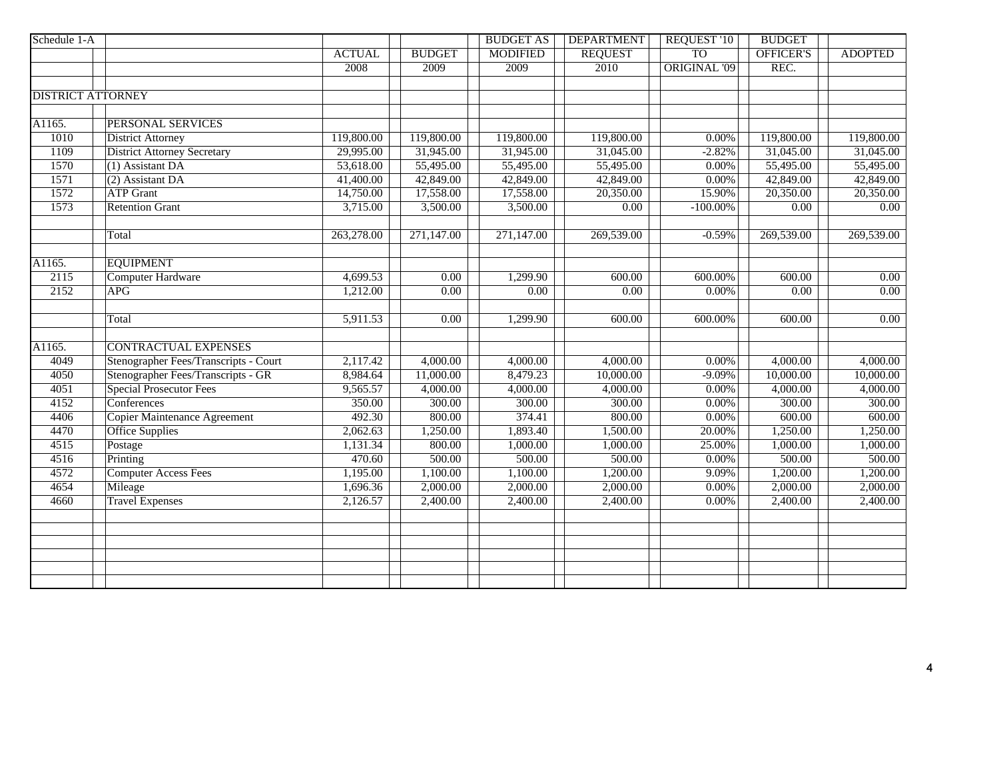| Schedule 1-A |                                       |               |                   | <b>BUDGET AS</b>  | <b>DEPARTMENT</b> | <b>REQUEST '10</b>  | <b>BUDGET</b>    |                       |
|--------------|---------------------------------------|---------------|-------------------|-------------------|-------------------|---------------------|------------------|-----------------------|
|              |                                       | <b>ACTUAL</b> | <b>BUDGET</b>     | <b>MODIFIED</b>   | <b>REQUEST</b>    | <b>TO</b>           | <b>OFFICER'S</b> | <b>ADOPTED</b>        |
|              |                                       | 2008          | 2009              | 2009              | 2010              | <b>ORIGINAL '09</b> | REC.             |                       |
|              |                                       |               |                   |                   |                   |                     |                  |                       |
|              | <b>DISTRICT ATTORNEY</b>              |               |                   |                   |                   |                     |                  |                       |
|              |                                       |               |                   |                   |                   |                     |                  |                       |
| A1165.       | PERSONAL SERVICES                     |               |                   |                   |                   |                     |                  |                       |
| 1010         | <b>District Attorney</b>              | 119,800.00    | 119,800.00        | 119,800.00        | 119,800.00        | 0.00%               | 119,800.00       | 119,800.00            |
| 1109         | <b>District Attorney Secretary</b>    | 29,995.00     | 31,945.00         | 31,945.00         | 31,045.00         | $-2.82%$            | 31,045.00        | 31,045.00             |
| 1570         | $(1)$ Assistant DA                    | 53,618.00     | 55,495.00         | 55,495.00         | 55,495.00         | 0.00%               | 55,495.00        | 55,495.00             |
| 1571         | (2) Assistant DA                      | 41,400.00     | 42,849.00         | 42,849.00         | 42,849.00         | $0.00\%$            | 42,849.00        | 42,849.00             |
| 1572         | <b>ATP</b> Grant                      | 14,750.00     | 17,558.00         | 17,558.00         | 20,350.00         | 15.90%              | 20,350.00        | 20,350.00             |
| 1573         | <b>Retention Grant</b>                | 3,715.00      | 3,500.00          | 3,500.00          | 0.00              | $-100.00\%$         | 0.00             | 0.00                  |
|              | Total                                 | 263,278.00    | 271,147.00        | 271,147.00        | 269,539.00        | $-0.59%$            | 269,539.00       | 269,539.00            |
|              |                                       |               |                   |                   |                   |                     |                  |                       |
| A1165.       | <b>EQUIPMENT</b>                      |               |                   |                   |                   |                     |                  |                       |
| 2115         | <b>Computer Hardware</b>              | 4,699.53      | 0.00              | 1,299.90          | 600.00            | 600.00%             | 600.00           | $\overline{0.00}$     |
| 2152         | <b>APG</b>                            | 1,212.00      | $\overline{0.00}$ | $\overline{0.00}$ | $\overline{0.00}$ | 0.00%               | 0.00             | 0.00                  |
|              | Total                                 | 5,911.53      | $\overline{0.00}$ | 1,299.90          | 600.00            | 600.00%             | 600.00           | 0.00                  |
|              |                                       |               |                   |                   |                   |                     |                  |                       |
| A1165.       | <b>CONTRACTUAL EXPENSES</b>           |               |                   |                   |                   |                     |                  |                       |
| 4049         | Stenographer Fees/Transcripts - Court | 2,117.42      | 4,000.00          | 4,000.00          | 4,000.00          | $0.00\%$            | 4,000.00         | $\overline{4,000.00}$ |
| 4050         | Stenographer Fees/Transcripts - GR    | 8,984.64      | 11,000.00         | 8,479.23          | 10,000.00         | $-9.09%$            | 10,000.00        | 10,000.00             |
| 4051         | <b>Special Prosecutor Fees</b>        | 9,565.57      | 4,000.00          | 4,000.00          | 4,000.00          | $0.00\%$            | 4,000.00         | 4,000.00              |
| 4152         | Conferences                           | 350.00        | 300.00            | 300.00            | 300.00            | $0.00\%$            | 300.00           | 300.00                |
| 4406         | <b>Copier Maintenance Agreement</b>   | 492.30        | 800.00            | 374.41            | 800.00            | 0.00%               | 600.00           | 600.00                |
| 4470         | <b>Office Supplies</b>                | 2,062.63      | 1,250.00          | 1,893.40          | 1,500.00          | 20.00%              | 1,250.00         | 1,250.00              |
| 4515         | Postage                               | 1,131.34      | 800.00            | 1,000.00          | 1,000.00          | 25.00%              | 1,000.00         | 1,000.00              |
| 4516         | Printing                              | 470.60        | 500.00            | 500.00            | 500.00            | $0.00\%$            | 500.00           | 500.00                |
| 4572         | <b>Computer Access Fees</b>           | 1,195.00      | 1,100.00          | 1,100.00          | 1,200.00          | 9.09%               | 1,200.00         | 1,200.00              |
| 4654         | Mileage                               | 1,696.36      | 2,000.00          | 2,000.00          | 2,000.00          | 0.00%               | 2,000.00         | 2,000.00              |
| 4660         | <b>Travel Expenses</b>                | 2,126.57      | 2,400.00          | 2,400.00          | 2,400.00          | $0.00\%$            | 2,400.00         | 2,400.00              |
|              |                                       |               |                   |                   |                   |                     |                  |                       |
|              |                                       |               |                   |                   |                   |                     |                  |                       |
|              |                                       |               |                   |                   |                   |                     |                  |                       |
|              |                                       |               |                   |                   |                   |                     |                  |                       |
|              |                                       |               |                   |                   |                   |                     |                  |                       |
|              |                                       |               |                   |                   |                   |                     |                  |                       |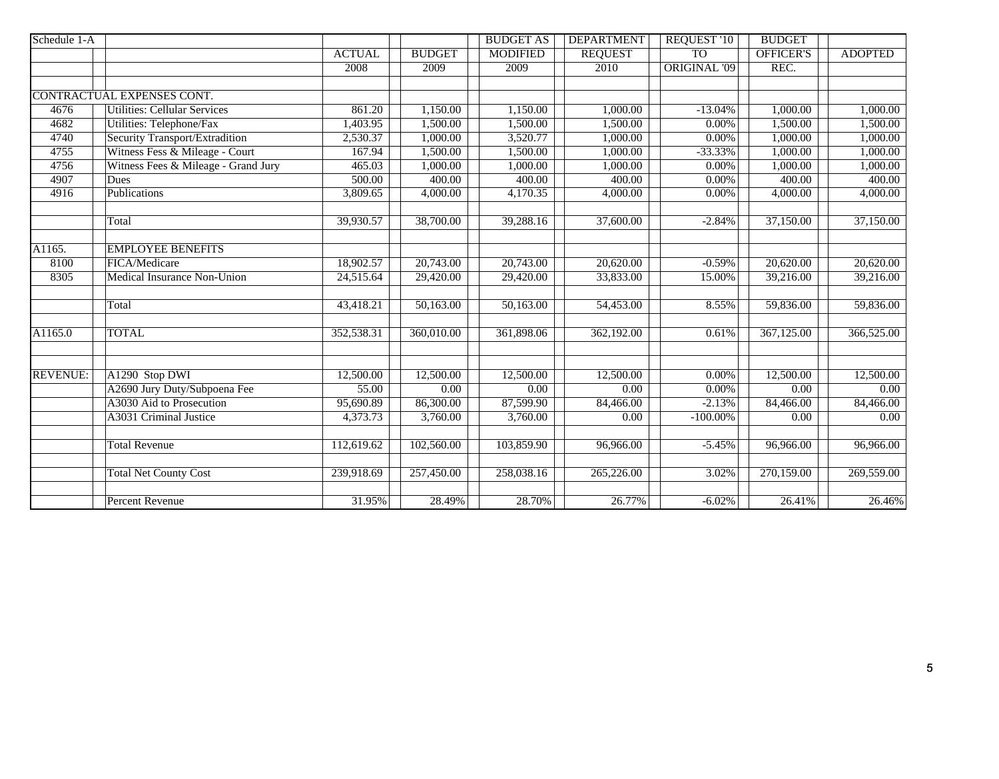| Schedule 1-A    |                                     |               |               | <b>BUDGET AS</b>  | <b>DEPARTMENT</b> | <b>REQUEST '10</b>  | <b>BUDGET</b>     |                |
|-----------------|-------------------------------------|---------------|---------------|-------------------|-------------------|---------------------|-------------------|----------------|
|                 |                                     | <b>ACTUAL</b> | <b>BUDGET</b> | <b>MODIFIED</b>   | <b>REQUEST</b>    | <b>TO</b>           | <b>OFFICER'S</b>  | <b>ADOPTED</b> |
|                 |                                     | 2008          | 2009          | 2009              | 2010              | <b>ORIGINAL '09</b> | REC.              |                |
|                 |                                     |               |               |                   |                   |                     |                   |                |
|                 | CONTRACTUAL EXPENSES CONT.          |               |               |                   |                   |                     |                   |                |
| 4676            | <b>Utilities: Cellular Services</b> | 861.20        | 1,150.00      | 1,150.00          | 1,000.00          | $-13.04%$           | 1,000.00          | 1,000.00       |
| 4682            | Utilities: Telephone/Fax            | 1,403.95      | 1,500.00      | 1,500.00          | 1,500.00          | $0.00\%$            | 1,500.00          | 1,500.00       |
| 4740            | Security Transport/Extradition      | 2,530.37      | 1,000.00      | 3,520.77          | 1,000.00          | $0.00\%$            | 1,000.00          | 1,000.00       |
| 4755            | Witness Fess & Mileage - Court      | 167.94        | 1,500.00      | 1,500.00          | 1,000.00          | $-33.33\%$          | 1,000.00          | 1,000.00       |
| 4756            | Witness Fees & Mileage - Grand Jury | 465.03        | 1,000.00      | 1,000.00          | 1,000.00          | 0.00%               | 1,000.00          | 1,000.00       |
| 4907            | Dues                                | 500.00        | 400.00        | 400.00            | 400.00            | $0.00\%$            | 400.00            | 400.00         |
| 4916            | Publications                        | 3,809.65      | 4,000.00      | 4,170.35          | 4,000.00          | $0.00\%$            | 4,000.00          | 4,000.00       |
|                 |                                     |               |               |                   |                   |                     |                   |                |
|                 | Total                               | 39,930.57     | 38,700.00     | 39,288.16         | 37,600.00         | $-2.84%$            | 37,150.00         | 37,150.00      |
|                 |                                     |               |               |                   |                   |                     |                   |                |
| A1165.          | <b>EMPLOYEE BENEFITS</b>            |               |               |                   |                   |                     |                   |                |
| 8100            | FICA/Medicare                       | 18,902.57     | 20,743.00     | 20,743.00         | 20,620.00         | $-0.59%$            | 20,620.00         | 20,620.00      |
| 8305            | Medical Insurance Non-Union         | 24,515.64     | 29,420.00     | 29,420.00         | 33,833.00         | 15.00%              | 39,216.00         | 39,216.00      |
|                 |                                     |               |               |                   |                   |                     |                   |                |
|                 | Total                               | 43,418.21     | 50,163.00     | 50,163.00         | 54,453.00         | 8.55%               | 59,836.00         | 59,836.00      |
|                 |                                     |               |               |                   |                   |                     |                   |                |
| A1165.0         | <b>TOTAL</b>                        | 352,538.31    | 360,010.00    | 361,898.06        | 362,192.00        | 0.61%               | 367,125.00        | 366,525.00     |
|                 |                                     |               |               |                   |                   |                     |                   |                |
|                 |                                     |               |               |                   |                   |                     |                   |                |
| <b>REVENUE:</b> | A1290 Stop DWI                      | 12,500.00     | 12,500.00     | 12,500.00         | 12,500.00         | $0.00\%$            | 12,500.00         | 12,500.00      |
|                 | A2690 Jury Duty/Subpoena Fee        | 55.00         | 0.00          | $\overline{0.00}$ | 0.00              | $0.00\%$            | $\overline{0.00}$ | $0.00\,$       |
|                 | A3030 Aid to Prosecution            | 95,690.89     | 86,300.00     | 87,599.90         | 84,466.00         | $-2.13%$            | 84,466.00         | 84,466.00      |
|                 | <b>A3031 Criminal Justice</b>       | 4,373.73      | 3,760.00      | 3,760.00          | $\overline{0.00}$ | $-100.00\%$         | $\overline{0.00}$ | 0.00           |
|                 |                                     |               |               |                   |                   |                     |                   |                |
|                 | <b>Total Revenue</b>                | 112,619.62    | 102,560.00    | 103,859.90        | 96,966.00         | $-5.45%$            | 96,966.00         | 96,966.00      |
|                 |                                     |               |               |                   |                   |                     |                   |                |
|                 | <b>Total Net County Cost</b>        | 239,918.69    | 257,450.00    | 258,038.16        | 265,226.00        | 3.02%               | 270,159.00        | 269,559.00     |
|                 | <b>Percent Revenue</b>              | 31.95%        | 28.49%        | 28.70%            | 26.77%            | $-6.02%$            | 26.41%            | 26.46%         |
|                 |                                     |               |               |                   |                   |                     |                   |                |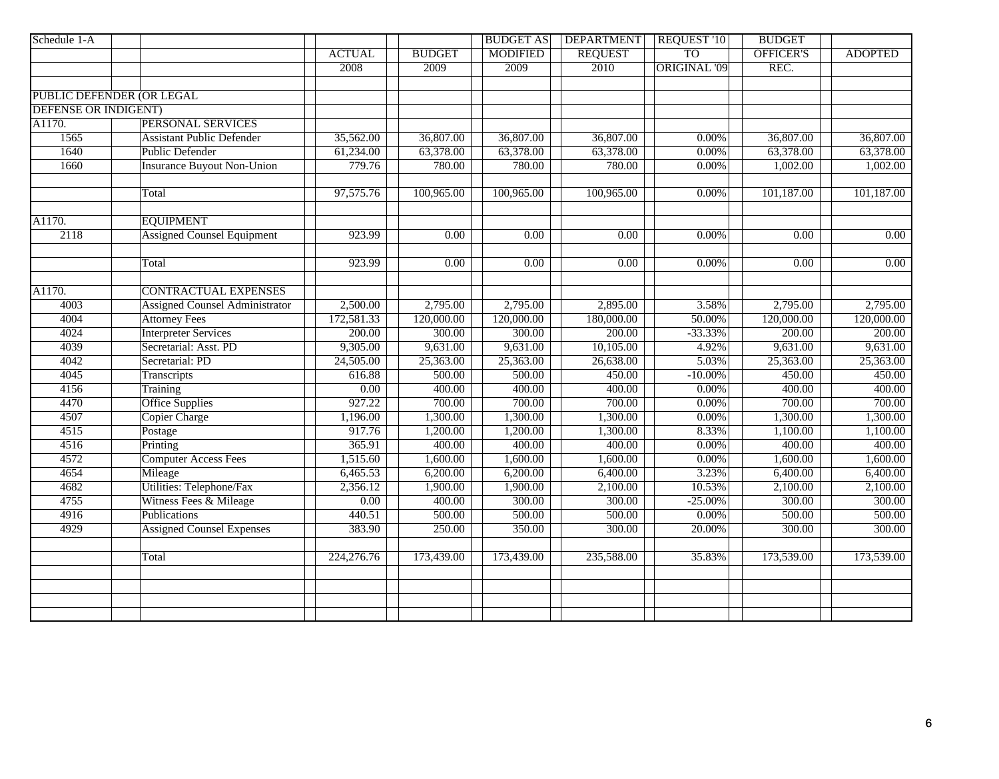| Schedule 1-A                |                                       |               |                   | <b>BUDGET AS</b>  | <b>DEPARTMENT</b> | <b>REQUEST '10</b>  | <b>BUDGET</b>     |                |
|-----------------------------|---------------------------------------|---------------|-------------------|-------------------|-------------------|---------------------|-------------------|----------------|
|                             |                                       | <b>ACTUAL</b> | <b>BUDGET</b>     | <b>MODIFIED</b>   | <b>REQUEST</b>    | T <sub>O</sub>      | OFFICER'S         | <b>ADOPTED</b> |
|                             |                                       | 2008          | 2009              | 2009              | 2010              | <b>ORIGINAL '09</b> | REC.              |                |
|                             |                                       |               |                   |                   |                   |                     |                   |                |
|                             | PUBLIC DEFENDER (OR LEGAL             |               |                   |                   |                   |                     |                   |                |
| <b>DEFENSE OR INDIGENT)</b> |                                       |               |                   |                   |                   |                     |                   |                |
| A1170.                      | <b>PERSONAL SERVICES</b>              |               |                   |                   |                   |                     |                   |                |
| 1565                        | <b>Assistant Public Defender</b>      | 35,562.00     | 36,807.00         | 36,807.00         | 36,807.00         | 0.00%               | 36,807.00         | 36,807.00      |
| 1640                        | <b>Public Defender</b>                | 61,234.00     | 63,378.00         | 63,378.00         | 63,378.00         | 0.00%               | 63,378.00         | 63,378.00      |
| 1660                        | <b>Insurance Buyout Non-Union</b>     | 779.76        | 780.00            | 780.00            | 780.00            | 0.00%               | 1,002.00          | 1,002.00       |
|                             |                                       |               |                   |                   |                   |                     |                   |                |
|                             | Total                                 | 97,575.76     | 100,965.00        | 100,965.00        | 100,965.00        | 0.00%               | 101,187.00        | 101,187.00     |
| A1170.                      | <b>EQUIPMENT</b>                      |               |                   |                   |                   |                     |                   |                |
| 2118                        | <b>Assigned Counsel Equipment</b>     | 923.99        | $\overline{0.00}$ | $\overline{0.00}$ | $\overline{0.00}$ | 0.00%               | $\overline{0.00}$ | 0.00           |
|                             |                                       |               |                   |                   |                   |                     |                   |                |
|                             | Total                                 | 923.99        | $\overline{0.00}$ | 0.00              | 0.00              | 0.00%               | $\overline{0.00}$ | 0.00           |
|                             |                                       |               |                   |                   |                   |                     |                   |                |
| A1170.                      | <b>CONTRACTUAL EXPENSES</b>           |               |                   |                   |                   |                     |                   |                |
| 4003                        | <b>Assigned Counsel Administrator</b> | 2,500.00      | 2,795.00          | 2,795.00          | 2,895.00          | 3.58%               | 2,795.00          | 2,795.00       |
| 4004                        | <b>Attorney Fees</b>                  | 172,581.33    | 120,000.00        | 120,000.00        | 180,000.00        | 50.00%              | 120,000.00        | 120,000.00     |
| 4024                        | <b>Interpreter Services</b>           | 200.00        | 300.00            | 300.00            | 200.00            | $-33.33%$           | 200.00            | 200.00         |
| 4039                        | Secretarial: Asst. PD                 | 9,305.00      | 9,631.00          | 9,631.00          | 10,105.00         | 4.92%               | 9,631.00          | 9,631.00       |
| 4042                        | Secretarial: PD                       | 24,505.00     | 25,363.00         | 25,363.00         | 26,638.00         | 5.03%               | 25,363.00         | 25,363.00      |
| 4045                        | Transcripts                           | 616.88        | 500.00            | 500.00            | 450.00            | $-10.00\%$          | 450.00            | 450.00         |
| 4156                        | Training                              | 0.00          | 400.00            | 400.00            | 400.00            | 0.00%               | 400.00            | 400.00         |
| 4470                        | <b>Office Supplies</b>                | 927.22        | 700.00            | 700.00            | 700.00            | 0.00%               | 700.00            | 700.00         |
| 4507                        | <b>Copier Charge</b>                  | 1,196.00      | 1,300.00          | 1,300.00          | 1,300.00          | 0.00%               | 1,300.00          | 1,300.00       |
| 4515                        | Postage                               | 917.76        | 1,200.00          | 1,200.00          | 1,300.00          | 8.33%               | 1,100.00          | 1,100.00       |
| 4516                        | Printing                              | 365.91        | 400.00            | 400.00            | 400.00            | 0.00%               | 400.00            | 400.00         |
| 4572                        | <b>Computer Access Fees</b>           | 1,515.60      | 1,600.00          | 1,600.00          | 1,600.00          | $0.00\%$            | 1,600.00          | 1,600.00       |
| $\frac{4654}{ }$            | Mileage                               | 6,465.53      | 6,200.00          | 6,200.00          | 6,400.00          | 3.23%               | 6,400.00          | 6,400.00       |
| 4682                        | Utilities: Telephone/Fax              | 2,356.12      | 1,900.00          | 1,900.00          | 2,100.00          | 10.53%              | 2,100.00          | 2,100.00       |
| 4755                        | Witness Fees & Mileage                | 0.00          | 400.00            | 300.00            | 300.00            | $-25.00\%$          | 300.00            | 300.00         |
| 4916                        | Publications                          | 440.51        | 500.00            | 500.00            | 500.00            | 0.00%               | 500.00            | 500.00         |
| 4929                        | <b>Assigned Counsel Expenses</b>      | 383.90        | 250.00            | 350.00            | 300.00            | 20.00%              | 300.00            | 300.00         |
|                             | Total                                 | 224,276.76    | 173,439.00        | 173,439.00        | 235,588.00        | 35.83%              | 173,539.00        | 173,539.00     |
|                             |                                       |               |                   |                   |                   |                     |                   |                |
|                             |                                       |               |                   |                   |                   |                     |                   |                |
|                             |                                       |               |                   |                   |                   |                     |                   |                |
|                             |                                       |               |                   |                   |                   |                     |                   |                |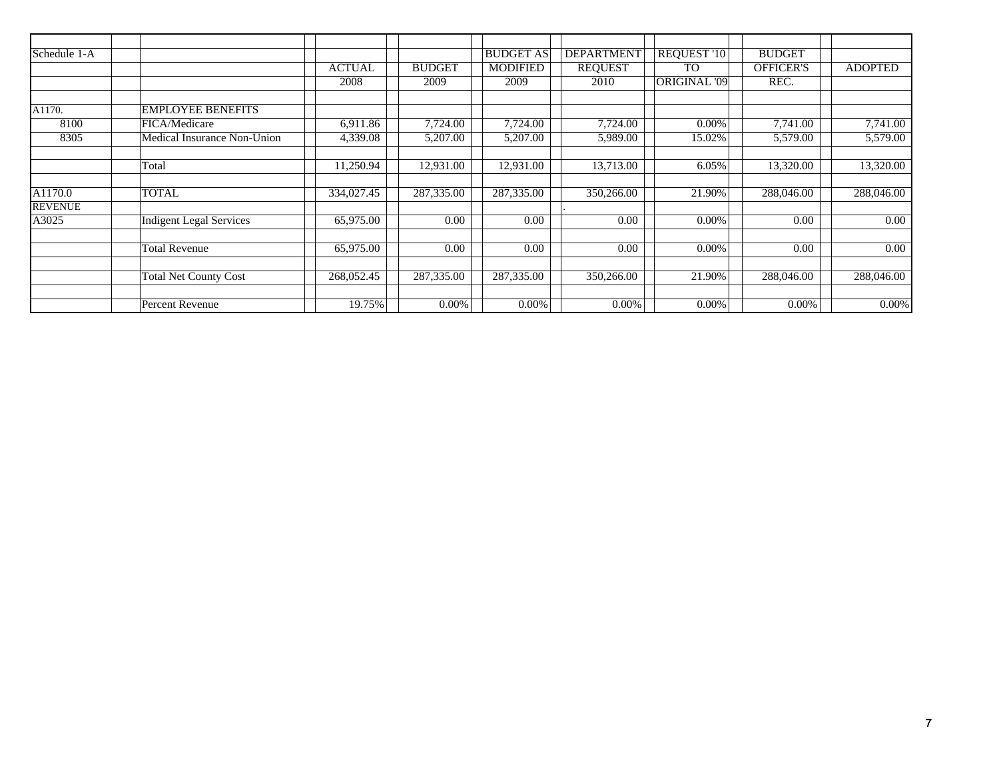| Schedule 1-A   |                                |               |               | <b>BUDGET AS</b> | <b>DEPARTMENT</b> | <b>REQUEST '10</b>  | <b>BUDGET</b>    |                |
|----------------|--------------------------------|---------------|---------------|------------------|-------------------|---------------------|------------------|----------------|
|                |                                | <b>ACTUAL</b> | <b>BUDGET</b> | <b>MODIFIED</b>  | <b>REQUEST</b>    | <b>TO</b>           | <b>OFFICER'S</b> | <b>ADOPTED</b> |
|                |                                | 2008          | 2009          | 2009             | 2010              | <b>ORIGINAL '09</b> | REC.             |                |
|                |                                |               |               |                  |                   |                     |                  |                |
| A1170.         | <b>EMPLOYEE BENEFITS</b>       |               |               |                  |                   |                     |                  |                |
| 8100           | FICA/Medicare                  | 6,911.86      | 7,724.00      | 7,724.00         | 7,724.00          | 0.00%               | 7,741.00         | 7,741.00       |
| 8305           | Medical Insurance Non-Union    | 4,339.08      | 5,207.00      | 5,207.00         | 5,989.00          | 15.02%              | 5,579.00         | 5,579.00       |
|                |                                |               |               |                  |                   |                     |                  |                |
|                | Total                          | 11,250.94     | 12,931.00     | 12,931.00        | 13,713.00         | 6.05%               | 13,320.00        | 13,320.00      |
|                |                                |               |               |                  |                   |                     |                  |                |
| A1170.0        | <b>TOTAL</b>                   | 334,027.45    | 287,335.00    | 287,335.00       | 350,266.00        | 21.90%              | 288,046.00       | 288,046.00     |
| <b>REVENUE</b> |                                |               |               |                  |                   |                     |                  |                |
| A3025          | <b>Indigent Legal Services</b> | 65,975.00     | 0.00          | 0.00             | 0.00              | 0.00%               | 0.00             | 0.00           |
|                |                                |               |               |                  |                   |                     |                  |                |
|                | <b>Total Revenue</b>           | 65,975.00     | 0.00          | 0.00             | 0.00              | 0.00%               | 0.00             | 0.00           |
|                |                                |               |               |                  |                   |                     |                  |                |
|                | <b>Total Net County Cost</b>   | 268,052.45    | 287,335.00    | 287,335.00       | 350,266.00        | 21.90%              | 288,046.00       | 288,046.00     |
|                |                                |               |               |                  |                   |                     |                  |                |
|                | Percent Revenue                | 19.75%        | 0.00%         | 0.00%            | $0.00\%$          | $0.00\%$            | 0.00%            | $0.00\%$       |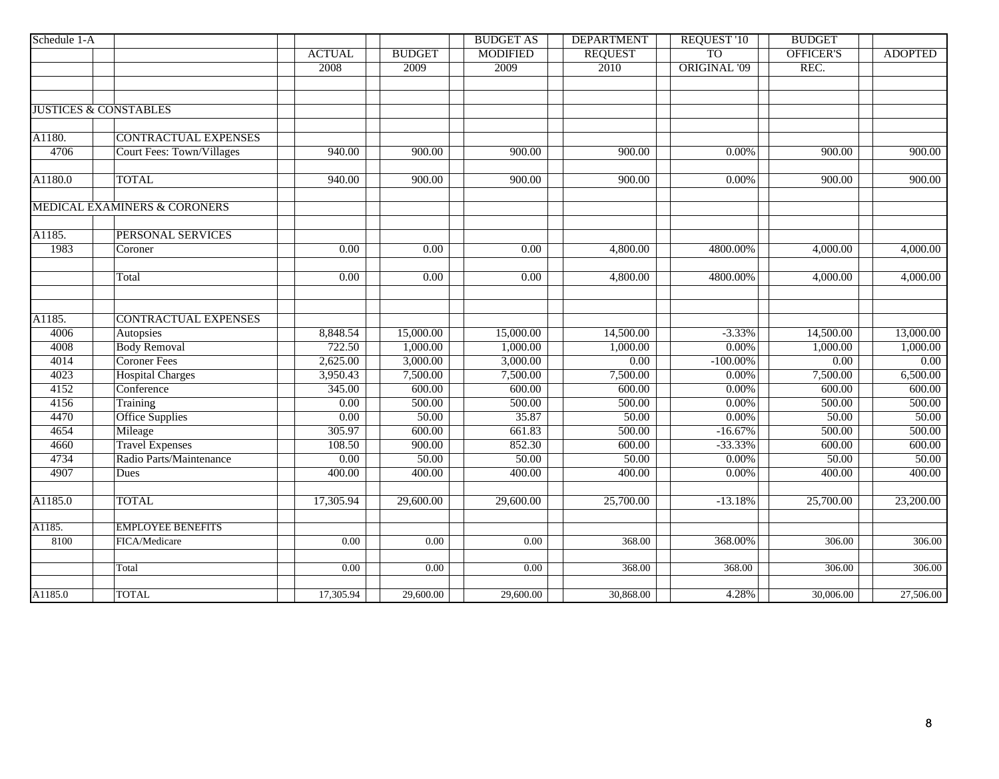| Schedule 1-A |                                         |                   |                   | <b>BUDGET AS</b>  | <b>DEPARTMENT</b> | <b>REQUEST '10</b>  | <b>BUDGET</b>       |                |
|--------------|-----------------------------------------|-------------------|-------------------|-------------------|-------------------|---------------------|---------------------|----------------|
|              |                                         | <b>ACTUAL</b>     | <b>BUDGET</b>     | <b>MODIFIED</b>   | <b>REQUEST</b>    | T <sub>O</sub>      | OFFICER'S           | <b>ADOPTED</b> |
|              |                                         | 2008              | 2009              | 2009              | 2010              | <b>ORIGINAL '09</b> | REC.                |                |
|              |                                         |                   |                   |                   |                   |                     |                     |                |
|              |                                         |                   |                   |                   |                   |                     |                     |                |
|              | <b>JUSTICES &amp; CONSTABLES</b>        |                   |                   |                   |                   |                     |                     |                |
|              |                                         |                   |                   |                   |                   |                     |                     |                |
| A1180.       | <b>CONTRACTUAL EXPENSES</b>             |                   |                   |                   |                   |                     |                     |                |
| 4706         | <b>Court Fees: Town/Villages</b>        | 940.00            | 900.00            | 900.00            | 900.00            | $0.00\%$            | 900.00              | 900.00         |
| A1180.0      | <b>TOTAL</b>                            | 940.00            | 900.00            | 900.00            | 900.00            | $0.00\%$            | 900.00              | 900.00         |
|              | <b>MEDICAL EXAMINERS &amp; CORONERS</b> |                   |                   |                   |                   |                     |                     |                |
|              |                                         |                   |                   |                   |                   |                     |                     |                |
| A1185.       | PERSONAL SERVICES                       |                   |                   |                   |                   |                     |                     |                |
| 1983         | Coroner                                 | $\overline{0.00}$ | $\overline{0.00}$ | $\overline{0.00}$ | 4,800.00          | 4800.00%            | 4,000.00            | 4,000.00       |
|              | Total                                   | 0.00              | $\overline{0.00}$ | 0.00              | 4,800.00          | 4800.00%            | 4,000.00            | 4,000.00       |
|              |                                         |                   |                   |                   |                   |                     |                     |                |
| A1185.       | <b>CONTRACTUAL EXPENSES</b>             |                   |                   |                   |                   |                     |                     |                |
| 4006         | Autopsies                               | 8,848.54          | 15,000.00         | 15,000.00         | 14,500.00         | $-3.33%$            | 14,500.00           | 13,000.00      |
| 4008         | <b>Body Removal</b>                     | 722.50            | 1,000.00          | 1,000.00          | 1,000.00          | 0.00%               | 1,000.00            | 1,000.00       |
| 4014         | <b>Coroner Fees</b>                     | 2,625.00          | 3,000.00          | 3,000.00          | 0.00              | $-100.00\%$         | 0.00                | 0.00           |
| 4023         | <b>Hospital Charges</b>                 | 3,950.43          | 7,500.00          | 7,500.00          | 7,500.00          | 0.00%               | 7,500.00            | 6,500.00       |
| 4152         | Conference                              | 345.00            | 600.00            | 600.00            | 600.00            | 0.00%               | 600.00              | 600.00         |
| 4156         | Training                                | 0.00              | 500.00            | 500.00            | 500.00            | 0.00%               | 500.00              | 500.00         |
| 4470         | <b>Office Supplies</b>                  | 0.00              | 50.00             | 35.87             | 50.00             | 0.00%               | 50.00               | 50.00          |
| 4654         | Mileage                                 | 305.97            | 600.00            | 661.83            | 500.00            | $-16.67%$           | 500.00              | 500.00         |
| 4660         | <b>Travel Expenses</b>                  | 108.50            | 900.00            | 852.30            | 600.00            | $-33.33%$           | 600.00              | 600.00         |
| 4734         | Radio Parts/Maintenance                 | 0.00              | 50.00             | 50.00             | 50.00             | 0.00%               | 50.00               | 50.00          |
| 4907         | Dues                                    | 400.00            | 400.00            | 400.00            | 400.00            | 0.00%               | 400.00              | 400.00         |
| A1185.0      | <b>TOTAL</b>                            | 17,305.94         | 29,600.00         | 29,600.00         | 25,700.00         | $-13.18%$           | 25,700.00           | 23,200.00      |
| A1185.       | <b>EMPLOYEE BENEFITS</b>                |                   |                   |                   |                   |                     |                     |                |
| 8100         | FICA/Medicare                           | 0.00              | 0.00              | 0.00              | 368.00            | 368.00%             | $\overline{306.00}$ | 306.00         |
|              | Total                                   | 0.00              | 0.00              | 0.00              | 368.00            | 368.00              | 306.00              | 306.00         |
|              | <b>TOTAL</b>                            |                   |                   |                   | 30,868.00         | 4.28%               |                     |                |
| A1185.0      |                                         | 17,305.94         | 29,600.00         | 29,600.00         |                   |                     | 30,006.00           | 27,506.00      |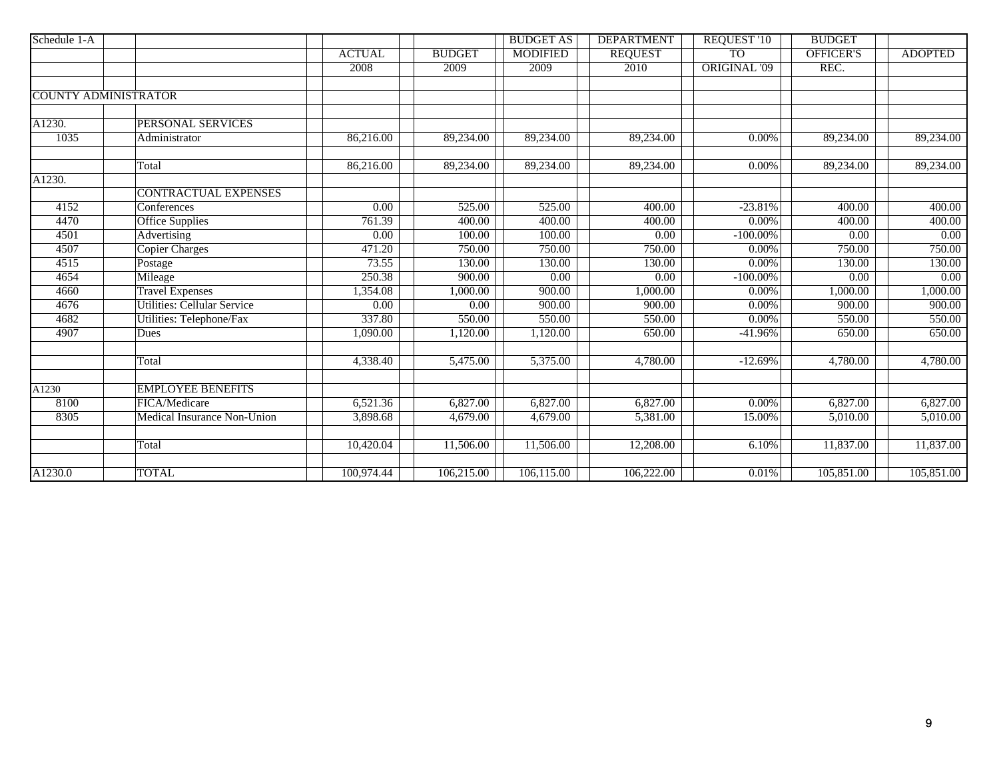| Schedule 1-A         |                                    |                   |                   | <b>BUDGET AS</b> | <b>DEPARTMENT</b> | <b>REQUEST '10</b>  | <b>BUDGET</b>    |                   |
|----------------------|------------------------------------|-------------------|-------------------|------------------|-------------------|---------------------|------------------|-------------------|
|                      |                                    | <b>ACTUAL</b>     | <b>BUDGET</b>     | <b>MODIFIED</b>  | <b>REQUEST</b>    | <b>TO</b>           | <b>OFFICER'S</b> | <b>ADOPTED</b>    |
|                      |                                    | 2008              | 2009              | 2009             | 2010              | <b>ORIGINAL '09</b> | REC.             |                   |
|                      |                                    |                   |                   |                  |                   |                     |                  |                   |
|                      | <b>COUNTY ADMINISTRATOR</b>        |                   |                   |                  |                   |                     |                  |                   |
|                      |                                    |                   |                   |                  |                   |                     |                  |                   |
| A1230.               | PERSONAL SERVICES                  |                   |                   |                  |                   |                     |                  |                   |
| 1035                 | Administrator                      | 86,216.00         | 89,234.00         | 89,234.00        | 89,234.00         | 0.00%               | 89,234.00        | 89,234.00         |
|                      |                                    |                   |                   |                  |                   |                     |                  |                   |
|                      | Total                              | 86,216.00         | 89,234.00         | 89,234.00        | 89,234.00         | 0.00%               | 89,234.00        | 89,234.00         |
| $\overline{A1230}$ . |                                    |                   |                   |                  |                   |                     |                  |                   |
|                      | <b>CONTRACTUAL EXPENSES</b>        |                   |                   |                  |                   |                     |                  |                   |
| 4152                 | Conferences                        | 0.00              | 525.00            | 525.00           | 400.00            | $-23.81%$           | 400.00           | 400.00            |
| 4470                 | Office Supplies                    | 761.39            | 400.00            | 400.00           | 400.00            | 0.00%               | 400.00           | 400.00            |
| 4501                 | Advertising                        | 0.00              | 100.00            | 100.00           | 0.00              | $-100.00\%$         | 0.00             | $\overline{0.00}$ |
| 4507                 | <b>Copier Charges</b>              | 471.20            | 750.00            | 750.00           | 750.00            | 0.00%               | 750.00           | 750.00            |
| 4515                 | Postage                            | 73.55             | 130.00            | 130.00           | 130.00            | 0.00%               | 130.00           | 130.00            |
| 4654                 | Mileage                            | 250.38            | 900.00            | 0.00             | 0.00              | $-100.00\%$         | 0.00             | 0.00              |
| 4660                 | <b>Travel Expenses</b>             | 1,354.08          | 1,000.00          | 900.00           | 1,000.00          | 0.00%               | 1,000.00         | 1,000.00          |
| 4676                 | Utilities: Cellular Service        | $\overline{0.00}$ | $\overline{0.00}$ | 900.00           | 900.00            | 0.00%               | 900.00           | 900.00            |
| 4682                 | Utilities: Telephone/Fax           | 337.80            | 550.00            | 550.00           | 550.00            | $0.00\%$            | 550.00           | 550.00            |
| 4907                 | Dues                               | 1,090.00          | 1,120.00          | 1,120.00         | 650.00            | $-41.96%$           | 650.00           | 650.00            |
|                      |                                    |                   |                   |                  |                   |                     |                  |                   |
|                      | Total                              | 4,338.40          | 5,475.00          | 5,375.00         | 4,780.00          | $-12.69%$           | 4,780.00         | 4,780.00          |
|                      |                                    |                   |                   |                  |                   |                     |                  |                   |
| A1230                | <b>EMPLOYEE BENEFITS</b>           |                   |                   |                  |                   |                     |                  |                   |
| 8100                 | FICA/Medicare                      | 6,521.36          | 6,827.00          | 6,827.00         | 6,827.00          | 0.00%               | 6,827.00         | 6,827.00          |
| 8305                 | <b>Medical Insurance Non-Union</b> | 3,898.68          | 4,679.00          | 4,679.00         | 5,381.00          | 15.00%              | 5,010.00         | 5,010.00          |
|                      |                                    |                   |                   |                  |                   |                     |                  |                   |
|                      | Total                              | 10,420.04         | 11,506.00         | 11,506.00        | 12,208.00         | 6.10%               | 11,837.00        | 11,837.00         |
|                      |                                    |                   |                   |                  |                   |                     |                  |                   |
| A1230.0              | <b>TOTAL</b>                       | 100,974.44        | 106,215.00        | 106,115.00       | 106,222.00        | 0.01%               | 105,851.00       | 105,851.00        |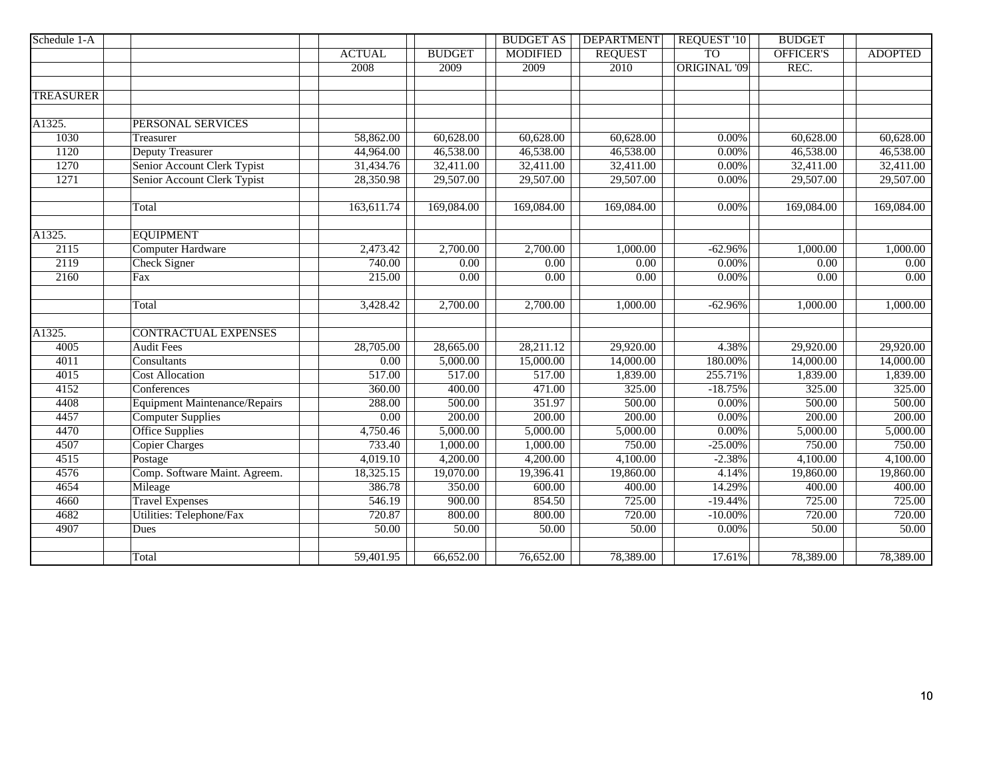| Schedule 1-A     |                                      |                   |               | <b>BUDGET AS</b>  | <b>DEPARTMENT</b> | <b>REQUEST '10</b>  | <b>BUDGET</b>    |                   |
|------------------|--------------------------------------|-------------------|---------------|-------------------|-------------------|---------------------|------------------|-------------------|
|                  |                                      | <b>ACTUAL</b>     | <b>BUDGET</b> | <b>MODIFIED</b>   | <b>REQUEST</b>    | <b>TO</b>           | <b>OFFICER'S</b> | <b>ADOPTED</b>    |
|                  |                                      | 2008              | 2009          | 2009              | 2010              | <b>ORIGINAL '09</b> | REC.             |                   |
|                  |                                      |                   |               |                   |                   |                     |                  |                   |
| <b>TREASURER</b> |                                      |                   |               |                   |                   |                     |                  |                   |
|                  |                                      |                   |               |                   |                   |                     |                  |                   |
| A1325.           | PERSONAL SERVICES                    |                   |               |                   |                   |                     |                  |                   |
| 1030             | Treasurer                            | 58,862.00         | 60,628.00     | 60,628.00         | 60,628.00         | $0.00\%$            | 60,628.00        | 60,628.00         |
| 1120             | <b>Deputy Treasurer</b>              | 44,964.00         | 46,538.00     | 46,538.00         | 46,538.00         | $0.00\%$            | 46,538.00        | 46,538.00         |
| 1270             | Senior Account Clerk Typist          | 31,434.76         | 32,411.00     | 32,411.00         | 32,411.00         | $0.00\%$            | 32,411.00        | 32,411.00         |
| 1271             | Senior Account Clerk Typist          | 28,350.98         | 29,507.00     | 29,507.00         | 29,507.00         | $0.00\%$            | 29,507.00        | 29,507.00         |
|                  |                                      |                   |               |                   |                   |                     |                  |                   |
|                  | Total                                | 163,611.74        | 169,084.00    | 169,084.00        | 169,084.00        | 0.00%               | 169,084.00       | 169,084.00        |
|                  |                                      |                   |               |                   |                   |                     |                  |                   |
| A1325.           | <b>EQUIPMENT</b>                     |                   |               |                   |                   |                     |                  |                   |
| 2115             | <b>Computer Hardware</b>             | 2,473.42          | 2,700.00      | 2,700.00          | 1,000.00          | $-62.96%$           | 1,000.00         | 1,000.00          |
| 2119             | <b>Check Signer</b>                  | 740.00            | 0.00          | $\overline{0.00}$ | 0.00              | $0.00\%$            | 0.00             | $\overline{0.00}$ |
| 2160             | Fax                                  | 215.00            | 0.00          | $\overline{0.00}$ | 0.00              | $0.00\%$            | 0.00             | 0.00              |
|                  |                                      |                   |               |                   |                   |                     |                  |                   |
|                  | Total                                | 3,428.42          | 2,700.00      | 2,700.00          | 1,000.00          | $-62.96%$           | 1,000.00         | 1,000.00          |
|                  |                                      |                   |               |                   |                   |                     |                  |                   |
| A1325.           | <b>CONTRACTUAL EXPENSES</b>          |                   |               |                   |                   |                     |                  |                   |
| 4005             | <b>Audit Fees</b>                    | 28,705.00         | 28,665.00     | 28,211.12         | 29,920.00         | 4.38%               | 29,920.00        | 29,920.00         |
| 4011             | Consultants                          | $\overline{0.00}$ | 5,000.00      | 15,000.00         | 14,000.00         | 180.00%             | 14,000.00        | 14,000.00         |
| 4015             | <b>Cost Allocation</b>               | 517.00            | 517.00        | 517.00            | 1,839.00          | 255.71%             | 1,839.00         | 1,839.00          |
| 4152             | Conferences                          | 360.00            | 400.00        | 471.00            | 325.00            | $-18.75%$           | 325.00           | 325.00            |
| 4408             | <b>Equipment Maintenance/Repairs</b> | 288.00            | 500.00        | 351.97            | 500.00            | $0.00\%$            | 500.00           | 500.00            |
| 4457             | <b>Computer Supplies</b>             | 0.00              | 200.00        | 200.00            | 200.00            | $0.00\%$            | 200.00           | 200.00            |
| 4470             | <b>Office Supplies</b>               | 4,750.46          | 5,000.00      | 5,000.00          | 5,000.00          | $0.00\%$            | 5,000.00         | 5,000.00          |
| 4507             | <b>Copier Charges</b>                | 733.40            | 1,000.00      | 1,000.00          | 750.00            | $-25.00\%$          | 750.00           | 750.00            |
| 4515             | Postage                              | 4,019.10          | 4,200.00      | 4,200.00          | 4,100.00          | $-2.38%$            | 4,100.00         | 4,100.00          |
| 4576             | Comp. Software Maint. Agreem.        | 18,325.15         | 19,070.00     | 19,396.41         | 19,860.00         | 4.14%               | 19,860.00        | 19,860.00         |
| 4654             | Mileage                              | 386.78            | 350.00        | 600.00            | 400.00            | 14.29%              | 400.00           | 400.00            |
| 4660             | <b>Travel Expenses</b>               | 546.19            | 900.00        | 854.50            | 725.00            | $-19.44%$           | 725.00           | 725.00            |
| 4682             | <b>Utilities: Telephone/Fax</b>      | 720.87            | 800.00        | 800.00            | 720.00            | $-10.00\%$          | 720.00           | 720.00            |
| 4907             | Dues                                 | 50.00             | 50.00         | 50.00             | 50.00             | $0.00\%$            | 50.00            | 50.00             |
|                  |                                      |                   |               |                   |                   |                     |                  |                   |
|                  | Total                                | 59,401.95         | 66,652.00     | 76,652.00         | 78,389.00         | 17.61%              | 78,389.00        | 78,389.00         |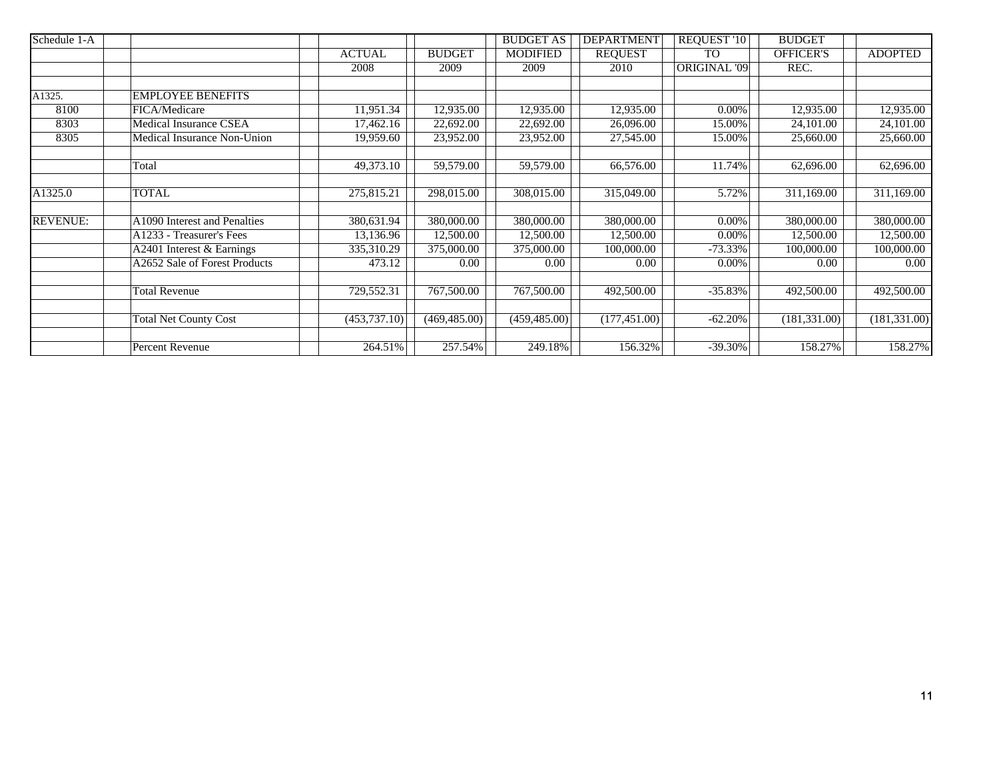| Schedule 1-A    |                               |               |               | <b>BUDGET AS</b> | <b>DEPARTMENT</b> | REQUEST '10          | <b>BUDGET</b>    |                         |
|-----------------|-------------------------------|---------------|---------------|------------------|-------------------|----------------------|------------------|-------------------------|
|                 |                               | <b>ACTUAL</b> | <b>BUDGET</b> | <b>MODIFIED</b>  | <b>REQUEST</b>    | <b>TO</b>            | <b>OFFICER'S</b> | <b>ADOPTED</b>          |
|                 |                               | 2008          | 2009          | 2009             | 2010              | <b>ORIGINAL '09 </b> | REC.             |                         |
|                 |                               |               |               |                  |                   |                      |                  |                         |
| A1325.          | <b>EMPLOYEE BENEFITS</b>      |               |               |                  |                   |                      |                  |                         |
| 8100            | FICA/Medicare                 | 11,951.34     | 12,935.00     | 12,935.00        | 12,935.00         | 0.00%                | 12,935.00        | 12,935.00               |
| 8303            | Medical Insurance CSEA        | 17,462.16     | 22,692.00     | 22,692.00        | 26,096.00         | 15.00%               | 24,101.00        | 24,101.00               |
| 8305            | Medical Insurance Non-Union   | 19,959.60     | 23,952.00     | 23,952.00        | 27,545.00         | 15.00%               | 25,660.00        | 25,660.00               |
|                 |                               |               |               |                  |                   |                      |                  |                         |
|                 | Total                         | 49,373.10     | 59,579.00     | 59,579.00        | 66,576.00         | 11.74%               | 62,696.00        | $\overline{62,69}6.00$  |
|                 |                               |               |               |                  |                   |                      |                  |                         |
| A1325.0         | <b>TOTAL</b>                  | 275,815.21    | 298,015.00    | 308,015.00       | 315,049.00        | 5.72%                | 311,169.00       | 311,169.00              |
|                 |                               |               |               |                  |                   |                      |                  |                         |
| <b>REVENUE:</b> | A1090 Interest and Penalties  | 380,631.94    | 380,000.00    | 380,000.00       | 380,000.00        | 0.00%                | 380,000.00       | $\overline{380,000.00}$ |
|                 | A1233 - Treasurer's Fees      | 13,136.96     | 12,500.00     | 12,500.00        | 12,500.00         | 0.00%                | 12,500.00        | 12,500.00               |
|                 | A2401 Interest & Earnings     | 335,310.29    | 375,000.00    | 375,000.00       | 100,000.00        | $-73.33\%$           | 100,000.00       | 100,000.00              |
|                 | A2652 Sale of Forest Products | 473.12        | 0.00          | 0.00             | 0.00              | 0.00%                | 0.00             | $0.00\,$                |
|                 |                               |               |               |                  |                   |                      |                  |                         |
|                 | Total Revenue                 | 729,552.31    | 767,500.00    | 767,500.00       | 492,500.00        | $-35.83%$            | 492,500.00       | 492,500.00              |
|                 |                               |               |               |                  |                   |                      |                  |                         |
|                 | <b>Total Net County Cost</b>  | (453, 737.10) | (469, 485.00) | (459, 485.00)    | (177, 451.00)     | $-62.20%$            | (181, 331.00)    | (181, 331.00)           |
|                 |                               |               |               |                  |                   |                      |                  |                         |
|                 | Percent Revenue               | 264.51%       | 257.54%       | 249.18%          | 156.32%           | $-39.30\%$           | 158.27%          | 158.27%                 |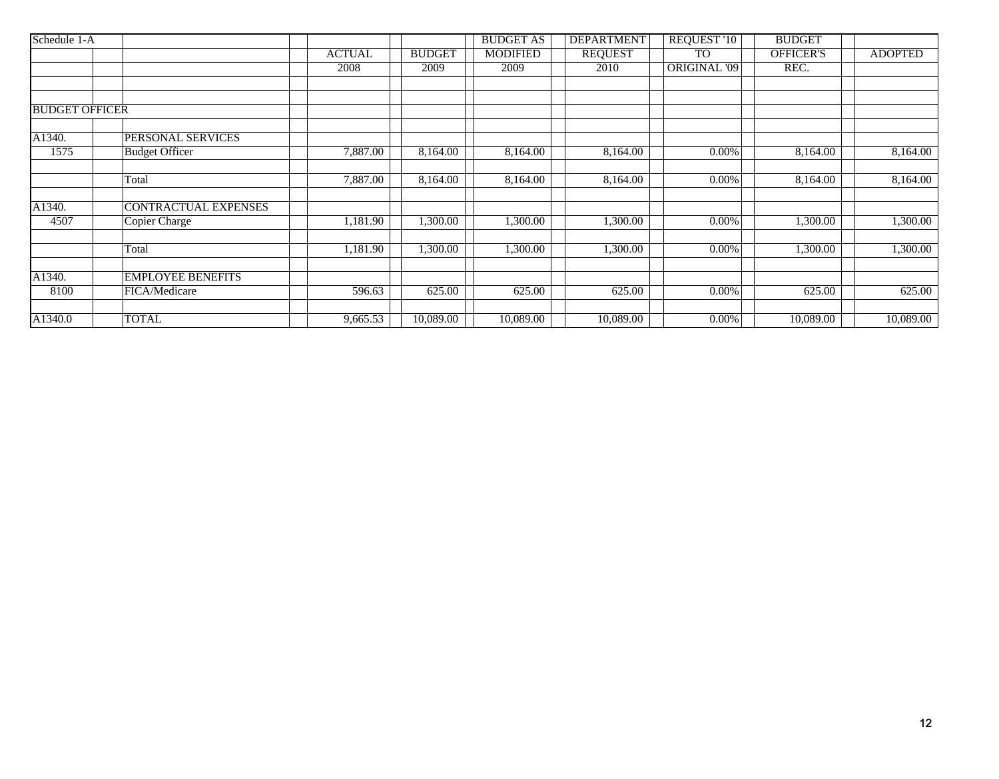| Schedule 1-A          |                          |               |               | <b>BUDGET AS</b> | <b>DEPARTMENT</b> | <b>REQUEST '10</b>  | <b>BUDGET</b>    |                |
|-----------------------|--------------------------|---------------|---------------|------------------|-------------------|---------------------|------------------|----------------|
|                       |                          | <b>ACTUAL</b> | <b>BUDGET</b> | <b>MODIFIED</b>  | <b>REQUEST</b>    | <b>TO</b>           | <b>OFFICER'S</b> | <b>ADOPTED</b> |
|                       |                          | 2008          | 2009          | 2009             | 2010              | <b>ORIGINAL '09</b> | REC.             |                |
|                       |                          |               |               |                  |                   |                     |                  |                |
|                       |                          |               |               |                  |                   |                     |                  |                |
| <b>BUDGET OFFICER</b> |                          |               |               |                  |                   |                     |                  |                |
| A1340.                | PERSONAL SERVICES        |               |               |                  |                   |                     |                  |                |
| 1575                  | <b>Budget Officer</b>    | 7,887.00      | 8,164.00      | 8,164.00         | 8,164.00          | $0.00\%$            | 8,164.00         | 8,164.00       |
|                       | Total                    | 7,887.00      | 8,164.00      | 8,164.00         | 8,164.00          | $0.00\%$            | 8,164.00         | 8,164.00       |
|                       |                          |               |               |                  |                   |                     |                  |                |
| A1340.                | CONTRACTUAL EXPENSES     |               |               |                  |                   |                     |                  |                |
| 4507                  | Copier Charge            | 1,181.90      | 1,300.00      | 1,300.00         | 1,300.00          | $0.00\%$            | 1,300.00         | 1,300.00       |
|                       | Total                    | 1,181.90      | 1,300.00      | 1,300.00         | 1,300.00          | $0.00\%$            | 1,300.00         | 1,300.00       |
|                       |                          |               |               |                  |                   |                     |                  |                |
| A1340.                | <b>EMPLOYEE BENEFITS</b> |               |               |                  |                   |                     |                  |                |
| 8100                  | FICA/Medicare            | 596.63        | 625.00        | 625.00           | 625.00            | 0.00%               | 625.00           | 625.00         |
|                       |                          |               |               |                  |                   |                     |                  |                |
| A1340.0               | <b>TOTAL</b>             | 9,665.53      | 10,089.00     | 10,089.00        | 10,089.00         | $0.00\%$            | 10,089.00        | 10,089.00      |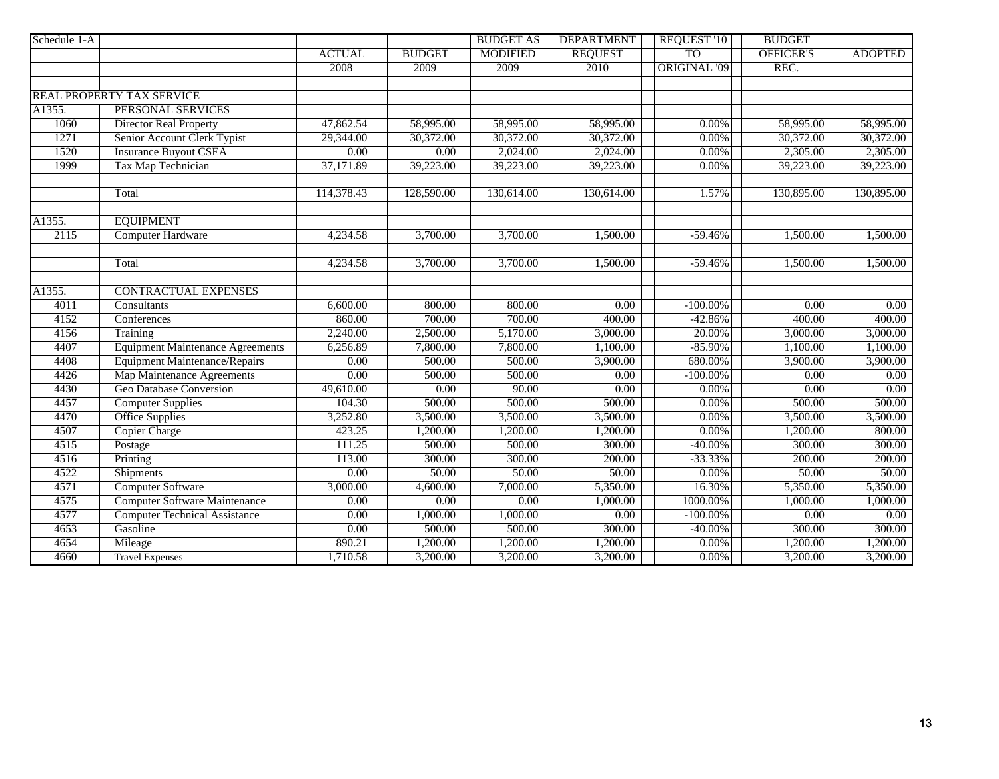| Schedule 1-A |                                         |                   |                       | <b>BUDGET AS</b>      | <b>DEPARTMENT</b> | <b>REQUEST '10</b>  | <b>BUDGET</b>    |                   |
|--------------|-----------------------------------------|-------------------|-----------------------|-----------------------|-------------------|---------------------|------------------|-------------------|
|              |                                         | <b>ACTUAL</b>     | <b>BUDGET</b>         | <b>MODIFIED</b>       | <b>REQUEST</b>    | <b>TO</b>           | <b>OFFICER'S</b> | <b>ADOPTED</b>    |
|              |                                         | 2008              | 2009                  | 2009                  | 2010              | <b>ORIGINAL '09</b> | REC.             |                   |
|              |                                         |                   |                       |                       |                   |                     |                  |                   |
|              | <b>REAL PROPERTY TAX SERVICE</b>        |                   |                       |                       |                   |                     |                  |                   |
| A1355.       | PERSONAL SERVICES                       |                   |                       |                       |                   |                     |                  |                   |
| 1060         | <b>Director Real Property</b>           | 47,862.54         | 58,995.00             | 58,995.00             | 58,995.00         | $0.00\%$            | 58,995.00        | 58,995.00         |
| 1271         | Senior Account Clerk Typist             | 29,344.00         | 30,372.00             | 30,372.00             | 30,372.00         | 0.00%               | 30,372.00        | 30,372.00         |
| 1520         | <b>Insurance Buyout CSEA</b>            | 0.00              | 0.00                  | 2,024.00              | 2,024.00          | $0.00\%$            | 2,305.00         | 2,305.00          |
| 1999         | Tax Map Technician                      | 37,171.89         | 39,223.00             | 39,223.00             | 39,223.00         | $0.00\%$            | 39,223.00        | 39,223.00         |
|              | Total                                   | 114,378.43        | 128,590.00            | 130,614.00            | 130,614.00        | 1.57%               | 130,895.00       | 130,895.00        |
| A1355.       | <b>EQUIPMENT</b>                        |                   |                       |                       |                   |                     |                  |                   |
| 2115         | <b>Computer Hardware</b>                | 4,234.58          | $\overline{3,700.00}$ | 3,700.00              | 1,500.00          | $-59.46%$           | 1,500.00         | 1,500.00          |
|              | Total                                   | 4,234.58          | 3,700.00              | $\overline{3,700.00}$ | 1,500.00          | $-59.46%$           | 1,500.00         | 1,500.00          |
| A1355.       | <b>CONTRACTUAL EXPENSES</b>             |                   |                       |                       |                   |                     |                  |                   |
| 4011         | Consultants                             | 6,600.00          | 800.00                | 800.00                | 0.00              | $-100.00\%$         | 0.00             | $\overline{0.00}$ |
| 4152         | Conferences                             | 860.00            | 700.00                | 700.00                | 400.00            | $-42.86%$           | 400.00           | 400.00            |
| 4156         | Training                                | 2,240.00          | 2,500.00              | 5,170.00              | 3,000.00          | 20.00%              | 3,000.00         | 3,000.00          |
| 4407         | <b>Equipment Maintenance Agreements</b> | 6,256.89          | 7,800.00              | 7,800.00              | 1,100.00          | $-85.90%$           | 1,100.00         | 1,100.00          |
| 4408         | <b>Equipment Maintenance/Repairs</b>    | 0.00              | 500.00                | 500.00                | 3,900.00          | 680.00%             | 3,900.00         | 3,900.00          |
| 4426         | <b>Map Maintenance Agreements</b>       | 0.00              | 500.00                | 500.00                | 0.00              | $-100.00\%$         | 0.00             | 0.00              |
| 4430         | <b>Geo Database Conversion</b>          | 49,610.00         | 0.00                  | 90.00                 | 0.00              | $0.00\%$            | 0.00             | 0.00              |
| 4457         | <b>Computer Supplies</b>                | 104.30            | 500.00                | 500.00                | 500.00            | $0.00\%$            | 500.00           | 500.00            |
| 4470         | <b>Office Supplies</b>                  | 3,252.80          | 3,500.00              | 3,500.00              | 3,500.00          | $0.00\%$            | 3,500.00         | 3,500.00          |
| 4507         | <b>Copier Charge</b>                    | 423.25            | 1,200.00              | 1,200.00              | 1,200.00          | $0.00\%$            | 1,200.00         | 800.00            |
| 4515         | Postage                                 | 111.25            | 500.00                | 500.00                | 300.00            | $-40.00\%$          | 300.00           | 300.00            |
| 4516         | Printing                                | 113.00            | 300.00                | 300.00                | 200.00            | $-33.33%$           | 200.00           | 200.00            |
| 4522         | <b>Shipments</b>                        | 0.00              | 50.00                 | 50.00                 | 50.00             | $0.00\%$            | 50.00            | 50.00             |
| 4571         | <b>Computer Software</b>                | 3,000.00          | 4,600.00              | 7,000.00              | 5,350.00          | 16.30%              | 5,350.00         | 5,350.00          |
| 4575         | <b>Computer Software Maintenance</b>    | $\overline{0.00}$ | 0.00                  | 0.00                  | 1,000.00          | 1000.00%            | 1,000.00         | 1,000.00          |
| 4577         | <b>Computer Technical Assistance</b>    | 0.00              | 1,000.00              | 1,000.00              | 0.00              | $-100.00\%$         | 0.00             | 0.00              |
| 4653         | Gasoline                                | 0.00              | 500.00                | 500.00                | 300.00            | $-40.00\%$          | 300.00           | 300.00            |
| 4654         | Mileage                                 | 890.21            | 1,200.00              | 1,200.00              | 1,200.00          | $0.00\%$            | 1,200.00         | 1,200.00          |
| 4660         | <b>Travel Expenses</b>                  | 1,710.58          | 3,200.00              | 3,200.00              | 3,200.00          | $0.00\%$            | 3,200.00         | 3,200.00          |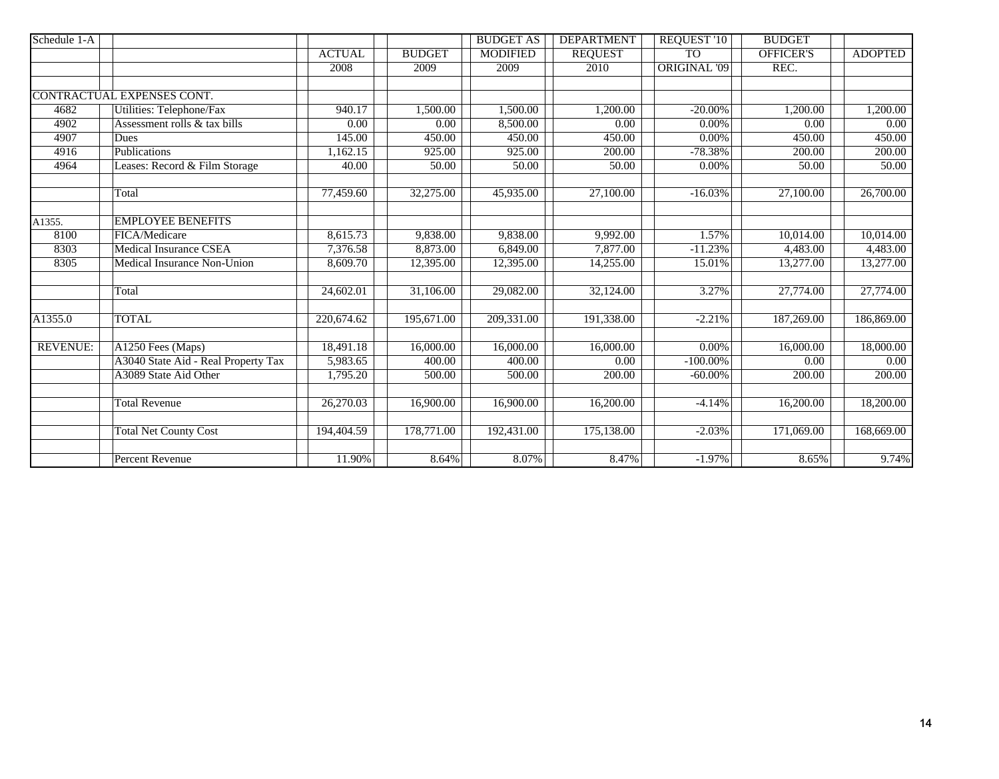| Schedule 1-A    |                                     |                   |                   | <b>BUDGET AS</b> | <b>DEPARTMENT</b> | <b>REQUEST '10</b>  | <b>BUDGET</b>     |                |
|-----------------|-------------------------------------|-------------------|-------------------|------------------|-------------------|---------------------|-------------------|----------------|
|                 |                                     | <b>ACTUAL</b>     | <b>BUDGET</b>     | <b>MODIFIED</b>  | <b>REQUEST</b>    | <b>TO</b>           | <b>OFFICER'S</b>  | <b>ADOPTED</b> |
|                 |                                     | 2008              | 2009              | 2009             | 2010              | <b>ORIGINAL '09</b> | REC.              |                |
|                 |                                     |                   |                   |                  |                   |                     |                   |                |
|                 | CONTRACTUAL EXPENSES CONT.          |                   |                   |                  |                   |                     |                   |                |
| 4682            | Utilities: Telephone/Fax            | 940.17            | 1,500.00          | 1,500.00         | 1,200.00          | $-20.00\%$          | 1,200.00          | 1,200.00       |
| 4902            | Assessment rolls & tax bills        | $\overline{0.00}$ | $\overline{0.00}$ | 8,500.00         | $\overline{0.00}$ | 0.00%               | $\overline{0.00}$ | 0.00           |
| 4907            | Dues                                | 145.00            | 450.00            | 450.00           | 450.00            | 0.00%               | 450.00            | 450.00         |
| 4916            | Publications                        | 1,162.15          | 925.00            | 925.00           | 200.00            | $-78.38%$           | 200.00            | 200.00         |
| 4964            | Leases: Record & Film Storage       | 40.00             | 50.00             | 50.00            | 50.00             | 0.00%               | 50.00             | 50.00          |
|                 | Total                               | 77,459.60         | 32,275.00         | 45,935.00        | 27,100.00         | $-16.03%$           | 27,100.00         | 26,700.00      |
| A1355.          | <b>EMPLOYEE BENEFITS</b>            |                   |                   |                  |                   |                     |                   |                |
| 8100            | FICA/Medicare                       | 8,615.73          | 9,838.00          | 9,838.00         | 9,992.00          | 1.57%               | 10,014.00         | 10,014.00      |
| 8303            | <b>Medical Insurance CSEA</b>       | 7,376.58          | 8,873.00          | 6,849.00         | 7,877.00          | $-11.23%$           | 4,483.00          | 4,483.00       |
| 8305            | Medical Insurance Non-Union         | 8,609.70          | 12,395.00         | 12,395.00        | 14,255.00         | 15.01%              | 13,277.00         | 13,277.00      |
|                 | Total                               | 24,602.01         | 31,106.00         | 29,082.00        | 32,124.00         | 3.27%               | 27,774.00         | 27,774.00      |
| A1355.0         | <b>TOTAL</b>                        | 220,674.62        | 195,671.00        | 209,331.00       | 191,338.00        | $-2.21%$            | 187,269.00        | 186,869.00     |
| <b>REVENUE:</b> | A1250 Fees (Maps)                   | 18,491.18         | 16,000.00         | 16,000.00        | 16,000.00         | 0.00%               | 16,000.00         | 18,000.00      |
|                 | A3040 State Aid - Real Property Tax | 5,983.65          | 400.00            | 400.00           | 0.00              | $-100.00\%$         | 0.00              | 0.00           |
|                 | A3089 State Aid Other               | 1,795.20          | 500.00            | 500.00           | 200.00            | $-60.00\%$          | 200.00            | 200.00         |
|                 | <b>Total Revenue</b>                | 26,270.03         | 16,900.00         | 16,900.00        | 16,200.00         | $-4.14%$            | 16,200.00         | 18,200.00      |
|                 | <b>Total Net County Cost</b>        | 194,404.59        | 178,771.00        | 192,431.00       | 175,138.00        | $-2.03%$            | 171,069.00        | 168,669.00     |
|                 | <b>Percent Revenue</b>              | 11.90%            | 8.64%             | 8.07%            | 8.47%             | $-1.97%$            | 8.65%             | 9.74%          |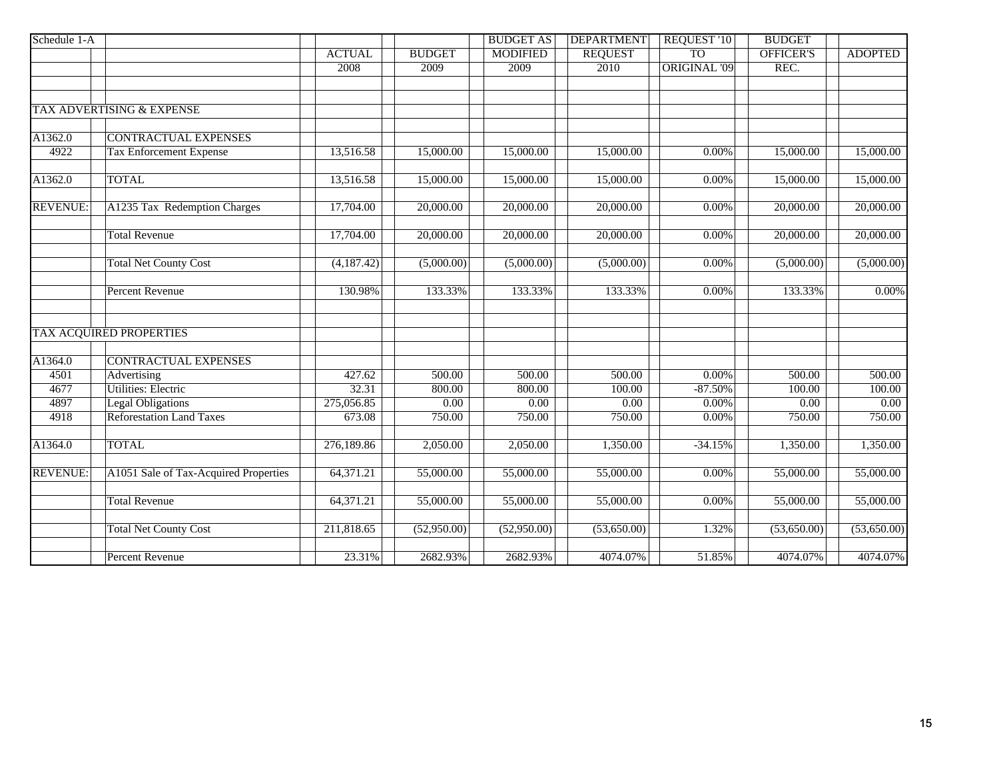| Schedule 1-A    |                                       |               |               | <b>BUDGET AS</b> | <b>DEPARTMENT</b> | <b>REQUEST '10</b>  | <b>BUDGET</b>    |                |
|-----------------|---------------------------------------|---------------|---------------|------------------|-------------------|---------------------|------------------|----------------|
|                 |                                       | <b>ACTUAL</b> | <b>BUDGET</b> | <b>MODIFIED</b>  | <b>REQUEST</b>    | <b>TO</b>           | <b>OFFICER'S</b> | <b>ADOPTED</b> |
|                 |                                       | 2008          | 2009          | 2009             | 2010              | <b>ORIGINAL '09</b> | REC.             |                |
|                 |                                       |               |               |                  |                   |                     |                  |                |
|                 |                                       |               |               |                  |                   |                     |                  |                |
|                 | TAX ADVERTISING & EXPENSE             |               |               |                  |                   |                     |                  |                |
| A1362.0         | <b>CONTRACTUAL EXPENSES</b>           |               |               |                  |                   |                     |                  |                |
| 4922            |                                       |               |               |                  |                   |                     |                  |                |
|                 | <b>Tax Enforcement Expense</b>        | 13,516.58     | 15,000.00     | 15,000.00        | 15,000.00         | 0.00%               | 15,000.00        | 15,000.00      |
| A1362.0         | <b>TOTAL</b>                          | 13,516.58     | 15,000.00     | 15,000.00        | 15,000.00         | 0.00%               | 15,000.00        | 15,000.00      |
| <b>REVENUE:</b> | A1235 Tax Redemption Charges          | 17,704.00     | 20,000.00     | 20,000.00        | 20,000.00         | 0.00%               | 20,000.00        | 20,000.00      |
|                 |                                       |               |               |                  |                   |                     |                  |                |
|                 | <b>Total Revenue</b>                  | 17,704.00     | 20,000.00     | 20,000.00        | 20,000.00         | 0.00%               | 20,000.00        | 20,000.00      |
|                 | <b>Total Net County Cost</b>          | (4,187.42)    | (5,000.00)    | (5,000.00)       | (5,000.00)        | 0.00%               | (5,000.00)       | (5,000.00)     |
|                 |                                       |               |               |                  |                   |                     |                  |                |
|                 | <b>Percent Revenue</b>                | 130.98%       | 133.33%       | 133.33%          | 133.33%           | 0.00%               | 133.33%          | $0.00\%$       |
|                 |                                       |               |               |                  |                   |                     |                  |                |
|                 | <b>TAX ACQUIRED PROPERTIES</b>        |               |               |                  |                   |                     |                  |                |
| A1364.0         | <b>CONTRACTUAL EXPENSES</b>           |               |               |                  |                   |                     |                  |                |
| 4501            | <b>Advertising</b>                    | 427.62        | 500.00        | 500.00           | 500.00            | 0.00%               | 500.00           | 500.00         |
| 4677            | <b>Utilities: Electric</b>            | 32.31         | 800.00        | 800.00           | 100.00            | $-87.50%$           | 100.00           | 100.00         |
| 4897            | <b>Legal Obligations</b>              | 275,056.85    | 0.00          | 0.00             | 0.00              | 0.00%               | 0.00             | 0.00           |
| 4918            | <b>Reforestation Land Taxes</b>       | 673.08        | 750.00        | 750.00           | 750.00            | 0.00%               | 750.00           | 750.00         |
| A1364.0         | <b>TOTAL</b>                          | 276,189.86    | 2,050.00      | 2,050.00         | 1,350.00          | $-34.15%$           | 1,350.00         | 1,350.00       |
| <b>REVENUE:</b> | A1051 Sale of Tax-Acquired Properties | 64,371.21     | 55,000.00     | 55,000.00        | 55,000.00         | 0.00%               | 55,000.00        | 55,000.00      |
|                 |                                       |               |               |                  |                   |                     |                  |                |
|                 | <b>Total Revenue</b>                  | 64,371.21     | 55,000.00     | 55,000.00        | 55,000.00         | 0.00%               | 55,000.00        | 55,000.00      |
|                 | <b>Total Net County Cost</b>          | 211,818.65    | (52,950.00)   | (52,950.00)      | (53,650.00)       | 1.32%               | (53,650.00)      | (53,650.00)    |
|                 | <b>Percent Revenue</b>                |               |               |                  | 4074.07%          |                     | 4074.07%         | 4074.07%       |
|                 |                                       | 23.31%        | 2682.93%      | 2682.93%         |                   | 51.85%              |                  |                |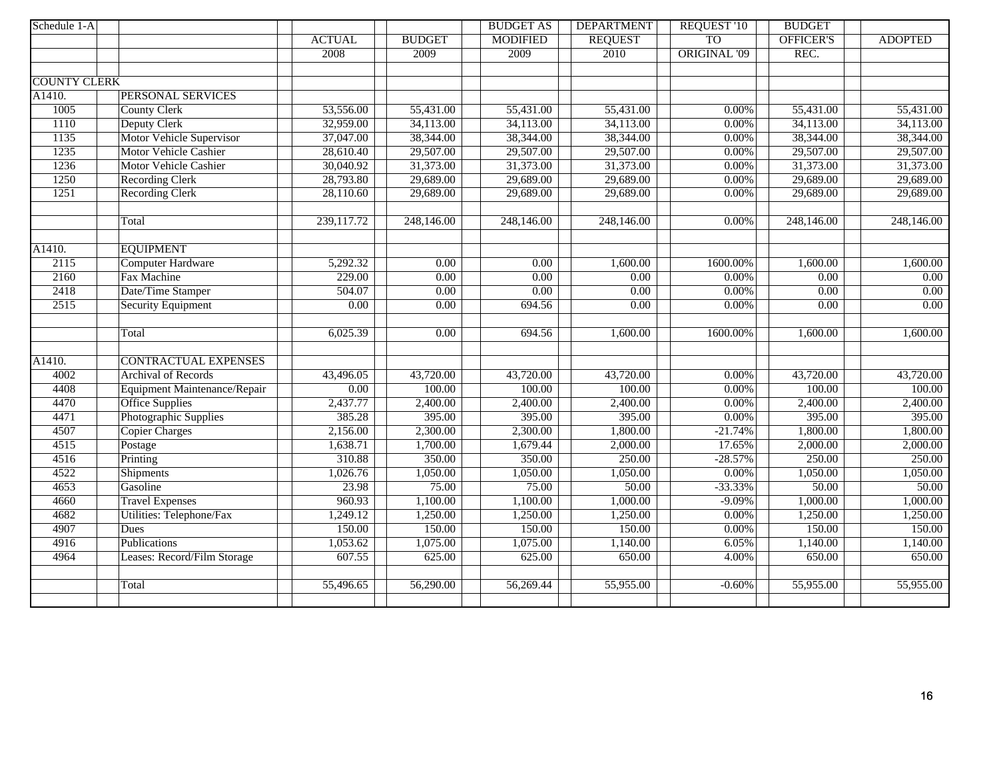| Schedule 1-A        |                              |               |               | <b>BUDGET AS</b> | <b>DEPARTMENT</b> | <b>REQUEST '10</b>  | <b>BUDGET</b> |                |
|---------------------|------------------------------|---------------|---------------|------------------|-------------------|---------------------|---------------|----------------|
|                     |                              | <b>ACTUAL</b> | <b>BUDGET</b> | <b>MODIFIED</b>  | <b>REQUEST</b>    | <b>TO</b>           | OFFICER'S     | <b>ADOPTED</b> |
|                     |                              | 2008          | 2009          | 2009             | 2010              | <b>ORIGINAL '09</b> | REC.          |                |
|                     |                              |               |               |                  |                   |                     |               |                |
| <b>COUNTY CLERK</b> |                              |               |               |                  |                   |                     |               |                |
| A1410.              | PERSONAL SERVICES            |               |               |                  |                   |                     |               |                |
| 1005                | <b>County Clerk</b>          | 53,556.00     | 55,431.00     | 55,431.00        | 55,431.00         | $0.00\%$            | 55,431.00     | 55,431.00      |
| 1110                | Deputy Clerk                 | 32,959.00     | 34,113.00     | 34,113.00        | 34,113.00         | 0.00%               | 34,113.00     | 34,113.00      |
| 1135                | Motor Vehicle Supervisor     | 37,047.00     | 38,344.00     | 38,344.00        | 38,344.00         | 0.00%               | 38,344.00     | 38,344.00      |
| 1235                | <b>Motor Vehicle Cashier</b> | 28,610.40     | 29,507.00     | 29,507.00        | 29,507.00         | $0.00\%$            | 29,507.00     | 29,507.00      |
| 1236                | <b>Motor Vehicle Cashier</b> | 30,040.92     | 31,373.00     | 31,373.00        | 31,373.00         | 0.00%               | 31,373.00     | 31,373.00      |
| 1250                | <b>Recording Clerk</b>       | 28,793.80     | 29,689.00     | 29,689.00        | 29,689.00         | 0.00%               | 29,689.00     | 29,689.00      |
| 1251                | <b>Recording Clerk</b>       | 28,110.60     | 29,689.00     | 29,689.00        | 29,689.00         | 0.00%               | 29,689.00     | 29,689.00      |
|                     |                              |               |               |                  |                   |                     |               |                |
|                     | Total                        | 239,117.72    | 248,146.00    | 248,146.00       | 248,146.00        | 0.00%               | 248,146.00    | 248,146.00     |
|                     |                              |               |               |                  |                   |                     |               |                |
| A1410.              | <b>EQUIPMENT</b>             |               |               |                  |                   |                     |               |                |
| 2115                | Computer Hardware            | 5,292.32      | 0.00          | 0.00             | 1,600.00          | 1600.00%            | 1,600.00      | 1,600.00       |
| 2160                | Fax Machine                  | 229.00        | 0.00          | 0.00             | 0.00              | 0.00%               | 0.00          | 0.00           |
| 2418                | Date/Time Stamper            | 504.07        | 0.00          | 0.00             | 0.00              | 0.00%               | 0.00          | 0.00           |
| 2515                | <b>Security Equipment</b>    | 0.00          | 0.00          | 694.56           | 0.00              | 0.00%               | 0.00          | 0.00           |
|                     |                              |               |               |                  |                   |                     |               |                |
|                     | Total                        | 6,025.39      | 0.00          | 694.56           | 1,600.00          | 1600.00%            | 1,600.00      | 1,600.00       |
|                     |                              |               |               |                  |                   |                     |               |                |
| A1410.              | <b>CONTRACTUAL EXPENSES</b>  |               |               |                  |                   |                     |               |                |
| 4002                | <b>Archival of Records</b>   | 43,496.05     | 43,720.00     | 43,720.00        | 43,720.00         | $0.00\%$            | 43,720.00     | 43,720.00      |
| 4408                | Equipment Maintenance/Repair | 0.00          | 100.00        | 100.00           | 100.00            | $0.00\%$            | 100.00        | 100.00         |
| 4470                | <b>Office Supplies</b>       | 2,437.77      | 2,400.00      | 2,400.00         | 2,400.00          | 0.00%               | 2,400.00      | 2,400.00       |
| 4471                | Photographic Supplies        | 385.28        | 395.00        | 395.00           | 395.00            | $0.00\%$            | 395.00        | 395.00         |
| 4507                | <b>Copier Charges</b>        | 2,156.00      | 2,300.00      | 2,300.00         | 1,800.00          | $-21.74%$           | 1,800.00      | 1,800.00       |
| 4515                | Postage                      | 1,638.71      | 1,700.00      | 1,679.44         | 2,000.00          | 17.65%              | 2,000.00      | 2,000.00       |
| 4516                | Printing                     | 310.88        | 350.00        | 350.00           | 250.00            | $-28.57%$           | 250.00        | 250.00         |
| 4522                | <b>Shipments</b>             | 1,026.76      | 1,050.00      | 1,050.00         | 1,050.00          | 0.00%               | 1,050.00      | 1,050.00       |
| 4653                | Gasoline                     | 23.98         | 75.00         | 75.00            | 50.00             | $-33.33%$           | 50.00         | 50.00          |
| 4660                | <b>Travel Expenses</b>       | 960.93        | 1,100.00      | 1,100.00         | 1,000.00          | $-9.09%$            | 1,000.00      | 1,000.00       |
| 4682                | Utilities: Telephone/Fax     | 1,249.12      | 1,250.00      | 1,250.00         | 1,250.00          | 0.00%               | 1,250.00      | 1,250.00       |
| 4907                | <b>Dues</b>                  | 150.00        | 150.00        | 150.00           | 150.00            | 0.00%               | 150.00        | 150.00         |
| 4916                | Publications                 | 1,053.62      | 1,075.00      | 1,075.00         | 1,140.00          | 6.05%               | 1,140.00      | 1,140.00       |
| 4964                | Leases: Record/Film Storage  | 607.55        | 625.00        | 625.00           | 650.00            | 4.00%               | 650.00        | 650.00         |
|                     |                              |               |               |                  |                   |                     |               |                |
|                     | Total                        | 55,496.65     | 56,290.00     | 56,269.44        | 55,955.00         | $-0.60%$            | 55,955.00     | 55,955.00      |
|                     |                              |               |               |                  |                   |                     |               |                |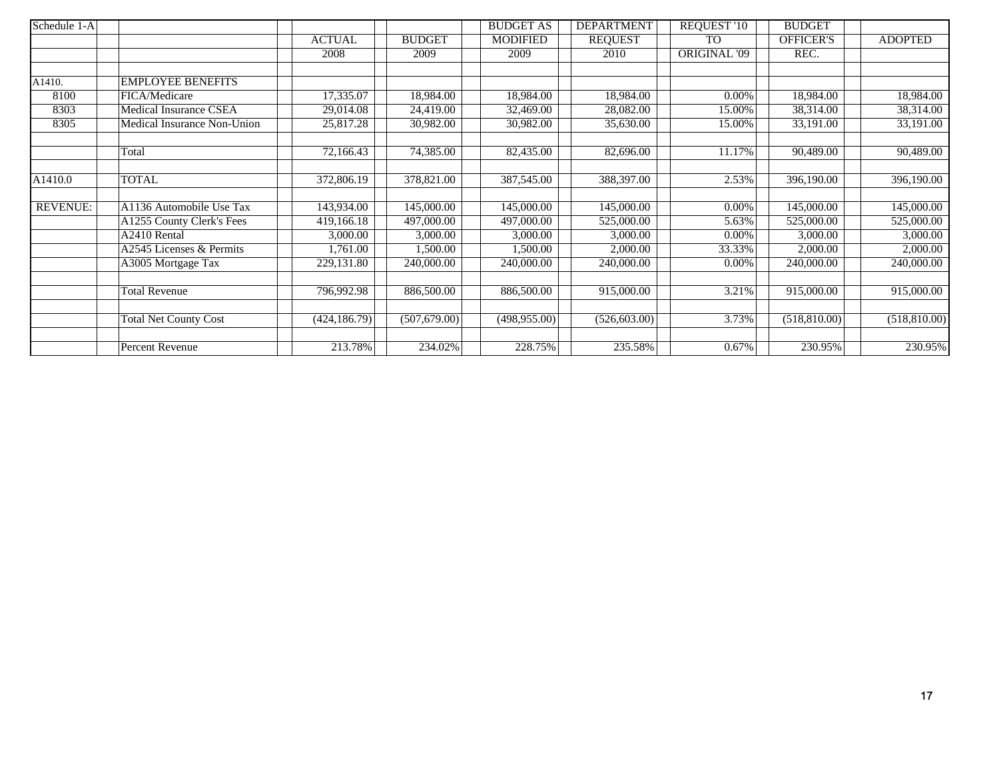| Schedule 1-A    |                               |               |               | <b>BUDGET AS</b> | <b>DEPARTMENT</b> | <b>REQUEST '10</b>  | <b>BUDGET</b>           |                       |
|-----------------|-------------------------------|---------------|---------------|------------------|-------------------|---------------------|-------------------------|-----------------------|
|                 |                               | <b>ACTUAL</b> | <b>BUDGET</b> | <b>MODIFIED</b>  | <b>REQUEST</b>    | <b>TO</b>           | <b>OFFICER'S</b>        | <b>ADOPTED</b>        |
|                 |                               | 2008          | 2009          | 2009             | 2010              | <b>ORIGINAL '09</b> | REC.                    |                       |
|                 |                               |               |               |                  |                   |                     |                         |                       |
| A1410.          | <b>EMPLOYEE BENEFITS</b>      |               |               |                  |                   |                     |                         |                       |
| 8100            | FICA/Medicare                 | 17,335.07     | 18,984.00     | 18,984.00        | 18,984.00         | $0.00\%$            | 18,984.00               | 18,984.00             |
| 8303            | <b>Medical Insurance CSEA</b> | 29,014.08     | 24,419.00     | 32,469.00        | 28,082.00         | 15.00%              | 38,314.00               | 38,314.00             |
| 8305            | Medical Insurance Non-Union   | 25,817.28     | 30,982.00     | 30,982.00        | 35,630.00         | 15.00%              | 33,191.00               | 33,191.00             |
|                 | Total                         | 72,166.43     | 74,385.00     | 82,435.00        | 82,696.00         | 11.17%              | 90,489.00               | 90,489.00             |
| A1410.0         | <b>TOTAL</b>                  | 372,806.19    | 378,821.00    | 387,545.00       | 388,397.00        | 2.53%               | $\overline{396,190.00}$ | 396,190.00            |
| <b>REVENUE:</b> | A1136 Automobile Use Tax      | 143,934.00    | 145,000.00    | 145,000.00       | 145,000.00        | $0.00\%$            | 145,000.00              | 145,000.00            |
|                 | A1255 County Clerk's Fees     | 419,166.18    | 497,000.00    | 497,000.00       | 525,000.00        | 5.63%               | 525,000.00              | 525,000.00            |
|                 | A2410 Rental                  | 3,000.00      | 3,000.00      | 3,000.00         | 3,000.00          | $0.00\%$            | 3,000.00                | $\overline{3,000.00}$ |
|                 | A2545 Licenses & Permits      | 1,761.00      | 1,500.00      | 1,500.00         | 2,000.00          | 33.33%              | 2,000.00                | 2,000.00              |
|                 | A3005 Mortgage Tax            | 229,131.80    | 240,000.00    | 240,000.00       | 240,000.00        | 0.00%               | 240,000.00              | 240,000.00            |
|                 | <b>Total Revenue</b>          | 796,992.98    | 886,500.00    | 886,500.00       | 915,000.00        | 3.21%               | 915,000.00              | 915,000.00            |
|                 | <b>Total Net County Cost</b>  | (424, 186.79) | (507,679.00)  | (498, 955.00)    | (526, 603.00)     | 3.73%               | (518, 810.00)           | (518,810.00)          |
|                 | Percent Revenue               | 213.78%       | 234.02%       | 228.75%          | 235.58%           | 0.67%               | 230.95%                 | 230.95%               |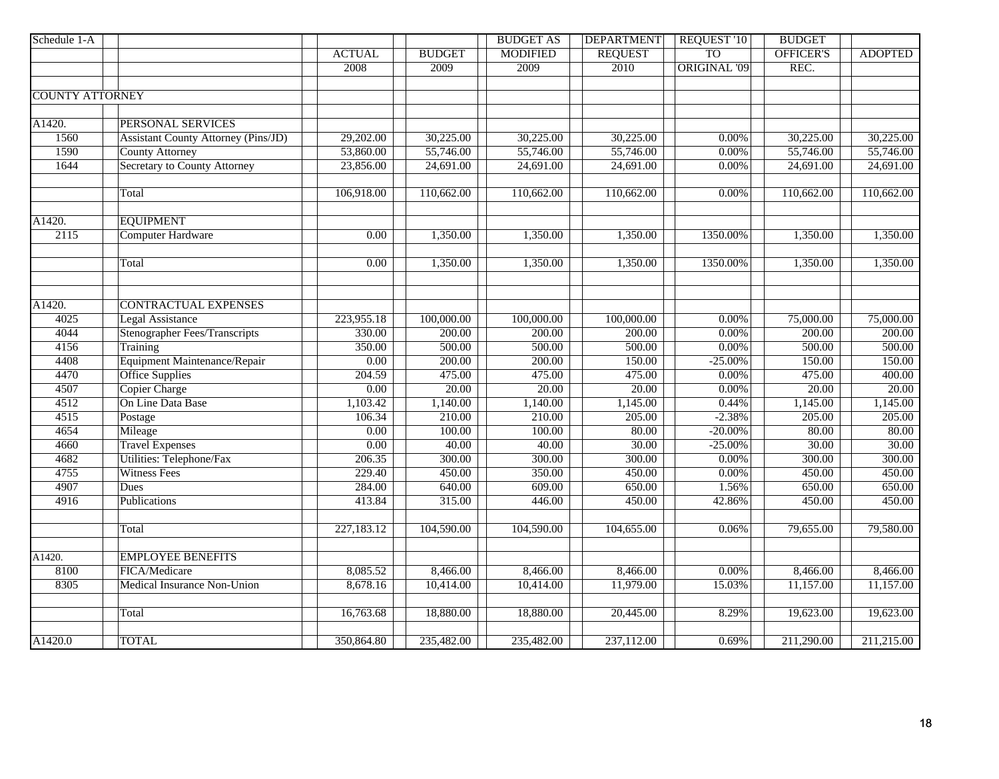| <b>TO</b><br><b>OFFICER'S</b><br><b>ACTUAL</b><br><b>BUDGET</b><br><b>MODIFIED</b><br><b>REQUEST</b><br><b>ADOPTED</b><br><b>ORIGINAL '09</b><br>REC.<br>2008<br>2009<br>2009<br>2010<br><b>COUNTY ATTORNEY</b><br>PERSONAL SERVICES<br><b>Assistant County Attorney (Pins/JD)</b><br>1560<br>29,202.00<br>30,225.00<br>30,225.00<br>30,225.00<br>$0.00\%$<br>30,225.00<br>30,225.00<br>53,860.00<br>55,746.00<br>55,746.00<br>1590<br><b>County Attorney</b><br>55,746.00<br>55,746.00<br>55,746.00<br>$0.00\%$<br><b>Secretary to County Attorney</b><br>1644<br>23,856.00<br>24,691.00<br>24,691.00<br>24,691.00<br>24,691.00<br>$0.00\%$<br>24,691.00<br>110,662.00<br>110,662.00<br>110,662.00<br>110,662.00<br>106,918.00<br>$0.00\%$<br>110,662.00<br>Total<br><b>EQUIPMENT</b><br>2115<br>1,350.00<br><b>Computer Hardware</b><br>0.00<br>1,350.00<br>1,350.00<br>1,350.00<br>1350.00%<br>1,350.00<br>1,350.00<br>1,350.00<br>1,350.00<br>1350.00%<br>1,350.00<br>1,350.00<br>0.00<br>Total<br><b>CONTRACTUAL EXPENSES</b><br>4025<br><b>Legal Assistance</b><br>223,955.18<br>100,000.00<br>100,000.00<br>100,000.00<br>0.00%<br>75,000.00<br>75,000.00<br>4044<br><b>Stenographer Fees/Transcripts</b><br>330.00<br>200.00<br>200.00<br>0.00%<br>200.00<br>200.00<br>200.00<br>4156<br>Training<br>350.00<br>500.00<br>500.00<br>500.00<br>0.00%<br>500.00<br>500.00<br>Equipment Maintenance/Repair<br>4408<br>150.00<br>$\overline{0.00}$<br>200.00<br>200.00<br>150.00<br>$-25.00\%$<br>150.00<br>4470<br><b>Office Supplies</b><br>475.00<br>204.59<br>475.00<br>475.00<br>0.00%<br>475.00<br>400.00<br>4507<br><b>Copier Charge</b><br>20.00<br>20.00<br>0.00<br>20.00<br>$0.00\%$<br>20.00<br>20.00<br>On Line Data Base<br>4512<br>1,140.00<br>1,145.00<br>0.44%<br>1,145.00<br>1,145.00<br>1,103.42<br>1,140.00<br>4515<br>$-2.38%$<br>106.34<br>210.00<br>210.00<br>205.00<br>205.00<br>205.00<br>Postage<br>4654<br>Mileage<br>$\overline{0.00}$<br>100.00<br>100.00<br>80.00<br>$-20.00\%$<br>80.00<br>80.00<br><b>Travel Expenses</b><br>40.00<br>30.00<br>30.00<br>30.00<br>4660<br>$\overline{0.00}$<br>40.00<br>$-25.00\%$<br>4682<br>Utilities: Telephone/Fax<br>300.00<br>300.00<br>300.00<br>206.35<br>300.00<br>0.00%<br>300.00<br>4755<br><b>Witness Fees</b><br>450.00<br>450.00<br>229.40<br>450.00<br>350.00<br>0.00%<br>450.00<br>4907<br>284.00<br>609.00<br>650.00<br>650.00<br>Dues<br>640.00<br>1.56%<br>650.00<br>4916<br>Publications<br>413.84<br>315.00<br>446.00<br>450.00<br>42.86%<br>450.00<br>450.00<br>227,183.12<br>104,590.00<br>104,590.00<br>104,655.00<br>0.06%<br>79,655.00<br>79,580.00<br>Total<br><b>EMPLOYEE BENEFITS</b><br>A1420.<br>8100<br>FICA/Medicare<br>8,085.52<br>8,466.00<br>8,466.00<br>8,466.00<br>$0.00\%$<br>8,466.00<br>8,466.00<br>8305<br>Medical Insurance Non-Union<br>8,678.16<br>10,414.00<br>11,979.00<br>15.03%<br>10,414.00<br>11,157.00<br>11,157.00 | Schedule 1-A |  |           | <b>BUDGET AS</b> | <b>DEPARTMENT</b> | REQUEST '10 | <b>BUDGET</b> |  |
|------------------------------------------------------------------------------------------------------------------------------------------------------------------------------------------------------------------------------------------------------------------------------------------------------------------------------------------------------------------------------------------------------------------------------------------------------------------------------------------------------------------------------------------------------------------------------------------------------------------------------------------------------------------------------------------------------------------------------------------------------------------------------------------------------------------------------------------------------------------------------------------------------------------------------------------------------------------------------------------------------------------------------------------------------------------------------------------------------------------------------------------------------------------------------------------------------------------------------------------------------------------------------------------------------------------------------------------------------------------------------------------------------------------------------------------------------------------------------------------------------------------------------------------------------------------------------------------------------------------------------------------------------------------------------------------------------------------------------------------------------------------------------------------------------------------------------------------------------------------------------------------------------------------------------------------------------------------------------------------------------------------------------------------------------------------------------------------------------------------------------------------------------------------------------------------------------------------------------------------------------------------------------------------------------------------------------------------------------------------------------------------------------------------------------------------------------------------------------------------------------------------------------------------------------------------------------------------------------------------------------------------------------------------------------------------------------------------------------------------------------------------------------------------------------------------------------------------------------------------------------------------------------------------------------------------|--------------|--|-----------|------------------|-------------------|-------------|---------------|--|
|                                                                                                                                                                                                                                                                                                                                                                                                                                                                                                                                                                                                                                                                                                                                                                                                                                                                                                                                                                                                                                                                                                                                                                                                                                                                                                                                                                                                                                                                                                                                                                                                                                                                                                                                                                                                                                                                                                                                                                                                                                                                                                                                                                                                                                                                                                                                                                                                                                                                                                                                                                                                                                                                                                                                                                                                                                                                                                                                          |              |  |           |                  |                   |             |               |  |
|                                                                                                                                                                                                                                                                                                                                                                                                                                                                                                                                                                                                                                                                                                                                                                                                                                                                                                                                                                                                                                                                                                                                                                                                                                                                                                                                                                                                                                                                                                                                                                                                                                                                                                                                                                                                                                                                                                                                                                                                                                                                                                                                                                                                                                                                                                                                                                                                                                                                                                                                                                                                                                                                                                                                                                                                                                                                                                                                          |              |  |           |                  |                   |             |               |  |
|                                                                                                                                                                                                                                                                                                                                                                                                                                                                                                                                                                                                                                                                                                                                                                                                                                                                                                                                                                                                                                                                                                                                                                                                                                                                                                                                                                                                                                                                                                                                                                                                                                                                                                                                                                                                                                                                                                                                                                                                                                                                                                                                                                                                                                                                                                                                                                                                                                                                                                                                                                                                                                                                                                                                                                                                                                                                                                                                          |              |  |           |                  |                   |             |               |  |
|                                                                                                                                                                                                                                                                                                                                                                                                                                                                                                                                                                                                                                                                                                                                                                                                                                                                                                                                                                                                                                                                                                                                                                                                                                                                                                                                                                                                                                                                                                                                                                                                                                                                                                                                                                                                                                                                                                                                                                                                                                                                                                                                                                                                                                                                                                                                                                                                                                                                                                                                                                                                                                                                                                                                                                                                                                                                                                                                          |              |  |           |                  |                   |             |               |  |
|                                                                                                                                                                                                                                                                                                                                                                                                                                                                                                                                                                                                                                                                                                                                                                                                                                                                                                                                                                                                                                                                                                                                                                                                                                                                                                                                                                                                                                                                                                                                                                                                                                                                                                                                                                                                                                                                                                                                                                                                                                                                                                                                                                                                                                                                                                                                                                                                                                                                                                                                                                                                                                                                                                                                                                                                                                                                                                                                          |              |  |           |                  |                   |             |               |  |
|                                                                                                                                                                                                                                                                                                                                                                                                                                                                                                                                                                                                                                                                                                                                                                                                                                                                                                                                                                                                                                                                                                                                                                                                                                                                                                                                                                                                                                                                                                                                                                                                                                                                                                                                                                                                                                                                                                                                                                                                                                                                                                                                                                                                                                                                                                                                                                                                                                                                                                                                                                                                                                                                                                                                                                                                                                                                                                                                          | A1420.       |  |           |                  |                   |             |               |  |
|                                                                                                                                                                                                                                                                                                                                                                                                                                                                                                                                                                                                                                                                                                                                                                                                                                                                                                                                                                                                                                                                                                                                                                                                                                                                                                                                                                                                                                                                                                                                                                                                                                                                                                                                                                                                                                                                                                                                                                                                                                                                                                                                                                                                                                                                                                                                                                                                                                                                                                                                                                                                                                                                                                                                                                                                                                                                                                                                          |              |  |           |                  |                   |             |               |  |
|                                                                                                                                                                                                                                                                                                                                                                                                                                                                                                                                                                                                                                                                                                                                                                                                                                                                                                                                                                                                                                                                                                                                                                                                                                                                                                                                                                                                                                                                                                                                                                                                                                                                                                                                                                                                                                                                                                                                                                                                                                                                                                                                                                                                                                                                                                                                                                                                                                                                                                                                                                                                                                                                                                                                                                                                                                                                                                                                          |              |  |           |                  |                   |             |               |  |
|                                                                                                                                                                                                                                                                                                                                                                                                                                                                                                                                                                                                                                                                                                                                                                                                                                                                                                                                                                                                                                                                                                                                                                                                                                                                                                                                                                                                                                                                                                                                                                                                                                                                                                                                                                                                                                                                                                                                                                                                                                                                                                                                                                                                                                                                                                                                                                                                                                                                                                                                                                                                                                                                                                                                                                                                                                                                                                                                          |              |  |           |                  |                   |             |               |  |
|                                                                                                                                                                                                                                                                                                                                                                                                                                                                                                                                                                                                                                                                                                                                                                                                                                                                                                                                                                                                                                                                                                                                                                                                                                                                                                                                                                                                                                                                                                                                                                                                                                                                                                                                                                                                                                                                                                                                                                                                                                                                                                                                                                                                                                                                                                                                                                                                                                                                                                                                                                                                                                                                                                                                                                                                                                                                                                                                          |              |  |           |                  |                   |             |               |  |
|                                                                                                                                                                                                                                                                                                                                                                                                                                                                                                                                                                                                                                                                                                                                                                                                                                                                                                                                                                                                                                                                                                                                                                                                                                                                                                                                                                                                                                                                                                                                                                                                                                                                                                                                                                                                                                                                                                                                                                                                                                                                                                                                                                                                                                                                                                                                                                                                                                                                                                                                                                                                                                                                                                                                                                                                                                                                                                                                          |              |  |           |                  |                   |             |               |  |
|                                                                                                                                                                                                                                                                                                                                                                                                                                                                                                                                                                                                                                                                                                                                                                                                                                                                                                                                                                                                                                                                                                                                                                                                                                                                                                                                                                                                                                                                                                                                                                                                                                                                                                                                                                                                                                                                                                                                                                                                                                                                                                                                                                                                                                                                                                                                                                                                                                                                                                                                                                                                                                                                                                                                                                                                                                                                                                                                          |              |  |           |                  |                   |             |               |  |
|                                                                                                                                                                                                                                                                                                                                                                                                                                                                                                                                                                                                                                                                                                                                                                                                                                                                                                                                                                                                                                                                                                                                                                                                                                                                                                                                                                                                                                                                                                                                                                                                                                                                                                                                                                                                                                                                                                                                                                                                                                                                                                                                                                                                                                                                                                                                                                                                                                                                                                                                                                                                                                                                                                                                                                                                                                                                                                                                          | A1420.       |  |           |                  |                   |             |               |  |
|                                                                                                                                                                                                                                                                                                                                                                                                                                                                                                                                                                                                                                                                                                                                                                                                                                                                                                                                                                                                                                                                                                                                                                                                                                                                                                                                                                                                                                                                                                                                                                                                                                                                                                                                                                                                                                                                                                                                                                                                                                                                                                                                                                                                                                                                                                                                                                                                                                                                                                                                                                                                                                                                                                                                                                                                                                                                                                                                          |              |  |           |                  |                   |             |               |  |
|                                                                                                                                                                                                                                                                                                                                                                                                                                                                                                                                                                                                                                                                                                                                                                                                                                                                                                                                                                                                                                                                                                                                                                                                                                                                                                                                                                                                                                                                                                                                                                                                                                                                                                                                                                                                                                                                                                                                                                                                                                                                                                                                                                                                                                                                                                                                                                                                                                                                                                                                                                                                                                                                                                                                                                                                                                                                                                                                          |              |  |           |                  |                   |             |               |  |
|                                                                                                                                                                                                                                                                                                                                                                                                                                                                                                                                                                                                                                                                                                                                                                                                                                                                                                                                                                                                                                                                                                                                                                                                                                                                                                                                                                                                                                                                                                                                                                                                                                                                                                                                                                                                                                                                                                                                                                                                                                                                                                                                                                                                                                                                                                                                                                                                                                                                                                                                                                                                                                                                                                                                                                                                                                                                                                                                          |              |  |           |                  |                   |             |               |  |
|                                                                                                                                                                                                                                                                                                                                                                                                                                                                                                                                                                                                                                                                                                                                                                                                                                                                                                                                                                                                                                                                                                                                                                                                                                                                                                                                                                                                                                                                                                                                                                                                                                                                                                                                                                                                                                                                                                                                                                                                                                                                                                                                                                                                                                                                                                                                                                                                                                                                                                                                                                                                                                                                                                                                                                                                                                                                                                                                          |              |  |           |                  |                   |             |               |  |
|                                                                                                                                                                                                                                                                                                                                                                                                                                                                                                                                                                                                                                                                                                                                                                                                                                                                                                                                                                                                                                                                                                                                                                                                                                                                                                                                                                                                                                                                                                                                                                                                                                                                                                                                                                                                                                                                                                                                                                                                                                                                                                                                                                                                                                                                                                                                                                                                                                                                                                                                                                                                                                                                                                                                                                                                                                                                                                                                          |              |  |           |                  |                   |             |               |  |
|                                                                                                                                                                                                                                                                                                                                                                                                                                                                                                                                                                                                                                                                                                                                                                                                                                                                                                                                                                                                                                                                                                                                                                                                                                                                                                                                                                                                                                                                                                                                                                                                                                                                                                                                                                                                                                                                                                                                                                                                                                                                                                                                                                                                                                                                                                                                                                                                                                                                                                                                                                                                                                                                                                                                                                                                                                                                                                                                          | A1420.       |  |           |                  |                   |             |               |  |
|                                                                                                                                                                                                                                                                                                                                                                                                                                                                                                                                                                                                                                                                                                                                                                                                                                                                                                                                                                                                                                                                                                                                                                                                                                                                                                                                                                                                                                                                                                                                                                                                                                                                                                                                                                                                                                                                                                                                                                                                                                                                                                                                                                                                                                                                                                                                                                                                                                                                                                                                                                                                                                                                                                                                                                                                                                                                                                                                          |              |  |           |                  |                   |             |               |  |
|                                                                                                                                                                                                                                                                                                                                                                                                                                                                                                                                                                                                                                                                                                                                                                                                                                                                                                                                                                                                                                                                                                                                                                                                                                                                                                                                                                                                                                                                                                                                                                                                                                                                                                                                                                                                                                                                                                                                                                                                                                                                                                                                                                                                                                                                                                                                                                                                                                                                                                                                                                                                                                                                                                                                                                                                                                                                                                                                          |              |  |           |                  |                   |             |               |  |
|                                                                                                                                                                                                                                                                                                                                                                                                                                                                                                                                                                                                                                                                                                                                                                                                                                                                                                                                                                                                                                                                                                                                                                                                                                                                                                                                                                                                                                                                                                                                                                                                                                                                                                                                                                                                                                                                                                                                                                                                                                                                                                                                                                                                                                                                                                                                                                                                                                                                                                                                                                                                                                                                                                                                                                                                                                                                                                                                          |              |  |           |                  |                   |             |               |  |
|                                                                                                                                                                                                                                                                                                                                                                                                                                                                                                                                                                                                                                                                                                                                                                                                                                                                                                                                                                                                                                                                                                                                                                                                                                                                                                                                                                                                                                                                                                                                                                                                                                                                                                                                                                                                                                                                                                                                                                                                                                                                                                                                                                                                                                                                                                                                                                                                                                                                                                                                                                                                                                                                                                                                                                                                                                                                                                                                          |              |  |           |                  |                   |             |               |  |
|                                                                                                                                                                                                                                                                                                                                                                                                                                                                                                                                                                                                                                                                                                                                                                                                                                                                                                                                                                                                                                                                                                                                                                                                                                                                                                                                                                                                                                                                                                                                                                                                                                                                                                                                                                                                                                                                                                                                                                                                                                                                                                                                                                                                                                                                                                                                                                                                                                                                                                                                                                                                                                                                                                                                                                                                                                                                                                                                          |              |  |           |                  |                   |             |               |  |
|                                                                                                                                                                                                                                                                                                                                                                                                                                                                                                                                                                                                                                                                                                                                                                                                                                                                                                                                                                                                                                                                                                                                                                                                                                                                                                                                                                                                                                                                                                                                                                                                                                                                                                                                                                                                                                                                                                                                                                                                                                                                                                                                                                                                                                                                                                                                                                                                                                                                                                                                                                                                                                                                                                                                                                                                                                                                                                                                          |              |  |           |                  |                   |             |               |  |
|                                                                                                                                                                                                                                                                                                                                                                                                                                                                                                                                                                                                                                                                                                                                                                                                                                                                                                                                                                                                                                                                                                                                                                                                                                                                                                                                                                                                                                                                                                                                                                                                                                                                                                                                                                                                                                                                                                                                                                                                                                                                                                                                                                                                                                                                                                                                                                                                                                                                                                                                                                                                                                                                                                                                                                                                                                                                                                                                          |              |  |           |                  |                   |             |               |  |
|                                                                                                                                                                                                                                                                                                                                                                                                                                                                                                                                                                                                                                                                                                                                                                                                                                                                                                                                                                                                                                                                                                                                                                                                                                                                                                                                                                                                                                                                                                                                                                                                                                                                                                                                                                                                                                                                                                                                                                                                                                                                                                                                                                                                                                                                                                                                                                                                                                                                                                                                                                                                                                                                                                                                                                                                                                                                                                                                          |              |  |           |                  |                   |             |               |  |
|                                                                                                                                                                                                                                                                                                                                                                                                                                                                                                                                                                                                                                                                                                                                                                                                                                                                                                                                                                                                                                                                                                                                                                                                                                                                                                                                                                                                                                                                                                                                                                                                                                                                                                                                                                                                                                                                                                                                                                                                                                                                                                                                                                                                                                                                                                                                                                                                                                                                                                                                                                                                                                                                                                                                                                                                                                                                                                                                          |              |  |           |                  |                   |             |               |  |
|                                                                                                                                                                                                                                                                                                                                                                                                                                                                                                                                                                                                                                                                                                                                                                                                                                                                                                                                                                                                                                                                                                                                                                                                                                                                                                                                                                                                                                                                                                                                                                                                                                                                                                                                                                                                                                                                                                                                                                                                                                                                                                                                                                                                                                                                                                                                                                                                                                                                                                                                                                                                                                                                                                                                                                                                                                                                                                                                          |              |  |           |                  |                   |             |               |  |
|                                                                                                                                                                                                                                                                                                                                                                                                                                                                                                                                                                                                                                                                                                                                                                                                                                                                                                                                                                                                                                                                                                                                                                                                                                                                                                                                                                                                                                                                                                                                                                                                                                                                                                                                                                                                                                                                                                                                                                                                                                                                                                                                                                                                                                                                                                                                                                                                                                                                                                                                                                                                                                                                                                                                                                                                                                                                                                                                          |              |  |           |                  |                   |             |               |  |
|                                                                                                                                                                                                                                                                                                                                                                                                                                                                                                                                                                                                                                                                                                                                                                                                                                                                                                                                                                                                                                                                                                                                                                                                                                                                                                                                                                                                                                                                                                                                                                                                                                                                                                                                                                                                                                                                                                                                                                                                                                                                                                                                                                                                                                                                                                                                                                                                                                                                                                                                                                                                                                                                                                                                                                                                                                                                                                                                          |              |  |           |                  |                   |             |               |  |
|                                                                                                                                                                                                                                                                                                                                                                                                                                                                                                                                                                                                                                                                                                                                                                                                                                                                                                                                                                                                                                                                                                                                                                                                                                                                                                                                                                                                                                                                                                                                                                                                                                                                                                                                                                                                                                                                                                                                                                                                                                                                                                                                                                                                                                                                                                                                                                                                                                                                                                                                                                                                                                                                                                                                                                                                                                                                                                                                          |              |  |           |                  |                   |             |               |  |
|                                                                                                                                                                                                                                                                                                                                                                                                                                                                                                                                                                                                                                                                                                                                                                                                                                                                                                                                                                                                                                                                                                                                                                                                                                                                                                                                                                                                                                                                                                                                                                                                                                                                                                                                                                                                                                                                                                                                                                                                                                                                                                                                                                                                                                                                                                                                                                                                                                                                                                                                                                                                                                                                                                                                                                                                                                                                                                                                          |              |  |           |                  |                   |             |               |  |
|                                                                                                                                                                                                                                                                                                                                                                                                                                                                                                                                                                                                                                                                                                                                                                                                                                                                                                                                                                                                                                                                                                                                                                                                                                                                                                                                                                                                                                                                                                                                                                                                                                                                                                                                                                                                                                                                                                                                                                                                                                                                                                                                                                                                                                                                                                                                                                                                                                                                                                                                                                                                                                                                                                                                                                                                                                                                                                                                          |              |  |           |                  |                   |             |               |  |
|                                                                                                                                                                                                                                                                                                                                                                                                                                                                                                                                                                                                                                                                                                                                                                                                                                                                                                                                                                                                                                                                                                                                                                                                                                                                                                                                                                                                                                                                                                                                                                                                                                                                                                                                                                                                                                                                                                                                                                                                                                                                                                                                                                                                                                                                                                                                                                                                                                                                                                                                                                                                                                                                                                                                                                                                                                                                                                                                          |              |  |           |                  |                   |             |               |  |
|                                                                                                                                                                                                                                                                                                                                                                                                                                                                                                                                                                                                                                                                                                                                                                                                                                                                                                                                                                                                                                                                                                                                                                                                                                                                                                                                                                                                                                                                                                                                                                                                                                                                                                                                                                                                                                                                                                                                                                                                                                                                                                                                                                                                                                                                                                                                                                                                                                                                                                                                                                                                                                                                                                                                                                                                                                                                                                                                          |              |  |           |                  |                   |             |               |  |
|                                                                                                                                                                                                                                                                                                                                                                                                                                                                                                                                                                                                                                                                                                                                                                                                                                                                                                                                                                                                                                                                                                                                                                                                                                                                                                                                                                                                                                                                                                                                                                                                                                                                                                                                                                                                                                                                                                                                                                                                                                                                                                                                                                                                                                                                                                                                                                                                                                                                                                                                                                                                                                                                                                                                                                                                                                                                                                                                          |              |  |           |                  |                   |             |               |  |
|                                                                                                                                                                                                                                                                                                                                                                                                                                                                                                                                                                                                                                                                                                                                                                                                                                                                                                                                                                                                                                                                                                                                                                                                                                                                                                                                                                                                                                                                                                                                                                                                                                                                                                                                                                                                                                                                                                                                                                                                                                                                                                                                                                                                                                                                                                                                                                                                                                                                                                                                                                                                                                                                                                                                                                                                                                                                                                                                          |              |  |           |                  |                   |             |               |  |
|                                                                                                                                                                                                                                                                                                                                                                                                                                                                                                                                                                                                                                                                                                                                                                                                                                                                                                                                                                                                                                                                                                                                                                                                                                                                                                                                                                                                                                                                                                                                                                                                                                                                                                                                                                                                                                                                                                                                                                                                                                                                                                                                                                                                                                                                                                                                                                                                                                                                                                                                                                                                                                                                                                                                                                                                                                                                                                                                          |              |  |           |                  |                   |             |               |  |
|                                                                                                                                                                                                                                                                                                                                                                                                                                                                                                                                                                                                                                                                                                                                                                                                                                                                                                                                                                                                                                                                                                                                                                                                                                                                                                                                                                                                                                                                                                                                                                                                                                                                                                                                                                                                                                                                                                                                                                                                                                                                                                                                                                                                                                                                                                                                                                                                                                                                                                                                                                                                                                                                                                                                                                                                                                                                                                                                          |              |  |           |                  |                   |             |               |  |
| 16,763.68<br>18,880.00<br>8.29%<br>19,623.00<br>20,445.00<br>19,623.00<br>Total                                                                                                                                                                                                                                                                                                                                                                                                                                                                                                                                                                                                                                                                                                                                                                                                                                                                                                                                                                                                                                                                                                                                                                                                                                                                                                                                                                                                                                                                                                                                                                                                                                                                                                                                                                                                                                                                                                                                                                                                                                                                                                                                                                                                                                                                                                                                                                                                                                                                                                                                                                                                                                                                                                                                                                                                                                                          |              |  | 18,880.00 |                  |                   |             |               |  |
|                                                                                                                                                                                                                                                                                                                                                                                                                                                                                                                                                                                                                                                                                                                                                                                                                                                                                                                                                                                                                                                                                                                                                                                                                                                                                                                                                                                                                                                                                                                                                                                                                                                                                                                                                                                                                                                                                                                                                                                                                                                                                                                                                                                                                                                                                                                                                                                                                                                                                                                                                                                                                                                                                                                                                                                                                                                                                                                                          |              |  |           |                  |                   |             |               |  |
| <b>TOTAL</b><br>350,864.80<br>235,482.00<br>211,215.00<br>235,482.00<br>237,112.00<br>0.69%<br>211,290.00                                                                                                                                                                                                                                                                                                                                                                                                                                                                                                                                                                                                                                                                                                                                                                                                                                                                                                                                                                                                                                                                                                                                                                                                                                                                                                                                                                                                                                                                                                                                                                                                                                                                                                                                                                                                                                                                                                                                                                                                                                                                                                                                                                                                                                                                                                                                                                                                                                                                                                                                                                                                                                                                                                                                                                                                                                | A1420.0      |  |           |                  |                   |             |               |  |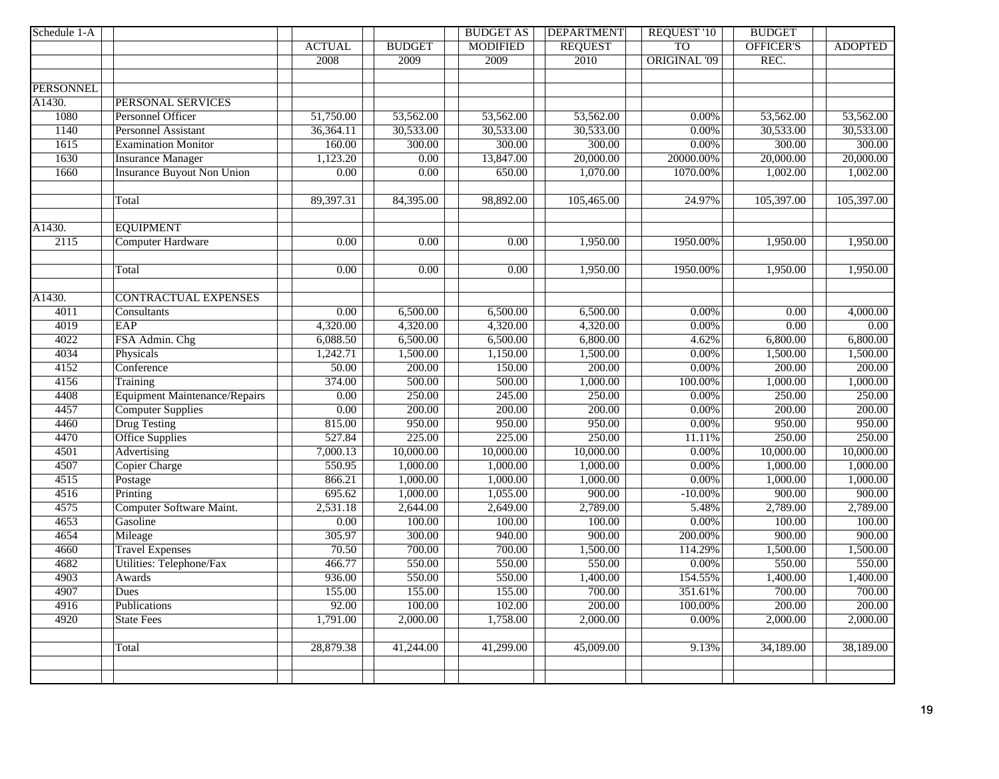| Schedule 1-A     |                                      |                   |                   | <b>BUDGET AS</b> | <b>DEPARTMENT</b> | <b>REQUEST '10</b>  | <b>BUDGET</b>     |                |
|------------------|--------------------------------------|-------------------|-------------------|------------------|-------------------|---------------------|-------------------|----------------|
|                  |                                      | <b>ACTUAL</b>     | <b>BUDGET</b>     | <b>MODIFIED</b>  | <b>REQUEST</b>    | T <sub>O</sub>      | OFFICER'S         | <b>ADOPTED</b> |
|                  |                                      | 2008              | 2009              | 2009             | 2010              | <b>ORIGINAL '09</b> | REC.              |                |
|                  |                                      |                   |                   |                  |                   |                     |                   |                |
| <b>PERSONNEL</b> |                                      |                   |                   |                  |                   |                     |                   |                |
| A1430.           | PERSONAL SERVICES                    |                   |                   |                  |                   |                     |                   |                |
| 1080             | Personnel Officer                    | 51,750.00         | 53,562.00         | 53,562.00        | 53,562.00         | $0.00\%$            | 53,562.00         | 53,562.00      |
| 1140             | <b>Personnel Assistant</b>           | 36,364.11         | 30,533.00         | 30,533.00        | 30,533.00         | 0.00%               | 30,533.00         | 30,533.00      |
| 1615             | <b>Examination Monitor</b>           | 160.00            | 300.00            | 300.00           | 300.00            | $0.00\%$            | 300.00            | 300.00         |
| 1630             | <b>Insurance Manager</b>             | 1,123.20          | 0.00              | 13,847.00        | 20,000.00         | 20000.00%           | 20,000.00         | 20,000.00      |
| 1660             | <b>Insurance Buyout Non Union</b>    | $\overline{0.00}$ | $\overline{0.00}$ | 650.00           | 1,070.00          | 1070.00%            | 1,002.00          | 1,002.00       |
|                  | Total                                | 89,397.31         | 84,395.00         | 98,892.00        | 105,465.00        | 24.97%              | 105,397.00        | 105,397.00     |
| A1430.           | <b>EQUIPMENT</b>                     |                   |                   |                  |                   |                     |                   |                |
| 2115             | Computer Hardware                    | $\overline{0.00}$ | 0.00              | 0.00             | 1,950.00          | 1950.00%            | 1,950.00          | 1,950.00       |
|                  | Total                                | $\overline{0.00}$ | 0.00              | 0.00             | 1,950.00          | 1950.00%            | 1,950.00          | 1,950.00       |
| A1430.           | <b>CONTRACTUAL EXPENSES</b>          |                   |                   |                  |                   |                     |                   |                |
| 4011             | Consultants                          | $\overline{0.00}$ | 6,500.00          | 6,500.00         | 6,500.00          | $0.00\%$            | 0.00              | 4,000.00       |
| 4019             | EAP                                  | 4,320.00          | 4,320.00          | 4,320.00         | 4,320.00          | $0.00\%$            | $\overline{0.00}$ | 0.00           |
| 4022             | FSA Admin. Chg                       | 6,088.50          | 6,500.00          | 6,500.00         | 6,800.00          | 4.62%               | 6,800.00          | 6,800.00       |
| 4034             | Physicals                            | 1,242.71          | 1,500.00          | 1,150.00         | 1,500.00          | $0.00\%$            | 1,500.00          | 1,500.00       |
| 4152             | Conference                           | 50.00             | 200.00            | 150.00           | 200.00            | $0.00\%$            | 200.00            | 200.00         |
| 4156             | Training                             | 374.00            | 500.00            | 500.00           | 1,000.00          | 100.00%             | 1,000.00          | 1,000.00       |
| 4408             | <b>Equipment Maintenance/Repairs</b> | $\overline{0.00}$ | 250.00            | 245.00           | 250.00            | $0.00\%$            | 250.00            | 250.00         |
| 4457             | <b>Computer Supplies</b>             | 0.00              | 200.00            | 200.00           | 200.00            | $0.00\%$            | 200.00            | 200.00         |
| 4460             | <b>Drug Testing</b>                  | 815.00            | 950.00            | 950.00           | 950.00            | $0.00\%$            | 950.00            | 950.00         |
| 4470             | <b>Office Supplies</b>               | 527.84            | 225.00            | 225.00           | 250.00            | 11.11%              | 250.00            | 250.00         |
| 4501             | Advertising                          | 7,000.13          | 10,000.00         | 10,000.00        | 10,000.00         | 0.00%               | 10,000.00         | 10,000.00      |
| 4507             | <b>Copier Charge</b>                 | 550.95            | 1,000.00          | 1,000.00         | 1,000.00          | $0.00\%$            | 1,000.00          | 1,000.00       |
| 4515             | Postage                              | 866.21            | 1,000.00          | 1,000.00         | 1,000.00          | $0.00\%$            | 1,000.00          | 1,000.00       |
| 4516             | Printing                             | 695.62            | 1,000.00          | 1,055.00         | 900.00            | $-10.00\%$          | 900.00            | 900.00         |
| 4575             | Computer Software Maint.             | 2,531.18          | 2,644.00          | 2,649.00         | 2,789.00          | 5.48%               | 2,789.00          | 2,789.00       |
| 4653             | Gasoline                             | $\overline{0.00}$ | 100.00            | 100.00           | 100.00            | $0.00\%$            | 100.00            | 100.00         |
| 4654             | Mileage                              | 305.97            | 300.00            | 940.00           | 900.00            | 200.00%             | 900.00            | 900.00         |
| 4660             | <b>Travel Expenses</b>               | 70.50             | 700.00            | 700.00           | 1,500.00          | 114.29%             | 1,500.00          | 1,500.00       |
| 4682             | Utilities: Telephone/Fax             | 466.77            | 550.00            | 550.00           | 550.00            | $0.00\%$            | 550.00            | 550.00         |
| 4903             | Awards                               | 936.00            | 550.00            | 550.00           | 1,400.00          | 154.55%             | 1,400.00          | 1,400.00       |
| 4907             | Dues                                 | 155.00            | 155.00            | 155.00           | 700.00            | 351.61%             | 700.00            | 700.00         |
| 4916             | Publications                         | 92.00             | 100.00            | 102.00           | 200.00            | 100.00%             | 200.00            | 200.00         |
| 4920             | <b>State Fees</b>                    | 1,791.00          | 2,000.00          | 1,758.00         | 2,000.00          | $0.00\%$            | 2,000.00          | 2,000.00       |
|                  | Total                                | 28,879.38         | 41,244.00         | 41,299.00        | 45,009.00         | 9.13%               | 34,189.00         | 38,189.00      |
|                  |                                      |                   |                   |                  |                   |                     |                   |                |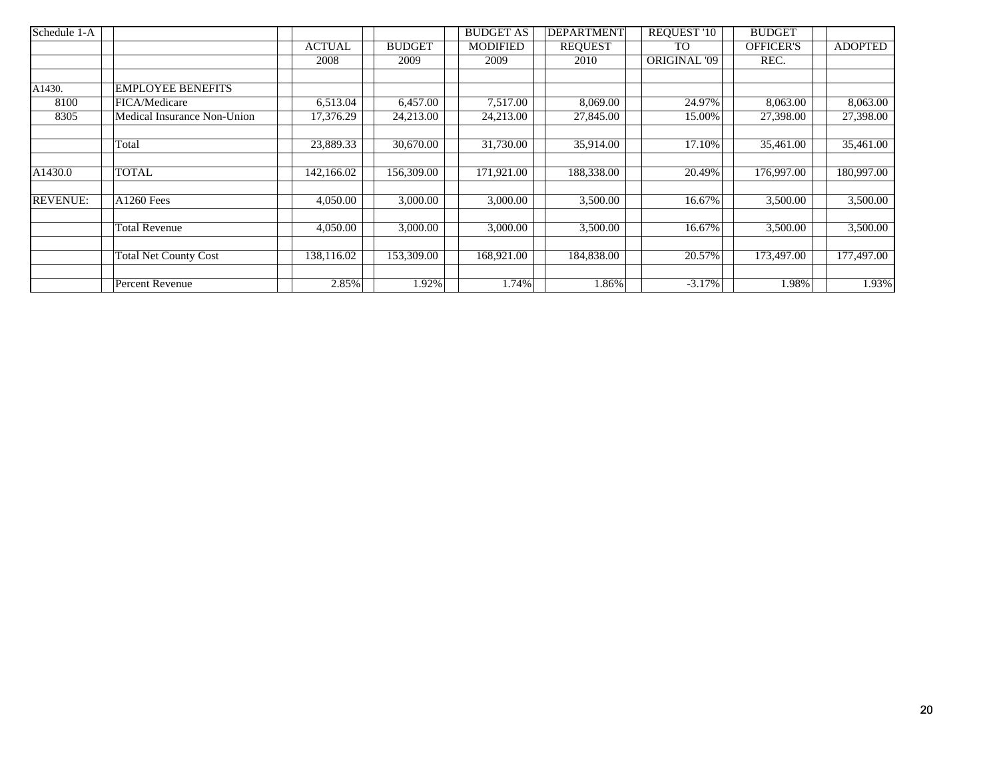| Schedule 1-A    |                              |               |               | <b>BUDGET AS</b> | <b>DEPARTMENT</b> | <b>REQUEST '10</b>  | <b>BUDGET</b>    |                |
|-----------------|------------------------------|---------------|---------------|------------------|-------------------|---------------------|------------------|----------------|
|                 |                              | <b>ACTUAL</b> | <b>BUDGET</b> | <b>MODIFIED</b>  | <b>REQUEST</b>    | T <sub>O</sub>      | <b>OFFICER'S</b> | <b>ADOPTED</b> |
|                 |                              | 2008          | 2009          | 2009             | 2010              | <b>ORIGINAL '09</b> | REC.             |                |
|                 |                              |               |               |                  |                   |                     |                  |                |
| A1430.          | <b>EMPLOYEE BENEFITS</b>     |               |               |                  |                   |                     |                  |                |
| 8100            | FICA/Medicare                | 6,513.04      | 6,457.00      | 7,517.00         | 8,069.00          | 24.97%              | 8,063.00         | 8,063.00       |
| 8305            | Medical Insurance Non-Union  | 17,376.29     | 24,213.00     | 24,213.00        | 27,845.00         | 15.00%              | 27,398.00        | 27,398.00      |
|                 |                              |               |               |                  |                   |                     |                  |                |
|                 | Total                        | 23,889.33     | 30,670.00     | 31,730.00        | 35,914.00         | 17.10%              | 35,461.00        | 35,461.00      |
|                 |                              |               |               |                  |                   |                     |                  |                |
| A1430.0         | <b>TOTAL</b>                 | 142,166.02    | 156,309.00    | 171,921.00       | 188,338.00        | 20.49%              | 176,997.00       | 180,997.00     |
|                 |                              |               |               |                  |                   |                     |                  |                |
| <b>REVENUE:</b> | <b>A1260 Fees</b>            | 4,050.00      | 3,000.00      | 3,000.00         | 3,500.00          | 16.67%              | 3,500.00         | 3,500.00       |
|                 |                              |               |               |                  |                   |                     |                  |                |
|                 | <b>Total Revenue</b>         | 4,050.00      | 3,000.00      | 3,000.00         | 3,500.00          | 16.67%              | 3,500.00         | 3,500.00       |
|                 |                              |               |               |                  |                   |                     |                  |                |
|                 | <b>Total Net County Cost</b> | 138,116.02    | 153,309.00    | 168,921.00       | 184,838.00        | 20.57%              | 173,497.00       | 177,497.00     |
|                 |                              |               |               |                  |                   |                     |                  |                |
|                 | Percent Revenue              | 2.85%         | 1.92%         | 1.74%            | .86%              | $-3.17%$            | 1.98%            | 1.93%          |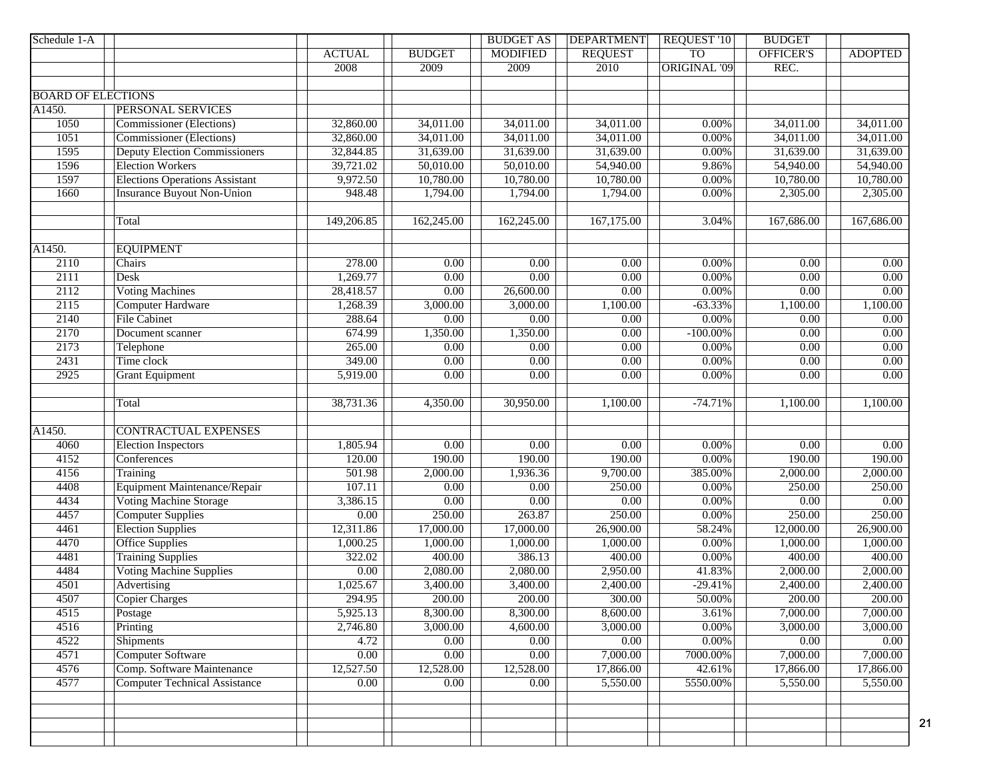| Schedule 1-A              |                                       |                   |                   | <b>BUDGET AS</b>  | <b>DEPARTMENT</b> | REQUEST '10         | <b>BUDGET</b>     |                   |
|---------------------------|---------------------------------------|-------------------|-------------------|-------------------|-------------------|---------------------|-------------------|-------------------|
|                           |                                       | <b>ACTUAL</b>     | <b>BUDGET</b>     | <b>MODIFIED</b>   | <b>REQUEST</b>    | <b>TO</b>           | OFFICER'S         | <b>ADOPTED</b>    |
|                           |                                       | 2008              | 2009              | 2009              | 2010              | <b>ORIGINAL '09</b> | REC.              |                   |
|                           |                                       |                   |                   |                   |                   |                     |                   |                   |
| <b>BOARD OF ELECTIONS</b> |                                       |                   |                   |                   |                   |                     |                   |                   |
| A1450.                    | <b>PERSONAL SERVICES</b>              |                   |                   |                   |                   |                     |                   |                   |
| 1050                      | <b>Commissioner</b> (Elections)       | 32,860.00         | 34,011.00         | 34,011.00         | 34,011.00         | 0.00%               | 34,011.00         | 34,011.00         |
| 1051                      | <b>Commissioner</b> (Elections)       | 32,860.00         | 34,011.00         | 34,011.00         | 34,011.00         | 0.00%               | 34,011.00         | 34,011.00         |
| 1595                      | <b>Deputy Election Commissioners</b>  | 32,844.85         | 31,639.00         | 31,639.00         | 31,639.00         | $0.00\%$            | 31,639.00         | 31,639.00         |
| 1596                      | <b>Election Workers</b>               | 39,721.02         | 50,010.00         | 50,010.00         | 54,940.00         | 9.86%               | 54,940.00         | 54,940.00         |
| 1597                      | <b>Elections Operations Assistant</b> | 9,972.50          | 10,780.00         | 10,780.00         | 10,780.00         | $0.00\%$            | 10,780.00         | 10,780.00         |
| 1660                      | <b>Insurance Buyout Non-Union</b>     | 948.48            | 1,794.00          | 1,794.00          | 1,794.00          | 0.00%               | 2,305.00          | 2,305.00          |
|                           |                                       |                   |                   |                   |                   |                     |                   |                   |
|                           | Total                                 | 149,206.85        | 162,245.00        | 162,245.00        | 167,175.00        | 3.04%               | 167,686.00        | 167,686.00        |
|                           |                                       |                   |                   |                   |                   |                     |                   |                   |
| A1450.                    | <b>EQUIPMENT</b>                      |                   |                   |                   |                   |                     |                   |                   |
| 2110                      | Chairs                                | 278.00            | $\overline{0.00}$ | $\overline{0.00}$ | 0.00              | 0.00%               | 0.00              | $\overline{0.00}$ |
| 2111                      | <b>Desk</b>                           | 1,269.77          | $\overline{0.00}$ | 0.00              | 0.00              | $0.00\%$            | 0.00              | $\overline{0.00}$ |
| 2112                      | <b>Voting Machines</b>                | 28,418.57         | $\overline{0.00}$ | 26,600.00         | 0.00              | $0.00\%$            | 0.00              | 0.00              |
| 2115                      | <b>Computer Hardware</b>              | 1,268.39          | 3,000.00          | 3,000.00          | 1,100.00          | $-63.33%$           | 1,100.00          | 1,100.00          |
| 2140                      | <b>File Cabinet</b>                   | 288.64            | 0.00              | 0.00              | 0.00              | $0.00\%$            | 0.00              | 0.00              |
| 2170                      | Document scanner                      | 674.99            | 1,350.00          | 1,350.00          | 0.00              | $-100.00\%$         | 0.00              | $\overline{0.00}$ |
| 2173                      | Telephone                             | 265.00            | 0.00              | 0.00              | $\overline{0.00}$ | $0.00\%$            | 0.00              | 0.00              |
| 2431                      | Time clock                            | 349.00            | $\overline{0.00}$ | 0.00              | $\overline{0.00}$ | $0.00\%$            | $\overline{0.00}$ | 0.00              |
| 2925                      | <b>Grant Equipment</b>                | 5,919.00          | 0.00              | $\overline{0.00}$ | 0.00              | $0.00\%$            | 0.00              | 0.00              |
|                           |                                       |                   |                   |                   |                   |                     |                   |                   |
|                           | Total                                 | 38,731.36         | 4,350.00          | 30,950.00         | 1,100.00          | $-74.71%$           | 1,100.00          | 1,100.00          |
|                           |                                       |                   |                   |                   |                   |                     |                   |                   |
| $\overline{A145}0.$       | <b>CONTRACTUAL EXPENSES</b>           |                   |                   |                   |                   |                     |                   |                   |
| 4060                      | <b>Election Inspectors</b>            | 1,805.94          | $\overline{0.00}$ | 0.00              | 0.00              | $0.00\%$            | 0.00              | $\overline{0.00}$ |
| 4152                      | Conferences                           | 120.00            | 190.00            | 190.00            | 190.00            | $0.00\%$            | 190.00            | 190.00            |
| 4156                      | Training                              | 501.98            | 2,000.00          | 1,936.36          | 9,700.00          | 385.00%             | 2,000.00          | 2,000.00          |
| 4408                      | Equipment Maintenance/Repair          | 107.11            | $\overline{0.00}$ | 0.00              | 250.00            | $0.00\%$            | 250.00            | 250.00            |
| 4434                      | <b>Voting Machine Storage</b>         | 3,386.15          | $\overline{0.00}$ | 0.00              | $\overline{0.00}$ | $0.00\%$            | $\overline{0.00}$ | 0.00              |
| 4457                      | <b>Computer Supplies</b>              | $\overline{0.00}$ | 250.00            | 263.87            | 250.00            | 0.00%               | 250.00            | 250.00            |
| 4461                      | <b>Election Supplies</b>              | 12,311.86         | 17,000.00         | 17,000.00         | 26,900.00         | 58.24%              | 12,000.00         | 26,900.00         |
| 4470                      | Office Supplies                       | 1,000.25          | 1,000.00          | 1,000.00          | 1,000.00          | $0.00\%$            | 1,000.00          | 1,000.00          |
| 4481                      | <b>Training Supplies</b>              | 322.02            | 400.00            | 386.13            | 400.00            | $0.00\%$            | 400.00            | 400.00            |
| 4484                      | <b>Voting Machine Supplies</b>        | 0.00              | 2,080.00          | 2,080.00          | 2,950.00          | 41.83%              | 2,000.00          | 2,000.00          |
| 4501                      | Advertising                           | 1,025.67          | 3,400.00          | 3,400.00          | 2,400.00          | $-29.41%$           | 2,400.00          | 2,400.00          |
| 4507                      | <b>Copier Charges</b>                 | 294.95            | 200.00            | 200.00            | 300.00            | 50.00%              | 200.00            | 200.00            |
| 4515                      | Postage                               | 5,925.13          | 8,300.00          | 8,300.00          | 8,600.00          | 3.61%               | 7,000.00          | 7,000.00          |
| 4516                      | Printing                              | 2,746.80          | 3,000.00          | 4,600.00          | 3,000.00          | $0.00\%$            | 3,000.00          | 3,000.00          |
| 4522                      | Shipments                             | 4.72              | 0.00              | 0.00              | 0.00              | $0.00\%$            | 0.00              | $\overline{0.00}$ |
| 4571                      | <b>Computer Software</b>              | 0.00              | 0.00              | 0.00              | 7,000.00          | 7000.00%            | 7,000.00          | 7,000.00          |
| 4576                      | Comp. Software Maintenance            | 12,527.50         | 12,528.00         | 12,528.00         | 17,866.00         | 42.61%              | 17,866.00         | 17,866.00         |
| 4577                      | <b>Computer Technical Assistance</b>  | 0.00              | 0.00              | 0.00              | 5,550.00          | 5550.00%            | 5,550.00          | 5,550.00          |
|                           |                                       |                   |                   |                   |                   |                     |                   |                   |
|                           |                                       |                   |                   |                   |                   |                     |                   |                   |
|                           |                                       |                   |                   |                   |                   |                     |                   |                   |
|                           |                                       |                   |                   |                   |                   |                     |                   |                   |
|                           |                                       |                   |                   |                   |                   |                     |                   |                   |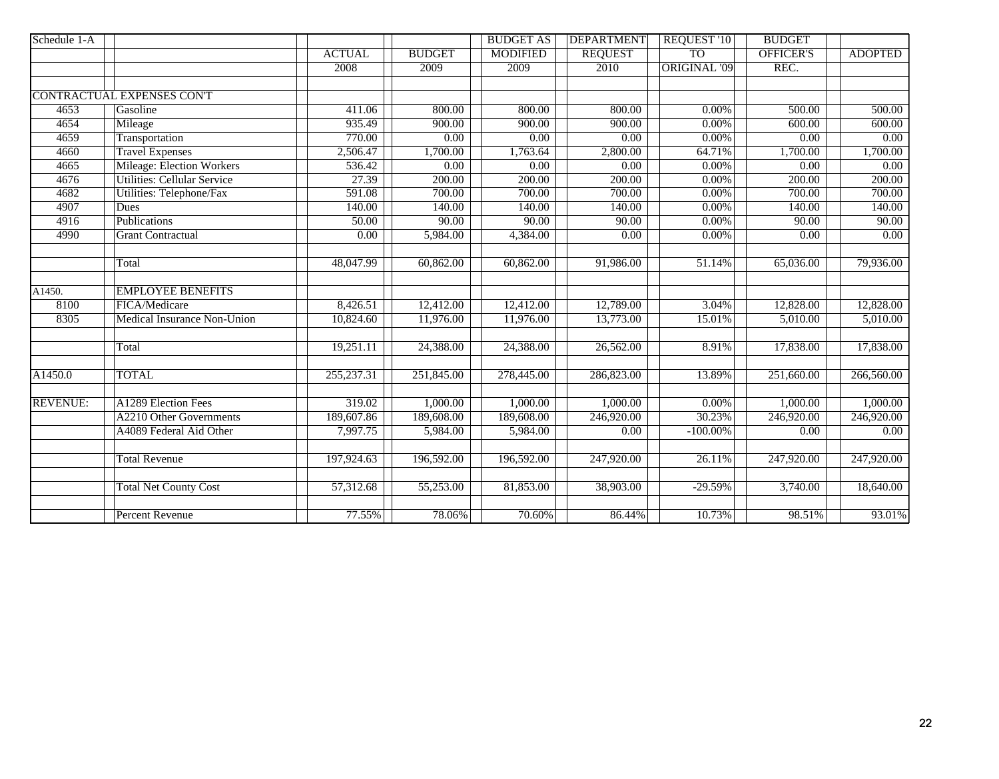| Schedule 1-A    |                                    |                        |                   | <b>BUDGET AS</b>  | <b>DEPARTMENT</b> | REQUEST '10         | <b>BUDGET</b>           |                         |
|-----------------|------------------------------------|------------------------|-------------------|-------------------|-------------------|---------------------|-------------------------|-------------------------|
|                 |                                    | <b>ACTUAL</b>          | <b>BUDGET</b>     | <b>MODIFIED</b>   | <b>REQUEST</b>    | T <sub>O</sub>      | <b>OFFICER'S</b>        | <b>ADOPTED</b>          |
|                 |                                    | 2008                   | 2009              | 2009              | 2010              | <b>ORIGINAL '09</b> | REC.                    |                         |
|                 |                                    |                        |                   |                   |                   |                     |                         |                         |
|                 | <b>CONTRACTUAL EXPENSES CONT</b>   |                        |                   |                   |                   |                     |                         |                         |
| 4653            | Gasoline                           | 411.06                 | 800.00            | 800.00            | 800.00            | $0.00\%$            | 500.00                  | $\overline{500.00}$     |
| 4654            | Mileage                            | 935.49                 | 900.00            | 900.00            | 900.00            | $0.00\%$            | 600.00                  | 600.00                  |
| 4659            | Transportation                     | 770.00                 | 0.00              | 0.00              | $\overline{0.00}$ | $0.00\%$            | 0.00                    | 0.00                    |
| 4660            | <b>Travel Expenses</b>             | 2,506.47               | 1,700.00          | 1,763.64          | 2,800.00          | 64.71%              | 1,700.00                | 1,700.00                |
| 4665            | <b>Mileage: Election Workers</b>   | 536.42                 | $\overline{0.00}$ | $\overline{0.00}$ | $\overline{0.00}$ | $0.00\%$            | $\overline{0.00}$       | 0.00                    |
| 4676            | <b>Utilities: Cellular Service</b> | 27.39                  | 200.00            | 200.00            | 200.00            | $0.00\%$            | 200.00                  | 200.00                  |
| 4682            | <b>Utilities: Telephone/Fax</b>    | 591.08                 | 700.00            | 700.00            | 700.00            | $0.00\%$            | 700.00                  | 700.00                  |
| 4907            | Dues                               | 140.00                 | 140.00            | 140.00            | 140.00            | $0.00\%$            | 140.00                  | 140.00                  |
| 4916            | Publications                       | 50.00                  | 90.00             | 90.00             | 90.00             | 0.00%               | 90.00                   | 90.00                   |
| 4990            | <b>Grant Contractual</b>           | 0.00                   | 5,984.00          | 4,384.00          | 0.00              | $0.00\%$            | $\overline{0.00}$       | 0.00                    |
|                 | Total                              | 48,047.99              | 60,862.00         | 60,862.00         | 91,986.00         | 51.14%              | 65,036.00               | 79,936.00               |
| A1450.          | <b>EMPLOYEE BENEFITS</b>           |                        |                   |                   |                   |                     |                         |                         |
| 8100            | FICA/Medicare                      | 8,426.51               | 12,412.00         | 12,412.00         | 12,789.00         | 3.04%               | 12,828.00               | 12,828.00               |
| 8305            | Medical Insurance Non-Union        | 10,824.60              | 11,976.00         | 11,976.00         | 13,773.00         | 15.01%              | 5,010.00                | 5,010.00                |
|                 | Total                              | 19,251.11              | 24,388.00         | 24,388.00         | 26,562.00         | 8.91%               | 17,838.00               | 17,838.00               |
| A1450.0         | <b>TOTAL</b>                       | 255, 237. 31           | 251,845.00        | 278,445.00        | 286,823.00        | 13.89%              | $\overline{251,660.00}$ | $\overline{266,560.00}$ |
| <b>REVENUE:</b> | A1289 Election Fees                | 319.02                 | 1,000.00          | 1,000.00          | 1,000.00          | $0.00\%$            | 1,000.00                | 1,000.00                |
|                 | A2210 Other Governments            | 189,607.86             | 189,608.00        | 189,608.00        | 246,920.00        | 30.23%              | 246,920.00              | 246,920.00              |
|                 | A4089 Federal Aid Other            | 7,997.75               | 5,984.00          | 5,984.00          | $\overline{0.00}$ | $-100.00\%$         | 0.00                    | $0.00\,$                |
|                 | <b>Total Revenue</b>               | 197,924.63             | 196,592.00        | 196,592.00        | 247,920.00        | 26.11%              | 247,920.00              | 247,920.00              |
|                 | <b>Total Net County Cost</b>       | $\overline{57,312.68}$ | 55,253.00         | 81,853.00         | 38,903.00         | $-29.59%$           | 3,740.00                | 18,640.00               |
|                 | <b>Percent Revenue</b>             | 77.55%                 | 78.06%            | 70.60%            | 86.44%            | 10.73%              | 98.51%                  | 93.01%                  |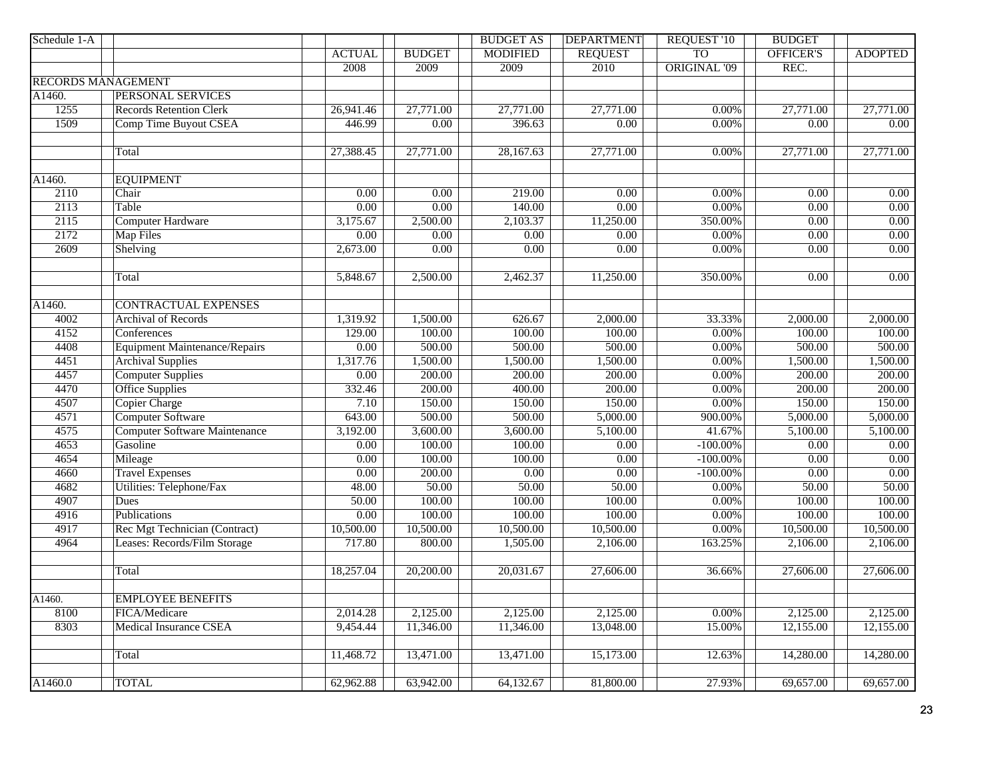| Schedule 1-A              |                                      |                   |                   | <b>BUDGET AS</b>  | <b>DEPARTMENT</b>         | <b>REQUEST '10</b>  | <b>BUDGET</b>             |                   |
|---------------------------|--------------------------------------|-------------------|-------------------|-------------------|---------------------------|---------------------|---------------------------|-------------------|
|                           |                                      | <b>ACTUAL</b>     | <b>BUDGET</b>     | <b>MODIFIED</b>   | <b>REQUEST</b>            | <b>TO</b>           | <b>OFFICER'S</b>          | <b>ADOPTED</b>    |
|                           |                                      | 2008              | 2009              | 2009              | 2010                      | <b>ORIGINAL '09</b> | REC.                      |                   |
| <b>RECORDS MANAGEMENT</b> |                                      |                   |                   |                   |                           |                     |                           |                   |
| A1460.                    | <b>PERSONAL SERVICES</b>             |                   |                   |                   |                           |                     |                           |                   |
| 1255                      | <b>Records Retention Clerk</b>       | 26,941.46         | 27,771.00         | 27,771.00         | 27,771.00                 | 0.00%               | 27,771.00                 | 27,771.00         |
| 1509                      | Comp Time Buyout CSEA                | 446.99            | $\overline{0.00}$ | 396.63            | $\overline{0.00}$         | 0.00%               | $\overline{0.00}$         | 0.00              |
|                           |                                      |                   |                   |                   |                           |                     |                           |                   |
|                           | Total                                | 27,388.45         | 27,771.00         | 28,167.63         | 27,771.00                 | 0.00%               | 27,771.00                 | 27,771.00         |
|                           |                                      |                   |                   |                   |                           |                     |                           |                   |
| A1460.                    | <b>EQUIPMENT</b>                     |                   |                   |                   |                           |                     |                           |                   |
| 2110<br>2113              | Chair                                | $\overline{0.00}$ | $\overline{0.00}$ | 219.00<br>140.00  | $\overline{0.00}$<br>0.00 | 0.00%<br>$0.00\%$   | $\overline{0.00}$         | 0.00<br>0.00      |
| 2115                      | Table                                | $\overline{0.00}$ | 0.00              | 2,103.37          |                           | 350.00%             | 0.00<br>$\overline{0.00}$ | 0.00              |
| 2172                      | <b>Computer Hardware</b>             | 3,175.67<br>0.00  | 2,500.00<br>0.00  | 0.00              | 11,250.00<br>0.00         | 0.00%               | 0.00                      | 0.00              |
| 2609                      | Map Files<br>Shelving                | 2,673.00          | $\overline{0.00}$ | $\overline{0.00}$ | 0.00                      | 0.00%               | $\overline{0.00}$         | 0.00              |
|                           |                                      |                   |                   |                   |                           |                     |                           |                   |
|                           | Total                                | 5,848.67          | 2,500.00          | 2,462.37          | 11,250.00                 | 350.00%             | 0.00                      | $\overline{0.00}$ |
|                           |                                      |                   |                   |                   |                           |                     |                           |                   |
| A1460.                    | <b>CONTRACTUAL EXPENSES</b>          |                   |                   |                   |                           |                     |                           |                   |
| 4002                      | <b>Archival of Records</b>           | 1,319.92          | 1,500.00          | 626.67            | 2,000.00                  | 33.33%              | 2,000.00                  | 2,000.00          |
| 4152                      | Conferences                          | 129.00            | 100.00            | 100.00            | 100.00                    | 0.00%               | 100.00                    | 100.00            |
| 4408                      | <b>Equipment Maintenance/Repairs</b> | $\overline{0.00}$ | 500.00            | 500.00            | 500.00                    | 0.00%               | 500.00                    | 500.00            |
| 4451                      | <b>Archival Supplies</b>             | 1,317.76          | 1,500.00          | 1,500.00          | 1,500.00                  | 0.00%               | 1,500.00                  | 1,500.00          |
| 4457                      | <b>Computer Supplies</b>             | 0.00              | 200.00            | 200.00            | 200.00                    | 0.00%               | 200.00                    | 200.00            |
| 4470                      | <b>Office Supplies</b>               | 332.46            | 200.00            | 400.00            | 200.00                    | 0.00%               | 200.00                    | 200.00            |
| 4507                      | <b>Copier Charge</b>                 | 7.10              | 150.00            | 150.00            | 150.00                    | 0.00%               | 150.00                    | 150.00            |
| 4571                      | <b>Computer Software</b>             | 643.00            | 500.00            | 500.00            | 5,000.00                  | 900.00%             | 5,000.00                  | 5,000.00          |
| 4575                      | <b>Computer Software Maintenance</b> | 3,192.00          | 3,600.00          | 3,600.00          | 5,100.00                  | 41.67%              | 5,100.00                  | 5,100.00          |
| 4653                      | Gasoline                             | 0.00              | 100.00            | 100.00            | $\overline{0.00}$         | $-100.00\%$         | 0.00                      | 0.00              |
| 4654                      | Mileage                              | $\overline{0.00}$ | 100.00            | 100.00            | 0.00                      | $-100.00\%$         | 0.00                      | 0.00              |
| 4660                      | <b>Travel Expenses</b>               | $\overline{0.00}$ | 200.00            | 0.00              | 0.00                      | $-100.00\%$         | $\overline{0.00}$         | 0.00              |
| 4682                      | Utilities: Telephone/Fax             | 48.00             | 50.00             | 50.00             | 50.00                     | 0.00%               | 50.00                     | 50.00             |
| 4907                      | Dues                                 | 50.00             | 100.00            | 100.00            | 100.00                    | 0.00%               | 100.00                    | 100.00            |
| 4916                      | Publications                         | $\overline{0.00}$ | 100.00            | 100.00            | 100.00                    | 0.00%               | 100.00                    | 100.00            |
| 4917                      | Rec Mgt Technician (Contract)        | 10,500.00         | 10,500.00         | 10,500.00         | 10,500.00                 | 0.00%               | 10,500.00                 | 10,500.00         |
| 4964                      | Leases: Records/Film Storage         | 717.80            | 800.00            | 1,505.00          | 2,106.00                  | 163.25%             | 2,106.00                  | 2,106.00          |
|                           |                                      |                   |                   |                   |                           |                     |                           |                   |
|                           | Total                                | 18,257.04         | 20,200.00         | 20,031.67         | 27,606.00                 | 36.66%              | $\overline{27,606.00}$    | 27,606.00         |
|                           | <b>EMPLOYEE BENEFITS</b>             |                   |                   |                   |                           |                     |                           |                   |
| A1460.<br>8100            | FICA/Medicare                        | 2,014.28          | 2,125.00          | 2,125.00          | 2,125.00                  | $0.00\%$            | 2,125.00                  | 2,125.00          |
| 8303                      | Medical Insurance CSEA               | 9,454.44          | 11,346.00         | 11,346.00         | 13,048.00                 | 15.00%              | 12,155.00                 | 12,155.00         |
|                           |                                      |                   |                   |                   |                           |                     |                           |                   |
|                           | Total                                | 11,468.72         | 13,471.00         | 13,471.00         | 15,173.00                 | 12.63%              | 14,280.00                 | 14,280.00         |
|                           |                                      |                   |                   |                   |                           |                     |                           |                   |
| A1460.0                   | <b>TOTAL</b>                         | 62,962.88         | 63,942.00         | 64,132.67         | 81,800.00                 | 27.93%              | 69,657.00                 | 69,657.00         |
|                           |                                      |                   |                   |                   |                           |                     |                           |                   |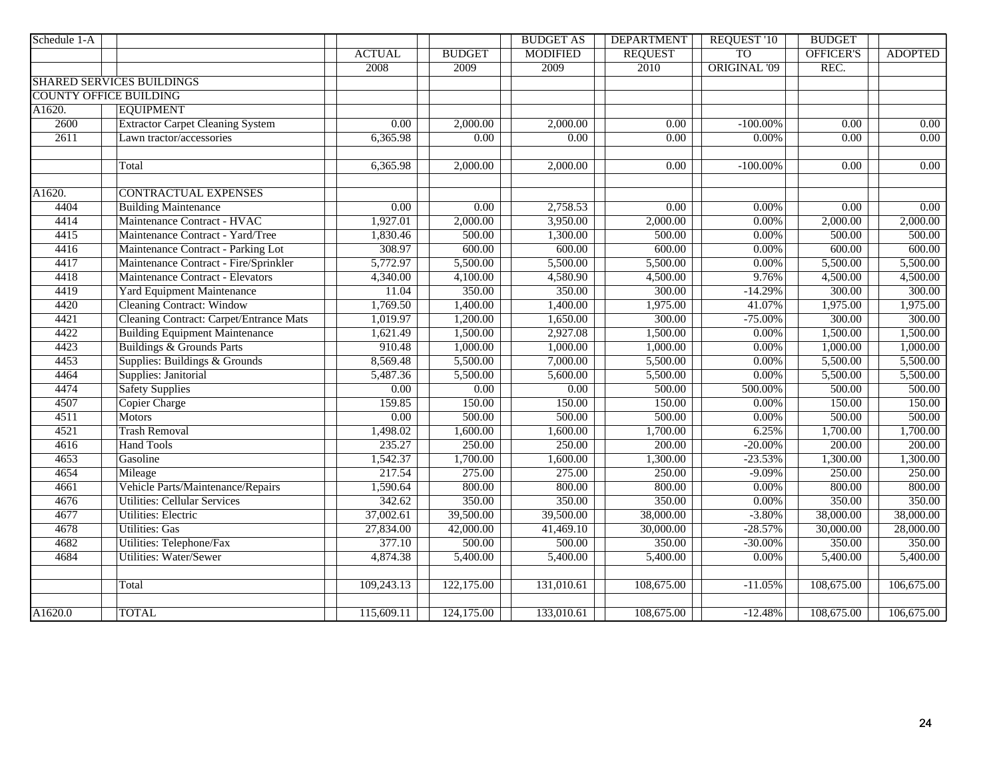| Schedule 1-A                  |                                                |                   |               | <b>BUDGET AS</b> | <b>DEPARTMENT</b> | <b>REQUEST '10</b>  | <b>BUDGET</b>     |                   |
|-------------------------------|------------------------------------------------|-------------------|---------------|------------------|-------------------|---------------------|-------------------|-------------------|
|                               |                                                | <b>ACTUAL</b>     | <b>BUDGET</b> | <b>MODIFIED</b>  | <b>REQUEST</b>    | <b>TO</b>           | OFFICER'S         | <b>ADOPTED</b>    |
|                               |                                                | 2008              | 2009          | 2009             | 2010              | <b>ORIGINAL '09</b> | REC.              |                   |
|                               | <b>SHARED SERVICES BUILDINGS</b>               |                   |               |                  |                   |                     |                   |                   |
| <b>COUNTY OFFICE BUILDING</b> |                                                |                   |               |                  |                   |                     |                   |                   |
| A1620.                        | <b>EQUIPMENT</b>                               |                   |               |                  |                   |                     |                   |                   |
| 2600                          | <b>Extractor Carpet Cleaning System</b>        | $\overline{0.00}$ | 2,000.00      | 2,000.00         | $\overline{0.00}$ | $-100.00\%$         | $\overline{0.00}$ | $\overline{0.00}$ |
| 2611                          | Lawn tractor/accessories                       | 6,365.98          | 0.00          | 0.00             | 0.00              | $0.00\%$            | 0.00              | $\overline{0.00}$ |
|                               |                                                |                   |               |                  |                   |                     |                   |                   |
|                               | Total                                          | 6,365.98          | 2,000.00      | 2,000.00         | $\overline{0.00}$ | $-100.00\%$         | $\overline{0.00}$ | 0.00              |
|                               |                                                |                   |               |                  |                   |                     |                   |                   |
| A1620.                        | <b>CONTRACTUAL EXPENSES</b>                    |                   |               |                  |                   |                     |                   |                   |
| 4404                          | <b>Building Maintenance</b>                    | 0.00              | 0.00          | 2,758.53         | 0.00              | $0.00\%$            | 0.00              | 0.00              |
| 4414                          | Maintenance Contract - HVAC                    | 1,927.01          | 2,000.00      | 3,950.00         | 2,000.00          | $0.00\%$            | 2,000.00          | 2,000.00          |
| 4415                          | Maintenance Contract - Yard/Tree               | 1,830.46          | 500.00        | 1,300.00         | 500.00            | $0.00\%$            | 500.00            | 500.00            |
| 4416                          | Maintenance Contract - Parking Lot             | 308.97            | 600.00        | 600.00           | 600.00            | 0.00%               | 600.00            | 600.00            |
| 4417                          | Maintenance Contract - Fire/Sprinkler          | 5,772.97          | 5,500.00      | 5,500.00         | 5,500.00          | $0.00\%$            | 5,500.00          | 5,500.00          |
| 4418                          | Maintenance Contract - Elevators               | 4,340.00          | 4,100.00      | 4,580.90         | 4,500.00          | 9.76%               | 4,500.00          | 4,500.00          |
| 4419                          | <b>Yard Equipment Maintenance</b>              | 11.04             | 350.00        | 350.00           | 300.00            | $-14.29%$           | 300.00            | 300.00            |
| 4420                          | <b>Cleaning Contract: Window</b>               | 1,769.50          | 1,400.00      | 1,400.00         | 1,975.00          | 41.07%              | 1,975.00          | 1,975.00          |
| 4421                          | <b>Cleaning Contract: Carpet/Entrance Mats</b> | 1,019.97          | 1,200.00      | 1,650.00         | 300.00            | $-75.00\%$          | 300.00            | 300.00            |
| 4422                          | <b>Building Equipment Maintenance</b>          | 1,621.49          | 1,500.00      | 2,927.08         | 1,500.00          | 0.00%               | 1,500.00          | 1,500.00          |
| 4423                          | <b>Buildings &amp; Grounds Parts</b>           | 910.48            | 1,000.00      | 1,000.00         | 1,000.00          | $0.00\%$            | 1,000.00          | 1,000.00          |
| 4453                          | Supplies: Buildings & Grounds                  | 8,569.48          | 5,500.00      | 7,000.00         | 5,500.00          | 0.00%               | 5,500.00          | 5,500.00          |
| 4464                          | Supplies: Janitorial                           | 5,487.36          | 5,500.00      | 5,600.00         | 5,500.00          | $0.00\%$            | 5,500.00          | 5,500.00          |
| 4474                          | <b>Safety Supplies</b>                         | 0.00              | 0.00          | 0.00             | 500.00            | 500.00%             | 500.00            | 500.00            |
| 4507                          | <b>Copier Charge</b>                           | 159.85            | 150.00        | 150.00           | 150.00            | $0.00\%$            | 150.00            | 150.00            |
| 4511                          | <b>Motors</b>                                  | 0.00              | 500.00        | 500.00           | 500.00            | 0.00%               | 500.00            | 500.00            |
| 4521                          | <b>Trash Removal</b>                           | 1,498.02          | 1,600.00      | 1,600.00         | 1,700.00          | 6.25%               | 1,700.00          | 1,700.00          |
| 4616                          | <b>Hand Tools</b>                              | 235.27            | 250.00        | 250.00           | 200.00            | $-20.00\%$          | 200.00            | 200.00            |
| 4653                          | Gasoline                                       | 1,542.37          | 1,700.00      | 1,600.00         | 1,300.00          | $-23.53%$           | 1,300.00          | 1,300.00          |
| 4654                          | Mileage                                        | 217.54            | 275.00        | 275.00           | 250.00            | $-9.09%$            | 250.00            | 250.00            |
| 4661                          | Vehicle Parts/Maintenance/Repairs              | 1,590.64          | 800.00        | 800.00           | 800.00            | 0.00%               | 800.00            | 800.00            |
| 4676                          | <b>Utilities: Cellular Services</b>            | 342.62            | 350.00        | 350.00           | 350.00            | $0.00\%$            | 350.00            | 350.00            |
| 4677                          | <b>Utilities: Electric</b>                     | 37,002.61         | 39,500.00     | 39,500.00        | 38,000.00         | $-3.80%$            | 38,000.00         | 38,000.00         |
| 4678                          | <b>Utilities: Gas</b>                          | 27,834.00         | 42,000.00     | 41,469.10        | 30,000.00         | $-28.57%$           | 30,000.00         | 28,000.00         |
| 4682                          | <b>Utilities: Telephone/Fax</b>                | 377.10            | 500.00        | 500.00           | 350.00            | $-30.00\%$          | 350.00            | 350.00            |
| 4684                          | <b>Utilities: Water/Sewer</b>                  | 4,874.38          | 5,400.00      | 5,400.00         | 5,400.00          | 0.00%               | 5,400.00          | 5,400.00          |
|                               |                                                |                   |               |                  |                   |                     |                   |                   |
|                               | Total                                          | 109,243.13        | 122,175.00    | 131,010.61       | 108,675.00        | $-11.05%$           | 108,675.00        | 106,675.00        |
|                               |                                                |                   |               |                  |                   |                     |                   |                   |
| A1620.0                       | <b>TOTAL</b>                                   | 115,609.11        | 124,175.00    | 133,010.61       | 108,675.00        | $-12.48%$           | 108,675.00        | 106,675.00        |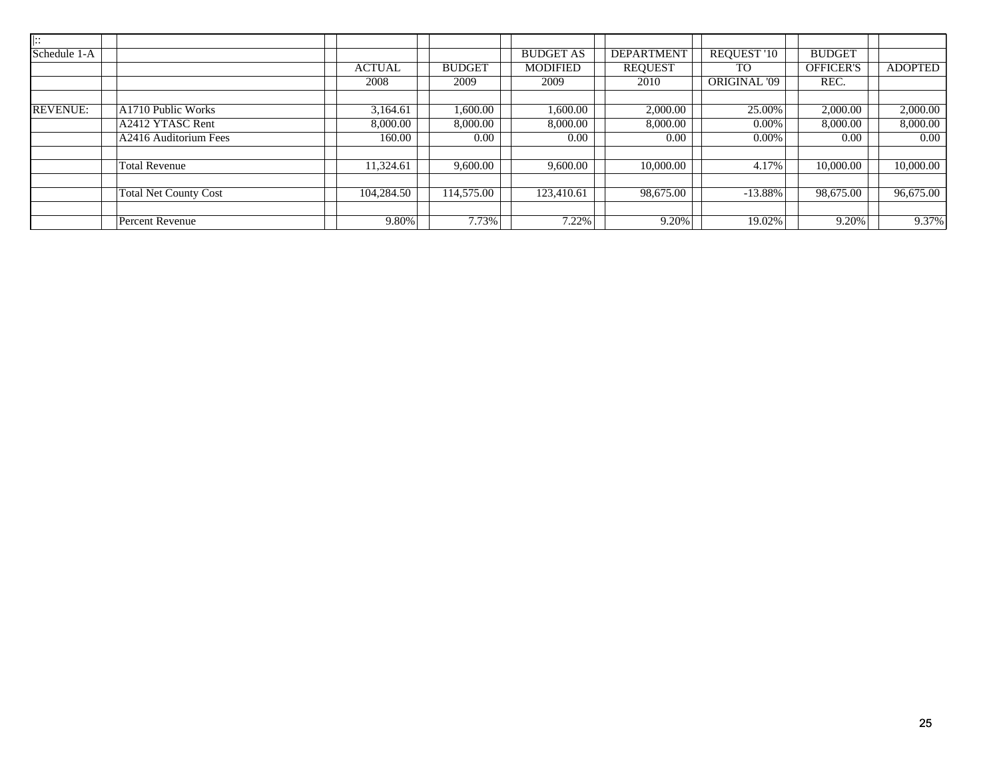| $\left  \vdots \right\rangle$         |               |               |                  |                   |                    |                  |                |
|---------------------------------------|---------------|---------------|------------------|-------------------|--------------------|------------------|----------------|
| Schedule 1-A                          |               |               | <b>BUDGET AS</b> | <b>DEPARTMENT</b> | <b>REQUEST '10</b> | <b>BUDGET</b>    |                |
|                                       | <b>ACTUAL</b> | <b>BUDGET</b> | <b>MODIFIED</b>  | <b>REQUEST</b>    | TO.                | <b>OFFICER'S</b> | <b>ADOPTED</b> |
|                                       | 2008          | 2009          | 2009             | 2010              | ORIGINAL '09       | REC.             |                |
|                                       |               |               |                  |                   |                    |                  |                |
| <b>REVENUE:</b><br>A1710 Public Works | 3,164.61      | 1,600.00      | 0.000, 00        | 2,000.00          | 25.00%             | 2,000.00         | 2,000.00       |
| A2412 YTASC Rent                      | 8,000.00      | 8,000.00      | 8,000.00         | 8,000.00          | $0.00\%$           | 8,000.00         | 8,000.00       |
| A2416 Auditorium Fees                 | 160.00        | 0.00          | 0.00             | 0.00              | $0.00\%$           | 0.00             | $0.00\,$       |
|                                       |               |               |                  |                   |                    |                  |                |
| <b>Total Revenue</b>                  | 11,324.61     | 9,600.00      | 9,600.00         | 10,000.00         | 4.17%              | 10,000.00        | 10,000.00      |
|                                       |               |               |                  |                   |                    |                  |                |
| <b>Total Net County Cost</b>          | 104,284.50    | 114,575.00    | 123,410.61       | 98,675.00         | $-13.88\%$         | 98,675.00        | 96,675.00      |
|                                       |               |               |                  |                   |                    |                  |                |
| Percent Revenue                       | 9.80%         | 7.73%         | 7.22%            | 9.20%             | 19.02%             | 9.20%            | 9.37%          |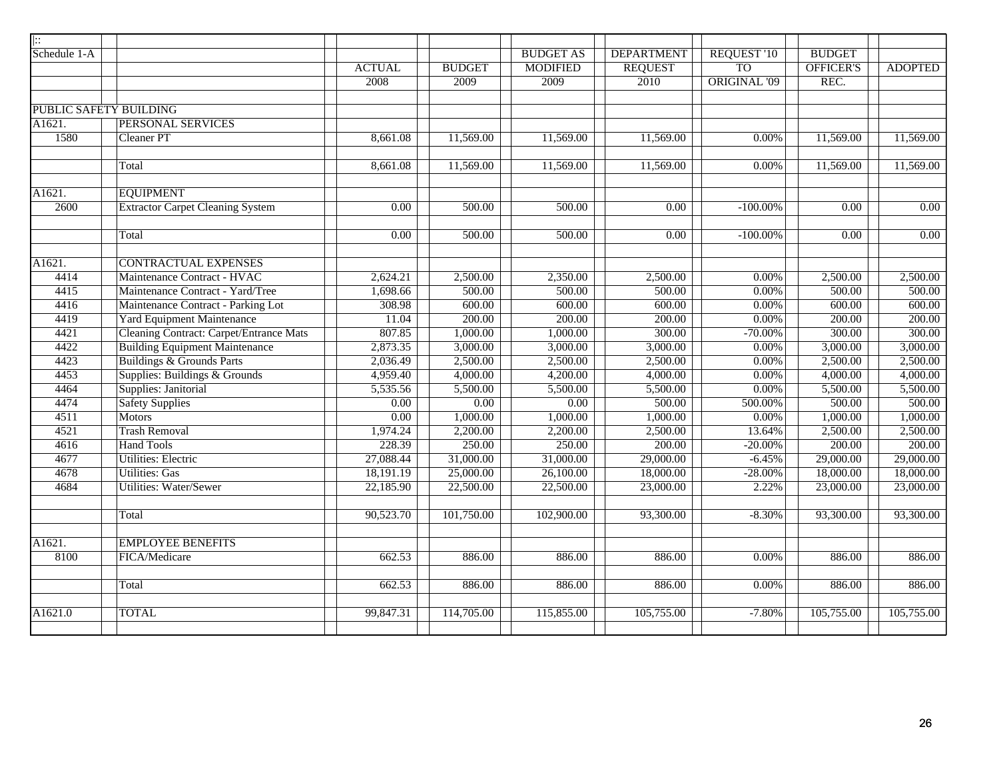| $\overline{::}$ |                                                |                   |               |                   |                   |                     |                   |                |
|-----------------|------------------------------------------------|-------------------|---------------|-------------------|-------------------|---------------------|-------------------|----------------|
| Schedule 1-A    |                                                |                   |               | <b>BUDGET AS</b>  | <b>DEPARTMENT</b> | REQUEST '10         | <b>BUDGET</b>     |                |
|                 |                                                | <b>ACTUAL</b>     | <b>BUDGET</b> | <b>MODIFIED</b>   | <b>REQUEST</b>    | <b>TO</b>           | OFFICER'S         | <b>ADOPTED</b> |
|                 |                                                | 2008              | 2009          | 2009              | 2010              | <b>ORIGINAL '09</b> | REC.              |                |
|                 |                                                |                   |               |                   |                   |                     |                   |                |
|                 | PUBLIC SAFETY BUILDING                         |                   |               |                   |                   |                     |                   |                |
| A1621.          | PERSONAL SERVICES                              |                   |               |                   |                   |                     |                   |                |
| 1580            | <b>Cleaner PT</b>                              | 8,661.08          | 11,569.00     | 11,569.00         | 11,569.00         | 0.00%               | 11,569.00         | 11,569.00      |
|                 | Total                                          | 8,661.08          | 11,569.00     | 11,569.00         | 11,569.00         | 0.00%               | 11,569.00         | 11,569.00      |
| A1621.          | <b>EQUIPMENT</b>                               |                   |               |                   |                   |                     |                   |                |
| 2600            | <b>Extractor Carpet Cleaning System</b>        | $\overline{0.00}$ | 500.00        | 500.00            | $\overline{0.00}$ | $-100.00\%$         | $\overline{0.00}$ | 0.00           |
|                 | Total                                          | 0.00              | 500.00        | 500.00            | 0.00              | $-100.00\%$         | 0.00              | $0.00\,$       |
| A1621.          | <b>CONTRACTUAL EXPENSES</b>                    |                   |               |                   |                   |                     |                   |                |
| 4414            | Maintenance Contract - HVAC                    | 2,624.21          | 2,500.00      | 2,350.00          | 2,500.00          | 0.00%               | 2,500.00          | 2,500.00       |
| 4415            | Maintenance Contract - Yard/Tree               | 1,698.66          | 500.00        | 500.00            | 500.00            | $0.00\%$            | 500.00            | 500.00         |
| 4416            | Maintenance Contract - Parking Lot             | 308.98            | 600.00        | 600.00            | 600.00            | $0.00\%$            | 600.00            | 600.00         |
| 4419            | <b>Yard Equipment Maintenance</b>              | 11.04             | 200.00        | 200.00            | 200.00            | $0.00\%$            | 200.00            | 200.00         |
| 4421            | <b>Cleaning Contract: Carpet/Entrance Mats</b> | 807.85            | 1,000.00      | 1,000.00          | 300.00            | $-70.00%$           | 300.00            | 300.00         |
| 4422            | <b>Building Equipment Maintenance</b>          | 2,873.35          | 3,000.00      | 3,000.00          | 3,000.00          | $0.00\%$            | 3,000.00          | 3,000.00       |
| 4423            | <b>Buildings &amp; Grounds Parts</b>           | 2,036.49          | 2,500.00      | 2,500.00          | 2,500.00          | 0.00%               | 2,500.00          | 2,500.00       |
| 4453            | Supplies: Buildings & Grounds                  | 4,959.40          | 4,000.00      | 4,200.00          | 4,000.00          | 0.00%               | 4,000.00          | 4,000.00       |
| 4464            | Supplies: Janitorial                           | 5,535.56          | 5,500.00      | 5,500.00          | 5,500.00          | 0.00%               | 5,500.00          | 5,500.00       |
| 4474            | <b>Safety Supplies</b>                         | $\overline{0.00}$ | 0.00          | $\overline{0.00}$ | 500.00            | 500.00%             | 500.00            | 500.00         |
| 4511            | <b>Motors</b>                                  | $\overline{0.00}$ | 1,000.00      | 1,000.00          | 1,000.00          | 0.00%               | 1,000.00          | 1,000.00       |
| 4521            | <b>Trash Removal</b>                           | 1,974.24          | 2,200.00      | 2,200.00          | 2,500.00          | 13.64%              | 2,500.00          | 2,500.00       |
| 4616            | <b>Hand Tools</b>                              | 228.39            | 250.00        | 250.00            | 200.00            | $-20.00%$           | 200.00            | 200.00         |
| 4677            | Utilities: Electric                            | 27,088.44         | 31,000.00     | 31,000.00         | 29,000.00         | $-6.45%$            | 29,000.00         | 29,000.00      |
| 4678            | <b>Utilities: Gas</b>                          | 18,191.19         | 25,000.00     | 26,100.00         | 18,000.00         | $-28.00%$           | 18,000.00         | 18,000.00      |
| 4684            | <b>Utilities: Water/Sewer</b>                  | 22,185.90         | 22,500.00     | 22,500.00         | 23,000.00         | 2.22%               | 23,000.00         | 23,000.00      |
|                 | Total                                          | 90,523.70         | 101,750.00    | 102,900.00        | 93,300.00         | $-8.30%$            | 93,300.00         | 93,300.00      |
| A1621.          | <b>EMPLOYEE BENEFITS</b>                       |                   |               |                   |                   |                     |                   |                |
| 8100            | FICA/Medicare                                  | 662.53            | 886.00        | 886.00            | 886.00            | 0.00%               | 886.00            | 886.00         |
|                 | Total                                          | 662.53            | 886.00        | 886.00            | 886.00            | 0.00%               | 886.00            | 886.00         |
| A1621.0         | <b>TOTAL</b>                                   | 99,847.31         | 114,705.00    | 115,855.00        | 105,755.00        | $-7.80%$            | 105,755.00        | 105,755.00     |
|                 |                                                |                   |               |                   |                   |                     |                   |                |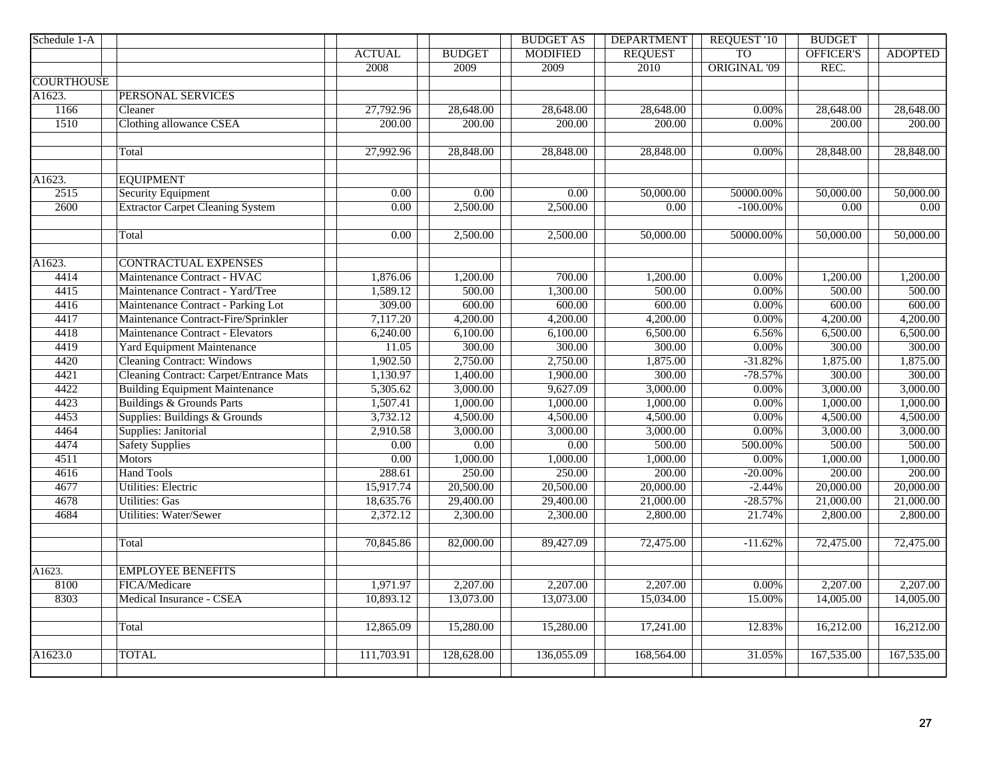| Schedule 1-A        |                                                |                   |                   | <b>BUDGET AS</b>  | <b>DEPARTMENT</b> | <b>REQUEST '10</b>  | <b>BUDGET</b> |                |
|---------------------|------------------------------------------------|-------------------|-------------------|-------------------|-------------------|---------------------|---------------|----------------|
|                     |                                                | <b>ACTUAL</b>     | <b>BUDGET</b>     | <b>MODIFIED</b>   | <b>REQUEST</b>    | T <sub>O</sub>      | OFFICER'S     | <b>ADOPTED</b> |
|                     |                                                | 2008              | 2009              | 2009              | 2010              | <b>ORIGINAL '09</b> | REC.          |                |
| <b>COURTHOUSE</b>   |                                                |                   |                   |                   |                   |                     |               |                |
| A1623.              | <b>PERSONAL SERVICES</b>                       |                   |                   |                   |                   |                     |               |                |
| 1166                | $\overline{\text{Clear}}$                      | 27,792.96         | 28,648.00         | 28,648.00         | 28,648.00         | 0.00%               | 28,648.00     | 28,648.00      |
| 1510                | Clothing allowance CSEA                        | 200.00            | 200.00            | 200.00            | 200.00            | 0.00%               | 200.00        | 200.00         |
|                     | Total                                          | 27,992.96         | 28,848.00         | 28,848.00         | 28,848.00         | 0.00%               | 28,848.00     | 28,848.00      |
|                     |                                                |                   |                   |                   |                   |                     |               |                |
| A1623.              | <b>EQUIPMENT</b>                               |                   |                   |                   |                   |                     |               |                |
| 2515                | <b>Security Equipment</b>                      | $\overline{0.00}$ | $\overline{0.00}$ | $\overline{0.00}$ | 50,000.00         | 50000.00%           | 50,000.00     | 50,000.00      |
| 2600                | <b>Extractor Carpet Cleaning System</b>        | $\overline{0.00}$ | 2,500.00          | 2,500.00          | 0.00              | $-100.00\%$         | 0.00          | $0.00\,$       |
|                     | Total                                          | 0.00              | 2,500.00          | 2,500.00          | 50,000.00         | 50000.00%           | 50,000.00     | 50,000.00      |
| $\overline{A162}3.$ | <b>CONTRACTUAL EXPENSES</b>                    |                   |                   |                   |                   |                     |               |                |
| 4414                | Maintenance Contract - HVAC                    | 1,876.06          | 1,200.00          | 700.00            | 1,200.00          | 0.00%               | 1,200.00      | 1,200.00       |
| 4415                | Maintenance Contract - Yard/Tree               | 1,589.12          | 500.00            | 1,300.00          | 500.00            | 0.00%               | 500.00        | 500.00         |
| 4416                | Maintenance Contract - Parking Lot             | 309.00            | 600.00            | 600.00            | 600.00            | 0.00%               | 600.00        | 600.00         |
| 4417                | Maintenance Contract-Fire/Sprinkler            | 7,117.20          | 4,200.00          | 4,200.00          | 4,200.00          | 0.00%               | 4,200.00      | 4,200.00       |
| 4418                | Maintenance Contract - Elevators               | 6,240.00          | 6,100.00          | 6,100.00          | 6,500.00          | 6.56%               | 6,500.00      | 6,500.00       |
| 4419                | <b>Yard Equipment Maintenance</b>              | 11.05             | 300.00            | 300.00            | 300.00            | 0.00%               | 300.00        | 300.00         |
| 4420                | <b>Cleaning Contract: Windows</b>              | 1,902.50          | 2,750.00          | 2,750.00          | 1,875.00          | $-31.82%$           | 1,875.00      | 1,875.00       |
| 4421                | <b>Cleaning Contract: Carpet/Entrance Mats</b> | 1,130.97          | 1,400.00          | 1,900.00          | 300.00            | $-78.57%$           | 300.00        | 300.00         |
| 4422                | <b>Building Equipment Maintenance</b>          | 5,305.62          | 3,000.00          | 9,627.09          | 3,000.00          | 0.00%               | 3,000.00      | 3,000.00       |
| 4423                | <b>Buildings &amp; Grounds Parts</b>           | 1,507.41          | 1,000.00          | 1,000.00          | 1,000.00          | 0.00%               | 1,000.00      | 1,000.00       |
| 4453                | Supplies: Buildings & Grounds                  | 3,732.12          | 4,500.00          | 4,500.00          | 4,500.00          | 0.00%               | 4,500.00      | 4,500.00       |
| 4464                | Supplies: Janitorial                           | 2,910.58          | 3,000.00          | 3,000.00          | 3,000.00          | 0.00%               | 3,000.00      | 3,000.00       |
| 4474                | <b>Safety Supplies</b>                         | $\overline{0.00}$ | $\overline{0.00}$ | $\overline{0.00}$ | 500.00            | 500.00%             | 500.00        | 500.00         |
| 4511                | <b>Motors</b>                                  | 0.00              | 1,000.00          | 1,000.00          | 1,000.00          | 0.00%               | 1,000.00      | 1,000.00       |
| 4616                | <b>Hand Tools</b>                              | 288.61            | 250.00            | 250.00            | 200.00            | $-20.00%$           | 200.00        | 200.00         |
| 4677                | Utilities: Electric                            | 15,917.74         | 20,500.00         | 20,500.00         | 20,000.00         | $-2.44%$            | 20,000.00     | 20,000.00      |
| 4678                | <b>Utilities: Gas</b>                          | 18,635.76         | 29,400.00         | 29,400.00         | 21,000.00         | $-28.57%$           | 21,000.00     | 21,000.00      |
| 4684                | <b>Utilities: Water/Sewer</b>                  | 2,372.12          | 2,300.00          | 2,300.00          | 2,800.00          | 21.74%              | 2,800.00      | 2,800.00       |
|                     |                                                |                   |                   |                   |                   |                     |               |                |
|                     | Total                                          | 70,845.86         | 82,000.00         | 89,427.09         | 72,475.00         | $-11.62%$           | 72,475.00     | 72,475.00      |
| A1623.              | <b>EMPLOYEE BENEFITS</b>                       |                   |                   |                   |                   |                     |               |                |
| 8100                | FICA/Medicare                                  | 1,971.97          | 2,207.00          | 2,207.00          | 2,207.00          | $0.00\%$            | 2,207.00      | 2,207.00       |
| 8303                | Medical Insurance - CSEA                       | 10,893.12         | 13,073.00         | 13,073.00         | 15,034.00         | 15.00%              | 14,005.00     | 14,005.00      |
|                     |                                                |                   |                   |                   |                   |                     |               |                |
|                     | Total                                          | 12,865.09         | 15,280.00         | 15,280.00         | 17,241.00         | 12.83%              | 16,212.00     | 16,212.00      |
| A1623.0             | <b>TOTAL</b>                                   | 111,703.91        | 128,628.00        | 136,055.09        | 168,564.00        | 31.05%              | 167,535.00    | 167,535.00     |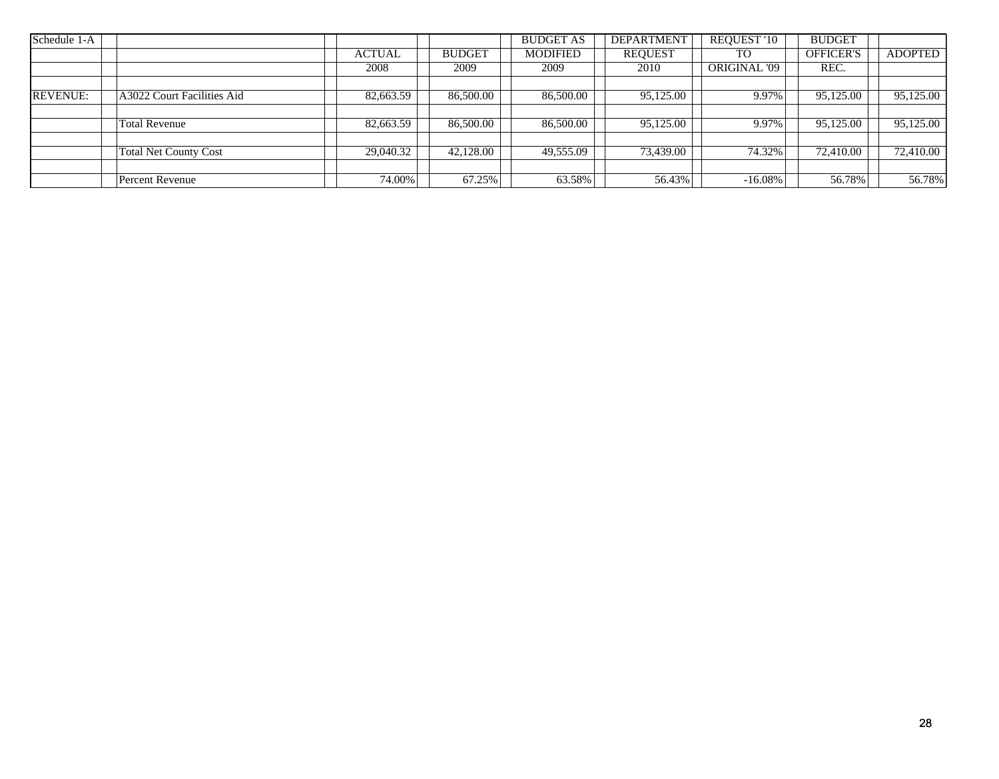| Schedule 1-A    |                              |               |               | <b>BUDGET AS</b> | <b>DEPARTMENT</b> | <b>REQUEST '10</b> | <b>BUDGET</b>    |                |
|-----------------|------------------------------|---------------|---------------|------------------|-------------------|--------------------|------------------|----------------|
|                 |                              | <b>ACTUAL</b> | <b>BUDGET</b> | <b>MODIFIED</b>  | <b>REQUEST</b>    | TO                 | <b>OFFICER'S</b> | <b>ADOPTED</b> |
|                 |                              | 2008          | 2009          | 2009             | 2010              | ORIGINAL '09       | REC.             |                |
|                 |                              |               |               |                  |                   |                    |                  |                |
| <b>REVENUE:</b> | A3022 Court Facilities Aid   | 82,663.59     | 86,500.00     | 86,500.00        | 95,125.00         | 9.97%              | 95,125.00        | 95,125.00      |
|                 |                              |               |               |                  |                   |                    |                  |                |
|                 | <b>Total Revenue</b>         | 82,663.59     | 86,500.00     | 86,500.00        | 95,125.00         | 9.97%              | 95,125.00        | 95,125.00      |
|                 |                              |               |               |                  |                   |                    |                  |                |
|                 | <b>Total Net County Cost</b> | 29,040.32     | 42,128.00     | 49,555.09        | 73,439.00         | 74.32%             | 72,410.00        | 72,410.00      |
|                 |                              |               |               |                  |                   |                    |                  |                |
|                 | Percent Revenue              | 74.00%        | 67.25%        | 63.58%           | 56.43%            | $-16.08\%$         | 56.78%           | 56.78%         |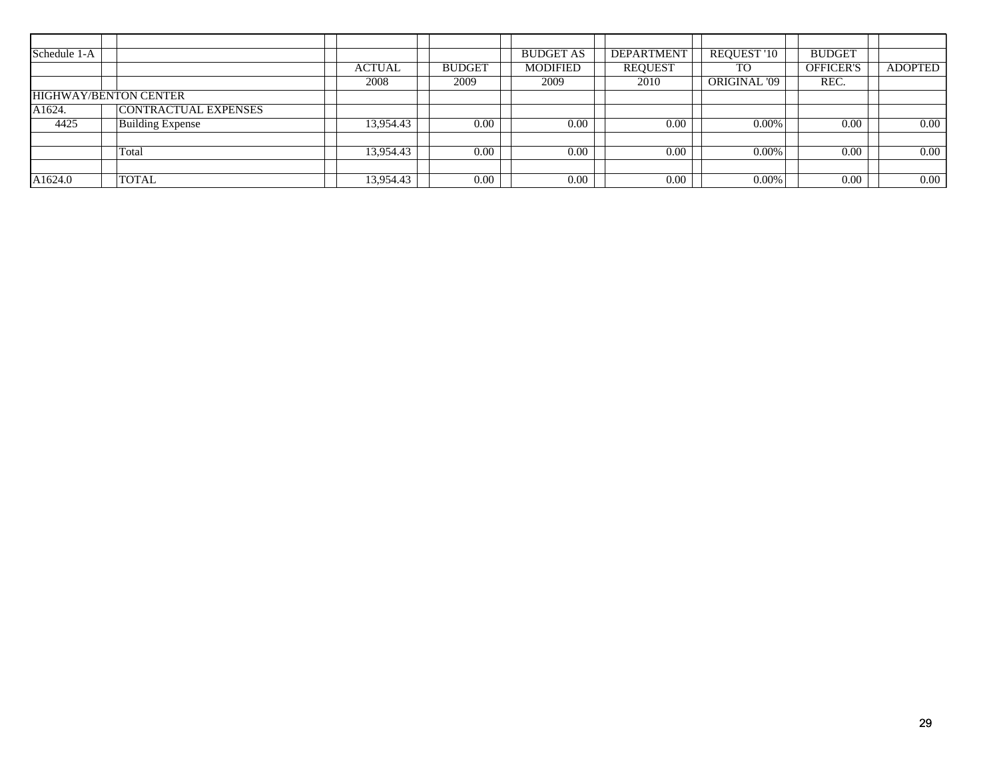| Schedule 1-A        |                             |               |               | <b>BUDGET AS</b> | <b>DEPARTMENT</b> | <b>REQUEST '10</b> | <b>BUDGET</b>    |                |
|---------------------|-----------------------------|---------------|---------------|------------------|-------------------|--------------------|------------------|----------------|
|                     |                             | <b>ACTUAL</b> | <b>BUDGET</b> | <b>MODIFIED</b>  | <b>REQUEST</b>    | <b>TO</b>          | <b>OFFICER'S</b> | <b>ADOPTED</b> |
|                     |                             | 2008          | 2009          | 2009             | 2010              | ORIGINAL '09       | REC.             |                |
|                     | HIGHWAY/BENTON CENTER       |               |               |                  |                   |                    |                  |                |
| A <sub>1624</sub> . | <b>CONTRACTUAL EXPENSES</b> |               |               |                  |                   |                    |                  |                |
| 4425                | <b>Building Expense</b>     | 13,954.43     | 0.00          | 0.00             | 0.00              | $0.00\%$           | 0.00             | $0.00\,$       |
|                     |                             |               |               |                  |                   |                    |                  |                |
|                     | Total                       | 13,954.43     | 0.00          | 0.00             | 0.00              | $0.00\%$           | 0.00             | $0.00\,$       |
|                     |                             |               |               |                  |                   |                    |                  |                |
| A1624.0             | <b>TOTAL</b>                | 13,954.43     | 0.00          | 0.00             | 0.00              | 0.00%              | 0.00             | $0.00\,$       |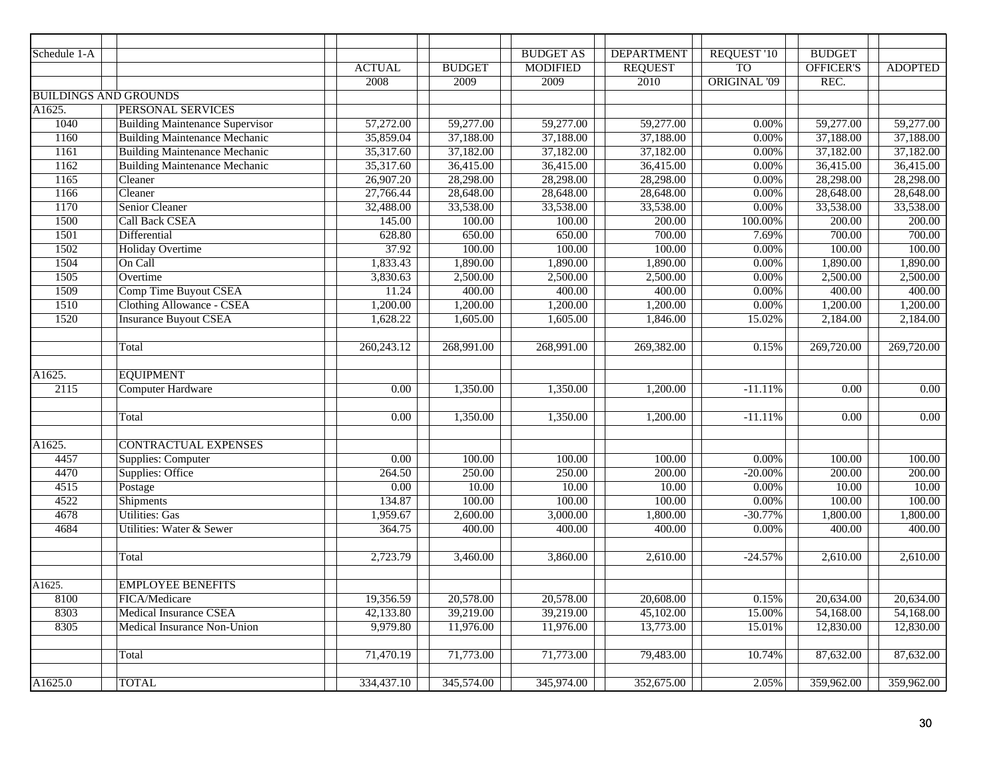| Schedule 1-A        |                                        |                   |               | <b>BUDGET AS</b> | <b>DEPARTMENT</b> | <b>REQUEST '10</b>  | <b>BUDGET</b>           |                   |
|---------------------|----------------------------------------|-------------------|---------------|------------------|-------------------|---------------------|-------------------------|-------------------|
|                     |                                        | <b>ACTUAL</b>     | <b>BUDGET</b> | <b>MODIFIED</b>  | <b>REQUEST</b>    | <b>TO</b>           | <b>OFFICER'S</b>        | <b>ADOPTED</b>    |
|                     |                                        | 2008              | 2009          | 2009             | 2010              | <b>ORIGINAL '09</b> | REC.                    |                   |
|                     | <b>BUILDINGS AND GROUNDS</b>           |                   |               |                  |                   |                     |                         |                   |
| A1625.              | PERSONAL SERVICES                      |                   |               |                  |                   |                     |                         |                   |
| 1040                | <b>Building Maintenance Supervisor</b> | 57,272.00         | 59,277.00     | 59,277.00        | 59,277.00         | 0.00%               | 59,277.00               | 59,277.00         |
| 1160                | <b>Building Maintenance Mechanic</b>   | 35,859.04         | 37,188.00     | 37,188.00        | 37,188.00         | 0.00%               | 37,188.00               | 37,188.00         |
| 1161                | <b>Building Maintenance Mechanic</b>   | 35,317.60         | 37,182.00     | 37,182.00        | 37,182.00         | 0.00%               | 37,182.00               | 37,182.00         |
| 1162                | <b>Building Maintenance Mechanic</b>   | 35,317.60         | 36,415.00     | 36,415.00        | 36,415.00         | 0.00%               | 36,415.00               | 36,415.00         |
| 1165                | Cleaner                                | 26,907.20         | 28,298.00     | 28,298.00        | 28,298.00         | 0.00%               | 28,298.00               | 28,298.00         |
| 1166                | Cleaner                                | 27,766.44         | 28,648.00     | 28,648.00        | 28,648.00         | 0.00%               | 28,648.00               | 28,648.00         |
| 1170                | Senior Cleaner                         | 32,488.00         | 33,538.00     | 33,538.00        | 33,538.00         | 0.00%               | 33,538.00               | 33,538.00         |
| 1500                | <b>Call Back CSEA</b>                  | 145.00            | 100.00        | 100.00           | 200.00            | 100.00%             | 200.00                  | 200.00            |
| 1501                | Differential                           | 628.80            | 650.00        | 650.00           | 700.00            | 7.69%               | 700.00                  | 700.00            |
| 1502                | <b>Holiday Overtime</b>                | 37.92             | 100.00        | 100.00           | 100.00            | 0.00%               | 100.00                  | 100.00            |
| 1504                | On Call                                | 1,833.43          | 1,890.00      | 1,890.00         | 1,890.00          | 0.00%               | 1,890.00                | 1,890.00          |
| 1505                | Overtime                               | 3,830.63          | 2,500.00      | 2,500.00         | 2,500.00          | 0.00%               | 2,500.00                | 2,500.00          |
| 1509                | <b>Comp Time Buyout CSEA</b>           | 11.24             | 400.00        | 400.00           | 400.00            | 0.00%               | 400.00                  | 400.00            |
| 1510                | <b>Clothing Allowance - CSEA</b>       | 1,200.00          | 1,200.00      | 1,200.00         | 1,200.00          | 0.00%               | 1,200.00                | 1,200.00          |
| 1520                | <b>Insurance Buyout CSEA</b>           | 1,628.22          | 1,605.00      | 1,605.00         | 1,846.00          | 15.02%              | 2,184.00                | 2,184.00          |
|                     |                                        |                   |               |                  |                   |                     |                         |                   |
|                     | Total                                  | 260,243.12        | 268,991.00    | 268,991.00       | 269,382.00        | 0.15%               | $\overline{269,720.00}$ | 269,720.00        |
|                     |                                        |                   |               |                  |                   |                     |                         |                   |
| A1625.              | <b>EQUIPMENT</b>                       |                   |               |                  |                   |                     |                         |                   |
| 2115                | <b>Computer Hardware</b>               | 0.00              | 1,350.00      | 1,350.00         | 1,200.00          | $-11.11%$           | 0.00                    | $\overline{0.00}$ |
|                     |                                        |                   |               |                  |                   |                     |                         |                   |
|                     | Total                                  | 0.00              | 1,350.00      | 1,350.00         | 1,200.00          | $-11.11%$           | 0.00                    | $\overline{0.00}$ |
|                     |                                        |                   |               |                  |                   |                     |                         |                   |
| A1625.              | <b>CONTRACTUAL EXPENSES</b>            |                   |               |                  |                   |                     |                         |                   |
| 4457                | <b>Supplies: Computer</b>              | $\overline{0.00}$ | 100.00        | 100.00           | 100.00            | 0.00%               | 100.00                  | 100.00            |
| 4470                | Supplies: Office                       | 264.50            | 250.00        | 250.00           | 200.00            | $-20.00%$           | 200.00                  | 200.00            |
| 4515                | Postage                                | 0.00              | 10.00         | 10.00            | 10.00             | 0.00%               | 10.00                   | 10.00             |
| 4522                | <b>Shipments</b>                       | 134.87            | 100.00        | 100.00           | 100.00            | 0.00%               | 100.00                  | 100.00            |
| 4678                | <b>Utilities: Gas</b>                  | 1,959.67          | 2,600.00      | 3,000.00         | 1,800.00          | $-30.77%$           | 1,800.00                | 1,800.00          |
| 4684                | Utilities: Water & Sewer               | 364.75            | 400.00        | 400.00           | 400.00            | 0.00%               | 400.00                  | 400.00            |
|                     |                                        |                   |               |                  |                   |                     |                         |                   |
|                     | Total                                  | 2,723.79          | 3,460.00      | 3,860.00         | 2,610.00          | $-24.57%$           | 2,610.00                | 2,610.00          |
|                     |                                        |                   |               |                  |                   |                     |                         |                   |
| A <sub>1625</sub> . | <b>EMPLOYEE BENEFITS</b>               |                   |               |                  |                   |                     |                         |                   |
| 8100                | FICA/Medicare                          | 19,356.59         | 20,578.00     | 20,578.00        | 20,608.00         | 0.15%               | 20,634.00               | 20,634.00         |
| 8303                | <b>Medical Insurance CSEA</b>          | 42,133.80         | 39,219.00     | 39,219.00        | 45,102.00         | 15.00%              | 54,168.00               | 54,168.00         |
| 8305                | Medical Insurance Non-Union            | 9,979.80          | 11,976.00     | 11,976.00        | 13,773.00         | 15.01%              | 12,830.00               | 12,830.00         |
|                     |                                        |                   |               |                  |                   |                     |                         |                   |
|                     | Total                                  | 71,470.19         | 71,773.00     | 71,773.00        | 79,483.00         | 10.74%              | 87,632.00               | 87,632.00         |
|                     |                                        |                   |               |                  |                   |                     |                         |                   |
| A1625.0             | <b>TOTAL</b>                           | 334,437.10        | 345,574.00    | 345,974.00       | 352,675.00        | 2.05%               | 359,962.00              | 359,962.00        |
|                     |                                        |                   |               |                  |                   |                     |                         |                   |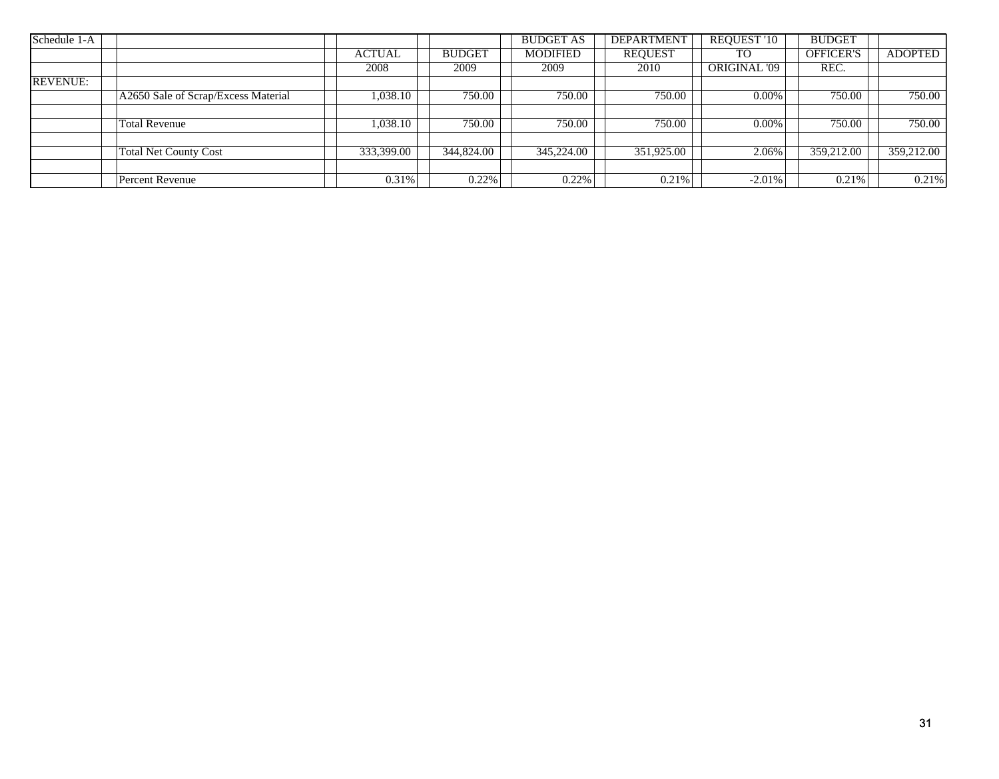| Schedule 1-A    |                                     |               |               | <b>BUDGET AS</b> | <b>DEPARTMENT</b> | <b>REQUEST '10</b> | <b>BUDGET</b>    |                |
|-----------------|-------------------------------------|---------------|---------------|------------------|-------------------|--------------------|------------------|----------------|
|                 |                                     | <b>ACTUAL</b> | <b>BUDGET</b> | <b>MODIFIED</b>  | <b>REQUEST</b>    | <b>TO</b>          | <b>OFFICER'S</b> | <b>ADOPTED</b> |
|                 |                                     | 2008          | 2009          | 2009             | 2010              | ORIGINAL '09       | REC.             |                |
| <b>REVENUE:</b> |                                     |               |               |                  |                   |                    |                  |                |
|                 | A2650 Sale of Scrap/Excess Material | 1,038.10      | 750.00        | 750.00           | 750.00            | 0.00%              | 750.00           | 750.00         |
|                 |                                     |               |               |                  |                   |                    |                  |                |
|                 | <b>Total Revenue</b>                | 1,038.10      | 750.00        | 750.00           | 750.00            | $0.00\%$           | 750.00           | 750.00         |
|                 |                                     |               |               |                  |                   |                    |                  |                |
|                 | <b>Total Net County Cost</b>        | 333,399.00    | 344,824.00    | 345,224.00       | 351,925.00        | 2.06%              | 359,212.00       | 359,212.00     |
|                 |                                     |               |               |                  |                   |                    |                  |                |
|                 | <b>Percent Revenue</b>              | 0.31%         | 0.22%         | 0.22%            | 0.21%             | $-2.01\%$          | 0.21%            | 0.21%          |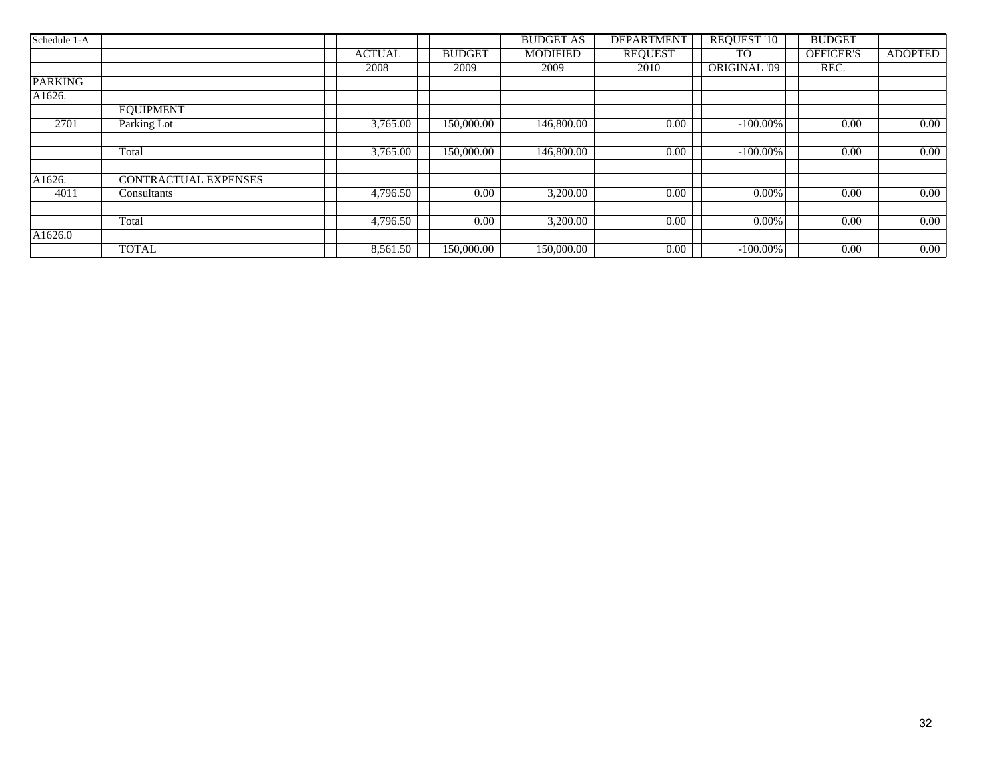| Schedule 1-A   |                             |               |               | <b>BUDGET AS</b> | <b>DEPARTMENT</b> | <b>REQUEST '10</b>  | <b>BUDGET</b>    |                |
|----------------|-----------------------------|---------------|---------------|------------------|-------------------|---------------------|------------------|----------------|
|                |                             | <b>ACTUAL</b> | <b>BUDGET</b> | <b>MODIFIED</b>  | <b>REQUEST</b>    | TO.                 | <b>OFFICER'S</b> | <b>ADOPTED</b> |
|                |                             | 2008          | 2009          | 2009             | 2010              | <b>ORIGINAL '09</b> | REC.             |                |
| <b>PARKING</b> |                             |               |               |                  |                   |                     |                  |                |
| A1626.         |                             |               |               |                  |                   |                     |                  |                |
|                | <b>EQUIPMENT</b>            |               |               |                  |                   |                     |                  |                |
| 2701           | Parking Lot                 | 3,765.00      | 150,000.00    | 146,800.00       | 0.00              | $-100.00\%$         | 0.00             | 0.00           |
|                |                             |               |               |                  |                   |                     |                  |                |
|                | Total                       | 3,765.00      | 150,000.00    | 146,800.00       | 0.00              | $-100.00\%$         | 0.00             | 0.00           |
| A1626.         | <b>CONTRACTUAL EXPENSES</b> |               |               |                  |                   |                     |                  |                |
| 4011           | Consultants                 | 4,796.50      | 0.00          | 3,200.00         | 0.00              | $0.00\%$            | 0.00             | 0.00           |
|                |                             |               |               |                  |                   |                     |                  |                |
|                | Total                       | 4,796.50      | 0.00          | 3,200.00         | 0.00              | 0.00%               | 0.00             | 0.00           |
| A1626.0        |                             |               |               |                  |                   |                     |                  |                |
|                | <b>TOTAL</b>                | 8,561.50      | 150,000.00    | 150,000.00       | 0.00              | $-100.00\%$         | 0.00             | 0.00           |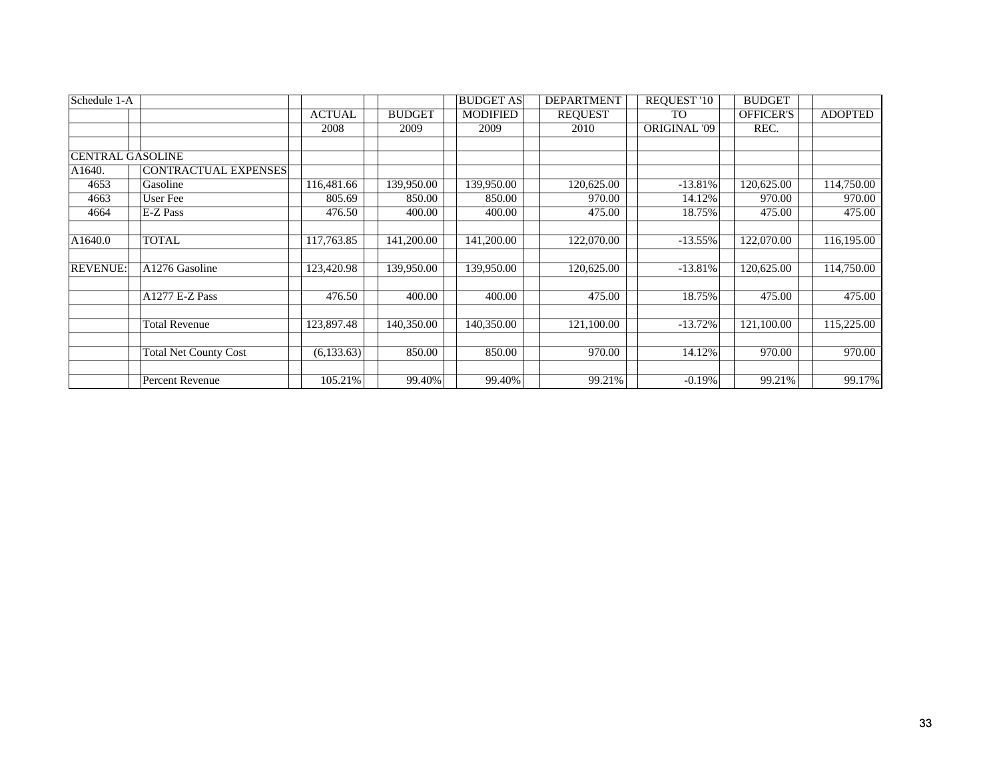| Schedule 1-A            |                              |               |               | <b>BUDGET AS</b> | <b>DEPARTMENT</b> | REQUEST '10  | <b>BUDGET</b>    |                     |
|-------------------------|------------------------------|---------------|---------------|------------------|-------------------|--------------|------------------|---------------------|
|                         |                              | <b>ACTUAL</b> | <b>BUDGET</b> | <b>MODIFIED</b>  | <b>REQUEST</b>    | <b>TO</b>    | <b>OFFICER'S</b> | <b>ADOPTED</b>      |
|                         |                              | 2008          | 2009          | 2009             | 2010              | ORIGINAL '09 | REC.             |                     |
|                         |                              |               |               |                  |                   |              |                  |                     |
| <b>CENTRAL GASOLINE</b> |                              |               |               |                  |                   |              |                  |                     |
| A1640.                  | <b>CONTRACTUAL EXPENSES</b>  |               |               |                  |                   |              |                  |                     |
| 4653                    | Gasoline                     | 116,481.66    | 139,950.00    | 139,950.00       | 120,625.00        | $-13.81\%$   | 120,625.00       | 114,750.00          |
| 4663                    | User Fee                     | 805.69        | 850.00        | 850.00           | 970.00            | 14.12%       | 970.00           | 970.00              |
| 4664                    | E-Z Pass                     | 476.50        | 400.00        | 400.00           | 475.00            | 18.75%       | 475.00           | 475.00              |
|                         |                              |               |               |                  |                   |              |                  |                     |
| A1640.0                 | TOTAL                        | 117,763.85    | 141,200.00    | 141,200.00       | 122,070.00        | $-13.55%$    | 122,070.00       | 116,195.00          |
| <b>REVENUE:</b>         | A1276 Gasoline               | 123,420.98    | 139,950.00    | 139,950.00       | 120,625.00        | $-13.81\%$   | 120,625.00       | 114,750.00          |
|                         | A1277 E-Z Pass               | 476.50        | 400.00        | 400.00           | 475.00            | 18.75%       | 475.00           | $\overline{475.00}$ |
|                         |                              |               |               |                  |                   |              |                  |                     |
|                         | <b>Total Revenue</b>         | 123,897.48    | 140,350.00    | 140,350.00       | 121,100.00        | $-13.72%$    | 121,100.00       | 115,225.00          |
|                         |                              | (6, 133.63)   | 850.00        | 850.00           | 970.00            | 14.12%       | 970.00           | 970.00              |
|                         | <b>Total Net County Cost</b> |               |               |                  |                   |              |                  |                     |
|                         | Percent Revenue              | 105.21%       | 99.40%        | 99.40%           | 99.21%            | $-0.19%$     | 99.21%           | 99.17%              |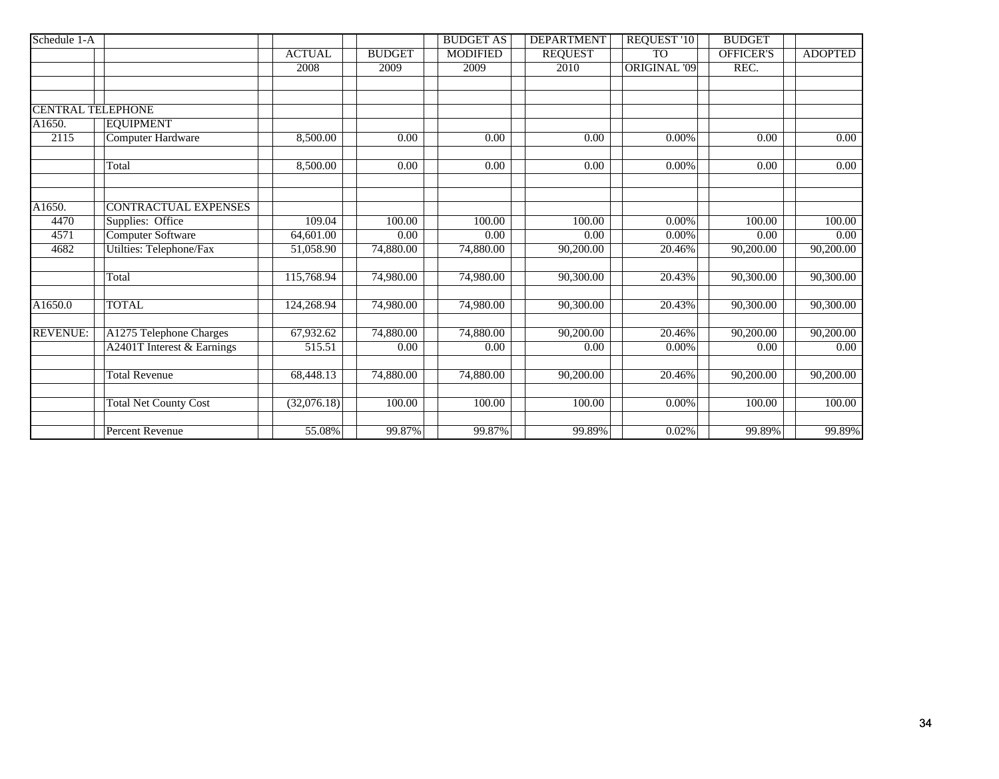| Schedule 1-A             |                              |               |               | <b>BUDGET AS</b> | <b>DEPARTMENT</b> | <b>REQUEST '10</b>  | <b>BUDGET</b>    |                   |
|--------------------------|------------------------------|---------------|---------------|------------------|-------------------|---------------------|------------------|-------------------|
|                          |                              | <b>ACTUAL</b> | <b>BUDGET</b> | <b>MODIFIED</b>  | <b>REQUEST</b>    | <b>TO</b>           | <b>OFFICER'S</b> | <b>ADOPTED</b>    |
|                          |                              | 2008          | 2009          | 2009             | 2010              | <b>ORIGINAL '09</b> | REC.             |                   |
|                          |                              |               |               |                  |                   |                     |                  |                   |
|                          |                              |               |               |                  |                   |                     |                  |                   |
| <b>CENTRAL TELEPHONE</b> |                              |               |               |                  |                   |                     |                  |                   |
| A1650.                   | <b>EQUIPMENT</b>             |               |               |                  |                   |                     |                  |                   |
| 2115                     | <b>Computer Hardware</b>     | 8,500.00      | 0.00          | 0.00             | 0.00              | 0.00%               | 0.00             | $\overline{0.00}$ |
|                          | Total                        | 8,500.00      | 0.00          | 0.00             | 0.00              | 0.00%               | 0.00             | 0.00              |
|                          |                              |               |               |                  |                   |                     |                  |                   |
| A1650.                   | <b>CONTRACTUAL EXPENSES</b>  |               |               |                  |                   |                     |                  |                   |
| 4470                     | Supplies: Office             | 109.04        | 100.00        | 100.00           | 100.00            | 0.00%               | 100.00           | 100.00            |
| 4571                     | Computer Software            | 64,601.00     | 0.00          | 0.00             | 0.00              | 0.00%               | 0.00             | 0.00              |
| 4682                     | Utilties: Telephone/Fax      | 51,058.90     | 74,880.00     | 74,880.00        | 90,200.00         | 20.46%              | 90,200.00        | 90,200.00         |
|                          | Total                        | 115,768.94    | 74,980.00     | 74,980.00        | 90,300.00         | 20.43%              | 90,300.00        | 90,300.00         |
| A1650.0                  | <b>TOTAL</b>                 | 124,268.94    | 74,980.00     | 74,980.00        | 90,300.00         | 20.43%              | 90,300.00        | 90,300.00         |
| <b>REVENUE:</b>          | A1275 Telephone Charges      | 67,932.62     | 74,880.00     | 74,880.00        | 90,200.00         | 20.46%              | 90,200.00        | 90,200.00         |
|                          | A2401T Interest & Earnings   | 515.51        | 0.00          | 0.00             | 0.00              | 0.00%               | 0.00             | 0.00              |
|                          | <b>Total Revenue</b>         | 68,448.13     | 74,880.00     | 74,880.00        | 90,200.00         | 20.46%              | 90,200.00        | 90,200.00         |
|                          | <b>Total Net County Cost</b> | (32,076.18)   | 100.00        | 100.00           | 100.00            | 0.00%               | 100.00           | 100.00            |
|                          | Percent Revenue              | 55.08%        | 99.87%        | 99.87%           | 99.89%            | 0.02%               | 99.89%           | 99.89%            |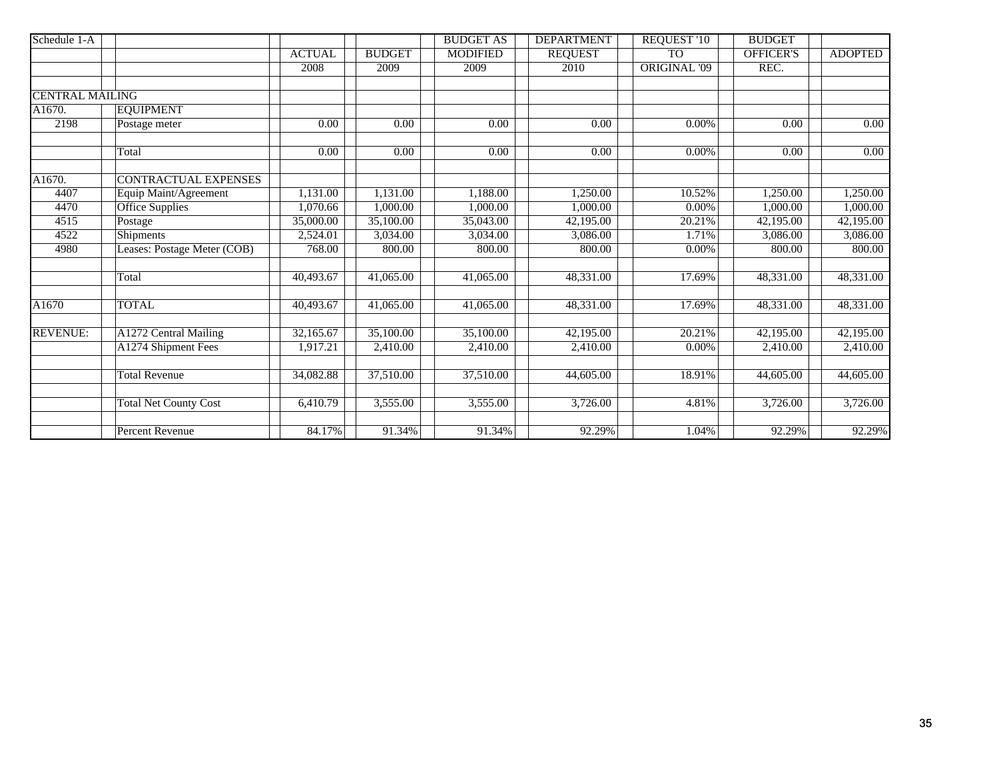| Schedule 1-A           |                              |                   |                   | <b>BUDGET AS</b>  | <b>DEPARTMENT</b> | <b>REQUEST '10</b>  | <b>BUDGET</b>    |                   |
|------------------------|------------------------------|-------------------|-------------------|-------------------|-------------------|---------------------|------------------|-------------------|
|                        |                              | <b>ACTUAL</b>     | <b>BUDGET</b>     | <b>MODIFIED</b>   | <b>REQUEST</b>    | <b>TO</b>           | <b>OFFICER'S</b> | <b>ADOPTED</b>    |
|                        |                              | 2008              | 2009              | 2009              | 2010              | <b>ORIGINAL '09</b> | REC.             |                   |
|                        |                              |                   |                   |                   |                   |                     |                  |                   |
| <b>CENTRAL MAILING</b> |                              |                   |                   |                   |                   |                     |                  |                   |
| A1670.                 | <b>EQUIPMENT</b>             |                   |                   |                   |                   |                     |                  |                   |
| 2198                   | Postage meter                | 0.00              | 0.00              | 0.00              | 0.00              | 0.00%               | 0.00             | $\overline{0.00}$ |
|                        | Total                        | $\overline{0.00}$ | $\overline{0.00}$ | $\overline{0.00}$ | $\overline{0.00}$ | $0.00\%$            | 0.00             | $\overline{0.00}$ |
| A1670.                 | <b>CONTRACTUAL EXPENSES</b>  |                   |                   |                   |                   |                     |                  |                   |
| 4407                   | Equip Maint/Agreement        | 1,131.00          | 1,131.00          | 1,188.00          | 1,250.00          | 10.52%              | 1,250.00         | 1,250.00          |
| 4470                   | <b>Office Supplies</b>       | 1,070.66          | 1,000.00          | 1,000.00          | 1,000.00          | $0.00\%$            | 1,000.00         | 1,000.00          |
| 4515                   | Postage                      | 35,000.00         | 35,100.00         | 35,043.00         | 42,195.00         | 20.21%              | 42,195.00        | 42,195.00         |
| 4522                   | Shipments                    | 2,524.01          | 3,034.00          | 3,034.00          | 3,086.00          | 1.71%               | 3,086.00         | 3,086.00          |
| 4980                   | Leases: Postage Meter (COB)  | 768.00            | 800.00            | 800.00            | 800.00            | 0.00%               | 800.00           | 800.00            |
|                        | Total                        | 40,493.67         | 41,065.00         | 41,065.00         | 48,331.00         | 17.69%              | 48,331.00        | 48,331.00         |
| A1670                  | <b>TOTAL</b>                 | 40,493.67         | 41,065.00         | 41,065.00         | 48,331.00         | 17.69%              | 48,331.00        | 48,331.00         |
| <b>REVENUE:</b>        | A1272 Central Mailing        | 32,165.67         | 35,100.00         | 35,100.00         | 42,195.00         | 20.21%              | 42,195.00        | 42,195.00         |
|                        | A1274 Shipment Fees          | 1,917.21          | 2,410.00          | 2,410.00          | 2,410.00          | $0.00\%$            | 2,410.00         | 2,410.00          |
|                        | <b>Total Revenue</b>         | 34,082.88         | 37,510.00         | 37,510.00         | 44,605.00         | 18.91%              | 44,605.00        | 44,605.00         |
|                        | <b>Total Net County Cost</b> | 6,410.79          | 3,555.00          | 3,555.00          | 3,726.00          | 4.81%               | 3,726.00         | 3,726.00          |
|                        | <b>Percent Revenue</b>       | 84.17%            | 91.34%            | 91.34%            | 92.29%            | 1.04%               | 92.29%           | 92.29%            |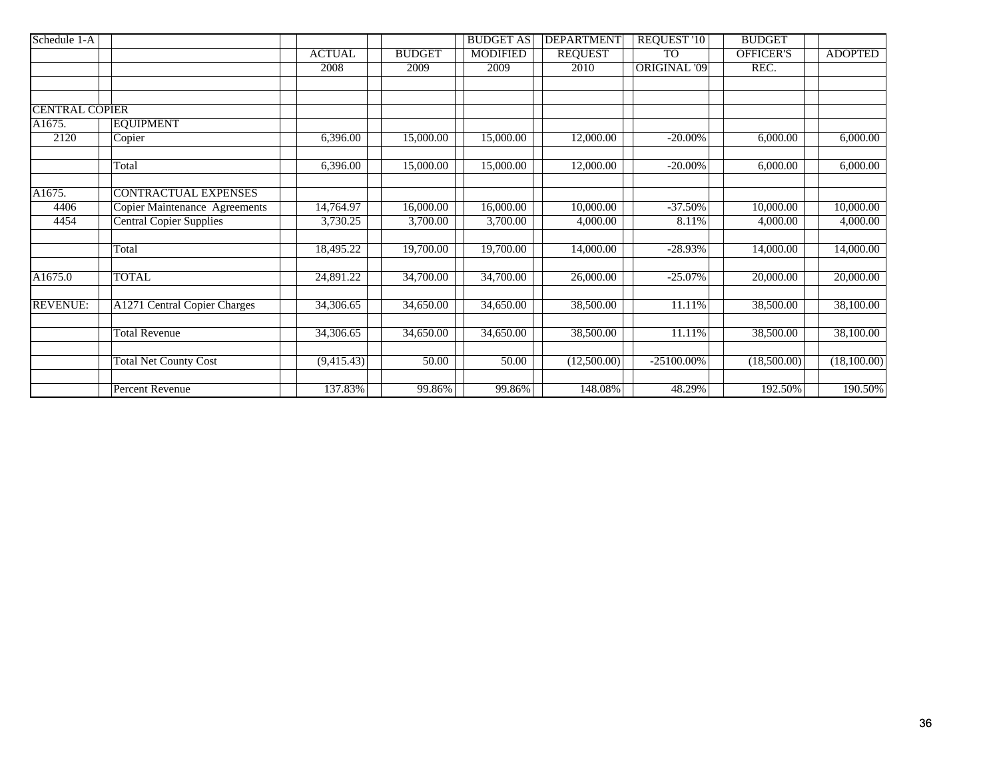| Schedule 1-A          |                                |               |                        | <b>BUDGET AS</b> | <b>DEPARTMENT</b> | REQUEST '10         | <b>BUDGET</b>    |                |
|-----------------------|--------------------------------|---------------|------------------------|------------------|-------------------|---------------------|------------------|----------------|
|                       |                                | <b>ACTUAL</b> | <b>BUDGET</b>          | <b>MODIFIED</b>  | <b>REQUEST</b>    | <b>TO</b>           | <b>OFFICER'S</b> | <b>ADOPTED</b> |
|                       |                                | 2008          | 2009                   | 2009             | 2010              | <b>ORIGINAL '09</b> | REC.             |                |
|                       |                                |               |                        |                  |                   |                     |                  |                |
|                       |                                |               |                        |                  |                   |                     |                  |                |
| <b>CENTRAL COPIER</b> |                                |               |                        |                  |                   |                     |                  |                |
| A1675.                | <b>EQUIPMENT</b>               |               |                        |                  |                   |                     |                  |                |
| 2120                  | Copier                         | 6,396.00      | 15,000.00              | 15,000.00        | 12,000.00         | $-20.00\%$          | 6,000.00         | 6,000.00       |
|                       | Total                          | 6,396.00      | 15,000.00              | 15,000.00        | 12,000.00         | $-20.00\%$          | 6,000.00         | 6,000.00       |
| A1675.                | <b>CONTRACTUAL EXPENSES</b>    |               |                        |                  |                   |                     |                  |                |
| 4406                  | Copier Maintenance Agreements  | 14,764.97     | 16,000.00              | 16,000.00        | 10,000.00         | $-37.50%$           | 10,000.00        | 10,000.00      |
| 4454                  | <b>Central Copier Supplies</b> | 3,730.25      | 3,700.00               | 3,700.00         | 4,000.00          | 8.11%               | 4,000.00         | 4,000.00       |
|                       | Total                          | 18,495.22     | 19,700.00              | 19,700.00        | 14,000.00         | $-28.93%$           | 14,000.00        | 14,000.00      |
| A1675.0               | <b>TOTAL</b>                   | 24,891.22     | 34,700.00              | 34,700.00        | 26,000.00         | $-25.07%$           | 20,000.00        | 20,000.00      |
| <b>REVENUE:</b>       | A1271 Central Copier Charges   | 34,306.65     | 34,650.00              | 34,650.00        | 38,500.00         | 11.11%              | 38,500.00        | 38,100.00      |
|                       | <b>Total Revenue</b>           | 34,306.65     | $\overline{34,650.00}$ | 34,650.00        | 38,500.00         | 11.11%              | 38,500.00        | 38,100.00      |
|                       | <b>Total Net County Cost</b>   | (9,415.43)    | 50.00                  | 50.00            | (12,500.00)       | $-25100.00\%$       | (18,500.00)      | (18,100.00)    |
|                       | Percent Revenue                | 137.83%       | 99.86%                 | 99.86%           | 148.08%           | 48.29%              | 192.50%          | 190.50%        |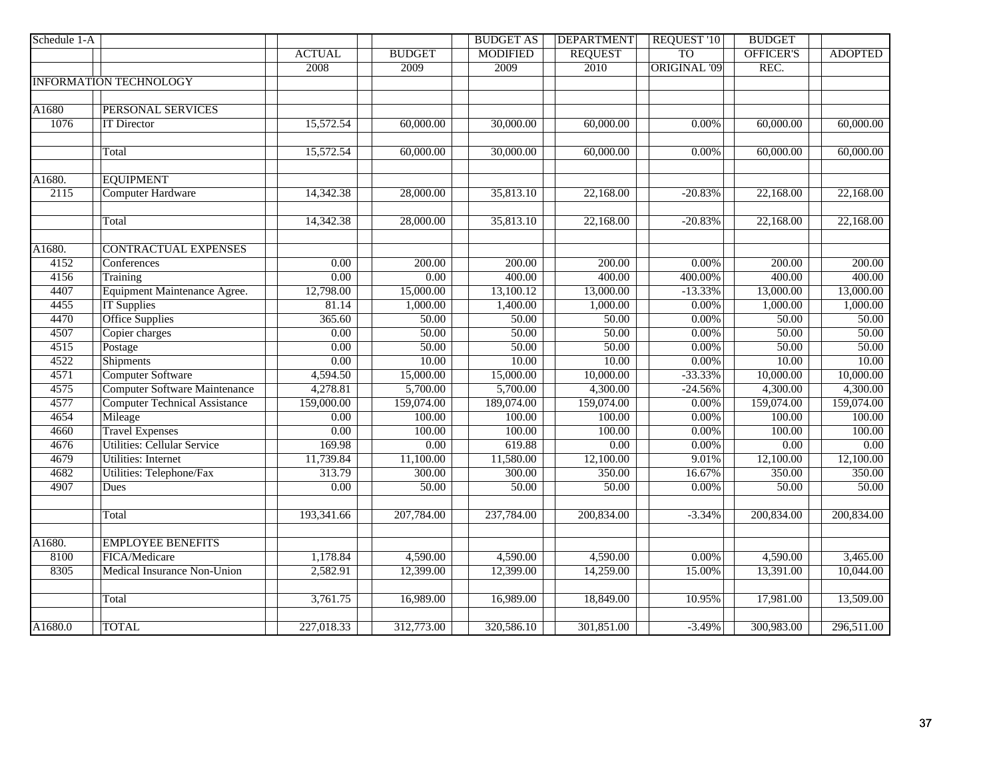| Schedule 1-A |                                      |                   |               | <b>BUDGET AS</b> | <b>DEPARTMENT</b> | <b>REQUEST '10</b>  | <b>BUDGET</b>           |                   |
|--------------|--------------------------------------|-------------------|---------------|------------------|-------------------|---------------------|-------------------------|-------------------|
|              |                                      | <b>ACTUAL</b>     | <b>BUDGET</b> | <b>MODIFIED</b>  | <b>REQUEST</b>    | T <sub>O</sub>      | <b>OFFICER'S</b>        | <b>ADOPTED</b>    |
|              |                                      | 2008              | 2009          | 2009             | 2010              | <b>ORIGINAL '09</b> | REC.                    |                   |
|              | <b>INFORMATION TECHNOLOGY</b>        |                   |               |                  |                   |                     |                         |                   |
|              |                                      |                   |               |                  |                   |                     |                         |                   |
| A1680        | <b>PERSONAL SERVICES</b>             |                   |               |                  |                   |                     |                         |                   |
| 1076         | <b>IT Director</b>                   | 15,572.54         | 60,000.00     | 30,000.00        | 60,000.00         | 0.00%               | 60,000.00               | 60,000.00         |
|              |                                      |                   |               |                  |                   |                     |                         |                   |
|              | Total                                | 15,572.54         | 60,000.00     | 30,000.00        | 60,000.00         | 0.00%               | 60,000.00               | 60,000.00         |
|              |                                      |                   |               |                  |                   |                     |                         |                   |
| A1680.       | <b>EQUIPMENT</b>                     |                   |               |                  |                   |                     |                         |                   |
| 2115         | <b>Computer Hardware</b>             | 14,342.38         | 28,000.00     | 35,813.10        | 22,168.00         | $-20.83%$           | 22,168.00               | 22,168.00         |
|              |                                      |                   |               |                  |                   |                     |                         |                   |
|              | Total                                | 14,342.38         | 28,000.00     | 35,813.10        | 22,168.00         | $-20.83%$           | 22,168.00               | 22,168.00         |
| A1680.       | <b>CONTRACTUAL EXPENSES</b>          |                   |               |                  |                   |                     |                         |                   |
| 4152         | Conferences                          | 0.00              | 200.00        | 200.00           | 200.00            | $0.00\%$            | 200.00                  | 200.00            |
| 4156         | Training                             | 0.00              | 0.00          | 400.00           | 400.00            | 400.00%             | 400.00                  | 400.00            |
| 4407         | Equipment Maintenance Agree.         | 12,798.00         | 15,000.00     | 13,100.12        | 13,000.00         | $-13.33%$           | 13,000.00               | 13,000.00         |
| 4455         | <b>IT Supplies</b>                   | 81.14             | 1,000.00      | 1,400.00         | 1,000.00          | 0.00%               | 1,000.00                | 1,000.00          |
| 4470         | <b>Office Supplies</b>               | 365.60            | 50.00         | 50.00            | 50.00             | 0.00%               | 50.00                   | 50.00             |
| 4507         | Copier charges                       | 0.00              | 50.00         | 50.00            | 50.00             | 0.00%               | 50.00                   | 50.00             |
| 4515         | Postage                              | 0.00              | 50.00         | 50.00            | 50.00             | 0.00%               | 50.00                   | 50.00             |
| 4522         | <b>Shipments</b>                     | 0.00              | 10.00         | 10.00            | 10.00             | 0.00%               | 10.00                   | 10.00             |
| 4571         | <b>Computer Software</b>             | 4,594.50          | 15,000.00     | 15,000.00        | 10,000.00         | $-33.33%$           | 10,000.00               | 10,000.00         |
| 4575         | <b>Computer Software Maintenance</b> | 4,278.81          | 5,700.00      | 5,700.00         | 4,300.00          | $-24.56%$           | 4,300.00                | 4,300.00          |
| 4577         | <b>Computer Technical Assistance</b> | 159,000.00        | 159,074.00    | 189,074.00       | 159,074.00        | 0.00%               | 159,074.00              | 159,074.00        |
| 4654         | Mileage                              | $\overline{0.00}$ | 100.00        | 100.00           | 100.00            | $0.00\%$            | 100.00                  | 100.00            |
| 4660         | <b>Travel Expenses</b>               | $\overline{0.00}$ | 100.00        | 100.00           | 100.00            | 0.00%               | 100.00                  | 100.00            |
| 4676         | <b>Utilities: Cellular Service</b>   | 169.98            | 0.00          | 619.88           | $\overline{0.00}$ | 0.00%               | 0.00                    | $\overline{0.00}$ |
| 4679         | <b>Utilities: Internet</b>           | 11,739.84         | 11,100.00     | 11,580.00        | 12,100.00         | 9.01%               | 12,100.00               | 12,100.00         |
| 4682         | <b>Utilities: Telephone/Fax</b>      | 313.79            | 300.00        | 300.00           | 350.00            | 16.67%              | 350.00                  | 350.00            |
| 4907         | Dues                                 | 0.00              | 50.00         | 50.00            | 50.00             | $0.00\%$            | 50.00                   | 50.00             |
|              |                                      |                   |               |                  |                   |                     |                         |                   |
|              | Total                                | 193,341.66        | 207,784.00    | 237,784.00       | 200,834.00        | $-3.34%$            | 200,834.00              | 200,834.00        |
| A1680.       | <b>EMPLOYEE BENEFITS</b>             |                   |               |                  |                   |                     |                         |                   |
| 8100         | FICA/Medicare                        | 1,178.84          | 4,590.00      | 4,590.00         | 4,590.00          | $0.00\%$            | 4,590.00                | 3,465.00          |
| 8305         | Medical Insurance Non-Union          | 2,582.91          | 12,399.00     | 12,399.00        | 14,259.00         | 15.00%              | 13,391.00               | 10,044.00         |
|              |                                      |                   |               |                  |                   |                     |                         |                   |
|              | Total                                | 3,761.75          | 16,989.00     | 16,989.00        | 18,849.00         | 10.95%              | 17,981.00               | 13,509.00         |
|              |                                      |                   |               |                  |                   |                     |                         |                   |
| A1680.0      | <b>TOTAL</b>                         | 227,018.33        | 312,773.00    | 320,586.10       | 301,851.00        | $-3.49%$            | $\overline{300,983.00}$ | 296,511.00        |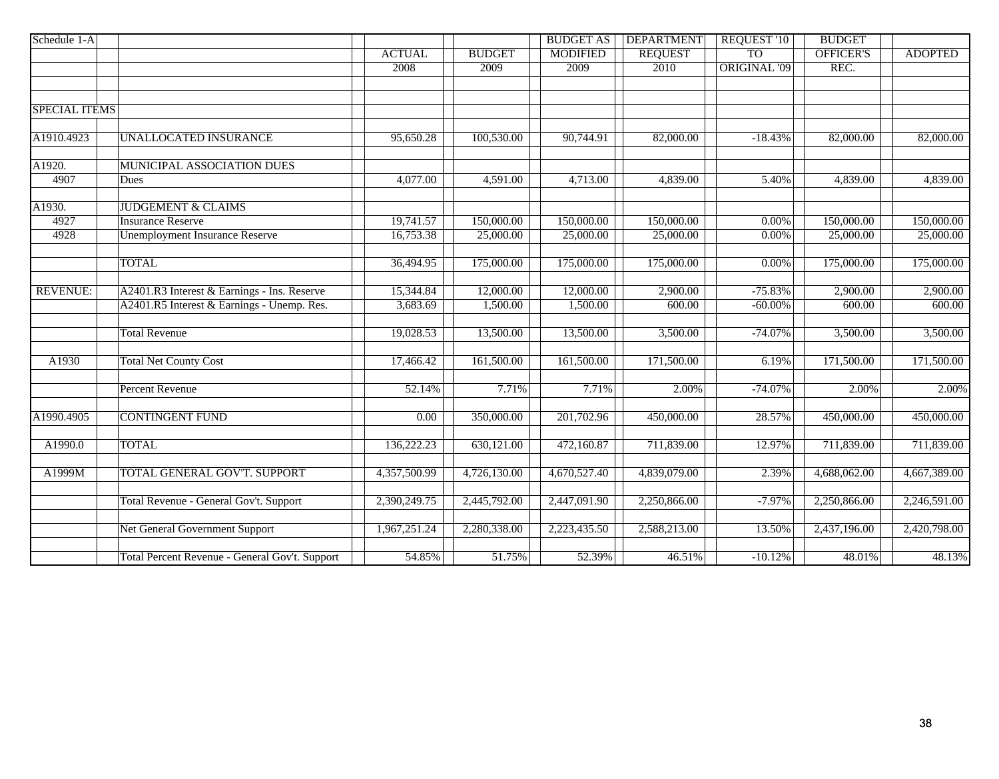| Schedule 1-A         |                                                                                           |                       |                       | <b>BUDGET AS</b>      | <b>DEPARTMENT</b>  | REQUEST '10             | <b>BUDGET</b>      |                    |
|----------------------|-------------------------------------------------------------------------------------------|-----------------------|-----------------------|-----------------------|--------------------|-------------------------|--------------------|--------------------|
|                      |                                                                                           | <b>ACTUAL</b>         | <b>BUDGET</b>         | <b>MODIFIED</b>       | <b>REQUEST</b>     | <b>TO</b>               | OFFICER'S          | <b>ADOPTED</b>     |
|                      |                                                                                           | 2008                  | 2009                  | 2009                  | 2010               | <b>ORIGINAL '09</b>     | REC.               |                    |
|                      |                                                                                           |                       |                       |                       |                    |                         |                    |                    |
|                      |                                                                                           |                       |                       |                       |                    |                         |                    |                    |
| <b>SPECIAL ITEMS</b> |                                                                                           |                       |                       |                       |                    |                         |                    |                    |
| A1910.4923           | <b>UNALLOCATED INSURANCE</b>                                                              | 95,650.28             | 100,530.00            | 90,744.91             | 82,000.00          | $-18.43%$               | 82,000.00          | 82,000.00          |
| A1920.               | MUNICIPAL ASSOCIATION DUES                                                                |                       |                       |                       |                    |                         |                    |                    |
| 4907                 | Dues                                                                                      | 4,077.00              | 4,591.00              | 4,713.00              | 4,839.00           | 5.40%                   | 4,839.00           | 4,839.00           |
| A1930.               | <b>JUDGEMENT &amp; CLAIMS</b>                                                             |                       |                       |                       |                    |                         |                    |                    |
| 4927                 | <b>Insurance Reserve</b>                                                                  | 19,741.57             | 150,000.00            | 150,000.00            | 150,000.00         | $0.00\%$                | 150,000.00         | 150,000.00         |
| 4928                 | <b>Unemployment Insurance Reserve</b>                                                     | 16,753.38             | 25,000.00             | 25,000.00             | 25,000.00          | 0.00%                   | 25,000.00          | 25,000.00          |
|                      | <b>TOTAL</b>                                                                              | 36,494.95             | 175,000.00            | 175,000.00            | 175,000.00         | $0.00\%$                | 175,000.00         | 175,000.00         |
|                      |                                                                                           |                       |                       |                       |                    |                         |                    |                    |
| <b>REVENUE:</b>      | A2401.R3 Interest & Earnings - Ins. Reserve<br>A2401.R5 Interest & Earnings - Unemp. Res. | 15,344.84<br>3,683.69 | 12,000.00<br>1,500.00 | 12,000.00<br>1,500.00 | 2,900.00<br>600.00 | $-75.83%$<br>$-60.00\%$ | 2,900.00<br>600.00 | 2,900.00<br>600.00 |
|                      |                                                                                           |                       |                       |                       |                    |                         |                    |                    |
|                      | <b>Total Revenue</b>                                                                      | 19,028.53             | 13,500.00             | 13,500.00             | 3,500.00           | $-74.07%$               | 3,500.00           | 3,500.00           |
| A1930                | <b>Total Net County Cost</b>                                                              | 17,466.42             | 161,500.00            | 161,500.00            | 171,500.00         | 6.19%                   | 171,500.00         | 171,500.00         |
|                      | <b>Percent Revenue</b>                                                                    | 52.14%                | 7.71%                 | 7.71%                 | 2.00%              | $-74.07%$               | 2.00%              | 2.00%              |
| A1990.4905           | <b>CONTINGENT FUND</b>                                                                    | 0.00                  | 350,000.00            | 201,702.96            | 450,000.00         | 28.57%                  | 450,000.00         | 450,000.00         |
|                      |                                                                                           |                       |                       |                       |                    |                         |                    |                    |
| A1990.0              | <b>TOTAL</b>                                                                              | 136,222.23            | 630,121.00            | 472,160.87            | 711,839.00         | 12.97%                  | 711,839.00         | 711,839.00         |
| A1999M               | TOTAL GENERAL GOV'T. SUPPORT                                                              | 4,357,500.99          | 4,726,130.00          | 4,670,527.40          | 4,839,079.00       | 2.39%                   | 4,688,062.00       | 4,667,389.00       |
|                      | Total Revenue - General Gov't. Support                                                    | 2,390,249.75          | 2,445,792.00          | 2,447,091.90          | 2,250,866.00       | $-7.97%$                | 2,250,866.00       | 2,246,591.00       |
|                      | <b>Net General Government Support</b>                                                     | 1,967,251.24          | 2,280,338.00          | 2,223,435.50          | 2,588,213.00       | 13.50%                  | 2,437,196.00       | 2,420,798.00       |
|                      | Total Percent Revenue - General Gov't. Support                                            | 54.85%                | 51.75%                | 52.39%                | 46.51%             | $-10.12%$               | 48.01%             | 48.13%             |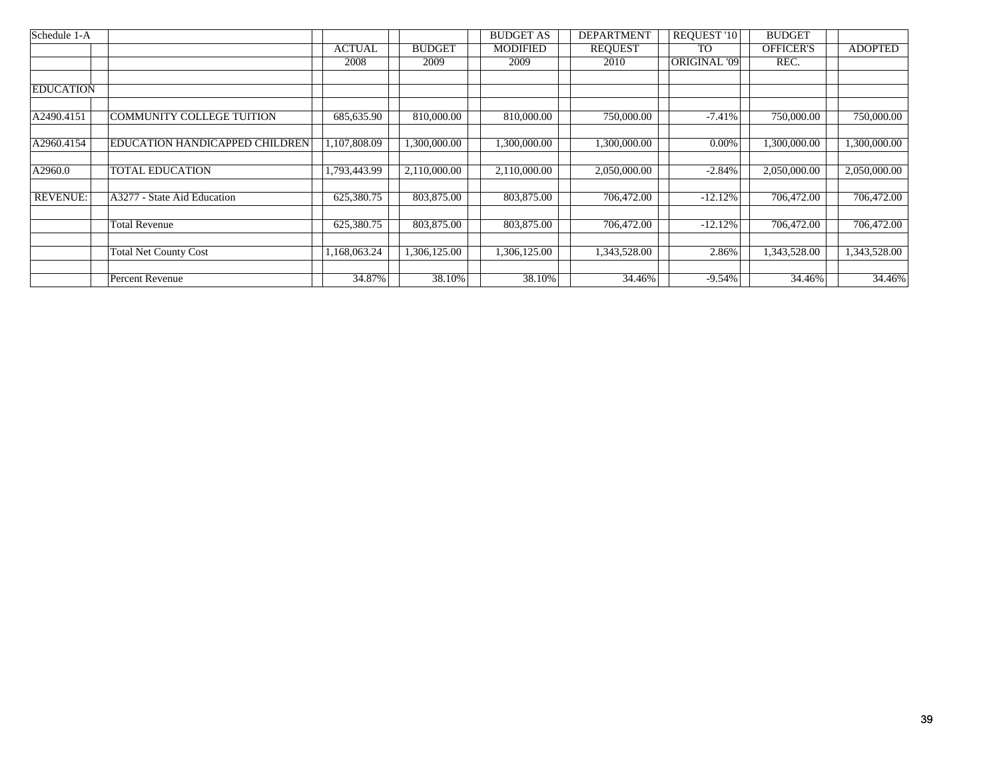| Schedule 1-A     |                                  |                           |               | <b>BUDGET AS</b> | <b>DEPARTMENT</b> | REQUEST '10         | <b>BUDGET</b>             |                |
|------------------|----------------------------------|---------------------------|---------------|------------------|-------------------|---------------------|---------------------------|----------------|
|                  |                                  | <b>ACTUAL</b>             | <b>BUDGET</b> | <b>MODIFIED</b>  | <b>REQUEST</b>    | T <sub>O</sub>      | <b>OFFICER'S</b>          | <b>ADOPTED</b> |
|                  |                                  | 2008                      | 2009          | 2009             | 2010              | <b>ORIGINAL '09</b> | REC.                      |                |
|                  |                                  |                           |               |                  |                   |                     |                           |                |
| <b>EDUCATION</b> |                                  |                           |               |                  |                   |                     |                           |                |
|                  |                                  |                           |               |                  |                   |                     |                           |                |
| A2490.4151       | <b>COMMUNITY COLLEGE TUITION</b> | 685,635.90                | 810,000.00    | 810,000.00       | 750,000.00        | $-7.41%$            | 750,000.00                | 750,000.00     |
|                  |                                  |                           |               |                  |                   |                     |                           |                |
| A2960.4154       | EDUCATION HANDICAPPED CHILDREN   | $\overline{1,107,808.09}$ | 1,300,000.00  | 1,300,000.00     | 1,300,000.00      | $0.00\%$            | $\overline{1,300,000.00}$ | 1,300,000.00   |
|                  |                                  |                           |               |                  |                   |                     |                           |                |
| A2960.0          | <b>TOTAL EDUCATION</b>           | 1,793,443.99              | 2,110,000.00  | 2,110,000.00     | 2,050,000.00      | $-2.84\%$           | 2,050,000.00              | 2,050,000.00   |
|                  |                                  |                           |               |                  |                   |                     |                           |                |
| <b>REVENUE:</b>  | A3277 - State Aid Education      | 625,380.75                | 803,875.00    | 803,875.00       | 706,472.00        | $-12.12%$           | 706,472.00                | 706,472.00     |
|                  |                                  |                           |               |                  |                   |                     |                           |                |
|                  | <b>Total Revenue</b>             | 625,380.75                | 803,875.00    | 803,875.00       | 706,472.00        | $-12.12%$           | 706,472.00                | 706,472.00     |
|                  |                                  |                           |               |                  |                   |                     |                           |                |
|                  | <b>Total Net County Cost</b>     | 1,168,063.24              | 1,306,125.00  | 1,306,125.00     | 1,343,528.00      | 2.86%               | 1,343,528.00              | 1,343,528.00   |
|                  |                                  |                           |               |                  | 34.46%            |                     | 34.46%                    |                |
|                  | Percent Revenue                  | 34.87%                    | 38.10%        | 38.10%           |                   | $-9.54\%$           |                           | 34.46%         |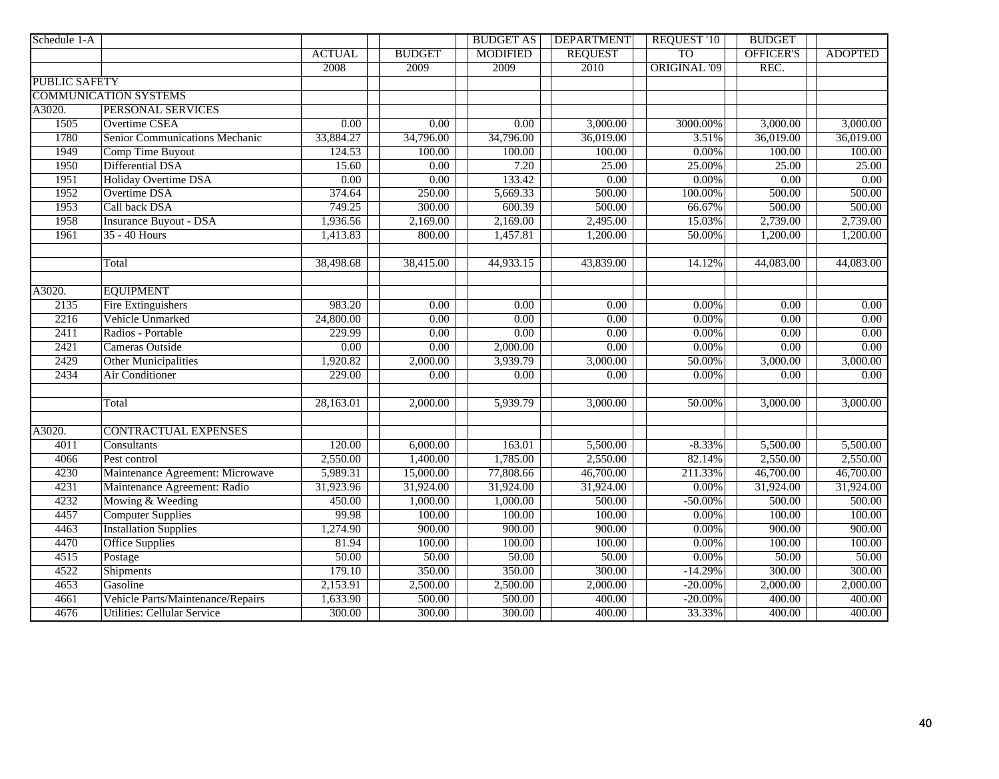| Schedule 1-A         |                                       |               |                   | <b>BUDGET AS</b> | <b>DEPARTMENT</b> | <b>REQUEST '10</b>  | <b>BUDGET</b>    |                |
|----------------------|---------------------------------------|---------------|-------------------|------------------|-------------------|---------------------|------------------|----------------|
|                      |                                       | <b>ACTUAL</b> | <b>BUDGET</b>     | <b>MODIFIED</b>  | <b>REQUEST</b>    | <b>TO</b>           | <b>OFFICER'S</b> | <b>ADOPTED</b> |
|                      |                                       | 2008          | 2009              | 2009             | 2010              | <b>ORIGINAL '09</b> | REC.             |                |
| <b>PUBLIC SAFETY</b> |                                       |               |                   |                  |                   |                     |                  |                |
|                      | <b>COMMUNICATION SYSTEMS</b>          |               |                   |                  |                   |                     |                  |                |
| A3020.               | PERSONAL SERVICES                     |               |                   |                  |                   |                     |                  |                |
| 1505                 | <b>Overtime CSEA</b>                  | 0.00          | 0.00              | 0.00             | 3,000.00          | 3000.00%            | 3,000.00         | 3,000.00       |
| 1780                 | <b>Senior Communications Mechanic</b> | 33,884.27     | 34,796.00         | 34,796.00        | 36,019.00         | 3.51%               | 36,019.00        | 36,019.00      |
| 1949                 | Comp Time Buyout                      | 124.53        | 100.00            | 100.00           | 100.00            | 0.00%               | 100.00           | 100.00         |
| 1950                 | Differential DSA                      | 15.60         | 0.00              | 7.20             | 25.00             | 25.00%              | 25.00            | 25.00          |
| 1951                 | Holiday Overtime DSA                  | 0.00          | 0.00              | 133.42           | 0.00              | 0.00%               | 0.00             | 0.00           |
| 1952                 | Overtime DSA                          | 374.64        | 250.00            | 5,669.33         | 500.00            | 100.00%             | 500.00           | 500.00         |
| 1953                 | Call back DSA                         | 749.25        | 300.00            | 600.39           | 500.00            | 66.67%              | 500.00           | 500.00         |
| 1958                 | <b>Insurance Buyout - DSA</b>         | 1,936.56      | 2,169.00          | 2,169.00         | 2,495.00          | 15.03%              | 2,739.00         | 2,739.00       |
| 1961                 | 35 - 40 Hours                         | 1,413.83      | 800.00            | 1,457.81         | 1,200.00          | 50.00%              | 1,200.00         | 1,200.00       |
|                      | Total                                 | 38,498.68     | 38,415.00         | 44,933.15        | 43,839.00         | 14.12%              | 44,083.00        | 44,083.00      |
| A3020.               | <b>EQUIPMENT</b>                      |               |                   |                  |                   |                     |                  |                |
| 2135                 | <b>Fire Extinguishers</b>             | 983.20        | $\overline{0.00}$ | 0.00             | 0.00              | $0.00\%$            | 0.00             | 0.00           |
| 2216                 | Vehicle Unmarked                      | 24,800.00     | 0.00              | 0.00             | 0.00              | $0.00\%$            | 0.00             | 0.00           |
| 2411                 | Radios - Portable                     | 229.99        | 0.00              | 0.00             | 0.00              | $0.00\%$            | 0.00             | 0.00           |
| 2421                 | Cameras Outside                       | 0.00          | 0.00              | 2,000.00         | 0.00              | $0.00\%$            | 0.00             | 0.00           |
| 2429                 | <b>Other Municipalities</b>           | 1,920.82      | 2,000.00          | 3,939.79         | 3,000.00          | 50.00%              | 3,000.00         | 3,000.00       |
| 2434                 | <b>Air Conditioner</b>                | 229.00        | 0.00              | 0.00             | 0.00              | 0.00%               | 0.00             | 0.00           |
|                      |                                       |               |                   |                  |                   |                     |                  |                |
|                      | Total                                 | 28,163.01     | 2,000.00          | 5,939.79         | 3,000.00          | 50.00%              | 3,000.00         | 3,000.00       |
| A3020.               | <b>CONTRACTUAL EXPENSES</b>           |               |                   |                  |                   |                     |                  |                |
| 4011                 | Consultants                           | 120.00        | 6,000.00          | 163.01           | 5,500.00          | $-8.33\%$           | 5,500.00         | 5,500.00       |
| 4066                 | Pest control                          | 2,550.00      | 1,400.00          | 1,785.00         | 2,550.00          | 82.14%              | 2,550.00         | 2,550.00       |
| 4230                 | Maintenance Agreement: Microwave      | 5,989.31      | 15,000.00         | 77,808.66        | 46,700.00         | 211.33%             | 46,700.00        | 46,700.00      |
| 4231                 | Maintenance Agreement: Radio          | 31,923.96     | 31,924.00         | 31,924.00        | 31,924.00         | 0.00%               | 31,924.00        | 31,924.00      |
| 4232                 | Mowing & Weeding                      | 450.00        | 1,000.00          | 1,000.00         | 500.00            | $-50.00\%$          | 500.00           | 500.00         |
| 4457                 | <b>Computer Supplies</b>              | 99.98         | 100.00            | 100.00           | 100.00            | $0.00\%$            | 100.00           | 100.00         |
| 4463                 | <b>Installation Supplies</b>          | 1,274.90      | 900.00            | 900.00           | 900.00            | $0.00\%$            | 900.00           | 900.00         |
| 4470                 | <b>Office Supplies</b>                | 81.94         | 100.00            | 100.00           | 100.00            | 0.00%               | 100.00           | 100.00         |
| 4515                 | Postage                               | 50.00         | 50.00             | 50.00            | 50.00             | 0.00%               | 50.00            | 50.00          |
| 4522                 | <b>Shipments</b>                      | 179.10        | 350.00            | 350.00           | 300.00            | $-14.29%$           | 300.00           | 300.00         |
| 4653                 | Gasoline                              | 2,153.91      | 2,500.00          | 2,500.00         | 2,000.00          | $-20.00\%$          | 2,000.00         | 2,000.00       |
| 4661                 | Vehicle Parts/Maintenance/Repairs     | 1,633.90      | 500.00            | 500.00           | 400.00            | $-20.00\%$          | 400.00           | 400.00         |
| 4676                 | <b>Utilities: Cellular Service</b>    | 300.00        | 300.00            | 300.00           | 400.00            | 33.33%              | 400.00           | 400.00         |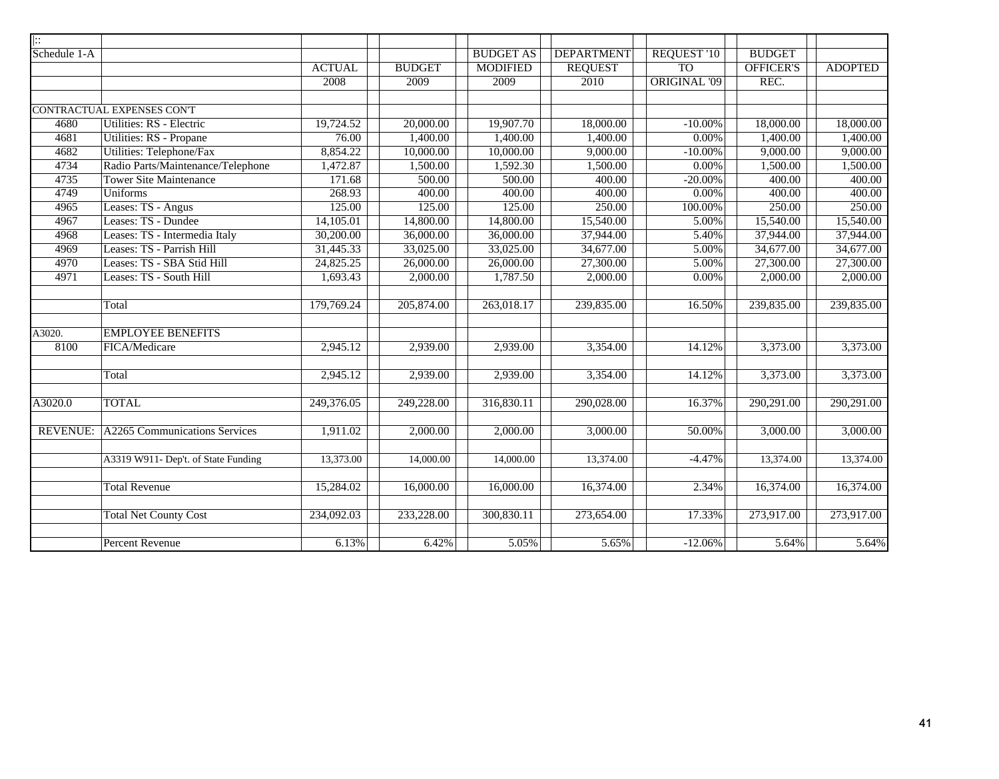| $\  \colon$     |                                     |               |               |                  |                   |                     |                  |                |
|-----------------|-------------------------------------|---------------|---------------|------------------|-------------------|---------------------|------------------|----------------|
| Schedule 1-A    |                                     |               |               | <b>BUDGET AS</b> | <b>DEPARTMENT</b> | <b>REQUEST '10</b>  | <b>BUDGET</b>    |                |
|                 |                                     | <b>ACTUAL</b> | <b>BUDGET</b> | <b>MODIFIED</b>  | <b>REQUEST</b>    | <b>TO</b>           | <b>OFFICER'S</b> | <b>ADOPTED</b> |
|                 |                                     | 2008          | 2009          | 2009             | 2010              | <b>ORIGINAL '09</b> | REC.             |                |
|                 |                                     |               |               |                  |                   |                     |                  |                |
|                 | CONTRACTUAL EXPENSES CON'T          |               |               |                  |                   |                     |                  |                |
| 4680            | Utilities: RS - Electric            | 19,724.52     | 20,000.00     | 19,907.70        | 18,000.00         | $-10.00\%$          | 18,000.00        | 18,000.00      |
| 4681            | Utilities: RS - Propane             | 76.00         | 1,400.00      | 1,400.00         | 1,400.00          | $0.00\%$            | 1,400.00         | 1,400.00       |
| 4682            | Utilities: Telephone/Fax            | 8,854.22      | 10,000.00     | 10,000.00        | 9,000.00          | $-10.00\%$          | 9,000.00         | 9,000.00       |
| 4734            | Radio Parts/Maintenance/Telephone   | 1,472.87      | 1,500.00      | 1,592.30         | 1,500.00          | $0.00\%$            | 1,500.00         | 1,500.00       |
| 4735            | <b>Tower Site Maintenance</b>       | 171.68        | 500.00        | 500.00           | 400.00            | $-20.00\%$          | 400.00           | 400.00         |
| 4749            | <b>Uniforms</b>                     | 268.93        | 400.00        | 400.00           | 400.00            | $0.00\%$            | 400.00           | 400.00         |
| 4965            | Leases: TS - Angus                  | 125.00        | 125.00        | 125.00           | 250.00            | 100.00%             | 250.00           | 250.00         |
| 4967            | Leases: TS - Dundee                 | 14,105.01     | 14,800.00     | 14,800.00        | 15,540.00         | 5.00%               | 15,540.00        | 15,540.00      |
| 4968            | Leases: TS - Intermedia Italy       | 30,200.00     | 36,000.00     | 36,000.00        | 37,944.00         | 5.40%               | 37,944.00        | 37,944.00      |
| 4969            | Leases: TS - Parrish Hill           | 31,445.33     | 33,025.00     | 33,025.00        | 34,677.00         | 5.00%               | 34,677.00        | 34,677.00      |
| 4970            | Leases: TS - SBA Stid Hill          | 24,825.25     | 26,000.00     | 26,000.00        | 27,300.00         | 5.00%               | 27,300.00        | 27,300.00      |
| 4971            | Leases: TS - South Hill             | 1,693.43      | 2,000.00      | 1,787.50         | 2,000.00          | $0.00\%$            | 2,000.00         | 2,000.00       |
|                 |                                     |               |               |                  |                   |                     |                  |                |
|                 | Total                               | 179,769.24    | 205,874.00    | 263,018.17       | 239,835.00        | 16.50%              | 239,835.00       | 239,835.00     |
|                 |                                     |               |               |                  |                   |                     |                  |                |
| A3020.          | <b>EMPLOYEE BENEFITS</b>            |               |               |                  |                   |                     |                  |                |
| 8100            | FICA/Medicare                       | 2,945.12      | 2,939.00      | 2,939.00         | 3,354.00          | 14.12%              | 3,373.00         | 3,373.00       |
|                 | Total                               | 2,945.12      | 2,939.00      | 2,939.00         | 3,354.00          | 14.12%              | 3,373.00         | 3,373.00       |
|                 |                                     |               |               |                  |                   |                     |                  |                |
| A3020.0         | <b>TOTAL</b>                        | 249,376.05    | 249,228.00    | 316,830.11       | 290,028.00        | 16.37%              | 290,291.00       | 290,291.00     |
| <b>REVENUE:</b> | A2265 Communications Services       | 1,911.02      | 2,000.00      | 2,000.00         | 3,000.00          | 50.00%              | 3,000.00         | 3,000.00       |
|                 |                                     |               |               |                  |                   |                     |                  |                |
|                 | A3319 W911- Dep't. of State Funding | 13,373.00     | 14,000.00     | 14,000.00        | 13,374.00         | $-4.47%$            | 13,374.00        | 13,374.00      |
|                 |                                     |               |               |                  |                   |                     |                  |                |
|                 | <b>Total Revenue</b>                | 15,284.02     | 16,000.00     | 16,000.00        | 16,374.00         | 2.34%               | 16,374.00        | 16,374.00      |
|                 | <b>Total Net County Cost</b>        | 234,092.03    | 233,228.00    | 300,830.11       | 273,654.00        | 17.33%              | 273,917.00       | 273,917.00     |
|                 |                                     |               |               |                  |                   |                     |                  |                |
|                 | <b>Percent Revenue</b>              | 6.13%         | 6.42%         | 5.05%            | 5.65%             | $-12.06%$           | 5.64%            | 5.64%          |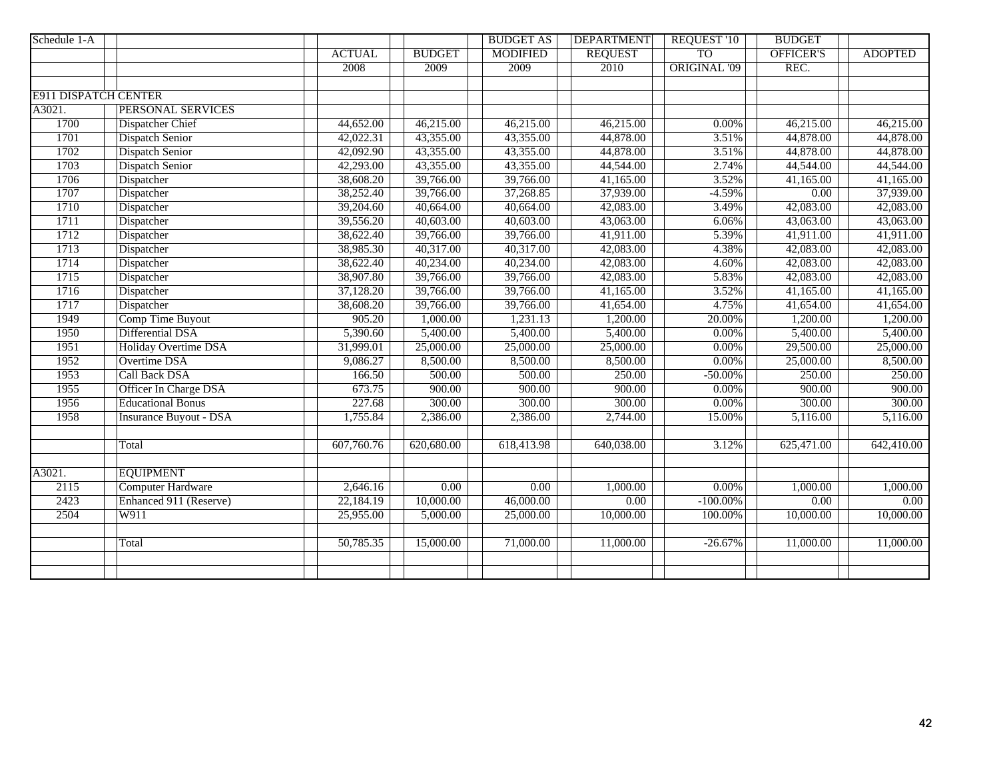| Schedule 1-A                |                               |               |               | <b>BUDGET AS</b> | <b>DEPARTMENT</b> | <b>REQUEST '10</b>  | <b>BUDGET</b>     |                |
|-----------------------------|-------------------------------|---------------|---------------|------------------|-------------------|---------------------|-------------------|----------------|
|                             |                               | <b>ACTUAL</b> | <b>BUDGET</b> | <b>MODIFIED</b>  | <b>REQUEST</b>    | <b>TO</b>           | <b>OFFICER'S</b>  | <b>ADOPTED</b> |
|                             |                               | 2008          | 2009          | 2009             | 2010              | <b>ORIGINAL '09</b> | REC.              |                |
|                             |                               |               |               |                  |                   |                     |                   |                |
| <b>E911 DISPATCH CENTER</b> |                               |               |               |                  |                   |                     |                   |                |
| A3021.                      | PERSONAL SERVICES             |               |               |                  |                   |                     |                   |                |
| 1700                        | <b>Dispatcher Chief</b>       | 44,652.00     | 46,215.00     | 46,215.00        | 46,215.00         | $0.00\%$            | 46,215.00         | 46,215.00      |
| 1701                        | <b>Dispatch Senior</b>        | 42,022.31     | 43,355.00     | 43,355.00        | 44,878.00         | 3.51%               | 44,878.00         | 44,878.00      |
| 1702                        | <b>Dispatch Senior</b>        | 42,092.90     | 43,355.00     | 43,355.00        | 44,878.00         | 3.51%               | 44,878.00         | 44,878.00      |
| 1703                        | <b>Dispatch Senior</b>        | 42,293.00     | 43,355.00     | 43,355.00        | 44,544.00         | 2.74%               | 44,544.00         | 44,544.00      |
| 1706                        | Dispatcher                    | 38,608.20     | 39,766.00     | 39,766.00        | 41,165.00         | 3.52%               | 41,165.00         | 41,165.00      |
| 1707                        | Dispatcher                    | 38,252.40     | 39,766.00     | 37,268.85        | 37,939.00         | $-4.59%$            | $\overline{0.00}$ | 37,939.00      |
| 1710                        | Dispatcher                    | 39,204.60     | 40,664.00     | 40,664.00        | 42,083.00         | 3.49%               | 42,083.00         | 42,083.00      |
| 1711                        | Dispatcher                    | 39,556.20     | 40,603.00     | 40,603.00        | 43,063.00         | 6.06%               | 43,063.00         | 43,063.00      |
| 1712                        | Dispatcher                    | 38,622.40     | 39,766.00     | 39,766.00        | 41,911.00         | 5.39%               | 41,911.00         | 41,911.00      |
| 1713                        | Dispatcher                    | 38,985.30     | 40,317.00     | 40,317.00        | 42,083.00         | 4.38%               | 42,083.00         | 42,083.00      |
| 1714                        | Dispatcher                    | 38,622.40     | 40,234.00     | 40,234.00        | 42,083.00         | 4.60%               | 42,083.00         | 42,083.00      |
| 1715                        | Dispatcher                    | 38,907.80     | 39,766.00     | 39,766.00        | 42,083.00         | 5.83%               | 42,083.00         | 42,083.00      |
| 1716                        | Dispatcher                    | 37,128.20     | 39,766.00     | 39,766.00        | 41,165.00         | 3.52%               | 41,165.00         | 41,165.00      |
| 1717                        | Dispatcher                    | 38,608.20     | 39,766.00     | 39,766.00        | 41,654.00         | 4.75%               | 41,654.00         | 41,654.00      |
| 1949                        | Comp Time Buyout              | 905.20        | 1,000.00      | 1,231.13         | 1,200.00          | 20.00%              | 1,200.00          | 1,200.00       |
| 1950                        | Differential DSA              | 5,390.60      | 5,400.00      | 5,400.00         | 5,400.00          | 0.00%               | 5,400.00          | 5,400.00       |
| 1951                        | Holiday Overtime DSA          | 31,999.01     | 25,000.00     | 25,000.00        | 25,000.00         | $0.00\%$            | 29,500.00         | 25,000.00      |
| 1952                        | <b>Overtime DSA</b>           | 9,086.27      | 8,500.00      | 8,500.00         | 8,500.00          | 0.00%               | 25,000.00         | 8,500.00       |
| 1953                        | <b>Call Back DSA</b>          | 166.50        | 500.00        | 500.00           | 250.00            | $-50.00\%$          | 250.00            | 250.00         |
| 1955                        | Officer In Charge DSA         | 673.75        | 900.00        | 900.00           | 900.00            | 0.00%               | 900.00            | 900.00         |
| 1956                        | <b>Educational Bonus</b>      | 227.68        | 300.00        | 300.00           | 300.00            | $0.00\%$            | 300.00            | 300.00         |
| 1958                        | <b>Insurance Buyout - DSA</b> | 1,755.84      | 2,386.00      | 2,386.00         | 2,744.00          | 15.00%              | 5,116.00          | 5,116.00       |
|                             |                               |               |               |                  |                   |                     |                   |                |
|                             | Total                         | 607,760.76    | 620,680.00    | 618,413.98       | 640,038.00        | 3.12%               | 625,471.00        | 642,410.00     |
|                             |                               |               |               |                  |                   |                     |                   |                |
| A3021.                      | <b>EQUIPMENT</b>              |               |               |                  |                   |                     |                   |                |
| 2115                        | <b>Computer Hardware</b>      | 2,646.16      | 0.00          | 0.00             | 1,000.00          | $0.00\%$            | 1,000.00          | 1,000.00       |
| 2423                        | Enhanced 911 (Reserve)        | 22,184.19     | 10,000.00     | 46,000.00        | 0.00              | $-100.00\%$         | $\overline{0.00}$ | 0.00           |
| 2504                        | W911                          | 25,955.00     | 5,000.00      | 25,000.00        | 10,000.00         | 100.00%             | 10,000.00         | 10,000.00      |
|                             |                               |               |               |                  |                   |                     |                   |                |
|                             | Total                         | 50,785.35     | 15,000.00     | 71,000.00        | 11,000.00         | $-26.67%$           | 11,000.00         | 11,000.00      |
|                             |                               |               |               |                  |                   |                     |                   |                |
|                             |                               |               |               |                  |                   |                     |                   |                |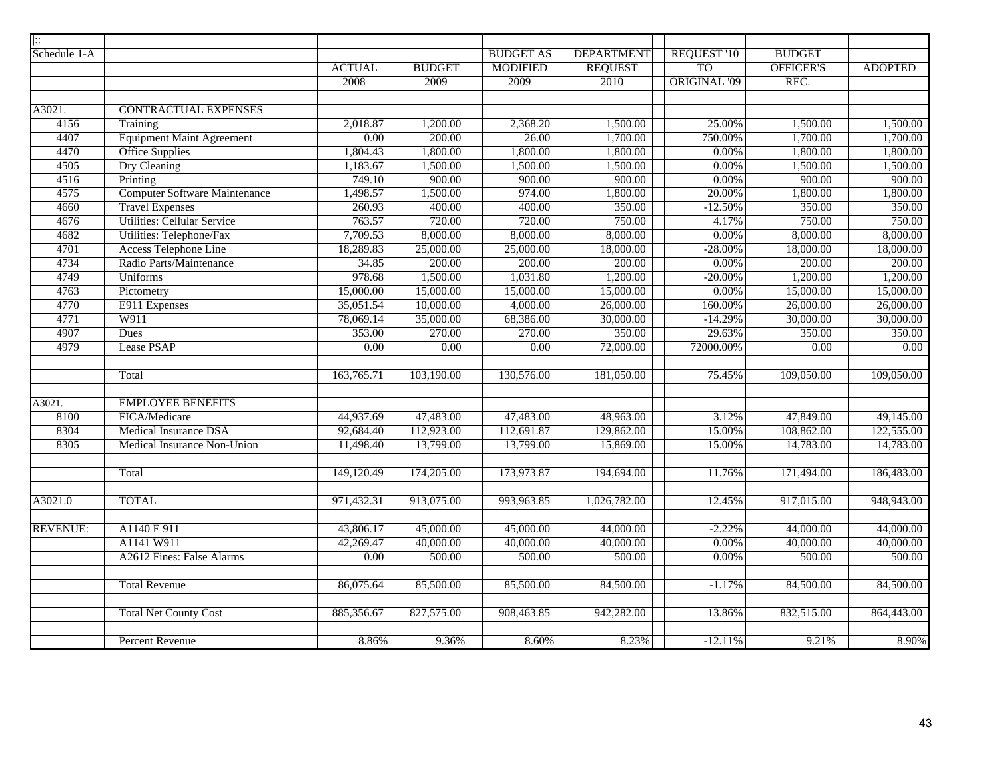| ::              |                                      |               |                   |                   |                   |                     |                        |                |
|-----------------|--------------------------------------|---------------|-------------------|-------------------|-------------------|---------------------|------------------------|----------------|
| Schedule 1-A    |                                      |               |                   | <b>BUDGET AS</b>  | <b>DEPARTMENT</b> | <b>REQUEST '10</b>  | <b>BUDGET</b>          |                |
|                 |                                      | <b>ACTUAL</b> | <b>BUDGET</b>     | <b>MODIFIED</b>   | <b>REQUEST</b>    | <b>TO</b>           | OFFICER'S              | <b>ADOPTED</b> |
|                 |                                      | 2008          | 2009              | 2009              | 2010              | <b>ORIGINAL '09</b> | REC.                   |                |
|                 |                                      |               |                   |                   |                   |                     |                        |                |
| A3021.          | <b>CONTRACTUAL EXPENSES</b>          |               |                   |                   |                   |                     |                        |                |
| 4156            | Training                             | 2,018.87      | 1,200.00          | 2,368.20          | 1,500.00          | 25.00%              | 1,500.00               | 1,500.00       |
| 4407            | <b>Equipment Maint Agreement</b>     | 0.00          | 200.00            | 26.00             | 1,700.00          | 750.00%             | 1,700.00               | 1,700.00       |
| 4470            | Office Supplies                      | 1,804.43      | 1,800.00          | 1,800.00          | 1,800.00          | $0.00\%$            | 1,800.00               | 1,800.00       |
| 4505            | <b>Dry Cleaning</b>                  | 1,183.67      | 1,500.00          | 1,500.00          | 1,500.00          | $0.00\%$            | 1,500.00               | 1,500.00       |
| 4516            | Printing                             | 749.10        | 900.00            | 900.00            | 900.00            | 0.00%               | 900.00                 | 900.00         |
| 4575            | <b>Computer Software Maintenance</b> | 1,498.57      | 1,500.00          | 974.00            | 1,800.00          | 20.00%              | 1,800.00               | 1,800.00       |
| 4660            | <b>Travel Expenses</b>               | 260.93        | 400.00            | 400.00            | 350.00            | $-12.50%$           | 350.00                 | 350.00         |
| 4676            | <b>Utilities: Cellular Service</b>   | 763.57        | 720.00            | 720.00            | 750.00            | 4.17%               | 750.00                 | 750.00         |
| 4682            | Utilities: Telephone/Fax             | 7,709.53      | 8,000.00          | 8,000.00          | 8,000.00          | $0.00\%$            | 8,000.00               | 8,000.00       |
| 4701            | <b>Access Telephone Line</b>         | 18,289.83     | 25,000.00         | 25,000.00         | 18,000.00         | $-28.00\%$          | 18,000.00              | 18,000.00      |
| 4734            | Radio Parts/Maintenance              | 34.85         | 200.00            | 200.00            | 200.00            | $0.00\%$            | 200.00                 | 200.00         |
| 4749            | <b>Uniforms</b>                      | 978.68        | 1,500.00          | 1,031.80          | 1,200.00          | $-20.00%$           | 1,200.00               | 1,200.00       |
| 4763            | Pictometry                           | 15,000.00     | 15,000.00         | 15,000.00         | 15,000.00         | $0.00\%$            | 15,000.00              | 15,000.00      |
| 4770            | E911 Expenses                        | 35,051.54     | 10,000.00         | 4,000.00          | 26,000.00         | 160.00%             | 26,000.00              | 26,000.00      |
| 4771            | W911                                 | 78,069.14     | 35,000.00         | 68,386.00         | 30,000.00         | $-14.29%$           | 30,000.00              | 30,000.00      |
| 4907            | Dues                                 | 353.00        | 270.00            | 270.00            | 350.00            | 29.63%              | 350.00                 | 350.00         |
| 4979            | Lease PSAP                           | 0.00          | $\overline{0.00}$ | $\overline{0.00}$ | 72,000.00         | 72000.00%           | $\overline{0.00}$      | 0.00           |
|                 |                                      |               |                   |                   |                   |                     |                        |                |
|                 | Total                                | 163,765.71    | 103,190.00        | 130,576.00        | 181,050.00        | 75.45%              | 109,050.00             | 109,050.00     |
|                 |                                      |               |                   |                   |                   |                     |                        |                |
| A3021.          | <b>EMPLOYEE BENEFITS</b>             |               |                   |                   |                   |                     |                        |                |
| 8100            | FICA/Medicare                        | 44,937.69     | 47,483.00         | 47,483.00         | 48,963.00         | 3.12%               | $\overline{47,849.00}$ | 49,145.00      |
| 8304            | <b>Medical Insurance DSA</b>         | 92,684.40     | 112,923.00        | 112,691.87        | 129,862.00        | 15.00%              | 108,862.00             | 122,555.00     |
| 8305            | Medical Insurance Non-Union          | 11,498.40     | 13,799.00         | 13,799.00         | 15,869.00         | 15.00%              | 14,783.00              | 14,783.00      |
|                 |                                      |               |                   |                   |                   |                     |                        |                |
|                 | Total                                | 149,120.49    | 174,205.00        | 173,973.87        | 194,694.00        | 11.76%              | 171,494.00             | 186,483.00     |
|                 |                                      |               |                   |                   |                   |                     |                        |                |
| A3021.0         | <b>TOTAL</b>                         | 971,432.31    | 913,075.00        | 993,963.85        | 1,026,782.00      | 12.45%              | 917,015.00             | 948,943.00     |
|                 |                                      |               |                   |                   |                   |                     |                        |                |
| <b>REVENUE:</b> | A1140 E 911                          | 43,806.17     | 45,000.00         | 45,000.00         | 44,000.00         | $-2.22%$            | 44,000.00              | 44,000.00      |
|                 | A1141 W911                           | 42,269.47     | 40,000.00         | 40,000.00         | 40,000.00         | $0.00\%$            | 40,000.00              | 40,000.00      |
|                 | A2612 Fines: False Alarms            | 0.00          | 500.00            | 500.00            | 500.00            | 0.00%               | 500.00                 | 500.00         |
|                 |                                      |               |                   |                   |                   |                     |                        |                |
|                 | <b>Total Revenue</b>                 | 86,075.64     | 85,500.00         | 85,500.00         | 84,500.00         | $-1.17%$            | 84,500.00              | 84,500.00      |
|                 |                                      |               |                   |                   |                   |                     |                        |                |
|                 | <b>Total Net County Cost</b>         | 885,356.67    | 827,575.00        | 908,463.85        | 942,282.00        | 13.86%              | 832,515.00             | 864,443.00     |
|                 |                                      |               |                   |                   |                   |                     |                        |                |
|                 | <b>Percent Revenue</b>               | 8.86%         | 9.36%             | 8.60%             | 8.23%             | $-12.11%$           | 9.21%                  | 8.90%          |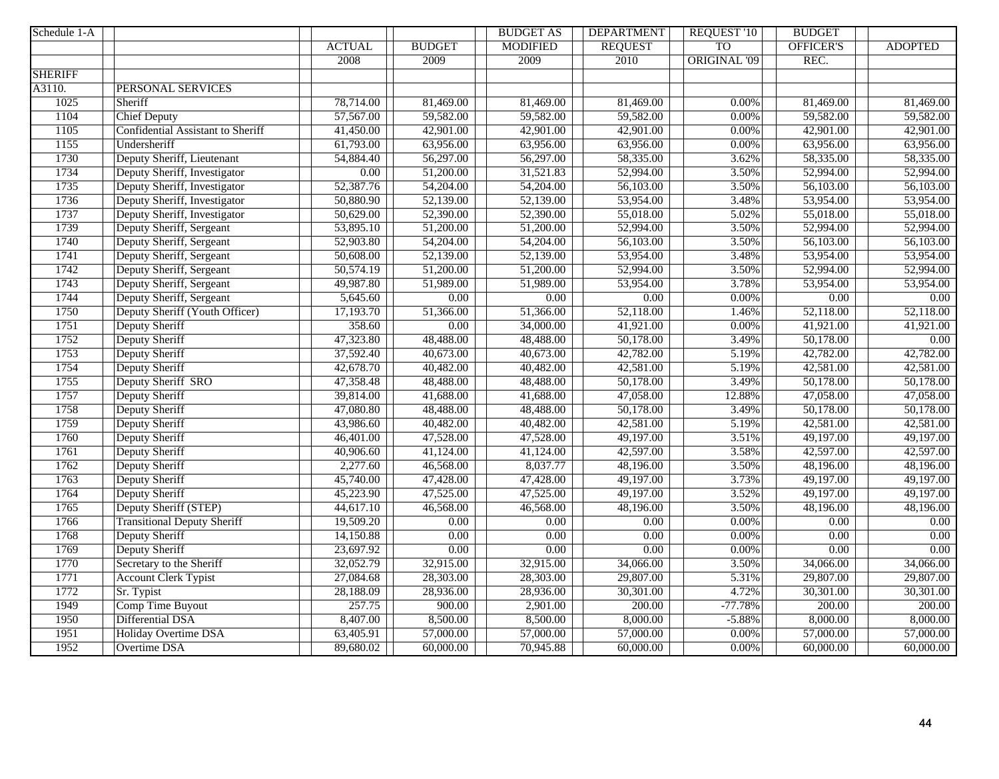| Schedule 1-A   |                                    |               |                   | <b>BUDGET AS</b>  | <b>DEPARTMENT</b>      | <b>REQUEST '10</b>  | <b>BUDGET</b>          |                        |
|----------------|------------------------------------|---------------|-------------------|-------------------|------------------------|---------------------|------------------------|------------------------|
|                |                                    | <b>ACTUAL</b> | <b>BUDGET</b>     | <b>MODIFIED</b>   | <b>REQUEST</b>         | <b>TO</b>           | <b>OFFICER'S</b>       | <b>ADOPTED</b>         |
|                |                                    | 2008          | 2009              | 2009              | 2010                   | <b>ORIGINAL '09</b> | REC.                   |                        |
| <b>SHERIFF</b> |                                    |               |                   |                   |                        |                     |                        |                        |
| A3110.         | PERSONAL SERVICES                  |               |                   |                   |                        |                     |                        |                        |
| 1025           | Sheriff                            | 78,714.00     | 81,469.00         | 81,469.00         | 81,469.00              | 0.00%               | 81,469.00              | 81,469.00              |
| 1104           | <b>Chief Deputy</b>                | 57,567.00     | 59,582.00         | 59,582.00         | 59,582.00              | 0.00%               | 59,582.00              | 59,582.00              |
| 1105           | Confidential Assistant to Sheriff  | 41,450.00     | 42,901.00         | 42,901.00         | 42,901.00              | 0.00%               | 42,901.00              | 42,901.00              |
| 1155           | Undersheriff                       | 61,793.00     | 63,956.00         | 63,956.00         | 63,956.00              | 0.00%               | 63,956.00              | 63,956.00              |
| 1730           | Deputy Sheriff, Lieutenant         | 54,884.40     | 56,297.00         | 56,297.00         | 58,335.00              | 3.62%               | 58,335.00              | 58,335.00              |
| 1734           | Deputy Sheriff, Investigator       | 0.00          | 51,200.00         | 31,521.83         | 52,994.00              | 3.50%               | 52,994.00              | 52,994.00              |
| 1735           | Deputy Sheriff, Investigator       | 52,387.76     | 54,204.00         | 54,204.00         | 56,103.00              | 3.50%               | 56,103.00              | 56,103.00              |
| 1736           | Deputy Sheriff, Investigator       | 50,880.90     | 52,139.00         | 52,139.00         | 53,954.00              | 3.48%               | 53,954.00              | 53,954.00              |
| 1737           | Deputy Sheriff, Investigator       | 50,629.00     | 52,390.00         | 52,390.00         | 55,018.00              | 5.02%               | 55,018.00              | 55,018.00              |
| 1739           | Deputy Sheriff, Sergeant           | 53,895.10     | 51,200.00         | 51,200.00         | 52,994.00              | 3.50%               | 52,994.00              | 52,994.00              |
| 1740           | Deputy Sheriff, Sergeant           | 52,903.80     | 54,204.00         | 54,204.00         | 56,103.00              | 3.50%               | 56,103.00              | 56,103.00              |
| 1741           | Deputy Sheriff, Sergeant           | 50,608.00     | 52,139.00         | 52,139.00         | 53,954.00              | 3.48%               | 53,954.00              | 53,954.00              |
| 1742           | Deputy Sheriff, Sergeant           | 50,574.19     | 51,200.00         | 51,200.00         | 52,994.00              | 3.50%               | 52,994.00              | 52,994.00              |
| 1743           | Deputy Sheriff, Sergeant           | 49,987.80     | 51,989.00         | 51,989.00         | 53,954.00              | 3.78%               | 53,954.00              | 53,954.00              |
| 1744           | Deputy Sheriff, Sergeant           | 5,645.60      | $\overline{0.00}$ | $\overline{0.00}$ | $\overline{0.00}$      | 0.00%               | $\overline{0.00}$      | 0.00                   |
| 1750           | Deputy Sheriff (Youth Officer)     | 17,193.70     | 51,366.00         | 51,366.00         | $\overline{52,118.00}$ | 1.46%               | 52,118.00              | $\overline{52,118.00}$ |
| 1751           | Deputy Sheriff                     | 358.60        | 0.00              | 34,000.00         | 41,921.00              | 0.00%               | 41,921.00              | 41,921.00              |
| 1752           | Deputy Sheriff                     | 47,323.80     | 48,488.00         | 48,488.00         | 50,178.00              | 3.49%               | 50,178.00              | 0.00                   |
| 1753           | Deputy Sheriff                     | 37,592.40     | 40,673.00         | 40,673.00         | 42,782.00              | 5.19%               | 42,782.00              | 42,782.00              |
| 1754           | Deputy Sheriff                     | 42,678.70     | 40,482.00         | 40,482.00         | 42,581.00              | 5.19%               | 42,581.00              | 42,581.00              |
| 1755           | Deputy Sheriff SRO                 | 47,358.48     | 48,488.00         | 48,488.00         | 50,178.00              | 3.49%               | 50,178.00              | 50,178.00              |
| 1757           | Deputy Sheriff                     | 39,814.00     | 41,688.00         | 41,688.00         | 47,058.00              | 12.88%              | $\overline{47,058.00}$ | 47,058.00              |
| 1758           | Deputy Sheriff                     | 47,080.80     | 48,488.00         | 48,488.00         | 50,178.00              | 3.49%               | 50,178.00              | 50,178.00              |
| 1759           | Deputy Sheriff                     | 43,986.60     | 40,482.00         | 40,482.00         | 42,581.00              | 5.19%               | 42,581.00              | 42,581.00              |
| 1760           | Deputy Sheriff                     | 46,401.00     | 47,528.00         | 47,528.00         | 49,197.00              | 3.51%               | 49,197.00              | 49,197.00              |
| 1761           | Deputy Sheriff                     | 40,906.60     | 41,124.00         | 41,124.00         | 42,597.00              | 3.58%               | 42,597.00              | 42,597.00              |
| 1762           | Deputy Sheriff                     | 2,277.60      | 46,568.00         | 8,037.77          | 48,196.00              | 3.50%               | 48,196.00              | 48,196.00              |
| 1763           | Deputy Sheriff                     | 45,740.00     | 47,428.00         | 47,428.00         | 49,197.00              | 3.73%               | 49,197.00              | 49,197.00              |
| 1764           | Deputy Sheriff                     | 45,223.90     | 47,525.00         | 47,525.00         | 49,197.00              | 3.52%               | 49,197.00              | 49,197.00              |
| 1765           | Deputy Sheriff (STEP)              | 44,617.10     | 46,568.00         | 46,568.00         | 48,196.00              | 3.50%               | 48,196.00              | 48,196.00              |
| 1766           | <b>Transitional Deputy Sheriff</b> | 19,509.20     | $\overline{0.00}$ | $\overline{0.00}$ | 0.00                   | 0.00%               | 0.00                   | 0.00                   |
| 1768           | Deputy Sheriff                     | 14,150.88     | $\overline{0.00}$ | 0.00              | 0.00                   | $0.00\%$            | $0.00\,$               | 0.00                   |
| 1769           | Deputy Sheriff                     | 23,697.92     | 0.00              | $\overline{0.00}$ | 0.00                   | 0.00%               | 0.00                   | 0.00                   |
| 1770           | Secretary to the Sheriff           | 32,052.79     | 32,915.00         | 32,915.00         | $\overline{34,066.00}$ | 3.50%               | $\overline{34,066.00}$ | 34,066.00              |
| 1771           | <b>Account Clerk Typist</b>        | 27,084.68     | 28,303.00         | 28,303.00         | 29,807.00              | 5.31%               | 29,807.00              | 29,807.00              |
| 1772           | Sr. Typist                         | 28,188.09     | 28,936.00         | 28,936.00         | 30,301.00              | 4.72%               | 30,301.00              | 30,301.00              |
| 1949           | Comp Time Buyout                   | 257.75        | 900.00            | 2,901.00          | 200.00                 | $-77.78%$           | 200.00                 | 200.00                 |
| 1950           | Differential DSA                   | 8,407.00      | 8,500.00          | 8,500.00          | 8,000.00               | $-5.88%$            | 8,000.00               | 8,000.00               |
| 1951           | Holiday Overtime DSA               | 63,405.91     | 57,000.00         | 57,000.00         | 57,000.00              | 0.00%               | 57,000.00              | 57,000.00              |
| 1952           | <b>Overtime DSA</b>                | 89,680.02     | 60,000.00         | 70,945.88         | 60,000.00              | 0.00%               | 60,000.00              | 60,000.00              |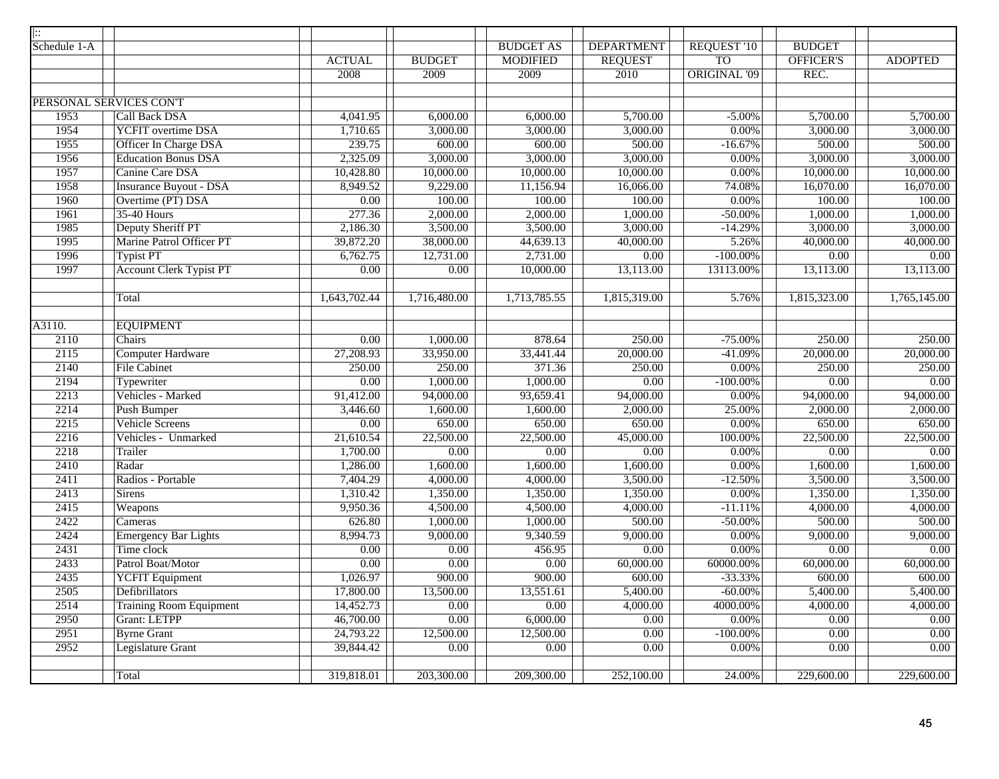| $\overline{  ::}$ |                                |                   |                   |                     |                        |                     |                   |                        |
|-------------------|--------------------------------|-------------------|-------------------|---------------------|------------------------|---------------------|-------------------|------------------------|
| Schedule 1-A      |                                |                   |                   | <b>BUDGET AS</b>    | <b>DEPARTMENT</b>      | <b>REQUEST '10</b>  | <b>BUDGET</b>     |                        |
|                   |                                | <b>ACTUAL</b>     | <b>BUDGET</b>     | <b>MODIFIED</b>     | <b>REQUEST</b>         | <b>TO</b>           | <b>OFFICER'S</b>  | <b>ADOPTED</b>         |
|                   |                                | 2008              | 2009              | 2009                | 2010                   | <b>ORIGINAL '09</b> | REC.              |                        |
|                   |                                |                   |                   |                     |                        |                     |                   |                        |
|                   | PERSONAL SERVICES CON'T        |                   |                   |                     |                        |                     |                   |                        |
| 1953              | Call Back DSA                  | 4,041.95          | 6,000.00          | 6,000.00            | 5,700.00               | $-5.00%$            | 5,700.00          | 5,700.00               |
| 1954              | <b>YCFIT</b> overtime DSA      | 1,710.65          | 3,000.00          | 3,000.00            | 3,000.00               | 0.00%               | 3,000.00          | 3,000.00               |
| 1955              | <b>Officer In Charge DSA</b>   | 239.75            | 600.00            | 600.00              | 500.00                 | $-16.67%$           | 500.00            | 500.00                 |
| 1956              | <b>Education Bonus DSA</b>     | 2,325.09          | 3,000.00          | 3,000.00            | 3,000.00               | 0.00%               | 3,000.00          | 3,000.00               |
| 1957              | Canine Care DSA                | 10,428.80         | 10,000.00         | 10,000.00           | 10,000.00              | 0.00%               | 10,000.00         | 10,000.00              |
| 1958              | <b>Insurance Buyout - DSA</b>  | 8,949.52          | 9,229.00          | 11,156.94           | 16,066.00              | 74.08%              | 16,070.00         | 16,070.00              |
| 1960              | Overtime (PT) DSA              | $\overline{0.00}$ | 100.00            | 100.00              | 100.00                 | 0.00%               | 100.00            | 100.00                 |
| 1961              | <b>35-40 Hours</b>             | 277.36            | 2,000.00          | 2,000.00            | 1,000.00               | $-50.00%$           | 1,000.00          | 1,000.00               |
| 1985              | Deputy Sheriff PT              | 2,186.30          | 3,500.00          | 3,500.00            | 3,000.00               | $-14.29%$           | 3,000.00          | 3,000.00               |
| 1995              | Marine Patrol Officer PT       | 39,872.20         | 38,000.00         | 44,639.13           | 40,000.00              | 5.26%               | 40,000.00         | 40,000.00              |
| 1996              | <b>Typist PT</b>               | 6,762.75          | 12,731.00         | 2,731.00            | 0.00                   | $-100.00\%$         | $\overline{0.00}$ | $0.00\,$               |
| 1997              | <b>Account Clerk Typist PT</b> | $\overline{0.00}$ | $\overline{0.00}$ | 10,000.00           | 13,113.00              | 13113.00%           | 13,113.00         | $\overline{13,113.00}$ |
|                   |                                |                   |                   |                     |                        |                     |                   |                        |
|                   | Total                          | 1,643,702.44      | 1,716,480.00      | 1,713,785.55        | 1,815,319.00           | 5.76%               | 1,815,323.00      | 1,765,145.00           |
| A3110.            | <b>EQUIPMENT</b>               |                   |                   |                     |                        |                     |                   |                        |
| 2110              | Chairs                         | 0.00              | 1,000.00          | 878.64              | 250.00                 | $-75.00%$           | 250.00            | 250.00                 |
| 2115              | <b>Computer Hardware</b>       | 27,208.93         | 33,950.00         | 33,441.44           | 20,000.00              | $-41.09%$           | 20,000.00         | 20,000.00              |
| 2140              | <b>File Cabinet</b>            | 250.00            | 250.00            | 371.36              | 250.00                 | 0.00%               | 250.00            | 250.00                 |
| 2194              | Typewriter                     | $\overline{0.00}$ | 1,000.00          | 1,000.00            | $\overline{0.00}$      | $-100.00\%$         | $\overline{0.00}$ | 0.00                   |
| 2213              | Vehicles - Marked              | 91,412.00         | 94,000.00         | 93,659.41           | 94,000.00              | 0.00%               | 94,000.00         | 94,000.00              |
| 2214              | <b>Push Bumper</b>             | 3,446.60          | 1,600.00          | 1,600.00            | 2,000.00               | 25.00%              | 2,000.00          | 2,000.00               |
| 2215              | <b>Vehicle Screens</b>         | $\overline{0.00}$ | 650.00            | 650.00              | 650.00                 | 0.00%               | 650.00            | 650.00                 |
| 2216              | Vehicles - Unmarked            | 21,610.54         | 22,500.00         | 22,500.00           | 45,000.00              | 100.00%             | 22,500.00         | 22,500.00              |
| 2218              | Trailer                        | 1,700.00          | 0.00              | $\overline{0.00}$   | 0.00                   | 0.00%               | $\overline{0.00}$ | 0.00                   |
| 2410              | Radar                          | 1,286.00          | 1,600.00          | 1,600.00            | 1,600.00               | 0.00%               | 1,600.00          | 1,600.00               |
| 2411              | Radios - Portable              | 7,404.29          | 4,000.00          | 4,000.00            | 3,500.00               | $-12.50%$           | 3,500.00          | 3,500.00               |
| 2413              | Sirens                         | 1,310.42          | 1,350.00          | 1,350.00            | 1,350.00               | 0.00%               | 1,350.00          | 1,350.00               |
| 2415              | Weapons                        | 9,950.36          | 4,500.00          | 4,500.00            | 4,000.00               | $-11.11%$           | 4,000.00          | 4,000.00               |
| 2422              | Cameras                        | 626.80            | 1,000.00          | 1,000.00            | 500.00                 | $-50.00\%$          | 500.00            | 500.00                 |
| 2424              | Emergency Bar Lights           | 8,994.73          | 9,000.00          | 9,340.59            | 9,000.00               | $0.00\%$            | 9,000.00          | 9,000.00               |
| 2431              | Time clock                     | 0.00              | 0.00              | 456.95              | $0.00\,$               | 0.00%               | 0.00              | $0.00\,$               |
| 2433              | Patrol Boat/Motor              | $\overline{0.00}$ | $\overline{0.00}$ | $\overline{0.00}$   | $\overline{60,000.00}$ | 60000.00%           | 60,000.00         | 60,000.00              |
| 2435              | YCFIT Equipment                | 1,026.97          | 900.00            | $\overline{900.00}$ | 600.00                 | $-33.33%$           | 600.00            | 600.00                 |
| 2505              | Defibrillators                 | 17,800.00         | 13,500.00         | 13,551.61           | 5,400.00               | $-60.00\%$          | 5,400.00          | 5,400.00               |
| 2514              | <b>Training Room Equipment</b> | 14,452.73         | $\overline{0.00}$ | $\overline{0.00}$   | 4,000.00               | 4000.00%            | 4,000.00          | 4,000.00               |
| 2950              | <b>Grant: LETPP</b>            | 46,700.00         | 0.00              | 6,000.00            | 0.00                   | 0.00%               | 0.00              | $0.00\,$               |
| 2951              | <b>Byrne Grant</b>             | 24,793.22         | 12,500.00         | 12,500.00           | 0.00                   | $-100.00\%$         | 0.00              | 0.00                   |
| 2952              | Legislature Grant              | 39,844.42         | 0.00              | 0.00                | 0.00                   | 0.00%               | 0.00              | 0.00                   |
|                   | Total                          | 319,818.01        | 203,300.00        | 209,300.00          | 252,100.00             | 24.00%              | 229,600.00        | 229,600.00             |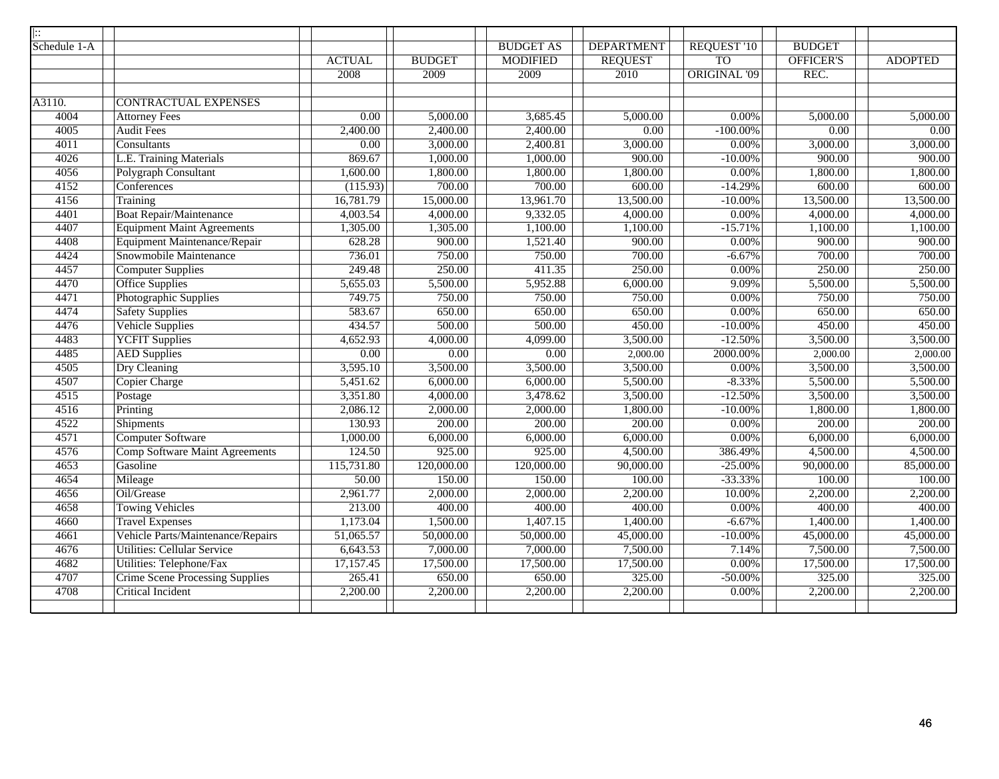| $\left  \vdots \right\rangle$ |                                        |                   |               |                  |                   |                        |               |                |
|-------------------------------|----------------------------------------|-------------------|---------------|------------------|-------------------|------------------------|---------------|----------------|
| Schedule 1-A                  |                                        |                   |               | <b>BUDGET AS</b> | <b>DEPARTMENT</b> | REQUEST <sup>'10</sup> | <b>BUDGET</b> |                |
|                               |                                        | <b>ACTUAL</b>     | <b>BUDGET</b> | <b>MODIFIED</b>  | <b>REQUEST</b>    | T <sub>O</sub>         | OFFICER'S     | <b>ADOPTED</b> |
|                               |                                        | 2008              | 2009          | 2009             | 2010              | <b>ORIGINAL '09</b>    | REC.          |                |
|                               |                                        |                   |               |                  |                   |                        |               |                |
| A3110.                        | <b>CONTRACTUAL EXPENSES</b>            |                   |               |                  |                   |                        |               |                |
| 4004                          | <b>Attorney Fees</b>                   | 0.00              | 5,000.00      | 3,685.45         | 5,000.00          | $0.00\%$               | 5,000.00      | 5,000.00       |
| 4005                          | <b>Audit Fees</b>                      | 2,400.00          | 2,400.00      | 2,400.00         | 0.00              | $-100.00\%$            | 0.00          | 0.00           |
| 4011                          | Consultants                            | $\overline{0.00}$ | 3,000.00      | 2,400.81         | 3,000.00          | $0.00\%$               | 3,000.00      | 3,000.00       |
| 4026                          | L.E. Training Materials                | 869.67            | 1,000.00      | 1,000.00         | 900.00            | $-10.00\%$             | 900.00        | 900.00         |
| 4056                          | Polygraph Consultant                   | 1,600.00          | 1,800.00      | 1,800.00         | 1,800.00          | 0.00%                  | 1,800.00      | 1,800.00       |
| 4152                          | Conferences                            | (115.93)          | 700.00        | 700.00           | 600.00            | $-14.29%$              | 600.00        | 600.00         |
| 4156                          | Training                               | 16,781.79         | 15,000.00     | 13,961.70        | 13,500.00         | $-10.00\%$             | 13,500.00     | 13,500.00      |
| 4401                          | <b>Boat Repair/Maintenance</b>         | 4,003.54          | 4,000.00      | 9,332.05         | 4,000.00          | 0.00%                  | 4,000.00      | 4,000.00       |
| 4407                          | <b>Equipment Maint Agreements</b>      | 1,305.00          | 1,305.00      | 1,100.00         | 1,100.00          | $-15.71%$              | 1,100.00      | 1,100.00       |
| 4408                          | Equipment Maintenance/Repair           | 628.28            | 900.00        | 1,521.40         | 900.00            | 0.00%                  | 900.00        | 900.00         |
| 4424                          | Snowmobile Maintenance                 | 736.01            | 750.00        | 750.00           | 700.00            | $-6.67%$               | 700.00        | 700.00         |
| 4457                          | <b>Computer Supplies</b>               | 249.48            | 250.00        | 411.35           | 250.00            | $0.00\%$               | 250.00        | 250.00         |
| 4470                          | <b>Office Supplies</b>                 | 5,655.03          | 5,500.00      | 5,952.88         | 6,000.00          | 9.09%                  | 5,500.00      | 5,500.00       |
| 4471                          | Photographic Supplies                  | 749.75            | 750.00        | 750.00           | 750.00            | 0.00%                  | 750.00        | 750.00         |
| 4474                          | <b>Safety Supplies</b>                 | 583.67            | 650.00        | 650.00           | 650.00            | 0.00%                  | 650.00        | 650.00         |
| 4476                          | Vehicle Supplies                       | 434.57            | 500.00        | 500.00           | 450.00            | $-10.00\%$             | 450.00        | 450.00         |
| 4483                          | <b>YCFIT Supplies</b>                  | 4,652.93          | 4,000.00      | 4,099.00         | 3,500.00          | $-12.50%$              | 3,500.00      | 3,500.00       |
| 4485                          | <b>AED Supplies</b>                    | 0.00              | 0.00          | 0.00             | 2,000.00          | 2000.00%               | 2,000.00      | 2,000.00       |
| 4505                          | <b>Dry Cleaning</b>                    | 3,595.10          | 3,500.00      | 3,500.00         | 3,500.00          | $0.00\%$               | 3,500.00      | 3,500.00       |
| 4507                          | <b>Copier Charge</b>                   | 5,451.62          | 6,000.00      | 6,000.00         | 5,500.00          | $-8.33%$               | 5,500.00      | 5,500.00       |
| 4515                          | Postage                                | 3,351.80          | 4,000.00      | 3,478.62         | 3,500.00          | $-12.50%$              | 3,500.00      | 3,500.00       |
| 4516                          | Printing                               | 2,086.12          | 2,000.00      | 2,000.00         | 1,800.00          | $-10.00\%$             | 1,800.00      | 1,800.00       |
| 4522                          | Shipments                              | 130.93            | 200.00        | 200.00           | 200.00            | $0.00\%$               | 200.00        | 200.00         |
| 4571                          | <b>Computer Software</b>               | 1,000.00          | 6,000.00      | 6,000.00         | 6,000.00          | 0.00%                  | 6,000.00      | 6,000.00       |
| 4576                          | <b>Comp Software Maint Agreements</b>  | 124.50            | 925.00        | 925.00           | 4,500.00          | 386.49%                | 4,500.00      | 4,500.00       |
| 4653                          | Gasoline                               | 115,731.80        | 120,000.00    | 120,000.00       | 90,000.00         | $-25.00\%$             | 90,000.00     | 85,000.00      |
| 4654                          | Mileage                                | 50.00             | 150.00        | 150.00           | 100.00            | $-33.33%$              | 100.00        | 100.00         |
| 4656                          | Oil/Grease                             | 2,961.77          | 2,000.00      | 2,000.00         | 2,200.00          | 10.00%                 | 2,200.00      | 2,200.00       |
| 4658                          | <b>Towing Vehicles</b>                 | 213.00            | 400.00        | 400.00           | 400.00            | $0.00\%$               | 400.00        | 400.00         |
| 4660                          | <b>Travel Expenses</b>                 | 1,173.04          | 1,500.00      | 1,407.15         | 1,400.00          | $-6.67%$               | 1,400.00      | 1,400.00       |
| 4661                          | Vehicle Parts/Maintenance/Repairs      | 51,065.57         | 50,000.00     | 50,000.00        | 45,000.00         | $-10.00\%$             | 45,000.00     | 45,000.00      |
| 4676                          | <b>Utilities: Cellular Service</b>     | 6,643.53          | 7,000.00      | 7,000.00         | 7,500.00          | 7.14%                  | 7,500.00      | 7,500.00       |
| 4682                          | Utilities: Telephone/Fax               | 17,157.45         | 17,500.00     | 17,500.00        | 17,500.00         | 0.00%                  | 17,500.00     | 17,500.00      |
| 4707                          | <b>Crime Scene Processing Supplies</b> | 265.41            | 650.00        | 650.00           | 325.00            | $-50.00\%$             | 325.00        | 325.00         |
| 4708                          | <b>Critical Incident</b>               | 2,200.00          | 2,200.00      | 2,200.00         | 2,200.00          | $0.00\%$               | 2,200.00      | 2,200.00       |
|                               |                                        |                   |               |                  |                   |                        |               |                |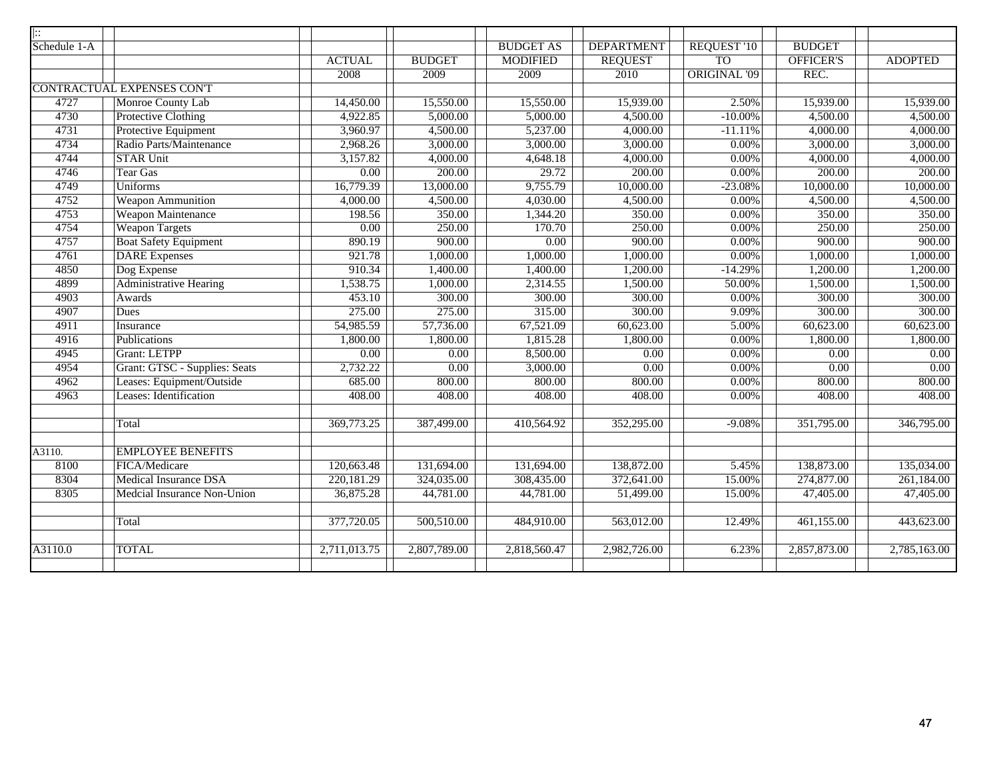| $\overline{ \colon}$ |                                  |                   |               |                  |                   |                     |                         |                |
|----------------------|----------------------------------|-------------------|---------------|------------------|-------------------|---------------------|-------------------------|----------------|
| Schedule 1-A         |                                  |                   |               | <b>BUDGET AS</b> | <b>DEPARTMENT</b> | REQUEST '10         | <b>BUDGET</b>           |                |
|                      |                                  | <b>ACTUAL</b>     | <b>BUDGET</b> | <b>MODIFIED</b>  | <b>REQUEST</b>    | <b>TO</b>           | <b>OFFICER'S</b>        | <b>ADOPTED</b> |
|                      |                                  | 2008              | 2009          | 2009             | 2010              | <b>ORIGINAL '09</b> | REC.                    |                |
|                      | <b>CONTRACTUAL EXPENSES CONT</b> |                   |               |                  |                   |                     |                         |                |
| 4727                 | Monroe County Lab                | 14,450.00         | 15,550.00     | 15,550.00        | 15,939.00         | 2.50%               | 15,939.00               | 15,939.00      |
| 4730                 | <b>Protective Clothing</b>       | 4,922.85          | 5,000.00      | 5,000.00         | 4,500.00          | $-10.00\%$          | 4,500.00                | 4,500.00       |
| 4731                 | Protective Equipment             | 3,960.97          | 4,500.00      | 5,237.00         | 4,000.00          | $-11.11%$           | 4,000.00                | 4,000.00       |
| 4734                 | Radio Parts/Maintenance          | 2,968.26          | 3,000.00      | 3,000.00         | 3,000.00          | 0.00%               | 3,000.00                | 3,000.00       |
| 4744                 | <b>STAR Unit</b>                 | 3,157.82          | 4,000.00      | 4,648.18         | 4,000.00          | 0.00%               | 4,000.00                | 4,000.00       |
| 4746                 | <b>Tear Gas</b>                  | $\overline{0.00}$ | 200.00        | 29.72            | 200.00            | 0.00%               | 200.00                  | 200.00         |
| 4749                 | <b>Uniforms</b>                  | 16,779.39         | 13,000.00     | 9,755.79         | 10,000.00         | $-23.08%$           | 10,000.00               | 10,000.00      |
| 4752                 | <b>Weapon Ammunition</b>         | 4,000.00          | 4,500.00      | 4,030.00         | 4,500.00          | 0.00%               | 4,500.00                | 4,500.00       |
| 4753                 | <b>Weapon Maintenance</b>        | 198.56            | 350.00        | 1,344.20         | 350.00            | 0.00%               | 350.00                  | 350.00         |
| 4754                 | <b>Weapon Targets</b>            | 0.00              | 250.00        | 170.70           | 250.00            | 0.00%               | 250.00                  | 250.00         |
| 4757                 | <b>Boat Safety Equipment</b>     | 890.19            | 900.00        | 0.00             | 900.00            | 0.00%               | 900.00                  | 900.00         |
| 4761                 | <b>DARE</b> Expenses             | 921.78            | 1,000.00      | 1,000.00         | 1,000.00          | 0.00%               | 1,000.00                | 1,000.00       |
| 4850                 | Dog Expense                      | 910.34            | 1,400.00      | 1,400.00         | 1,200.00          | $-14.29%$           | 1,200.00                | 1,200.00       |
| 4899                 | <b>Administrative Hearing</b>    | 1,538.75          | 1,000.00      | 2,314.55         | 1,500.00          | 50.00%              | 1,500.00                | 1,500.00       |
| 4903                 | Awards                           | 453.10            | 300.00        | 300.00           | 300.00            | $0.00\%$            | 300.00                  | 300.00         |
| 4907                 | Dues                             | 275.00            | 275.00        | 315.00           | 300.00            | 9.09%               | 300.00                  | 300.00         |
| 4911                 | Insurance                        | 54,985.59         | 57,736.00     | 67,521.09        | 60,623.00         | 5.00%               | 60,623.00               | 60,623.00      |
| 4916                 | Publications                     | 1,800.00          | 1,800.00      | 1,815.28         | 1,800.00          | 0.00%               | 1,800.00                | 1,800.00       |
| 4945                 | <b>Grant: LETPP</b>              | 0.00              | 0.00          | 8,500.00         | 0.00              | 0.00%               | $\overline{0.00}$       | 0.00           |
| 4954                 | Grant: GTSC - Supplies: Seats    | 2,732.22          | 0.00          | 3,000.00         | 0.00              | 0.00%               | 0.00                    | 0.00           |
| 4962                 | Leases: Equipment/Outside        | 685.00            | 800.00        | 800.00           | 800.00            | 0.00%               | 800.00                  | 800.00         |
| 4963                 | Leases: Identification           | 408.00            | 408.00        | 408.00           | 408.00            | $0.00\%$            | 408.00                  | 408.00         |
|                      |                                  |                   |               |                  |                   |                     |                         |                |
|                      | Total                            | 369,773.25        | 387,499.00    | 410,564.92       | 352,295.00        | $-9.08%$            | 351,795.00              | 346,795.00     |
|                      |                                  |                   |               |                  |                   |                     |                         |                |
| A3110.               | <b>EMPLOYEE BENEFITS</b>         |                   |               |                  |                   |                     |                         |                |
| 8100                 | FICA/Medicare                    | 120,663.48        | 131,694.00    | 131,694.00       | 138,872.00        | 5.45%               | 138,873.00              | 135,034.00     |
| 8304                 | <b>Medical Insurance DSA</b>     | 220,181.29        | 324,035.00    | 308,435.00       | 372,641.00        | 15.00%              | 274,877.00              | 261,184.00     |
| 8305                 | Medcial Insurance Non-Union      | 36,875.28         | 44,781.00     | 44,781.00        | 51,499.00         | 15.00%              | 47,405.00               | 47,405.00      |
|                      |                                  |                   |               |                  |                   |                     |                         |                |
|                      | Total                            | 377,720.05        | 500,510.00    | 484,910.00       | 563,012.00        | 12.49%              | $\overline{461,155.00}$ | 443,623.00     |
|                      |                                  |                   |               |                  |                   |                     |                         |                |
| A3110.0              | <b>TOTAL</b>                     | 2,711,013.75      | 2,807,789.00  | 2,818,560.47     | 2,982,726.00      | 6.23%               | 2,857,873.00            | 2,785,163.00   |
|                      |                                  |                   |               |                  |                   |                     |                         |                |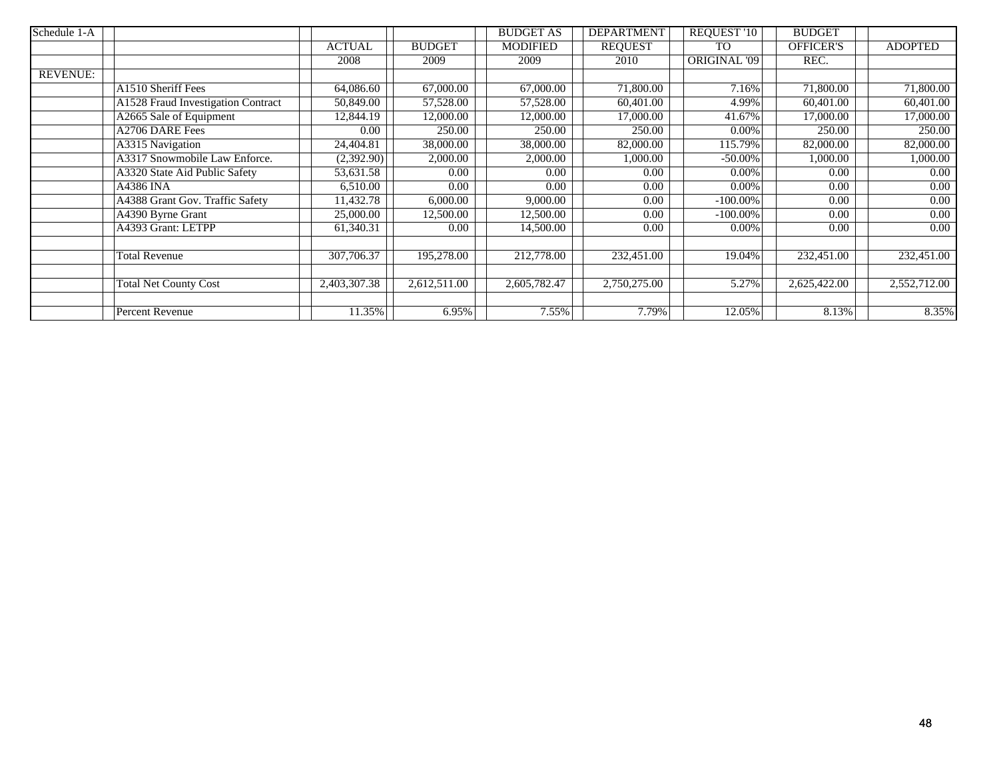| Schedule 1-A    |                                    |               |                        | <b>BUDGET AS</b> | <b>DEPARTMENT</b> | REQUEST '10  | <b>BUDGET</b>    |                |
|-----------------|------------------------------------|---------------|------------------------|------------------|-------------------|--------------|------------------|----------------|
|                 |                                    | <b>ACTUAL</b> | <b>BUDGET</b>          | <b>MODIFIED</b>  | <b>REQUEST</b>    | <b>TO</b>    | <b>OFFICER'S</b> | <b>ADOPTED</b> |
|                 |                                    | 2008          | 2009                   | 2009             | 2010              | ORIGINAL '09 | REC.             |                |
| <b>REVENUE:</b> |                                    |               |                        |                  |                   |              |                  |                |
|                 | A1510 Sheriff Fees                 | 64,086.60     | 67,000.00              | 67,000.00        | 71,800.00         | 7.16%        | 71,800.00        | 71,800.00      |
|                 | A1528 Fraud Investigation Contract | 50,849.00     | 57,528.00              | 57,528.00        | 60,401.00         | 4.99%        | 60,401.00        | 60,401.00      |
|                 | A2665 Sale of Equipment            | 12,844.19     | 12,000.00              | 12,000.00        | 17,000.00         | 41.67%       | 17,000.00        | 17,000.00      |
|                 | A2706 DARE Fees                    | 0.00          | 250.00                 | 250.00           | 250.00            | $0.00\%$     | 250.00           | 250.00         |
|                 | A3315 Navigation                   | 24,404.81     | $\overline{38,000.00}$ | 38,000.00        | 82,000.00         | 115.79%      | 82,000.00        | 82,000.00      |
|                 | A3317 Snowmobile Law Enforce.      | (2,392.90)    | 2,000.00               | 2,000.00         | 1,000.00          | $-50.00\%$   | 1,000.00         | 1,000.00       |
|                 | A3320 State Aid Public Safety      | 53,631.58     | 0.00                   | 0.00             | 0.00              | $0.00\%$     | 0.00             | 0.00           |
|                 | A4386 INA                          | 6,510.00      | 0.00                   | 0.00             | 0.00              | $0.00\%$     | 0.00             | 0.00           |
|                 | A4388 Grant Gov. Traffic Safety    | 11,432.78     | 6,000.00               | 9,000.00         | 0.00              | $-100.00\%$  | $0.00\,$         | 0.00           |
|                 | A4390 Byrne Grant                  | 25,000.00     | 12,500.00              | 12,500.00        | 0.00              | $-100.00\%$  | 0.00             | 0.00           |
|                 | A4393 Grant: LETPP                 | 61,340.31     | 0.00                   | 14,500.00        | 0.00              | 0.00%        | 0.00             | 0.00           |
|                 |                                    |               |                        |                  |                   |              |                  |                |
|                 | Total Revenue                      | 307,706.37    | 195,278.00             | 212,778.00       | 232,451.00        | 19.04%       | 232,451.00       | 232,451.00     |
|                 |                                    |               |                        |                  |                   |              |                  |                |
|                 | <b>Total Net County Cost</b>       | 2,403,307.38  | 2,612,511.00           | 2,605,782.47     | 2,750,275.00      | 5.27%        | 2,625,422.00     | 2,552,712.00   |
|                 |                                    |               |                        |                  |                   |              |                  |                |
|                 | Percent Revenue                    | 11.35%        | 6.95%                  | 7.55%            | 7.79%             | 12.05%       | 8.13%            | 8.35%          |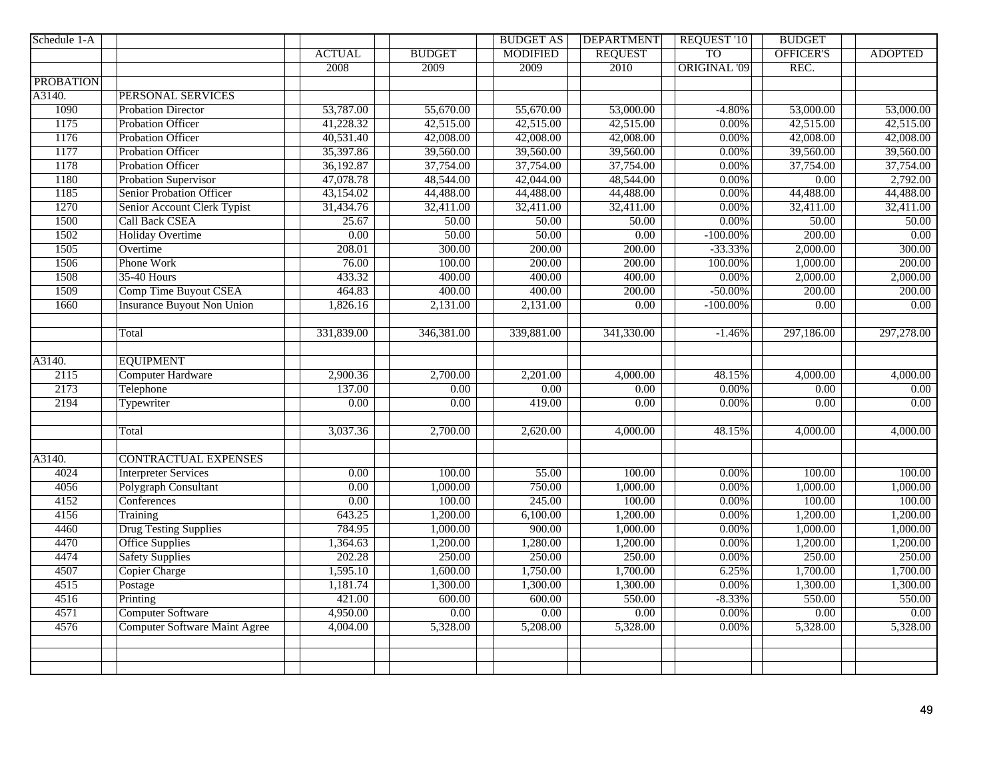| Schedule 1-A     |                                      |                   |                   | <b>BUDGET AS</b> | <b>DEPARTMENT</b> | <b>REQUEST '10</b>  | <b>BUDGET</b>     |                   |
|------------------|--------------------------------------|-------------------|-------------------|------------------|-------------------|---------------------|-------------------|-------------------|
|                  |                                      | <b>ACTUAL</b>     | <b>BUDGET</b>     | <b>MODIFIED</b>  | <b>REQUEST</b>    | <b>TO</b>           | OFFICER'S         | <b>ADOPTED</b>    |
|                  |                                      | 2008              | 2009              | 2009             | 2010              | <b>ORIGINAL '09</b> | REC.              |                   |
| <b>PROBATION</b> |                                      |                   |                   |                  |                   |                     |                   |                   |
| A3140.           | PERSONAL SERVICES                    |                   |                   |                  |                   |                     |                   |                   |
| 1090             | <b>Probation Director</b>            | 53,787.00         | 55,670.00         | 55,670.00        | 53,000.00         | $-4.80%$            | 53,000.00         | 53,000.00         |
| 1175             | <b>Probation Officer</b>             | 41,228.32         | 42,515.00         | 42,515.00        | 42,515.00         | 0.00%               | 42,515.00         | 42,515.00         |
| 1176             | <b>Probation Officer</b>             | 40,531.40         | 42,008.00         | 42,008.00        | 42,008.00         | 0.00%               | 42,008.00         | 42,008.00         |
| 1177             | <b>Probation Officer</b>             | 35,397.86         | 39,560.00         | 39,560.00        | 39,560.00         | 0.00%               | 39,560.00         | 39,560.00         |
| 1178             | <b>Probation Officer</b>             | 36,192.87         | 37,754.00         | 37,754.00        | 37,754.00         | 0.00%               | 37,754.00         | 37,754.00         |
| 1180             | <b>Probation Supervisor</b>          | 47,078.78         | 48,544.00         | 42,044.00        | 48,544.00         | 0.00%               | 0.00              | 2,792.00          |
| 1185             | <b>Senior Probation Officer</b>      | 43,154.02         | 44,488.00         | 44,488.00        | 44,488.00         | 0.00%               | 44,488.00         | 44,488.00         |
| 1270             | Senior Account Clerk Typist          | 31,434.76         | 32,411.00         | 32,411.00        | 32,411.00         | 0.00%               | 32,411.00         | 32,411.00         |
| 1500             | <b>Call Back CSEA</b>                | 25.67             | 50.00             | 50.00            | 50.00             | 0.00%               | 50.00             | 50.00             |
| 1502             | <b>Holiday Overtime</b>              | 0.00              | 50.00             | 50.00            | 0.00              | $-100.00\%$         | 200.00            | 0.00              |
| 1505             | Overtime                             | 208.01            | 300.00            | 200.00           | 200.00            | $-33.33%$           | 2,000.00          | 300.00            |
| 1506             | Phone Work                           | 76.00             | 100.00            | 200.00           | 200.00            | 100.00%             | 1,000.00          | 200.00            |
| 1508             | <b>35-40 Hours</b>                   | 433.32            | 400.00            | 400.00           | 400.00            | 0.00%               | 2,000.00          | 2,000.00          |
| 1509             | <b>Comp Time Buyout CSEA</b>         | 464.83            | 400.00            | 400.00           | 200.00            | $-50.00%$           | 200.00            | 200.00            |
| 1660             | <b>Insurance Buyout Non Union</b>    | 1,826.16          | 2,131.00          | 2,131.00         | 0.00              | $-100.00\%$         | $\overline{0.00}$ | 0.00              |
|                  |                                      |                   |                   |                  |                   |                     |                   |                   |
|                  | Total                                | 331,839.00        | 346,381.00        | 339,881.00       | 341,330.00        | $-1.46%$            | 297,186.00        | 297,278.00        |
|                  |                                      |                   |                   |                  |                   |                     |                   |                   |
| A3140.           | <b>EQUIPMENT</b>                     |                   |                   |                  |                   |                     |                   |                   |
| 2115             | <b>Computer Hardware</b>             | 2,900.36          | 2,700.00          | 2,201.00         | 4,000.00          | 48.15%              | 4,000.00          | 4,000.00          |
| 2173             | Telephone                            | 137.00            | 0.00              | 0.00             | 0.00              | 0.00%               | 0.00              | 0.00              |
| 2194             | Typewriter                           | 0.00              | $\overline{0.00}$ | 419.00           | $\overline{0.00}$ | 0.00%               | 0.00              | $\overline{0.00}$ |
|                  |                                      |                   |                   |                  |                   |                     |                   |                   |
|                  | Total                                | 3,037.36          | 2,700.00          | 2,620.00         | 4,000.00          | 48.15%              | 4,000.00          | 4,000.00          |
|                  |                                      |                   |                   |                  |                   |                     |                   |                   |
| A3140.           | <b>CONTRACTUAL EXPENSES</b>          |                   |                   |                  |                   |                     |                   |                   |
| 4024             | <b>Interpreter Services</b>          | 0.00              | 100.00            | 55.00            | 100.00            | 0.00%               | 100.00            | 100.00            |
| 4056             | Polygraph Consultant                 | 0.00              | 1,000.00          | 750.00           | 1,000.00          | 0.00%               | 1,000.00          | 1,000.00          |
| 4152             | Conferences                          | $\overline{0.00}$ | 100.00            | 245.00           | 100.00            | 0.00%               | 100.00            | 100.00            |
| 4156             | Training                             | 643.25            | 1,200.00          | 6,100.00         | 1,200.00          | 0.00%               | 1,200.00          | 1,200.00          |
| 4460             | <b>Drug Testing Supplies</b>         | 784.95            | 1,000.00          | 900.00           | 1,000.00          | 0.00%               | 1,000.00          | 1,000.00          |
| 4470             | Office Supplies                      | 1,364.63          | 1,200.00          | 1,280.00         | 1,200.00          | $0.00\%$            | 1,200.00          | 1,200.00          |
| 4474             | <b>Safety Supplies</b>               | 202.28            | 250.00            | 250.00           | 250.00            | 0.00%               | 250.00            | 250.00            |
| 4507             | <b>Copier Charge</b>                 | 1,595.10          | 1,600.00          | 1,750.00         | 1,700.00          | 6.25%               | 1,700.00          | 1,700.00          |
| 4515             | Postage                              | 1,181.74          | 1,300.00          | 1,300.00         | 1,300.00          | 0.00%               | 1,300.00          | 1,300.00          |
| 4516             | Printing                             | 421.00            | 600.00            | 600.00           | 550.00            | $-8.33%$            | 550.00            | 550.00            |
| 4571             | <b>Computer Software</b>             | 4,950.00          | 0.00              | 0.00             | 0.00              | 0.00%               | 0.00              | 0.00              |
| 4576             | <b>Computer Software Maint Agree</b> | 4,004.00          | 5,328.00          | 5,208.00         | 5,328.00          | 0.00%               | 5,328.00          | 5,328.00          |
|                  |                                      |                   |                   |                  |                   |                     |                   |                   |
|                  |                                      |                   |                   |                  |                   |                     |                   |                   |
|                  |                                      |                   |                   |                  |                   |                     |                   |                   |
|                  |                                      |                   |                   |                  |                   |                     |                   |                   |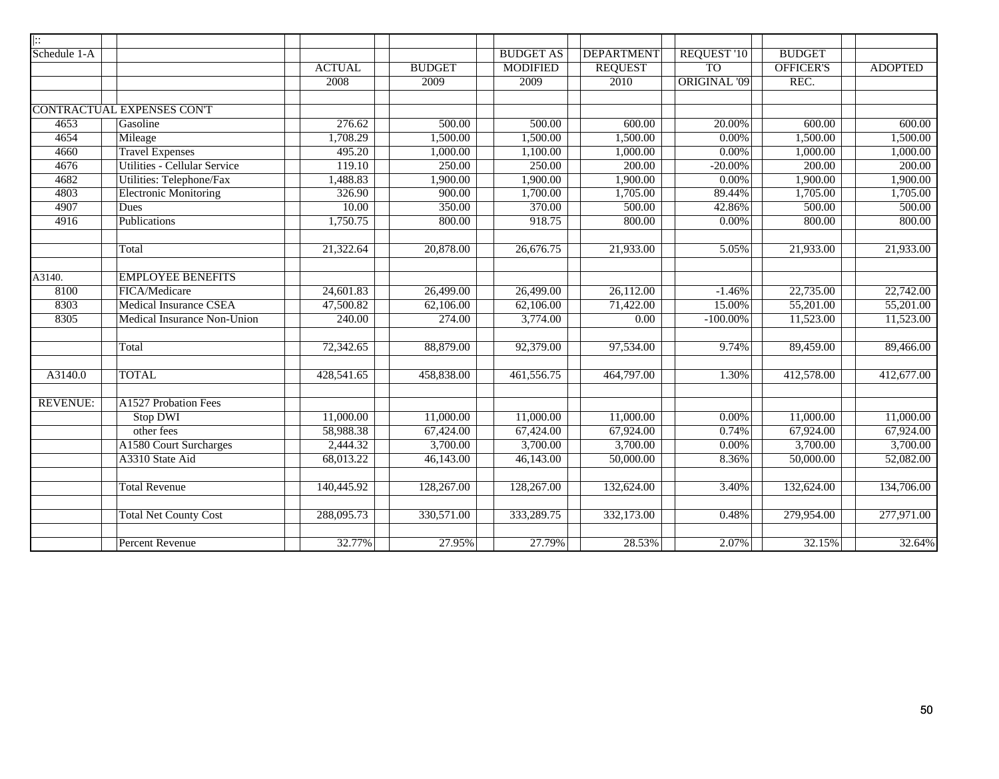| $\vert \vdots$  |                                     |               |               |                  |                   |                     |                  |                |
|-----------------|-------------------------------------|---------------|---------------|------------------|-------------------|---------------------|------------------|----------------|
| Schedule 1-A    |                                     |               |               | <b>BUDGET AS</b> | <b>DEPARTMENT</b> | <b>REQUEST '10</b>  | <b>BUDGET</b>    |                |
|                 |                                     | <b>ACTUAL</b> | <b>BUDGET</b> | <b>MODIFIED</b>  | <b>REQUEST</b>    | <b>TO</b>           | <b>OFFICER'S</b> | <b>ADOPTED</b> |
|                 |                                     | 2008          | 2009          | 2009             | 2010              | <b>ORIGINAL '09</b> | REC.             |                |
|                 |                                     |               |               |                  |                   |                     |                  |                |
|                 | <b>CONTRACTUAL EXPENSES CONT</b>    |               |               |                  |                   |                     |                  |                |
| 4653            | Gasoline                            | 276.62        | 500.00        | 500.00           | 600.00            | 20.00%              | 600.00           | 600.00         |
| 4654            | Mileage                             | 1,708.29      | 1,500.00      | 1,500.00         | 1,500.00          | 0.00%               | 1,500.00         | 1,500.00       |
| 4660            | <b>Travel Expenses</b>              | 495.20        | 1,000.00      | 1,100.00         | 1,000.00          | 0.00%               | 1,000.00         | 1,000.00       |
| 4676            | <b>Utilities - Cellular Service</b> | 119.10        | 250.00        | 250.00           | 200.00            | $-20.00%$           | 200.00           | 200.00         |
| 4682            | Utilities: Telephone/Fax            | 1,488.83      | 1,900.00      | 1,900.00         | 1,900.00          | 0.00%               | 1,900.00         | 1,900.00       |
| 4803            | <b>Electronic Monitoring</b>        | 326.90        | 900.00        | 1,700.00         | 1,705.00          | 89.44%              | 1,705.00         | 1,705.00       |
| 4907            | Dues                                | 10.00         | 350.00        | 370.00           | 500.00            | 42.86%              | 500.00           | 500.00         |
| 4916            | Publications                        | 1,750.75      | 800.00        | 918.75           | 800.00            | 0.00%               | 800.00           | 800.00         |
|                 |                                     |               |               |                  |                   |                     |                  |                |
|                 | Total                               | 21,322.64     | 20,878.00     | 26,676.75        | 21,933.00         | 5.05%               | 21,933.00        | 21,933.00      |
|                 |                                     |               |               |                  |                   |                     |                  |                |
| A3140.          | <b>EMPLOYEE BENEFITS</b>            |               |               |                  |                   |                     |                  |                |
| 8100            | FICA/Medicare                       | 24,601.83     | 26,499.00     | 26,499.00        | 26,112.00         | $-1.46%$            | 22,735.00        | 22,742.00      |
| 8303            | <b>Medical Insurance CSEA</b>       | 47,500.82     | 62,106.00     | 62,106.00        | 71,422.00         | 15.00%              | 55,201.00        | 55,201.00      |
| 8305            | Medical Insurance Non-Union         | 240.00        | 274.00        | 3,774.00         | $\overline{0.00}$ | $-100.00\%$         | 11,523.00        | 11,523.00      |
|                 |                                     |               |               |                  |                   |                     |                  |                |
|                 | Total                               | 72,342.65     | 88,879.00     | 92,379.00        | 97,534.00         | 9.74%               | 89,459.00        | 89,466.00      |
|                 |                                     |               |               |                  |                   |                     |                  |                |
| A3140.0         | <b>TOTAL</b>                        | 428,541.65    | 458,838.00    | 461,556.75       | 464,797.00        | 1.30%               | 412,578.00       | 412,677.00     |
|                 |                                     |               |               |                  |                   |                     |                  |                |
| <b>REVENUE:</b> | <b>A1527 Probation Fees</b>         |               |               |                  |                   |                     |                  |                |
|                 | <b>Stop DWI</b>                     | 11,000.00     | 11,000.00     | 11,000.00        | 11,000.00         | 0.00%               | 11,000.00        | 11,000.00      |
|                 | other fees                          | 58,988.38     | 67,424.00     | 67,424.00        | 67,924.00         | 0.74%               | 67,924.00        | 67,924.00      |
|                 | A1580 Court Surcharges              | 2,444.32      | 3,700.00      | 3,700.00         | 3,700.00          | 0.00%               | 3,700.00         | 3,700.00       |
|                 | A3310 State Aid                     | 68,013.22     | 46,143.00     | 46,143.00        | 50,000.00         | 8.36%               | 50,000.00        | 52,082.00      |
|                 |                                     |               |               |                  |                   |                     |                  |                |
|                 | <b>Total Revenue</b>                | 140,445.92    | 128,267.00    | 128,267.00       | 132,624.00        | 3.40%               | 132,624.00       | 134,706.00     |
|                 |                                     |               |               |                  |                   |                     |                  |                |
|                 | <b>Total Net County Cost</b>        | 288,095.73    | 330,571.00    | 333,289.75       | 332,173.00        | 0.48%               | 279,954.00       | 277,971.00     |
|                 |                                     |               |               |                  |                   |                     |                  |                |
|                 | <b>Percent Revenue</b>              | 32.77%        | 27.95%        | 27.79%           | 28.53%            | 2.07%               | 32.15%           | 32.64%         |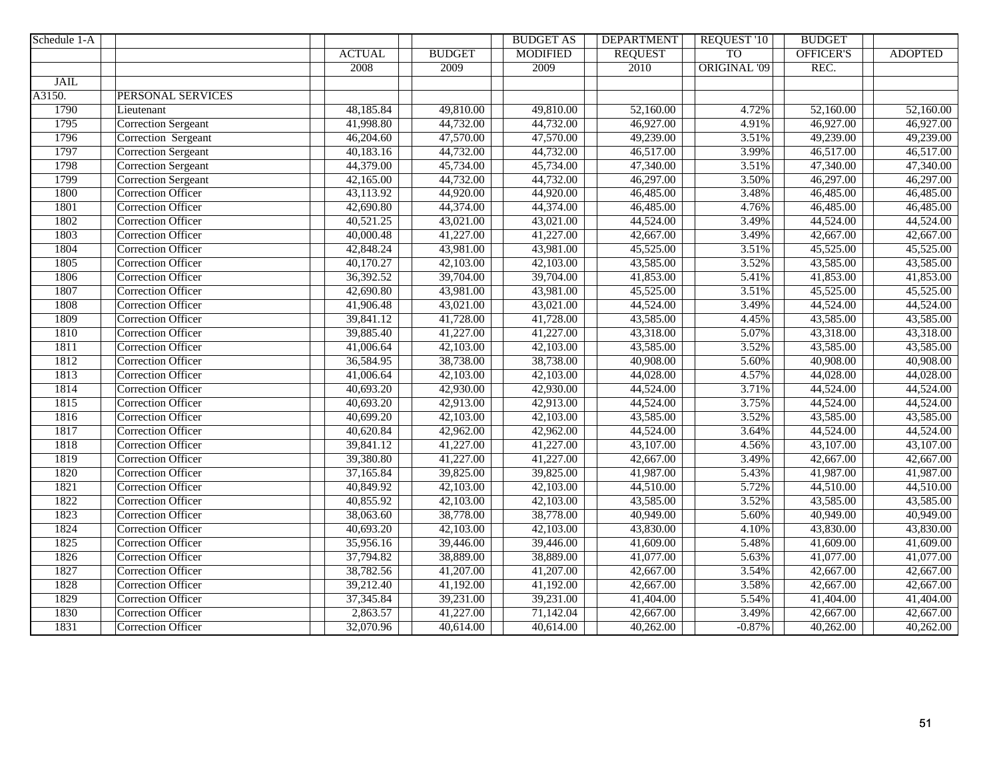| Schedule 1-A |                            |               |               | <b>BUDGET AS</b> | <b>DEPARTMENT</b> | REQUEST '10         | <b>BUDGET</b>    |                |
|--------------|----------------------------|---------------|---------------|------------------|-------------------|---------------------|------------------|----------------|
|              |                            | <b>ACTUAL</b> | <b>BUDGET</b> | <b>MODIFIED</b>  | <b>REQUEST</b>    | <b>TO</b>           | <b>OFFICER'S</b> | <b>ADOPTED</b> |
|              |                            | 2008          | 2009          | 2009             | 2010              | <b>ORIGINAL '09</b> | REC.             |                |
| <b>JAIL</b>  |                            |               |               |                  |                   |                     |                  |                |
| A3150.       | PERSONAL SERVICES          |               |               |                  |                   |                     |                  |                |
| 1790         | Lieutenant                 | 48,185.84     | 49,810.00     | 49,810.00        | 52,160.00         | 4.72%               | 52,160.00        | 52,160.00      |
| 1795         | <b>Correction Sergeant</b> | 41,998.80     | 44,732.00     | 44,732.00        | 46,927.00         | 4.91%               | 46,927.00        | 46,927.00      |
| 1796         | Correction Sergeant        | 46,204.60     | 47,570.00     | 47,570.00        | 49,239.00         | 3.51%               | 49,239.00        | 49,239.00      |
| 1797         | <b>Correction Sergeant</b> | 40,183.16     | 44,732.00     | 44,732.00        | 46,517.00         | 3.99%               | 46,517.00        | 46,517.00      |
| 1798         | <b>Correction Sergeant</b> | 44,379.00     | 45,734.00     | 45,734.00        | 47,340.00         | 3.51%               | 47,340.00        | 47,340.00      |
| 1799         | Correction Sergeant        | 42,165.00     | 44,732.00     | 44,732.00        | 46,297.00         | 3.50%               | 46,297.00        | 46,297.00      |
| 1800         | <b>Correction Officer</b>  | 43,113.92     | 44,920.00     | 44,920.00        | 46,485.00         | 3.48%               | 46,485.00        | 46,485.00      |
| 1801         | <b>Correction Officer</b>  | 42,690.80     | 44,374.00     | 44,374.00        | 46,485.00         | 4.76%               | 46,485.00        | 46,485.00      |
| 1802         | <b>Correction Officer</b>  | 40,521.25     | 43,021.00     | 43,021.00        | 44,524.00         | 3.49%               | 44,524.00        | 44,524.00      |
| 1803         | <b>Correction Officer</b>  | 40,000.48     | 41,227.00     | 41,227.00        | 42,667.00         | 3.49%               | 42,667.00        | 42,667.00      |
| 1804         | <b>Correction Officer</b>  | 42,848.24     | 43,981.00     | 43,981.00        | 45,525.00         | 3.51%               | 45,525.00        | 45,525.00      |
| 1805         | <b>Correction Officer</b>  | 40,170.27     | 42,103.00     | 42,103.00        | 43,585.00         | 3.52%               | 43,585.00        | 43,585.00      |
| 1806         | <b>Correction Officer</b>  | 36,392.52     | 39,704.00     | 39,704.00        | 41,853.00         | 5.41%               | 41,853.00        | 41,853.00      |
| 1807         | <b>Correction Officer</b>  | 42,690.80     | 43,981.00     | 43,981.00        | 45,525.00         | 3.51%               | 45,525.00        | 45,525.00      |
| 1808         | Correction Officer         | 41,906.48     | 43,021.00     | 43,021.00        | 44,524.00         | 3.49%               | 44,524.00        | 44,524.00      |
| 1809         | <b>Correction Officer</b>  | 39,841.12     | 41,728.00     | 41,728.00        | 43,585.00         | 4.45%               | 43,585.00        | 43,585.00      |
| 1810         | <b>Correction Officer</b>  | 39,885.40     | 41,227.00     | 41,227.00        | 43,318.00         | 5.07%               | 43,318.00        | 43,318.00      |
| 1811         | <b>Correction Officer</b>  | 41,006.64     | 42,103.00     | 42,103.00        | 43,585.00         | 3.52%               | 43,585.00        | 43,585.00      |
| 1812         | <b>Correction Officer</b>  | 36,584.95     | 38,738.00     | 38,738.00        | 40,908.00         | 5.60%               | 40,908.00        | 40,908.00      |
| 1813         | <b>Correction Officer</b>  | 41,006.64     | 42,103.00     | 42,103.00        | 44,028.00         | 4.57%               | 44,028.00        | 44,028.00      |
| 1814         | <b>Correction Officer</b>  | 40,693.20     | 42,930.00     | 42,930.00        | 44,524.00         | 3.71%               | 44,524.00        | 44,524.00      |
| 1815         | <b>Correction Officer</b>  | 40,693.20     | 42,913.00     | 42,913.00        | 44,524.00         | 3.75%               | 44,524.00        | 44,524.00      |
| 1816         | <b>Correction Officer</b>  | 40,699.20     | 42,103.00     | 42,103.00        | 43,585.00         | 3.52%               | 43,585.00        | 43,585.00      |
| 1817         | <b>Correction Officer</b>  | 40,620.84     | 42,962.00     | 42,962.00        | 44,524.00         | 3.64%               | 44,524.00        | 44,524.00      |
| 1818         | <b>Correction Officer</b>  | 39,841.12     | 41,227.00     | 41,227.00        | 43,107.00         | 4.56%               | 43,107.00        | 43,107.00      |
| 1819         | <b>Correction Officer</b>  | 39,380.80     | 41,227.00     | 41,227.00        | 42,667.00         | 3.49%               | 42,667.00        | 42,667.00      |
| 1820         | <b>Correction Officer</b>  | 37,165.84     | 39,825.00     | 39,825.00        | 41,987.00         | 5.43%               | 41,987.00        | 41,987.00      |
| 1821         | <b>Correction Officer</b>  | 40,849.92     | 42,103.00     | 42,103.00        | 44,510.00         | 5.72%               | 44,510.00        | 44,510.00      |
| 1822         | <b>Correction Officer</b>  | 40,855.92     | 42,103.00     | 42,103.00        | 43,585.00         | 3.52%               | 43,585.00        | 43,585.00      |
| 1823         | <b>Correction Officer</b>  | 38,063.60     | 38,778.00     | 38,778.00        | 40,949.00         | 5.60%               | 40,949.00        | 40,949.00      |
| 1824         | Correction Officer         | 40,693.20     | 42,103.00     | 42,103.00        | 43,830.00         | 4.10%               | 43,830.00        | 43,830.00      |
| 1825         | Correction Officer         | 35,956.16     | 39,446.00     | 39,446.00        | 41,609.00         | 5.48%               | 41,609.00        | 41,609.00      |
| 1826         | <b>Correction Officer</b>  | 37,794.82     | 38,889.00     | 38,889.00        | 41,077.00         | 5.63%               | 41,077.00        | 41,077.00      |
| 1827         | <b>Correction Officer</b>  | 38,782.56     | 41,207.00     | 41,207.00        | 42,667.00         | 3.54%               | 42,667.00        | 42,667.00      |
| 1828         | <b>Correction Officer</b>  | 39,212.40     | 41,192.00     | 41,192.00        | 42,667.00         | 3.58%               | 42,667.00        | 42,667.00      |
| 1829         | <b>Correction Officer</b>  | 37,345.84     | 39,231.00     | 39,231.00        | 41,404.00         | 5.54%               | 41,404.00        | 41,404.00      |
| 1830         | <b>Correction Officer</b>  | 2,863.57      | 41,227.00     | 71,142.04        | 42,667.00         | 3.49%               | 42,667.00        | 42,667.00      |
| 1831         | <b>Correction Officer</b>  | 32,070.96     | 40,614.00     | 40,614.00        | 40,262.00         | $-0.87\%$           | 40,262.00        | 40,262.00      |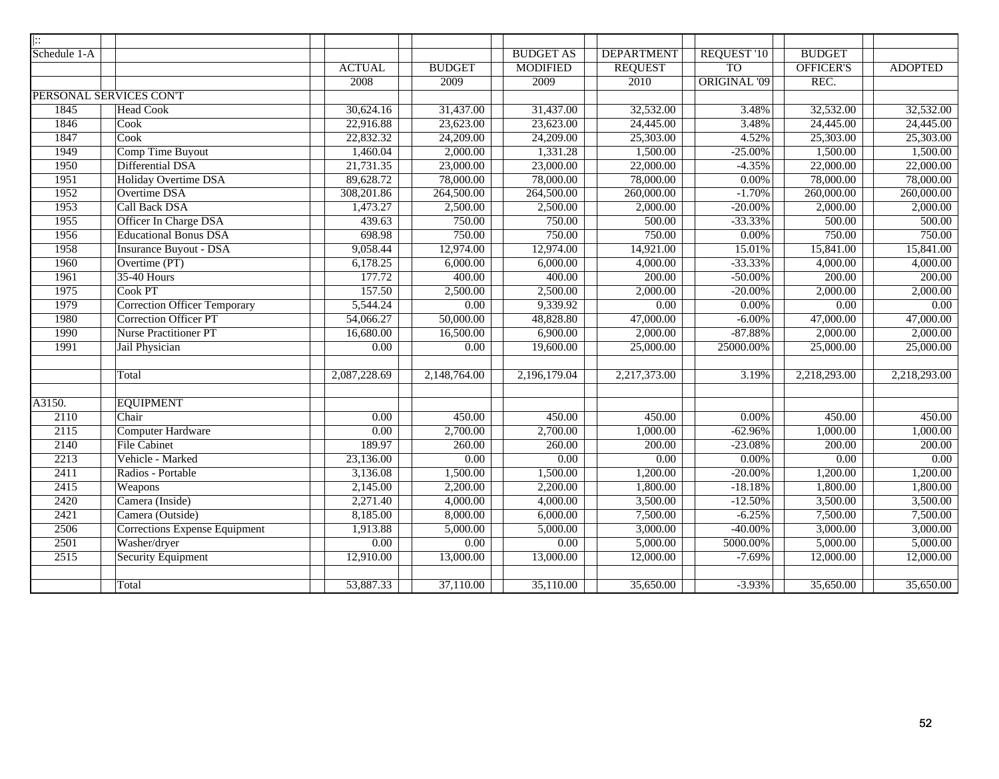| $\overline{::}$ |                                      |               |                   |                  |                   |                     |                   |                   |
|-----------------|--------------------------------------|---------------|-------------------|------------------|-------------------|---------------------|-------------------|-------------------|
| Schedule 1-A    |                                      |               |                   | <b>BUDGET AS</b> | <b>DEPARTMENT</b> | REQUEST '10         | <b>BUDGET</b>     |                   |
|                 |                                      | <b>ACTUAL</b> | <b>BUDGET</b>     | <b>MODIFIED</b>  | <b>REQUEST</b>    | <b>TO</b>           | OFFICER'S         | <b>ADOPTED</b>    |
|                 |                                      | 2008          | 2009              | 2009             | 2010              | <b>ORIGINAL '09</b> | REC.              |                   |
|                 | PERSONAL SERVICES CON'T              |               |                   |                  |                   |                     |                   |                   |
| 1845            | <b>Head Cook</b>                     | 30,624.16     | 31,437.00         | 31,437.00        | 32,532.00         | 3.48%               | 32,532.00         | 32,532.00         |
| 1846            | Cook                                 | 22,916.88     | 23,623.00         | 23,623.00        | 24,445.00         | 3.48%               | 24,445.00         | 24,445.00         |
| 1847            | Cook                                 | 22,832.32     | 24,209.00         | 24,209.00        | 25,303.00         | 4.52%               | 25,303.00         | 25,303.00         |
| 1949            | Comp Time Buyout                     | 1,460.04      | 2,000.00          | 1,331.28         | 1,500.00          | $-25.00%$           | 1,500.00          | 1,500.00          |
| 1950            | Differential DSA                     | 21,731.35     | 23,000.00         | 23,000.00        | 22,000.00         | $-4.35%$            | 22,000.00         | 22,000.00         |
| 1951            | Holiday Overtime DSA                 | 89,628.72     | 78,000.00         | 78,000.00        | 78,000.00         | 0.00%               | 78,000.00         | 78,000.00         |
| 1952            | Overtime DSA                         | 308,201.86    | 264,500.00        | 264,500.00       | 260,000.00        | $-1.70%$            | 260,000.00        | 260,000.00        |
| 1953            | Call Back DSA                        | 1,473.27      | 2,500.00          | 2,500.00         | 2,000.00          | $-20.00%$           | 2,000.00          | 2,000.00          |
| 1955            | Officer In Charge DSA                | 439.63        | 750.00            | 750.00           | 500.00            | $-33.33%$           | 500.00            | 500.00            |
| 1956            | <b>Educational Bonus DSA</b>         | 698.98        | 750.00            | 750.00           | 750.00            | $0.00\%$            | 750.00            | 750.00            |
| 1958            | <b>Insurance Buyout - DSA</b>        | 9,058.44      | 12,974.00         | 12,974.00        | 14,921.00         | 15.01%              | 15,841.00         | 15,841.00         |
| 1960            | Overtime (PT)                        | 6,178.25      | 6,000.00          | 6,000.00         | 4,000.00          | $-33.33%$           | 4,000.00          | 4,000.00          |
| 1961            | 35-40 Hours                          | 177.72        | 400.00            | 400.00           | 200.00            | $-50.00\%$          | 200.00            | 200.00            |
| 1975            | Cook PT                              | 157.50        | 2,500.00          | 2,500.00         | 2,000.00          | $-20.00\%$          | 2,000.00          | 2,000.00          |
| 1979            | <b>Correction Officer Temporary</b>  | 5,544.24      | $\overline{0.00}$ | 9,339.92         | 0.00              | $0.00\%$            | $\overline{0.00}$ | 0.00              |
| 1980            | <b>Correction Officer PT</b>         | 54,066.27     | 50,000.00         | 48,828.80        | 47,000.00         | $-6.00\%$           | 47,000.00         | 47,000.00         |
| 1990            | <b>Nurse Practitioner PT</b>         | 16,680.00     | 16,500.00         | 6,900.00         | 2,000.00          | $-87.88%$           | 2,000.00          | 2,000.00          |
| 1991            | Jail Physician                       | 0.00          | 0.00              | 19,600.00        | 25,000.00         | 25000.00%           | 25,000.00         | 25,000.00         |
|                 |                                      |               |                   |                  |                   |                     |                   |                   |
|                 | Total                                | 2,087,228.69  | 2,148,764.00      | 2,196,179.04     | 2,217,373.00      | 3.19%               | 2,218,293.00      | 2,218,293.00      |
| A3150.          | <b>EQUIPMENT</b>                     |               |                   |                  |                   |                     |                   |                   |
| 2110            | Chair                                | 0.00          | 450.00            | 450.00           | 450.00            | $0.00\%$            | 450.00            | 450.00            |
| 2115            | Computer Hardware                    | 0.00          | 2,700.00          | 2,700.00         | 1,000.00          | $-62.96%$           | 1,000.00          | 1,000.00          |
| 2140            | <b>File Cabinet</b>                  | 189.97        | 260.00            | 260.00           | 200.00            | $-23.08%$           | 200.00            | 200.00            |
| 2213            | Vehicle - Marked                     | 23,136.00     | 0.00              | 0.00             | 0.00              | 0.00%               | 0.00              | $\overline{0.00}$ |
| 2411            | Radios - Portable                    | 3,136.08      | 1,500.00          | 1,500.00         | 1,200.00          | $-20.00\%$          | 1,200.00          | 1,200.00          |
| 2415            | Weapons                              | 2,145.00      | 2,200.00          | 2,200.00         | 1,800.00          | $-18.18%$           | 1,800.00          | 1,800.00          |
| 2420            | Camera (Inside)                      | 2,271.40      | 4,000.00          | 4,000.00         | 3,500.00          | $-12.50%$           | 3,500.00          | 3,500.00          |
| 2421            | Camera (Outside)                     | 8,185.00      | 8,000.00          | 6,000.00         | 7,500.00          | $-6.25%$            | 7,500.00          | 7,500.00          |
| 2506            | <b>Corrections Expense Equipment</b> | 1,913.88      | 5,000.00          | 5,000.00         | 3,000.00          | $-40.00\%$          | 3,000.00          | 3,000.00          |
| 2501            | Washer/dryer                         | 0.00          | 0.00              | 0.00             | 5,000.00          | 5000.00%            | 5,000.00          | 5,000.00          |
| 2515            | <b>Security Equipment</b>            | 12,910.00     | 13,000.00         | 13,000.00        | 12,000.00         | $-7.69%$            | 12,000.00         | 12,000.00         |
|                 |                                      |               |                   |                  |                   |                     |                   |                   |
|                 | Total                                | 53,887.33     | 37,110.00         | 35,110.00        | 35,650.00         | $-3.93%$            | 35,650.00         | 35,650.00         |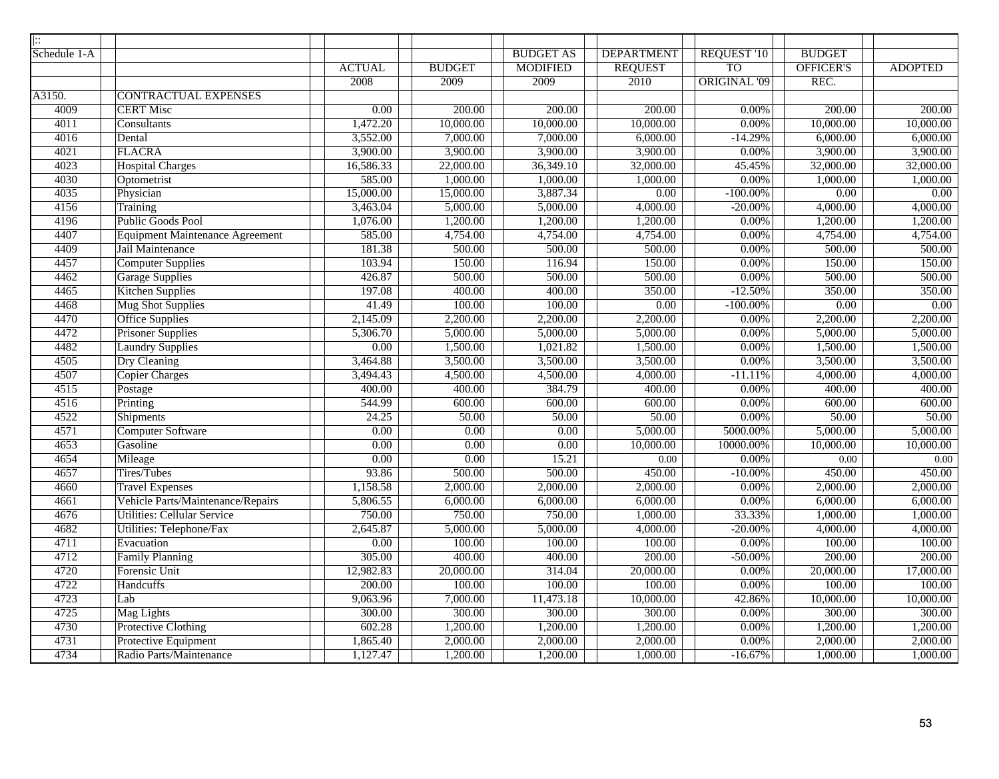| $\left  \vdots \right\rangle$ |                                        |                   |                   |                   |                   |                     |                   |                |
|-------------------------------|----------------------------------------|-------------------|-------------------|-------------------|-------------------|---------------------|-------------------|----------------|
| Schedule 1-A                  |                                        |                   |                   | <b>BUDGET AS</b>  | <b>DEPARTMENT</b> | REQUEST '10         | <b>BUDGET</b>     |                |
|                               |                                        | <b>ACTUAL</b>     | <b>BUDGET</b>     | <b>MODIFIED</b>   | <b>REQUEST</b>    | T <sub>O</sub>      | <b>OFFICER'S</b>  | <b>ADOPTED</b> |
|                               |                                        | 2008              | 2009              | 2009              | 2010              | <b>ORIGINAL '09</b> | REC.              |                |
| A3150.                        | <b>CONTRACTUAL EXPENSES</b>            |                   |                   |                   |                   |                     |                   |                |
| 4009                          | <b>CERT Misc</b>                       | 0.00              | 200.00            | 200.00            | 200.00            | $0.00\%$            | 200.00            | 200.00         |
| 4011                          | Consultants                            | 1,472.20          | 10,000.00         | 10,000.00         | 10,000.00         | $0.00\%$            | 10,000.00         | 10,000.00      |
| 4016                          | Dental                                 | 3,552.00          | 7,000.00          | 7,000.00          | 6,000.00          | $-14.29%$           | 6,000.00          | 6,000.00       |
| 4021                          | <b>FLACRA</b>                          | 3,900.00          | 3,900.00          | 3,900.00          | 3,900.00          | 0.00%               | 3,900.00          | 3,900.00       |
| 4023                          | <b>Hospital Charges</b>                | 16,586.33         | 22,000.00         | 36,349.10         | 32,000.00         | 45.45%              | 32,000.00         | 32,000.00      |
| 4030                          | Optometrist                            | 585.00            | 1,000.00          | 1,000.00          | 1,000.00          | $0.00\%$            | 1,000.00          | 1,000.00       |
| 4035                          | Physician                              | 15,000.00         | 15,000.00         | 3,887.34          | 0.00              | $-100.00\%$         | 0.00              | 0.00           |
| 4156                          | Training                               | 3,463.04          | 5,000.00          | 5,000.00          | 4,000.00          | $-20.00\%$          | 4,000.00          | 4,000.00       |
| 4196                          | Public Goods Pool                      | 1,076.00          | 1,200.00          | 1,200.00          | 1,200.00          | $0.00\%$            | 1,200.00          | 1,200.00       |
| 4407                          | <b>Equipment Maintenance Agreement</b> | 585.00            | 4,754.00          | 4,754.00          | 4,754.00          | 0.00%               | 4,754.00          | 4,754.00       |
| 4409                          | Jail Maintenance                       | 181.38            | 500.00            | 500.00            | 500.00            | $0.00\%$            | 500.00            | 500.00         |
| 4457                          | <b>Computer Supplies</b>               | 103.94            | 150.00            | 116.94            | 150.00            | $0.00\%$            | 150.00            | 150.00         |
| 4462                          | <b>Garage Supplies</b>                 | 426.87            | 500.00            | 500.00            | 500.00            | $0.00\%$            | 500.00            | 500.00         |
| 4465                          | <b>Kitchen Supplies</b>                | 197.08            | 400.00            | 400.00            | 350.00            | $-12.50%$           | 350.00            | 350.00         |
| 4468                          | <b>Mug Shot Supplies</b>               | 41.49             | 100.00            | 100.00            | $\overline{0.00}$ | $-100.00\%$         | $\overline{0.00}$ | 0.00           |
| 4470                          | <b>Office Supplies</b>                 | 2,145.09          | 2,200.00          | 2,200.00          | 2,200.00          | $0.00\%$            | 2,200.00          | 2,200.00       |
| 4472                          | <b>Prisoner Supplies</b>               | 5,306.70          | 5,000.00          | 5,000.00          | 5,000.00          | $0.00\%$            | 5,000.00          | 5,000.00       |
| 4482                          | <b>Laundry Supplies</b>                | $\overline{0.00}$ | 1,500.00          | 1,021.82          | 1,500.00          | $0.00\%$            | 1,500.00          | 1,500.00       |
| 4505                          | <b>Dry Cleaning</b>                    | 3,464.88          | 3,500.00          | 3,500.00          | 3,500.00          | $0.00\%$            | 3,500.00          | 3,500.00       |
| 4507                          | Copier Charges                         | 3,494.43          | 4,500.00          | 4,500.00          | 4,000.00          | $-11.11%$           | 4,000.00          | 4,000.00       |
| 4515                          | Postage                                | 400.00            | 400.00            | 384.79            | 400.00            | $0.00\%$            | 400.00            | 400.00         |
| 4516                          | Printing                               | 544.99            | 600.00            | 600.00            | 600.00            | 0.00%               | 600.00            | 600.00         |
| 4522                          | Shipments                              | 24.25             | 50.00             | 50.00             | 50.00             | $0.00\%$            | 50.00             | 50.00          |
| 4571                          | Computer Software                      | $\overline{0.00}$ | $\overline{0.00}$ | $\overline{0.00}$ | 5,000.00          | 5000.00%            | 5,000.00          | 5,000.00       |
| 4653                          | Gasoline                               | $\overline{0.00}$ | $\overline{0.00}$ | $\overline{0.00}$ | 10,000.00         | 10000.00%           | 10,000.00         | 10,000.00      |
| 4654                          | Mileage                                | $\overline{0.00}$ | 0.00              | 15.21             | 0.00              | $0.00\%$            | 0.00              | $0.00\,$       |
| 4657                          | <b>Tires/Tubes</b>                     | 93.86             | 500.00            | 500.00            | 450.00            | $-10.00\%$          | 450.00            | 450.00         |
| 4660                          | <b>Travel Expenses</b>                 | 1,158.58          | 2,000.00          | 2,000.00          | 2,000.00          | $0.00\%$            | 2,000.00          | 2,000.00       |
| 4661                          | Vehicle Parts/Maintenance/Repairs      | 5,806.55          | 6,000.00          | 6,000.00          | 6,000.00          | $0.00\%$            | 6,000.00          | 6,000.00       |
| 4676                          | <b>Utilities: Cellular Service</b>     | 750.00            | 750.00            | 750.00            | 1,000.00          | 33.33%              | 1,000.00          | 1,000.00       |
| 4682                          | Utilities: Telephone/Fax               | 2,645.87          | 5,000.00          | 5,000.00          | 4,000.00          | $-20.00\%$          | 4,000.00          | 4,000.00       |
| 4711                          | Evacuation                             | $0.00\,$          | 100.00            | 100.00            | 100.00            | $0.00\%$            | 100.00            | 100.00         |
| 4712                          | <b>Family Planning</b>                 | 305.00            | 400.00            | 400.00            | 200.00            | $-50.00\%$          | 200.00            | 200.00         |
| 4720                          | Forensic Unit                          | 12,982.83         | 20,000.00         | 314.04            | 20,000.00         | $0.00\%$            | 20,000.00         | 17,000.00      |
| 4722                          | <b>Handcuffs</b>                       | 200.00            | 100.00            | 100.00            | 100.00            | $0.00\%$            | 100.00            | 100.00         |
| 4723                          | Lab                                    | 9,063.96          | 7,000.00          | 11,473.18         | 10,000.00         | 42.86%              | 10,000.00         | 10,000.00      |
| 4725                          | Mag Lights                             | 300.00            | 300.00            | 300.00            | 300.00            | $0.00\%$            | 300.00            | 300.00         |
| 4730                          | Protective Clothing                    | 602.28            | 1,200.00          | 1,200.00          | 1,200.00          | $0.00\%$            | 1,200.00          | 1,200.00       |
| 4731                          | Protective Equipment                   | 1,865.40          | 2,000.00          | 2,000.00          | 2,000.00          | $0.00\%$            | 2,000.00          | 2,000.00       |
| 4734                          | Radio Parts/Maintenance                | 1,127.47          | 1,200.00          | 1,200.00          | 1,000.00          | $-16.67\%$          | 1,000.00          | 1,000.00       |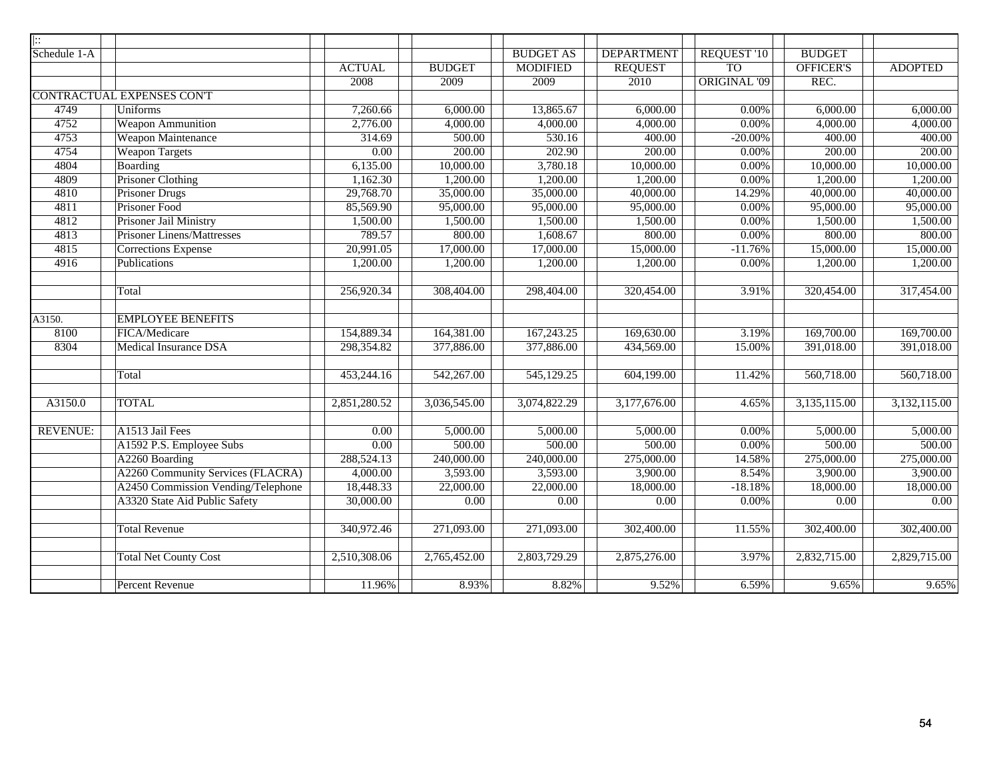| $\overline{ \colon}$ |                                    |                   |               |                  |                   |                     |                   |                |
|----------------------|------------------------------------|-------------------|---------------|------------------|-------------------|---------------------|-------------------|----------------|
| Schedule 1-A         |                                    |                   |               | <b>BUDGET AS</b> | <b>DEPARTMENT</b> | REQUEST '10         | <b>BUDGET</b>     |                |
|                      |                                    | <b>ACTUAL</b>     | <b>BUDGET</b> | <b>MODIFIED</b>  | <b>REQUEST</b>    | <b>TO</b>           | OFFICER'S         | <b>ADOPTED</b> |
|                      |                                    | 2008              | 2009          | 2009             | 2010              | <b>ORIGINAL '09</b> | REC.              |                |
|                      | <b>CONTRACTUAL EXPENSES CONT</b>   |                   |               |                  |                   |                     |                   |                |
| 4749                 | <b>Uniforms</b>                    | 7,260.66          | 6,000.00      | 13,865.67        | 6,000.00          | $0.00\%$            | 6,000.00          | 6,000.00       |
| 4752                 | <b>Weapon Ammunition</b>           | 2,776.00          | 4,000.00      | 4,000.00         | 4,000.00          | 0.00%               | 4,000.00          | 4,000.00       |
| 4753                 | <b>Weapon Maintenance</b>          | 314.69            | 500.00        | 530.16           | 400.00            | $-20.00\%$          | 400.00            | 400.00         |
| 4754                 | <b>Weapon Targets</b>              | 0.00              | 200.00        | 202.90           | 200.00            | 0.00%               | 200.00            | 200.00         |
| 4804                 | <b>Boarding</b>                    | 6,135.00          | 10,000.00     | 3,780.18         | 10,000.00         | 0.00%               | 10,000.00         | 10,000.00      |
| 4809                 | Prisoner Clothing                  | 1,162.30          | 1,200.00      | 1,200.00         | 1,200.00          | $0.00\%$            | 1,200.00          | 1,200.00       |
| 4810                 | <b>Prisoner Drugs</b>              | 29,768.70         | 35,000.00     | 35,000.00        | 40,000.00         | 14.29%              | 40,000.00         | 40,000.00      |
| 4811                 | Prisoner Food                      | 85,569.90         | 95,000.00     | 95,000.00        | 95,000.00         | 0.00%               | 95,000.00         | 95,000.00      |
| 4812                 | Prisoner Jail Ministry             | 1,500.00          | 1,500.00      | 1,500.00         | 1,500.00          | 0.00%               | 1,500.00          | 1,500.00       |
| 4813                 | <b>Prisoner Linens/Mattresses</b>  | 789.57            | 800.00        | 1,608.67         | 800.00            | $0.00\%$            | 800.00            | 800.00         |
| 4815                 | <b>Corrections Expense</b>         | 20,991.05         | 17,000.00     | 17,000.00        | 15,000.00         | $-11.76%$           | 15,000.00         | 15,000.00      |
| 4916                 | Publications                       | 1,200.00          | 1,200.00      | 1,200.00         | 1,200.00          | 0.00%               | 1,200.00          | 1,200.00       |
|                      |                                    |                   |               |                  |                   |                     |                   |                |
|                      | Total                              | 256,920.34        | 308,404.00    | 298,404.00       | 320,454.00        | 3.91%               | 320,454.00        | 317,454.00     |
|                      |                                    |                   |               |                  |                   |                     |                   |                |
| A3150.               | <b>EMPLOYEE BENEFITS</b>           |                   |               |                  |                   |                     |                   |                |
| 8100                 | FICA/Medicare                      | 154,889.34        | 164,381.00    | 167,243.25       | 169,630.00        | 3.19%               | 169,700.00        | 169,700.00     |
| 8304                 | <b>Medical Insurance DSA</b>       | 298,354.82        | 377,886.00    | 377,886.00       | 434,569.00        | 15.00%              | 391,018.00        | 391,018.00     |
|                      |                                    |                   |               |                  |                   |                     |                   |                |
|                      | Total                              | 453,244.16        | 542,267.00    | 545,129.25       | 604,199.00        | 11.42%              | 560,718.00        | 560,718.00     |
|                      |                                    |                   |               |                  |                   |                     |                   |                |
| A3150.0              | <b>TOTAL</b>                       | 2,851,280.52      | 3,036,545.00  | 3,074,822.29     | 3,177,676.00      | 4.65%               | 3,135,115.00      | 3,132,115.00   |
|                      |                                    |                   |               |                  |                   |                     |                   |                |
| <b>REVENUE:</b>      | A1513 Jail Fees                    | $\overline{0.00}$ | 5,000.00      | 5,000.00         | 5,000.00          | $0.00\%$            | 5,000.00          | 5,000.00       |
|                      | A1592 P.S. Employee Subs           | 0.00              | 500.00        | 500.00           | 500.00            | 0.00%               | 500.00            | 500.00         |
|                      | A2260 Boarding                     | 288,524.13        | 240,000.00    | 240,000.00       | 275,000.00        | 14.58%              | 275,000.00        | 275,000.00     |
|                      | A2260 Community Services (FLACRA)  | 4,000.00          | 3,593.00      | 3,593.00         | 3,900.00          | 8.54%               | 3,900.00          | 3,900.00       |
|                      | A2450 Commission Vending/Telephone | 18,448.33         | 22,000.00     | 22,000.00        | 18,000.00         | $-18.18%$           | 18,000.00         | 18,000.00      |
|                      | A3320 State Aid Public Safety      | 30,000.00         | 0.00          | 0.00             | $\overline{0.00}$ | 0.00%               | $\overline{0.00}$ | 0.00           |
|                      |                                    |                   |               |                  |                   |                     |                   |                |
|                      | <b>Total Revenue</b>               | 340,972.46        | 271,093.00    | 271,093.00       | 302,400.00        | 11.55%              | 302,400.00        | 302,400.00     |
|                      |                                    |                   |               |                  |                   |                     |                   |                |
|                      | <b>Total Net County Cost</b>       | 2,510,308.06      | 2,765,452.00  | 2,803,729.29     | 2,875,276.00      | 3.97%               | 2,832,715.00      | 2,829,715.00   |
|                      |                                    |                   |               |                  |                   |                     |                   |                |
|                      | <b>Percent Revenue</b>             | 11.96%            | 8.93%         | 8.82%            | 9.52%             | 6.59%               | 9.65%             | 9.65%          |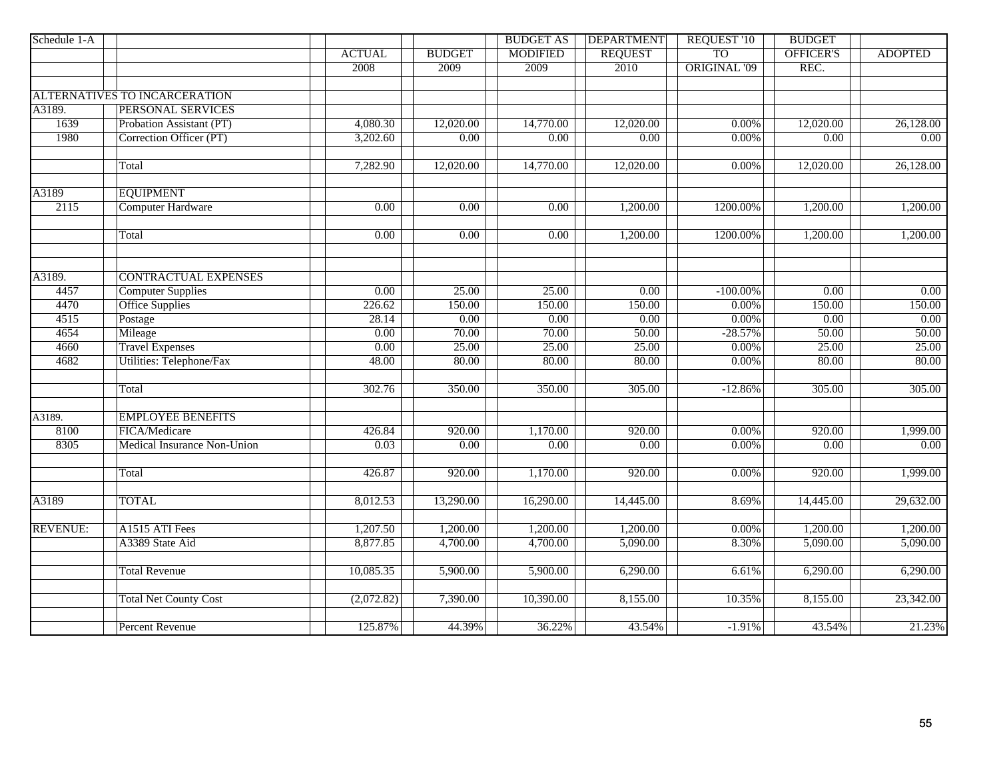| Schedule 1-A    |                               |                   |                   | <b>BUDGET AS</b>  | <b>DEPARTMENT</b> | <b>REQUEST '10</b>  | <b>BUDGET</b>     |                |
|-----------------|-------------------------------|-------------------|-------------------|-------------------|-------------------|---------------------|-------------------|----------------|
|                 |                               | <b>ACTUAL</b>     | <b>BUDGET</b>     | <b>MODIFIED</b>   | <b>REQUEST</b>    | <b>TO</b>           | OFFICER'S         | <b>ADOPTED</b> |
|                 |                               | 2008              | 2009              | 2009              | 2010              | <b>ORIGINAL '09</b> | REC.              |                |
|                 |                               |                   |                   |                   |                   |                     |                   |                |
|                 | ALTERNATIVES TO INCARCERATION |                   |                   |                   |                   |                     |                   |                |
| A3189.          | PERSONAL SERVICES             |                   |                   |                   |                   |                     |                   |                |
| 1639            | Probation Assistant (PT)      | 4,080.30          | 12,020.00         | 14,770.00         | 12,020.00         | 0.00%               | 12,020.00         | 26,128.00      |
| 1980            | Correction Officer (PT)       | 3,202.60          | $\overline{0.00}$ | $\overline{0.00}$ | $\overline{0.00}$ | 0.00%               | $\overline{0.00}$ | 0.00           |
|                 |                               |                   |                   |                   |                   |                     |                   |                |
|                 | Total                         | 7,282.90          | 12,020.00         | 14,770.00         | 12,020.00         | 0.00%               | 12,020.00         | 26,128.00      |
|                 |                               |                   |                   |                   |                   |                     |                   |                |
| A3189           | <b>EQUIPMENT</b>              |                   |                   |                   |                   |                     |                   |                |
| 2115            | Computer Hardware             | $\overline{0.00}$ | $\overline{0.00}$ | 0.00              | 1,200.00          | 1200.00%            | 1,200.00          | 1,200.00       |
|                 |                               |                   |                   |                   |                   |                     |                   |                |
|                 | Total                         | 0.00              | 0.00              | 0.00              | 1,200.00          | 1200.00%            | 1,200.00          | 1,200.00       |
|                 |                               |                   |                   |                   |                   |                     |                   |                |
| A3189.          | <b>CONTRACTUAL EXPENSES</b>   |                   |                   |                   |                   |                     |                   |                |
| 4457            | <b>Computer Supplies</b>      | $\overline{0.00}$ | 25.00             | 25.00             | $\overline{0.00}$ | $-100.00\%$         | $\overline{0.00}$ | 0.00           |
| 4470            | <b>Office Supplies</b>        | 226.62            | 150.00            | 150.00            | 150.00            | 0.00%               | 150.00            | 150.00         |
| 4515            | Postage                       | 28.14             | $\overline{0.00}$ | 0.00              | 0.00              | 0.00%               | $\overline{0.00}$ | 0.00           |
| 4654            | Mileage                       | $\overline{0.00}$ | 70.00             | 70.00             | 50.00             | $-28.57%$           | 50.00             | 50.00          |
| 4660            | <b>Travel Expenses</b>        | 0.00              | 25.00             | 25.00             | 25.00             | 0.00%               | 25.00             | 25.00          |
| 4682            | Utilities: Telephone/Fax      | 48.00             | 80.00             | 80.00             | 80.00             | 0.00%               | 80.00             | 80.00          |
|                 | Total                         | 302.76            | 350.00            | 350.00            | 305.00            | $-12.86%$           | 305.00            | 305.00         |
|                 |                               |                   |                   |                   |                   |                     |                   |                |
| A3189.          | <b>EMPLOYEE BENEFITS</b>      |                   |                   |                   |                   |                     |                   |                |
| 8100            | FICA/Medicare                 | 426.84            | 920.00            | 1,170.00          | 920.00            | 0.00%               | 920.00            | 1,999.00       |
| 8305            | Medical Insurance Non-Union   | 0.03              | 0.00              | 0.00              | $\overline{0.00}$ | 0.00%               | $\overline{0.00}$ | 0.00           |
|                 |                               |                   |                   |                   |                   |                     |                   |                |
|                 | Total                         | 426.87            | 920.00            | 1,170.00          | 920.00            | 0.00%               | 920.00            | 1,999.00       |
| A3189           | <b>TOTAL</b>                  | 8,012.53          | 13,290.00         | 16,290.00         | 14,445.00         | 8.69%               | 14,445.00         | 29,632.00      |
|                 |                               |                   |                   |                   |                   |                     |                   |                |
| <b>REVENUE:</b> | A1515 ATI Fees                | 1,207.50          | 1,200.00          | 1,200.00          | 1,200.00          | 0.00%               | 1,200.00          | 1,200.00       |
|                 | A3389 State Aid               | 8,877.85          | 4,700.00          | 4,700.00          | 5,090.00          | 8.30%               | 5,090.00          | 5,090.00       |
|                 | <b>Total Revenue</b>          | 10,085.35         | 5,900.00          | 5,900.00          | 6,290.00          | 6.61%               | 6,290.00          | 6,290.00       |
|                 |                               |                   |                   |                   |                   |                     |                   |                |
|                 | <b>Total Net County Cost</b>  | (2,072.82)        | 7,390.00          | 10,390.00         | 8,155.00          | 10.35%              | 8,155.00          | 23,342.00      |
|                 | <b>Percent Revenue</b>        | 125.87%           | 44.39%            | 36.22%            | 43.54%            | $-1.91%$            | 43.54%            | 21.23%         |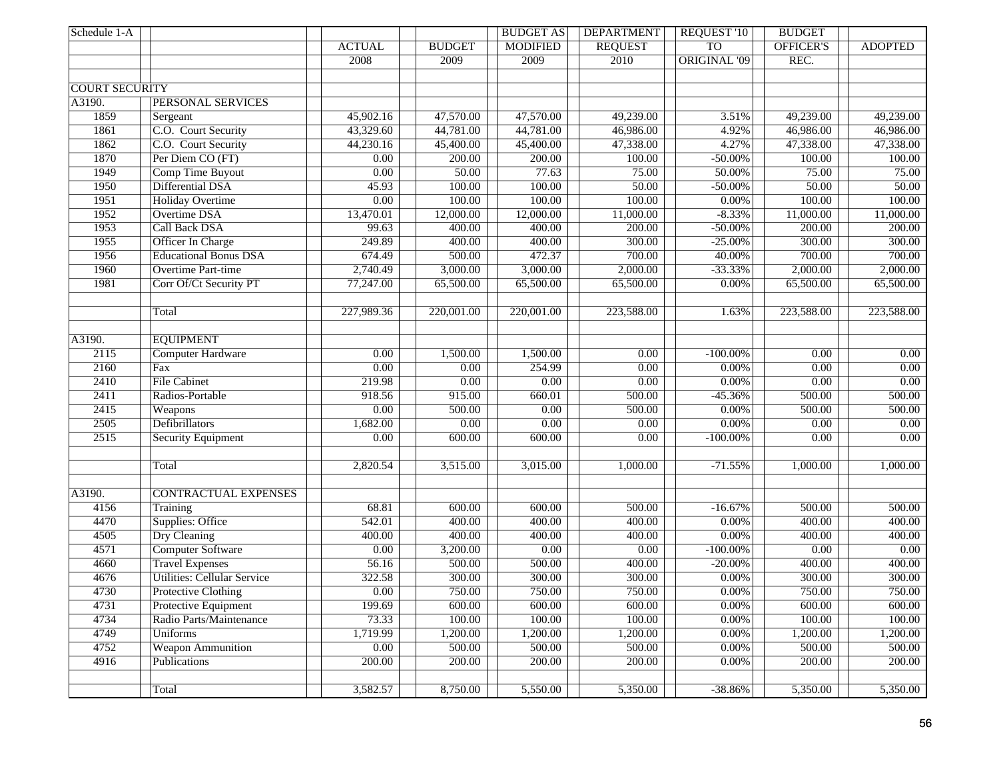| Schedule 1-A          |                                                    |                   |                   | <b>BUDGET AS</b>      | <b>DEPARTMENT</b>  | <b>REQUEST '10</b>   | <b>BUDGET</b>     |                   |
|-----------------------|----------------------------------------------------|-------------------|-------------------|-----------------------|--------------------|----------------------|-------------------|-------------------|
|                       |                                                    | <b>ACTUAL</b>     | <b>BUDGET</b>     | <b>MODIFIED</b>       | <b>REQUEST</b>     | <b>TO</b>            | <b>OFFICER'S</b>  | <b>ADOPTED</b>    |
|                       |                                                    | 2008              | 2009              | 2009                  | 2010               | <b>ORIGINAL '09</b>  | REC.              |                   |
|                       |                                                    |                   |                   |                       |                    |                      |                   |                   |
| <b>COURT SECURITY</b> |                                                    |                   |                   |                       |                    |                      |                   |                   |
| A3190.                | PERSONAL SERVICES                                  |                   |                   |                       |                    |                      |                   |                   |
| 1859                  | Sergeant                                           | 45,902.16         | 47,570.00         | 47,570.00             | 49,239.00          | 3.51%                | 49,239.00         | 49,239.00         |
| 1861                  | C.O. Court Security                                | 43,329.60         | 44,781.00         | 44,781.00             | 46,986.00          | 4.92%                | 46,986.00         | 46,986.00         |
| 1862                  | C.O. Court Security                                | 44,230.16         | 45,400.00         | 45,400.00             | 47,338.00          | 4.27%                | 47,338.00         | 47,338.00         |
| 1870                  | Per Diem CO (FT)                                   | $\overline{0.00}$ | 200.00            | 200.00                | 100.00             | $-50.00\%$           | 100.00            | 100.00            |
| 1949                  | Comp Time Buyout                                   | 0.00              | 50.00             | 77.63                 | 75.00              | 50.00%               | 75.00             | 75.00             |
| 1950                  | Differential DSA                                   | 45.93             | 100.00            | 100.00                | 50.00              | $-50.00\%$           | 50.00             | 50.00             |
| 1951                  | <b>Holiday Overtime</b>                            | 0.00              | 100.00            | 100.00                | 100.00             | $0.00\%$             | 100.00            | 100.00            |
| 1952                  | <b>Overtime DSA</b>                                | 13,470.01         | 12,000.00         | 12,000.00             | 11,000.00          | $-8.33%$             | 11,000.00         | 11,000.00         |
| 1953                  | <b>Call Back DSA</b>                               | 99.63             | 400.00            | 400.00                | 200.00             | $-50.00\%$           | 200.00            | 200.00            |
| 1955                  | Officer In Charge                                  | 249.89            | 400.00            | 400.00                | 300.00             | $-25.00\%$           | 300.00            | 300.00            |
| 1956                  | <b>Educational Bonus DSA</b>                       | 674.49            | 500.00            | 472.37                | 700.00             | 40.00%               | 700.00            | 700.00            |
| 1960                  | <b>Overtime Part-time</b>                          | 2,740.49          | 3,000.00          | 3,000.00              | 2,000.00           | $-33.33%$            | 2,000.00          | 2,000.00          |
| 1981                  | Corr Of/Ct Security PT                             | 77,247.00         | 65,500.00         | 65,500.00             | 65,500.00          | 0.00%                | 65,500.00         | 65,500.00         |
|                       |                                                    |                   |                   |                       |                    |                      |                   |                   |
|                       | Total                                              | 227,989.36        | 220,001.00        | 220,001.00            | 223,588.00         | 1.63%                | 223,588.00        | 223,588.00        |
|                       |                                                    |                   |                   |                       |                    |                      |                   |                   |
| A3190.                | <b>EOUIPMENT</b>                                   |                   |                   |                       |                    |                      |                   |                   |
| 2115                  | Computer Hardware                                  | 0.00              | 1,500.00          | 1,500.00              | 0.00               | $-100.00\%$          | 0.00              | 0.00              |
| 2160                  | Fax                                                | $\overline{0.00}$ | 0.00              | 254.99                | $\overline{0.00}$  | $0.00\%$             | 0.00              | $\overline{0.00}$ |
| 2410                  | <b>File Cabinet</b>                                | 219.98            | $\overline{0.00}$ | 0.00                  | $\overline{0.00}$  | $0.00\%$             | 0.00              | $\overline{0.00}$ |
| 2411                  | Radios-Portable                                    | 918.56            | 915.00            | 660.01                | 500.00             | $-45.36%$            | 500.00            | 500.00            |
| 2415                  | Weapons                                            | $\overline{0.00}$ | 500.00            | $\overline{0.00}$     | 500.00             | 0.00%                | 500.00            | 500.00            |
| 2505                  | Defibrillators                                     | 1,682.00          | $\overline{0.00}$ | 0.00                  | $\overline{0.00}$  | $0.00\%$             | $\overline{0.00}$ | $\overline{0.00}$ |
| 2515                  | Security Equipment                                 | $\overline{0.00}$ | 600.00            | 600.00                | $\overline{0.00}$  | $-100.00\%$          | $\overline{0.00}$ | 0.00              |
|                       |                                                    |                   |                   |                       |                    |                      |                   |                   |
|                       | Total                                              | 2,820.54          | 3,515.00          | 3,015.00              | 1,000.00           | $-71.55%$            | 1,000.00          | 1,000.00          |
|                       |                                                    |                   |                   |                       |                    |                      |                   |                   |
| A3190.                | <b>CONTRACTUAL EXPENSES</b>                        |                   |                   |                       |                    |                      |                   |                   |
| 4156                  | Training                                           | 68.81             | 600.00<br>400.00  | 600.00<br>400.00      | 500.00<br>400.00   | $-16.67%$            | 500.00<br>400.00  | 500.00<br>400.00  |
| 4470                  | Supplies: Office                                   | 542.01<br>400.00  | 400.00            | 400.00                | 400.00             | $0.00\%$<br>$0.00\%$ | 400.00            |                   |
| 4505                  | Dry Cleaning                                       |                   |                   |                       |                    |                      |                   | 400.00            |
| 4571                  | <b>Computer Software</b><br><b>Travel Expenses</b> | $\overline{0.00}$ | 3,200.00          | $\overline{0.00}$     | $\overline{0.00}$  | $-100.00\%$          | $\overline{0.00}$ | 0.00              |
| 4660                  | <b>Utilities: Cellular Service</b>                 | 56.16             | 500.00            | 500.00                | $\frac{400.00}{ }$ | $-20.00\%$           | 400.00            | 400.00            |
| 4676<br>4730          |                                                    | 322.58            | 300.00            | 300.00                | 300.00             | $0.00\%$             | 300.00            | 300.00            |
|                       | Protective Clothing                                | 0.00              | 750.00            | 750.00                | 750.00             | $0.00\%$             | 750.00            | 750.00            |
| 4731                  | Protective Equipment<br>Radio Parts/Maintenance    | 199.69            | 600.00            | 600.00                | 600.00             | $0.00\%$             | 600.00            | 600.00            |
| 4734                  |                                                    | 73.33             | 100.00            | 100.00                | 100.00             | 0.00%                | 100.00            | 100.00            |
| 4749<br>4752          | <b>Uniforms</b>                                    | 1,719.99          | 1,200.00          | 1,200.00              | 1,200.00           | 0.00%                | 1,200.00          | 1,200.00          |
|                       | <b>Weapon Ammunition</b>                           | 0.00              | 500.00            | 500.00                | 500.00             | 0.00%                | 500.00            | 500.00            |
| 4916                  | Publications                                       | 200.00            | 200.00            | 200.00                | 200.00             | $0.00\%$             | 200.00            | 200.00            |
|                       |                                                    |                   |                   |                       |                    |                      |                   |                   |
|                       | Total                                              | 3,582.57          | 8,750.00          | $\overline{5,550.00}$ | 5,350.00           | $-38.86%$            | 5,350.00          | 5,350.00          |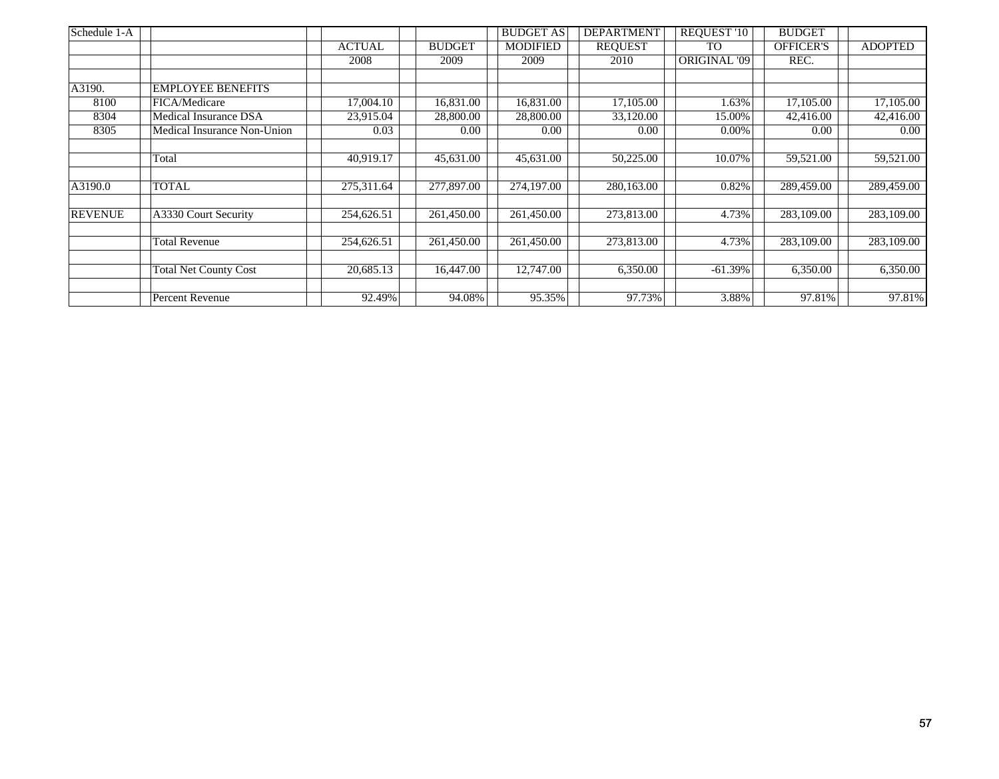| Schedule 1-A   |                              |               |               | <b>BUDGET AS</b> | <b>DEPARTMENT</b> | <b>REQUEST '10</b> | <b>BUDGET</b>    |                |
|----------------|------------------------------|---------------|---------------|------------------|-------------------|--------------------|------------------|----------------|
|                |                              | <b>ACTUAL</b> | <b>BUDGET</b> | <b>MODIFIED</b>  | <b>REQUEST</b>    | TO                 | <b>OFFICER'S</b> | <b>ADOPTED</b> |
|                |                              | 2008          | 2009          | 2009             | 2010              | ORIGINAL '09       | REC.             |                |
|                |                              |               |               |                  |                   |                    |                  |                |
| A3190.         | <b>EMPLOYEE BENEFITS</b>     |               |               |                  |                   |                    |                  |                |
| 8100           | FICA/Medicare                | 17,004.10     | 16,831.00     | 16,831.00        | 17,105.00         | 1.63%              | 17,105.00        | 17,105.00      |
| 8304           | Medical Insurance DSA        | 23,915.04     | 28,800.00     | 28,800.00        | 33,120.00         | 15.00%             | 42,416.00        | 42,416.00      |
| 8305           | Medical Insurance Non-Union  | 0.03          | 0.00          | 0.00             | 0.00              | 0.00%              | 0.00             | 0.00           |
|                |                              |               |               |                  |                   |                    |                  |                |
|                | Total                        | 40,919.17     | 45,631.00     | 45,631.00        | 50,225.00         | 10.07%             | 59,521.00        | 59,521.00      |
|                |                              |               |               |                  |                   |                    |                  |                |
| A3190.0        | TOTAL                        | 275,311.64    | 277,897.00    | 274,197.00       | 280,163.00        | 0.82%              | 289,459.00       | 289,459.00     |
|                |                              |               |               |                  |                   |                    |                  |                |
| <b>REVENUE</b> | A3330 Court Security         | 254,626.51    | 261,450.00    | 261,450.00       | 273,813.00        | 4.73%              | 283,109.00       | 283,109.00     |
|                |                              |               |               |                  |                   |                    |                  |                |
|                | <b>Total Revenue</b>         | 254,626.51    | 261,450.00    | 261,450.00       | 273,813.00        | 4.73%              | 283,109.00       | 283,109.00     |
|                |                              |               |               |                  |                   |                    |                  |                |
|                | <b>Total Net County Cost</b> | 20,685.13     | 16,447.00     | 12,747.00        | 6,350.00          | $-61.39%$          | 6,350.00         | 6,350.00       |
|                |                              |               |               |                  |                   |                    |                  |                |
|                | Percent Revenue              | 92.49%        | 94.08%        | 95.35%           | 97.73%            | 3.88%              | 97.81%           | 97.81%         |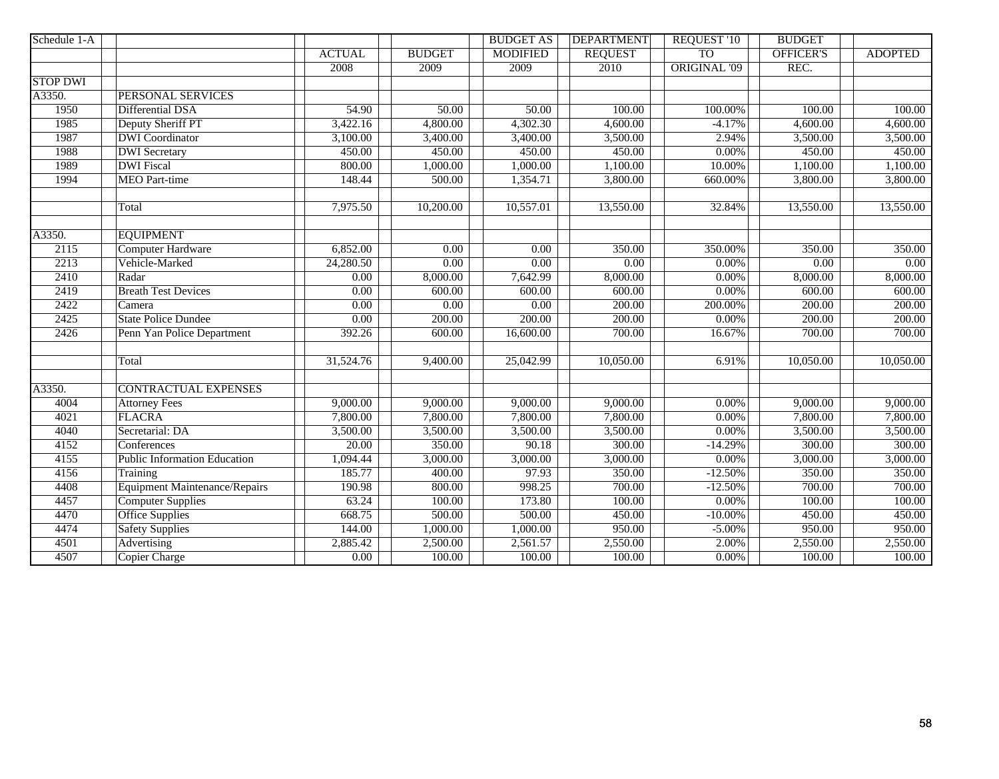| Schedule 1-A    |                                      |               |                   | <b>BUDGET AS</b>  | <b>DEPARTMENT</b> | <b>REQUEST '10</b>  | <b>BUDGET</b>    |                |
|-----------------|--------------------------------------|---------------|-------------------|-------------------|-------------------|---------------------|------------------|----------------|
|                 |                                      | <b>ACTUAL</b> | <b>BUDGET</b>     | <b>MODIFIED</b>   | <b>REQUEST</b>    | <b>TO</b>           | <b>OFFICER'S</b> | <b>ADOPTED</b> |
|                 |                                      | 2008          | 2009              | 2009              | 2010              | <b>ORIGINAL '09</b> | REC.             |                |
| <b>STOP DWI</b> |                                      |               |                   |                   |                   |                     |                  |                |
| A3350.          | <b>PERSONAL SERVICES</b>             |               |                   |                   |                   |                     |                  |                |
| 1950            | Differential DSA                     | 54.90         | 50.00             | 50.00             | 100.00            | 100.00%             | 100.00           | 100.00         |
| 1985            | Deputy Sheriff PT                    | 3,422.16      | 4,800.00          | 4,302.30          | 4,600.00          | $-4.17%$            | 4,600.00         | 4,600.00       |
| 1987            | <b>DWI</b> Coordinator               | 3,100.00      | 3,400.00          | 3,400.00          | 3,500.00          | 2.94%               | 3,500.00         | 3,500.00       |
| 1988            | <b>DWI</b> Secretary                 | 450.00        | 450.00            | 450.00            | 450.00            | 0.00%               | 450.00           | 450.00         |
| 1989            | <b>DWI</b> Fiscal                    | 800.00        | 1,000.00          | 1,000.00          | 1,100.00          | 10.00%              | 1,100.00         | 1,100.00       |
| 1994            | <b>MEO</b> Part-time                 | 148.44        | 500.00            | 1,354.71          | 3,800.00          | 660.00%             | 3,800.00         | 3,800.00       |
|                 | Total                                | 7,975.50      | 10,200.00         | 10,557.01         | 13,550.00         | 32.84%              | 13,550.00        | 13,550.00      |
| A3350.          | <b>EQUIPMENT</b>                     |               |                   |                   |                   |                     |                  |                |
| 2115            | <b>Computer Hardware</b>             | 6,852.00      | $\overline{0.00}$ | $\overline{0.00}$ | 350.00            | 350.00%             | 350.00           | 350.00         |
| 2213            | Vehicle-Marked                       | 24,280.50     | 0.00              | 0.00              | 0.00              | $0.00\%$            | 0.00             | 0.00           |
| 2410            | Radar                                | 0.00          | 8,000.00          | 7,642.99          | 8,000.00          | 0.00%               | 8,000.00         | 8,000.00       |
| 2419            | <b>Breath Test Devices</b>           | 0.00          | 600.00            | 600.00            | 600.00            | $0.00\%$            | 600.00           | 600.00         |
| 2422            | Camera                               | 0.00          | 0.00              | 0.00              | 200.00            | 200.00%             | 200.00           | 200.00         |
| 2425            | <b>State Police Dundee</b>           | 0.00          | 200.00            | 200.00            | 200.00            | 0.00%               | 200.00           | 200.00         |
| 2426            | Penn Yan Police Department           | 392.26        | 600.00            | 16,600.00         | 700.00            | 16.67%              | 700.00           | 700.00         |
|                 | Total                                | 31,524.76     | 9,400.00          | 25,042.99         | 10,050.00         | 6.91%               | 10,050.00        | 10,050.00      |
| A3350.          | <b>CONTRACTUAL EXPENSES</b>          |               |                   |                   |                   |                     |                  |                |
| 4004            | <b>Attorney Fees</b>                 | 9,000.00      | 9,000.00          | 9,000.00          | 9,000.00          | $0.00\%$            | 9,000.00         | 9,000.00       |
| 4021            | <b>FLACRA</b>                        | 7,800.00      | 7,800.00          | 7,800.00          | 7,800.00          | $0.00\%$            | 7,800.00         | 7,800.00       |
| 4040            | Secretarial: DA                      | 3,500.00      | 3,500.00          | 3,500.00          | 3,500.00          | $0.00\%$            | 3,500.00         | 3,500.00       |
| 4152            | Conferences                          | 20.00         | 350.00            | 90.18             | 300.00            | $-14.29%$           | 300.00           | 300.00         |
| 4155            | <b>Public Information Education</b>  | 1,094.44      | 3,000.00          | 3,000.00          | 3,000.00          | 0.00%               | 3,000.00         | 3,000.00       |
| 4156            | Training                             | 185.77        | 400.00            | 97.93             | 350.00            | $-12.50%$           | 350.00           | 350.00         |
| 4408            | <b>Equipment Maintenance/Repairs</b> | 190.98        | 800.00            | 998.25            | 700.00            | $-12.50%$           | 700.00           | 700.00         |
| 4457            | <b>Computer Supplies</b>             | 63.24         | 100.00            | 173.80            | 100.00            | 0.00%               | 100.00           | 100.00         |
| 4470            | <b>Office Supplies</b>               | 668.75        | 500.00            | 500.00            | 450.00            | $-10.00\%$          | 450.00           | 450.00         |
| 4474            | <b>Safety Supplies</b>               | 144.00        | 1,000.00          | 1,000.00          | 950.00            | $-5.00\%$           | 950.00           | 950.00         |
| 4501            | <b>Advertising</b>                   | 2,885.42      | 2,500.00          | 2,561.57          | 2,550.00          | 2.00%               | 2,550.00         | 2,550.00       |
| 4507            | <b>Copier Charge</b>                 | 0.00          | 100.00            | 100.00            | 100.00            | $0.00\%$            | 100.00           | 100.00         |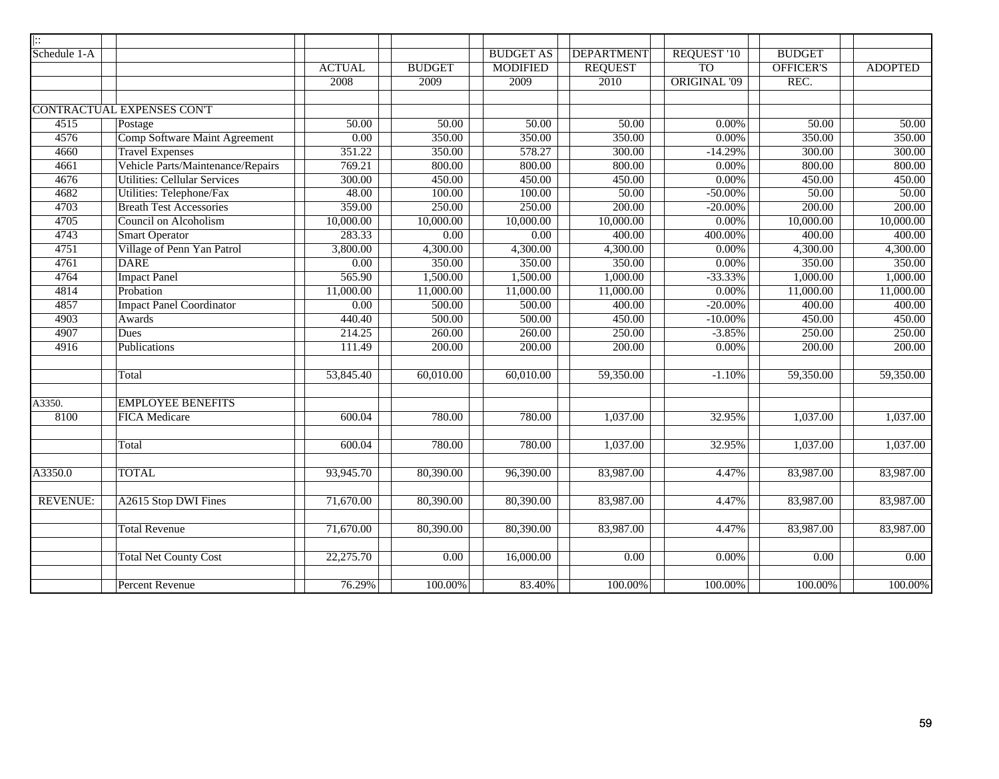| ::              |                                      |               |               |                  |                   |                     |                  |                |
|-----------------|--------------------------------------|---------------|---------------|------------------|-------------------|---------------------|------------------|----------------|
| Schedule 1-A    |                                      |               |               | <b>BUDGET AS</b> | <b>DEPARTMENT</b> | <b>REQUEST '10</b>  | <b>BUDGET</b>    |                |
|                 |                                      | <b>ACTUAL</b> | <b>BUDGET</b> | <b>MODIFIED</b>  | <b>REQUEST</b>    | T <sub>O</sub>      | <b>OFFICER'S</b> | <b>ADOPTED</b> |
|                 |                                      | 2008          | 2009          | 2009             | 2010              | <b>ORIGINAL '09</b> | REC.             |                |
|                 |                                      |               |               |                  |                   |                     |                  |                |
|                 | CONTRACTUAL EXPENSES CON'T           |               |               |                  |                   |                     |                  |                |
| 4515            | Postage                              | 50.00         | 50.00         | 50.00            | 50.00             | $0.00\%$            | 50.00            | 50.00          |
| 4576            | <b>Comp Software Maint Agreement</b> | 0.00          | 350.00        | 350.00           | 350.00            | $0.00\%$            | 350.00           | 350.00         |
| 4660            | <b>Travel Expenses</b>               | 351.22        | 350.00        | 578.27           | 300.00            | $-14.29%$           | 300.00           | 300.00         |
| 4661            | Vehicle Parts/Maintenance/Repairs    | 769.21        | 800.00        | 800.00           | 800.00            | $0.00\%$            | 800.00           | 800.00         |
| 4676            | <b>Utilities: Cellular Services</b>  | 300.00        | 450.00        | 450.00           | 450.00            | $0.00\%$            | 450.00           | 450.00         |
| 4682            | Utilities: Telephone/Fax             | 48.00         | 100.00        | 100.00           | 50.00             | $-50.00\%$          | 50.00            | 50.00          |
| 4703            | <b>Breath Test Accessories</b>       | 359.00        | 250.00        | 250.00           | 200.00            | $-20.00\%$          | 200.00           | 200.00         |
| 4705            | Council on Alcoholism                | 10,000.00     | 10,000.00     | 10,000.00        | 10,000.00         | 0.00%               | 10,000.00        | 10,000.00      |
| 4743            | <b>Smart Operator</b>                | 283.33        | 0.00          | 0.00             | 400.00            | 400.00%             | 400.00           | 400.00         |
| 4751            | Village of Penn Yan Patrol           | 3,800.00      | 4,300.00      | 4,300.00         | 4,300.00          | 0.00%               | 4,300.00         | 4,300.00       |
| 4761            | <b>DARE</b>                          | 0.00          | 350.00        | 350.00           | 350.00            | 0.00%               | 350.00           | 350.00         |
| 4764            | <b>Impact Panel</b>                  | 565.90        | 1,500.00      | 1,500.00         | 1,000.00          | $-33.33%$           | 1,000.00         | 1,000.00       |
| 4814            | Probation                            | 11,000.00     | 11,000.00     | 11,000.00        | 11,000.00         | 0.00%               | 11,000.00        | 11,000.00      |
| 4857            | <b>Impact Panel Coordinator</b>      | 0.00          | 500.00        | 500.00           | 400.00            | $-20.00\%$          | 400.00           | 400.00         |
| 4903            | <b>Awards</b>                        | 440.40        | 500.00        | 500.00           | 450.00            | $-10.00\%$          | 450.00           | 450.00         |
| 4907            | <b>Dues</b>                          | 214.25        | 260.00        | 260.00           | 250.00            | $-3.85%$            | 250.00           | 250.00         |
| 4916            | Publications                         | 111.49        | 200.00        | 200.00           | 200.00            | $0.00\%$            | 200.00           | 200.00         |
|                 |                                      |               |               |                  |                   |                     |                  |                |
|                 | Total                                | 53,845.40     | 60,010.00     | 60,010.00        | 59,350.00         | $-1.10%$            | 59,350.00        | 59,350.00      |
|                 |                                      |               |               |                  |                   |                     |                  |                |
| A3350.          | <b>EMPLOYEE BENEFITS</b>             |               |               |                  |                   |                     |                  |                |
| 8100            | <b>FICA</b> Medicare                 | 600.04        | 780.00        | 780.00           | 1,037.00          | 32.95%              | 1,037.00         | 1,037.00       |
|                 |                                      |               |               |                  |                   |                     |                  |                |
|                 | Total                                | 600.04        | 780.00        | 780.00           | 1,037.00          | 32.95%              | 1,037.00         | 1,037.00       |
|                 |                                      |               |               |                  |                   |                     |                  |                |
| A3350.0         | <b>TOTAL</b>                         | 93,945.70     | 80,390.00     | 96,390.00        | 83,987.00         | 4.47%               | 83,987.00        | 83,987.00      |
|                 |                                      |               |               |                  |                   |                     |                  |                |
| <b>REVENUE:</b> | A2615 Stop DWI Fines                 | 71,670.00     | 80,390.00     | 80,390.00        | 83,987.00         | 4.47%               | 83,987.00        | 83,987.00      |
|                 |                                      |               |               |                  |                   |                     |                  |                |
|                 | <b>Total Revenue</b>                 | 71,670.00     | 80,390.00     | 80,390.00        | 83,987.00         | 4.47%               | 83,987.00        | 83,987.00      |
|                 |                                      |               |               |                  |                   |                     |                  |                |
|                 | <b>Total Net County Cost</b>         | 22,275.70     | 0.00          | 16,000.00        | 0.00              | $0.00\%$            | 0.00             | 0.00           |
|                 |                                      |               |               |                  |                   |                     |                  |                |
|                 | <b>Percent Revenue</b>               | 76.29%        | 100.00%       | 83.40%           | 100.00%           | 100.00%             | 100.00%          | 100.00%        |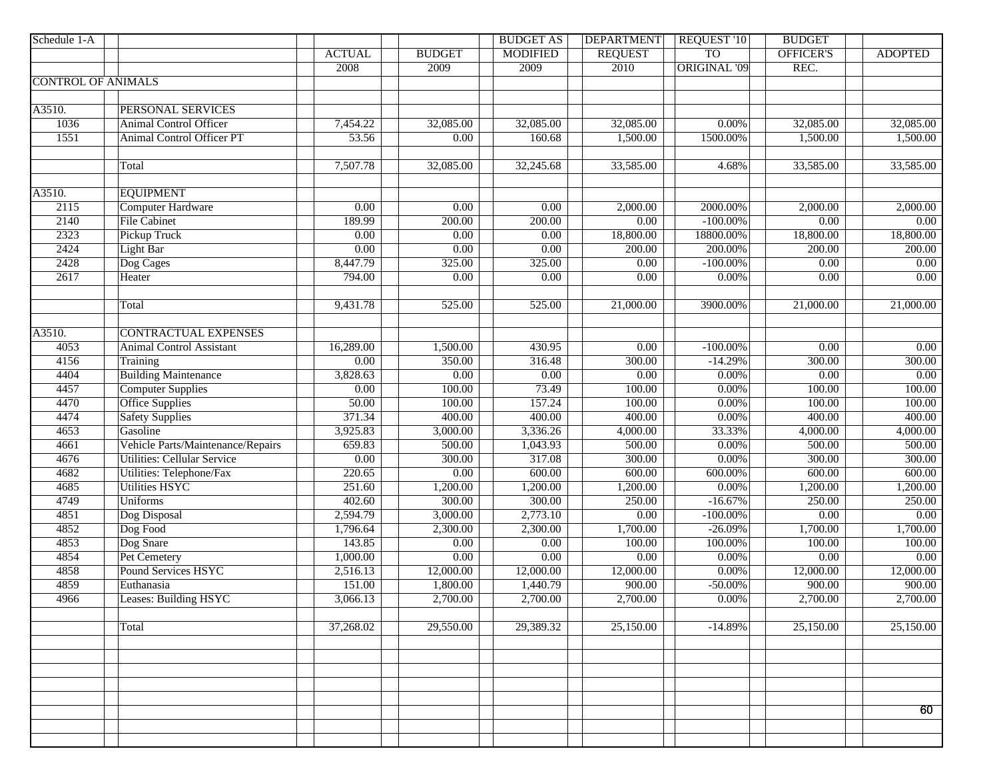| Schedule 1-A              |                                    |                   |                   | <b>BUDGET AS</b>       | <b>DEPARTMENT</b>      | <b>REQUEST '10</b>  | <b>BUDGET</b>     |                |
|---------------------------|------------------------------------|-------------------|-------------------|------------------------|------------------------|---------------------|-------------------|----------------|
|                           |                                    | <b>ACTUAL</b>     | <b>BUDGET</b>     | <b>MODIFIED</b>        | <b>REQUEST</b>         | <b>TO</b>           | OFFICER'S         | <b>ADOPTED</b> |
|                           |                                    | 2008              | 2009              | 2009                   | 2010                   | <b>ORIGINAL '09</b> | REC.              |                |
| <b>CONTROL OF ANIMALS</b> |                                    |                   |                   |                        |                        |                     |                   |                |
|                           |                                    |                   |                   |                        |                        |                     |                   |                |
| A3510.                    | PERSONAL SERVICES                  |                   |                   |                        |                        |                     |                   |                |
| 1036                      | Animal Control Officer             | 7,454.22          | 32,085.00         | 32,085.00              | 32,085.00              | 0.00%               | 32,085.00         | 32,085.00      |
| 1551                      | Animal Control Officer PT          | 53.56             | 0.00              | 160.68                 | 1,500.00               | 1500.00%            | 1,500.00          | 1,500.00       |
|                           |                                    |                   |                   |                        |                        |                     |                   |                |
|                           | Total                              | 7,507.78          | 32,085.00         | $\overline{32,245.68}$ | 33,585.00              | 4.68%               | 33,585.00         | 33,585.00      |
|                           |                                    |                   |                   |                        |                        |                     |                   |                |
| A3510.                    | <b>EQUIPMENT</b>                   |                   |                   |                        |                        |                     |                   |                |
| 2115                      | <b>Computer Hardware</b>           | 0.00              | $\overline{0.00}$ | $\overline{0.00}$      | 2,000.00               | 2000.00%            | 2,000.00          | 2,000.00       |
| 2140                      | <b>File Cabinet</b>                | 189.99            | 200.00            | 200.00                 | 0.00                   | $-100.00\%$         | 0.00              | 0.00           |
| 2323                      | Pickup Truck                       | 0.00              | 0.00              | 0.00                   | 18,800.00              | 18800.00%           | 18,800.00         | 18,800.00      |
| 2424                      | <b>Light Bar</b>                   | 0.00              | 0.00              | 0.00                   | 200.00                 | 200.00%             | 200.00            | 200.00         |
| 2428                      | Dog Cages                          | 8,447.79          | 325.00            | 325.00                 | 0.00                   | $-100.00\%$         | $\overline{0.00}$ | 0.00           |
| 2617                      | Heater                             | 794.00            | 0.00              | $\overline{0.00}$      | 0.00                   | $0.00\%$            | 0.00              | 0.00           |
|                           |                                    |                   |                   |                        |                        |                     |                   |                |
|                           | Total                              | 9,431.78          | 525.00            | 525.00                 | 21,000.00              | 3900.00%            | 21,000.00         | 21,000.00      |
|                           |                                    |                   |                   |                        |                        |                     |                   |                |
| $\overline{A3510}$ .      | <b>CONTRACTUAL EXPENSES</b>        |                   |                   |                        |                        |                     |                   |                |
| 4053                      | <b>Animal Control Assistant</b>    | 16,289.00         | 1,500.00          | 430.95                 | $\overline{0.00}$      | $-100.00\%$         | 0.00              | 0.00           |
| 4156                      | Training                           | 0.00              | 350.00            | 316.48                 | 300.00                 | $-14.29%$           | 300.00            | 300.00         |
| 4404                      | <b>Building Maintenance</b>        | 3,828.63          | $\overline{0.00}$ | $\overline{0.00}$      | 0.00                   | 0.00%               | 0.00              | 0.00           |
| 4457                      | <b>Computer Supplies</b>           | $\overline{0.00}$ | 100.00            | 73.49                  | 100.00                 | 0.00%               | 100.00            | 100.00         |
| 4470                      | <b>Office Supplies</b>             | 50.00             | 100.00            | 157.24                 | 100.00                 | $0.00\%$            | 100.00            | 100.00         |
| 4474                      | <b>Safety Supplies</b>             | 371.34            | 400.00            | 400.00                 | 400.00                 | $0.00\%$            | 400.00            | 400.00         |
| 4653                      | Gasoline                           | 3,925.83          | 3,000.00          | 3,336.26               | 4,000.00               | 33.33%              | 4,000.00          | 4,000.00       |
| 4661                      | Vehicle Parts/Maintenance/Repairs  | 659.83            | 500.00            | 1,043.93               | 500.00                 | $0.00\%$            | 500.00            | 500.00         |
| 4676                      | <b>Utilities: Cellular Service</b> | $\overline{0.00}$ | 300.00            | 317.08                 | 300.00                 | $0.00\%$            | 300.00            | 300.00         |
| 4682                      | Utilities: Telephone/Fax           | 220.65            | $\overline{0.00}$ | 600.00                 | 600.00                 | 600.00%             | 600.00            | 600.00         |
| 4685                      | <b>Utilities HSYC</b>              | 251.60            | 1,200.00          | 1,200.00               | 1,200.00               | 0.00%               | 1,200.00          | 1,200.00       |
| 4749                      | <b>Uniforms</b>                    | 402.60            | 300.00            | 300.00                 | 250.00                 | $-16.67%$           | 250.00            | 250.00         |
| 4851                      | Dog Disposal                       | 2,594.79          | 3,000.00          | 2,773.10               | $\overline{0.00}$      | $-100.00\%$         | 0.00              | 0.00           |
| 4852                      | Dog Food                           | 1,796.64          | 2,300.00          | 2,300.00               | 1,700.00               | $-26.09%$           | 1,700.00          | 1,700.00       |
| 4853                      | Dog Snare                          | 143.85            | 0.00              | 0.00                   | 100.00                 | 100.00%             | 100.00            | 100.00         |
| 4854                      | Pet Cemetery                       | 1,000.00          | 0.00              | 0.00                   | 0.00                   | 0.00%               | 0.00              | 0.00           |
| 4858                      | <b>Pound Services HSYC</b>         | 2,516.13          | 12,000.00         | 12,000.00              | 12,000.00              | $0.00\%$            | 12,000.00         | 12,000.00      |
| 4859                      | Euthanasia                         | 151.00            | 1,800.00          | 1,440.79               | 900.00                 | $-50.00\%$          | 900.00            | 900.00         |
| 4966                      | <b>Leases: Building HSYC</b>       | 3,066.13          | 2,700.00          | 2,700.00               | 2,700.00               | $0.00\%$            | 2,700.00          | 2,700.00       |
|                           |                                    |                   |                   |                        |                        |                     |                   |                |
|                           | Total                              | 37,268.02         | 29,550.00         | 29,389.32              | $\overline{25,150.00}$ | $-14.89%$           | 25,150.00         | 25,150.00      |
|                           |                                    |                   |                   |                        |                        |                     |                   |                |
|                           |                                    |                   |                   |                        |                        |                     |                   |                |
|                           |                                    |                   |                   |                        |                        |                     |                   |                |
|                           |                                    |                   |                   |                        |                        |                     |                   |                |
|                           |                                    |                   |                   |                        |                        |                     |                   |                |
|                           |                                    |                   |                   |                        |                        |                     |                   | 60             |
|                           |                                    |                   |                   |                        |                        |                     |                   |                |
|                           |                                    |                   |                   |                        |                        |                     |                   |                |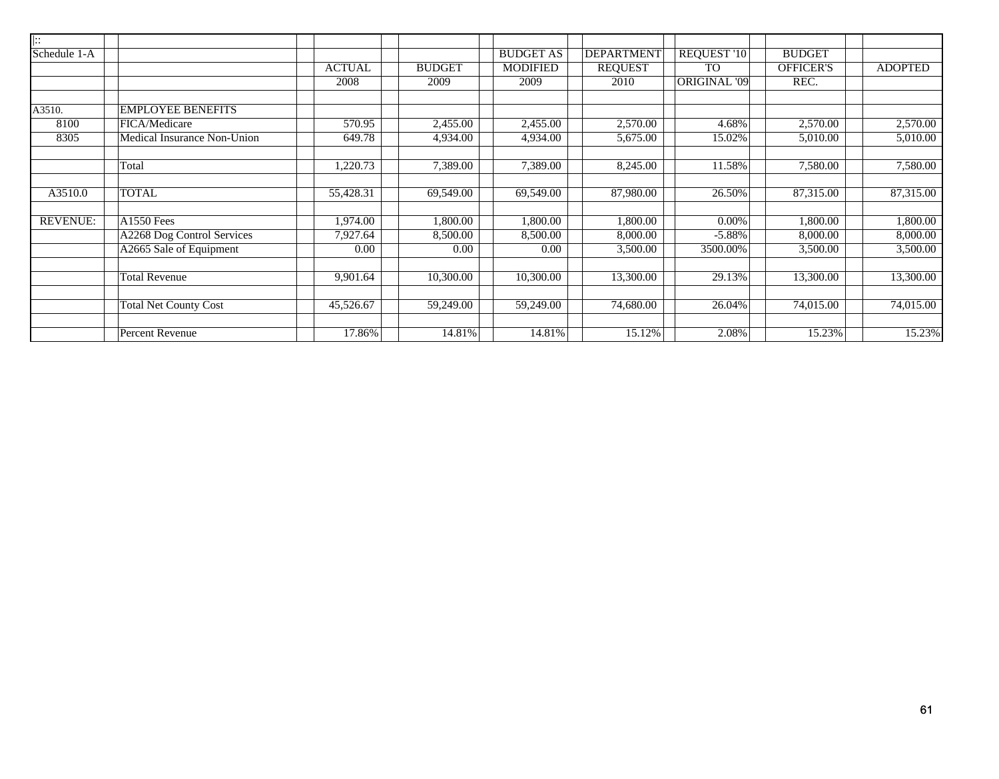| $\overline{  \cdots}$ |                              |               |               |                  |                   |                     |                  |                |
|-----------------------|------------------------------|---------------|---------------|------------------|-------------------|---------------------|------------------|----------------|
| Schedule 1-A          |                              |               |               | <b>BUDGET AS</b> | <b>DEPARTMENT</b> | REQUEST '10         | <b>BUDGET</b>    |                |
|                       |                              | <b>ACTUAL</b> | <b>BUDGET</b> | <b>MODIFIED</b>  | <b>REQUEST</b>    | <b>TO</b>           | <b>OFFICER'S</b> | <b>ADOPTED</b> |
|                       |                              | 2008          | 2009          | 2009             | 2010              | <b>ORIGINAL '09</b> | REC.             |                |
| A3510.                | <b>EMPLOYEE BENEFITS</b>     |               |               |                  |                   |                     |                  |                |
| 8100                  | FICA/Medicare                | 570.95        | 2,455.00      | 2,455.00         | 2,570.00          | 4.68%               | 2,570.00         | 2,570.00       |
| 8305                  | Medical Insurance Non-Union  | 649.78        | 4,934.00      | 4,934.00         | 5,675.00          | 15.02%              | 5,010.00         | 5,010.00       |
|                       | Total                        | 1,220.73      | 7,389.00      | 7,389.00         | 8,245.00          | 11.58%              | 7,580.00         | 7,580.00       |
|                       |                              |               |               |                  |                   |                     |                  |                |
| A3510.0               | <b>TOTAL</b>                 | 55,428.31     | 69,549.00     | 69,549.00        | 87,980.00         | 26.50%              | 87,315.00        | 87,315.00      |
| <b>REVENUE:</b>       | <b>A1550 Fees</b>            | 1,974.00      | 1,800.00      | 1,800.00         | 1,800.00          | 0.00%               | 1,800.00         | 1,800.00       |
|                       | A2268 Dog Control Services   | 7,927.64      | 8,500.00      | 8,500.00         | 8,000.00          | $-5.88%$            | 8,000.00         | 8,000.00       |
|                       | A2665 Sale of Equipment      | 0.00          | 0.00          | 0.00             | 3,500.00          | 3500.00%            | 3,500.00         | 3,500.00       |
|                       | <b>Total Revenue</b>         | 9,901.64      | 10,300.00     | 10,300.00        | 13,300.00         | 29.13%              | 13,300.00        | 13,300.00      |
|                       |                              |               |               |                  |                   |                     |                  |                |
|                       | <b>Total Net County Cost</b> | 45,526.67     | 59,249.00     | 59,249.00        | 74,680.00         | 26.04%              | 74,015.00        | 74,015.00      |
|                       | Percent Revenue              | 17.86%        | 14.81%        | 14.81%           | 15.12%            | 2.08%               | 15.23%           | 15.23%         |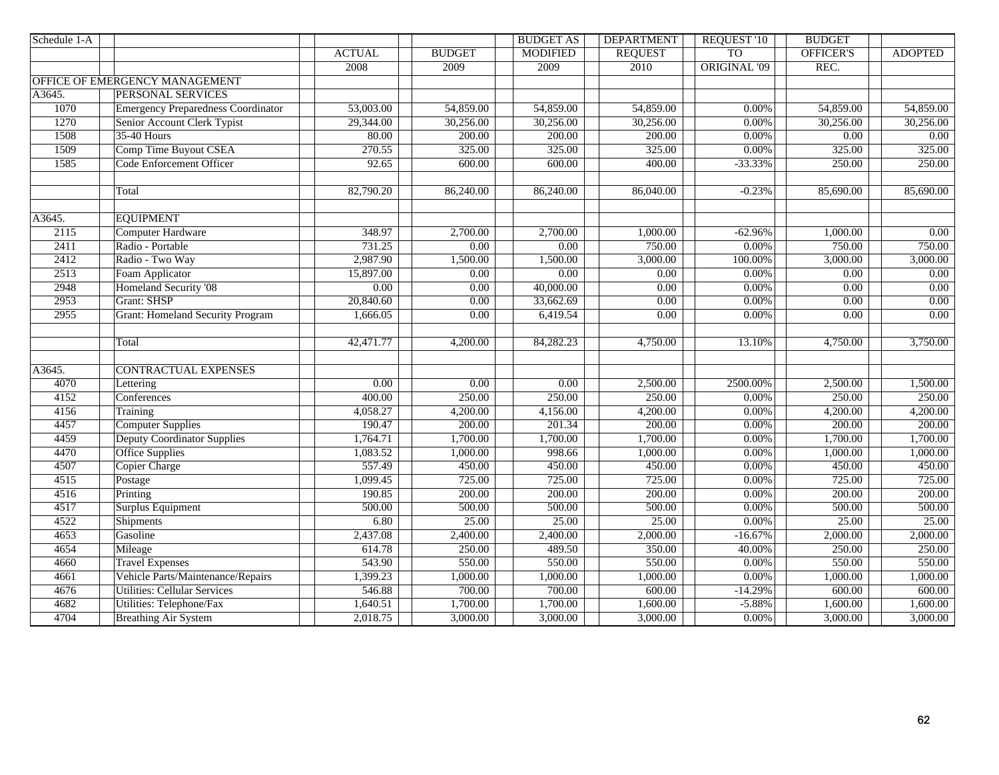| Schedule 1-A |                                           |                   |                   | <b>BUDGET AS</b>  | <b>DEPARTMENT</b> | <b>REQUEST '10</b>  | <b>BUDGET</b>          |                |
|--------------|-------------------------------------------|-------------------|-------------------|-------------------|-------------------|---------------------|------------------------|----------------|
|              |                                           | <b>ACTUAL</b>     | <b>BUDGET</b>     | <b>MODIFIED</b>   | <b>REQUEST</b>    | <b>TO</b>           | <b>OFFICER'S</b>       | <b>ADOPTED</b> |
|              |                                           | 2008              | 2009              | 2009              | 2010              | <b>ORIGINAL '09</b> | REC.                   |                |
|              | OFFICE OF EMERGENCY MANAGEMENT            |                   |                   |                   |                   |                     |                        |                |
| A3645.       | PERSONAL SERVICES                         |                   |                   |                   |                   |                     |                        |                |
| 1070         | <b>Emergency Preparedness Coordinator</b> | 53,003.00         | 54,859.00         | 54,859.00         | 54,859.00         | 0.00%               | 54,859.00              | 54,859.00      |
| 1270         | Senior Account Clerk Typist               | 29,344.00         | 30,256.00         | 30,256.00         | 30,256.00         | 0.00%               | 30,256.00              | 30,256.00      |
| 1508         | 35-40 Hours                               | 80.00             | 200.00            | 200.00            | 200.00            | 0.00%               | 0.00                   | $0.00\,$       |
| 1509         | Comp Time Buyout CSEA                     | 270.55            | 325.00            | 325.00            | 325.00            | 0.00%               | 325.00                 | 325.00         |
| 1585         | Code Enforcement Officer                  | 92.65             | 600.00            | 600.00            | 400.00            | $-33.33%$           | 250.00                 | 250.00         |
|              |                                           |                   |                   |                   |                   |                     |                        |                |
|              | Total                                     | 82,790.20         | 86,240.00         | 86,240.00         | 86,040.00         | $-0.23%$            | $\overline{85,690.00}$ | 85,690.00      |
|              |                                           |                   |                   |                   |                   |                     |                        |                |
| A3645.       | <b>EQUIPMENT</b>                          |                   |                   |                   |                   |                     |                        |                |
| 2115         | <b>Computer Hardware</b>                  | 348.97            | 2,700.00          | 2,700.00          | 1,000.00          | $-62.96%$           | 1,000.00               | 0.00           |
| 2411         | Radio - Portable                          | 731.25            | $\overline{0.00}$ | $\overline{0.00}$ | 750.00            | 0.00%               | 750.00                 | 750.00         |
| 2412         | Radio - Two Way                           | 2,987.90          | 1,500.00          | 1,500.00          | 3,000.00          | 100.00%             | 3,000.00               | 3,000.00       |
| 2513         | Foam Applicator                           | 15,897.00         | 0.00              | 0.00              | 0.00              | 0.00%               | 0.00                   | 0.00           |
| 2948         | Homeland Security '08                     | 0.00              | 0.00              | 40,000.00         | 0.00              | 0.00%               | 0.00                   | 0.00           |
| 2953         | Grant: SHSP                               | 20,840.60         | $\overline{0.00}$ | 33,662.69         | 0.00              | 0.00%               | $\overline{0.00}$      | 0.00           |
| 2955         | <b>Grant: Homeland Security Program</b>   | 1,666.05          | 0.00              | 6,419.54          | 0.00              | 0.00%               | 0.00                   | 0.00           |
|              |                                           |                   |                   |                   |                   |                     |                        |                |
|              | Total                                     | 42,471.77         | 4,200.00          | 84,282.23         | 4,750.00          | 13.10%              | 4,750.00               | 3,750.00       |
|              |                                           |                   |                   |                   |                   |                     |                        |                |
| A3645.       | <b>CONTRACTUAL EXPENSES</b>               |                   |                   |                   |                   |                     |                        |                |
| 4070         | Lettering                                 | $\overline{0.00}$ | 0.00              | $\overline{0.00}$ | 2,500.00          | 2500.00%            | 2,500.00               | 1,500.00       |
| 4152         | Conferences                               | 400.00            | 250.00            | 250.00            | 250.00            | 0.00%               | 250.00                 | 250.00         |
| 4156         | Training                                  | 4,058.27          | 4,200.00          | 4,156.00          | 4,200.00          | 0.00%               | 4,200.00               | 4,200.00       |
| 4457         | Computer Supplies                         | 190.47            | 200.00            | 201.34            | 200.00            | 0.00%               | 200.00                 | 200.00         |
| 4459         | <b>Deputy Coordinator Supplies</b>        | 1,764.71          | 1,700.00          | 1,700.00          | 1,700.00          | 0.00%               | 1,700.00               | 1,700.00       |
| 4470         | <b>Office Supplies</b>                    | 1,083.52          | 1,000.00          | 998.66            | 1,000.00          | 0.00%               | 1,000.00               | 1,000.00       |
| 4507         | Copier Charge                             | 557.49            | 450.00            | 450.00            | 450.00            | 0.00%               | 450.00                 | 450.00         |
| 4515         | Postage                                   | 1,099.45          | 725.00            | 725.00            | 725.00            | 0.00%               | 725.00                 | 725.00         |
| 4516         | Printing                                  | 190.85            | 200.00            | 200.00            | 200.00            | 0.00%               | 200.00                 | 200.00         |
| 4517         | Surplus Equipment                         | 500.00            | 500.00            | 500.00            | 500.00            | 0.00%               | 500.00                 | 500.00         |
| 4522         | Shipments                                 | 6.80              | 25.00             | 25.00             | 25.00             | 0.00%               | 25.00                  | 25.00          |
| 4653         | Gasoline                                  | 2,437.08          | 2,400.00          | 2,400.00          | 2,000.00          | $-16.67%$           | 2,000.00               | 2,000.00       |
| 4654         | Mileage                                   | 614.78            | 250.00            | 489.50            | 350.00            | 40.00%              | 250.00                 | 250.00         |
| 4660         | <b>Travel Expenses</b>                    | 543.90            | 550.00            | 550.00            | 550.00            | 0.00%               | 550.00                 | 550.00         |
| 4661         | Vehicle Parts/Maintenance/Repairs         | 1,399.23          | 1,000.00          | 1,000.00          | 1,000.00          | 0.00%               | 1,000.00               | 1,000.00       |
| 4676         | <b>Utilities: Cellular Services</b>       | 546.88            | 700.00            | 700.00            | 600.00            | $-14.29%$           | 600.00                 | 600.00         |
| 4682         | Utilities: Telephone/Fax                  | 1,640.51          | 1,700.00          | 1,700.00          | 1,600.00          | $-5.88%$            | 1,600.00               | 1,600.00       |
| 4704         | <b>Breathing Air System</b>               | 2,018.75          | 3,000.00          | 3,000.00          | 3,000.00          | 0.00%               | 3,000.00               | 3,000.00       |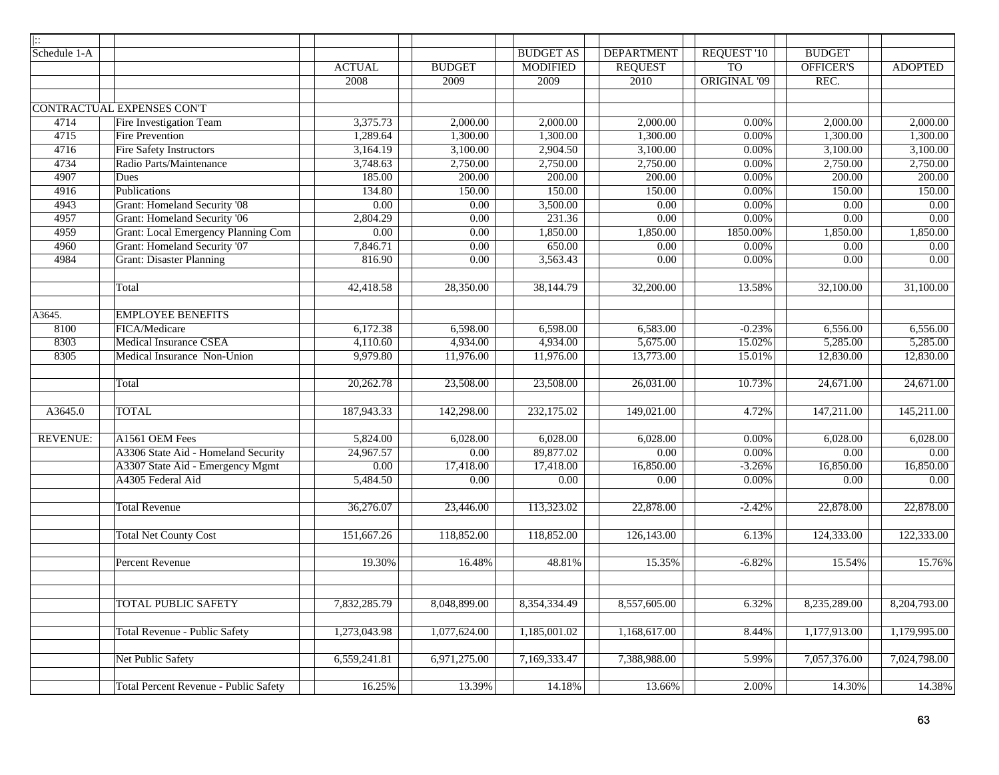| $\mid$ $::$     |                                              |                        |                   |                  |                   |                    |                        |                           |
|-----------------|----------------------------------------------|------------------------|-------------------|------------------|-------------------|--------------------|------------------------|---------------------------|
| Schedule 1-A    |                                              |                        |                   | <b>BUDGET AS</b> | <b>DEPARTMENT</b> | <b>REQUEST '10</b> | <b>BUDGET</b>          |                           |
|                 |                                              | <b>ACTUAL</b>          | <b>BUDGET</b>     | <b>MODIFIED</b>  | <b>REQUEST</b>    | <b>TO</b>          | OFFICER'S              | <b>ADOPTED</b>            |
|                 |                                              | 2008                   | 2009              | 2009             | 2010              | ORIGINAL '09       | REC.                   |                           |
|                 |                                              |                        |                   |                  |                   |                    |                        |                           |
|                 | <b>CONTRACTUAL EXPENSES CONT</b>             |                        |                   |                  |                   |                    |                        |                           |
| 4714            | Fire Investigation Team                      | 3,375.73               | 2,000.00          | 2,000.00         | 2,000.00          | 0.00%              | 2,000.00               | 2,000.00                  |
| 4715            | <b>Fire Prevention</b>                       | 1,289.64               | 1,300.00          | 1,300.00         | 1,300.00          | 0.00%              | 1,300.00               | 1,300.00                  |
| 4716            | <b>Fire Safety Instructors</b>               | 3,164.19               | 3,100.00          | 2,904.50         | 3,100.00          | 0.00%              | 3,100.00               | 3,100.00                  |
| 4734            | Radio Parts/Maintenance                      | 3,748.63               | 2,750.00          | 2,750.00         | 2,750.00          | 0.00%              | 2,750.00               | 2,750.00                  |
| 4907            | Dues                                         | 185.00                 | 200.00            | 200.00           | 200.00            | 0.00%              | 200.00                 | 200.00                    |
| 4916            | Publications                                 | 134.80                 | 150.00            | 150.00           | 150.00            | 0.00%              | 150.00                 | 150.00                    |
| 4943            | <b>Grant: Homeland Security '08</b>          | 0.00                   | $\overline{0.00}$ | 3,500.00         | 0.00              | 0.00%              | 0.00                   | $\overline{0.00}$         |
| 4957            | Grant: Homeland Security '06                 | 2,804.29               | 0.00              | 231.36           | 0.00              | 0.00%              | $\overline{0.00}$      | 0.00                      |
| 4959            | Grant: Local Emergency Planning Com          | $\overline{0.00}$      | 0.00              | 1,850.00         | 1,850.00          | 1850.00%           | 1,850.00               | 1,850.00                  |
| 4960            | Grant: Homeland Security '07                 | 7,846.71               | 0.00              | 650.00           | 0.00              | 0.00%              | $\overline{0.00}$      | 0.00                      |
| 4984            | <b>Grant: Disaster Planning</b>              | 816.90                 | 0.00              | 3,563.43         | 0.00              | 0.00%              | 0.00                   | 0.00                      |
|                 |                                              |                        |                   |                  |                   |                    |                        |                           |
|                 | Total                                        | $\overline{42,}418.58$ | 28,350.00         | 38,144.79        | 32,200.00         | 13.58%             | 32,100.00              | 31,100.00                 |
|                 |                                              |                        |                   |                  |                   |                    |                        |                           |
| A3645.          | <b>EMPLOYEE BENEFITS</b>                     |                        |                   |                  |                   |                    |                        |                           |
| 8100            | FICA/Medicare                                | 6,172.38               | 6,598.00          | 6,598.00         | 6,583.00          | $-0.23%$           | 6,556.00               | 6,556.00                  |
| 8303            | Medical Insurance CSEA                       | 4,110.60               | 4,934.00          | 4,934.00         | 5,675.00          | 15.02%             | 5,285.00               | 5,285.00                  |
| 8305            | Medical Insurance Non-Union                  | 9,979.80               | 11,976.00         | 11,976.00        | 13,773.00         | 15.01%             | 12,830.00              | 12,830.00                 |
|                 |                                              |                        |                   |                  |                   |                    |                        |                           |
|                 | Total                                        | 20,262.78              | 23,508.00         | 23,508.00        | 26,031.00         | 10.73%             | $\overline{24,671.00}$ | 24,671.00                 |
|                 |                                              |                        |                   |                  |                   |                    |                        |                           |
| A3645.0         | <b>TOTAL</b>                                 | 187,943.33             | 142,298.00        | 232,175.02       | 149,021.00        | 4.72%              | 147,211.00             | 145,211.00                |
| <b>REVENUE:</b> | A1561 OEM Fees                               | 5,824.00               | 6,028.00          | 6,028.00         | 6,028.00          | 0.00%              | 6,028.00               | 6,028.00                  |
|                 | A3306 State Aid - Homeland Security          | 24,967.57              | 0.00              | 89,877.02        | 0.00              | 0.00%              | $\overline{0.00}$      | 0.00                      |
|                 | A3307 State Aid - Emergency Mgmt             | 0.00                   | 17,418.00         | 17,418.00        | 16,850.00         | $-3.26%$           | 16,850.00              | 16,850.00                 |
|                 | A4305 Federal Aid                            | $\overline{5,484.50}$  | 0.00              | 0.00             | 0.00              | 0.00%              | $\overline{0.00}$      | 0.00                      |
|                 |                                              |                        |                   |                  |                   |                    |                        |                           |
|                 | <b>Total Revenue</b>                         | 36,276.07              | 23,446.00         | 113,323.02       | 22,878.00         | $-2.42%$           | 22,878.00              | 22,878.00                 |
|                 |                                              |                        |                   |                  |                   |                    |                        |                           |
|                 | <b>Total Net County Cost</b>                 | 151,667.26             | 118,852.00        | 118,852.00       | 126,143.00        | 6.13%              | 124,333.00             | 122,333.00                |
|                 |                                              |                        |                   |                  |                   |                    |                        |                           |
|                 | Percent Revenue                              | 19.30%                 | 16.48%            | 48.81%           | 15.35%            | $-6.82%$           | 15.54%                 | 15.76%                    |
|                 |                                              |                        |                   |                  |                   |                    |                        |                           |
|                 |                                              |                        |                   |                  |                   |                    |                        |                           |
|                 | TOTAL PUBLIC SAFETY                          | 7,832,285.79           | 8,048,899.00      | 8,354,334.49     | 8,557,605.00      | 6.32%              | 8,235,289.00           | $\overline{8,204,793.00}$ |
|                 |                                              |                        |                   |                  |                   |                    |                        |                           |
|                 | <b>Total Revenue - Public Safety</b>         | 1,273,043.98           | 1,077,624.00      | 1,185,001.02     | 1,168,617.00      | 8.44%              | 1,177,913.00           | 1,179,995.00              |
|                 |                                              |                        |                   |                  |                   |                    |                        |                           |
|                 | Net Public Safety                            | 6,559,241.81           | 6,971,275.00      | 7,169,333.47     | 7,388,988.00      | 5.99%              | 7,057,376.00           | 7,024,798.00              |
|                 |                                              |                        |                   |                  |                   |                    |                        |                           |
|                 | <b>Total Percent Revenue - Public Safety</b> | 16.25%                 | 13.39%            | 14.18%           | 13.66%            | 2.00%              | 14.30%                 | 14.38%                    |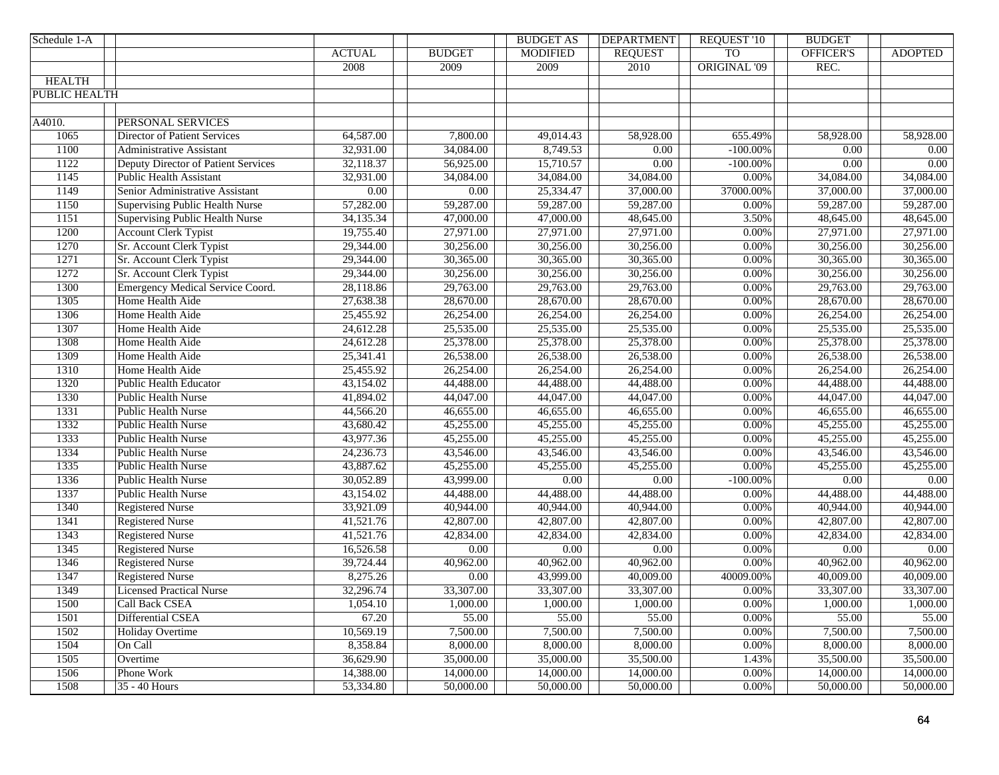| Schedule 1-A      |                                         |                        |                   | <b>BUDGET AS</b>  | <b>DEPARTMENT</b>      | <b>REQUEST '10</b>  | <b>BUDGET</b>     |                |
|-------------------|-----------------------------------------|------------------------|-------------------|-------------------|------------------------|---------------------|-------------------|----------------|
|                   |                                         | <b>ACTUAL</b>          | <b>BUDGET</b>     | <b>MODIFIED</b>   | <b>REQUEST</b>         | <b>TO</b>           | OFFICER'S         | <b>ADOPTED</b> |
|                   |                                         | 2008                   | 2009              | 2009              | 2010                   | <b>ORIGINAL '09</b> | REC.              |                |
| <b>HEALTH</b>     |                                         |                        |                   |                   |                        |                     |                   |                |
| PUBLIC HEALTH     |                                         |                        |                   |                   |                        |                     |                   |                |
|                   |                                         |                        |                   |                   |                        |                     |                   |                |
| A4010.            | PERSONAL SERVICES                       |                        |                   |                   |                        |                     |                   |                |
| 1065              | <b>Director of Patient Services</b>     | 64,587.00              | 7,800.00          | 49,014.43         | 58,928.00              | 655.49%             | 58,928.00         | 58,928.00      |
| 1100              | <b>Administrative Assistant</b>         | 32,931.00              | 34,084.00         | 8,749.53          | $\overline{0.00}$      | $-100.00\%$         | $\overline{0.00}$ | 0.00           |
| 1122              | Deputy Director of Patient Services     | 32,118.37              | 56,925.00         | 15,710.57         | $\overline{0.00}$      | $-100.00\%$         | $\overline{0.00}$ | 0.00           |
| 1145              | <b>Public Health Assistant</b>          | 32,931.00              | 34,084.00         | 34,084.00         | 34,084.00              | 0.00%               | 34,084.00         | 34,084.00      |
| 1149              | Senior Administrative Assistant         | $\overline{0.00}$      | $\overline{0.00}$ | 25,334.47         | 37,000.00              | 37000.00%           | 37,000.00         | 37,000.00      |
| 1150              | <b>Supervising Public Health Nurse</b>  | 57,282.00              | 59,287.00         | 59,287.00         | 59,287.00              | 0.00%               | 59,287.00         | 59,287.00      |
| $\overline{1151}$ | <b>Supervising Public Health Nurse</b>  | 34,135.34              | 47,000.00         | 47,000.00         | 48,645.00              | 3.50%               | 48,645.00         | 48,645.00      |
| 1200              | <b>Account Clerk Typist</b>             | 19,755.40              | 27,971.00         | 27,971.00         | 27,971.00              | 0.00%               | 27,971.00         | 27,971.00      |
| 1270              | Sr. Account Clerk Typist                | 29,344.00              | 30,256.00         | 30,256.00         | $\overline{30,256.00}$ | 0.00%               | 30,256.00         | 30,256.00      |
| 1271              | Sr. Account Clerk Typist                | 29,344.00              | 30,365.00         | 30,365.00         | 30,365.00              | 0.00%               | 30,365.00         | 30,365.00      |
| 1272              | Sr. Account Clerk Typist                | 29,344.00              | 30,256.00         | 30,256.00         | 30,256.00              | 0.00%               | 30,256.00         | 30,256.00      |
| 1300              | <b>Emergency Medical Service Coord.</b> | 28,118.86              | 29,763.00         | 29,763.00         | 29,763.00              | 0.00%               | 29,763.00         | 29,763.00      |
| 1305              | Home Health Aide                        | 27,638.38              | 28,670.00         | 28,670.00         | 28,670.00              | 0.00%               | 28,670.00         | 28,670.00      |
| 1306              | Home Health Aide                        | 25,455.92              | 26,254.00         | 26,254.00         | 26,254.00              | 0.00%               | 26,254.00         | 26,254.00      |
| 1307              | Home Health Aide                        | 24,612.28              | 25,535.00         | 25,535.00         | 25,535.00              | 0.00%               | 25,535.00         | 25,535.00      |
| 1308              | Home Health Aide                        | 24,612.28              | 25,378.00         | 25,378.00         | 25,378.00              | $0.00\%$            | 25,378.00         | 25,378.00      |
| 1309              | Home Health Aide                        | 25,341.41              | 26,538.00         | 26,538.00         | 26,538.00              | 0.00%               | 26,538.00         | 26,538.00      |
| 1310              | Home Health Aide                        | 25,455.92              | 26,254.00         | 26,254.00         | 26,254.00              | 0.00%               | 26,254.00         | 26,254.00      |
| 1320              | <b>Public Health Educator</b>           | 43,154.02              | 44,488.00         | 44,488.00         | 44,488.00              | 0.00%               | 44,488.00         | 44,488.00      |
| 1330              | <b>Public Health Nurse</b>              | 41,894.02              | 44,047.00         | 44,047.00         | 44,047.00              | 0.00%               | 44,047.00         | 44,047.00      |
| 1331              | <b>Public Health Nurse</b>              | 44,566.20              | 46,655.00         | 46,655.00         | 46,655.00              | 0.00%               | 46,655.00         | 46,655.00      |
| 1332              | Public Health Nurse                     | $\overline{43,680.42}$ | 45,255.00         | 45,255.00         | 45,255.00              | 0.00%               | 45,255.00         | 45,255.00      |
| 1333              | Public Health Nurse                     | 43,977.36              | 45,255.00         | 45,255.00         | 45,255.00              | 0.00%               | 45,255.00         | 45,255.00      |
| 1334              | <b>Public Health Nurse</b>              | 24,236.73              | 43,546.00         | 43,546.00         | 43,546.00              | 0.00%               | 43,546.00         | 43,546.00      |
| 1335              | Public Health Nurse                     | 43,887.62              | 45,255.00         | 45,255.00         | 45,255.00              | 0.00%               | 45,255.00         | 45,255.00      |
| 1336              | Public Health Nurse                     | 30,052.89              | 43,999.00         | $\overline{0.00}$ | $\overline{0.00}$      | $-100.00\%$         | $\overline{0.00}$ | 0.00           |
| 1337              | Public Health Nurse                     | 43,154.02              | 44,488.00         | 44,488.00         | 44,488.00              | 0.00%               | 44,488.00         | 44,488.00      |
| 1340              | <b>Registered Nurse</b>                 | 33,921.09              | 40,944.00         | 40,944.00         | 40,944.00              | 0.00%               | 40,944.00         | 40,944.00      |
| 1341              | <b>Registered Nurse</b>                 | 41,521.76              | 42,807.00         | 42,807.00         | 42,807.00              | $0.00\%$            | 42,807.00         | 42,807.00      |
| 1343              | <b>Registered Nurse</b>                 | 41,521.76              | 42,834.00         | 42,834.00         | 42,834.00              | $0.00\%$            | 42,834.00         | 42,834.00      |
| 1345              | <b>Registered Nurse</b>                 | 16,526.58              | 0.00              | $\overline{0.00}$ | 0.00                   | $0.00\%$            | $\overline{0.00}$ | 0.00           |
| 1346              | <b>Registered Nurse</b>                 | 39,724.44              | 40,962.00         | 40,962.00         | 40,962.00              | $0.00\%$            | 40,962.00         | 40,962.00      |
| 1347              | <b>Registered Nurse</b>                 | 8,275.26               | $0.00\,$          | 43,999.00         | 40,009.00              | 40009.00%           | 40,009.00         | 40,009.00      |
| 1349              | <b>Licensed Practical Nurse</b>         | 32,296.74              | 33,307.00         | 33,307.00         | 33,307.00              | $0.00\%$            | 33,307.00         | 33,307.00      |
| 1500              | Call Back CSEA                          | 1,054.10               | 1,000.00          | 1,000.00          | 1,000.00               | $0.00\%$            | 1,000.00          | 1,000.00       |
| 1501              | Differential CSEA                       | 67.20                  | 55.00             | 55.00             | 55.00                  | 0.00%               | 55.00             | 55.00          |
| 1502              | <b>Holiday Overtime</b>                 | 10,569.19              | 7,500.00          | 7,500.00          | 7,500.00               | 0.00%               | 7,500.00          | 7,500.00       |
| 1504              | On Call                                 | 8,358.84               | 8,000.00          | 8,000.00          | 8,000.00               | 0.00%               | 8,000.00          | 8,000.00       |
| 1505              | Overtime                                | 36,629.90              | 35,000.00         | 35,000.00         | 35,500.00              | 1.43%               | 35,500.00         | 35,500.00      |
| 1506              | Phone Work                              | 14,388.00              | 14,000.00         | 14,000.00         | 14,000.00              | 0.00%               | 14,000.00         | 14,000.00      |
| 1508              | 35 - 40 Hours                           | 53,334.80              | 50,000.00         | 50,000.00         | 50,000.00              | 0.00%               | 50,000.00         | 50,000.00      |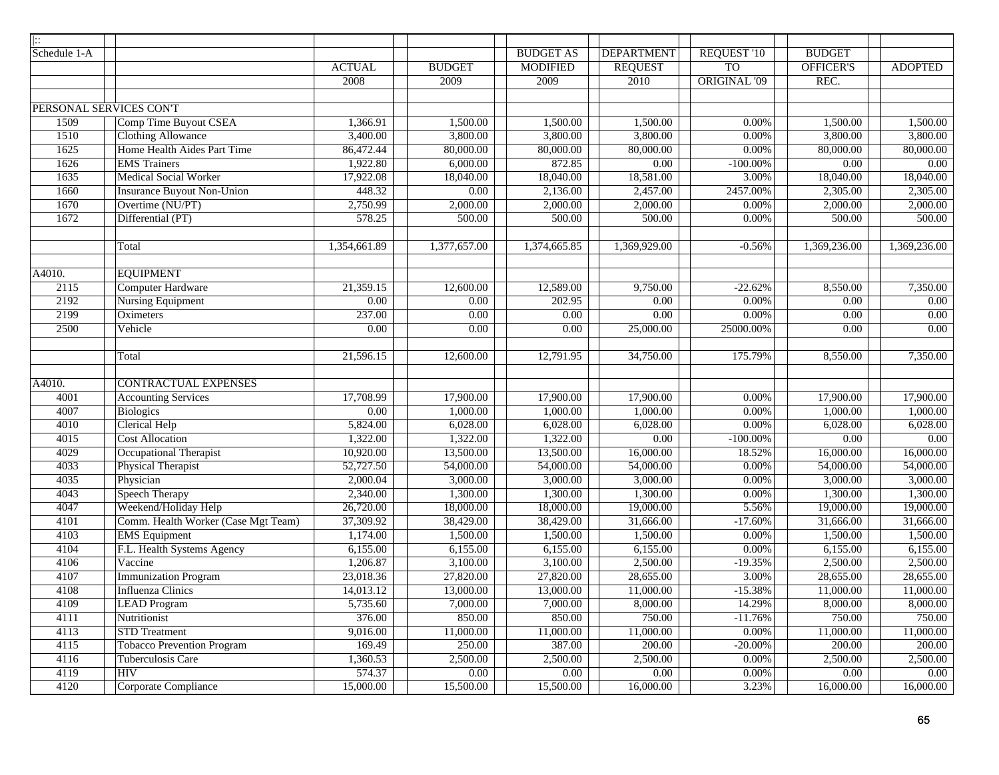| $\mathbb{R}$ |                                     |                        |                   |                  |                   |                    |                   |                   |
|--------------|-------------------------------------|------------------------|-------------------|------------------|-------------------|--------------------|-------------------|-------------------|
| Schedule 1-A |                                     |                        |                   | <b>BUDGET AS</b> | <b>DEPARTMENT</b> | <b>REQUEST '10</b> | <b>BUDGET</b>     |                   |
|              |                                     | <b>ACTUAL</b>          | <b>BUDGET</b>     | <b>MODIFIED</b>  | <b>REQUEST</b>    | <b>TO</b>          | <b>OFFICER'S</b>  | <b>ADOPTED</b>    |
|              |                                     | 2008                   | 2009              | 2009             | 2010              | ORIGINAL '09       | REC.              |                   |
|              |                                     |                        |                   |                  |                   |                    |                   |                   |
|              | PERSONAL SERVICES CON'T             |                        |                   |                  |                   |                    |                   |                   |
| 1509         | Comp Time Buyout CSEA               | 1,366.91               | 1,500.00          | 1,500.00         | 1,500.00          | 0.00%              | 1,500.00          | 1,500.00          |
| 1510         | <b>Clothing Allowance</b>           | 3,400.00               | 3,800.00          | 3,800.00         | 3,800.00          | 0.00%              | 3,800.00          | 3,800.00          |
| 1625         | Home Health Aides Part Time         | 86,472.44              | 80,000.00         | 80,000.00        | 80,000.00         | 0.00%              | 80,000.00         | 80,000.00         |
| 1626         | <b>EMS</b> Trainers                 | 1,922.80               | 6,000.00          | 872.85           | 0.00              | $-100.00\%$        | 0.00              | 0.00              |
| 1635         | <b>Medical Social Worker</b>        | 17,922.08              | 18,040.00         | 18,040.00        | 18,581.00         | 3.00%              | 18,040.00         | 18,040.00         |
| 1660         | <b>Insurance Buyout Non-Union</b>   | 448.32                 | 0.00              | 2,136.00         | 2,457.00          | 2457.00%           | 2,305.00          | 2,305.00          |
| 1670         | Overtime (NU/PT)                    | 2,750.99               | 2,000.00          | 2,000.00         | 2,000.00          | 0.00%              | 2,000.00          | 2,000.00          |
| 1672         | Differential (PT)                   | 578.25                 | 500.00            | 500.00           | 500.00            | 0.00%              | 500.00            | 500.00            |
|              |                                     |                        |                   |                  |                   |                    |                   |                   |
|              | Total                               | 1,354,661.89           | 1,377,657.00      | 1,374,665.85     | 1,369,929.00      | $-0.56%$           | 1,369,236.00      | 1,369,236.00      |
|              |                                     |                        |                   |                  |                   |                    |                   |                   |
| A4010.       | <b>EQUIPMENT</b>                    |                        |                   |                  |                   |                    |                   |                   |
| 2115         | Computer Hardware                   | 21,359.15              | 12,600.00         | 12,589.00        | 9,750.00          | $-22.62%$          | 8,550.00          | 7,350.00          |
| 2192         | <b>Nursing Equipment</b>            | $\overline{0.00}$      | $\overline{0.00}$ | 202.95           | $\overline{0.00}$ | 0.00%              | $\overline{0.00}$ | $\overline{0.00}$ |
| 2199         | Oximeters                           | 237.00                 | 0.00              | 0.00             | $\overline{0.00}$ | 0.00%              | $\overline{0.00}$ | $\overline{0.00}$ |
| 2500         | Vehicle                             | $\overline{0.00}$      | 0.00              | 0.00             | 25,000.00         | 25000.00%          | $\overline{0.00}$ | 0.00              |
|              | Total                               | 21,596.15              | 12,600.00         | 12,791.95        | 34,750.00         | 175.79%            | 8,550.00          | 7,350.00          |
|              |                                     |                        |                   |                  |                   |                    |                   |                   |
| A4010.       | <b>CONTRACTUAL EXPENSES</b>         |                        |                   |                  |                   |                    |                   |                   |
| 4001         | <b>Accounting Services</b>          | 17,708.99              | 17,900.00         | 17,900.00        | 17,900.00         | 0.00%              | 17,900.00         | 17,900.00         |
| 4007         | <b>Biologics</b>                    | 0.00                   | 1,000.00          | 1,000.00         | 1,000.00          | 0.00%              | 1,000.00          | 1,000.00          |
| 4010         | <b>Clerical Help</b>                | 5,824.00               | 6,028.00          | 6,028.00         | 6,028.00          | 0.00%              | 6,028.00          | 6,028.00          |
| 4015         | <b>Cost Allocation</b>              | 1,322.00               | 1,322.00          | 1,322.00         | 0.00              | $-100.00\%$        | 0.00              | $0.00\,$          |
| 4029         | Occupational Therapist              | 10,920.00              | 13,500.00         | 13,500.00        | 16,000.00         | 18.52%             | 16,000.00         | 16,000.00         |
| 4033         | Physical Therapist                  | 52,727.50              | 54,000.00         | 54,000.00        | 54,000.00         | 0.00%              | 54,000.00         | 54,000.00         |
| 4035         | Physician                           | 2,000.04               | 3,000.00          | 3,000.00         | 3,000.00          | 0.00%              | 3,000.00          | 3,000.00          |
| 4043         | Speech Therapy                      | 2,340.00               | 1,300.00          | 1,300.00         | 1,300.00          | 0.00%              | 1,300.00          | 1,300.00          |
| 4047         | Weekend/Holiday Help                | 26,720.00              | 18,000.00         | 18,000.00        | 19,000.00         | 5.56%              | 19,000.00         | 19,000.00         |
| 4101         | Comm. Health Worker (Case Mgt Team) | $\overline{37,309.92}$ | 38,429.00         | 38,429.00        | 31,666.00         | $-17.60%$          | 31,666.00         | 31,666.00         |
| 4103         | <b>EMS</b> Equipment                | 1,174.00               | 1,500.00          | 1,500.00         | 1,500.00          | $0.00\%$           | 1,500.00          | 1,500.00          |
| 4104         | F.L. Health Systems Agency          | 6,155.00               | 6,155.00          | 6,155.00         | 6,155.00          | $0.00\%$           | 6,155.00          | 6,155.00          |
| 4106         | Vaccine                             | 1,206.87               | 3,100.00          | 3,100.00         | 2,500.00          | $-19.35%$          | 2,500.00          | 2,500.00          |
| 4107         | <b>Immunization Program</b>         | 23,018.36              | 27,820.00         | 27,820.00        | 28,655.00         | 3.00%              | 28,655.00         | 28,655.00         |
| 4108         | Influenza Clinics                   | 14,013.12              | 13,000.00         | 13,000.00        | 11,000.00         | $-15.38%$          | 11,000.00         | 11,000.00         |
| 4109         | <b>LEAD Program</b>                 | 5,735.60               | 7,000.00          | 7,000.00         | 8,000.00          | 14.29%             | 8,000.00          | 8,000.00          |
| 4111         | Nutritionist                        | 376.00                 | 850.00            | 850.00           | 750.00            | $-11.76%$          | 750.00            | 750.00            |
| 4113         | <b>STD</b> Treatment                | 9,016.00               | 11,000.00         | 11,000.00        | 11,000.00         | 0.00%              | 11,000.00         | 11,000.00         |
| 4115         | <b>Tobacco Prevention Program</b>   | 169.49                 | 250.00            | 387.00           | 200.00            | $-20.00\%$         | 200.00            | 200.00            |
| 4116         | Tuberculosis Care                   | 1,360.53               | 2,500.00          | 2,500.00         | 2,500.00          | 0.00%              | 2,500.00          | 2,500.00          |
| 4119         | <b>HIV</b>                          | 574.37                 | $0.00\,$          | 0.00             | 0.00              | 0.00%              | $0.00\,$          | 0.00              |
| 4120         | Corporate Compliance                | 15,000.00              | 15,500.00         | 15,500.00        | 16,000.00         | 3.23%              | 16,000.00         | 16,000.00         |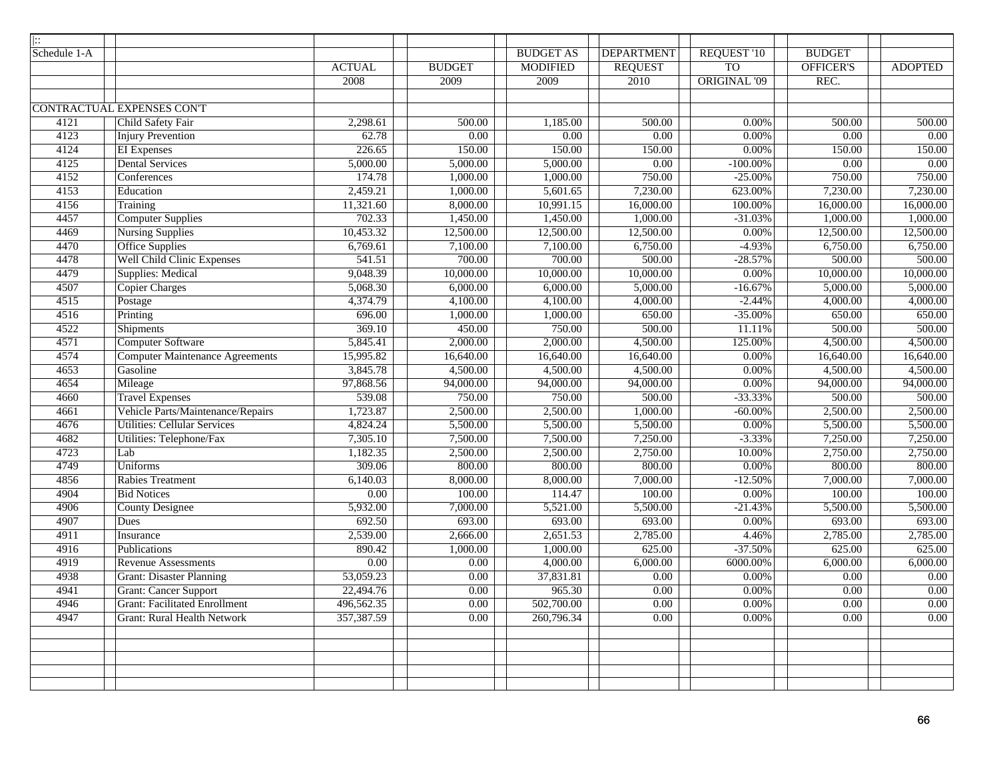| $\overline{  }$ |                                        |                   |                   |                  |                   |                     |                   |                     |
|-----------------|----------------------------------------|-------------------|-------------------|------------------|-------------------|---------------------|-------------------|---------------------|
| Schedule 1-A    |                                        |                   |                   | <b>BUDGET AS</b> | <b>DEPARTMENT</b> | <b>REQUEST '10</b>  | <b>BUDGET</b>     |                     |
|                 |                                        | <b>ACTUAL</b>     | <b>BUDGET</b>     | <b>MODIFIED</b>  | <b>REQUEST</b>    | T <sub>O</sub>      | <b>OFFICER'S</b>  | <b>ADOPTED</b>      |
|                 |                                        | 2008              | 2009              | 2009             | 2010              | <b>ORIGINAL '09</b> | REC.              |                     |
|                 |                                        |                   |                   |                  |                   |                     |                   |                     |
|                 | CONTRACTUAL EXPENSES CON'T             |                   |                   |                  |                   |                     |                   |                     |
| 4121            | Child Safety Fair                      | 2,298.61          | 500.00            | 1,185.00         | 500.00            | 0.00%               | 500.00            | $\overline{500.00}$ |
| 4123            | Injury Prevention                      | 62.78             | $\overline{0.00}$ | 0.00             | 0.00              | 0.00%               | 0.00              | 0.00                |
| 4124            | <b>EI</b> Expenses                     | 226.65            | 150.00            | 150.00           | 150.00            | $0.00\%$            | 150.00            | 150.00              |
| 4125            | <b>Dental Services</b>                 | 5,000.00          | 5,000.00          | 5,000.00         | $\overline{0.00}$ | $-100.00\%$         | $\overline{0.00}$ | $\overline{0.00}$   |
| 4152            | Conferences                            | 174.78            | 1,000.00          | 1,000.00         | 750.00            | $-25.00%$           | 750.00            | 750.00              |
| 4153            | Education                              | 2,459.21          | 1,000.00          | 5,601.65         | 7,230.00          | 623.00%             | 7,230.00          | 7,230.00            |
| 4156            | Training                               | 11,321.60         | 8,000.00          | 10,991.15        | 16,000.00         | 100.00%             | 16,000.00         | 16,000.00           |
| 4457            | <b>Computer Supplies</b>               | 702.33            | 1,450.00          | 1,450.00         | 1,000.00          | $-31.03%$           | 1,000.00          | 1,000.00            |
| 4469            | <b>Nursing Supplies</b>                | 10,453.32         | 12,500.00         | 12,500.00        | 12,500.00         | 0.00%               | 12,500.00         | 12,500.00           |
| 4470            | <b>Office Supplies</b>                 | 6,769.61          | 7,100.00          | 7,100.00         | 6,750.00          | $-4.93%$            | 6,750.00          | 6,750.00            |
| 4478            | <b>Well Child Clinic Expenses</b>      | 541.51            | 700.00            | 700.00           | 500.00            | $-28.57%$           | 500.00            | 500.00              |
| 4479            | <b>Supplies: Medical</b>               | 9,048.39          | 10,000.00         | 10,000.00        | 10,000.00         | 0.00%               | 10,000.00         | 10,000.00           |
| 4507            | <b>Copier Charges</b>                  | 5,068.30          | 6,000.00          | 6,000.00         | 5,000.00          | $-16.67%$           | 5,000.00          | 5,000.00            |
| 4515            | Postage                                | 4,374.79          | 4,100.00          | 4,100.00         | 4,000.00          | $-2.44%$            | 4,000.00          | 4,000.00            |
| 4516            | Printing                               | 696.00            | 1,000.00          | 1,000.00         | 650.00            | $-35.00%$           | 650.00            | 650.00              |
| 4522            | <b>Shipments</b>                       | 369.10            | 450.00            | 750.00           | 500.00            | 11.11%              | 500.00            | 500.00              |
| 4571            | <b>Computer Software</b>               | 5,845.41          | 2,000.00          | 2,000.00         | 4,500.00          | 125.00%             | 4,500.00          | 4,500.00            |
| 4574            | <b>Computer Maintenance Agreements</b> | 15,995.82         | 16,640.00         | 16,640.00        | 16,640.00         | $0.00\%$            | 16,640.00         | 16,640.00           |
| 4653            | Gasoline                               | 3,845.78          | 4,500.00          | 4,500.00         | 4,500.00          | 0.00%               | 4,500.00          | 4,500.00            |
| 4654            | Mileage                                | 97,868.56         | 94,000.00         | 94,000.00        | 94,000.00         | $0.00\%$            | 94,000.00         | 94,000.00           |
| 4660            | <b>Travel Expenses</b>                 | 539.08            | 750.00            | 750.00           | 500.00            | $-33.33%$           | 500.00            | 500.00              |
| 4661            | Vehicle Parts/Maintenance/Repairs      | 1,723.87          | 2,500.00          | 2,500.00         | 1,000.00          | $-60.00\%$          | 2,500.00          | 2,500.00            |
| 4676            | <b>Utilities: Cellular Services</b>    | 4,824.24          | 5,500.00          | 5,500.00         | 5,500.00          | 0.00%               | 5,500.00          | 5,500.00            |
| 4682            | Utilities: Telephone/Fax               | 7,305.10          | 7,500.00          | 7,500.00         | 7,250.00          | $-3.33%$            | 7,250.00          | 7,250.00            |
| 4723            | Lab                                    | 1,182.35          | 2,500.00          | 2,500.00         | 2,750.00          | 10.00%              | 2,750.00          | 2,750.00            |
| 4749            | <b>Uniforms</b>                        | 309.06            | 800.00            | 800.00           | 800.00            | 0.00%               | 800.00            | 800.00              |
| 4856            | <b>Rabies Treatment</b>                | 6,140.03          | 8,000.00          | 8,000.00         | 7,000.00          | $-12.50%$           | 7,000.00          | 7,000.00            |
| 4904            | <b>Bid Notices</b>                     | $\overline{0.00}$ | 100.00            | 114.47           | 100.00            | 0.00%               | 100.00            | 100.00              |
| 4906            | <b>County Designee</b>                 | 5,932.00          | 7,000.00          | 5,521.00         | 5,500.00          | $-21.43%$           | 5,500.00          | 5,500.00            |
| 4907            | Dues                                   | 692.50            | 693.00            | 693.00           | 693.00            | 0.00%               | 693.00            | 693.00              |
| 4911            | Insurance                              | 2,539.00          | 2,666.00          | 2,651.53         | 2,785.00          | 4.46%               | 2,785.00          | 2,785.00            |
| 4916            | Publications                           | 890.42            | 1,000.00          | 1,000.00         | 625.00            | $-37.50%$           | 625.00            | 625.00              |
| 4919            | <b>Revenue Assessments</b>             | $\overline{0.00}$ | $0.00\,$          | 4,000.00         | 6,000.00          | 6000.00%            | 6,000.00          | 6,000.00            |
| 4938            | <b>Grant: Disaster Planning</b>        | 53,059.23         | $0.00\,$          | 37,831.81        | $0.00\,$          | 0.00%               | 0.00              | $0.00\,$            |
| 4941            | <b>Grant: Cancer Support</b>           | 22,494.76         | $0.00\,$          | 965.30           | $0.00\,$          | 0.00%               | $0.00\,$          | $0.00\,$            |
| 4946            | <b>Grant: Facilitated Enrollment</b>   | 496,562.35        | $0.00\,$          | 502,700.00       | $0.00\,$          | $0.00\%$            | 0.00              | $0.00\,$            |
| 4947            | <b>Grant: Rural Health Network</b>     | 357,387.59        | $0.00\,$          | 260,796.34       | $0.00\,$          | 0.00%               | $0.00\,$          | $0.00\,$            |
|                 |                                        |                   |                   |                  |                   |                     |                   |                     |
|                 |                                        |                   |                   |                  |                   |                     |                   |                     |
|                 |                                        |                   |                   |                  |                   |                     |                   |                     |
|                 |                                        |                   |                   |                  |                   |                     |                   |                     |
|                 |                                        |                   |                   |                  |                   |                     |                   |                     |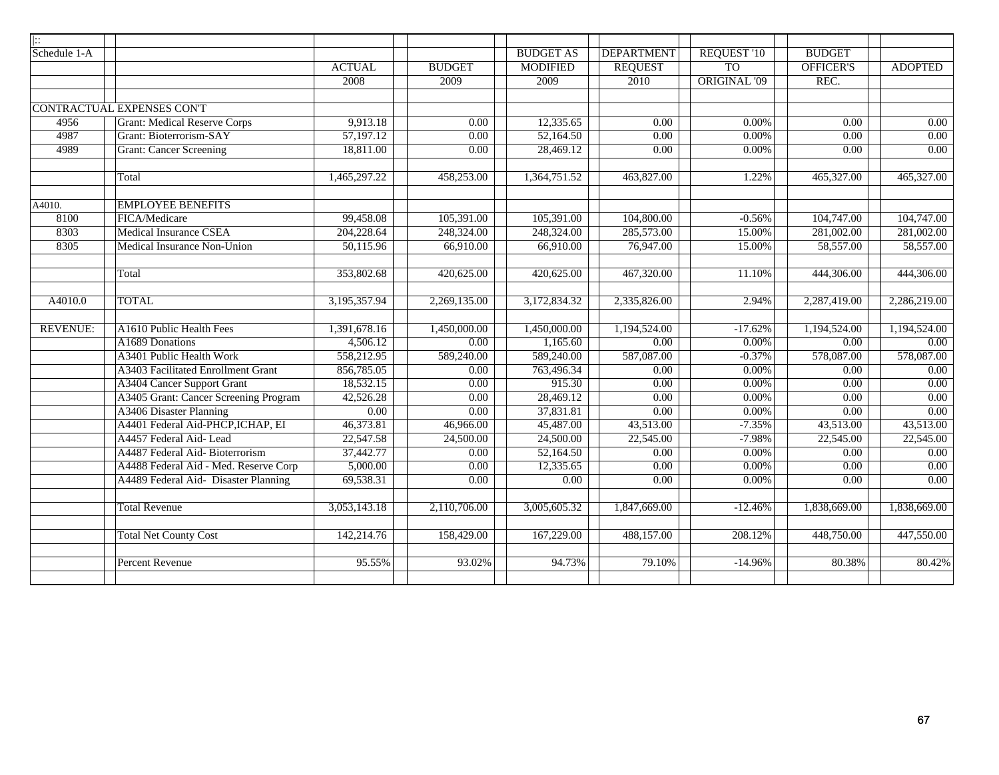| $\mid$ $::$     |                                       |                   |                        |                   |                        |                     |                   |                |
|-----------------|---------------------------------------|-------------------|------------------------|-------------------|------------------------|---------------------|-------------------|----------------|
| Schedule 1-A    |                                       |                   |                        | <b>BUDGET AS</b>  | <b>DEPARTMENT</b>      | <b>REQUEST '10</b>  | <b>BUDGET</b>     |                |
|                 |                                       | <b>ACTUAL</b>     | <b>BUDGET</b>          | <b>MODIFIED</b>   | <b>REQUEST</b>         | T <sub>O</sub>      | OFFICER'S         | <b>ADOPTED</b> |
|                 |                                       | 2008              | 2009                   | 2009              | 2010                   | <b>ORIGINAL '09</b> | REC.              |                |
|                 |                                       |                   |                        |                   |                        |                     |                   |                |
|                 | CONTRACTUAL EXPENSES CON'T            |                   |                        |                   |                        |                     |                   |                |
| 4956            | <b>Grant: Medical Reserve Corps</b>   | 9,913.18          | 0.00                   | 12,335.65         | 0.00                   | 0.00%               | 0.00              | 0.00           |
| 4987            | Grant: Bioterrorism-SAY               | 57,197.12         | 0.00                   | 52,164.50         | 0.00                   | $0.00\%$            | 0.00              | 0.00           |
| 4989            | <b>Grant: Cancer Screening</b>        | 18,811.00         | $\overline{0.00}$      | 28,469.12         | 0.00                   | $0.00\%$            | $\overline{0.00}$ | 0.00           |
|                 |                                       |                   |                        |                   |                        |                     |                   |                |
|                 | Total                                 | 1,465,297.22      | 458,253.00             | 1,364,751.52      | 463,827.00             | 1.22%               | 465,327.00        | 465,327.00     |
| A4010.          | <b>EMPLOYEE BENEFITS</b>              |                   |                        |                   |                        |                     |                   |                |
| 8100            | FICA/Medicare                         | 99,458.08         | 105,391.00             | 105,391.00        | 104,800.00             | $-0.56%$            | 104,747.00        | 104,747.00     |
| 8303            | <b>Medical Insurance CSEA</b>         | 204,228.64        | 248,324.00             | 248,324.00        | 285,573.00             | 15.00%              | 281,002.00        | 281,002.00     |
| 8305            | Medical Insurance Non-Union           | 50,115.96         | 66,910.00              | 66,910.00         | 76,947.00              | 15.00%              | 58,557.00         | 58,557.00      |
|                 |                                       |                   |                        |                   |                        |                     |                   |                |
|                 | Total                                 | 353,802.68        | 420,625.00             | 420,625.00        | 467,320.00             | 11.10%              | 444,306.00        | 444,306.00     |
|                 |                                       |                   |                        |                   |                        |                     |                   |                |
| A4010.0         | <b>TOTAL</b>                          | 3,195,357.94      | 2,269,135.00           | 3,172,834.32      | 2,335,826.00           | 2.94%               | 2,287,419.00      | 2,286,219.00   |
|                 |                                       |                   |                        |                   |                        |                     |                   |                |
| <b>REVENUE:</b> | A1610 Public Health Fees              | 1,391,678.16      | 1,450,000.00           | 1,450,000.00      | 1,194,524.00           | $-17.62%$           | 1,194,524.00      | 1,194,524.00   |
|                 | A1689 Donations                       | 4,506.12          | 0.00                   | 1,165.60          | 0.00                   | 0.00%               | 0.00              | 0.00           |
|                 | A3401 Public Health Work              | 558,212.95        | 589,240.00             | 589,240.00        | 587,087.00             | $-0.37%$            | 578,087.00        | 578,087.00     |
|                 | A3403 Facilitated Enrollment Grant    | 856,785.05        | 0.00                   | 763,496.34        | 0.00                   | $0.00\%$            | 0.00              | 0.00           |
|                 | A3404 Cancer Support Grant            | 18,532.15         | $\overline{0.00}$      | 915.30            | 0.00                   | $0.00\%$            | $\overline{0.00}$ | 0.00           |
|                 | A3405 Grant: Cancer Screening Program | 42,526.28         | 0.00                   | 28,469.12         | 0.00                   | $0.00\%$            | 0.00              | 0.00           |
|                 | A3406 Disaster Planning               | $\overline{0.00}$ | 0.00                   | 37,831.81         | 0.00                   | $0.00\%$            | $\overline{0.00}$ | 0.00           |
|                 | A4401 Federal Aid-PHCP, ICHAP, EI     | 46,373.81         | $\overline{46,966.00}$ | 45,487.00         | $\overline{43,513.00}$ | $-7.35%$            | 43,513.00         | 43,513.00      |
|                 | A4457 Federal Aid-Lead                | 22,547.58         | 24,500.00              | 24,500.00         | 22,545.00              | $-7.98%$            | 22,545.00         | 22,545.00      |
|                 | A4487 Federal Aid-Bioterrorism        | 37,442.77         | 0.00                   | 52,164.50         | 0.00                   | 0.00%               | 0.00              | 0.00           |
|                 | A4488 Federal Aid - Med. Reserve Corp | 5,000.00          | 0.00                   | 12,335.65         | 0.00                   | $0.00\%$            | 0.00              | 0.00           |
|                 | A4489 Federal Aid- Disaster Planning  | 69,538.31         | $\overline{0.00}$      | $\overline{0.00}$ | $\overline{0.00}$      | $0.00\%$            | $\overline{0.00}$ | 0.00           |
|                 |                                       |                   |                        |                   |                        |                     |                   |                |
|                 | <b>Total Revenue</b>                  | 3,053,143.18      | 2,110,706.00           | 3,005,605.32      | 1,847,669.00           | $-12.46%$           | 1,838,669.00      | 1,838,669.00   |
|                 | <b>Total Net County Cost</b>          | 142,214.76        | 158,429.00             | 167,229.00        | 488,157.00             | 208.12%             | 448,750.00        | 447,550.00     |
|                 | Percent Revenue                       | 95.55%            | 93.02%                 | 94.73%            | 79.10%                 |                     |                   |                |
|                 |                                       |                   |                        |                   |                        | $-14.96%$           | 80.38%            | 80.42%         |
|                 |                                       |                   |                        |                   |                        |                     |                   |                |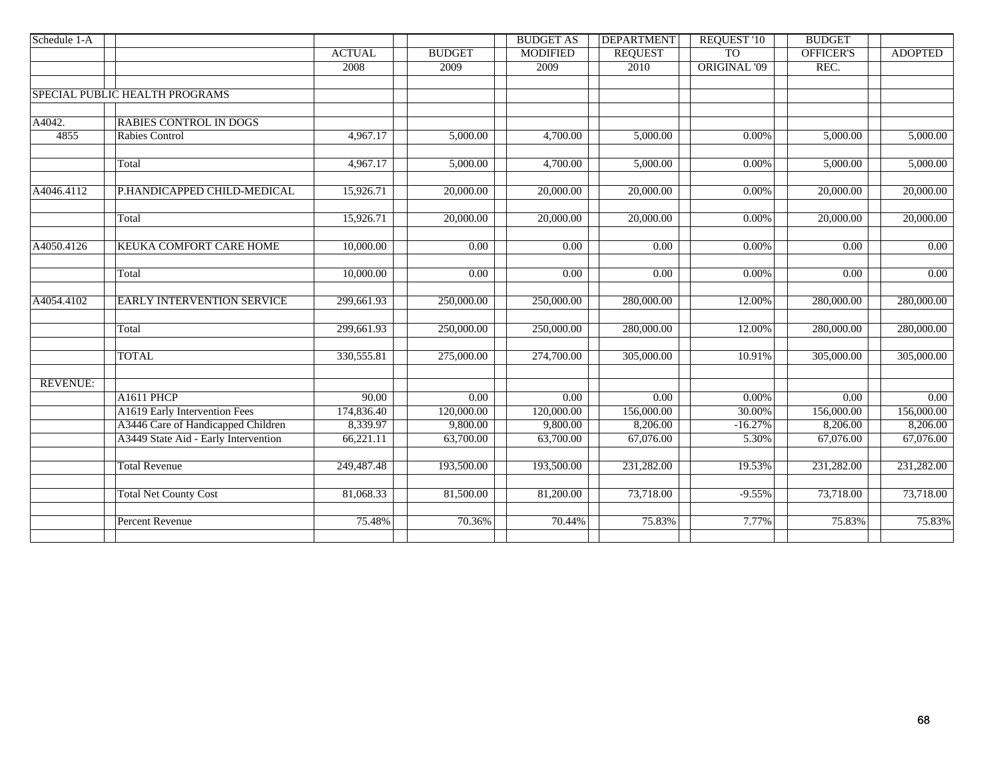|                                   |                                                                                                              |                   | <b>BUDGET AS</b> | <b>DEPARTMENT</b> | <b>REQUEST '10</b>  | <b>BUDGET</b>                                                                                                                                                                                                     |                   |
|-----------------------------------|--------------------------------------------------------------------------------------------------------------|-------------------|------------------|-------------------|---------------------|-------------------------------------------------------------------------------------------------------------------------------------------------------------------------------------------------------------------|-------------------|
|                                   | <b>ACTUAL</b>                                                                                                | <b>BUDGET</b>     | <b>MODIFIED</b>  | <b>REQUEST</b>    | <b>TO</b>           | OFFICER'S                                                                                                                                                                                                         | <b>ADOPTED</b>    |
|                                   | 2008                                                                                                         | 2009              | 2009             | 2010              | <b>ORIGINAL '09</b> | REC.<br>5,000.00<br>5,000.00<br>20,000.00<br>20,000.00<br>0.00<br>0.00<br>280,000.00<br>280,000.00<br>305,000.00<br>$\overline{0.00}$<br>156,000.00<br>8,206.00<br>67,076.00<br>231,282.00<br>73,718.00<br>75.83% |                   |
|                                   |                                                                                                              |                   |                  |                   |                     |                                                                                                                                                                                                                   |                   |
|                                   |                                                                                                              |                   |                  |                   |                     |                                                                                                                                                                                                                   |                   |
| <b>RABIES CONTROL IN DOGS</b>     |                                                                                                              |                   |                  |                   |                     |                                                                                                                                                                                                                   |                   |
| <b>Rabies Control</b>             | 4,967.17                                                                                                     | 5,000.00          | 4,700.00         | 5,000.00          | 0.00%               |                                                                                                                                                                                                                   | 5,000.00          |
| Total                             | 4,967.17                                                                                                     | 5,000.00          | 4,700.00         | 5,000.00          | $0.00\%$            |                                                                                                                                                                                                                   | 5,000.00          |
| P.HANDICAPPED CHILD-MEDICAL       | 15,926.71                                                                                                    | 20,000.00         | 20,000.00        | 20,000.00         | $0.00\%$            |                                                                                                                                                                                                                   | 20,000.00         |
| Total                             | 15,926.71                                                                                                    | 20,000.00         | 20,000.00        | 20,000.00         | $0.00\%$            |                                                                                                                                                                                                                   | 20,000.00         |
| KEUKA COMFORT CARE HOME           | 10,000.00                                                                                                    | $\overline{0.00}$ | 0.00             | 0.00              | $0.00\%$            |                                                                                                                                                                                                                   | 0.00              |
| Total                             | 10,000.00                                                                                                    | 0.00              | 0.00             | 0.00              | 0.00%               |                                                                                                                                                                                                                   | 0.00              |
| <b>EARLY INTERVENTION SERVICE</b> | 299,661.93                                                                                                   | 250,000.00        | 250,000.00       | 280,000.00        | 12.00%              |                                                                                                                                                                                                                   | 280,000.00        |
| Total                             | 299,661.93                                                                                                   | 250,000.00        | 250,000.00       | 280,000.00        | 12.00%              |                                                                                                                                                                                                                   | 280,000.00        |
| <b>TOTAL</b>                      | 330,555.81                                                                                                   | 275,000.00        | 274,700.00       | 305,000.00        | 10.91%              |                                                                                                                                                                                                                   | 305,000.00        |
|                                   |                                                                                                              |                   |                  |                   |                     |                                                                                                                                                                                                                   |                   |
| A1611 PHCP                        | 90.00                                                                                                        | $\overline{0.00}$ | 0.00             | $\overline{0.00}$ | $0.00\%$            |                                                                                                                                                                                                                   | $\overline{0.00}$ |
| A1619 Early Intervention Fees     | 174,836.40                                                                                                   | 120,000.00        | 120,000.00       | 156,000.00        | 30.00%              |                                                                                                                                                                                                                   | 156,000.00        |
|                                   | 8,339.97                                                                                                     | 9,800.00          |                  | 8,206.00          | $-16.27%$           |                                                                                                                                                                                                                   | 8,206.00          |
|                                   | 66,221.11                                                                                                    | 63,700.00         | 63,700.00        | 67,076.00         | 5.30%               |                                                                                                                                                                                                                   | 67,076.00         |
| <b>Total Revenue</b>              | 249,487.48                                                                                                   | 193,500.00        | 193,500.00       | 231,282.00        | 19.53%              |                                                                                                                                                                                                                   | 231,282.00        |
| <b>Total Net County Cost</b>      | 81,068.33                                                                                                    | 81,500.00         | 81,200.00        | 73,718.00         | $-9.55%$            |                                                                                                                                                                                                                   | 73,718.00         |
| <b>Percent Revenue</b>            | 75.48%                                                                                                       | 70.36%            | 70.44%           | 75.83%            | 7.77%               |                                                                                                                                                                                                                   | 75.83%            |
|                                   | SPECIAL PUBLIC HEALTH PROGRAMS<br>A3446 Care of Handicapped Children<br>A3449 State Aid - Early Intervention |                   |                  | 9,800.00          |                     |                                                                                                                                                                                                                   |                   |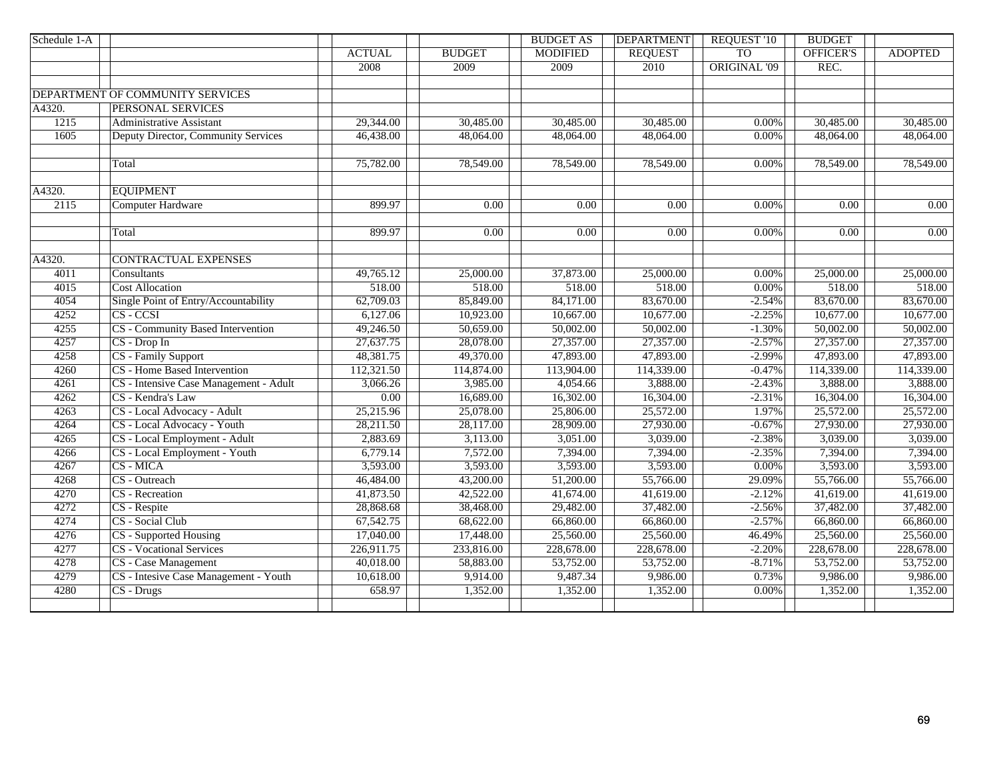| Schedule 1-A |                                        |                   |               | <b>BUDGET AS</b> | <b>DEPARTMENT</b> | <b>REQUEST '10</b>  | <b>BUDGET</b>          |                |
|--------------|----------------------------------------|-------------------|---------------|------------------|-------------------|---------------------|------------------------|----------------|
|              |                                        | <b>ACTUAL</b>     | <b>BUDGET</b> | <b>MODIFIED</b>  | <b>REQUEST</b>    | T <sub>O</sub>      | OFFICER'S              | <b>ADOPTED</b> |
|              |                                        | 2008              | 2009          | 2009             | 2010              | <b>ORIGINAL '09</b> | REC.                   |                |
|              |                                        |                   |               |                  |                   |                     |                        |                |
|              | DEPARTMENT OF COMMUNITY SERVICES       |                   |               |                  |                   |                     |                        |                |
| A4320.       | PERSONAL SERVICES                      |                   |               |                  |                   |                     |                        |                |
| 1215         | Administrative Assistant               | 29,344.00         | 30,485.00     | 30,485.00        | 30,485.00         | 0.00%               | $\overline{30,}485.00$ | 30,485.00      |
| 1605         | Deputy Director, Community Services    | 46,438.00         | 48,064.00     | 48,064.00        | 48,064.00         | 0.00%               | 48,064.00              | 48,064.00      |
|              |                                        |                   |               |                  |                   |                     |                        |                |
|              | Total                                  | 75,782.00         | 78,549.00     | 78,549.00        | 78,549.00         | 0.00%               | 78,549.00              | 78,549.00      |
|              |                                        |                   |               |                  |                   |                     |                        |                |
| A4320.       | <b>EQUIPMENT</b>                       |                   |               |                  |                   |                     |                        |                |
| 2115         | <b>Computer Hardware</b>               | 899.97            | 0.00          | 0.00             | 0.00              | 0.00%               | 0.00                   | 0.00           |
|              |                                        |                   |               |                  |                   |                     |                        |                |
|              | Total                                  | 899.97            | 0.00          | 0.00             | 0.00              | 0.00%               | 0.00                   | 0.00           |
|              |                                        |                   |               |                  |                   |                     |                        |                |
| A4320.       | <b>CONTRACTUAL EXPENSES</b>            |                   |               |                  |                   |                     |                        |                |
| 4011         | Consultants                            | 49,765.12         | 25,000.00     | 37,873.00        | 25,000.00         | 0.00%               | 25,000.00              | 25,000.00      |
| 4015         | <b>Cost Allocation</b>                 | 518.00            | 518.00        | 518.00           | 518.00            | 0.00%               | 518.00                 | 518.00         |
| 4054         | Single Point of Entry/Accountability   | 62,709.03         | 85,849.00     | 84,171.00        | 83,670.00         | $-2.54%$            | 83,670.00              | 83,670.00      |
| 4252         | $CS - CCSI$                            | 6,127.06          | 10,923.00     | 10,667.00        | 10,677.00         | $-2.25%$            | 10,677.00              | 10,677.00      |
| 4255         | CS - Community Based Intervention      | 49,246.50         | 50,659.00     | 50,002.00        | 50,002.00         | $-1.30%$            | 50,002.00              | 50,002.00      |
| 4257         | $CS$ - Drop In                         | 27,637.75         | 28,078.00     | 27,357.00        | 27,357.00         | $-2.57%$            | 27,357.00              | 27,357.00      |
| 4258         | CS - Family Support                    | 48,381.75         | 49,370.00     | 47,893.00        | 47,893.00         | $-2.99%$            | 47,893.00              | 47,893.00      |
| 4260         | CS - Home Based Intervention           | 112,321.50        | 114,874.00    | 113,904.00       | 114,339.00        | $-0.47%$            | 114,339.00             | 114,339.00     |
| 4261         | CS - Intensive Case Management - Adult | 3,066.26          | 3,985.00      | 4,054.66         | 3,888.00          | $-2.43%$            | 3,888.00               | 3,888.00       |
| 4262         | CS - Kendra's Law                      | $\overline{0.00}$ | 16,689.00     | 16,302.00        | 16,304.00         | $-2.31%$            | 16,304.00              | 16,304.00      |
| 4263         | CS - Local Advocacy - Adult            | 25,215.96         | 25,078.00     | 25,806.00        | 25,572.00         | 1.97%               | 25,572.00              | 25,572.00      |
| 4264         | CS - Local Advocacy - Youth            | 28,211.50         | 28,117.00     | 28,909.00        | 27,930.00         | $-0.67%$            | 27,930.00              | 27,930.00      |
| 4265         | CS - Local Employment - Adult          | 2,883.69          | 3,113.00      | 3,051.00         | 3,039.00          | $-2.38%$            | 3,039.00               | 3,039.00       |
| 4266         | CS - Local Employment - Youth          | 6,779.14          | 7,572.00      | 7,394.00         | 7,394.00          | $-2.35%$            | 7,394.00               | 7,394.00       |
| 4267         | CS - MICA                              | 3,593.00          | 3,593.00      | 3,593.00         | 3,593.00          | 0.00%               | 3,593.00               | 3,593.00       |
| 4268         | CS - Outreach                          | 46,484.00         | 43,200.00     | 51,200.00        | 55,766.00         | 29.09%              | 55,766.00              | 55,766.00      |
| 4270         | CS - Recreation                        | 41,873.50         | 42,522.00     | 41,674.00        | 41,619.00         | $-2.12%$            | 41,619.00              | 41,619.00      |
| 4272         | CS - Respite                           | 28,868.68         | 38,468.00     | 29,482.00        | 37,482.00         | $-2.56%$            | 37,482.00              | 37,482.00      |
| 4274         | CS - Social Club                       | 67,542.75         | 68,622.00     | 66,860.00        | 66,860.00         | $-2.57%$            | 66,860.00              | 66,860.00      |
| 4276         | CS - Supported Housing                 | 17,040.00         | 17,448.00     | 25,560.00        | 25,560.00         | 46.49%              | 25,560.00              | 25,560.00      |
| 4277         | <b>CS</b> - Vocational Services        | 226,911.75        | 233,816.00    | 228,678.00       | 228,678.00        | $-2.20%$            | 228,678.00             | 228,678.00     |
| 4278         | <b>CS</b> - Case Management            | 40,018.00         | 58,883.00     | 53,752.00        | 53,752.00         | $-8.71%$            | 53,752.00              | 53,752.00      |
| 4279         | CS - Intesive Case Management - Youth  | 10,618.00         | 9,914.00      | 9,487.34         | 9,986.00          | 0.73%               | 9,986.00               | 9,986.00       |
| 4280         | CS - Drugs                             | 658.97            | 1,352.00      | 1,352.00         | 1,352.00          | $0.00\%$            | 1,352.00               | 1,352.00       |
|              |                                        |                   |               |                  |                   |                     |                        |                |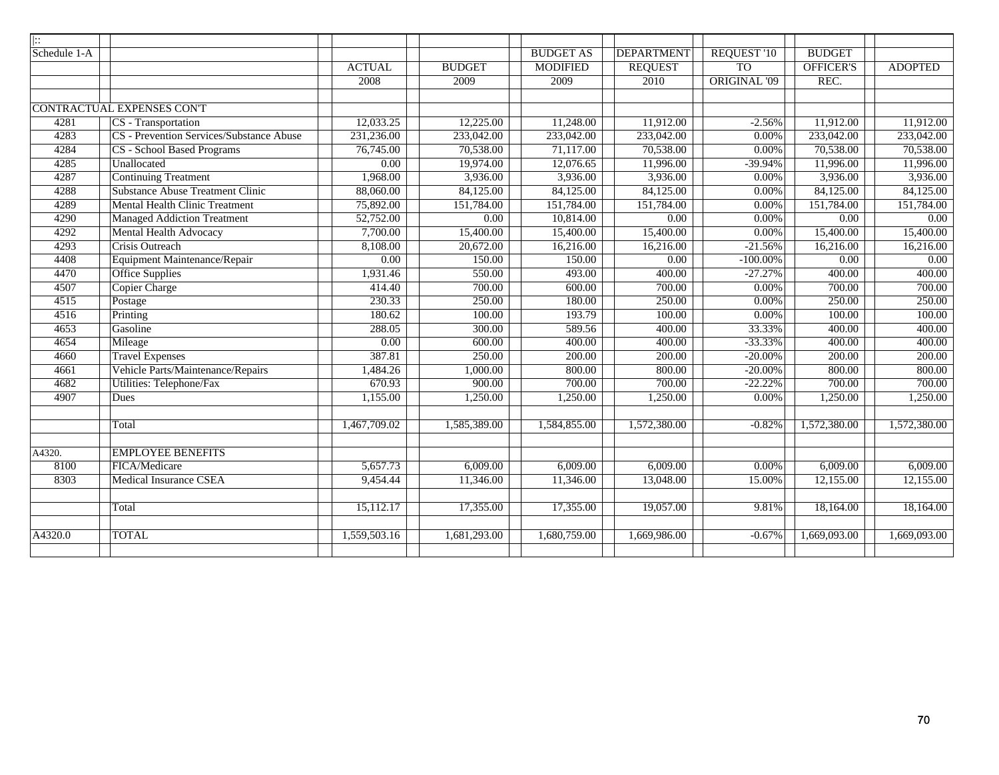| $\overline{  }$ |                                          |                   |               |                  |                   |                     |               |                   |
|-----------------|------------------------------------------|-------------------|---------------|------------------|-------------------|---------------------|---------------|-------------------|
| Schedule 1-A    |                                          |                   |               | <b>BUDGET AS</b> | <b>DEPARTMENT</b> | <b>REQUEST '10</b>  | <b>BUDGET</b> |                   |
|                 |                                          | <b>ACTUAL</b>     | <b>BUDGET</b> | <b>MODIFIED</b>  | <b>REQUEST</b>    | T <sub>O</sub>      | OFFICER'S     | <b>ADOPTED</b>    |
|                 |                                          | 2008              | 2009          | 2009             | 2010              | <b>ORIGINAL '09</b> | REC.          |                   |
|                 |                                          |                   |               |                  |                   |                     |               |                   |
|                 | CONTRACTUAL EXPENSES CON'T               |                   |               |                  |                   |                     |               |                   |
| 4281            | CS - Transportation                      | 12,033.25         | 12,225.00     | 11,248.00        | 11,912.00         | $-2.56%$            | 11,912.00     | 11,912.00         |
| 4283            | CS - Prevention Services/Substance Abuse | 231,236.00        | 233,042.00    | 233,042.00       | 233,042.00        | 0.00%               | 233,042.00    | 233,042.00        |
| 4284            | <b>CS</b> - School Based Programs        | 76,745.00         | 70,538.00     | 71,117.00        | 70,538.00         | 0.00%               | 70,538.00     | 70,538.00         |
| 4285            | Unallocated                              | 0.00              | 19,974.00     | 12,076.65        | 11,996.00         | $-39.94%$           | 11,996.00     | 11,996.00         |
| 4287            | <b>Continuing Treatment</b>              | 1,968.00          | 3,936.00      | 3,936.00         | 3,936.00          | 0.00%               | 3,936.00      | 3,936.00          |
| 4288            | <b>Substance Abuse Treatment Clinic</b>  | 88,060.00         | 84,125.00     | 84,125.00        | 84,125.00         | 0.00%               | 84,125.00     | 84,125.00         |
| 4289            | <b>Mental Health Clinic Treatment</b>    | 75,892.00         | 151,784.00    | 151,784.00       | 151,784.00        | 0.00%               | 151,784.00    | 151,784.00        |
| 4290            | <b>Managed Addiction Treatment</b>       | 52,752.00         | 0.00          | 10,814.00        | 0.00              | 0.00%               | 0.00          | 0.00              |
| 4292            | <b>Mental Health Advocacy</b>            | 7,700.00          | 15,400.00     | 15,400.00        | 15,400.00         | 0.00%               | 15,400.00     | 15,400.00         |
| 4293            | <b>Crisis Outreach</b>                   | 8,108.00          | 20,672.00     | 16,216.00        | 16,216.00         | $-21.56%$           | 16,216.00     | 16,216.00         |
| 4408            | Equipment Maintenance/Repair             | $\overline{0.00}$ | 150.00        | 150.00           | $\overline{0.00}$ | $-100.00\%$         | 0.00          | $\overline{0.00}$ |
| 4470            | <b>Office Supplies</b>                   | 1,931.46          | 550.00        | 493.00           | 400.00            | $-27.27%$           | 400.00        | 400.00            |
| 4507            | Copier Charge                            | 414.40            | 700.00        | 600.00           | 700.00            | 0.00%               | 700.00        | 700.00            |
| 4515            | Postage                                  | 230.33            | 250.00        | 180.00           | 250.00            | 0.00%               | 250.00        | 250.00            |
| 4516            | Printing                                 | 180.62            | 100.00        | 193.79           | 100.00            | 0.00%               | 100.00        | 100.00            |
| 4653            | Gasoline                                 | 288.05            | 300.00        | 589.56           | 400.00            | 33.33%              | 400.00        | 400.00            |
| 4654            | Mileage                                  | 0.00              | 600.00        | 400.00           | 400.00            | $-33.33%$           | 400.00        | 400.00            |
| 4660            | <b>Travel Expenses</b>                   | 387.81            | 250.00        | 200.00           | 200.00            | $-20.00%$           | 200.00        | 200.00            |
| 4661            | Vehicle Parts/Maintenance/Repairs        | 1,484.26          | 1,000.00      | 800.00           | 800.00            | $-20.00%$           | 800.00        | 800.00            |
| 4682            | <b>Utilities: Telephone/Fax</b>          | 670.93            | 900.00        | 700.00           | 700.00            | $-22.22%$           | 700.00        | 700.00            |
| 4907            | Dues                                     | 1,155.00          | 1,250.00      | 1,250.00         | 1,250.00          | 0.00%               | 1,250.00      | 1,250.00          |
|                 |                                          |                   |               |                  |                   |                     |               |                   |
|                 | Total                                    | 1,467,709.02      | 1,585,389.00  | 1,584,855.00     | 1,572,380.00      | $-0.82%$            | 1,572,380.00  | 1,572,380.00      |
|                 |                                          |                   |               |                  |                   |                     |               |                   |
| A4320.          | <b>EMPLOYEE BENEFITS</b>                 |                   |               |                  |                   |                     |               |                   |
| 8100            | FICA/Medicare                            | 5,657.73          | 6,009.00      | 6,009.00         | 6,009.00          | 0.00%               | 6,009.00      | 6,009.00          |
| 8303            | <b>Medical Insurance CSEA</b>            | 9,454.44          | 11,346.00     | 11,346.00        | 13,048.00         | 15.00%              | 12,155.00     | 12,155.00         |
|                 |                                          |                   |               |                  |                   |                     |               |                   |
|                 | Total                                    | 15,112.17         | 17,355.00     | 17,355.00        | 19,057.00         | 9.81%               | 18,164.00     | 18,164.00         |
|                 |                                          |                   |               |                  |                   |                     |               |                   |
| A4320.0         | <b>TOTAL</b>                             | 1,559,503.16      | 1,681,293.00  | 1,680,759.00     | 1,669,986.00      | $-0.67%$            | 1,669,093.00  | 1,669,093.00      |
|                 |                                          |                   |               |                  |                   |                     |               |                   |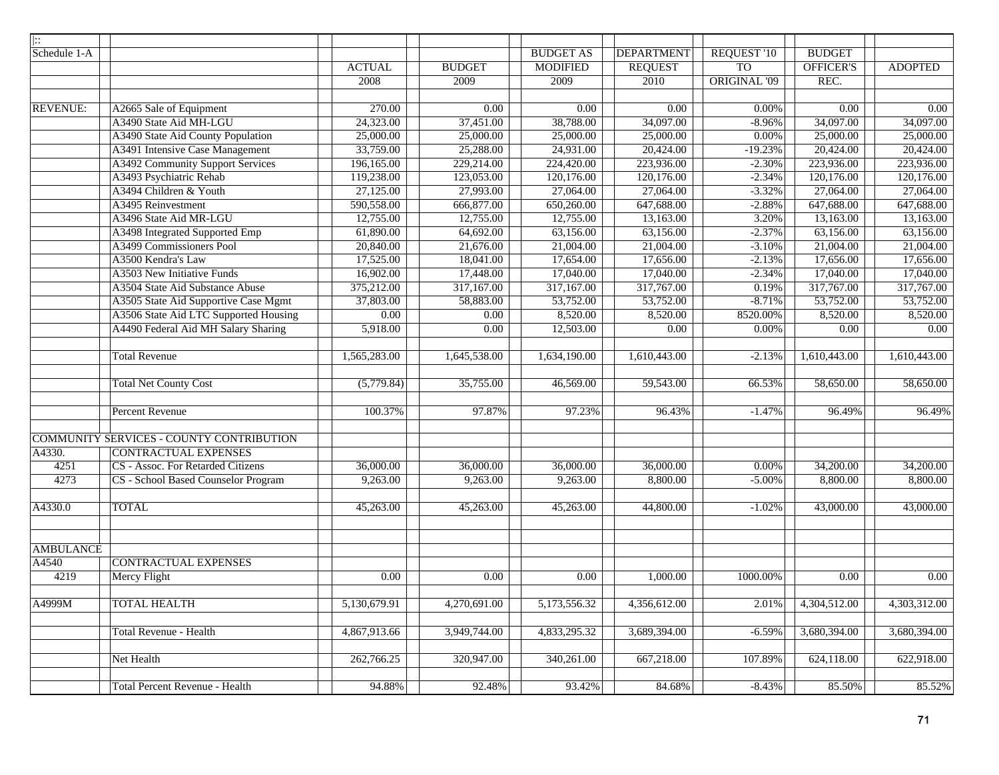| $\parallel$ ::   |                                          |                        |                   |                  |                   |                     |                        |                           |
|------------------|------------------------------------------|------------------------|-------------------|------------------|-------------------|---------------------|------------------------|---------------------------|
| Schedule 1-A     |                                          |                        |                   | <b>BUDGET AS</b> | <b>DEPARTMENT</b> | <b>REQUEST '10</b>  | <b>BUDGET</b>          |                           |
|                  |                                          | <b>ACTUAL</b>          | <b>BUDGET</b>     | <b>MODIFIED</b>  | <b>REQUEST</b>    | <b>TO</b>           | <b>OFFICER'S</b>       | <b>ADOPTED</b>            |
|                  |                                          | 2008                   | 2009              | 2009             | 2010              | <b>ORIGINAL '09</b> | REC.                   |                           |
|                  |                                          |                        |                   |                  |                   |                     |                        |                           |
| <b>REVENUE:</b>  | A2665 Sale of Equipment                  | 270.00                 | 0.00              | 0.00             | 0.00              | 0.00%               | 0.00                   | 0.00                      |
|                  | A3490 State Aid MH-LGU                   | $\overline{24,323.00}$ | 37,451.00         | 38,788.00        | 34,097.00         | $-8.96%$            | 34,097.00              | 34,097.00                 |
|                  | A3490 State Aid County Population        | 25,000.00              | 25,000.00         | 25,000.00        | 25,000.00         | 0.00%               | 25,000.00              | 25,000.00                 |
|                  | A3491 Intensive Case Management          | 33,759.00              | 25,288.00         | 24,931.00        | 20,424.00         | $-19.23%$           | 20,424.00              | 20,424.00                 |
|                  | A3492 Community Support Services         | 196,165.00             | 229,214.00        | 224,420.00       | 223,936.00        | $-2.30%$            | 223,936.00             | 223,936.00                |
|                  | A3493 Psychiatric Rehab                  | 119,238.00             | 123,053.00        | 120,176.00       | 120,176.00        | $-2.34%$            | 120,176.00             | 120,176.00                |
|                  | A3494 Children & Youth                   | 27,125.00              | 27,993.00         | 27,064.00        | 27,064.00         | $-3.32%$            | 27,064.00              | 27,064.00                 |
|                  | A3495 Reinvestment                       | 590,558.00             | 666,877.00        | 650,260.00       | 647,688.00        | $-2.88%$            | 647,688.00             | 647,688.00                |
|                  | A3496 State Aid MR-LGU                   | 12,755.00              | 12,755.00         | 12,755.00        | 13,163.00         | 3.20%               | 13,163.00              | 13,163.00                 |
|                  | A3498 Integrated Supported Emp           | 61,890.00              | 64,692.00         | 63,156.00        | 63,156.00         | $-2.37%$            | 63,156.00              | 63,156.00                 |
|                  | A3499 Commissioners Pool                 | 20,840.00              | 21,676.00         | 21,004.00        | 21,004.00         | $-3.10%$            | $\overline{21,004.00}$ | 21,004.00                 |
|                  | A3500 Kendra's Law                       | 17,525.00              | 18,041.00         | 17,654.00        | 17,656.00         | $-2.13%$            | 17,656.00              | 17,656.00                 |
|                  | A3503 New Initiative Funds               | 16,902.00              | 17,448.00         | 17,040.00        | 17,040.00         | $-2.34%$            | 17,040.00              | 17,040.00                 |
|                  | A3504 State Aid Substance Abuse          | 375,212.00             | 317,167.00        | 317,167.00       | 317,767.00        | 0.19%               | 317,767.00             | 317,767.00                |
|                  | A3505 State Aid Supportive Case Mgmt     | 37,803.00              | 58,883.00         | 53,752.00        | 53,752.00         | $-8.71%$            | 53,752.00              | 53,752.00                 |
|                  | A3506 State Aid LTC Supported Housing    | 0.00                   | $\overline{0.00}$ | 8,520.00         | 8,520.00          | 8520.00%            | 8,520.00               | 8,520.00                  |
|                  | A4490 Federal Aid MH Salary Sharing      | 5,918.00               | 0.00              | 12,503.00        | $\overline{0.00}$ | 0.00%               | 0.00                   | $\overline{0.00}$         |
|                  | <b>Total Revenue</b>                     | 1,565,283.00           | 1,645,538.00      | 1,634,190.00     | 1,610,443.00      | $-2.13%$            | 1,610,443.00           | 1,610,443.00              |
|                  | <b>Total Net County Cost</b>             | (5,779.84)             | 35,755.00         | 46,569.00        | 59,543.00         | 66.53%              | 58,650.00              | 58,650.00                 |
|                  | Percent Revenue                          | 100.37%                | 97.87%            | 97.23%           | 96.43%            | $-1.47%$            | 96.49%                 | 96.49%                    |
|                  | COMMUNITY SERVICES - COUNTY CONTRIBUTION |                        |                   |                  |                   |                     |                        |                           |
| A4330.           | <b>CONTRACTUAL EXPENSES</b>              |                        |                   |                  |                   |                     |                        |                           |
| 4251             | CS - Assoc. For Retarded Citizens        | 36,000.00              | 36,000.00         | 36,000.00        | 36,000.00         | 0.00%               | $\overline{34,200.00}$ | 34,200.00                 |
| 4273             | CS - School Based Counselor Program      | 9,263.00               | 9,263.00          | 9,263.00         | 8,800.00          | $-5.00%$            | 8,800.00               | 8,800.00                  |
| A4330.0          | <b>TOTAL</b>                             | 45,263.00              | 45,263.00         | 45,263.00        | 44,800.00         | $-1.02%$            | $\overline{43,000.00}$ | 43,000.00                 |
|                  |                                          |                        |                   |                  |                   |                     |                        |                           |
| <b>AMBULANCE</b> |                                          |                        |                   |                  |                   |                     |                        |                           |
| A4540            | <b>CONTRACTUAL EXPENSES</b>              |                        |                   |                  |                   |                     |                        |                           |
| 4219             | Mercy Flight                             | 0.00                   | 0.00              | 0.00             | 1,000.00          | 1000.00%            | 0.00                   | $0.00\,$                  |
| A4999M           | <b>TOTAL HEALTH</b>                      | 5,130,679.91           | 4,270,691.00      | 5,173,556.32     | 4,356,612.00      | 2.01%               | 4,304,512.00           | 4,303,312.00              |
|                  | <b>Total Revenue - Health</b>            | 4,867,913.66           | 3,949,744.00      | 4,833,295.32     | 3,689,394.00      | $-6.59%$            | 3,680,394.00           | $\overline{3,680,394.00}$ |
|                  | Net Health                               | 262,766.25             | 320,947.00        | 340,261.00       | 667,218.00        | 107.89%             | 624,118.00             | 622,918.00                |
|                  | <b>Total Percent Revenue - Health</b>    | 94.88%                 | 92.48%            | 93.42%           | 84.68%            | $-8.43%$            | 85.50%                 | 85.52%                    |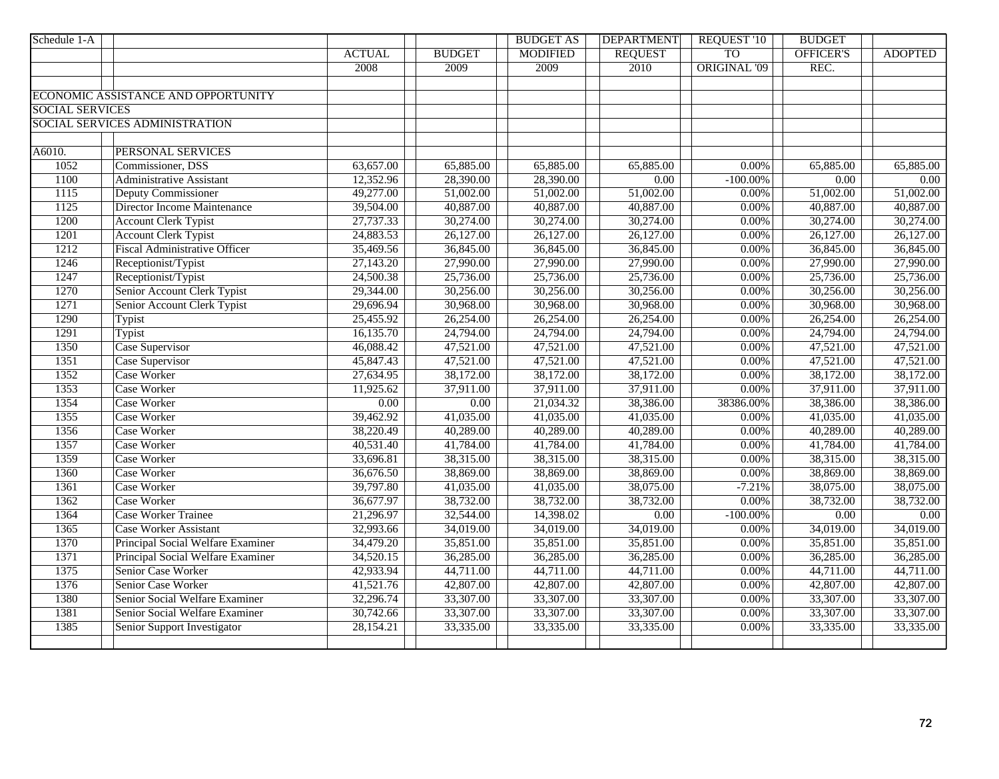| Schedule 1-A           |                                      |                   |               | <b>BUDGET AS</b> | <b>DEPARTMENT</b> | <b>REQUEST '10</b>  | <b>BUDGET</b>          |                |
|------------------------|--------------------------------------|-------------------|---------------|------------------|-------------------|---------------------|------------------------|----------------|
|                        |                                      | <b>ACTUAL</b>     | <b>BUDGET</b> | <b>MODIFIED</b>  | <b>REQUEST</b>    | <b>TO</b>           | OFFICER'S              | <b>ADOPTED</b> |
|                        |                                      | 2008              | 2009          | 2009             | 2010              | <b>ORIGINAL '09</b> | REC.                   |                |
|                        |                                      |                   |               |                  |                   |                     |                        |                |
|                        | ECONOMIC ASSISTANCE AND OPPORTUNITY  |                   |               |                  |                   |                     |                        |                |
| <b>SOCIAL SERVICES</b> |                                      |                   |               |                  |                   |                     |                        |                |
|                        | SOCIAL SERVICES ADMINISTRATION       |                   |               |                  |                   |                     |                        |                |
|                        |                                      |                   |               |                  |                   |                     |                        |                |
| A6010.                 | PERSONAL SERVICES                    |                   |               |                  |                   |                     |                        |                |
| 1052                   | Commissioner, DSS                    | 63,657.00         | 65,885.00     | 65,885.00        | 65,885.00         | 0.00%               | 65,885.00              | 65,885.00      |
| 1100                   | <b>Administrative Assistant</b>      | 12,352.96         | 28,390.00     | 28,390.00        | 0.00              | $-100.00\%$         | 0.00                   | $0.00\,$       |
| 1115                   | Deputy Commissioner                  | 49,277.00         | 51,002.00     | 51,002.00        | 51,002.00         | 0.00%               | $\overline{51,002.00}$ | 51,002.00      |
| 1125                   | Director Income Maintenance          | 39,504.00         | 40,887.00     | 40,887.00        | 40,887.00         | 0.00%               | 40,887.00              | 40,887.00      |
| 1200                   | <b>Account Clerk Typist</b>          | 27,737.33         | 30,274.00     | 30,274.00        | 30,274.00         | 0.00%               | 30,274.00              | 30,274.00      |
| 1201                   | <b>Account Clerk Typist</b>          | 24,883.53         | 26,127.00     | 26,127.00        | 26,127.00         | 0.00%               | 26,127.00              | 26,127.00      |
| 1212                   | <b>Fiscal Administrative Officer</b> | 35,469.56         | 36,845.00     | 36,845.00        | 36,845.00         | 0.00%               | 36,845.00              | 36,845.00      |
| 1246                   | Receptionist/Typist                  | 27,143.20         | 27,990.00     | 27,990.00        | 27,990.00         | 0.00%               | 27,990.00              | 27,990.00      |
| 1247                   | Receptionist/Typist                  | 24,500.38         | 25,736.00     | 25,736.00        | 25,736.00         | 0.00%               | 25,736.00              | 25,736.00      |
| 1270                   | Senior Account Clerk Typist          | 29,344.00         | 30,256.00     | 30,256.00        | 30,256.00         | $0.00\%$            | 30,256.00              | 30,256.00      |
| 1271                   | Senior Account Clerk Typist          | 29,696.94         | 30,968.00     | 30,968.00        | 30,968.00         | 0.00%               | 30,968.00              | 30,968.00      |
| 1290                   | Typist                               | 25,455.92         | 26,254.00     | 26,254.00        | 26,254.00         | $0.00\%$            | 26,254.00              | 26,254.00      |
| 1291                   | Typist                               | 16,135.70         | 24,794.00     | 24,794.00        | 24,794.00         | 0.00%               | 24,794.00              | 24,794.00      |
| 1350                   | Case Supervisor                      | 46,088.42         | 47,521.00     | 47,521.00        | 47,521.00         | 0.00%               | 47,521.00              | 47,521.00      |
| 1351                   | Case Supervisor                      | 45,847.43         | 47,521.00     | 47,521.00        | 47,521.00         | 0.00%               | 47,521.00              | 47,521.00      |
| 1352                   | <b>Case Worker</b>                   | 27,634.95         | 38,172.00     | 38,172.00        | 38,172.00         | 0.00%               | 38,172.00              | 38,172.00      |
| 1353                   | Case Worker                          | 11,925.62         | 37,911.00     | 37,911.00        | 37,911.00         | 0.00%               | 37,911.00              | 37,911.00      |
| 1354                   | <b>Case Worker</b>                   | $\overline{0.00}$ | 0.00          | 21,034.32        | 38,386.00         | 38386.00%           | 38,386.00              | 38,386.00      |
| 1355                   | <b>Case Worker</b>                   | 39,462.92         | 41,035.00     | 41,035.00        | 41,035.00         | 0.00%               | 41,035.00              | 41,035.00      |
| 1356                   | <b>Case Worker</b>                   | 38,220.49         | 40,289.00     | 40,289.00        | 40,289.00         | 0.00%               | 40,289.00              | 40,289.00      |
| 1357                   | <b>Case Worker</b>                   | 40,531.40         | 41,784.00     | 41,784.00        | 41,784.00         | $0.00\%$            | 41,784.00              | 41,784.00      |
| 1359                   | <b>Case Worker</b>                   | 33,696.81         | 38,315.00     | 38,315.00        | 38,315.00         | $0.00\%$            | 38,315.00              | 38,315.00      |
| 1360                   | <b>Case Worker</b>                   | 36,676.50         | 38,869.00     | 38,869.00        | 38,869.00         | $0.00\%$            | 38,869.00              | 38,869.00      |
| 1361                   | <b>Case Worker</b>                   | 39,797.80         | 41,035.00     | 41,035.00        | 38,075.00         | $-7.21%$            | 38,075.00              | 38,075.00      |
| 1362                   | <b>Case Worker</b>                   | 36,677.97         | 38,732.00     | 38,732.00        | 38,732.00         | 0.00%               | 38,732.00              | 38,732.00      |
| 1364                   | <b>Case Worker Trainee</b>           | 21,296.97         | 32,544.00     | 14,398.02        | $\overline{0.00}$ | $-100.00\%$         | 0.00                   | 0.00           |
| 1365                   | <b>Case Worker Assistant</b>         | 32,993.66         | 34,019.00     | 34,019.00        | 34,019.00         | 0.00%               | 34,019.00              | 34,019.00      |
| 1370                   | Principal Social Welfare Examiner    | 34,479.20         | 35,851.00     | 35,851.00        | 35,851.00         | 0.00%               | 35,851.00              | 35,851.00      |
| 1371                   | Principal Social Welfare Examiner    | 34,520.15         | 36,285.00     | 36,285.00        | 36,285.00         | 0.00%               | 36,285.00              | 36,285.00      |
| 1375                   | Senior Case Worker                   | 42,933.94         | 44,711.00     | 44,711.00        | 44,711.00         | 0.00%               | 44,711.00              | 44,711.00      |
| 1376                   | Senior Case Worker                   | 41,521.76         | 42,807.00     | 42,807.00        | 42,807.00         | $0.00\%$            | 42,807.00              | 42,807.00      |
| 1380                   | Senior Social Welfare Examiner       | 32,296.74         | 33,307.00     | 33,307.00        | 33,307.00         | $0.00\%$            | 33,307.00              | 33,307.00      |
| 1381                   | Senior Social Welfare Examiner       | 30,742.66         | 33,307.00     | 33,307.00        | 33,307.00         | 0.00%               | 33,307.00              | 33,307.00      |
| 1385                   | Senior Support Investigator          | 28,154.21         | 33,335.00     | 33,335.00        | 33,335.00         | 0.00%               | 33,335.00              | 33,335.00      |
|                        |                                      |                   |               |                  |                   |                     |                        |                |
|                        |                                      |                   |               |                  |                   |                     |                        |                |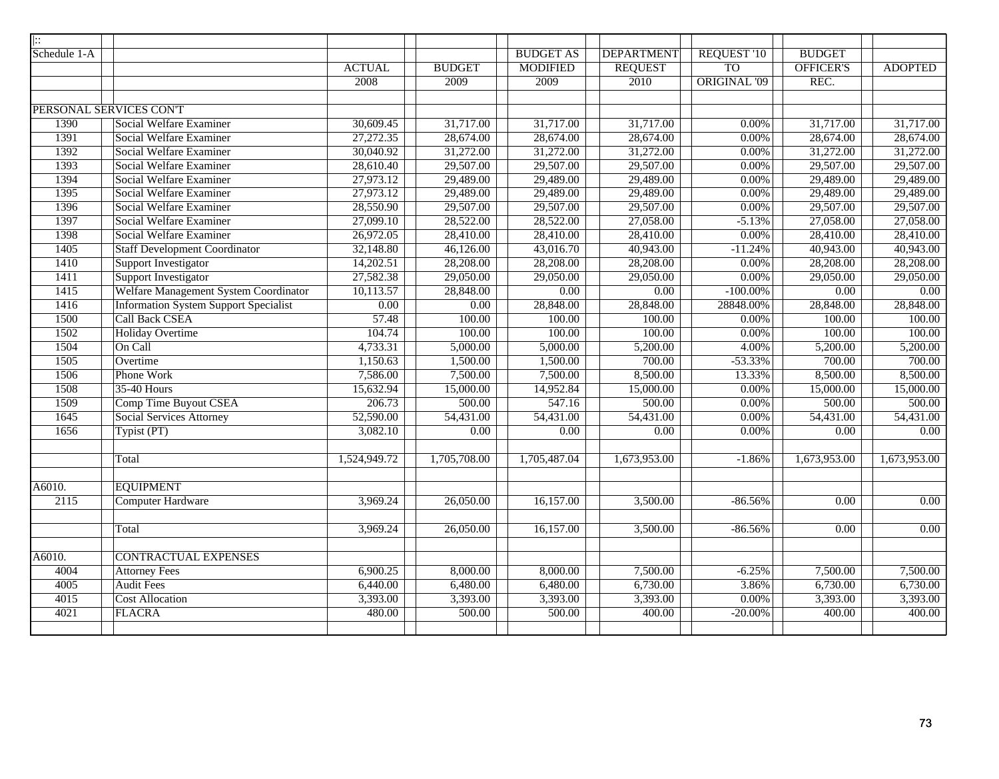| $\overline{ \colon}$    |                                              |                   |                           |                  |                   |                     |                   |                   |
|-------------------------|----------------------------------------------|-------------------|---------------------------|------------------|-------------------|---------------------|-------------------|-------------------|
| Schedule 1-A            |                                              |                   |                           | <b>BUDGET AS</b> | <b>DEPARTMENT</b> | REQUEST '10         | <b>BUDGET</b>     |                   |
|                         |                                              | <b>ACTUAL</b>     | <b>BUDGET</b>             | <b>MODIFIED</b>  | <b>REQUEST</b>    | T <sub>O</sub>      | OFFICER'S         | <b>ADOPTED</b>    |
|                         |                                              | 2008              | 2009                      | 2009             | 2010              | <b>ORIGINAL '09</b> | REC.              |                   |
|                         |                                              |                   |                           |                  |                   |                     |                   |                   |
| PERSONAL SERVICES CON'T |                                              |                   |                           |                  |                   |                     |                   |                   |
| 1390                    | Social Welfare Examiner                      | 30,609.45         | 31,717.00                 | 31,717.00        | 31,717.00         | 0.00%               | 31,717.00         | 31,717.00         |
| 1391                    | Social Welfare Examiner                      | 27,272.35         | 28,674.00                 | 28,674.00        | 28,674.00         | $0.00\%$            | 28,674.00         | 28,674.00         |
| 1392                    | Social Welfare Examiner                      | 30,040.92         | 31,272.00                 | 31,272.00        | 31,272.00         | $0.00\%$            | 31,272.00         | 31,272.00         |
| 1393                    | Social Welfare Examiner                      | 28,610.40         | 29,507.00                 | 29,507.00        | 29,507.00         | $0.00\%$            | 29,507.00         | 29,507.00         |
| 1394                    | Social Welfare Examiner                      | 27,973.12         | 29,489.00                 | 29,489.00        | 29,489.00         | $0.00\%$            | 29,489.00         | 29,489.00         |
| 1395                    | Social Welfare Examiner                      | 27,973.12         | 29,489.00                 | 29,489.00        | 29,489.00         | $0.00\%$            | 29,489.00         | 29,489.00         |
| 1396                    | Social Welfare Examiner                      | 28,550.90         | 29,507.00                 | 29,507.00        | 29,507.00         | $0.00\%$            | 29,507.00         | 29,507.00         |
| 1397                    | Social Welfare Examiner                      | 27,099.10         | 28,522.00                 | 28,522.00        | 27,058.00         | $-5.13%$            | 27,058.00         | 27,058.00         |
| 1398                    | Social Welfare Examiner                      | 26,972.05         | 28,410.00                 | 28,410.00        | 28,410.00         | 0.00%               | 28,410.00         | 28,410.00         |
| 1405                    | <b>Staff Development Coordinator</b>         | 32,148.80         | 46,126.00                 | 43,016.70        | 40,943.00         | $-11.24%$           | 40,943.00         | 40,943.00         |
| 1410                    | Support Investigator                         | 14,202.51         | 28,208.00                 | 28,208.00        | 28,208.00         | $0.00\%$            | 28,208.00         | 28,208.00         |
| 1411                    | <b>Support Investigator</b>                  | 27,582.38         | 29,050.00                 | 29,050.00        | 29,050.00         | $0.00\%$            | 29,050.00         | 29,050.00         |
| 1415                    | Welfare Management System Coordinator        | 10,113.57         | 28,848.00                 | 0.00             | $\overline{0.00}$ | $-100.00\%$         | $\overline{0.00}$ | $\overline{0.00}$ |
| 1416                    | <b>Information System Support Specialist</b> | $\overline{0.00}$ | 0.00                      | 28,848.00        | 28,848.00         | 28848.00%           | 28,848.00         | 28,848.00         |
| 1500                    | <b>Call Back CSEA</b>                        | 57.48             | 100.00                    | 100.00           | 100.00            | 0.00%               | 100.00            | 100.00            |
| 1502                    | <b>Holiday Overtime</b>                      | 104.74            | 100.00                    | 100.00           | 100.00            | $0.00\%$            | 100.00            | 100.00            |
| 1504                    | On Call                                      | 4,733.31          | 5,000.00                  | 5,000.00         | 5,200.00          | 4.00%               | 5,200.00          | 5,200.00          |
| 1505                    | Overtime                                     | 1,150.63          | 1,500.00                  | 1,500.00         | 700.00            | $-53.33%$           | 700.00            | 700.00            |
| 1506                    | Phone Work                                   | 7,586.00          | 7,500.00                  | 7,500.00         | 8,500.00          | 13.33%              | 8,500.00          | 8,500.00          |
| 1508                    | 35-40 Hours                                  | 15,632.94         | 15,000.00                 | 14,952.84        | 15,000.00         | $0.00\%$            | 15,000.00         | 15,000.00         |
| 1509                    | <b>Comp Time Buyout CSEA</b>                 | 206.73            | 500.00                    | 547.16           | 500.00            | $0.00\%$            | 500.00            | 500.00            |
| 1645                    | Social Services Attorney                     | 52,590.00         | 54,431.00                 | 54,431.00        | 54,431.00         | $0.00\%$            | 54,431.00         | 54,431.00         |
| 1656                    | Typist (PT)                                  | 3,082.10          | $\overline{0.00}$         | 0.00             | 0.00              | $0.00\%$            | 0.00              | $\overline{0.00}$ |
|                         |                                              |                   |                           |                  |                   |                     |                   |                   |
|                         | Total                                        | 1,524,949.72      | $\overline{1,705,708.00}$ | 1,705,487.04     | 1,673,953.00      | $-1.86%$            | 1,673,953.00      | 1,673,953.00      |
|                         |                                              |                   |                           |                  |                   |                     |                   |                   |
| A6010.                  | <b>EQUIPMENT</b>                             |                   |                           |                  |                   |                     |                   |                   |
| $\overline{2115}$       | <b>Computer Hardware</b>                     | 3,969.24          | 26,050.00                 | 16,157.00        | 3,500.00          | $-86.56%$           | 0.00              | 0.00              |
|                         |                                              |                   |                           |                  |                   |                     |                   |                   |
|                         | Total                                        | 3,969.24          | 26,050.00                 | 16,157.00        | 3,500.00          | $-86.56%$           | 0.00              | 0.00              |
|                         |                                              |                   |                           |                  |                   |                     |                   |                   |
| A6010.                  | <b>CONTRACTUAL EXPENSES</b>                  |                   |                           |                  |                   |                     |                   |                   |
| 4004                    | <b>Attorney Fees</b>                         | 6,900.25          | 8,000.00                  | 8,000.00         | 7,500.00          | $-6.25%$            | 7,500.00          | 7,500.00          |
| 4005                    | <b>Audit Fees</b>                            | 6,440.00          | 6,480.00                  | 6,480.00         | 6,730.00          | 3.86%               | 6,730.00          | 6,730.00          |
| 4015                    | <b>Cost Allocation</b>                       | 3,393.00          | 3,393.00                  | 3,393.00         | 3,393.00          | $0.00\%$            | 3,393.00          | 3,393.00          |
| 4021                    | <b>FLACRA</b>                                | 480.00            | 500.00                    | 500.00           | 400.00            | $-20.00\%$          | 400.00            | 400.00            |
|                         |                                              |                   |                           |                  |                   |                     |                   |                   |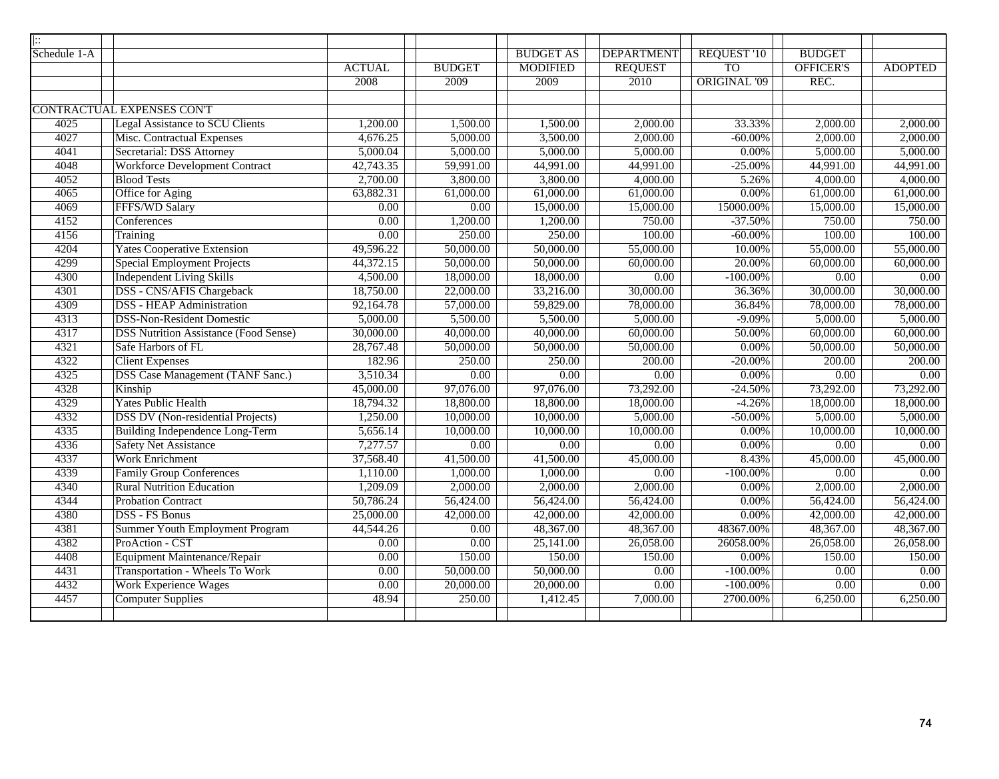| Schedule 1-A<br><b>BUDGET AS</b><br><b>DEPARTMENT</b><br>REQUEST '10<br><b>BUDGET</b><br><b>TO</b><br><b>MODIFIED</b><br><b>REQUEST</b><br><b>OFFICER'S</b><br><b>ACTUAL</b><br><b>BUDGET</b><br>2008<br>2009<br>2009<br>2010<br><b>ORIGINAL '09</b><br>REC.<br>CONTRACTUAL EXPENSES CON'T<br>4025<br><b>Legal Assistance to SCU Clients</b><br>1,200.00<br>1,500.00<br>2,000.00<br>33.33%<br>1,500.00<br>2,000.00<br>4027<br>Misc. Contractual Expenses<br>5,000.00<br>3,500.00<br>2,000.00<br>4,676.25<br>$-60.00\%$<br>2,000.00 | <b>ADOPTED</b><br>2,000.00<br>2,000.00<br>5,000.00<br>44,991.00<br>4,000.00<br>61,000.00<br>15,000.00<br>750.00 |
|------------------------------------------------------------------------------------------------------------------------------------------------------------------------------------------------------------------------------------------------------------------------------------------------------------------------------------------------------------------------------------------------------------------------------------------------------------------------------------------------------------------------------------|-----------------------------------------------------------------------------------------------------------------|
|                                                                                                                                                                                                                                                                                                                                                                                                                                                                                                                                    |                                                                                                                 |
|                                                                                                                                                                                                                                                                                                                                                                                                                                                                                                                                    |                                                                                                                 |
|                                                                                                                                                                                                                                                                                                                                                                                                                                                                                                                                    |                                                                                                                 |
|                                                                                                                                                                                                                                                                                                                                                                                                                                                                                                                                    |                                                                                                                 |
|                                                                                                                                                                                                                                                                                                                                                                                                                                                                                                                                    |                                                                                                                 |
|                                                                                                                                                                                                                                                                                                                                                                                                                                                                                                                                    |                                                                                                                 |
|                                                                                                                                                                                                                                                                                                                                                                                                                                                                                                                                    |                                                                                                                 |
| 4041<br>Secretarial: DSS Attorney<br>5,000.04<br>5,000.00<br>5,000.00<br>5,000.00<br>$0.00\%$<br>5,000.00                                                                                                                                                                                                                                                                                                                                                                                                                          |                                                                                                                 |
| <b>Workforce Development Contract</b><br>4048<br>42,743.35<br>59,991.00<br>44,991.00<br>$-25.00\%$<br>44,991.00<br>44,991.00                                                                                                                                                                                                                                                                                                                                                                                                       |                                                                                                                 |
| 4052<br>2,700.00<br>4,000.00<br><b>Blood Tests</b><br>3,800.00<br>3,800.00<br>4,000.00<br>5.26%                                                                                                                                                                                                                                                                                                                                                                                                                                    |                                                                                                                 |
| Office for Aging<br>4065<br>63,882.31<br>61,000.00<br>61,000.00<br>61,000.00<br>$0.00\%$<br>61,000.00                                                                                                                                                                                                                                                                                                                                                                                                                              |                                                                                                                 |
| FFFS/WD Salary<br>4069<br>15,000.00<br>15,000.00<br>0.00<br>0.00<br>15000.00%<br>15,000.00                                                                                                                                                                                                                                                                                                                                                                                                                                         |                                                                                                                 |
| 4152<br>Conferences<br>0.00<br>1,200.00<br>1,200.00<br>750.00<br>$-37.50%$<br>750.00                                                                                                                                                                                                                                                                                                                                                                                                                                               |                                                                                                                 |
| 4156<br>0.00<br>250.00<br>250.00<br>100.00<br>100.00<br>$-60.00\%$<br>Training                                                                                                                                                                                                                                                                                                                                                                                                                                                     | 100.00                                                                                                          |
| 4204<br><b>Yates Cooperative Extension</b><br>50,000.00<br>50,000.00<br>55,000.00<br>10.00%<br>55,000.00<br>49,596.22                                                                                                                                                                                                                                                                                                                                                                                                              | 55,000.00                                                                                                       |
| 4299<br><b>Special Employment Projects</b><br>50,000.00<br>60,000.00<br>20.00%<br>44,372.15<br>50,000.00<br>60,000.00                                                                                                                                                                                                                                                                                                                                                                                                              | 60,000.00                                                                                                       |
| <b>Independent Living Skills</b><br>4300<br>4,500.00<br>18,000.00<br>0.00<br>18,000.00<br>$\overline{0.00}$<br>$-100.00\%$                                                                                                                                                                                                                                                                                                                                                                                                         | 0.00                                                                                                            |
| DSS - CNS/AFIS Chargeback<br>18,750.00<br>22,000.00<br>30,000.00<br>4301<br>33,216.00<br>36.36%<br>30,000.00                                                                                                                                                                                                                                                                                                                                                                                                                       | 30,000.00                                                                                                       |
| <b>DSS</b> - HEAP Administration<br>4309<br>92,164.78<br>57,000.00<br>59,829.00<br>78,000.00<br>36.84%<br>78,000.00                                                                                                                                                                                                                                                                                                                                                                                                                | 78,000.00                                                                                                       |
| 4313<br><b>DSS-Non-Resident Domestic</b><br>5,000.00<br>5,500.00<br>5,500.00<br>5,000.00<br>$-9.09%$<br>5,000.00                                                                                                                                                                                                                                                                                                                                                                                                                   | 5,000.00                                                                                                        |
| 4317<br><b>DSS Nutrition Assistance (Food Sense)</b><br>40,000.00<br>30,000.00<br>40,000.00<br>60,000.00<br>50.00%<br>60,000.00                                                                                                                                                                                                                                                                                                                                                                                                    | 60,000.00                                                                                                       |
| 4321<br>Safe Harbors of FL<br>28,767.48<br>50,000.00<br>50,000.00<br>50,000.00<br>$0.00\%$<br>50,000.00                                                                                                                                                                                                                                                                                                                                                                                                                            | 50,000.00                                                                                                       |
| 4322<br><b>Client Expenses</b><br>182.96<br>250.00<br>250.00<br>$-20.00\%$<br>200.00<br>200.00                                                                                                                                                                                                                                                                                                                                                                                                                                     | 200.00                                                                                                          |
| <b>DSS Case Management (TANF Sanc.)</b><br>4325<br>3,510.34<br>0.00<br>0.00<br>0.00%<br>0.00<br>0.00                                                                                                                                                                                                                                                                                                                                                                                                                               | 0.00                                                                                                            |
| 4328<br>Kinship<br>45,000.00<br>97,076.00<br>97,076.00<br>73,292.00<br>73,292.00<br>$-24.50%$                                                                                                                                                                                                                                                                                                                                                                                                                                      | 73,292.00                                                                                                       |
| <b>Yates Public Health</b><br>4329<br>18,794.32<br>$-4.26%$<br>18,000.00<br>18,800.00<br>18,800.00<br>18,000.00                                                                                                                                                                                                                                                                                                                                                                                                                    | 18,000.00                                                                                                       |
| 1,250.00<br>10,000.00<br>10,000.00<br>5,000.00<br>5,000.00<br>4332<br><b>DSS DV</b> (Non-residential Projects)<br>$-50.00\%$                                                                                                                                                                                                                                                                                                                                                                                                       | 5,000.00                                                                                                        |
| 4335<br>Building Independence Long-Term<br>5,656.14<br>10,000.00<br>10,000.00<br>10,000.00<br>0.00%<br>10,000.00                                                                                                                                                                                                                                                                                                                                                                                                                   | 10,000.00                                                                                                       |
| 4336<br><b>Safety Net Assistance</b><br>7,277.57<br>0.00<br>0.00<br>0.00<br>0.00%<br>0.00                                                                                                                                                                                                                                                                                                                                                                                                                                          | 0.00                                                                                                            |
| 4337<br><b>Work Enrichment</b><br>37,568.40<br>41,500.00<br>41,500.00<br>8.43%<br>45,000.00<br>45,000.00                                                                                                                                                                                                                                                                                                                                                                                                                           | 45,000.00                                                                                                       |
| 4339<br>1,000.00<br>$-100.00\%$<br><b>Family Group Conferences</b><br>1,110.00<br>1,000.00<br>0.00<br>0.00                                                                                                                                                                                                                                                                                                                                                                                                                         | 0.00                                                                                                            |
| 4340<br><b>Rural Nutrition Education</b><br>1,209.09<br>2,000.00<br>2,000.00<br>2,000.00<br>$0.00\%$<br>2,000.00                                                                                                                                                                                                                                                                                                                                                                                                                   | 2,000.00                                                                                                        |
| 4344<br>56,424.00<br><b>Probation Contract</b><br>50,786.24<br>56,424.00<br>56,424.00<br>$0.00\%$<br>56,424.00                                                                                                                                                                                                                                                                                                                                                                                                                     | 56,424.00                                                                                                       |
| 4380<br><b>DSS - FS Bonus</b><br>25,000.00<br>42,000.00<br>42,000.00<br>42,000.00<br>$0.00\%$<br>42,000.00                                                                                                                                                                                                                                                                                                                                                                                                                         | 42,000.00                                                                                                       |
| <b>Summer Youth Employment Program</b><br>4381<br>44,544.26<br>0.00<br>48,367.00<br>48,367.00<br>48367.00%<br>48,367.00                                                                                                                                                                                                                                                                                                                                                                                                            | 48,367.00                                                                                                       |
| ProAction - CST<br>4382<br>0.00<br>25,141.00<br>26,058.00<br>26,058.00<br>0.00<br>26058.00%                                                                                                                                                                                                                                                                                                                                                                                                                                        | 26,058.00                                                                                                       |
| Equipment Maintenance/Repair<br>4408<br>0.00<br>150.00<br>150.00<br>150.00<br>$0.00\%$<br>150.00                                                                                                                                                                                                                                                                                                                                                                                                                                   | 150.00                                                                                                          |
| Transportation - Wheels To Work<br>50,000.00<br>4431<br>0.00<br>50,000.00<br>0.00<br>$-100.00\%$<br>0.00                                                                                                                                                                                                                                                                                                                                                                                                                           | 0.00                                                                                                            |
| <b>Work Experience Wages</b><br>4432<br>0.00<br>20,000.00<br>0.00<br>0.00<br>20,000.00<br>$-100.00\%$                                                                                                                                                                                                                                                                                                                                                                                                                              | 0.00                                                                                                            |
| 4457<br><b>Computer Supplies</b><br>48.94<br>250.00<br>1,412.45<br>7,000.00<br>2700.00%<br>6,250.00                                                                                                                                                                                                                                                                                                                                                                                                                                | 6,250.00                                                                                                        |
|                                                                                                                                                                                                                                                                                                                                                                                                                                                                                                                                    |                                                                                                                 |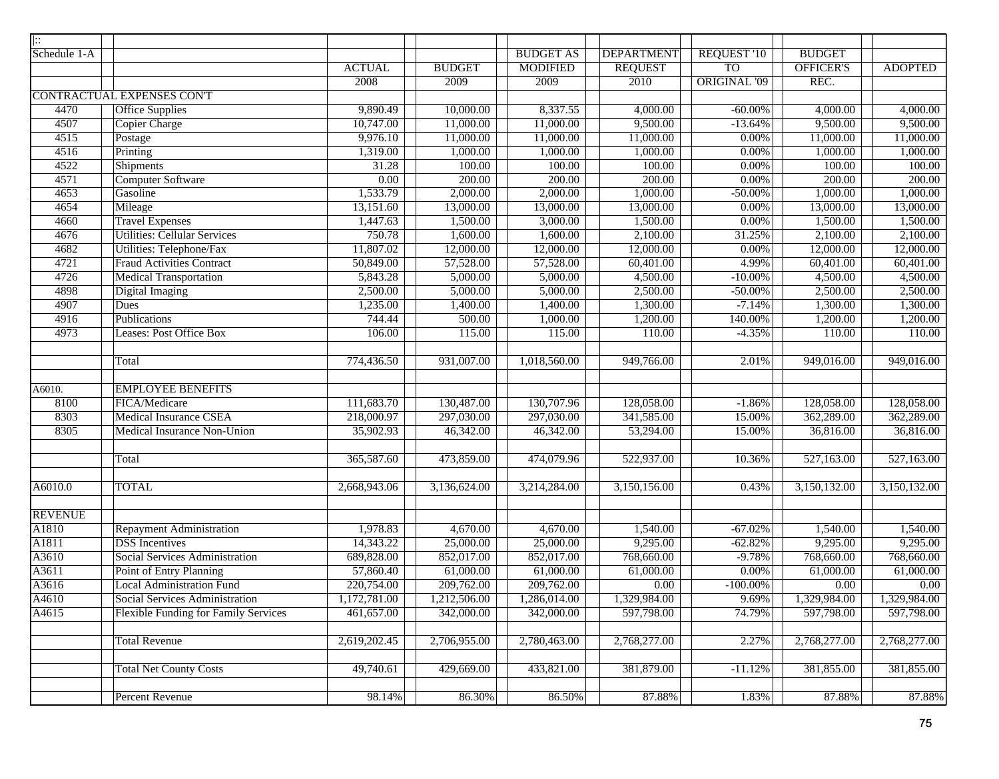| $\vert \vdots$ |                                             |               |               |                  |                       |                     |                         |                |
|----------------|---------------------------------------------|---------------|---------------|------------------|-----------------------|---------------------|-------------------------|----------------|
| Schedule 1-A   |                                             |               |               | <b>BUDGET AS</b> | <b>DEPARTMENT</b>     | <b>REQUEST '10</b>  | <b>BUDGET</b>           |                |
|                |                                             | <b>ACTUAL</b> | <b>BUDGET</b> | <b>MODIFIED</b>  | <b>REQUEST</b>        | <b>TO</b>           | <b>OFFICER'S</b>        | <b>ADOPTED</b> |
|                |                                             | 2008          | 2009          | 2009             | 2010                  | <b>ORIGINAL '09</b> | REC.                    |                |
|                | <b>CONTRACTUAL EXPENSES CONT</b>            |               |               |                  |                       |                     |                         |                |
| 4470           | <b>Office Supplies</b>                      | 9,890.49      | 10,000.00     | 8,337.55         | $\overline{4,000.00}$ | $-60.00\%$          | 4,000.00                | 4,000.00       |
| 4507           | Copier Charge                               | 10,747.00     | 11,000.00     | 11,000.00        | 9,500.00              | $-13.64%$           | 9,500.00                | 9,500.00       |
| 4515           | Postage                                     | 9,976.10      | 11,000.00     | 11,000.00        | 11,000.00             | $0.00\%$            | 11,000.00               | 11,000.00      |
| 4516           | Printing                                    | 1,319.00      | 1,000.00      | 1,000.00         | 1,000.00              | $0.00\%$            | 1,000.00                | 1,000.00       |
| 4522           | <b>Shipments</b>                            | 31.28         | 100.00        | 100.00           | 100.00                | $0.00\%$            | 100.00                  | 100.00         |
| 4571           | <b>Computer Software</b>                    | 0.00          | 200.00        | 200.00           | 200.00                | $0.00\%$            | 200.00                  | 200.00         |
| 4653           | Gasoline                                    | 1,533.79      | 2,000.00      | 2,000.00         | 1,000.00              | $-50.00\%$          | 1,000.00                | 1,000.00       |
| 4654           | Mileage                                     | 13,151.60     | 13,000.00     | 13,000.00        | 13,000.00             | $0.00\%$            | 13,000.00               | 13,000.00      |
| 4660           | <b>Travel Expenses</b>                      | 1,447.63      | 1,500.00      | 3,000.00         | 1,500.00              | $0.00\%$            | 1,500.00                | 1,500.00       |
| 4676           | <b>Utilities: Cellular Services</b>         | 750.78        | 1,600.00      | 1,600.00         | 2,100.00              | 31.25%              | 2,100.00                | 2,100.00       |
| 4682           | Utilities: Telephone/Fax                    | 11,807.02     | 12,000.00     | 12,000.00        | 12,000.00             | $0.00\%$            | 12,000.00               | 12,000.00      |
| 4721           | <b>Fraud Activities Contract</b>            | 50,849.00     | 57,528.00     | 57,528.00        | 60,401.00             | 4.99%               | 60,401.00               | 60,401.00      |
| 4726           | <b>Medical Transportation</b>               | 5,843.28      | 5,000.00      | 5,000.00         | 4,500.00              | $-10.00\%$          | 4,500.00                | 4,500.00       |
| 4898           | <b>Digital Imaging</b>                      | 2,500.00      | 5,000.00      | 5,000.00         | 2,500.00              | $-50.00\%$          | 2,500.00                | 2,500.00       |
| 4907           | Dues                                        | 1,235.00      | 1,400.00      | 1,400.00         | 1,300.00              | $-7.14%$            | 1,300.00                | 1,300.00       |
| 4916           | Publications                                | 744.44        | 500.00        | 1,000.00         | 1,200.00              | 140.00%             | 1,200.00                | 1,200.00       |
| 4973           | <b>Leases: Post Office Box</b>              | 106.00        | 115.00        | 115.00           | 110.00                | $-4.35%$            | 110.00                  | 110.00         |
|                |                                             |               |               |                  |                       |                     |                         |                |
|                | Total                                       | 774,436.50    | 931,007.00    | 1,018,560.00     | 949,766.00            | 2.01%               | $\overline{949,0}16.00$ | 949,016.00     |
|                |                                             |               |               |                  |                       |                     |                         |                |
| A6010.         | <b>EMPLOYEE BENEFITS</b>                    |               |               |                  |                       |                     |                         |                |
| 8100           | FICA/Medicare                               | 111,683.70    | 130,487.00    | 130,707.96       | 128,058.00            | $-1.86%$            | 128,058.00              | 128,058.00     |
| 8303           | <b>Medical Insurance CSEA</b>               | 218,000.97    | 297,030.00    | 297,030.00       | 341,585.00            | 15.00%              | 362,289.00              | 362,289.00     |
| 8305           | Medical Insurance Non-Union                 | 35,902.93     | 46,342.00     | 46,342.00        | 53,294.00             | 15.00%              | 36,816.00               | 36,816.00      |
|                |                                             |               |               |                  |                       |                     |                         |                |
|                | Total                                       | 365,587.60    | 473,859.00    | 474,079.96       | 522,937.00            | 10.36%              | 527,163.00              | 527,163.00     |
|                |                                             |               |               |                  |                       |                     |                         |                |
| A6010.0        | <b>TOTAL</b>                                | 2,668,943.06  | 3,136,624.00  | 3,214,284.00     | 3,150,156.00          | 0.43%               | 3,150,132.00            | 3,150,132.00   |
|                |                                             |               |               |                  |                       |                     |                         |                |
| <b>REVENUE</b> |                                             |               |               |                  |                       |                     |                         |                |
| A1810          | <b>Repayment Administration</b>             | 1,978.83      | 4,670.00      | 4,670.00         | 1,540.00              | $-67.02\%$          | 1,540.00                | 1,540.00       |
| A1811          | <b>DSS</b> Incentives                       | 14,343.22     | 25,000.00     | 25,000.00        | 9,295.00              | $-62.82%$           | 9,295.00                | 9,295.00       |
| A3610          | Social Services Administration              | 689,828.00    | 852,017.00    | 852,017.00       | 768,660.00            | $-9.78%$            | 768,660.00              | 768,660.00     |
| A3611          | Point of Entry Planning                     | 57,860.40     | 61,000.00     | 61,000.00        | 61,000.00             | $0.00\%$            | 61,000.00               | 61,000.00      |
| A3616          | <b>Local Administration Fund</b>            | 220,754.00    | 209,762.00    | 209,762.00       | 0.00                  | $-100.00\%$         | $0.00\,$                | $0.00\,$       |
| A4610          | Social Services Administration              | 1,172,781.00  | 1,212,506.00  | ,286,014.00      | 1,329,984.00          | 9.69%               | 1,329,984.00            | 1,329,984.00   |
| A4615          | <b>Flexible Funding for Family Services</b> | 461,657.00    | 342,000.00    | 342,000.00       | 597,798.00            | 74.79%              | 597,798.00              | 597,798.00     |
|                |                                             |               |               |                  |                       |                     |                         |                |
|                | <b>Total Revenue</b>                        | 2,619,202.45  | 2,706,955.00  | 2,780,463.00     | 2,768,277.00          | 2.27%               | 2,768,277.00            | 2,768,277.00   |
|                |                                             |               |               |                  |                       |                     |                         |                |
|                | <b>Total Net County Costs</b>               | 49,740.61     | 429,669.00    | 433,821.00       | 381,879.00            | $-11.12%$           | 381,855.00              | 381,855.00     |
|                |                                             |               |               |                  |                       |                     |                         |                |
|                | Percent Revenue                             | 98.14%        | 86.30%        | 86.50%           | 87.88%                | 1.83%               | 87.88%                  | 87.88%         |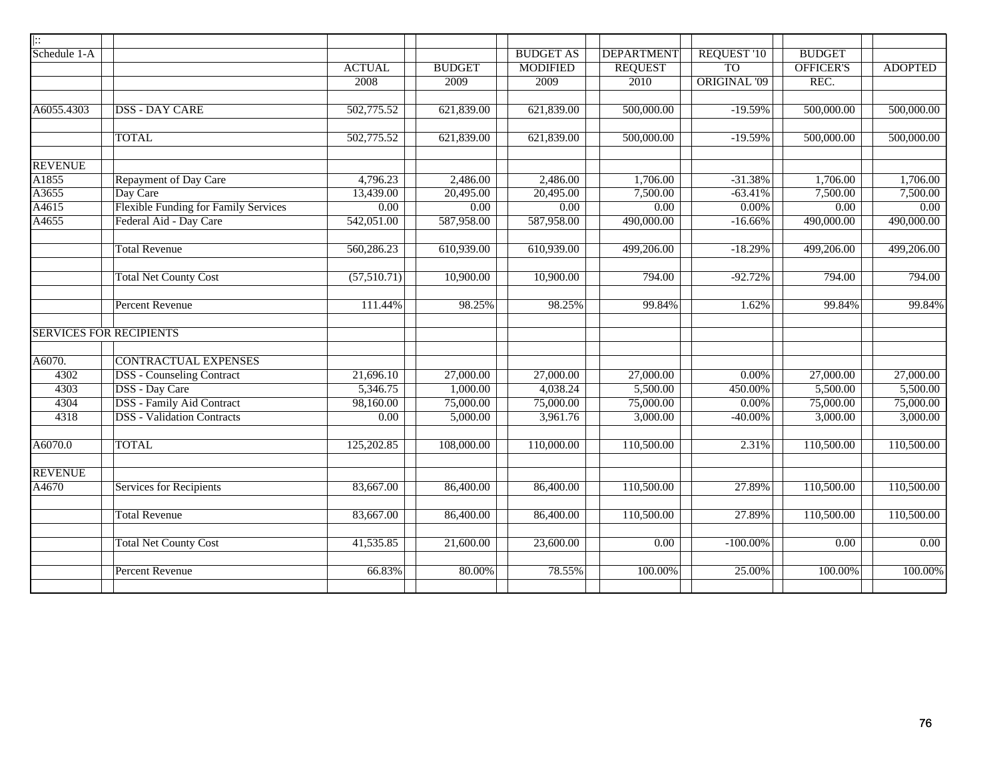| ::             |                                             |               |                        |                  |                   |                     |                   |                |
|----------------|---------------------------------------------|---------------|------------------------|------------------|-------------------|---------------------|-------------------|----------------|
| Schedule 1-A   |                                             |               |                        | <b>BUDGET AS</b> | <b>DEPARTMENT</b> | REQUEST '10         | <b>BUDGET</b>     |                |
|                |                                             | <b>ACTUAL</b> | <b>BUDGET</b>          | <b>MODIFIED</b>  | <b>REQUEST</b>    | T <sub>O</sub>      | <b>OFFICER'S</b>  | <b>ADOPTED</b> |
|                |                                             | 2008          | 2009                   | 2009             | 2010              | <b>ORIGINAL '09</b> | REC.              |                |
|                |                                             |               |                        |                  |                   |                     |                   |                |
| A6055.4303     | <b>DSS - DAY CARE</b>                       | 502,775.52    | 621,839.00             | 621,839.00       | 500,000.00        | $-19.59%$           | 500,000.00        | 500,000.00     |
|                | <b>TOTAL</b>                                | 502,775.52    | 621,839.00             | 621,839.00       | 500,000.00        | $-19.59%$           | 500,000.00        | 500,000.00     |
| <b>REVENUE</b> |                                             |               |                        |                  |                   |                     |                   |                |
| A1855          | Repayment of Day Care                       | 4,796.23      | 2,486.00               | 2,486.00         | 1,706.00          | $-31.38%$           | 1,706.00          | 1,706.00       |
| A3655          | Day Care                                    | 13,439.00     | 20,495.00              | 20,495.00        | 7,500.00          | $-63.41%$           | 7,500.00          | 7,500.00       |
| A4615          | <b>Flexible Funding for Family Services</b> | 0.00          | 0.00                   | 0.00             | 0.00              | $0.00\%$            | 0.00              | 0.00           |
| A4655          | Federal Aid - Day Care                      | 542,051.00    | 587,958.00             | 587,958.00       | 490,000.00        | $-16.66%$           | 490,000.00        | 490,000.00     |
|                | <b>Total Revenue</b>                        | 560,286.23    | 610,939.00             | 610,939.00       | 499,206.00        | $-18.29%$           | 499,206.00        | 499,206.00     |
|                | <b>Total Net County Cost</b>                | (57,510.71)   | $\overline{10,900.00}$ | 10,900.00        | 794.00            | $-92.72%$           | 794.00            | 794.00         |
|                | Percent Revenue                             | 111.44%       | 98.25%                 | 98.25%           | 99.84%            | 1.62%               | 99.84%            | 99.84%         |
|                | <b>SERVICES FOR RECIPIENTS</b>              |               |                        |                  |                   |                     |                   |                |
| A6070.         | <b>CONTRACTUAL EXPENSES</b>                 |               |                        |                  |                   |                     |                   |                |
| 4302           | <b>DSS</b> - Counseling Contract            | 21,696.10     | 27,000.00              | 27,000.00        | 27,000.00         | $0.00\%$            | 27,000.00         | 27,000.00      |
| 4303           | DSS - Day Care                              | 5,346.75      | 1,000.00               | 4,038.24         | 5,500.00          | 450.00%             | 5,500.00          | 5,500.00       |
| 4304           | <b>DSS</b> - Family Aid Contract            | 98,160.00     | 75,000.00              | 75,000.00        | 75,000.00         | $0.00\%$            | 75,000.00         | 75,000.00      |
| 4318           | <b>DSS</b> - Validation Contracts           | 0.00          | 5,000.00               | 3,961.76         | 3,000.00          | $-40.00\%$          | 3,000.00          | 3,000.00       |
| A6070.0        | <b>TOTAL</b>                                | 125,202.85    | 108,000.00             | 110,000.00       | 110,500.00        | 2.31%               | 110,500.00        | 110,500.00     |
| <b>REVENUE</b> |                                             |               |                        |                  |                   |                     |                   |                |
| A4670          | <b>Services for Recipients</b>              | 83,667.00     | 86,400.00              | 86,400.00        | 110,500.00        | 27.89%              | 110,500.00        | 110,500.00     |
|                | <b>Total Revenue</b>                        | 83,667.00     | 86,400.00              | 86,400.00        | 110,500.00        | 27.89%              | 110,500.00        | 110,500.00     |
|                | <b>Total Net County Cost</b>                | 41,535.85     | 21,600.00              | 23,600.00        | 0.00              | $-100.00\%$         | $\overline{0.00}$ | 0.00           |
|                | <b>Percent Revenue</b>                      | 66.83%        | 80.00%                 | 78.55%           | 100.00%           | 25.00%              | 100.00%           | 100.00%        |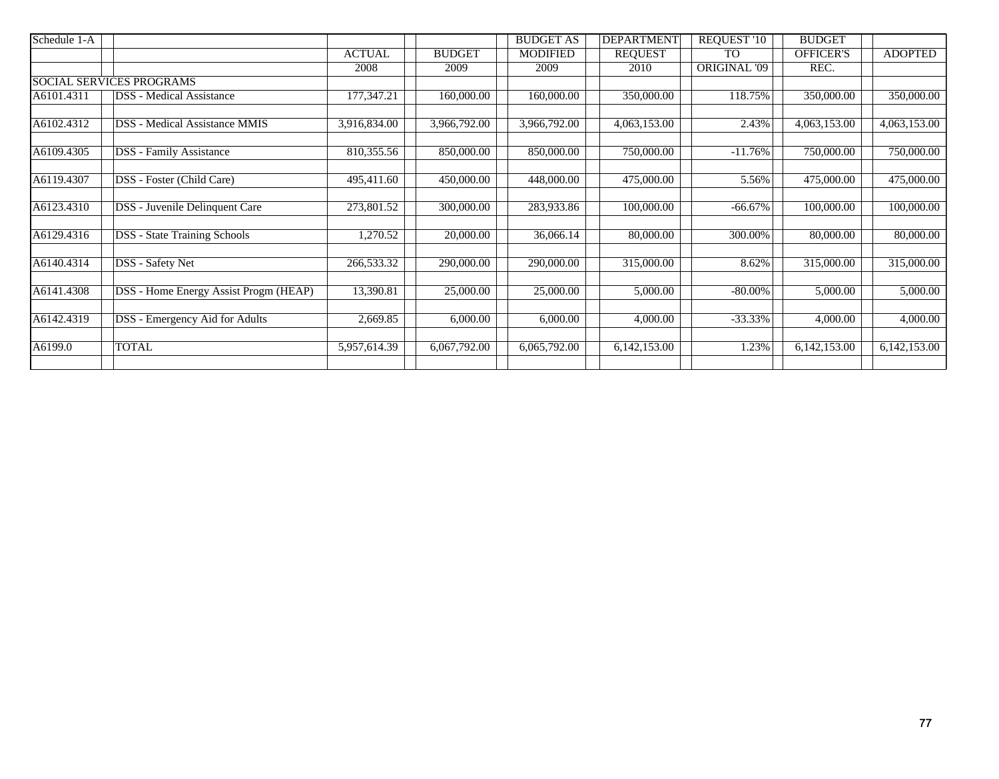| Schedule 1-A |                                       |               |               | <b>BUDGET AS</b> | <b>DEPARTMENT</b> | REQUEST '10         | <b>BUDGET</b>    |                |
|--------------|---------------------------------------|---------------|---------------|------------------|-------------------|---------------------|------------------|----------------|
|              |                                       | <b>ACTUAL</b> | <b>BUDGET</b> | <b>MODIFIED</b>  | <b>REQUEST</b>    | <b>TO</b>           | <b>OFFICER'S</b> | <b>ADOPTED</b> |
|              |                                       | 2008          | 2009          | 2009             | 2010              | <b>ORIGINAL '09</b> | REC.             |                |
|              | <b>SOCIAL SERVICES PROGRAMS</b>       |               |               |                  |                   |                     |                  |                |
| A6101.4311   | <b>DSS</b> - Medical Assistance       | 177,347.21    | 160,000.00    | 160,000.00       | 350,000.00        | 118.75%             | 350,000.00       | 350,000.00     |
| A6102.4312   | <b>DSS</b> - Medical Assistance MMIS  | 3,916,834.00  | 3,966,792.00  | 3,966,792.00     | 4,063,153.00      | 2.43%               | 4,063,153.00     | 4,063,153.00   |
| A6109.4305   | <b>DSS</b> - Family Assistance        | 810,355.56    | 850,000.00    | 850,000.00       | 750,000.00        | $-11.76%$           | 750,000.00       | 750,000.00     |
| A6119.4307   | DSS - Foster (Child Care)             | 495,411.60    | 450,000.00    | 448,000.00       | 475,000.00        | 5.56%               | 475,000.00       | 475,000.00     |
| A6123.4310   | DSS - Juvenile Delinquent Care        | 273,801.52    | 300,000.00    | 283,933.86       | 100,000.00        | $-66.67\%$          | 100,000.00       | 100,000.00     |
| A6129.4316   | <b>DSS</b> - State Training Schools   | 1,270.52      | 20,000.00     | 36,066.14        | 80,000.00         | 300.00%             | 80,000.00        | 80,000.00      |
| A6140.4314   | DSS - Safety Net                      | 266,533.32    | 290,000.00    | 290,000.00       | 315,000.00        | 8.62%               | 315,000.00       | 315,000.00     |
| A6141.4308   | DSS - Home Energy Assist Progm (HEAP) | 13,390.81     | 25,000.00     | 25,000.00        | 5,000.00          | $-80.00\%$          | 5,000.00         | 5,000.00       |
| A6142.4319   | DSS - Emergency Aid for Adults        | 2,669.85      | 6,000.00      | 6,000.00         | 4,000.00          | $-33.33%$           | 4,000.00         | 4,000.00       |
| A6199.0      | <b>TOTAL</b>                          | 5,957,614.39  | 6,067,792.00  | 6,065,792.00     | 6,142,153.00      | 1.23%               | 6,142,153.00     | 6,142,153.00   |
|              |                                       |               |               |                  |                   |                     |                  |                |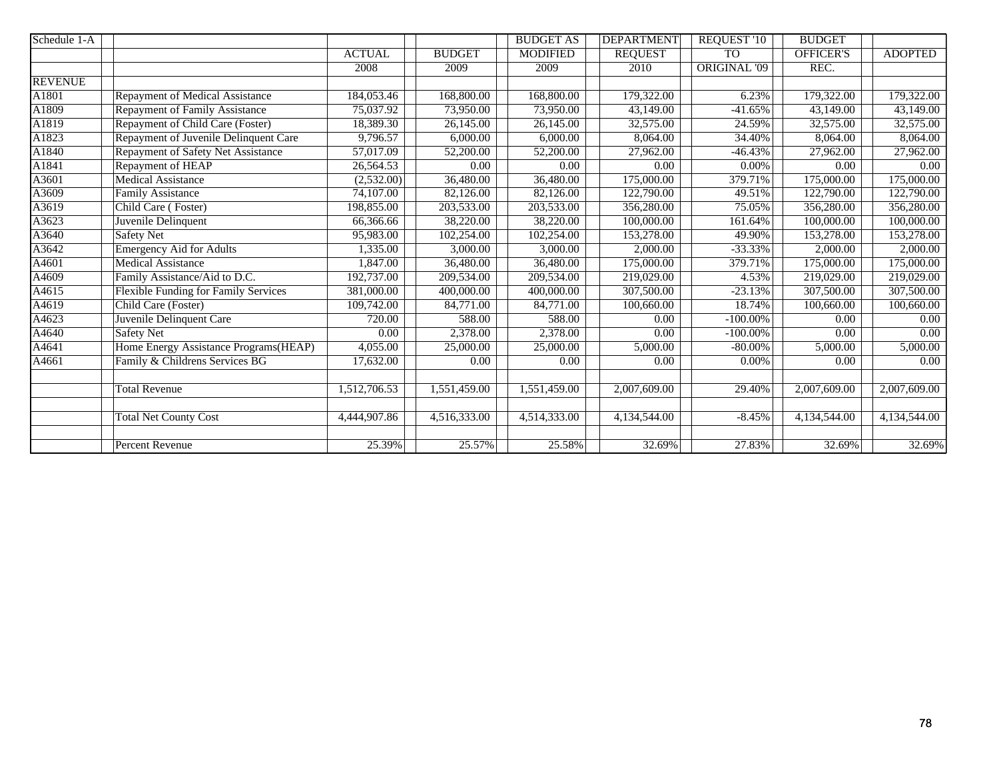| Schedule 1-A   |                                             |               |                         | <b>BUDGET AS</b> | <b>DEPARTMENT</b> | <b>REQUEST '10</b>  | <b>BUDGET</b> |                |
|----------------|---------------------------------------------|---------------|-------------------------|------------------|-------------------|---------------------|---------------|----------------|
|                |                                             | <b>ACTUAL</b> | <b>BUDGET</b>           | <b>MODIFIED</b>  | <b>REQUEST</b>    | <b>TO</b>           | OFFICER'S     | <b>ADOPTED</b> |
|                |                                             | 2008          | 2009                    | 2009             | 2010              | <b>ORIGINAL '09</b> | REC.          |                |
| <b>REVENUE</b> |                                             |               |                         |                  |                   |                     |               |                |
| A1801          | Repayment of Medical Assistance             | 184,053.46    | 168,800.00              | 168,800.00       | 179,322.00        | 6.23%               | 179,322.00    | 179,322.00     |
| A1809          | <b>Repayment of Family Assistance</b>       | 75,037.92     | 73,950.00               | 73,950.00        | 43,149.00         | $-41.65%$           | 43,149.00     | 43,149.00      |
| A1819          | Repayment of Child Care (Foster)            | 18,389.30     | 26,145.00               | 26,145.00        | 32,575.00         | 24.59%              | 32,575.00     | 32,575.00      |
| A1823          | Repayment of Juvenile Delinquent Care       | 9,796.57      | 6,000.00                | 6,000.00         | 8,064.00          | 34.40%              | 8,064.00      | 8,064.00       |
| A1840          | Repayment of Safety Net Assistance          | 57,017.09     | 52,200.00               | 52,200.00        | 27,962.00         | $-46.43%$           | 27,962.00     | 27,962.00      |
| A1841          | Repayment of HEAP                           | 26,564.53     | 0.00                    | 0.00             | 0.00              | $0.00\%$            | 0.00          | 0.00           |
| A3601          | <b>Medical Assistance</b>                   | (2,532.00)    | $\overline{36}$ ,480.00 | 36,480.00        | 175,000.00        | 379.71%             | 175,000.00    | 175,000.00     |
| A3609          | <b>Family Assistance</b>                    | 74,107.00     | 82,126.00               | 82,126.00        | 122,790.00        | 49.51%              | 122,790.00    | 122,790.00     |
| A3619          | Child Care (Foster)                         | 198,855.00    | 203,533.00              | 203,533.00       | 356,280.00        | 75.05%              | 356,280.00    | 356,280.00     |
| A3623          | Juvenile Delinquent                         | 66,366.66     | 38,220.00               | 38,220.00        | 100,000.00        | 161.64%             | 100,000.00    | 100,000.00     |
| A3640          | Safety Net                                  | 95,983.00     | 102,254.00              | 102,254.00       | 153,278.00        | 49.90%              | 153,278.00    | 153,278.00     |
| A3642          | <b>Emergency Aid for Adults</b>             | 1,335.00      | 3,000.00                | 3,000.00         | 2,000.00          | $-33.33%$           | 2,000.00      | 2,000.00       |
| A4601          | <b>Medical Assistance</b>                   | 1,847.00      | 36,480.00               | 36,480.00        | 175,000.00        | 379.71%             | 175,000.00    | 175,000.00     |
| A4609          | Family Assistance/Aid to D.C.               | 192,737.00    | 209,534.00              | 209,534.00       | 219,029.00        | 4.53%               | 219,029.00    | 219,029.00     |
| A4615          | <b>Flexible Funding for Family Services</b> | 381,000.00    | 400,000.00              | 400,000.00       | 307,500.00        | $-23.13%$           | 307,500.00    | 307,500.00     |
| A4619          | Child Care (Foster)                         | 109,742.00    | 84,771.00               | 84,771.00        | 100,660.00        | 18.74%              | 100,660.00    | 100,660.00     |
| A4623          | Juvenile Delinquent Care                    | 720.00        | 588.00                  | 588.00           | 0.00              | $-100.00\%$         | 0.00          | $0.00\,$       |
| A4640          | <b>Safety Net</b>                           | 0.00          | 2,378.00                | 2,378.00         | 0.00              | $-100.00\%$         | 0.00          | 0.00           |
| A4641          | Home Energy Assistance Programs(HEAP)       | 4,055.00      | 25,000.00               | 25,000.00        | 5,000.00          | $-80.00\%$          | 5,000.00      | 5,000.00       |
| A4661          | Family & Childrens Services BG              | 17,632.00     | 0.00                    | 0.00             | 0.00              | 0.00%               | 0.00          | 0.00           |
|                |                                             |               |                         |                  |                   |                     |               |                |
|                | <b>Total Revenue</b>                        | 1,512,706.53  | 1,551,459.00            | 1,551,459.00     | 2,007,609.00      | 29.40%              | 2,007,609.00  | 2,007,609.00   |
|                |                                             |               |                         |                  |                   |                     |               |                |
|                | <b>Total Net County Cost</b>                | 4,444,907.86  | 4,516,333.00            | 4,514,333.00     | 4,134,544.00      | $-8.45%$            | 4,134,544.00  | 4,134,544.00   |
|                |                                             |               |                         |                  |                   |                     |               |                |
|                | Percent Revenue                             | 25.39%        | 25.57%                  | 25.58%           | 32.69%            | 27.83%              | 32.69%        | 32.69%         |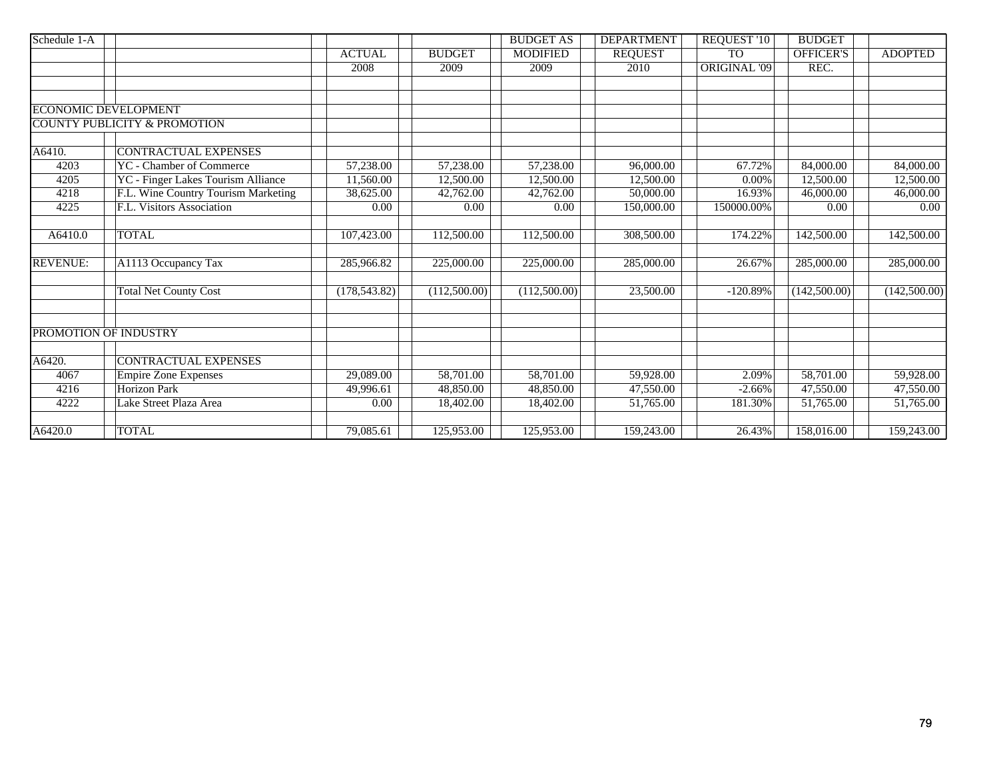| Schedule 1-A    |                                         |                        |               | <b>BUDGET AS</b> | <b>DEPARTMENT</b>      | <b>REQUEST '10</b>  | <b>BUDGET</b>    |                        |
|-----------------|-----------------------------------------|------------------------|---------------|------------------|------------------------|---------------------|------------------|------------------------|
|                 |                                         | <b>ACTUAL</b>          | <b>BUDGET</b> | <b>MODIFIED</b>  | <b>REQUEST</b>         | <b>TO</b>           | <b>OFFICER'S</b> | <b>ADOPTED</b>         |
|                 |                                         | 2008                   | 2009          | 2009             | 2010                   | <b>ORIGINAL '09</b> | REC.             |                        |
|                 |                                         |                        |               |                  |                        |                     |                  |                        |
|                 |                                         |                        |               |                  |                        |                     |                  |                        |
|                 | <b>ECONOMIC DEVELOPMENT</b>             |                        |               |                  |                        |                     |                  |                        |
|                 | <b>COUNTY PUBLICITY &amp; PROMOTION</b> |                        |               |                  |                        |                     |                  |                        |
|                 |                                         |                        |               |                  |                        |                     |                  |                        |
| A6410.          | <b>CONTRACTUAL EXPENSES</b>             |                        |               |                  |                        |                     |                  |                        |
| 4203            | <b>YC</b> - Chamber of Commerce         | 57,238.00              | 57,238.00     | 57,238.00        | 96,000.00              | 67.72%              | 84,000.00        | 84,000.00              |
| 4205            | YC - Finger Lakes Tourism Alliance      | 11,560.00              | 12,500.00     | 12,500.00        | 12,500.00              | 0.00%               | 12,500.00        | 12,500.00              |
| 4218            | F.L. Wine Country Tourism Marketing     | 38,625.00              | 42,762.00     | 42,762.00        | 50,000.00              | 16.93%              | 46,000.00        | 46,000.00              |
| 4225            | F.L. Visitors Association               | 0.00                   | 0.00          | 0.00             | 150,000.00             | 150000.00%          | 0.00             | 0.00                   |
|                 |                                         |                        |               |                  |                        |                     |                  |                        |
| A6410.0         | <b>TOTAL</b>                            | 107,423.00             | 112,500.00    | 112,500.00       | 308,500.00             | 174.22%             | 142,500.00       | 142,500.00             |
|                 |                                         |                        |               |                  |                        |                     |                  |                        |
| <b>REVENUE:</b> | A1113 Occupancy Tax                     | 285,966.82             | 225,000.00    | 225,000.00       | 285,000.00             | 26.67%              | 285,000.00       | 285,000.00             |
|                 |                                         |                        |               |                  |                        |                     |                  |                        |
|                 | <b>Total Net County Cost</b>            | (178, 543.82)          | (112,500.00)  | (112,500.00)     | 23,500.00              | $-120.89%$          | (142,500.00)     | (142,500.00)           |
|                 |                                         |                        |               |                  |                        |                     |                  |                        |
|                 | PROMOTION OF INDUSTRY                   |                        |               |                  |                        |                     |                  |                        |
| A6420.          | <b>CONTRACTUAL EXPENSES</b>             |                        |               |                  |                        |                     |                  |                        |
| 4067            | <b>Empire Zone Expenses</b>             | $\overline{29,089.00}$ | 58,701.00     | 58,701.00        | 59,928.00              | 2.09%               | 58,701.00        | 59,928.00              |
| 4216            | <b>Horizon Park</b>                     | 49,996.61              | 48,850.00     | 48,850.00        | 47,550.00              | $-2.66%$            | 47,550.00        | 47,550.00              |
| 4222            | Lake Street Plaza Area                  | 0.00                   | 18,402.00     | 18,402.00        | $\overline{51,}765.00$ | 181.30%             | 51,765.00        | $\overline{51,765.00}$ |
|                 |                                         |                        |               |                  |                        |                     |                  |                        |
| A6420.0         | <b>TOTAL</b>                            | 79,085.61              | 125,953.00    | 125,953.00       | 159,243.00             | 26.43%              | 158,016.00       | 159,243.00             |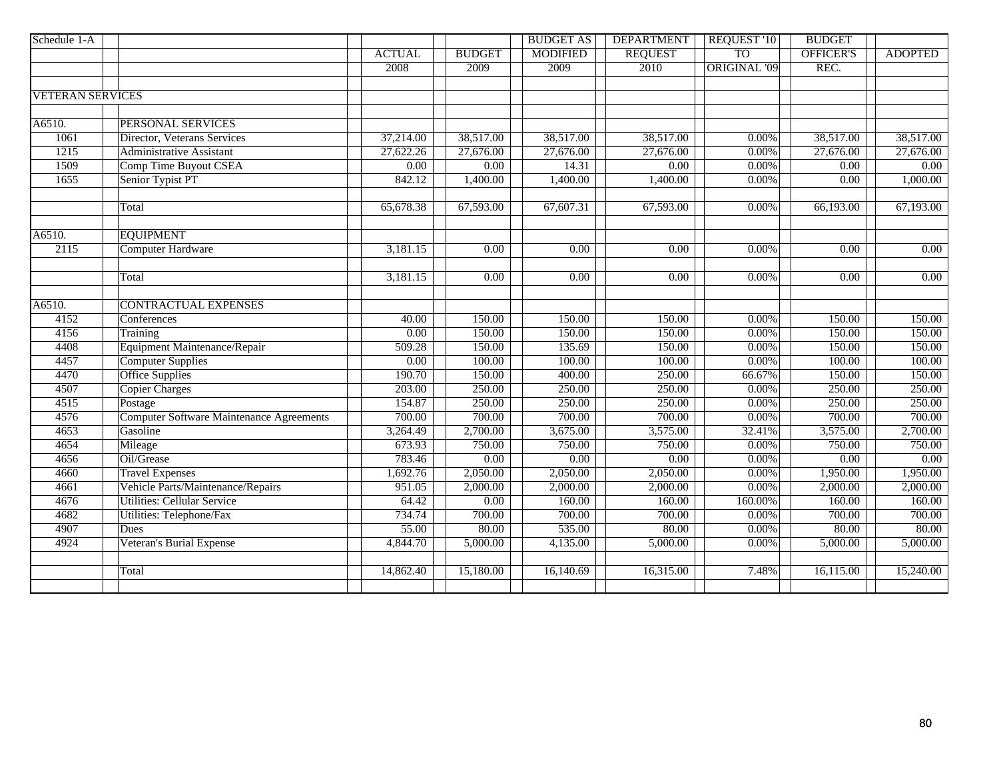| Schedule 1-A            |                                                 |               |                   | <b>BUDGET AS</b> | <b>DEPARTMENT</b> | <b>REQUEST '10</b>  | <b>BUDGET</b>    |                |
|-------------------------|-------------------------------------------------|---------------|-------------------|------------------|-------------------|---------------------|------------------|----------------|
|                         |                                                 | <b>ACTUAL</b> | <b>BUDGET</b>     | <b>MODIFIED</b>  | <b>REQUEST</b>    | T <sub>O</sub>      | <b>OFFICER'S</b> | <b>ADOPTED</b> |
|                         |                                                 | 2008          | 2009              | 2009             | 2010              | <b>ORIGINAL '09</b> | REC.             |                |
|                         |                                                 |               |                   |                  |                   |                     |                  |                |
| <b>VETERAN SERVICES</b> |                                                 |               |                   |                  |                   |                     |                  |                |
|                         |                                                 |               |                   |                  |                   |                     |                  |                |
| A6510.                  | PERSONAL SERVICES                               |               |                   |                  |                   |                     |                  |                |
| 1061                    | Director, Veterans Services                     | 37,214.00     | 38,517.00         | 38,517.00        | 38,517.00         | $0.00\%$            | 38,517.00        | 38,517.00      |
| 1215                    | <b>Administrative Assistant</b>                 | 27,622.26     | 27,676.00         | 27,676.00        | 27,676.00         | $0.00\%$            | 27,676.00        | 27,676.00      |
| 1509                    | <b>Comp Time Buyout CSEA</b>                    | 0.00          | 0.00              | 14.31            | 0.00              | $0.00\%$            | 0.00             | 0.00           |
| 1655                    | Senior Typist PT                                | 842.12        | 1,400.00          | 1,400.00         | 1,400.00          | $0.00\%$            | 0.00             | 1,000.00       |
|                         |                                                 |               |                   |                  |                   |                     |                  |                |
|                         | Total                                           | 65,678.38     | 67,593.00         | 67,607.31        | 67,593.00         | 0.00%               | 66,193.00        | 67,193.00      |
|                         |                                                 |               |                   |                  |                   |                     |                  |                |
| A6510.                  | <b>EQUIPMENT</b>                                |               |                   |                  |                   |                     |                  |                |
| 2115                    | <b>Computer Hardware</b>                        | 3,181.15      | 0.00              | 0.00             | 0.00              | $0.00\%$            | 0.00             | 0.00           |
|                         |                                                 |               |                   |                  |                   |                     |                  |                |
|                         | Total                                           | 3,181.15      | 0.00              | 0.00             | 0.00              | $0.00\%$            | 0.00             | 0.00           |
|                         |                                                 |               |                   |                  |                   |                     |                  |                |
| A6510.                  | <b>CONTRACTUAL EXPENSES</b>                     |               |                   |                  |                   |                     |                  |                |
| 4152                    | Conferences                                     | 40.00         | 150.00            | 150.00           | 150.00            | $0.00\%$            | 150.00           | 150.00         |
| 4156                    | Training                                        | 0.00          | 150.00            | 150.00           | 150.00            | $0.00\%$            | 150.00           | 150.00         |
| 4408                    | Equipment Maintenance/Repair                    | 509.28        | 150.00            | 135.69           | 150.00            | $0.00\%$            | 150.00           | 150.00         |
| 4457                    | <b>Computer Supplies</b>                        | 0.00          | 100.00            | 100.00           | 100.00            | 0.00%               | 100.00           | 100.00         |
| 4470                    | <b>Office Supplies</b>                          | 190.70        | 150.00            | 400.00           | 250.00            | 66.67%              | 150.00           | 150.00         |
| 4507                    | <b>Copier Charges</b>                           | 203.00        | 250.00            | 250.00           | 250.00            | $0.00\%$            | 250.00           | 250.00         |
| 4515                    | Postage                                         | 154.87        | 250.00            | 250.00           | 250.00            | $0.00\%$            | 250.00           | 250.00         |
| 4576                    | <b>Computer Software Maintenance Agreements</b> | 700.00        | 700.00            | 700.00           | 700.00            | $0.00\%$            | 700.00           | 700.00         |
| 4653                    | Gasoline                                        | 3,264.49      | 2,700.00          | 3,675.00         | 3,575.00          | 32.41%              | 3,575.00         | 2,700.00       |
| 4654                    | Mileage                                         | 673.93        | 750.00            | 750.00           | 750.00            | $0.00\%$            | 750.00           | 750.00         |
| 4656                    | Oil/Grease                                      | 783.46        | 0.00              | 0.00             | 0.00              | $0.00\%$            | 0.00             | 0.00           |
| 4660                    | <b>Travel Expenses</b>                          | 1,692.76      | 2,050.00          | 2,050.00         | 2,050.00          | 0.00%               | 1,950.00         | 1,950.00       |
| 4661                    | Vehicle Parts/Maintenance/Repairs               | 951.05        | 2,000.00          | 2,000.00         | 2,000.00          | 0.00%               | 2,000.00         | 2,000.00       |
| 4676                    | <b>Utilities: Cellular Service</b>              | 64.42         | $\overline{0.00}$ | 160.00           | 160.00            | 160.00%             | 160.00           | 160.00         |
| 4682                    | Utilities: Telephone/Fax                        | 734.74        | 700.00            | 700.00           | 700.00            | 0.00%               | 700.00           | 700.00         |
| 4907                    | Dues                                            | 55.00         | 80.00             | 535.00           | 80.00             | $0.00\%$            | 80.00            | 80.00          |
| 4924                    | Veteran's Burial Expense                        | 4,844.70      | 5,000.00          | 4,135.00         | 5,000.00          | 0.00%               | 5,000.00         | 5,000.00       |
|                         |                                                 |               |                   |                  |                   |                     |                  |                |
|                         | Total                                           | 14,862.40     | 15,180.00         | 16,140.69        | 16,315.00         | 7.48%               | 16,115.00        | 15,240.00      |
|                         |                                                 |               |                   |                  |                   |                     |                  |                |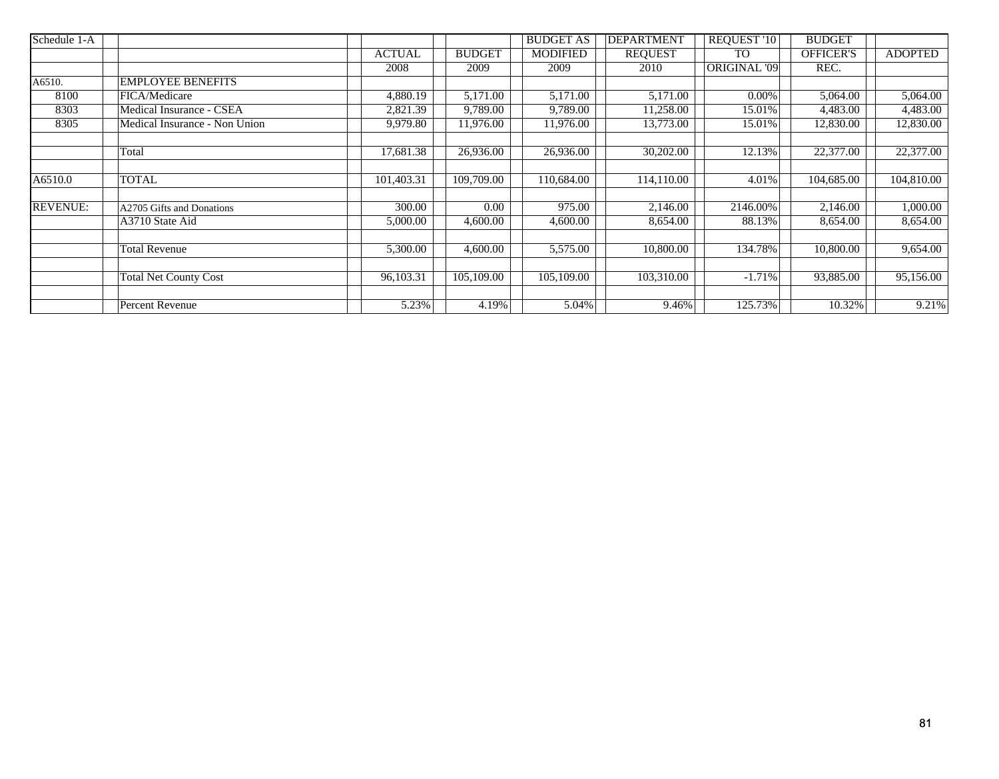| Schedule 1-A    |                               |               |               | <b>BUDGET AS</b> | <b>DEPARTMENT</b> | REQUEST '10  | <b>BUDGET</b>    |                |
|-----------------|-------------------------------|---------------|---------------|------------------|-------------------|--------------|------------------|----------------|
|                 |                               | <b>ACTUAL</b> | <b>BUDGET</b> | <b>MODIFIED</b>  | <b>REQUEST</b>    | <b>TO</b>    | <b>OFFICER'S</b> | <b>ADOPTED</b> |
|                 |                               | 2008          | 2009          | 2009             | 2010              | ORIGINAL '09 | REC.             |                |
| A6510.          | <b>EMPLOYEE BENEFITS</b>      |               |               |                  |                   |              |                  |                |
| 8100            | FICA/Medicare                 | 4,880.19      | 5,171.00      | 5,171.00         | 5,171.00          | $0.00\%$     | 5,064.00         | 5,064.00       |
| 8303            | Medical Insurance - CSEA      | 2,821.39      | 9,789.00      | 9,789.00         | 11,258.00         | 15.01%       | 4,483.00         | 4,483.00       |
| 8305            | Medical Insurance - Non Union | 9,979.80      | 11,976.00     | 11,976.00        | 13,773.00         | 15.01%       | 12,830.00        | 12,830.00      |
|                 |                               |               |               |                  |                   |              |                  |                |
|                 | Total                         | 17,681.38     | 26,936.00     | 26,936.00        | 30,202.00         | 12.13%       | 22,377.00        | 22,377.00      |
|                 |                               |               |               |                  |                   |              |                  |                |
| A6510.0         | <b>TOTAL</b>                  | 101,403.31    | 109,709.00    | 110,684.00       | 114,110.00        | 4.01%        | 104,685.00       | 104,810.00     |
|                 |                               |               |               |                  |                   |              |                  |                |
| <b>REVENUE:</b> | A2705 Gifts and Donations     | 300.00        | 0.00          | 975.00           | 2,146.00          | 2146.00%     | 2,146.00         | 1,000.00       |
|                 | A3710 State Aid               | 5,000.00      | 4,600.00      | 4,600.00         | 8,654.00          | 88.13%       | 8,654.00         | 8,654.00       |
|                 |                               |               |               |                  |                   |              |                  |                |
|                 | <b>Total Revenue</b>          | 5,300.00      | 4,600.00      | 5,575.00         | 10,800.00         | 134.78%      | 10,800.00        | 9,654.00       |
|                 |                               |               |               |                  |                   |              |                  |                |
|                 | <b>Total Net County Cost</b>  | 96,103.31     | 105,109.00    | 105,109.00       | 103,310.00        | $-1.71%$     | 93,885.00        | 95,156.00      |
|                 |                               |               |               |                  |                   |              |                  |                |
|                 | Percent Revenue               | 5.23%         | 4.19%         | 5.04%            | 9.46%             | 125.73%      | 10.32%           | 9.21%          |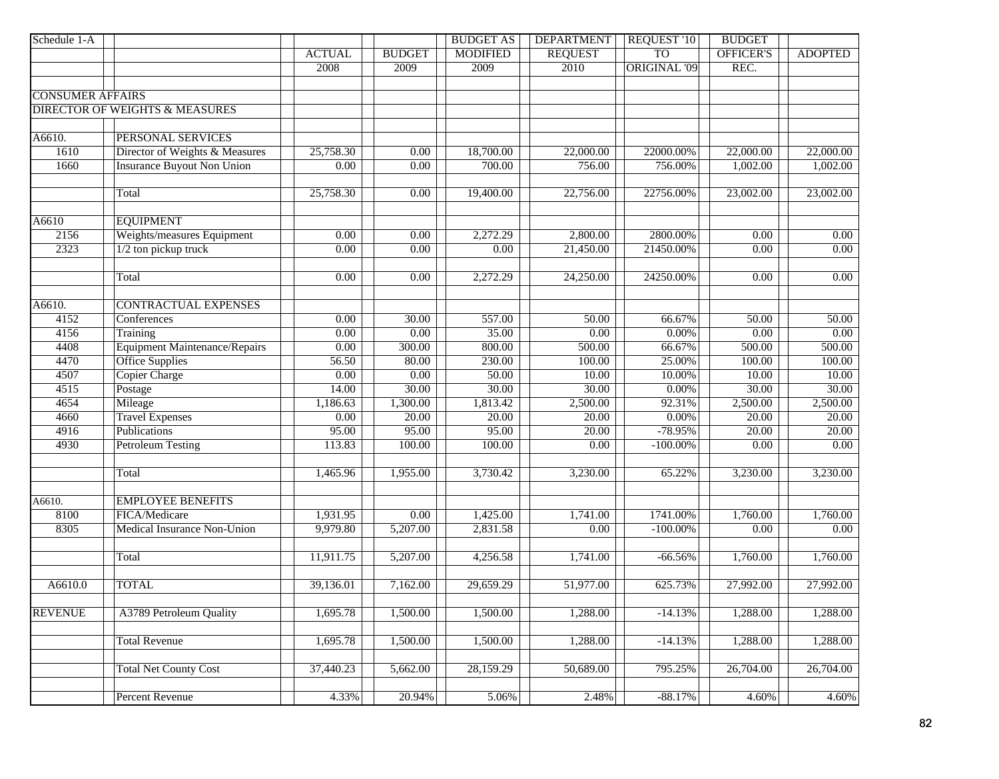| Schedule 1-A            |                                           |                   |                   | <b>BUDGET AS</b>  | <b>DEPARTMENT</b>      | REQUEST '10         | <b>BUDGET</b>    |                   |
|-------------------------|-------------------------------------------|-------------------|-------------------|-------------------|------------------------|---------------------|------------------|-------------------|
|                         |                                           | <b>ACTUAL</b>     | <b>BUDGET</b>     | <b>MODIFIED</b>   | <b>REQUEST</b>         | <b>TO</b>           | <b>OFFICER'S</b> | <b>ADOPTED</b>    |
|                         |                                           | 2008              | 2009              | 2009              | 2010                   | <b>ORIGINAL '09</b> | REC.             |                   |
|                         |                                           |                   |                   |                   |                        |                     |                  |                   |
| <b>CONSUMER AFFAIRS</b> |                                           |                   |                   |                   |                        |                     |                  |                   |
|                         | <b>DIRECTOR OF WEIGHTS &amp; MEASURES</b> |                   |                   |                   |                        |                     |                  |                   |
|                         |                                           |                   |                   |                   |                        |                     |                  |                   |
| A6610.                  | PERSONAL SERVICES                         |                   |                   |                   |                        |                     |                  |                   |
| 1610                    | Director of Weights & Measures            | 25,758.30         | 0.00              | 18,700.00         | $\overline{22,000.00}$ | 22000.00%           | 22,000.00        | 22,000.00         |
| 1660                    | <b>Insurance Buyout Non Union</b>         | $\overline{0.00}$ | $\overline{0.00}$ | 700.00            | 756.00                 | 756.00%             | 1,002.00         | 1,002.00          |
|                         |                                           |                   |                   |                   |                        |                     |                  |                   |
|                         | Total                                     | 25,758.30         | 0.00              | 19,400.00         | 22,756.00              | 22756.00%           | 23,002.00        | 23,002.00         |
| A6610                   | <b>EQUIPMENT</b>                          |                   |                   |                   |                        |                     |                  |                   |
| 2156                    | Weights/measures Equipment                | 0.00              | 0.00              | 2,272.29          | 2,800.00               | 2800.00%            | 0.00             | 0.00              |
| 2323                    | $1/2$ ton pickup truck                    | $\overline{0.00}$ | 0.00              | $\overline{0.00}$ | 21,450.00              | 21450.00%           | 0.00             | 0.00              |
|                         |                                           |                   |                   |                   |                        |                     |                  |                   |
|                         | Total                                     | $\overline{0.00}$ | $\overline{0.00}$ | 2,272.29          | 24,250.00              | 24250.00%           | 0.00             | 0.00              |
|                         |                                           |                   |                   |                   |                        |                     |                  |                   |
| A6610.                  | <b>CONTRACTUAL EXPENSES</b>               |                   |                   |                   |                        |                     |                  |                   |
| 4152                    | Conferences                               | $\overline{0.00}$ | 30.00             | 557.00            | 50.00                  | 66.67%              | 50.00            | 50.00             |
| 4156                    | Training                                  | $\overline{0.00}$ | $\overline{0.00}$ | 35.00             | 0.00                   | 0.00%               | 0.00             | 0.00              |
| 4408                    | <b>Equipment Maintenance/Repairs</b>      | $\overline{0.00}$ | 300.00            | 800.00            | 500.00                 | 66.67%              | 500.00           | 500.00            |
| 4470                    | <b>Office Supplies</b>                    | 56.50             | 80.00             | 230.00            | 100.00                 | 25.00%              | 100.00           | 100.00            |
| 4507                    | <b>Copier Charge</b>                      | $\overline{0.00}$ | $\overline{0.00}$ | 50.00             | 10.00                  | 10.00%              | 10.00            | 10.00             |
| 4515                    | Postage                                   | 14.00             | 30.00             | 30.00             | 30.00                  | $0.00\%$            | 30.00            | 30.00             |
| 4654                    | Mileage                                   | 1,186.63          | 1,300.00          | 1,813.42          | 2,500.00               | 92.31%              | 2,500.00         | 2,500.00          |
| 4660                    | <b>Travel Expenses</b>                    | $\overline{0.00}$ | 20.00             | 20.00             | 20.00                  | $0.00\%$            | 20.00            | 20.00             |
| 4916                    | Publications                              | 95.00             | 95.00             | 95.00             | 20.00                  | $-78.95%$           | 20.00            | 20.00             |
| 4930                    | <b>Petroleum Testing</b>                  | 113.83            | 100.00            | 100.00            | 0.00                   | $-100.00\%$         | 0.00             | 0.00              |
|                         | Total                                     | 1,465.96          | 1,955.00          | 3,730.42          | 3,230.00               | 65.22%              | 3,230.00         | 3,230.00          |
| A6610.                  | <b>EMPLOYEE BENEFITS</b>                  |                   |                   |                   |                        |                     |                  |                   |
| 8100                    | FICA/Medicare                             | 1,931.95          | 0.00              | 1,425.00          | 1,741.00               | 1741.00%            | 1,760.00         | 1,760.00          |
| 8305                    | <b>Medical Insurance Non-Union</b>        | 9,979.80          | 5,207.00          | 2,831.58          | $\overline{0.00}$      | $-100.00\%$         | 0.00             | $\overline{0.00}$ |
|                         |                                           |                   |                   |                   |                        |                     |                  |                   |
|                         | Total                                     | 11,911.75         | 5,207.00          | 4,256.58          | 1,741.00               | $-66.56%$           | 1,760.00         | 1,760.00          |
| A6610.0                 | <b>TOTAL</b>                              | 39,136.01         | 7,162.00          | 29,659.29         | 51,977.00              | 625.73%             | 27,992.00        | 27,992.00         |
| <b>REVENUE</b>          | A3789 Petroleum Quality                   | 1,695.78          | 1,500.00          | 1,500.00          | 1,288.00               | $-14.13%$           | 1,288.00         | 1,288.00          |
|                         | <b>Total Revenue</b>                      | 1,695.78          | 1,500.00          | 1,500.00          | 1,288.00               | $-14.13%$           | 1,288.00         | 1,288.00          |
|                         |                                           |                   |                   |                   |                        |                     |                  |                   |
|                         | <b>Total Net County Cost</b>              | 37,440.23         | 5,662.00          | 28,159.29         | 50,689.00              | 795.25%             | 26,704.00        | 26,704.00         |
|                         | <b>Percent Revenue</b>                    | 4.33%             | 20.94%            | 5.06%             | 2.48%                  | $-88.17%$           | 4.60%            | 4.60%             |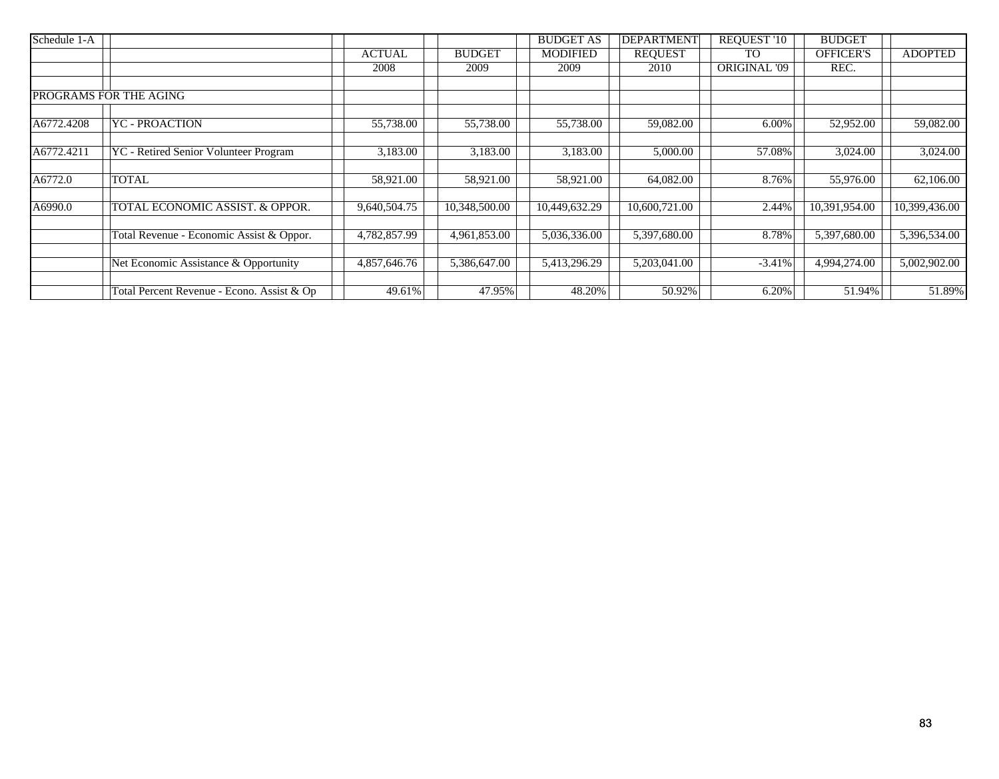| Schedule 1-A |                                            |               |               | <b>BUDGET AS</b> | <b>DEPARTMENT</b> | <b>REQUEST '10</b>  | <b>BUDGET</b> |                |
|--------------|--------------------------------------------|---------------|---------------|------------------|-------------------|---------------------|---------------|----------------|
|              |                                            | <b>ACTUAL</b> | <b>BUDGET</b> | <b>MODIFIED</b>  | <b>REQUEST</b>    | <b>TO</b>           | OFFICER'S     | <b>ADOPTED</b> |
|              |                                            | 2008          | 2009          | 2009             | 2010              | <b>ORIGINAL '09</b> | REC.          |                |
|              |                                            |               |               |                  |                   |                     |               |                |
|              | PROGRAMS FOR THE AGING                     |               |               |                  |                   |                     |               |                |
| A6772.4208   | YC - PROACTION                             | 55,738.00     | 55,738.00     | 55,738.00        | 59,082.00         | 6.00%               | 52,952.00     | 59,082.00      |
|              |                                            |               |               |                  |                   |                     |               |                |
| A6772.4211   | YC - Retired Senior Volunteer Program      | 3,183.00      | 3,183.00      | 3,183.00         | 5,000.00          | 57.08%              | 3,024.00      | 3,024.00       |
| A6772.0      | TOTAL                                      | 58,921.00     | 58,921.00     | 58,921.00        | 64,082.00         | 8.76%               | 55,976.00     | 62,106.00      |
|              |                                            |               |               |                  |                   |                     |               |                |
| A6990.0      | TOTAL ECONOMIC ASSIST. & OPPOR.            | 9,640,504.75  | 10,348,500.00 | 10,449,632.29    | 10,600,721.00     | 2.44%               | 10,391,954.00 | 10,399,436.00  |
|              | Total Revenue - Economic Assist & Oppor.   | 4,782,857.99  | 4,961,853.00  | 5,036,336.00     | 5,397,680.00      | 8.78%               | 5,397,680.00  | 5,396,534.00   |
|              |                                            |               |               |                  |                   |                     |               |                |
|              | Net Economic Assistance & Opportunity      | 4,857,646.76  | 5,386,647.00  | 5,413,296.29     | 5,203,041.00      | $-3.41%$            | 4,994,274.00  | 5,002,902.00   |
|              | Total Percent Revenue - Econo. Assist & Op | 49.61%        | 47.95%        | 48.20%           | 50.92%            | 6.20%               | 51.94%        | 51.89%         |
|              |                                            |               |               |                  |                   |                     |               |                |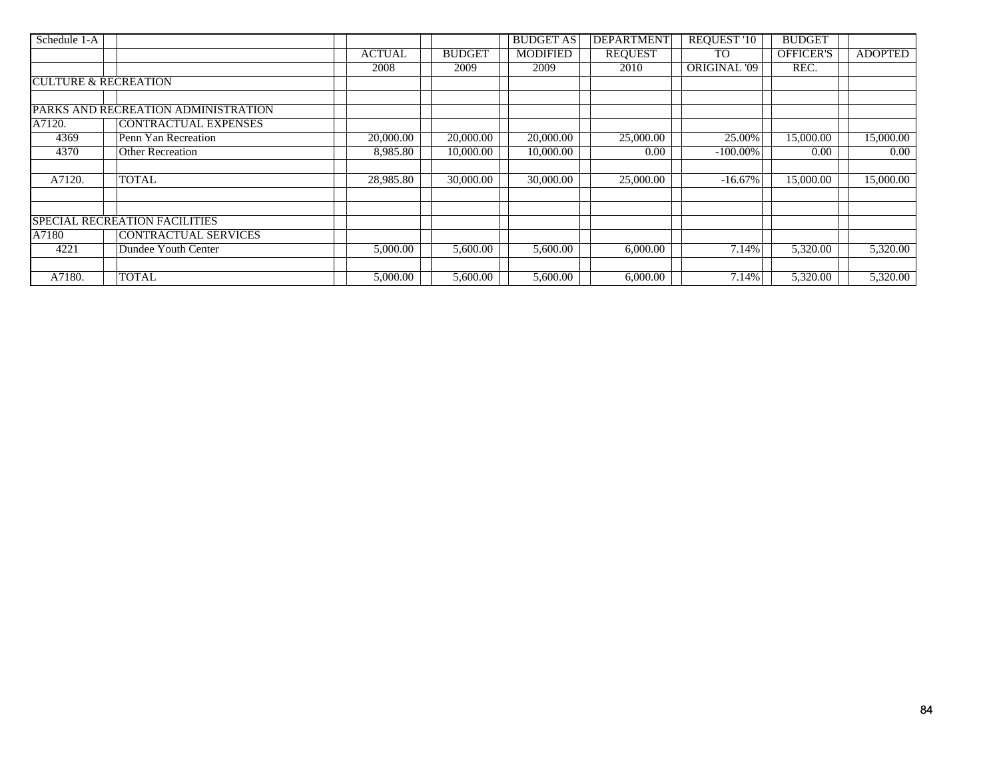| Schedule 1-A                    |                                      |               |               | <b>BUDGET AS</b> | <b>DEPARTMENT</b> | <b>REQUEST '10</b>  | <b>BUDGET</b>    |                |
|---------------------------------|--------------------------------------|---------------|---------------|------------------|-------------------|---------------------|------------------|----------------|
|                                 |                                      | <b>ACTUAL</b> | <b>BUDGET</b> | <b>MODIFIED</b>  | <b>REQUEST</b>    | TO                  | <b>OFFICER'S</b> | <b>ADOPTED</b> |
|                                 |                                      | 2008          | 2009          | 2009             | 2010              | <b>ORIGINAL '09</b> | REC.             |                |
| <b>CULTURE &amp; RECREATION</b> |                                      |               |               |                  |                   |                     |                  |                |
|                                 | PARKS AND RECREATION ADMINISTRATION  |               |               |                  |                   |                     |                  |                |
| A7120.                          | CONTRACTUAL EXPENSES                 |               |               |                  |                   |                     |                  |                |
| 4369                            | Penn Yan Recreation                  | 20,000.00     | 20,000.00     | 20,000.00        | 25,000.00         | 25.00%              | 15,000.00        | 15,000.00      |
| 4370                            | <b>Other Recreation</b>              | 8,985.80      | 10,000.00     | 10,000.00        | 0.00              | $-100.00\%$         | 0.00             | $0.00\,$       |
|                                 |                                      |               |               |                  |                   |                     |                  |                |
| A7120.                          | <b>TOTAL</b>                         | 28,985.80     | 30,000.00     | 30,000.00        | 25,000.00         | $-16.67\%$          | 15,000.00        | 15,000.00      |
|                                 |                                      |               |               |                  |                   |                     |                  |                |
|                                 | <b>SPECIAL RECREATION FACILITIES</b> |               |               |                  |                   |                     |                  |                |
| A7180                           | <b>CONTRACTUAL SERVICES</b>          |               |               |                  |                   |                     |                  |                |
| 4221                            | Dundee Youth Center                  | 5,000.00      | 5,600.00      | 5,600.00         | 6,000.00          | 7.14%               | 5,320.00         | 5,320.00       |
|                                 |                                      |               |               |                  |                   |                     |                  |                |
| A7180.                          | <b>TOTAL</b>                         | 5,000.00      | 5,600.00      | 5,600.00         | 6,000.00          | 7.14%               | 5,320.00         | 5,320.00       |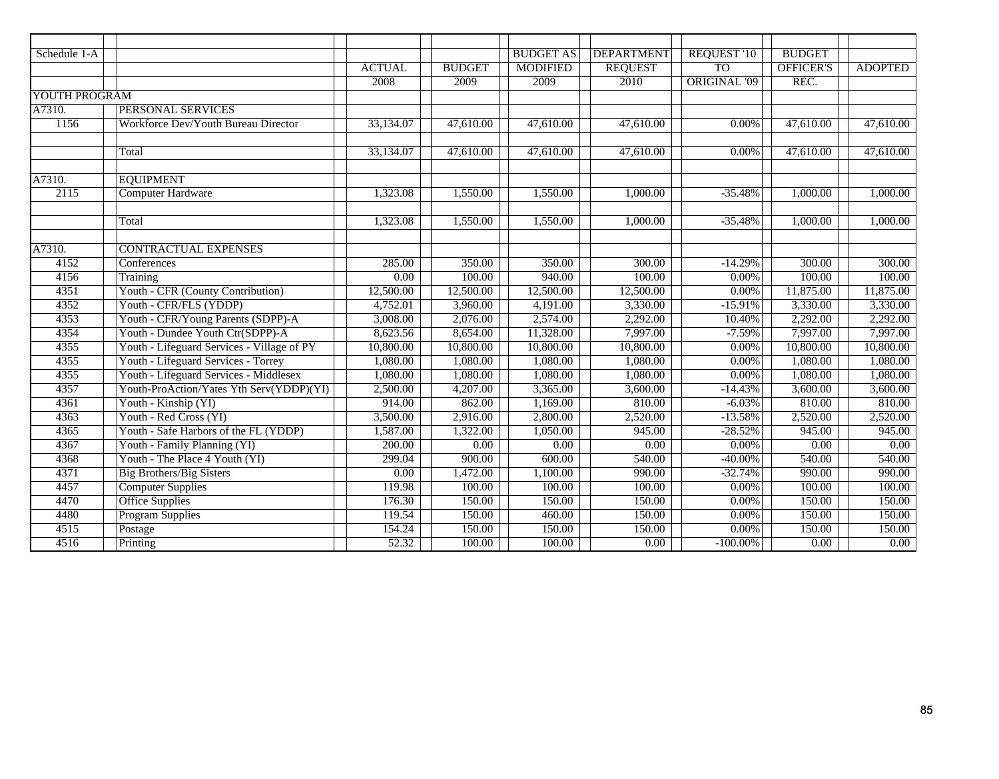| Schedule 1-A  |                                            |               |               | <b>BUDGET AS</b>       | <b>DEPARTMENT</b>      | <b>REQUEST '10</b>  | <b>BUDGET</b>          |                |
|---------------|--------------------------------------------|---------------|---------------|------------------------|------------------------|---------------------|------------------------|----------------|
|               |                                            | <b>ACTUAL</b> | <b>BUDGET</b> | <b>MODIFIED</b>        | <b>REQUEST</b>         | T <sub>O</sub>      | <b>OFFICER'S</b>       | <b>ADOPTED</b> |
|               |                                            | 2008          | 2009          | 2009                   | 2010                   | <b>ORIGINAL '09</b> | REC.                   |                |
| YOUTH PROGRAM |                                            |               |               |                        |                        |                     |                        |                |
| A7310.        | PERSONAL SERVICES                          |               |               |                        |                        |                     |                        |                |
| 1156          | Workforce Dev/Youth Bureau Director        | 33,134.07     | 47,610.00     | $\overline{47,610.00}$ | $\overline{47,61}0.00$ | 0.00%               | $\overline{47,610.00}$ | 47,610.00      |
|               |                                            |               |               |                        |                        |                     |                        |                |
|               | Total                                      | 33,134.07     | 47,610.00     | $\overline{47,610.00}$ | $\overline{47,610.00}$ | 0.00%               | 47,610.00              | 47,610.00      |
|               |                                            |               |               |                        |                        |                     |                        |                |
| A7310.        | <b>EQUIPMENT</b>                           |               |               |                        |                        |                     |                        |                |
| 2115          | <b>Computer Hardware</b>                   | 1,323.08      | 1,550.00      | 1,550.00               | 1,000.00               | $-35.48%$           | 1,000.00               | 1,000.00       |
|               |                                            |               |               |                        |                        |                     |                        |                |
|               | Total                                      | 1,323.08      | 1,550.00      | 1,550.00               | 1,000.00               | $-35.48%$           | 1,000.00               | 1,000.00       |
|               |                                            |               |               |                        |                        |                     |                        |                |
| A7310.        | <b>CONTRACTUAL EXPENSES</b>                |               |               |                        |                        |                     |                        |                |
| 4152          | Conferences                                | 285.00        | 350.00        | 350.00                 | 300.00                 | $-14.29%$           | 300.00                 | 300.00         |
| 4156          | Training                                   | 0.00          | 100.00        | 940.00                 | 100.00                 | 0.00%               | 100.00                 | 100.00         |
| 4351          | Youth - CFR (County Contribution)          | 12,500.00     | 12,500.00     | 12,500.00              | 12,500.00              | 0.00%               | 11,875.00              | 11,875.00      |
| 4352          | Youth - CFR/FLS (YDDP)                     | 4,752.01      | 3,960.00      | 4,191.00               | 3,330.00               | $-15.91%$           | 3,330.00               | 3,330.00       |
| 4353          | Youth - CFR/Young Parents (SDPP)-A         | 3,008.00      | 2,076.00      | 2,574.00               | 2,292.00               | 10.40%              | 2,292.00               | 2,292.00       |
| 4354          | Youth - Dundee Youth Ctr(SDPP)-A           | 8,623.56      | 8,654.00      | 11,328.00              | 7,997.00               | $-7.59%$            | 7,997.00               | 7,997.00       |
| 4355          | Youth - Lifeguard Services - Village of PY | 10,800.00     | 10,800.00     | 10,800.00              | 10,800.00              | 0.00%               | 10,800.00              | 10,800.00      |
| 4355          | Youth - Lifeguard Services - Torrey        | 1,080.00      | 1,080.00      | 1,080.00               | 1,080.00               | 0.00%               | 1,080.00               | 1,080.00       |
| 4355          | Youth - Lifeguard Services - Middlesex     | 1,080.00      | 1,080.00      | 1,080.00               | 1,080.00               | 0.00%               | 1,080.00               | 1,080.00       |
| 4357          | Youth-ProAction/Yates Yth Serv(YDDP)(YI)   | 2,500.00      | 4,207.00      | 3,365.00               | 3,600.00               | $-14.43%$           | 3,600.00               | 3,600.00       |
| 4361          | Youth - Kinship (YI)                       | 914.00        | 862.00        | 1,169.00               | 810.00                 | $-6.03%$            | 810.00                 | 810.00         |
| 4363          | Youth - Red Cross (YI)                     | 3,500.00      | 2,916.00      | 2,800.00               | 2,520.00               | $-13.58%$           | 2,520.00               | 2,520.00       |
| 4365          | Youth - Safe Harbors of the FL (YDDP)      | 1,587.00      | 1,322.00      | 1,050.00               | 945.00                 | $-28.52%$           | 945.00                 | 945.00         |
| 4367          | Youth - Family Planning (YI)               | 200.00        | 0.00          | $\overline{0.00}$      | 0.00                   | 0.00%               | $\overline{0.00}$      | 0.00           |
| 4368          | Youth - The Place 4 Youth (YI)             | 299.04        | 900.00        | 600.00                 | 540.00                 | $-40.00\%$          | 540.00                 | 540.00         |
| 4371          | <b>Big Brothers/Big Sisters</b>            | 0.00          | 1,472.00      | 1,100.00               | 990.00                 | $-32.74%$           | 990.00                 | 990.00         |
| 4457          | <b>Computer Supplies</b>                   | 119.98        | 100.00        | 100.00                 | 100.00                 | 0.00%               | 100.00                 | 100.00         |
| 4470          | <b>Office Supplies</b>                     | 176.30        | 150.00        | 150.00                 | 150.00                 | 0.00%               | 150.00                 | 150.00         |
| 4480          | <b>Program Supplies</b>                    | 119.54        | 150.00        | 460.00                 | 150.00                 | 0.00%               | 150.00                 | 150.00         |
| 4515          | Postage                                    | 154.24        | 150.00        | 150.00                 | 150.00                 | 0.00%               | 150.00                 | 150.00         |
| 4516          | Printing                                   | 52.32         | 100.00        | 100.00                 | 0.00                   | $-100.00\%$         | $\overline{0.00}$      | 0.00           |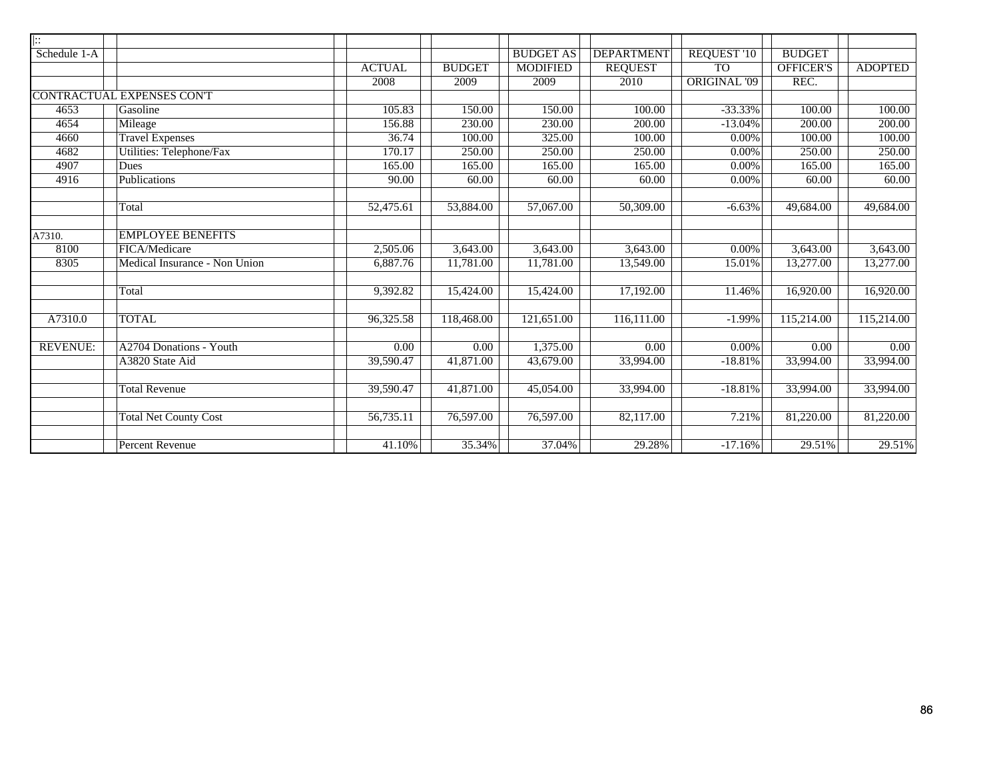| $\overline{ \cdots}$ |                                  |                        |               |                        |                   |                     |                   |                   |
|----------------------|----------------------------------|------------------------|---------------|------------------------|-------------------|---------------------|-------------------|-------------------|
| Schedule 1-A         |                                  |                        |               | <b>BUDGET AS</b>       | <b>DEPARTMENT</b> | <b>REQUEST '10</b>  | <b>BUDGET</b>     |                   |
|                      |                                  | <b>ACTUAL</b>          | <b>BUDGET</b> | <b>MODIFIED</b>        | <b>REQUEST</b>    | T <sub>O</sub>      | <b>OFFICER'S</b>  | <b>ADOPTED</b>    |
|                      |                                  | 2008                   | 2009          | 2009                   | 2010              | <b>ORIGINAL '09</b> | REC.              |                   |
|                      | <b>CONTRACTUAL EXPENSES CONT</b> |                        |               |                        |                   |                     |                   |                   |
| 4653                 | Gasoline                         | 105.83                 | 150.00        | 150.00                 | 100.00            | $-33.33%$           | 100.00            | 100.00            |
| 4654                 | Mileage                          | 156.88                 | 230.00        | 230.00                 | 200.00            | $-13.04%$           | 200.00            | 200.00            |
| 4660                 | <b>Travel Expenses</b>           | 36.74                  | 100.00        | 325.00                 | 100.00            | 0.00%               | 100.00            | 100.00            |
| 4682                 | <b>Utilities: Telephone/Fax</b>  | 170.17                 | 250.00        | 250.00                 | 250.00            | 0.00%               | 250.00            | 250.00            |
| 4907                 | Dues                             | 165.00                 | 165.00        | 165.00                 | 165.00            | 0.00%               | 165.00            | 165.00            |
| 4916                 | Publications                     | 90.00                  | 60.00         | 60.00                  | 60.00             | 0.00%               | 60.00             | 60.00             |
|                      |                                  |                        |               |                        |                   |                     |                   |                   |
|                      | Total                            | 52,475.61              | 53,884.00     | 57,067.00              | 50,309.00         | $-6.63%$            | 49,684.00         | 49,684.00         |
|                      |                                  |                        |               |                        |                   |                     |                   |                   |
| A7310.               | <b>EMPLOYEE BENEFITS</b>         |                        |               |                        |                   |                     |                   |                   |
| 8100                 | FICA/Medicare                    | 2,505.06               | 3,643.00      | 3,643.00               | 3,643.00          | 0.00%               | 3,643.00          | 3,643.00          |
| 8305                 | Medical Insurance - Non Union    | 6,887.76               | 11,781.00     | 11,781.00              | 13,549.00         | 15.01%              | 13,277.00         | 13,277.00         |
|                      |                                  |                        |               |                        |                   |                     |                   |                   |
|                      | Total                            | 9,392.82               | 15,424.00     | 15,424.00              | 17,192.00         | 11.46%              | 16,920.00         | 16,920.00         |
|                      |                                  |                        |               |                        |                   |                     |                   |                   |
| A7310.0              | <b>TOTAL</b>                     | 96,325.58              | 118,468.00    | 121,651.00             | 116,111.00        | $-1.99%$            | 115,214.00        | 115,214.00        |
|                      |                                  |                        |               |                        |                   |                     |                   |                   |
| <b>REVENUE:</b>      | A2704 Donations - Youth          | $\overline{0.00}$      | 0.00          | 1,375.00               | $\overline{0.00}$ | 0.00%               | $\overline{0.00}$ | $\overline{0.00}$ |
|                      | A3820 State Aid                  | $39,590.\overline{47}$ | 41,871.00     | 43,679.00              | 33,994.00         | $-18.81%$           | 33,994.00         | 33,994.00         |
|                      |                                  |                        |               |                        |                   |                     |                   |                   |
|                      | <b>Total Revenue</b>             | 39,590.47              | 41,871.00     | 45,054.00              | 33,994.00         | $-18.81%$           | 33,994.00         | 33,994.00         |
|                      |                                  |                        |               |                        |                   |                     |                   |                   |
|                      | <b>Total Net County Cost</b>     | 56,735.11              | 76,597.00     | $\overline{76,597.00}$ | 82,117.00         | 7.21%               | 81,220.00         | 81,220.00         |
|                      |                                  |                        |               |                        |                   |                     |                   |                   |
|                      | <b>Percent Revenue</b>           | 41.10%                 | 35.34%        | 37.04%                 | 29.28%            | $-17.16%$           | 29.51%            | 29.51%            |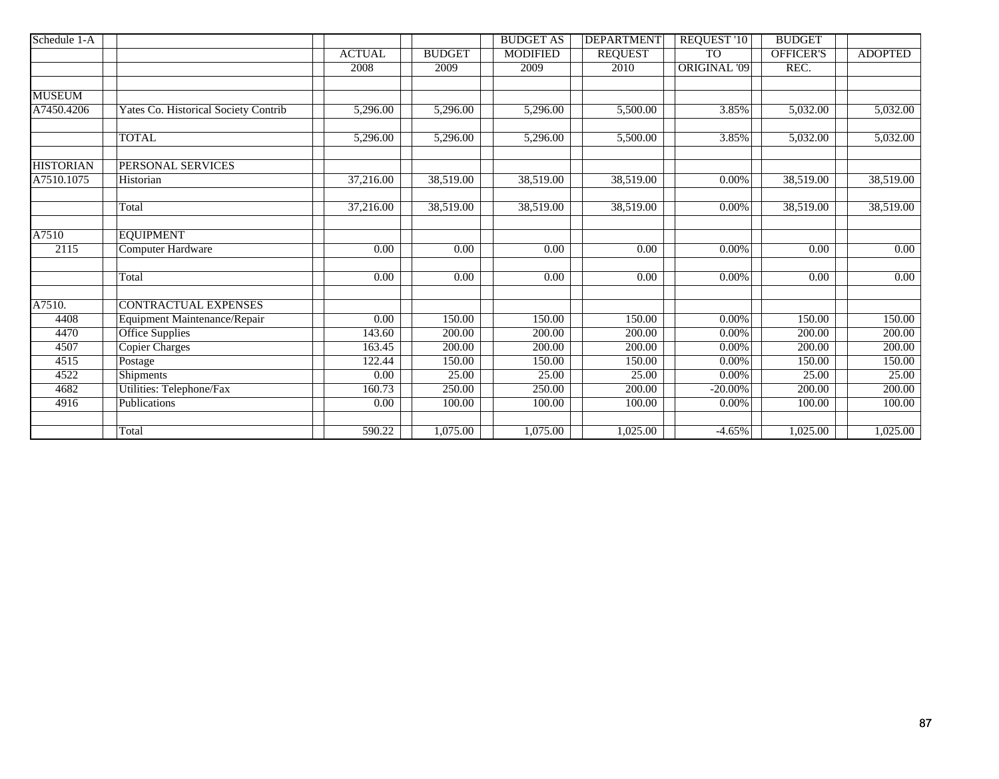| Schedule 1-A     |                                      |                   |                   | <b>BUDGET AS</b>  | <b>DEPARTMENT</b> | REQUEST '10         | <b>BUDGET</b>     |                   |
|------------------|--------------------------------------|-------------------|-------------------|-------------------|-------------------|---------------------|-------------------|-------------------|
|                  |                                      | <b>ACTUAL</b>     | <b>BUDGET</b>     | <b>MODIFIED</b>   | <b>REQUEST</b>    | <b>TO</b>           | <b>OFFICER'S</b>  | <b>ADOPTED</b>    |
|                  |                                      | 2008              | 2009              | 2009              | 2010              | <b>ORIGINAL '09</b> | REC.              |                   |
|                  |                                      |                   |                   |                   |                   |                     |                   |                   |
| <b>MUSEUM</b>    |                                      |                   |                   |                   |                   |                     |                   |                   |
| A7450.4206       | Yates Co. Historical Society Contrib | 5,296.00          | 5,296.00          | 5,296.00          | 5,500.00          | 3.85%               | 5,032.00          | 5,032.00          |
|                  |                                      |                   |                   |                   |                   |                     |                   |                   |
|                  | <b>TOTAL</b>                         | 5,296.00          | 5,296.00          | 5,296.00          | 5,500.00          | 3.85%               | 5,032.00          | 5,032.00          |
|                  |                                      |                   |                   |                   |                   |                     |                   |                   |
| <b>HISTORIAN</b> | PERSONAL SERVICES                    |                   |                   |                   |                   |                     |                   |                   |
| A7510.1075       | Historian                            | 37,216.00         | 38,519.00         | 38,519.00         | 38,519.00         | $0.00\%$            | 38,519.00         | 38,519.00         |
|                  |                                      |                   |                   |                   |                   |                     |                   |                   |
|                  | Total                                | 37,216.00         | 38,519.00         | 38,519.00         | 38,519.00         | 0.00%               | 38,519.00         | 38,519.00         |
|                  |                                      |                   |                   |                   |                   |                     |                   |                   |
| A7510            | <b>EQUIPMENT</b>                     |                   |                   |                   |                   |                     |                   |                   |
| 2115             | <b>Computer Hardware</b>             | $\overline{0.00}$ | $\overline{0.00}$ | $\overline{0.00}$ | 0.00              | $0.00\%$            | $\overline{0.00}$ | $\overline{0.00}$ |
|                  |                                      |                   |                   |                   |                   |                     |                   |                   |
|                  | Total                                | 0.00              | $\overline{0.00}$ | $\overline{0.00}$ | 0.00              | $0.00\%$            | 0.00              | 0.00              |
|                  |                                      |                   |                   |                   |                   |                     |                   |                   |
| A7510.           | <b>CONTRACTUAL EXPENSES</b>          |                   |                   |                   |                   |                     |                   |                   |
| 4408             | Equipment Maintenance/Repair         | 0.00              | 150.00            | 150.00            | 150.00            | 0.00%               | 150.00            | 150.00            |
| 4470             | <b>Office Supplies</b>               | 143.60            | 200.00            | 200.00            | 200.00            | $0.00\%$            | 200.00            | 200.00            |
| 4507             | <b>Copier Charges</b>                | 163.45            | 200.00            | 200.00            | 200.00            | $0.00\%$            | 200.00            | 200.00            |
| 4515             | Postage                              | 122.44            | 150.00            | 150.00            | 150.00            | 0.00%               | 150.00            | 150.00            |
| 4522             | Shipments                            | 0.00              | 25.00             | 25.00             | 25.00             | 0.00%               | 25.00             | 25.00             |
| 4682             | Utilities: Telephone/Fax             | 160.73            | 250.00            | 250.00            | 200.00            | $-20.00\%$          | 200.00            | 200.00            |
| 4916             | Publications                         | 0.00              | 100.00            | 100.00            | 100.00            | 0.00%               | 100.00            | 100.00            |
|                  |                                      |                   |                   |                   |                   |                     |                   |                   |
|                  | Total                                | 590.22            | 1,075.00          | 1,075.00          | 1,025.00          | $-4.65%$            | 1,025.00          | 1,025.00          |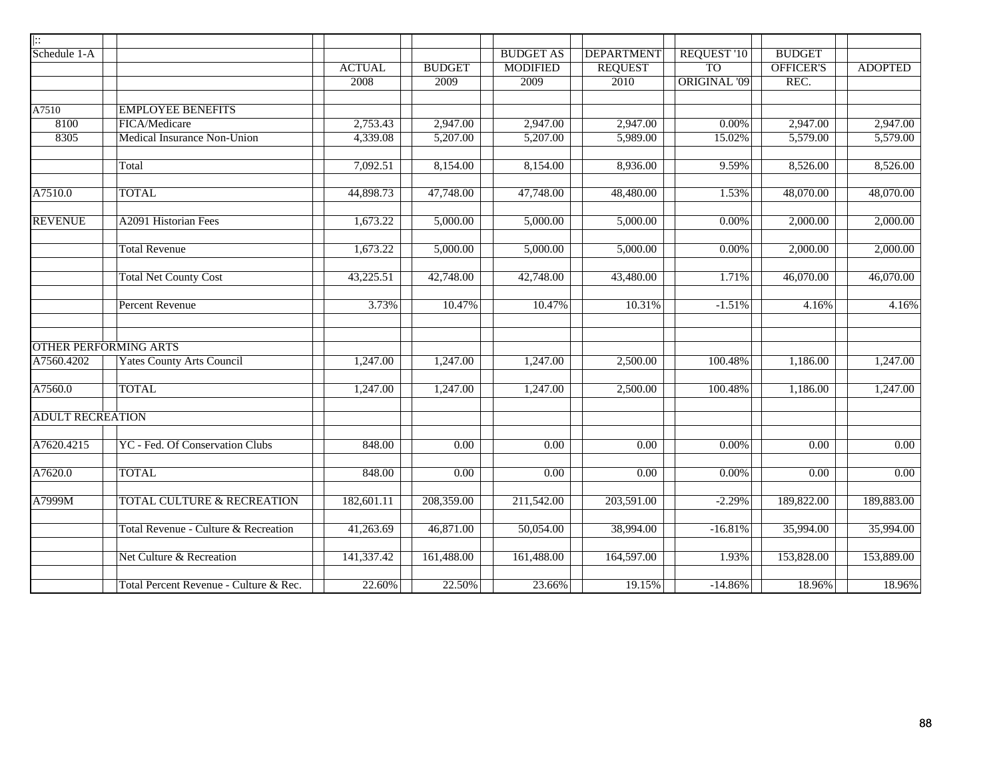| $\overline{ \colon}$    |                                        |               |                   |                  |                   |                     |                  |                |
|-------------------------|----------------------------------------|---------------|-------------------|------------------|-------------------|---------------------|------------------|----------------|
| Schedule 1-A            |                                        |               |                   | <b>BUDGET AS</b> | <b>DEPARTMENT</b> | REQUEST '10         | <b>BUDGET</b>    |                |
|                         |                                        | <b>ACTUAL</b> | <b>BUDGET</b>     | <b>MODIFIED</b>  | <b>REQUEST</b>    | T <sub>O</sub>      | <b>OFFICER'S</b> | <b>ADOPTED</b> |
|                         |                                        | 2008          | 2009              | 2009             | 2010              | <b>ORIGINAL '09</b> | REC.             |                |
|                         |                                        |               |                   |                  |                   |                     |                  |                |
| A7510                   | <b>EMPLOYEE BENEFITS</b>               |               |                   |                  |                   |                     |                  |                |
| 8100                    | FICA/Medicare                          | 2,753.43      | 2,947.00          | 2,947.00         | 2,947.00          | 0.00%               | 2,947.00         | 2,947.00       |
| 8305                    | Medical Insurance Non-Union            | 4,339.08      | 5,207.00          | 5,207.00         | 5,989.00          | 15.02%              | 5,579.00         | 5,579.00       |
|                         | Total                                  | 7,092.51      | 8,154.00          | 8,154.00         | 8,936.00          | 9.59%               | 8,526.00         | 8,526.00       |
| A7510.0                 | <b>TOTAL</b>                           | 44,898.73     | 47,748.00         | 47,748.00        | 48,480.00         | 1.53%               | 48,070.00        | 48,070.00      |
| <b>REVENUE</b>          | <b>A2091 Historian Fees</b>            | 1,673.22      | 5,000.00          | 5,000.00         | 5,000.00          | 0.00%               | 2,000.00         | 2,000.00       |
|                         | <b>Total Revenue</b>                   | 1,673.22      | 5,000.00          | 5,000.00         | 5,000.00          | 0.00%               | 2,000.00         | 2,000.00       |
|                         | <b>Total Net County Cost</b>           | 43,225.51     | 42,748.00         | 42,748.00        | 43,480.00         | 1.71%               | 46,070.00        | 46,070.00      |
|                         | <b>Percent Revenue</b>                 | 3.73%         | 10.47%            | 10.47%           | 10.31%            | $-1.51%$            | 4.16%            | 4.16%          |
|                         | <b>OTHER PERFORMING ARTS</b>           |               |                   |                  |                   |                     |                  |                |
| A7560.4202              | <b>Yates County Arts Council</b>       | 1,247.00      | 1,247.00          | 1,247.00         | 2,500.00          | 100.48%             | 1,186.00         | 1,247.00       |
| A7560.0                 | <b>TOTAL</b>                           | 1,247.00      | 1,247.00          | 1,247.00         | 2,500.00          | 100.48%             | 1,186.00         | 1,247.00       |
| <b>ADULT RECREATION</b> |                                        |               |                   |                  |                   |                     |                  |                |
| A7620.4215              | YC - Fed. Of Conservation Clubs        | 848.00        | 0.00              | 0.00             | 0.00              | $0.00\%$            | 0.00             | 0.00           |
| A7620.0                 | <b>TOTAL</b>                           | 848.00        | $\overline{0.00}$ | 0.00             | 0.00              | 0.00%               | 0.00             | 0.00           |
| A7999M                  | <b>TOTAL CULTURE &amp; RECREATION</b>  | 182,601.11    | 208,359.00        | 211,542.00       | 203,591.00        | $-2.29%$            | 189,822.00       | 189,883.00     |
|                         | Total Revenue - Culture & Recreation   | 41,263.69     | 46,871.00         | 50,054.00        | 38,994.00         | $-16.81%$           | 35,994.00        | 35,994.00      |
|                         | Net Culture & Recreation               | 141,337.42    | 161,488.00        | 161,488.00       | 164,597.00        | 1.93%               | 153,828.00       | 153,889.00     |
|                         | Total Percent Revenue - Culture & Rec. | 22.60%        | 22.50%            | 23.66%           | 19.15%            | $-14.86%$           | 18.96%           | 18.96%         |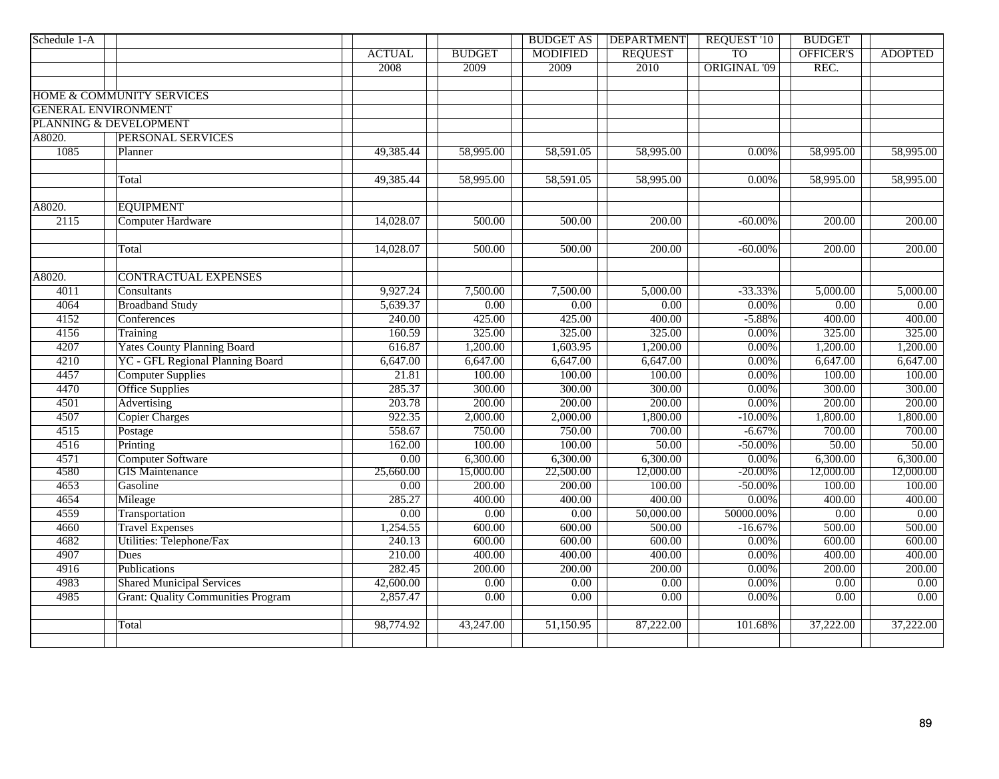| Schedule 1-A               |                                           |                   |                   | <b>BUDGET AS</b> | <b>DEPARTMENT</b>      | <b>REQUEST '10</b>  | <b>BUDGET</b>          |                   |
|----------------------------|-------------------------------------------|-------------------|-------------------|------------------|------------------------|---------------------|------------------------|-------------------|
|                            |                                           | <b>ACTUAL</b>     | <b>BUDGET</b>     | <b>MODIFIED</b>  | <b>REQUEST</b>         | <b>TO</b>           | OFFICER'S              | <b>ADOPTED</b>    |
|                            |                                           | 2008              | 2009              | 2009             | 2010                   | <b>ORIGINAL '09</b> | REC.                   |                   |
|                            |                                           |                   |                   |                  |                        |                     |                        |                   |
|                            | HOME & COMMUNITY SERVICES                 |                   |                   |                  |                        |                     |                        |                   |
| <b>GENERAL ENVIRONMENT</b> |                                           |                   |                   |                  |                        |                     |                        |                   |
|                            | PLANNING & DEVELOPMENT                    |                   |                   |                  |                        |                     |                        |                   |
| A8020.                     | PERSONAL SERVICES                         |                   |                   |                  |                        |                     |                        |                   |
| 1085                       | Planner                                   | 49,385.44         | 58,995.00         | 58,591.05        | $\overline{58,995.00}$ | 0.00%               | 58,995.00              | 58,995.00         |
|                            |                                           |                   |                   |                  |                        |                     |                        |                   |
|                            | Total                                     | 49,385.44         | 58,995.00         | 58,591.05        | 58,995.00              | 0.00%               | $\overline{58,995.00}$ | 58,995.00         |
|                            |                                           |                   |                   |                  |                        |                     |                        |                   |
| A8020.                     | <b>EQUIPMENT</b>                          |                   |                   |                  |                        |                     |                        |                   |
| 2115                       | <b>Computer Hardware</b>                  | 14,028.07         | 500.00            | 500.00           | 200.00                 | $-60.00\%$          | 200.00                 | 200.00            |
|                            |                                           |                   |                   |                  |                        |                     |                        |                   |
|                            | Total                                     | 14,028.07         | 500.00            | 500.00           | 200.00                 | $-60.00\%$          | 200.00                 | 200.00            |
|                            |                                           |                   |                   |                  |                        |                     |                        |                   |
| A8020.                     | <b>CONTRACTUAL EXPENSES</b>               |                   |                   |                  |                        |                     |                        |                   |
| 4011                       | Consultants                               | 9,927.24          | 7,500.00          | 7,500.00         | 5,000.00               | $-33.33%$           | 5,000.00               | 5,000.00          |
| 4064                       | <b>Broadband Study</b>                    | 5,639.37          | 0.00              | 0.00             | $\overline{0.00}$      | 0.00%               | $\overline{0.00}$      | $\overline{0.00}$ |
| 4152                       | Conferences                               | 240.00            | 425.00            | 425.00           | 400.00                 | $-5.88%$            | 400.00                 | 400.00            |
| 4156                       | Training                                  | 160.59            | 325.00            | 325.00           | 325.00                 | 0.00%               | 325.00                 | 325.00            |
| 4207                       | <b>Yates County Planning Board</b>        | 616.87            | 1,200.00          | 1,603.95         | 1,200.00               | 0.00%               | 1,200.00               | 1,200.00          |
| 4210                       | <b>YC</b> - GFL Regional Planning Board   | 6,647.00          | 6,647.00          | 6,647.00         | 6,647.00               | 0.00%               | 6,647.00               | 6,647.00          |
| 4457                       | <b>Computer Supplies</b>                  | 21.81             | 100.00            | 100.00           | 100.00                 | 0.00%               | 100.00                 | 100.00            |
| 4470                       | <b>Office Supplies</b>                    | 285.37            | 300.00            | 300.00           | 300.00                 | 0.00%               | 300.00                 | 300.00            |
| 4501                       | Advertising                               | 203.78            | 200.00            | 200.00           | 200.00                 | 0.00%               | 200.00                 | 200.00            |
| 4507                       | <b>Copier Charges</b>                     | 922.35            | 2,000.00          | 2,000.00         | 1,800.00               | $-10.00%$           | 1,800.00               | 1,800.00          |
| 4515                       | Postage                                   | 558.67            | 750.00            | 750.00           | 700.00                 | $-6.67%$            | 700.00                 | 700.00            |
| 4516                       | Printing                                  | 162.00            | 100.00            | 100.00           | 50.00                  | $-50.00\%$          | 50.00                  | 50.00             |
| 4571                       | <b>Computer Software</b>                  | $\overline{0.00}$ | 6,300.00          | 6,300.00         | 6,300.00               | 0.00%               | 6,300.00               | 6,300.00          |
| 4580                       | <b>GIS</b> Maintenance                    | 25,660.00         | 15,000.00         | 22,500.00        | 12,000.00              | $-20.00\%$          | 12,000.00              | 12,000.00         |
| 4653                       | Gasoline                                  | $\overline{0.00}$ | 200.00            | 200.00           | 100.00                 | $-50.00\%$          | 100.00                 | 100.00            |
| 4654                       | Mileage                                   | 285.27            | 400.00            | 400.00           | 400.00                 | 0.00%               | 400.00                 | 400.00            |
| 4559                       | Transportation                            | $\overline{0.00}$ | 0.00              | 0.00             | 50,000.00              | 50000.00%           | 0.00                   | 0.00              |
| 4660                       | <b>Travel Expenses</b>                    | 1,254.55          | 600.00            | 600.00           | 500.00                 | $-16.67%$           | 500.00                 | 500.00            |
| 4682                       | Utilities: Telephone/Fax                  | 240.13            | 600.00            | 600.00           | 600.00                 | $0.00\%$            | 600.00                 | 600.00            |
| 4907                       | Dues                                      | 210.00            | 400.00            | 400.00           | 400.00                 | 0.00%               | 400.00                 | 400.00            |
| 4916                       | Publications                              | 282.45            | 200.00            | 200.00           | 200.00                 | 0.00%               | 200.00                 | 200.00            |
| 4983                       | <b>Shared Municipal Services</b>          | 42,600.00         | $\overline{0.00}$ | 0.00             | 0.00                   | 0.00%               | $\overline{0.00}$      | 0.00              |
| 4985                       | <b>Grant: Quality Communities Program</b> | 2,857.47          | $\overline{0.00}$ | 0.00             | 0.00                   | 0.00%               | 0.00                   | 0.00              |
|                            |                                           |                   |                   |                  |                        |                     |                        |                   |
|                            | Total                                     | 98,774.92         | 43,247.00         | 51,150.95        | 87,222.00              | 101.68%             | 37,222.00              | 37,222.00         |
|                            |                                           |                   |                   |                  |                        |                     |                        |                   |
|                            |                                           |                   |                   |                  |                        |                     |                        |                   |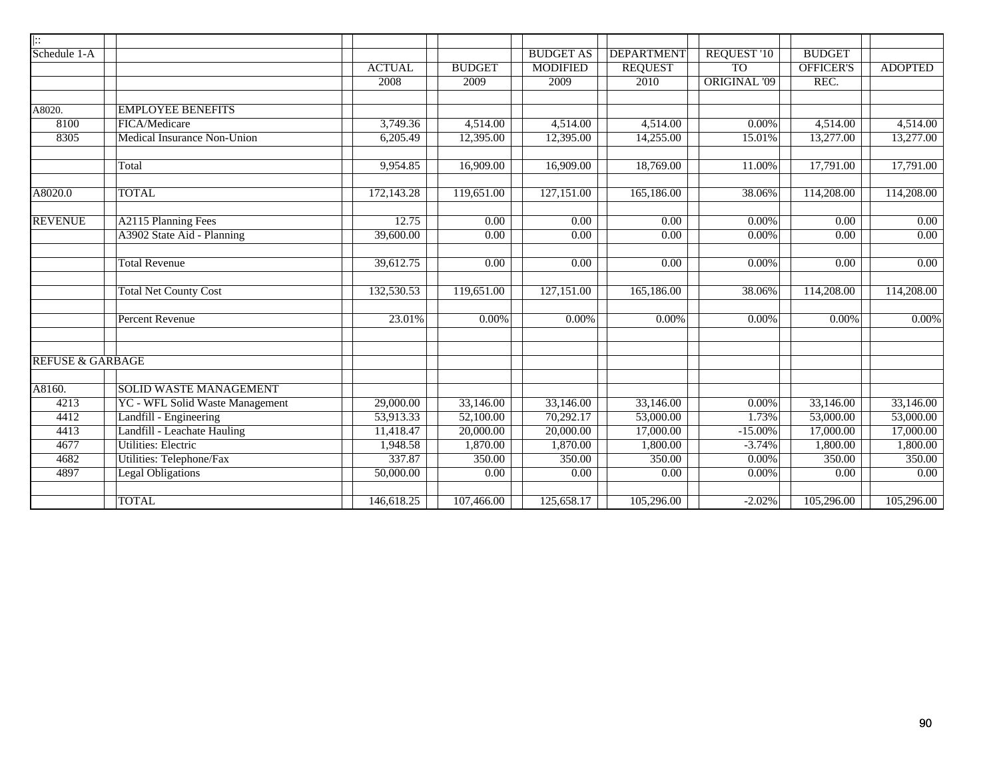| $\  \colon$                 |                                    |               |                   |                   |                   |                     |                   |                   |
|-----------------------------|------------------------------------|---------------|-------------------|-------------------|-------------------|---------------------|-------------------|-------------------|
| Schedule 1-A                |                                    |               |                   | <b>BUDGET AS</b>  | <b>DEPARTMENT</b> | <b>REQUEST '10</b>  | <b>BUDGET</b>     |                   |
|                             |                                    | <b>ACTUAL</b> | <b>BUDGET</b>     | <b>MODIFIED</b>   | <b>REQUEST</b>    | <b>TO</b>           | OFFICER'S         | <b>ADOPTED</b>    |
|                             |                                    | 2008          | 2009              | 2009              | 2010              | <b>ORIGINAL '09</b> | REC.              |                   |
|                             |                                    |               |                   |                   |                   |                     |                   |                   |
| A8020.                      | <b>EMPLOYEE BENEFITS</b>           |               |                   |                   |                   |                     |                   |                   |
| 8100                        | FICA/Medicare                      | 3,749.36      | 4,514.00          | 4,514.00          | 4,514.00          | 0.00%               | 4,514.00          | 4,514.00          |
| 8305                        | <b>Medical Insurance Non-Union</b> | 6,205.49      | 12,395.00         | 12,395.00         | 14,255.00         | 15.01%              | 13,277.00         | 13,277.00         |
|                             | Total                              | 9,954.85      | 16,909.00         | 16,909.00         | 18,769.00         | 11.00%              | 17,791.00         | 17,791.00         |
| A8020.0                     | <b>TOTAL</b>                       | 172,143.28    | 119,651.00        | 127,151.00        | 165,186.00        | 38.06%              | 114,208.00        | 114,208.00        |
| <b>REVENUE</b>              | A2115 Planning Fees                | 12.75         | 0.00              | 0.00              | 0.00              | $0.00\%$            | 0.00              | 0.00              |
|                             | A3902 State Aid - Planning         | 39,600.00     | $\overline{0.00}$ | $\overline{0.00}$ | $\overline{0.00}$ | 0.00%               | 0.00              | $\overline{0.00}$ |
|                             |                                    |               |                   |                   |                   |                     |                   |                   |
|                             | <b>Total Revenue</b>               | 39,612.75     | 0.00              | 0.00              | 0.00              | 0.00%               | 0.00              | $\overline{0.00}$ |
|                             | <b>Total Net County Cost</b>       | 132,530.53    | 119,651.00        | 127,151.00        | 165,186.00        | 38.06%              | 114,208.00        | 114,208.00        |
|                             | <b>Percent Revenue</b>             | 23.01%        | $0.00\%$          | 0.00%             | 0.00%             | 0.00%               | $0.00\%$          | 0.00%             |
| <b>REFUSE &amp; GARBAGE</b> |                                    |               |                   |                   |                   |                     |                   |                   |
| A8160.                      | <b>SOLID WASTE MANAGEMENT</b>      |               |                   |                   |                   |                     |                   |                   |
| 4213                        | YC - WFL Solid Waste Management    | 29,000.00     | 33,146.00         | 33,146.00         | 33,146.00         | $0.00\%$            | 33,146.00         | 33,146.00         |
| 4412                        | Landfill - Engineering             | 53,913.33     | 52,100.00         | 70,292.17         | 53,000.00         | 1.73%               | 53,000.00         | 53,000.00         |
| 4413                        | Landfill - Leachate Hauling        | 11,418.47     | 20,000.00         | 20,000.00         | 17,000.00         | $-15.00%$           | 17,000.00         | 17,000.00         |
| 4677                        | <b>Utilities: Electric</b>         | 1,948.58      | 1,870.00          | 1,870.00          | 1,800.00          | $-3.74%$            | 1,800.00          | 1,800.00          |
| 4682                        | Utilities: Telephone/Fax           | 337.87        | 350.00            | 350.00            | 350.00            | 0.00%               | 350.00            | 350.00            |
| 4897                        | <b>Legal Obligations</b>           | 50,000.00     | 0.00              | 0.00              | 0.00              | 0.00%               | $\overline{0.00}$ | 0.00              |
|                             | <b>TOTAL</b>                       | 146,618.25    | 107,466.00        | 125,658.17        | 105,296.00        | $-2.02%$            | 105,296.00        | 105,296.00        |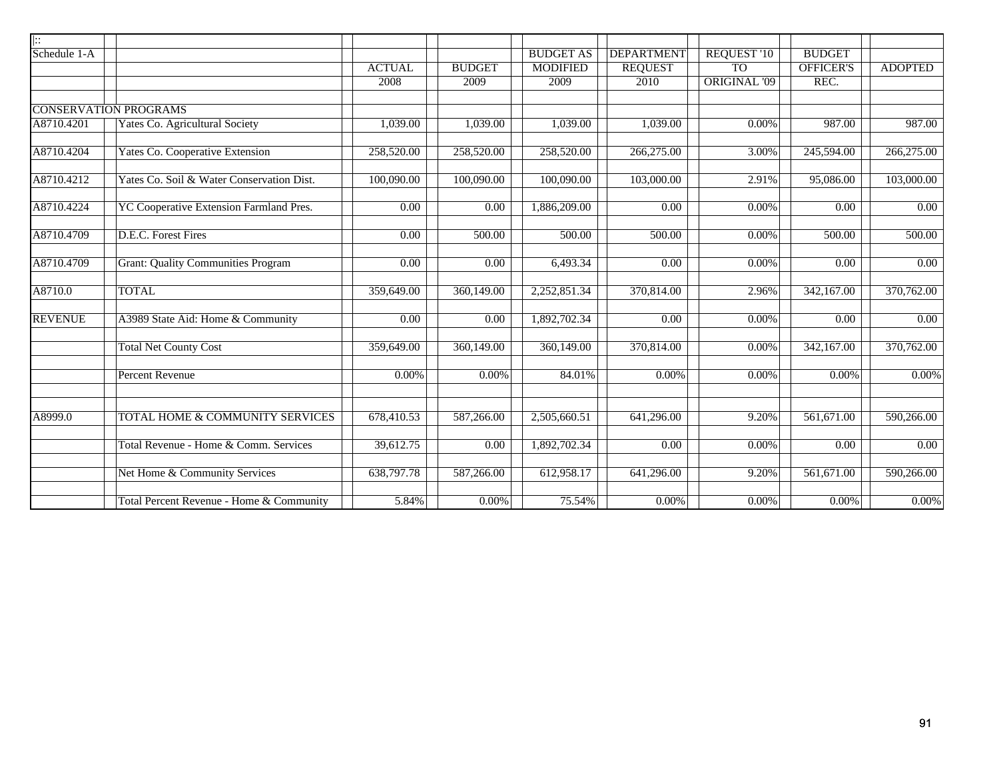| $\mathbin{\mathop{\text{!::}}\nolimits}$ |                                           |                   |                   |                         |                   |                     |                         |                   |
|------------------------------------------|-------------------------------------------|-------------------|-------------------|-------------------------|-------------------|---------------------|-------------------------|-------------------|
| Schedule 1-A                             |                                           |                   |                   | <b>BUDGET AS</b>        | <b>DEPARTMENT</b> | <b>REQUEST '10</b>  | <b>BUDGET</b>           |                   |
|                                          |                                           | <b>ACTUAL</b>     | <b>BUDGET</b>     | <b>MODIFIED</b>         | <b>REQUEST</b>    | <b>TO</b>           | OFFICER'S               | <b>ADOPTED</b>    |
|                                          |                                           | 2008              | 2009              | 2009                    | 2010              | <b>ORIGINAL '09</b> | REC.                    |                   |
|                                          | <b>CONSERVATION PROGRAMS</b>              |                   |                   |                         |                   |                     |                         |                   |
| A8710.4201                               | <b>Yates Co. Agricultural Society</b>     | 1,039.00          | 1,039.00          | 1,039.00                | 1,039.00          | 0.00%               | 987.00                  | 987.00            |
| A8710.4204                               | <b>Yates Co. Cooperative Extension</b>    | 258,520.00        | 258,520.00        | 258,520.00              | 266,275.00        | 3.00%               | 245,594.00              | 266,275.00        |
| A8710.4212                               | Yates Co. Soil & Water Conservation Dist. | 100,090.00        | 100,090.00        | 100,090.00              | 103,000.00        | 2.91%               | 95,086.00               | 103,000.00        |
| A8710.4224                               | YC Cooperative Extension Farmland Pres.   | $\overline{0.00}$ | 0.00              | 1,886,209.00            | 0.00              | 0.00%               | 0.00                    | 0.00              |
| A8710.4709                               | D.E.C. Forest Fires                       | 0.00              | 500.00            | 500.00                  | 500.00            | 0.00%               | 500.00                  | 500.00            |
| A8710.4709                               | <b>Grant: Quality Communities Program</b> | $\overline{0.00}$ | 0.00              | 6,493.34                | $\overline{0.00}$ | 0.00%               | $\overline{0.00}$       | $\overline{0.00}$ |
| A8710.0                                  | <b>TOTAL</b>                              | 359,649.00        | 360,149.00        | 2,252,851.34            | 370,814.00        | 2.96%               | 342,167.00              | 370,762.00        |
| <b>REVENUE</b>                           | A3989 State Aid: Home & Community         | 0.00              | $\overline{0.00}$ | 1,892,702.34            | $\overline{0.00}$ | 0.00%               | 0.00                    | 0.00              |
|                                          | <b>Total Net County Cost</b>              | 359,649.00        | 360,149.00        | $\overline{360,1}49.00$ | 370,814.00        | 0.00%               | $\overline{342,167.00}$ | 370,762.00        |
|                                          | <b>Percent Revenue</b>                    | 0.00%             | 0.00%             | 84.01%                  | 0.00%             | 0.00%               | $0.00\%$                | 0.00%             |
|                                          |                                           |                   |                   |                         |                   |                     |                         |                   |
| A8999.0                                  | TOTAL HOME & COMMUNITY SERVICES           | 678,410.53        | 587,266.00        | 2,505,660.51            | 641,296.00        | 9.20%               | 561,671.00              | 590,266.00        |
|                                          | Total Revenue - Home & Comm. Services     | 39,612.75         | $\overline{0.00}$ | 1,892,702.34            | $\overline{0.00}$ | 0.00%               | $\overline{0.00}$       | 0.00              |
|                                          | Net Home & Community Services             | 638,797.78        | 587,266.00        | 612,958.17              | 641,296.00        | 9.20%               | 561,671.00              | 590,266.00        |
|                                          | Total Percent Revenue - Home & Community  | 5.84%             | 0.00%             | 75.54%                  | $0.00\%$          | $0.00\%$            | $0.00\%$                | $0.00\%$          |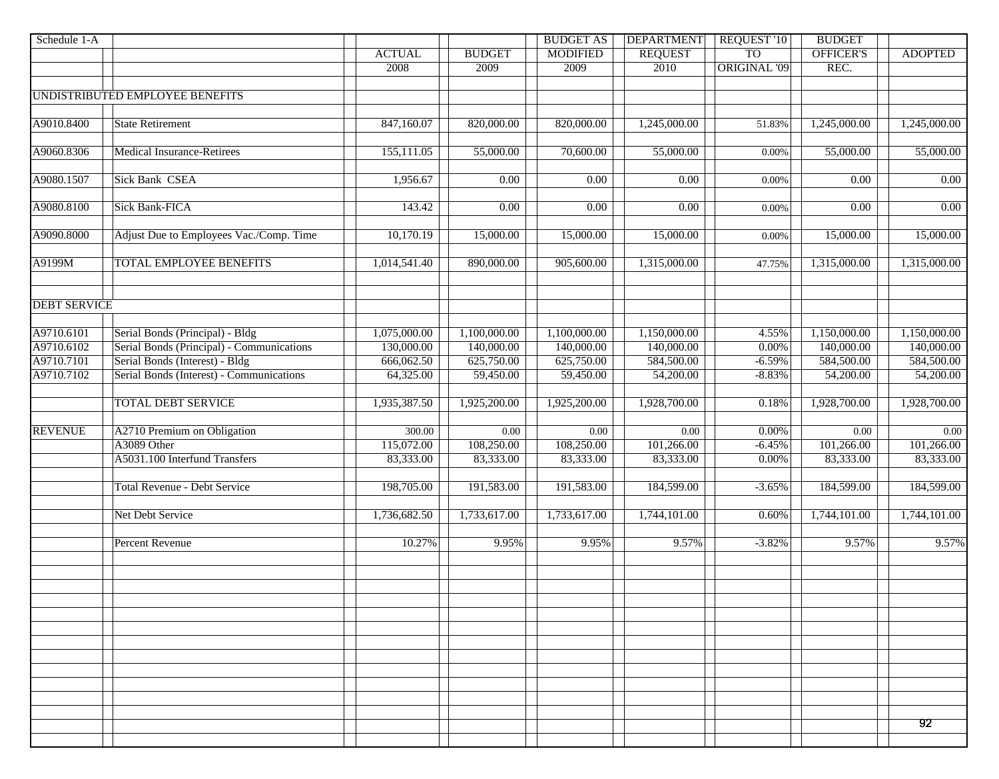| Schedule 1-A        |                                           |               |               | <b>BUDGET AS</b>  | <b>DEPARTMENT</b> | <b>REQUEST '10</b> | <b>BUDGET</b>    |                |
|---------------------|-------------------------------------------|---------------|---------------|-------------------|-------------------|--------------------|------------------|----------------|
|                     |                                           | <b>ACTUAL</b> | <b>BUDGET</b> | <b>MODIFIED</b>   | <b>REQUEST</b>    | <b>TO</b>          | <b>OFFICER'S</b> | <b>ADOPTED</b> |
|                     |                                           | 2008          | 2009          | 2009              | 2010              | ORIGINAL '09       | REC.             |                |
|                     |                                           |               |               |                   |                   |                    |                  |                |
|                     | UNDISTRIBUTED EMPLOYEE BENEFITS           |               |               |                   |                   |                    |                  |                |
|                     |                                           |               |               |                   |                   |                    |                  |                |
| A9010.8400          | <b>State Retirement</b>                   | 847,160.07    | 820,000.00    | 820,000.00        | 1,245,000.00      | 51.83%             | 1,245,000.00     | 1,245,000.00   |
|                     |                                           |               |               |                   |                   |                    |                  |                |
| A9060.8306          | <b>Medical Insurance-Retirees</b>         | 155,111.05    | 55,000.00     | 70,600.00         | 55,000.00         | 0.00%              | 55,000.00        | 55,000.00      |
|                     | <b>Sick Bank CSEA</b>                     |               |               | $\overline{0.00}$ |                   |                    |                  |                |
| A9080.1507          |                                           | 1,956.67      | 0.00          |                   | 0.00              | 0.00%              | 0.00             | $0.00\,$       |
| A9080.8100          | <b>Sick Bank-FICA</b>                     | 143.42        | 0.00          | $\overline{0.00}$ | 0.00              | 0.00%              | 0.00             | 0.00           |
|                     |                                           |               |               |                   |                   |                    |                  |                |
| A9090.8000          | Adjust Due to Employees Vac./Comp. Time   | 10,170.19     | 15,000.00     | 15,000.00         | 15,000.00         | 0.00%              | 15,000.00        | 15,000.00      |
|                     |                                           |               |               |                   |                   |                    |                  |                |
| A9199M              | <b>TOTAL EMPLOYEE BENEFITS</b>            | 1,014,541.40  | 890,000.00    | 905,600.00        | 1,315,000.00      | 47.75%             | 1,315,000.00     | 1,315,000.00   |
|                     |                                           |               |               |                   |                   |                    |                  |                |
|                     |                                           |               |               |                   |                   |                    |                  |                |
| <b>DEBT SERVICE</b> |                                           |               |               |                   |                   |                    |                  |                |
|                     |                                           |               |               |                   |                   |                    |                  |                |
| A9710.6101          | Serial Bonds (Principal) - Bldg           | 1,075,000.00  | 1,100,000.00  | 1,100,000.00      | 1,150,000.00      | 4.55%              | 1,150,000.00     | 1,150,000.00   |
| A9710.6102          | Serial Bonds (Principal) - Communications | 130,000.00    | 140,000.00    | 140,000.00        | 140,000.00        | 0.00%              | 140,000.00       | 140,000.00     |
| A9710.7101          | Serial Bonds (Interest) - Bldg            | 666,062.50    | 625,750.00    | 625,750.00        | 584,500.00        | $-6.59%$           | 584,500.00       | 584,500.00     |
| A9710.7102          | Serial Bonds (Interest) - Communications  | 64,325.00     | 59,450.00     | 59,450.00         | 54,200.00         | $-8.83%$           | 54,200.00        | 54,200.00      |
|                     |                                           |               |               |                   |                   |                    |                  |                |
|                     | <b>TOTAL DEBT SERVICE</b>                 | 1,935,387.50  | 1,925,200.00  | 1,925,200.00      | 1,928,700.00      | 0.18%              | 1,928,700.00     | 1,928,700.00   |
|                     |                                           |               |               |                   |                   |                    |                  |                |
| <b>REVENUE</b>      | A2710 Premium on Obligation               | 300.00        | 0.00          | $0.00\,$          | 0.00              | $0.00\%$           | 0.00             | 0.00           |
|                     | A3089 Other                               | 115,072.00    | 108,250.00    | 108,250.00        | 101,266.00        | $-6.45%$           | 101,266.00       | 101,266.00     |
|                     | A5031.100 Interfund Transfers             | 83,333.00     | 83,333.00     | 83,333.00         | 83,333.00         | 0.00%              | 83,333.00        | 83,333.00      |
|                     |                                           |               |               |                   |                   |                    |                  |                |
|                     | <b>Total Revenue - Debt Service</b>       | 198,705.00    | 191,583.00    | 191,583.00        | 184,599.00        | $-3.65%$           | 184,599.00       | 184,599.00     |
|                     |                                           |               |               |                   |                   |                    |                  |                |
|                     | Net Debt Service                          | 1,736,682.50  | 1,733,617.00  | 1,733,617.00      | 1,744,101.00      | 0.60%              | 1,744,101.00     | 1,744,101.00   |
|                     |                                           |               |               |                   |                   |                    |                  |                |
|                     | <b>Percent Revenue</b>                    | 10.27%        | 9.95%         | 9.95%             | 9.57%             | $-3.82%$           | 9.57%            | 9.57%          |
|                     |                                           |               |               |                   |                   |                    |                  |                |
|                     |                                           |               |               |                   |                   |                    |                  |                |
|                     |                                           |               |               |                   |                   |                    |                  |                |
|                     |                                           |               |               |                   |                   |                    |                  |                |
|                     |                                           |               |               |                   |                   |                    |                  |                |
|                     |                                           |               |               |                   |                   |                    |                  |                |
|                     |                                           |               |               |                   |                   |                    |                  |                |
|                     |                                           |               |               |                   |                   |                    |                  |                |
|                     |                                           |               |               |                   |                   |                    |                  |                |
|                     |                                           |               |               |                   |                   |                    |                  |                |
|                     |                                           |               |               |                   |                   |                    |                  |                |
|                     |                                           |               |               |                   |                   |                    |                  | 92             |
|                     |                                           |               |               |                   |                   |                    |                  |                |
|                     |                                           |               |               |                   |                   |                    |                  |                |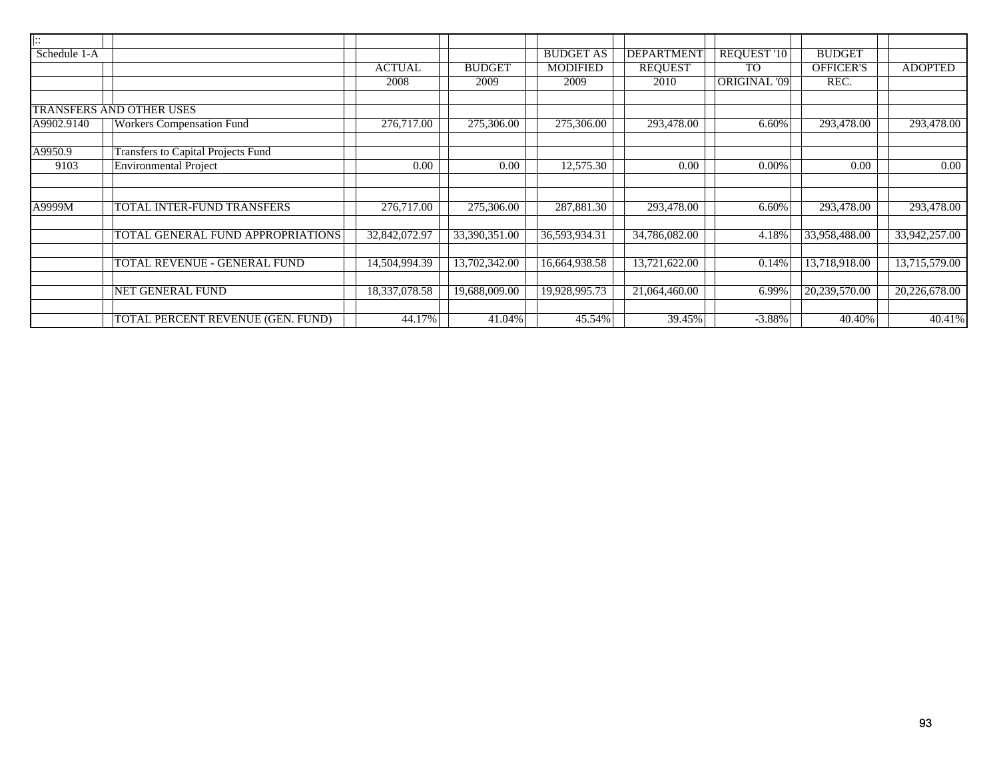| $\overline{\mathbb{R}}$ |                                           |               |               |                            |                   |                     |                  |                |
|-------------------------|-------------------------------------------|---------------|---------------|----------------------------|-------------------|---------------------|------------------|----------------|
| Schedule 1-A            |                                           |               |               | <b>BUDGET AS</b>           | <b>DEPARTMENT</b> | REQUEST '10         | <b>BUDGET</b>    |                |
|                         |                                           | <b>ACTUAL</b> | <b>BUDGET</b> | <b>MODIFIED</b>            | <b>REQUEST</b>    | <b>TO</b>           | <b>OFFICER'S</b> | <b>ADOPTED</b> |
|                         |                                           | 2008          | 2009          | 2009                       | 2010              | <b>ORIGINAL '09</b> | REC.             |                |
|                         |                                           |               |               |                            |                   |                     |                  |                |
|                         | TRANSFERS AND OTHER USES                  |               |               |                            |                   |                     |                  |                |
| A9902.9140              | <b>Workers Compensation Fund</b>          | 276,717.00    | 275,306.00    | 275,306.00                 | 293,478.00        | 6.60%               | 293,478.00       | 293,478.00     |
|                         |                                           |               |               |                            |                   |                     |                  |                |
| A9950.9                 | <b>Transfers to Capital Projects Fund</b> |               |               |                            |                   |                     |                  |                |
| 9103                    | <b>Environmental Project</b>              | 0.00          | 0.00          | 12,575.30                  | 0.00              | 0.00%               | 0.00             | 0.00           |
|                         |                                           |               |               |                            |                   |                     |                  |                |
|                         |                                           |               |               |                            |                   |                     |                  |                |
| A9999M                  | TOTAL INTER-FUND TRANSFERS                | 276,717.00    | 275,306.00    | 287,881.30                 | 293,478.00        | 6.60%               | 293,478.00       | 293,478.00     |
|                         |                                           |               |               |                            |                   |                     |                  |                |
|                         | TOTAL GENERAL FUND APPROPRIATIONS         | 32,842,072.97 | 33,390,351.00 | 36,593,934.31              | 34,786,082.00     | 4.18%               | 33,958,488.00    | 33,942,257.00  |
|                         |                                           |               |               |                            |                   |                     |                  |                |
|                         | TOTAL REVENUE - GENERAL FUND              | 14,504,994.39 | 13,702,342.00 | $\overline{16,664,938.58}$ | 13,721,622.00     | 0.14%               | 13,718,918.00    | 13,715,579.00  |
|                         |                                           |               |               |                            |                   |                     |                  |                |
|                         | <b>NET GENERAL FUND</b>                   | 18,337,078.58 | 19,688,009.00 | 19,928,995.73              | 21,064,460.00     | 6.99%               | 20,239,570.00    | 20,226,678.00  |
|                         |                                           |               |               |                            |                   |                     |                  |                |
|                         | TOTAL PERCENT REVENUE (GEN. FUND)         | 44.17%        | 41.04%        | 45.54%                     | 39.45%            | $-3.88%$            | 40.40%           | 40.41%         |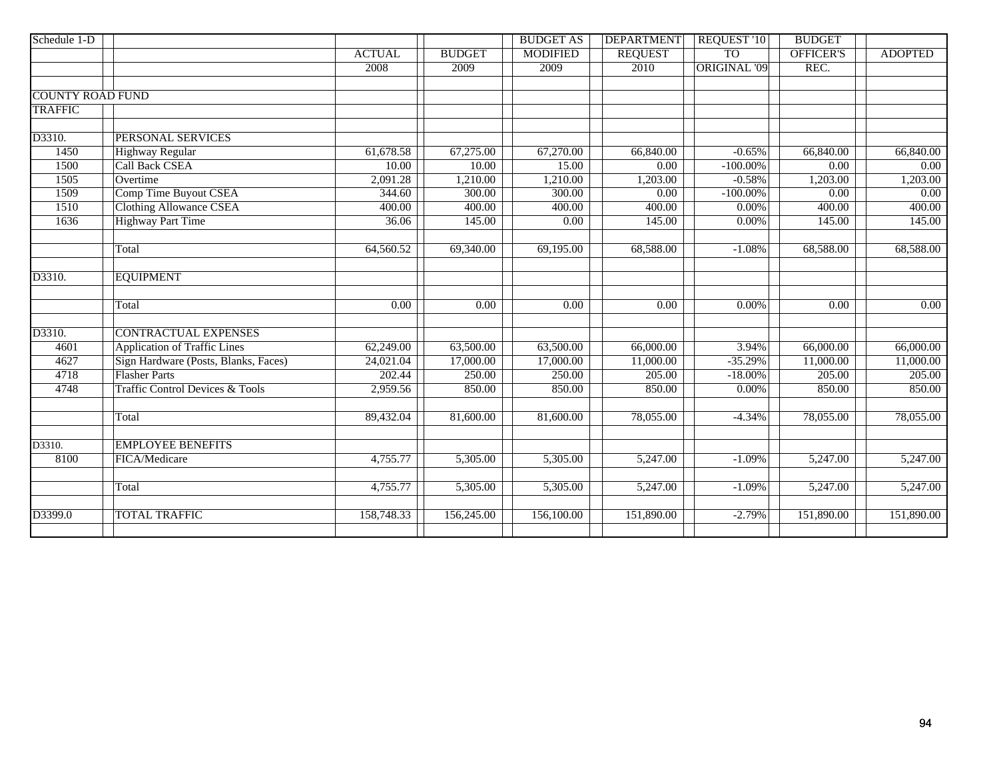| Schedule 1-D            |                                            |                   |                   | <b>BUDGET AS</b>  | <b>DEPARTMENT</b> | <b>REQUEST '10</b>  | <b>BUDGET</b>     |                |
|-------------------------|--------------------------------------------|-------------------|-------------------|-------------------|-------------------|---------------------|-------------------|----------------|
|                         |                                            | <b>ACTUAL</b>     | <b>BUDGET</b>     | <b>MODIFIED</b>   | <b>REQUEST</b>    | <b>TO</b>           | <b>OFFICER'S</b>  | <b>ADOPTED</b> |
|                         |                                            | 2008              | 2009              | 2009              | 2010              | <b>ORIGINAL '09</b> | REC.              |                |
|                         |                                            |                   |                   |                   |                   |                     |                   |                |
| <b>COUNTY ROAD FUND</b> |                                            |                   |                   |                   |                   |                     |                   |                |
| <b>TRAFFIC</b>          |                                            |                   |                   |                   |                   |                     |                   |                |
|                         |                                            |                   |                   |                   |                   |                     |                   |                |
| D3310.                  | PERSONAL SERVICES                          |                   |                   |                   |                   |                     |                   |                |
| 1450                    | <b>Highway Regular</b>                     | 61,678.58         | 67,275.00         | 67,270.00         | 66,840.00         | $-0.65%$            | 66,840.00         | 66,840.00      |
| 1500                    | <b>Call Back CSEA</b>                      | 10.00             | 10.00             | 15.00             | 0.00              | $-100.00\%$         | 0.00              | 0.00           |
| 1505                    | Overtime                                   | 2,091.28          | 1,210.00          | 1,210.00          | 1,203.00          | $-0.58%$            | 1,203.00          | 1,203.00       |
| 1509                    | Comp Time Buyout CSEA                      | 344.60            | 300.00            | 300.00            | $\overline{0.00}$ | $-100.00\%$         | $\overline{0.00}$ | 0.00           |
| 1510                    | <b>Clothing Allowance CSEA</b>             | 400.00            | 400.00            | 400.00            | 400.00            | 0.00%               | 400.00            | 400.00         |
| 1636                    | <b>Highway Part Time</b>                   | 36.06             | 145.00            | 0.00              | 145.00            | 0.00%               | 145.00            | 145.00         |
|                         |                                            |                   |                   |                   |                   |                     |                   |                |
|                         | Total                                      | 64,560.52         | 69,340.00         | 69,195.00         | 68,588.00         | $-1.08%$            | 68,588.00         | 68,588.00      |
|                         |                                            |                   |                   |                   |                   |                     |                   |                |
| D3310.                  | <b>EQUIPMENT</b>                           |                   |                   |                   |                   |                     |                   |                |
|                         | Total                                      | $\overline{0.00}$ | $\overline{0.00}$ | $\overline{0.00}$ | $\overline{0.00}$ | 0.00%               | $\overline{0.00}$ | 0.00           |
|                         |                                            |                   |                   |                   |                   |                     |                   |                |
| D3310.                  | <b>CONTRACTUAL EXPENSES</b>                |                   |                   |                   |                   |                     |                   |                |
| 4601                    | <b>Application of Traffic Lines</b>        | 62,249.00         | 63,500.00         | 63,500.00         | 66,000.00         | 3.94%               | 66,000.00         | 66,000.00      |
| 4627                    | Sign Hardware (Posts, Blanks, Faces)       | 24,021.04         | 17,000.00         | 17,000.00         | 11,000.00         | $-35.29%$           | 11,000.00         | 11,000.00      |
| 4718                    | <b>Flasher Parts</b>                       | 202.44            | 250.00            | 250.00            | 205.00            | $-18.00\%$          | 205.00            | 205.00         |
| 4748                    | <b>Traffic Control Devices &amp; Tools</b> | 2,959.56          | 850.00            | 850.00            | 850.00            | 0.00%               | 850.00            | 850.00         |
|                         |                                            |                   |                   |                   |                   |                     |                   |                |
|                         | Total                                      | 89,432.04         | 81,600.00         | 81,600.00         | 78,055.00         | $-4.34%$            | 78,055.00         | 78,055.00      |
|                         |                                            |                   |                   |                   |                   |                     |                   |                |
| D3310.                  | <b>EMPLOYEE BENEFITS</b>                   |                   |                   |                   |                   |                     |                   |                |
| 8100                    | FICA/Medicare                              | 4,755.77          | 5,305.00          | 5,305.00          | 5,247.00          | $-1.09%$            | 5,247.00          | 5,247.00       |
|                         |                                            |                   |                   |                   |                   |                     |                   |                |
|                         | Total                                      | 4,755.77          | 5,305.00          | 5,305.00          | 5,247.00          | $-1.09%$            | 5,247.00          | 5,247.00       |
|                         |                                            |                   |                   |                   |                   |                     |                   |                |
| D3399.0                 | <b>TOTAL TRAFFIC</b>                       | 158,748.33        | 156,245.00        | 156,100.00        | 151,890.00        | $-2.79%$            | 151,890.00        | 151,890.00     |
|                         |                                            |                   |                   |                   |                   |                     |                   |                |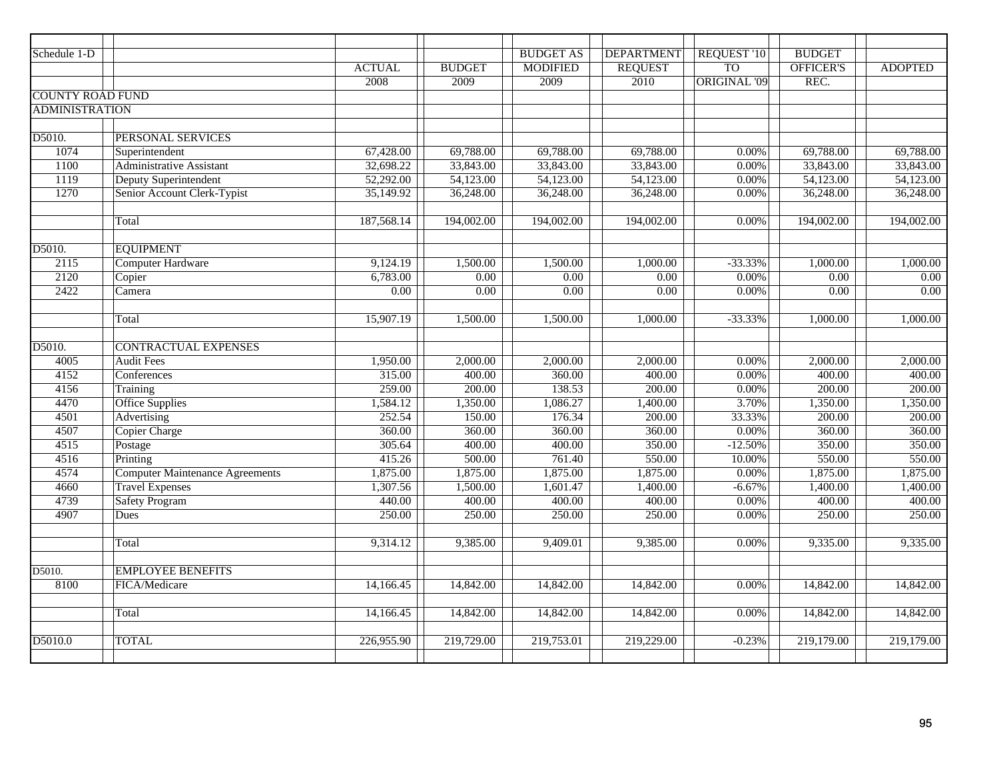| Schedule 1-D            |                                        |                   |                   | <b>BUDGET AS</b> | <b>DEPARTMENT</b> | <b>REQUEST '10</b>  | <b>BUDGET</b>     |                   |
|-------------------------|----------------------------------------|-------------------|-------------------|------------------|-------------------|---------------------|-------------------|-------------------|
|                         |                                        | <b>ACTUAL</b>     | <b>BUDGET</b>     | <b>MODIFIED</b>  | <b>REQUEST</b>    | <b>TO</b>           | <b>OFFICER'S</b>  | <b>ADOPTED</b>    |
|                         |                                        | 2008              | 2009              | 2009             | 2010              | <b>ORIGINAL '09</b> | REC.              |                   |
| <b>COUNTY ROAD FUND</b> |                                        |                   |                   |                  |                   |                     |                   |                   |
| <b>ADMINISTRATION</b>   |                                        |                   |                   |                  |                   |                     |                   |                   |
|                         |                                        |                   |                   |                  |                   |                     |                   |                   |
| D5010.                  | PERSONAL SERVICES                      |                   |                   |                  |                   |                     |                   |                   |
| 1074                    | Superintendent                         | 67,428.00         | 69,788.00         | 69,788.00        | 69,788.00         | 0.00%               | 69,788.00         | 69,788.00         |
| 1100                    | Administrative Assistant               | 32,698.22         | 33,843.00         | 33,843.00        | 33,843.00         | 0.00%               | 33,843.00         | 33,843.00         |
| 1119                    | Deputy Superintendent                  | 52,292.00         | 54,123.00         | 54,123.00        | 54,123.00         | 0.00%               | 54,123.00         | 54,123.00         |
| 1270                    | Senior Account Clerk-Typist            | 35,149.92         | 36,248.00         | 36,248.00        | 36,248.00         | 0.00%               | 36,248.00         | 36,248.00         |
|                         |                                        |                   |                   |                  |                   |                     |                   |                   |
|                         | Total                                  | 187,568.14        | 194,002.00        | 194,002.00       | 194,002.00        | 0.00%               | 194,002.00        | 194,002.00        |
|                         |                                        |                   |                   |                  |                   |                     |                   |                   |
| D5010.                  | <b>EQUIPMENT</b>                       |                   |                   |                  |                   |                     |                   |                   |
| 2115                    | <b>Computer Hardware</b>               | 9,124.19          | 1,500.00          | 1,500.00         | 1,000.00          | $-33.33%$           | 1,000.00          | 1,000.00          |
| 2120                    | Copier                                 | 6,783.00          | 0.00              | 0.00             | $\overline{0.00}$ | 0.00%               | 0.00              | $\overline{0.00}$ |
| 2422                    | Camera                                 | $\overline{0.00}$ | $\overline{0.00}$ | 0.00             | $\overline{0.00}$ | 0.00%               | $\overline{0.00}$ | $\overline{0.00}$ |
|                         |                                        |                   |                   |                  |                   |                     |                   |                   |
|                         | Total                                  | 15,907.19         | 1,500.00          | 1,500.00         | 1,000.00          | $-33.33%$           | 1,000.00          | 1,000.00          |
|                         |                                        |                   |                   |                  |                   |                     |                   |                   |
| D5010.                  | <b>CONTRACTUAL EXPENSES</b>            |                   |                   |                  |                   |                     |                   |                   |
| 4005                    | <b>Audit Fees</b>                      | 1,950.00          | 2,000.00          | 2,000.00         | 2,000.00          | 0.00%               | 2,000.00          | 2,000.00          |
| 4152                    | Conferences                            | 315.00            | 400.00            | 360.00           | 400.00            | 0.00%               | 400.00            | 400.00            |
| 4156                    | Training                               | 259.00            | 200.00            | 138.53           | 200.00            | 0.00%               | 200.00            | 200.00            |
| 4470                    | <b>Office Supplies</b>                 | 1,584.12          | 1,350.00          | 1,086.27         | 1,400.00          | 3.70%               | 1,350.00          | 1,350.00          |
| 4501                    | Advertising                            | 252.54            | 150.00            | 176.34           | 200.00            | 33.33%              | 200.00            | 200.00            |
| 4507                    | <b>Copier Charge</b>                   | 360.00            | 360.00            | 360.00           | 360.00            | 0.00%               | 360.00            | 360.00            |
| 4515                    | Postage                                | 305.64            | 400.00            | 400.00           | 350.00            | $-12.50%$           | 350.00            | 350.00            |
| 4516                    | Printing                               | 415.26            | 500.00            | 761.40           | 550.00            | 10.00%              | 550.00            | 550.00            |
| 4574                    | <b>Computer Maintenance Agreements</b> | 1,875.00          | 1,875.00          | 1,875.00         | 1,875.00          | 0.00%               | 1,875.00          | 1,875.00          |
| 4660                    | <b>Travel Expenses</b>                 | 1,307.56          | 1,500.00          | 1,601.47         | 1,400.00          | $-6.67%$            | 1,400.00          | 1,400.00          |
| 4739                    | <b>Safety Program</b>                  | 440.00            | 400.00            | 400.00           | 400.00            | 0.00%               | 400.00            | 400.00            |
| 4907                    | Dues                                   | 250.00            | 250.00            | 250.00           | 250.00            | 0.00%               | 250.00            | 250.00            |
|                         | Total                                  | 9,314.12          | 9,385.00          | 9,409.01         | 9,385.00          | 0.00%               | 9,335.00          | 9,335.00          |
|                         |                                        |                   |                   |                  |                   |                     |                   |                   |
| D5010.                  | <b>EMPLOYEE BENEFITS</b>               |                   |                   |                  |                   |                     |                   |                   |
| 8100                    | FICA/Medicare                          | 14,166.45         | 14,842.00         | 14,842.00        | 14,842.00         | 0.00%               | 14,842.00         | 14,842.00         |
|                         |                                        |                   |                   |                  |                   |                     |                   |                   |
|                         | Total                                  | 14,166.45         | 14,842.00         | 14,842.00        | 14,842.00         | 0.00%               | 14,842.00         | 14,842.00         |
|                         |                                        |                   |                   |                  |                   |                     |                   |                   |
| D5010.0                 | <b>TOTAL</b>                           | 226,955.90        | 219,729.00        | 219,753.01       | 219,229.00        | $-0.23%$            | 219,179.00        | 219,179.00        |
|                         |                                        |                   |                   |                  |                   |                     |                   |                   |
|                         |                                        |                   |                   |                  |                   |                     |                   |                   |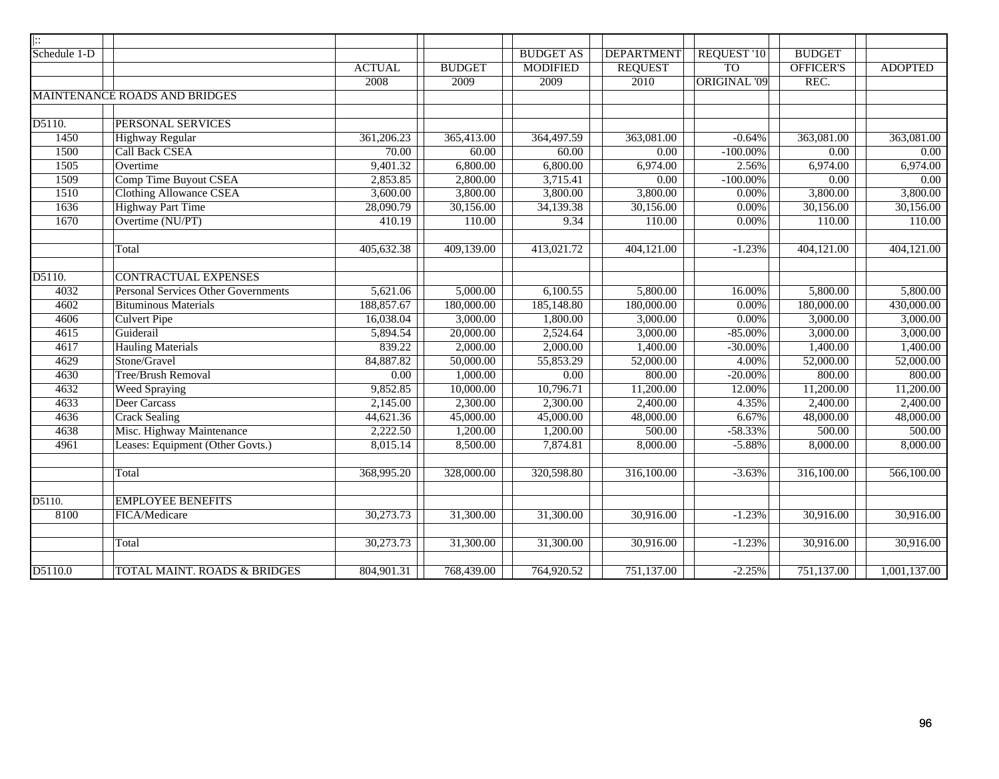| $\vert \vdots$ |                                         |               |               |                  |                   |              |                   |                   |
|----------------|-----------------------------------------|---------------|---------------|------------------|-------------------|--------------|-------------------|-------------------|
| Schedule 1-D   |                                         |               |               | <b>BUDGET AS</b> | <b>DEPARTMENT</b> | REQUEST '10  | <b>BUDGET</b>     |                   |
|                |                                         | <b>ACTUAL</b> | <b>BUDGET</b> | <b>MODIFIED</b>  | <b>REQUEST</b>    | <b>TO</b>    | <b>OFFICER'S</b>  | <b>ADOPTED</b>    |
|                |                                         | 2008          | 2009          | 2009             | 2010              | ORIGINAL '09 | REC.              |                   |
|                | <b>MAINTENANCE ROADS AND BRIDGES</b>    |               |               |                  |                   |              |                   |                   |
|                |                                         |               |               |                  |                   |              |                   |                   |
| D5110.         | PERSONAL SERVICES                       |               |               |                  |                   |              |                   |                   |
| 1450           | <b>Highway Regular</b>                  | 361,206.23    | 365,413.00    | 364,497.59       | 363,081.00        | $-0.64%$     | 363,081.00        | 363,081.00        |
| 1500           | <b>Call Back CSEA</b>                   | 70.00         | 60.00         | 60.00            | $\overline{0.00}$ | $-100.00\%$  | $\overline{0.00}$ | $\overline{0.00}$ |
| 1505           | Overtime                                | 9,401.32      | 6,800.00      | 6,800.00         | 6,974.00          | 2.56%        | 6,974.00          | 6,974.00          |
| 1509           | Comp Time Buyout CSEA                   | 2,853.85      | 2,800.00      | 3,715.41         | 0.00              | $-100.00\%$  | 0.00              | 0.00              |
| 1510           | <b>Clothing Allowance CSEA</b>          | 3,600.00      | 3,800.00      | 3,800.00         | 3,800.00          | 0.00%        | 3,800.00          | 3,800.00          |
| 1636           | <b>Highway Part Time</b>                | 28,090.79     | 30,156.00     | 34,139.38        | 30,156.00         | 0.00%        | 30,156.00         | 30,156.00         |
| 1670           | Overtime (NU/PT)                        | 410.19        | 110.00        | 9.34             | 110.00            | 0.00%        | 110.00            | 110.00            |
|                |                                         |               |               |                  |                   |              |                   |                   |
|                | Total                                   | 405,632.38    | 409,139.00    | 413,021.72       | 404,121.00        | $-1.23%$     | 404,121.00        | 404,121.00        |
|                |                                         |               |               |                  |                   |              |                   |                   |
| D5110.         | <b>CONTRACTUAL EXPENSES</b>             |               |               |                  |                   |              |                   |                   |
| 4032           | Personal Services Other Governments     | 5,621.06      | 5,000.00      | 6,100.55         | 5,800.00          | 16.00%       | 5,800.00          | 5,800.00          |
| 4602           | <b>Bituminous Materials</b>             | 188,857.67    | 180,000.00    | 185,148.80       | 180,000.00        | 0.00%        | 180,000.00        | 430,000.00        |
| 4606           | <b>Culvert Pipe</b>                     | 16,038.04     | 3,000.00      | 1,800.00         | 3,000.00          | 0.00%        | 3,000.00          | 3,000.00          |
| 4615           | Guiderail                               | 5,894.54      | 20,000.00     | 2,524.64         | 3,000.00          | $-85.00%$    | 3,000.00          | 3,000.00          |
| 4617           | <b>Hauling Materials</b>                | 839.22        | 2,000.00      | 2,000.00         | 1,400.00          | $-30.00%$    | 1,400.00          | 1,400.00          |
| 4629           | Stone/Gravel                            | 84,887.82     | 50,000.00     | 55,853.29        | 52,000.00         | 4.00%        | 52,000.00         | 52,000.00         |
| 4630           | <b>Tree/Brush Removal</b>               | 0.00          | 1,000.00      | 0.00             | 800.00            | $-20.00%$    | 800.00            | 800.00            |
| 4632           | <b>Weed Spraying</b>                    | 9,852.85      | 10,000.00     | 10,796.71        | 11,200.00         | 12.00%       | 11,200.00         | 11,200.00         |
| 4633           | Deer Carcass                            | 2,145.00      | 2,300.00      | 2,300.00         | 2,400.00          | 4.35%        | 2,400.00          | 2,400.00          |
| 4636           | <b>Crack Sealing</b>                    | 44,621.36     | 45,000.00     | 45,000.00        | 48,000.00         | 6.67%        | 48,000.00         | 48,000.00         |
| 4638           | Misc. Highway Maintenance               | 2,222.50      | 1,200.00      | 1,200.00         | 500.00            | $-58.33%$    | 500.00            | 500.00            |
| 4961           | Leases: Equipment (Other Govts.)        | 8,015.14      | 8,500.00      | 7,874.81         | 8,000.00          | $-5.88%$     | 8,000.00          | 8,000.00          |
|                |                                         |               |               |                  |                   |              |                   |                   |
|                | Total                                   | 368,995.20    | 328,000.00    | 320,598.80       | 316,100.00        | $-3.63%$     | 316,100.00        | 566,100.00        |
|                |                                         |               |               |                  |                   |              |                   |                   |
| D5110.         | <b>EMPLOYEE BENEFITS</b>                |               |               |                  |                   |              |                   |                   |
| 8100           | FICA/Medicare                           | 30,273.73     | 31,300.00     | 31,300.00        | 30,916.00         | $-1.23%$     | 30,916.00         | 30,916.00         |
|                |                                         |               |               |                  |                   |              |                   |                   |
|                | Total                                   | 30,273.73     | 31,300.00     | 31,300.00        | 30,916.00         | $-1.23%$     | 30,916.00         | 30,916.00         |
|                |                                         |               |               |                  |                   |              |                   |                   |
| D5110.0        | <b>TOTAL MAINT. ROADS &amp; BRIDGES</b> | 804,901.31    | 768,439.00    | 764,920.52       | 751,137.00        | $-2.25%$     | 751,137.00        | 1,001,137.00      |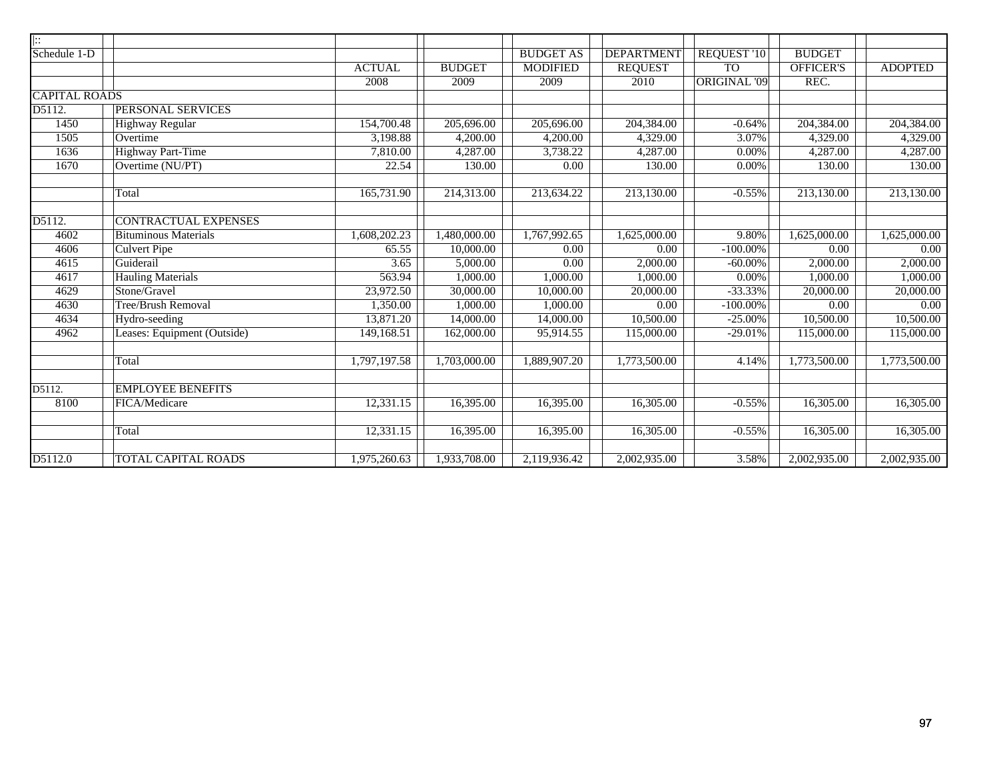| $\ $ :               |                             |               |               |                  |                   |                     |                  |                |
|----------------------|-----------------------------|---------------|---------------|------------------|-------------------|---------------------|------------------|----------------|
| Schedule 1-D         |                             |               |               | <b>BUDGET AS</b> | <b>DEPARTMENT</b> | REQUEST '10         | <b>BUDGET</b>    |                |
|                      |                             | <b>ACTUAL</b> | <b>BUDGET</b> | <b>MODIFIED</b>  | <b>REQUEST</b>    | <b>TO</b>           | <b>OFFICER'S</b> | <b>ADOPTED</b> |
|                      |                             | 2008          | 2009          | 2009             | 2010              | <b>ORIGINAL '09</b> | REC.             |                |
| <b>CAPITAL ROADS</b> |                             |               |               |                  |                   |                     |                  |                |
| D5112.               | PERSONAL SERVICES           |               |               |                  |                   |                     |                  |                |
| 1450                 | Highway Regular             | 154,700.48    | 205,696.00    | 205,696.00       | 204,384.00        | $-0.64%$            | 204,384.00       | 204,384.00     |
| 1505                 | Overtime                    | 3,198.88      | 4,200.00      | 4,200.00         | 4,329.00          | 3.07%               | 4,329.00         | 4,329.00       |
| 1636                 | <b>Highway Part-Time</b>    | 7,810.00      | 4,287.00      | 3,738.22         | 4,287.00          | 0.00%               | 4,287.00         | 4,287.00       |
| 1670                 | Overtime (NU/PT)            | 22.54         | 130.00        | 0.00             | 130.00            | 0.00%               | 130.00           | 130.00         |
|                      |                             |               |               |                  |                   |                     |                  |                |
|                      | Total                       | 165,731.90    | 214,313.00    | 213,634.22       | 213,130.00        | $-0.55%$            | 213,130.00       | 213,130.00     |
|                      |                             |               |               |                  |                   |                     |                  |                |
| D5112.               | <b>CONTRACTUAL EXPENSES</b> |               |               |                  |                   |                     |                  |                |
| 4602                 | <b>Bituminous Materials</b> | 1,608,202.23  | 1,480,000.00  | 1,767,992.65     | 1,625,000.00      | 9.80%               | 1,625,000.00     | 1,625,000.00   |
| 4606                 | <b>Culvert Pipe</b>         | 65.55         | 10,000.00     | 0.00             | 0.00              | $-100.00\%$         | 0.00             | 0.00           |
| 4615                 | Guiderail                   | 3.65          | 5,000.00      | 0.00             | 2,000.00          | $-60.00\%$          | 2,000.00         | 2,000.00       |
| 4617                 | <b>Hauling Materials</b>    | 563.94        | 1,000.00      | 1,000.00         | 1,000.00          | 0.00%               | 1,000.00         | 1,000.00       |
| 4629                 | Stone/Gravel                | 23,972.50     | 30,000.00     | 10,000.00        | 20,000.00         | $-33.33%$           | 20,000.00        | 20,000.00      |
| 4630                 | <b>Tree/Brush Removal</b>   | 1,350.00      | 1,000.00      | 1,000.00         | 0.00              | $-100.00\%$         | 0.00             | 0.00           |
| 4634                 | Hydro-seeding               | 13,871.20     | 14,000.00     | 14,000.00        | 10,500.00         | $-25.00%$           | 10,500.00        | 10,500.00      |
| 4962                 | Leases: Equipment (Outside) | 149,168.51    | 162,000.00    | 95,914.55        | 115,000.00        | $-29.01%$           | 115,000.00       | 115,000.00     |
|                      |                             |               |               |                  |                   |                     |                  |                |
|                      | Total                       | 1,797,197.58  | 1,703,000.00  | 1,889,907.20     | 1,773,500.00      | 4.14%               | 1,773,500.00     | 1,773,500.00   |
|                      |                             |               |               |                  |                   |                     |                  |                |
| D5112.               | <b>EMPLOYEE BENEFITS</b>    |               |               |                  |                   |                     |                  |                |
| 8100                 | FICA/Medicare               | 12,331.15     | 16,395.00     | 16,395.00        | 16,305.00         | $-0.55%$            | 16,305.00        | 16,305.00      |
|                      |                             |               |               |                  |                   |                     |                  |                |
|                      | Total                       | 12,331.15     | 16,395.00     | 16,395.00        | 16,305.00         | $-0.55%$            | 16,305.00        | 16,305.00      |
|                      |                             |               |               |                  |                   |                     |                  |                |
| D5112.0              | TOTAL CAPITAL ROADS         | 1,975,260.63  | 1,933,708.00  | 2,119,936.42     | 2,002,935.00      | 3.58%               | 2,002,935.00     | 2,002,935.00   |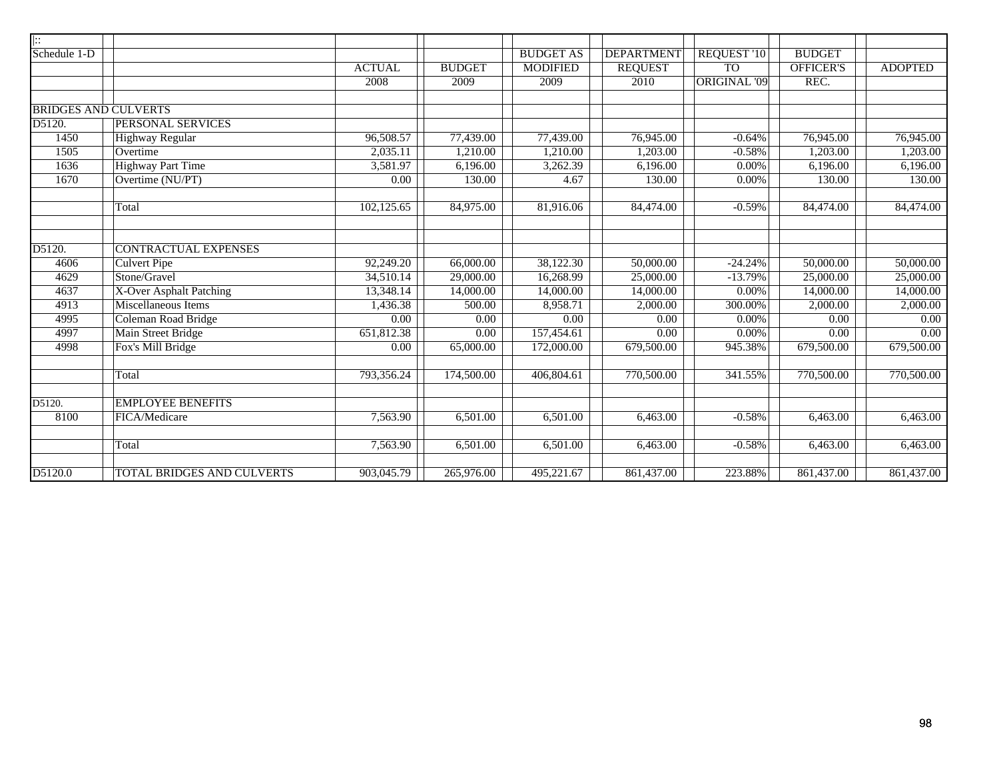| $\vert \vdots$       |                             |                   |                   |                  |                   |                     |                   |                   |
|----------------------|-----------------------------|-------------------|-------------------|------------------|-------------------|---------------------|-------------------|-------------------|
| Schedule 1-D         |                             |                   |                   | <b>BUDGET AS</b> | <b>DEPARTMENT</b> | REQUEST '10         | <b>BUDGET</b>     |                   |
|                      |                             | <b>ACTUAL</b>     | <b>BUDGET</b>     | <b>MODIFIED</b>  | <b>REQUEST</b>    | T <sub>O</sub>      | <b>OFFICER'S</b>  | <b>ADOPTED</b>    |
|                      |                             | 2008              | 2009              | 2009             | 2010              | <b>ORIGINAL '09</b> | REC.              |                   |
|                      |                             |                   |                   |                  |                   |                     |                   |                   |
|                      | <b>BRIDGES AND CULVERTS</b> |                   |                   |                  |                   |                     |                   |                   |
| D5120.               | PERSONAL SERVICES           |                   |                   |                  |                   |                     |                   |                   |
| 1450                 | <b>Highway Regular</b>      | 96,508.57         | 77,439.00         | 77,439.00        | 76,945.00         | $-0.64%$            | 76,945.00         | 76,945.00         |
| 1505                 | Overtime                    | 2,035.11          | 1,210.00          | 1,210.00         | 1,203.00          | $-0.58%$            | 1,203.00          | 1,203.00          |
| 1636                 | <b>Highway Part Time</b>    | 3,581.97          | 6,196.00          | 3,262.39         | 6,196.00          | 0.00%               | 6,196.00          | 6,196.00          |
| 1670                 | Overtime (NU/PT)            | $\overline{0.00}$ | 130.00            | 4.67             | 130.00            | 0.00%               | 130.00            | 130.00            |
|                      | Total                       | 102,125.65        | 84,975.00         | 81,916.06        | 84,474.00         | $-0.59%$            | 84,474.00         | 84,474.00         |
| $\overline{D5120}$ . | <b>CONTRACTUAL EXPENSES</b> |                   |                   |                  |                   |                     |                   |                   |
| 4606                 | <b>Culvert Pipe</b>         | 92,249.20         | 66,000.00         | 38,122.30        | 50,000.00         | $-24.24%$           | 50,000.00         | 50,000.00         |
| 4629                 | Stone/Gravel                | 34,510.14         | 29,000.00         | 16,268.99        | 25,000.00         | $-13.79%$           | 25,000.00         | 25,000.00         |
| 4637                 | X-Over Asphalt Patching     | 13,348.14         | 14,000.00         | 14,000.00        | 14,000.00         | 0.00%               | 14,000.00         | 14,000.00         |
| 4913                 | <b>Miscellaneous Items</b>  | 1,436.38          | 500.00            | 8,958.71         | 2,000.00          | 300.00%             | 2,000.00          | 2,000.00          |
| 4995                 | Coleman Road Bridge         | 0.00              | $\overline{0.00}$ | 0.00             | $\overline{0.00}$ | 0.00%               | $\overline{0.00}$ | 0.00              |
| 4997                 | Main Street Bridge          | 651,812.38        | 0.00              | 157,454.61       | $\overline{0.00}$ | 0.00%               | $\overline{0.00}$ | $\overline{0.00}$ |
| 4998                 | Fox's Mill Bridge           | 0.00              | 65,000.00         | 172,000.00       | 679,500.00        | 945.38%             | 679,500.00        | 679,500.00        |
|                      | Total                       | 793,356.24        | 174,500.00        | 406,804.61       | 770,500.00        | 341.55%             | 770,500.00        | 770,500.00        |
| D5120.               | <b>EMPLOYEE BENEFITS</b>    |                   |                   |                  |                   |                     |                   |                   |
| 8100                 | FICA/Medicare               | 7,563.90          | 6,501.00          | 6,501.00         | 6,463.00          | $-0.58%$            | 6,463.00          | 6,463.00          |
|                      | Total                       | 7,563.90          | 6,501.00          | 6,501.00         | 6,463.00          | $-0.58%$            | 6,463.00          | 6,463.00          |
| D5120.0              | TOTAL BRIDGES AND CULVERTS  | 903,045.79        | 265,976.00        | 495,221.67       | 861,437.00        | 223.88%             | 861,437.00        | 861,437.00        |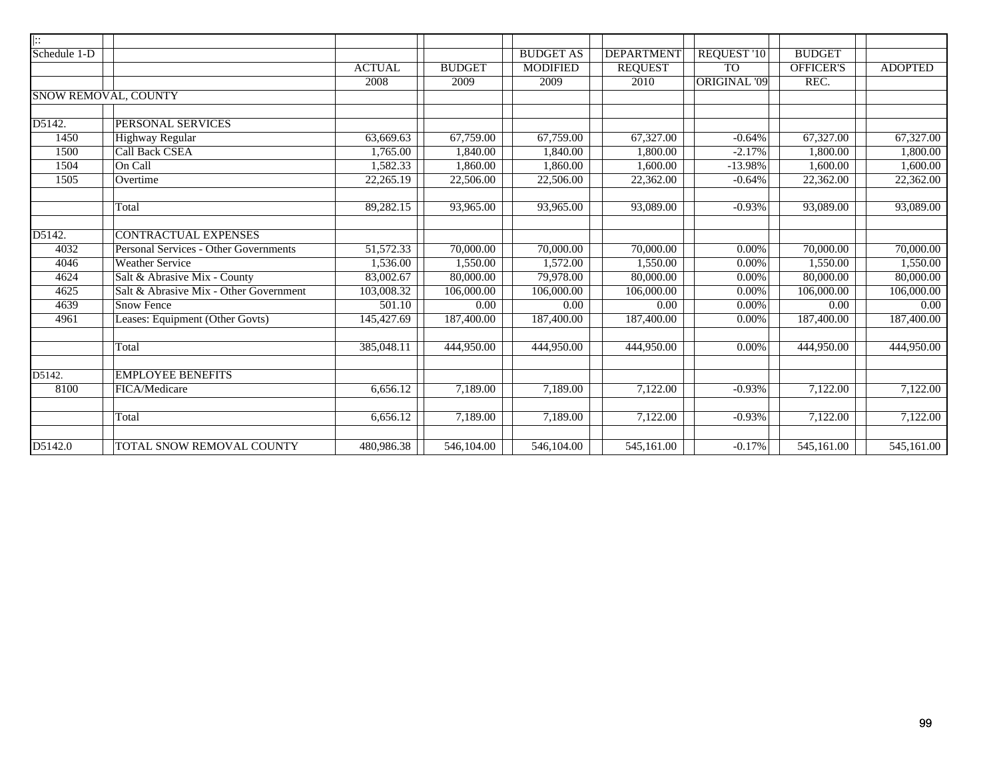| $\vert \vdots$ |                                        |               |               |                   |                   |                     |                  |                |
|----------------|----------------------------------------|---------------|---------------|-------------------|-------------------|---------------------|------------------|----------------|
| Schedule 1-D   |                                        |               |               | <b>BUDGET AS</b>  | <b>DEPARTMENT</b> | REQUEST '10         | <b>BUDGET</b>    |                |
|                |                                        | <b>ACTUAL</b> | <b>BUDGET</b> | <b>MODIFIED</b>   | <b>REQUEST</b>    | <b>TO</b>           | <b>OFFICER'S</b> | <b>ADOPTED</b> |
|                |                                        | 2008          | 2009          | 2009              | 2010              | <b>ORIGINAL '09</b> | REC.             |                |
|                | <b>SNOW REMOVAL, COUNTY</b>            |               |               |                   |                   |                     |                  |                |
|                |                                        |               |               |                   |                   |                     |                  |                |
| D5142.         | PERSONAL SERVICES                      |               |               |                   |                   |                     |                  |                |
| 1450           | <b>Highway Regular</b>                 | 63,669.63     | 67,759.00     | 67,759.00         | 67,327.00         | $-0.64%$            | 67,327.00        | 67,327.00      |
| 1500           | <b>Call Back CSEA</b>                  | 1,765.00      | 1,840.00      | 1,840.00          | 1,800.00          | $-2.17%$            | 1,800.00         | 1,800.00       |
| 1504           | On Call                                | 1,582.33      | 1,860.00      | 1,860.00          | 1,600.00          | $-13.98%$           | 1,600.00         | 1,600.00       |
| 1505           | Overtime                               | 22,265.19     | 22,506.00     | 22,506.00         | 22,362.00         | $-0.64%$            | 22,362.00        | 22,362.00      |
|                | Total                                  | 89,282.15     | 93,965.00     | 93,965.00         | 93,089.00         | $-0.93%$            | 93,089.00        | 93,089.00      |
| D5142.         | <b>CONTRACTUAL EXPENSES</b>            |               |               |                   |                   |                     |                  |                |
| 4032           | Personal Services - Other Governments  | 51,572.33     | 70,000.00     | 70,000.00         | 70,000.00         | 0.00%               | 70,000.00        | 70,000.00      |
| 4046           | <b>Weather Service</b>                 | 1,536.00      | 1,550.00      | 1,572.00          | 1,550.00          | 0.00%               | 1,550.00         | 1,550.00       |
| 4624           | Salt & Abrasive Mix - County           | 83,002.67     | 80,000.00     | 79,978.00         | 80,000.00         | 0.00%               | 80,000.00        | 80,000.00      |
| 4625           | Salt & Abrasive Mix - Other Government | 103,008.32    | 106,000.00    | 106,000.00        | 106,000.00        | 0.00%               | 106,000.00       | 106,000.00     |
| 4639           | <b>Snow Fence</b>                      | 501.10        | 0.00          | $\overline{0.00}$ | 0.00              | 0.00%               | 0.00             | 0.00           |
| 4961           | Leases: Equipment (Other Govts)        | 145,427.69    | 187,400.00    | 187,400.00        | 187,400.00        | $0.00\%$            | 187,400.00       | 187,400.00     |
|                |                                        |               |               |                   |                   |                     |                  |                |
|                | Total                                  | 385,048.11    | 444,950.00    | 444,950.00        | 444,950.00        | 0.00%               | 444,950.00       | 444,950.00     |
| D5142.         | <b>EMPLOYEE BENEFITS</b>               |               |               |                   |                   |                     |                  |                |
| 8100           | FICA/Medicare                          | 6,656.12      | 7,189.00      | 7,189.00          | 7,122.00          | $-0.93%$            | 7,122.00         | 7,122.00       |
|                |                                        |               |               |                   |                   |                     |                  |                |
|                | Total                                  | 6,656.12      | 7,189.00      | 7,189.00          | 7,122.00          | $-0.93%$            | 7,122.00         | 7,122.00       |
|                |                                        |               |               |                   |                   |                     |                  |                |
| D5142.0        | TOTAL SNOW REMOVAL COUNTY              | 480,986.38    | 546,104.00    | 546,104.00        | 545,161.00        | $-0.17%$            | 545,161.00       | 545,161.00     |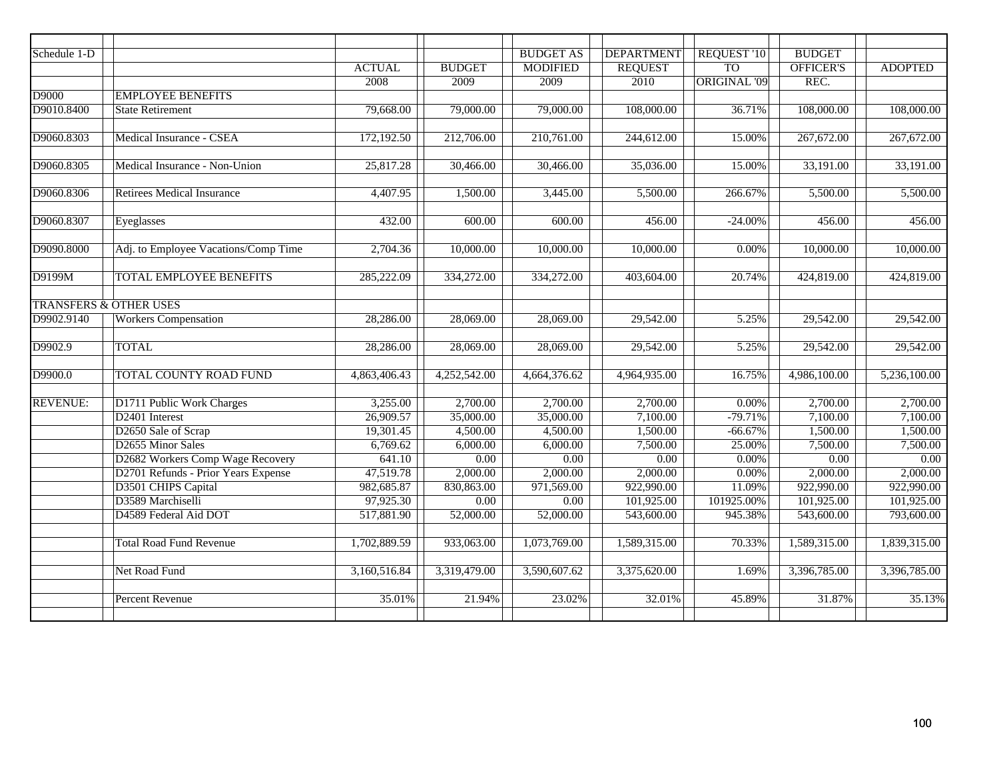| Schedule 1-D    |                                      |               |               | <b>BUDGET AS</b> | <b>DEPARTMENT</b> | REQUEST '10         | <b>BUDGET</b>    |                |
|-----------------|--------------------------------------|---------------|---------------|------------------|-------------------|---------------------|------------------|----------------|
|                 |                                      | <b>ACTUAL</b> | <b>BUDGET</b> | <b>MODIFIED</b>  | <b>REQUEST</b>    | TO <sub>1</sub>     | <b>OFFICER'S</b> | <b>ADOPTED</b> |
|                 |                                      | 2008          | 2009          | 2009             | 2010              | <b>ORIGINAL '09</b> | REC.             |                |
| D9000           | <b>EMPLOYEE BENEFITS</b>             |               |               |                  |                   |                     |                  |                |
| D9010.8400      | <b>State Retirement</b>              | 79,668.00     | 79,000.00     | 79,000.00        | 108,000.00        | 36.71%              | 108,000.00       | 108,000.00     |
|                 |                                      |               |               |                  |                   |                     |                  |                |
| D9060.8303      | Medical Insurance - CSEA             | 172,192.50    | 212,706.00    | 210,761.00       | 244,612.00        | 15.00%              | 267,672.00       | 267,672.00     |
|                 |                                      |               |               |                  |                   |                     |                  |                |
| D9060.8305      | Medical Insurance - Non-Union        | 25,817.28     | 30,466.00     | 30,466.00        | 35,036.00         | 15.00%              | 33,191.00        | 33,191.00      |
|                 |                                      |               |               |                  |                   |                     |                  |                |
| D9060.8306      | <b>Retirees Medical Insurance</b>    | 4,407.95      | 1,500.00      | 3,445.00         | 5,500.00          | 266.67%             | 5,500.00         | 5,500.00       |
|                 |                                      |               |               |                  |                   |                     |                  |                |
| D9060.8307      | Eyeglasses                           | 432.00        | 600.00        | 600.00           | 456.00            | $-24.00%$           | 456.00           | 456.00         |
|                 |                                      |               |               |                  |                   |                     |                  |                |
| D9090.8000      | Adj. to Employee Vacations/Comp Time | 2,704.36      | 10,000.00     | 10,000.00        | 10,000.00         | 0.00%               | 10,000.00        | 10,000.00      |
|                 |                                      |               |               |                  |                   |                     |                  |                |
| D9199M          | <b>TOTAL EMPLOYEE BENEFITS</b>       | 285,222.09    | 334,272.00    | 334,272.00       | 403,604.00        | 20.74%              | 424,819.00       | 424,819.00     |
|                 |                                      |               |               |                  |                   |                     |                  |                |
|                 | <b>TRANSFERS &amp; OTHER USES</b>    |               |               |                  |                   |                     |                  |                |
| D9902.9140      | <b>Workers Compensation</b>          | 28,286.00     | 28,069.00     | 28,069.00        | 29,542.00         | 5.25%               | 29,542.00        | 29,542.00      |
|                 |                                      |               |               |                  |                   |                     |                  |                |
| D9902.9         | <b>TOTAL</b>                         | 28,286.00     | 28,069.00     | 28,069.00        | 29,542.00         | 5.25%               | 29,542.00        | 29,542.00      |
|                 |                                      |               |               |                  |                   |                     |                  |                |
| D9900.0         | <b>TOTAL COUNTY ROAD FUND</b>        | 4,863,406.43  | 4,252,542.00  | 4,664,376.62     | 4,964,935.00      | 16.75%              | 4,986,100.00     | 5,236,100.00   |
|                 |                                      |               |               |                  |                   |                     |                  |                |
| <b>REVENUE:</b> | D1711 Public Work Charges            | 3,255.00      | 2,700.00      | 2,700.00         | 2,700.00          | $0.00\%$            | 2,700.00         | 2,700.00       |
|                 | D <sub>2401</sub> Interest           | 26,909.57     | 35,000.00     | 35,000.00        | 7,100.00          | $-79.71%$           | 7,100.00         | 7,100.00       |
|                 | D <sub>2650</sub> Sale of Scrap      | 19,301.45     | 4,500.00      | 4,500.00         | 1,500.00          | $-66.67%$           | 1,500.00         | 1,500.00       |
|                 | D2655 Minor Sales                    | 6,769.62      | 6,000.00      | 6,000.00         | 7,500.00          | 25.00%              | 7,500.00         | 7,500.00       |
|                 | D2682 Workers Comp Wage Recovery     | 641.10        | 0.00          | 0.00             | 0.00              | 0.00%               | 0.00             | 0.00           |
|                 | D2701 Refunds - Prior Years Expense  | 47,519.78     | 2,000.00      | 2,000.00         | 2,000.00          | 0.00%               | 2,000.00         | 2,000.00       |
|                 | D3501 CHIPS Capital                  | 982,685.87    | 830,863.00    | 971,569.00       | 922,990.00        | 11.09%              | 922,990.00       | 922,990.00     |
|                 | D3589 Marchiselli                    | 97,925.30     | 0.00          | 0.00             | 101,925.00        | 101925.00%          | 101,925.00       | 101,925.00     |
|                 | D4589 Federal Aid DOT                | 517,881.90    | 52,000.00     | 52,000.00        | 543,600.00        | 945.38%             | 543,600.00       | 793,600.00     |
|                 |                                      |               |               |                  |                   |                     |                  |                |
|                 | <b>Total Road Fund Revenue</b>       | 1,702,889.59  | 933,063.00    | 1,073,769.00     | 1,589,315.00      | 70.33%              | 1,589,315.00     | 1,839,315.00   |
|                 |                                      |               |               |                  |                   |                     |                  |                |
|                 | Net Road Fund                        | 3,160,516.84  | 3,319,479.00  | 3,590,607.62     | 3,375,620.00      | 1.69%               | 3,396,785.00     | 3,396,785.00   |
|                 |                                      |               |               |                  |                   |                     |                  |                |
|                 | <b>Percent Revenue</b>               | 35.01%        | 21.94%        | 23.02%           | 32.01%            | 45.89%              | 31.87%           | 35.13%         |
|                 |                                      |               |               |                  |                   |                     |                  |                |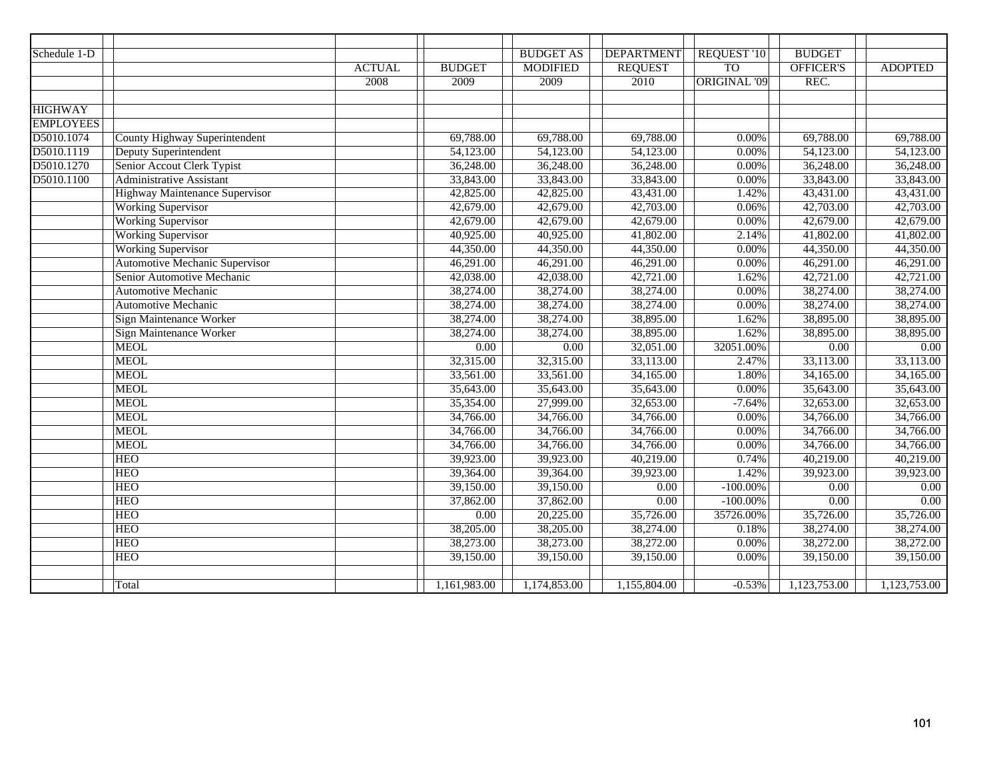| Schedule 1-D     |                                       |               |               | <b>BUDGET AS</b> | <b>DEPARTMENT</b> | REQUEST '10         | <b>BUDGET</b>    |                |
|------------------|---------------------------------------|---------------|---------------|------------------|-------------------|---------------------|------------------|----------------|
|                  |                                       | <b>ACTUAL</b> | <b>BUDGET</b> | <b>MODIFIED</b>  | <b>REQUEST</b>    | <b>TO</b>           | <b>OFFICER'S</b> | <b>ADOPTED</b> |
|                  |                                       | 2008          | 2009          | 2009             | 2010              | <b>ORIGINAL '09</b> | REC.             |                |
|                  |                                       |               |               |                  |                   |                     |                  |                |
| <b>HIGHWAY</b>   |                                       |               |               |                  |                   |                     |                  |                |
| <b>EMPLOYEES</b> |                                       |               |               |                  |                   |                     |                  |                |
| D5010.1074       | <b>County Highway Superintendent</b>  |               | 69,788.00     | 69,788.00        | 69,788.00         | 0.00%               | 69,788.00        | 69,788.00      |
| D5010.1119       | <b>Deputy Superintendent</b>          |               | 54,123.00     | 54,123.00        | 54,123.00         | 0.00%               | 54,123.00        | 54,123.00      |
| D5010.1270       | Senior Accout Clerk Typist            |               | 36,248.00     | 36,248.00        | 36,248.00         | 0.00%               | 36,248.00        | 36,248.00      |
| D5010.1100       | <b>Administrative Assistant</b>       |               | 33,843.00     | 33,843.00        | 33,843.00         | 0.00%               | 33,843.00        | 33,843.00      |
|                  | <b>Highway Maintenance Supervisor</b> |               | 42,825.00     | 42,825.00        | 43,431.00         | 1.42%               | 43,431.00        | 43,431.00      |
|                  | <b>Working Supervisor</b>             |               | 42,679.00     | 42,679.00        | 42,703.00         | 0.06%               | 42,703.00        | 42,703.00      |
|                  | <b>Working Supervisor</b>             |               | 42,679.00     | 42,679.00        | 42,679.00         | 0.00%               | 42,679.00        | 42,679.00      |
|                  | <b>Working Supervisor</b>             |               | 40,925.00     | 40,925.00        | 41,802.00         | 2.14%               | 41,802.00        | 41,802.00      |
|                  | <b>Working Supervisor</b>             |               | 44,350.00     | 44,350.00        | 44,350.00         | 0.00%               | 44,350.00        | 44,350.00      |
|                  | <b>Automotive Mechanic Supervisor</b> |               | 46,291.00     | 46,291.00        | 46,291.00         | 0.00%               | 46,291.00        | 46,291.00      |
|                  | Senior Automotive Mechanic            |               | 42,038.00     | 42,038.00        | 42,721.00         | 1.62%               | 42,721.00        | 42,721.00      |
|                  | <b>Automotive Mechanic</b>            |               | 38,274.00     | 38,274.00        | 38,274.00         | 0.00%               | 38,274.00        | 38,274.00      |
|                  | <b>Automotive Mechanic</b>            |               | 38,274.00     | 38,274.00        | 38,274.00         | 0.00%               | 38,274.00        | 38,274.00      |
|                  | Sign Maintenance Worker               |               | 38,274.00     | 38,274.00        | 38,895.00         | 1.62%               | 38,895.00        | 38,895.00      |
|                  | <b>Sign Maintenance Worker</b>        |               | 38,274.00     | 38,274.00        | 38,895.00         | 1.62%               | 38,895.00        | 38,895.00      |
|                  | <b>MEOL</b>                           |               | 0.00          | 0.00             | 32,051.00         | 32051.00%           | 0.00             | 0.00           |
|                  | <b>MEOL</b>                           |               | 32,315.00     | 32,315.00        | 33,113.00         | 2.47%               | 33,113.00        | 33,113.00      |
|                  | <b>MEOL</b>                           |               | 33,561.00     | 33,561.00        | 34,165.00         | 1.80%               | 34,165.00        | 34,165.00      |
|                  | <b>MEOL</b>                           |               | 35,643.00     | 35,643.00        | 35,643.00         | 0.00%               | 35,643.00        | 35,643.00      |
|                  | <b>MEOL</b>                           |               | 35,354.00     | 27,999.00        | 32,653.00         | $-7.64%$            | 32,653.00        | 32,653.00      |
|                  | <b>MEOL</b>                           |               | 34,766.00     | 34,766.00        | 34,766.00         | 0.00%               | 34,766.00        | 34,766.00      |
|                  | <b>MEOL</b>                           |               | 34,766.00     | 34,766.00        | 34,766.00         | 0.00%               | 34,766.00        | 34,766.00      |
|                  | <b>MEOL</b>                           |               | 34,766.00     | 34,766.00        | 34,766.00         | 0.00%               | 34,766.00        | 34,766.00      |
|                  | <b>HEO</b>                            |               | 39,923.00     | 39,923.00        | 40,219.00         | 0.74%               | 40,219.00        | 40,219.00      |
|                  | <b>HEO</b>                            |               | 39,364.00     | 39,364.00        | 39,923.00         | 1.42%               | 39,923.00        | 39,923.00      |
|                  | <b>HEO</b>                            |               | 39,150.00     | 39,150.00        | $\overline{0.00}$ | $-100.00\%$         | 0.00             | 0.00           |
|                  | <b>HEO</b>                            |               | 37,862.00     | 37,862.00        | 0.00              | $-100.00\%$         | 0.00             | 0.00           |
|                  | <b>HEO</b>                            |               | 0.00          | 20,225.00        | 35,726.00         | 35726.00%           | 35,726.00        | 35,726.00      |
|                  | <b>HEO</b>                            |               | 38,205.00     | 38,205.00        | 38,274.00         | 0.18%               | 38,274.00        | 38,274.00      |
|                  | <b>HEO</b>                            |               | 38,273.00     | 38,273.00        | 38,272.00         | 0.00%               | 38,272.00        | 38,272.00      |
|                  | <b>HEO</b>                            |               | 39,150.00     | 39,150.00        | 39,150.00         | 0.00%               | 39,150.00        | 39,150.00      |
|                  |                                       |               |               |                  |                   |                     |                  |                |
|                  | Total                                 |               | 1,161,983.00  | 1,174,853.00     | 1,155,804.00      | $-0.53%$            | 1,123,753.00     | 1,123,753.00   |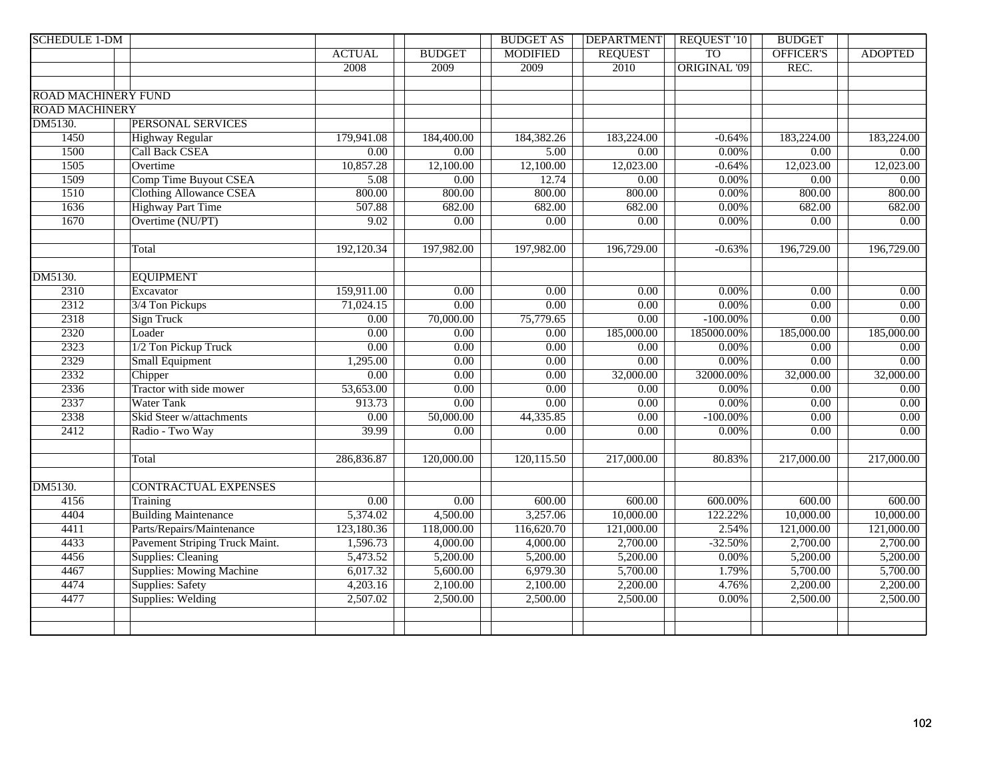| <b>SCHEDULE 1-DM</b>       |                                 |                   |                   | <b>BUDGET AS</b>  | <b>DEPARTMENT</b> | <b>REQUEST '10</b>  | <b>BUDGET</b>     |                         |
|----------------------------|---------------------------------|-------------------|-------------------|-------------------|-------------------|---------------------|-------------------|-------------------------|
|                            |                                 | <b>ACTUAL</b>     | <b>BUDGET</b>     | <b>MODIFIED</b>   | <b>REQUEST</b>    | <b>TO</b>           | <b>OFFICER'S</b>  | <b>ADOPTED</b>          |
|                            |                                 | 2008              | 2009              | 2009              | 2010              | <b>ORIGINAL '09</b> | REC.              |                         |
|                            |                                 |                   |                   |                   |                   |                     |                   |                         |
| <b>ROAD MACHINERY FUND</b> |                                 |                   |                   |                   |                   |                     |                   |                         |
| <b>ROAD MACHINERY</b>      |                                 |                   |                   |                   |                   |                     |                   |                         |
| DM5130.                    | <b>PERSONAL SERVICES</b>        |                   |                   |                   |                   |                     |                   |                         |
| 1450                       | Highway Regular                 | 179,941.08        | 184,400.00        | 184,382.26        | 183,224.00        | $-0.64%$            | 183,224.00        | 183,224.00              |
| 1500                       | <b>Call Back CSEA</b>           | $\overline{0.00}$ | 0.00              | 5.00              | 0.00              | $0.00\%$            | $\overline{0.00}$ | 0.00                    |
| 1505                       | Overtime                        | 10,857.28         | 12,100.00         | 12,100.00         | 12,023.00         | $-0.64%$            | 12,023.00         | 12,023.00               |
| 1509                       | <b>Comp Time Buyout CSEA</b>    | 5.08              | 0.00              | 12.74             | $\overline{0.00}$ | $0.00\%$            | $\overline{0.00}$ | $\overline{0.00}$       |
| 1510                       | <b>Clothing Allowance CSEA</b>  | 800.00            | 800.00            | 800.00            | 800.00            | 0.00%               | 800.00            | 800.00                  |
| 1636                       | <b>Highway Part Time</b>        | 507.88            | 682.00            | 682.00            | 682.00            | $0.00\%$            | 682.00            | 682.00                  |
| 1670                       | Overtime (NU/PT)                | 9.02              | 0.00              | 0.00              | $\overline{0.00}$ | $0.00\%$            | $\overline{0.00}$ | 0.00                    |
|                            |                                 |                   |                   |                   |                   |                     |                   |                         |
|                            | Total                           | 192,120.34        | 197,982.00        | 197,982.00        | 196,729.00        | $-0.63%$            | 196,729.00        | 196,729.00              |
|                            |                                 |                   |                   |                   |                   |                     |                   |                         |
| DM5130.                    | <b>EQUIPMENT</b>                |                   |                   |                   |                   |                     |                   |                         |
| 2310                       | Excavator                       | 159,911.00        | 0.00              | 0.00              | 0.00              | 0.00%               | 0.00              | 0.00                    |
| 2312                       | 3/4 Ton Pickups                 | 71,024.15         | 0.00              | 0.00              | 0.00              | $0.00\%$            | 0.00              | $0.00\,$                |
| 2318                       | <b>Sign Truck</b>               | $\overline{0.00}$ | 70,000.00         | 75,779.65         | $\overline{0.00}$ | $-100.00\%$         | $\overline{0.00}$ | 0.00                    |
| 2320                       | Loader                          | 0.00              | 0.00              | $\overline{0.00}$ | 185,000.00        | 185000.00%          | 185,000.00        | 185,000.00              |
| 2323                       | 1/2 Ton Pickup Truck            | $\overline{0.00}$ | 0.00              | $\overline{0.00}$ | $\overline{0.00}$ | $0.00\%$            | 0.00              | 0.00                    |
| 2329                       | <b>Small Equipment</b>          | 1,295.00          | 0.00              | $\overline{0.00}$ | $\overline{0.00}$ | 0.00%               | $\overline{0.00}$ | 0.00                    |
| 2332                       | Chipper                         | $\overline{0.00}$ | $\overline{0.00}$ | $\overline{0.00}$ | 32,000.00         | 32000.00%           | 32,000.00         | 32,000.00               |
| 2336                       | Tractor with side mower         | 53,653.00         | $\overline{0.00}$ | 0.00              | 0.00              | 0.00%               | 0.00              | 0.00                    |
| 2337                       | <b>Water Tank</b>               | 913.73            | 0.00              | 0.00              | 0.00              | $0.00\%$            | 0.00              | $\overline{0.00}$       |
| 2338                       | Skid Steer w/attachments        | 0.00              | 50,000.00         | 44,335.85         | 0.00              | $-100.00\%$         | 0.00              | 0.00                    |
| 2412                       | Radio - Two Way                 | 39.99             | 0.00              | 0.00              | 0.00              | 0.00%               | 0.00              | $\overline{0.00}$       |
|                            |                                 |                   |                   |                   |                   |                     |                   |                         |
|                            | Total                           | 286,836.87        | 120,000.00        | 120,115.50        | 217,000.00        | 80.83%              | 217,000.00        | $\overline{217,000.00}$ |
|                            |                                 |                   |                   |                   |                   |                     |                   |                         |
| DM5130.                    | <b>CONTRACTUAL EXPENSES</b>     |                   |                   |                   |                   |                     |                   |                         |
| 4156                       | Training                        | $\overline{0.00}$ | $\overline{0.00}$ | 600.00            | 600.00            | 600.00%             | 600.00            | 600.00                  |
| 4404                       | <b>Building Maintenance</b>     | 5,374.02          | 4,500.00          | 3,257.06          | 10,000.00         | 122.22%             | 10,000.00         | 10,000.00               |
| 4411                       | Parts/Repairs/Maintenance       | 123,180.36        | 118,000.00        | 116,620.70        | 121,000.00        | 2.54%               | 121,000.00        | 121,000.00              |
| 4433                       | Pavement Striping Truck Maint.  | 1,596.73          | 4,000.00          | 4,000.00          | 2,700.00          | $-32.50%$           | 2,700.00          | 2,700.00                |
| 4456                       | Supplies: Cleaning              | 5,473.52          | 5,200.00          | 5,200.00          | 5,200.00          | 0.00%               | 5,200.00          | 5,200.00                |
| 4467                       | <b>Supplies: Mowing Machine</b> | 6,017.32          | 5,600.00          | 6,979.30          | 5,700.00          | 1.79%               | 5,700.00          | 5,700.00                |
| 4474                       | Supplies: Safety                | 4,203.16          | 2,100.00          | 2,100.00          | 2,200.00          | 4.76%               | 2,200.00          | 2,200.00                |
| 4477                       | Supplies: Welding               | 2,507.02          | 2,500.00          | 2,500.00          | 2,500.00          | 0.00%               | 2,500.00          | 2,500.00                |
|                            |                                 |                   |                   |                   |                   |                     |                   |                         |
|                            |                                 |                   |                   |                   |                   |                     |                   |                         |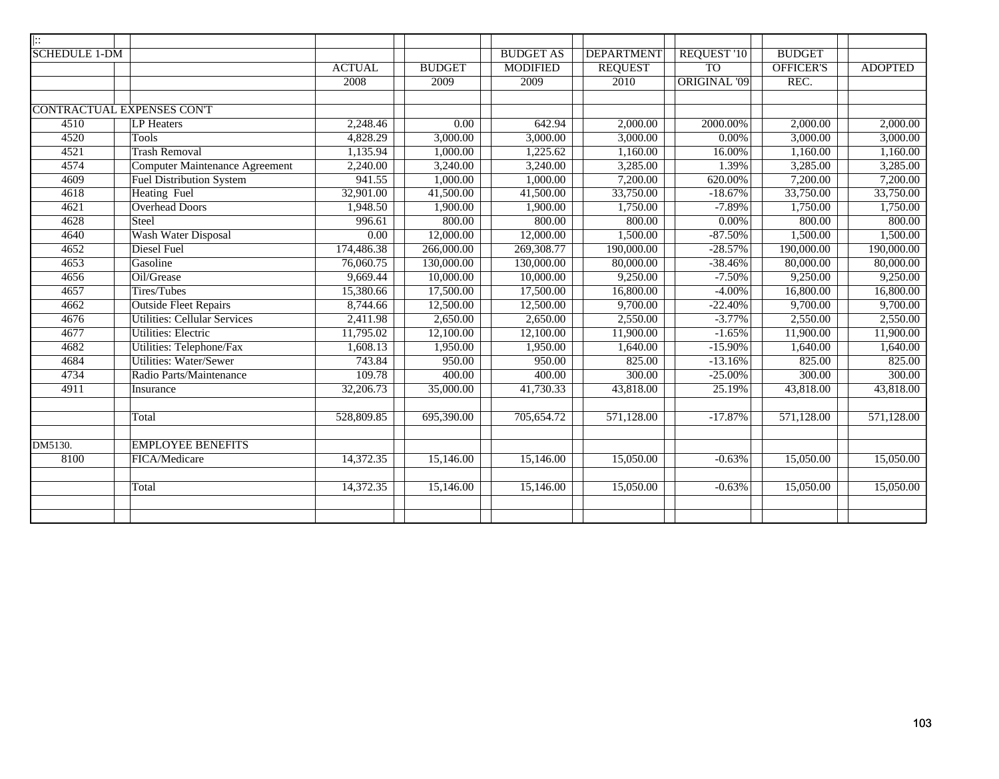| $\overline{ \colon}$ |                                       |               |                   |                  |                   |                     |                  |                |
|----------------------|---------------------------------------|---------------|-------------------|------------------|-------------------|---------------------|------------------|----------------|
| <b>SCHEDULE 1-DM</b> |                                       |               |                   | <b>BUDGET AS</b> | <b>DEPARTMENT</b> | REQUEST '10         | <b>BUDGET</b>    |                |
|                      |                                       | <b>ACTUAL</b> | <b>BUDGET</b>     | <b>MODIFIED</b>  | <b>REQUEST</b>    | T <sub>O</sub>      | <b>OFFICER'S</b> | <b>ADOPTED</b> |
|                      |                                       | 2008          | 2009              | 2009             | 2010              | <b>ORIGINAL '09</b> | REC.             |                |
|                      |                                       |               |                   |                  |                   |                     |                  |                |
|                      | <b>CONTRACTUAL EXPENSES CONT</b>      |               |                   |                  |                   |                     |                  |                |
| $\overline{4510}$    | <b>LP</b> Heaters                     | 2,248.46      | $\overline{0.00}$ | 642.94           | 2,000.00          | 2000.00%            | 2,000.00         | 2,000.00       |
| 4520                 | <b>Tools</b>                          | 4,828.29      | 3,000.00          | 3,000.00         | 3,000.00          | $0.00\%$            | 3,000.00         | 3,000.00       |
| 4521                 | <b>Trash Removal</b>                  | 1,135.94      | 1,000.00          | 1,225.62         | 1,160.00          | 16.00%              | 1,160.00         | 1,160.00       |
| 4574                 | <b>Computer Maintenance Agreement</b> | 2,240.00      | 3,240.00          | 3,240.00         | 3,285.00          | 1.39%               | 3,285.00         | 3,285.00       |
| 4609                 | <b>Fuel Distribution System</b>       | 941.55        | 1,000.00          | 1,000.00         | 7,200.00          | 620.00%             | 7,200.00         | 7,200.00       |
| 4618                 | <b>Heating Fuel</b>                   | 32,901.00     | 41,500.00         | 41,500.00        | 33,750.00         | $-18.67%$           | 33,750.00        | 33,750.00      |
| 4621                 | <b>Overhead Doors</b>                 | 1,948.50      | 1,900.00          | 1,900.00         | 1,750.00          | $-7.89%$            | 1,750.00         | 1,750.00       |
| 4628                 | Steel                                 | 996.61        | 800.00            | 800.00           | 800.00            | $0.00\%$            | 800.00           | 800.00         |
| 4640                 | <b>Wash Water Disposal</b>            | 0.00          | 12,000.00         | 12,000.00        | 1,500.00          | $-87.50%$           | 1,500.00         | 1,500.00       |
| 4652                 | Diesel Fuel                           | 174,486.38    | 266,000.00        | 269,308.77       | 190,000.00        | $-28.57%$           | 190,000.00       | 190,000.00     |
| 4653                 | Gasoline                              | 76,060.75     | 130,000.00        | 130,000.00       | 80,000.00         | $-38.46%$           | 80,000.00        | 80,000.00      |
| 4656                 | Oil/Grease                            | 9,669.44      | 10,000.00         | 10,000.00        | 9,250.00          | $-7.50%$            | 9,250.00         | 9,250.00       |
| 4657                 | <b>Tires/Tubes</b>                    | 15,380.66     | 17,500.00         | 17,500.00        | 16,800.00         | $-4.00%$            | 16,800.00        | 16,800.00      |
| 4662                 | <b>Outside Fleet Repairs</b>          | 8,744.66      | 12,500.00         | 12,500.00        | 9,700.00          | $-22.40%$           | 9,700.00         | 9,700.00       |
| 4676                 | <b>Utilities: Cellular Services</b>   | 2,411.98      | 2,650.00          | 2,650.00         | 2,550.00          | $-3.77%$            | 2,550.00         | 2,550.00       |
| 4677                 | <b>Utilities: Electric</b>            | 11,795.02     | 12,100.00         | 12,100.00        | 11,900.00         | $-1.65%$            | 11,900.00        | 11,900.00      |
| 4682                 | <b>Utilities: Telephone/Fax</b>       | 1,608.13      | 1,950.00          | 1,950.00         | 1,640.00          | $-15.90%$           | 1,640.00         | 1,640.00       |
| 4684                 | <b>Utilities: Water/Sewer</b>         | 743.84        | 950.00            | 950.00           | 825.00            | $-13.16%$           | 825.00           | 825.00         |
| 4734                 | Radio Parts/Maintenance               | 109.78        | 400.00            | 400.00           | 300.00            | $-25.00\%$          | 300.00           | 300.00         |
| 4911                 | Insurance                             | 32,206.73     | 35,000.00         | 41,730.33        | 43,818.00         | 25.19%              | 43,818.00        | 43,818.00      |
|                      |                                       |               |                   |                  |                   |                     |                  |                |
|                      | Total                                 | 528,809.85    | 695,390.00        | 705,654.72       | 571,128.00        | $-17.87%$           | 571,128.00       | 571,128.00     |
|                      |                                       |               |                   |                  |                   |                     |                  |                |
| DM5130.              | <b>EMPLOYEE BENEFITS</b>              |               |                   |                  |                   |                     |                  |                |
| 8100                 | FICA/Medicare                         | 14,372.35     | 15,146.00         | 15,146.00        | 15,050.00         | $-0.63%$            | 15,050.00        | 15,050.00      |
|                      |                                       |               |                   |                  |                   |                     |                  |                |
|                      | Total                                 | 14,372.35     | 15,146.00         | 15,146.00        | 15,050.00         | $-0.63%$            | 15,050.00        | 15,050.00      |
|                      |                                       |               |                   |                  |                   |                     |                  |                |
|                      |                                       |               |                   |                  |                   |                     |                  |                |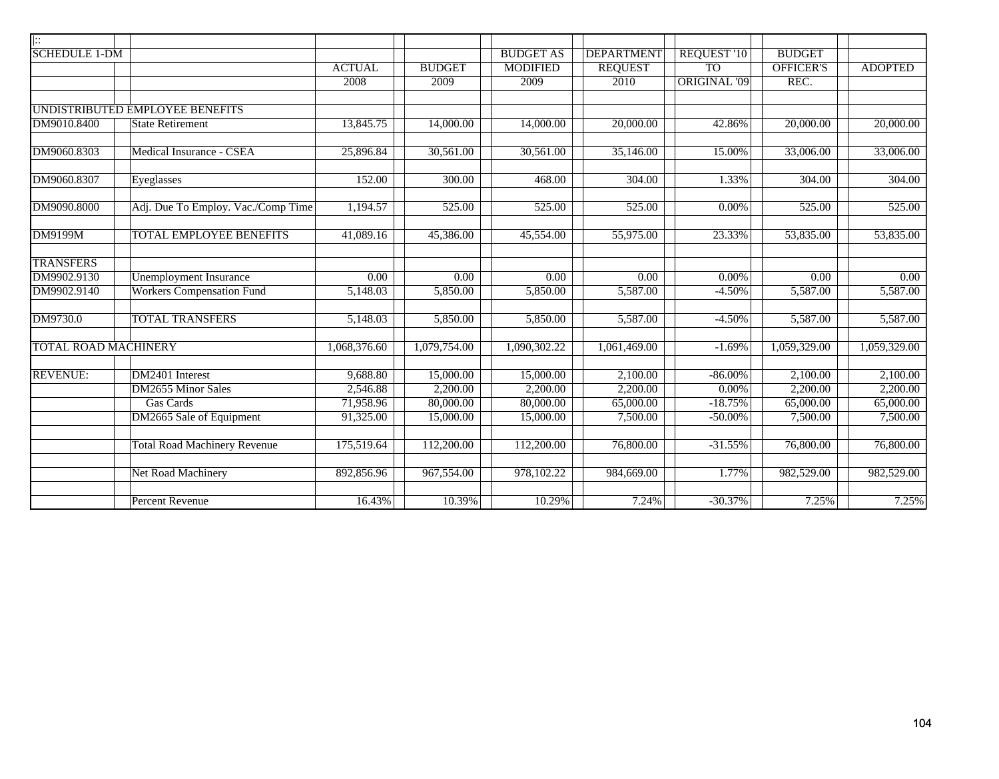| $\mathbb{R}$                |                                     |               |                   |                   |                        |                     |                   |                   |
|-----------------------------|-------------------------------------|---------------|-------------------|-------------------|------------------------|---------------------|-------------------|-------------------|
| <b>SCHEDULE 1-DM</b>        |                                     |               |                   | <b>BUDGET AS</b>  | <b>DEPARTMENT</b>      | <b>REQUEST '10</b>  | <b>BUDGET</b>     |                   |
|                             |                                     | <b>ACTUAL</b> | <b>BUDGET</b>     | <b>MODIFIED</b>   | <b>REQUEST</b>         | <b>TO</b>           | <b>OFFICER'S</b>  | <b>ADOPTED</b>    |
|                             |                                     | 2008          | 2009              | 2009              | 2010                   | <b>ORIGINAL '09</b> | REC.              |                   |
|                             | UNDISTRIBUTED EMPLOYEE BENEFITS     |               |                   |                   |                        |                     |                   |                   |
| DM9010.8400                 | <b>State Retirement</b>             | 13,845.75     | 14,000.00         | 14,000.00         | 20,000.00              | 42.86%              | 20,000.00         | 20,000.00         |
| DM9060.8303                 | Medical Insurance - CSEA            | 25,896.84     | 30,561.00         | 30,561.00         | 35,146.00              | 15.00%              | 33,006.00         | 33,006.00         |
|                             |                                     |               |                   |                   |                        |                     |                   |                   |
| DM9060.8307                 | Eyeglasses                          | 152.00        | 300.00            | 468.00            | 304.00                 | 1.33%               | 304.00            | 304.00            |
| DM9090.8000                 | Adj. Due To Employ. Vac./Comp Time  | 1,194.57      | 525.00            | 525.00            | 525.00                 | $0.00\%$            | 525.00            | 525.00            |
| DM9199M                     | <b>TOTAL EMPLOYEE BENEFITS</b>      | 41,089.16     | 45,386.00         | 45,554.00         | 55,975.00              | 23.33%              | 53,835.00         | 53,835.00         |
| <b>TRANSFERS</b>            |                                     |               |                   |                   |                        |                     |                   |                   |
| DM9902.9130                 | <b>Unemployment Insurance</b>       | 0.00          | $\overline{0.00}$ | $\overline{0.00}$ | $\overline{0.00}$      | $0.00\%$            | $\overline{0.00}$ | $\overline{0.00}$ |
| DM9902.9140                 | <b>Workers Compensation Fund</b>    | 5,148.03      | 5,850.00          | 5,850.00          | 5,587.00               | $-4.50%$            | 5,587.00          | 5,587.00          |
| DM9730.0                    | <b>TOTAL TRANSFERS</b>              | 5,148.03      | 5,850.00          | 5,850.00          | 5,587.00               | $-4.50%$            | 5,587.00          | 5,587.00          |
| <b>TOTAL ROAD MACHINERY</b> |                                     | 1,068,376.60  | 1,079,754.00      | 1,090,302.22      | 1,061,469.00           | $-1.69%$            | 1,059,329.00      | 1,059,329.00      |
| <b>REVENUE:</b>             | DM2401 Interest                     | 9,688.80      | 15,000.00         | 15,000.00         | 2,100.00               | $-86.00\%$          | 2,100.00          | 2,100.00          |
|                             | <b>DM2655 Minor Sales</b>           | 2,546.88      | 2,200.00          | 2,200.00          | 2,200.00               | $0.00\%$            | 2,200.00          | 2,200.00          |
|                             | Gas Cards                           | 71,958.96     | 80,000.00         | 80,000.00         | 65,000.00              | $-18.75%$           | 65,000.00         | 65,000.00         |
|                             | DM2665 Sale of Equipment            | 91,325.00     | 15,000.00         | 15,000.00         | 7,500.00               | $-50.00\%$          | 7,500.00          | 7,500.00          |
|                             | <b>Total Road Machinery Revenue</b> | 175,519.64    | 112,200.00        | 112,200.00        | $\overline{76,800.00}$ | $-31.55%$           | 76,800.00         | 76,800.00         |
|                             | <b>Net Road Machinery</b>           | 892,856.96    | 967,554.00        | 978,102.22        | 984,669.00             | 1.77%               | 982,529.00        | 982,529.00        |
|                             | <b>Percent Revenue</b>              | 16.43%        | 10.39%            | 10.29%            | 7.24%                  | $-30.37%$           | 7.25%             | 7.25%             |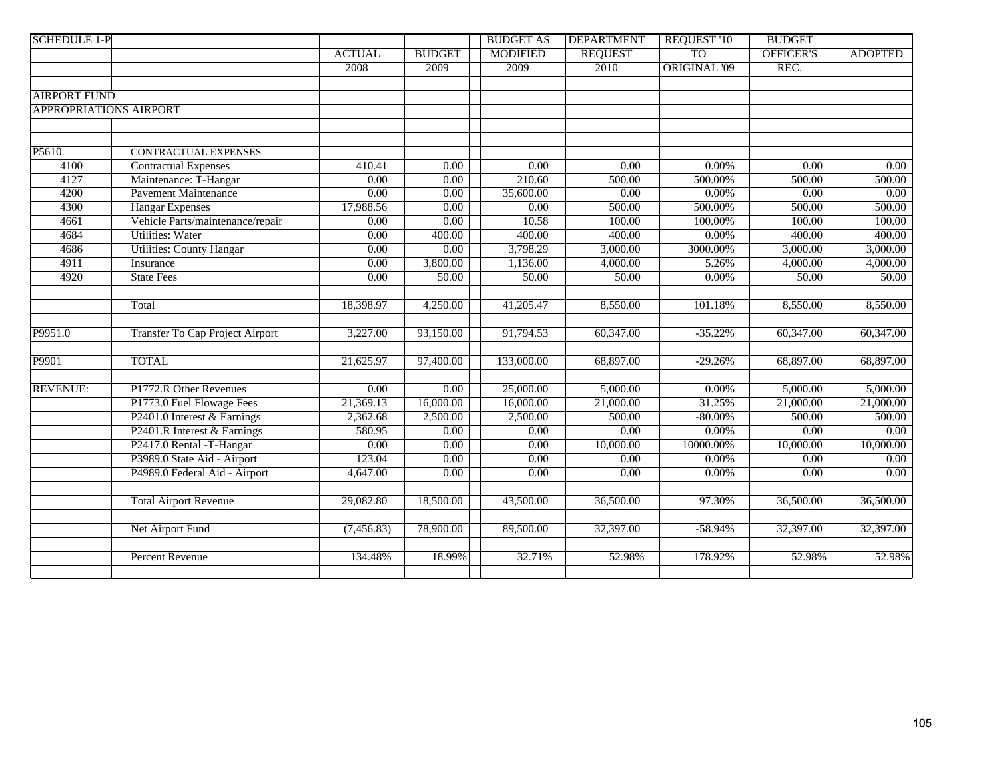| <b>SCHEDULE 1-P</b>           |                                  |                   |                   | <b>BUDGET AS</b>  | <b>DEPARTMENT</b>      | REQUEST '10         | <b>BUDGET</b>     |                   |
|-------------------------------|----------------------------------|-------------------|-------------------|-------------------|------------------------|---------------------|-------------------|-------------------|
|                               |                                  | <b>ACTUAL</b>     | <b>BUDGET</b>     | <b>MODIFIED</b>   | <b>REQUEST</b>         | T <sub>O</sub>      | <b>OFFICER'S</b>  | <b>ADOPTED</b>    |
|                               |                                  | 2008              | 2009              | 2009              | 2010                   | <b>ORIGINAL '09</b> | REC.              |                   |
|                               |                                  |                   |                   |                   |                        |                     |                   |                   |
| <b>AIRPORT FUND</b>           |                                  |                   |                   |                   |                        |                     |                   |                   |
| <b>APPROPRIATIONS AIRPORT</b> |                                  |                   |                   |                   |                        |                     |                   |                   |
|                               |                                  |                   |                   |                   |                        |                     |                   |                   |
|                               |                                  |                   |                   |                   |                        |                     |                   |                   |
| P5610.                        | <b>CONTRACTUAL EXPENSES</b>      |                   |                   |                   |                        |                     |                   |                   |
| 4100                          | <b>Contractual Expenses</b>      | 410.41            | 0.00              | 0.00              | 0.00                   | $0.00\%$            | 0.00              | 0.00              |
| 4127                          | Maintenance: T-Hangar            | 0.00              | 0.00              | 210.60            | 500.00                 | 500.00%             | 500.00            | 500.00            |
| 4200                          | <b>Pavement Maintenance</b>      | 0.00              | 0.00              | 35,600.00         | 0.00                   | $0.00\%$            | 0.00              | $\overline{0.00}$ |
| 4300                          | <b>Hangar Expenses</b>           | 17,988.56         | 0.00              | 0.00              | 500.00                 | 500.00%             | 500.00            | 500.00            |
| 4661                          | Vehicle Parts/maintenance/repair | 0.00              | 0.00              | 10.58             | 100.00                 | 100.00%             | 100.00            | 100.00            |
| 4684                          | <b>Utilities: Water</b>          | $\overline{0.00}$ | 400.00            | 400.00            | 400.00                 | 0.00%               | 400.00            | 400.00            |
| 4686                          | <b>Utilities: County Hangar</b>  | 0.00              | 0.00              | 3,798.29          | 3,000.00               | 3000.00%            | 3,000.00          | 3,000.00          |
| 4911                          | Insurance                        | 0.00              | 3,800.00          | 1,136.00          | 4,000.00               | 5.26%               | 4,000.00          | 4,000.00          |
| 4920                          | <b>State Fees</b>                | $\overline{0.00}$ | 50.00             | 50.00             | 50.00                  | $0.00\%$            | 50.00             | 50.00             |
|                               |                                  |                   |                   |                   |                        |                     |                   |                   |
|                               | Total                            | 18,398.97         | 4,250.00          | 41,205.47         | 8,550.00               | 101.18%             | 8,550.00          | 8,550.00          |
|                               |                                  |                   |                   |                   |                        |                     |                   |                   |
| P9951.0                       | Transfer To Cap Project Airport  | 3,227.00          | 93,150.00         | 91,794.53         | 60,347.00              | $-35.22%$           | 60,347.00         | 60,347.00         |
|                               |                                  |                   |                   |                   |                        |                     |                   |                   |
| P9901                         | <b>TOTAL</b>                     | 21,625.97         | 97,400.00         | 133,000.00        | 68,897.00              | $-29.26%$           | 68,897.00         | 68,897.00         |
|                               |                                  |                   |                   |                   |                        |                     |                   |                   |
| <b>REVENUE:</b>               | P1772.R Other Revenues           | 0.00              | 0.00              | 25,000.00         | 5,000.00               | $0.00\%$            | 5,000.00          | 5,000.00          |
|                               | P1773.0 Fuel Flowage Fees        | 21,369.13         | 16,000.00         | 16,000.00         | 21,000.00              | 31.25%              | 21,000.00         | 21,000.00         |
|                               | P2401.0 Interest & Earnings      | 2,362.68          | 2,500.00          | 2,500.00          | 500.00                 | $-80.00\%$          | 500.00            | 500.00            |
|                               | P2401.R Interest & Earnings      | 580.95            | 0.00              | $\overline{0.00}$ | 0.00                   | $0.00\%$            | $\overline{0.00}$ | 0.00              |
|                               | P2417.0 Rental -T-Hangar         | 0.00              | 0.00              | 0.00              | 10,000.00              | 10000.00%           | 10,000.00         | 10,000.00         |
|                               | P3989.0 State Aid - Airport      | 123.04            | 0.00              | 0.00              | 0.00                   | $0.00\%$            | $\overline{0.00}$ | 0.00              |
|                               | P4989.0 Federal Aid - Airport    | 4,647.00          | $\overline{0.00}$ | $\overline{0.00}$ | 0.00                   | $0.00\%$            | $\overline{0.00}$ | 0.00              |
|                               |                                  |                   |                   |                   |                        |                     |                   |                   |
|                               | <b>Total Airport Revenue</b>     | 29,082.80         | 18,500.00         | 43,500.00         | $\overline{36,500.00}$ | 97.30%              | 36,500.00         | 36,500.00         |
|                               |                                  |                   |                   |                   |                        |                     |                   |                   |
|                               | Net Airport Fund                 | (7, 456.83)       | 78,900.00         | 89,500.00         | 32,397.00              | $-58.94%$           | 32,397.00         | 32,397.00         |
|                               |                                  |                   |                   |                   |                        |                     |                   |                   |
|                               | Percent Revenue                  | 134.48%           | 18.99%            | 32.71%            | 52.98%                 | 178.92%             | 52.98%            | 52.98%            |
|                               |                                  |                   |                   |                   |                        |                     |                   |                   |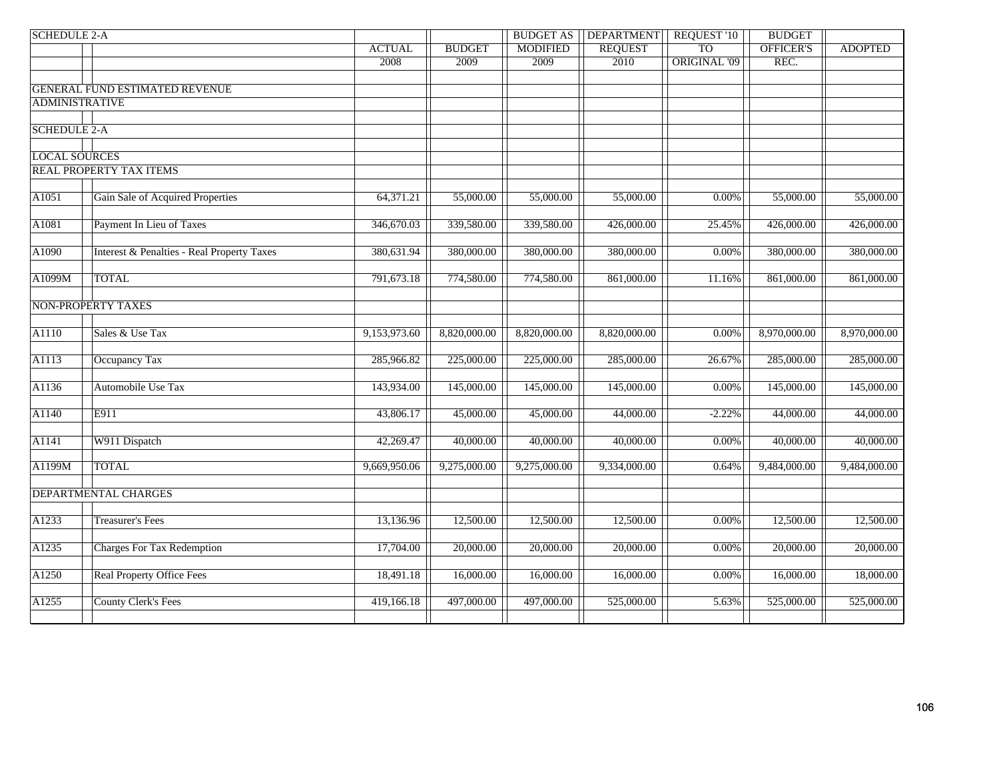| TO <sub>1</sub><br><b>ACTUAL</b><br><b>MODIFIED</b><br><b>REQUEST</b><br><b>OFFICER'S</b><br><b>BUDGET</b><br><b>ORIGINAL '09</b><br>2008<br>2009<br>2010<br>REC.<br>2009<br><b>GENERAL FUND ESTIMATED REVENUE</b><br><b>ADMINISTRATIVE</b> | <b>REQUEST '10</b><br><b>BUDGET</b> | <b>DEPARTMENT</b> | <b>BUDGET AS</b> |  | <b>SCHEDULE 2-A</b> |
|---------------------------------------------------------------------------------------------------------------------------------------------------------------------------------------------------------------------------------------------|-------------------------------------|-------------------|------------------|--|---------------------|
| <b>SCHEDULE 2-A</b>                                                                                                                                                                                                                         | <b>ADOPTED</b>                      |                   |                  |  |                     |
|                                                                                                                                                                                                                                             |                                     |                   |                  |  |                     |
|                                                                                                                                                                                                                                             |                                     |                   |                  |  |                     |
|                                                                                                                                                                                                                                             |                                     |                   |                  |  |                     |
|                                                                                                                                                                                                                                             |                                     |                   |                  |  |                     |
|                                                                                                                                                                                                                                             |                                     |                   |                  |  |                     |
|                                                                                                                                                                                                                                             |                                     |                   |                  |  |                     |
|                                                                                                                                                                                                                                             |                                     |                   |                  |  |                     |
| <b>LOCAL SOURCES</b>                                                                                                                                                                                                                        |                                     |                   |                  |  |                     |
| REAL PROPERTY TAX ITEMS                                                                                                                                                                                                                     |                                     |                   |                  |  |                     |
|                                                                                                                                                                                                                                             |                                     |                   |                  |  |                     |
| A1051<br>Gain Sale of Acquired Properties<br>64,371.21<br>55,000.00<br>55,000.00<br>55,000.00<br>0.00%<br>55,000.00                                                                                                                         | 55,000.00                           |                   |                  |  |                     |
|                                                                                                                                                                                                                                             |                                     |                   |                  |  |                     |
| A1081<br>Payment In Lieu of Taxes<br>346,670.03<br>339,580.00<br>339,580.00<br>426,000.00<br>25.45%<br>426,000.00                                                                                                                           | 426,000.00                          |                   |                  |  |                     |
|                                                                                                                                                                                                                                             |                                     |                   |                  |  |                     |
| A1090<br><b>Interest &amp; Penalties - Real Property Taxes</b><br>380,631.94<br>380,000.00<br>380,000.00<br>380,000.00<br>$0.00\%$<br>380,000.00                                                                                            | 380,000.00                          |                   |                  |  |                     |
|                                                                                                                                                                                                                                             |                                     |                   |                  |  |                     |
| <b>TOTAL</b><br>A1099M<br>791,673.18<br>774,580.00<br>774,580.00<br>861,000.00<br>861,000.00<br>11.16%                                                                                                                                      | 861,000.00                          |                   |                  |  |                     |
|                                                                                                                                                                                                                                             |                                     |                   |                  |  |                     |
| <b>NON-PROPERTY TAXES</b>                                                                                                                                                                                                                   |                                     |                   |                  |  |                     |
| A1110<br>Sales & Use Tax<br>8,970,000.00<br>9,153,973.60<br>8,820,000.00<br>8,820,000.00<br>8,820,000.00<br>0.00%                                                                                                                           | 8,970,000.00                        |                   |                  |  |                     |
|                                                                                                                                                                                                                                             |                                     |                   |                  |  |                     |
| A1113<br>Occupancy Tax<br>285,966.82<br>225,000.00<br>225,000.00<br>285,000.00<br>26.67%<br>285,000.00                                                                                                                                      | 285,000.00                          |                   |                  |  |                     |
|                                                                                                                                                                                                                                             |                                     |                   |                  |  |                     |
| A1136<br>Automobile Use Tax<br>143,934.00<br>145,000.00<br>145,000.00<br>$0.00\%$<br>145,000.00<br>145,000.00                                                                                                                               | 145,000.00                          |                   |                  |  |                     |
|                                                                                                                                                                                                                                             |                                     |                   |                  |  |                     |
| A1140<br>E911<br>43,806.17<br>45,000.00<br>45,000.00<br>44,000.00<br>$-2.22%$<br>44,000.00                                                                                                                                                  | 44,000.00                           |                   |                  |  |                     |
|                                                                                                                                                                                                                                             |                                     |                   |                  |  |                     |
| A1141<br>W911 Dispatch<br>40,000.00<br>40,000.00<br>40,000.00<br>42,269.47<br>40,000.00<br>0.00%                                                                                                                                            | 40,000.00                           |                   |                  |  |                     |
|                                                                                                                                                                                                                                             |                                     |                   |                  |  |                     |
| <b>TOTAL</b><br>A1199M<br>9,669,950.06<br>9,334,000.00<br>9,484,000.00<br>9,275,000.00<br>9,275,000.00<br>0.64%                                                                                                                             | 9,484,000.00                        |                   |                  |  |                     |
|                                                                                                                                                                                                                                             |                                     |                   |                  |  |                     |
| DEPARTMENTAL CHARGES                                                                                                                                                                                                                        |                                     |                   |                  |  |                     |
|                                                                                                                                                                                                                                             |                                     |                   |                  |  |                     |
| A1233<br>$0.00\%$<br><b>Treasurer's Fees</b><br>13,136.96<br>12,500.00<br>12,500.00<br>12,500.00<br>12,500.00                                                                                                                               | 12,500.00                           |                   |                  |  |                     |
|                                                                                                                                                                                                                                             |                                     |                   |                  |  |                     |
| A1235<br><b>Charges For Tax Redemption</b><br>17,704.00<br>20,000.00<br>20,000.00<br>20,000.00<br>$0.00\%$<br>20,000.00                                                                                                                     | 20,000.00                           |                   |                  |  |                     |
|                                                                                                                                                                                                                                             |                                     |                   |                  |  |                     |
| A1250<br><b>Real Property Office Fees</b><br>18,491.18<br>16,000.00<br>16,000.00<br>16,000.00<br>0.00%<br>16,000.00                                                                                                                         | 18,000.00                           |                   |                  |  |                     |
|                                                                                                                                                                                                                                             |                                     |                   |                  |  |                     |
| A1255<br><b>County Clerk's Fees</b><br>419,166.18<br>497,000.00<br>497,000.00<br>525,000.00<br>5.63%<br>525,000.00                                                                                                                          | 525,000.00                          |                   |                  |  |                     |
|                                                                                                                                                                                                                                             |                                     |                   |                  |  |                     |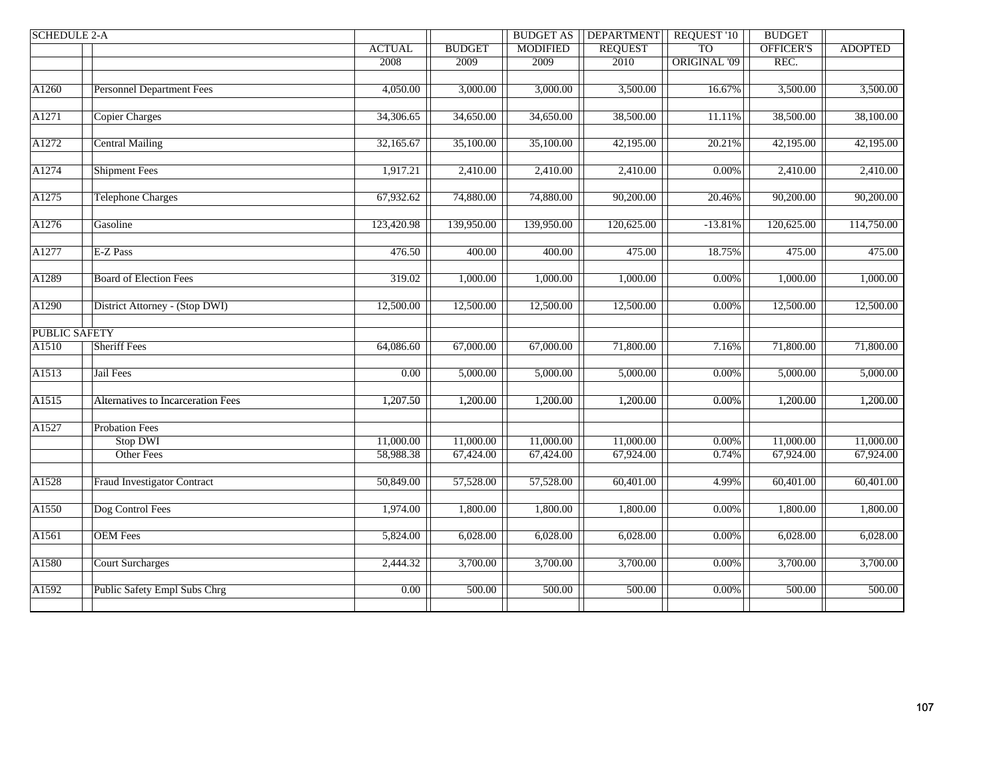| <b>BUDGET</b><br><b>MODIFIED</b><br><b>REQUEST</b><br><b>TO</b><br>OFFICER'S<br><b>ADOPTED</b><br><b>ACTUAL</b><br>ORIGINAL '09<br>REC.<br>2008<br>2010<br>2009<br>2009<br><b>Personnel Department Fees</b><br>3,500.00<br>4,050.00<br>3,000.00<br>3,000.00<br>3,500.00<br>16.67%<br>3,500.00<br>Copier Charges<br>34,306.65<br>34,650.00<br>34,650.00<br>38,500.00<br>38,100.00<br>38,500.00<br>11.11%<br><b>Central Mailing</b><br>32,165.67<br>35,100.00<br>35,100.00<br>42,195.00<br>20.21%<br>42,195.00<br>42,195.00<br><b>Shipment Fees</b><br>1,917.21<br>2,410.00<br>2,410.00<br>2,410.00<br>2,410.00<br>2,410.00<br>0.00%<br><b>Telephone Charges</b><br>67,932.62<br>74,880.00<br>74,880.00<br>$\overline{90,200.00}$<br>90,200.00<br>90,200.00<br>20.46%<br>Gasoline<br>$-13.81%$<br>114,750.00<br>123,420.98<br>139,950.00<br>139,950.00<br>120,625.00<br>120,625.00<br>E-Z Pass<br>18.75%<br>475.00<br>476.50<br>400.00<br>400.00<br>475.00<br>475.00<br><b>Board of Election Fees</b><br>319.02<br>1,000.00<br>1,000.00<br>1,000.00<br>1,000.00<br>$0.00\%$<br>1,000.00<br>District Attorney - (Stop DWI)<br>12,500.00<br>12,500.00<br>12,500.00<br>12,500.00<br>12,500.00<br>12,500.00<br>$0.00\%$<br><b>PUBLIC SAFETY</b><br><b>Sheriff Fees</b><br>64,086.60<br>67,000.00<br>67,000.00<br>71,800.00<br>7.16%<br>71,800.00<br>71,800.00<br>Jail Fees<br>0.00<br>5,000.00<br>5,000.00<br>5,000.00<br>0.00%<br>5,000.00<br>5,000.00<br>Alternatives to Incarceration Fees<br>1,207.50<br>1,200.00<br>1,200.00<br>1,200.00<br>0.00%<br>1,200.00<br>1,200.00<br><b>Probation Fees</b><br>11,000.00<br>Stop DWI<br>11,000.00<br>11,000.00<br>11,000.00<br>11,000.00<br>$0.00\%$<br>11,000.00<br><b>Other Fees</b><br>58,988.38<br>67,924.00<br>67,924.00<br>67,424.00<br>67,424.00<br>0.74%<br>67,924.00<br><b>Fraud Investigator Contract</b><br>50,849.00<br>57,528.00<br>57,528.00<br>$\overline{60,401.00}$<br>60,401.00<br>60,401.00<br>4.99%<br>1,800.00<br>1,800.00<br>1,800.00<br>1,800.00<br>1,800.00<br>Dog Control Fees<br>1,974.00<br>$0.00\%$<br>6,028.00<br><b>OEM</b> Fees<br>5,824.00<br>6,028.00<br>6,028.00<br>6,028.00<br>$0.00\%$<br>6,028.00<br><b>Court Surcharges</b><br>2,444.32<br>3,700.00<br>3,700.00<br>3,700.00<br>3,700.00<br>3,700.00<br>$0.00\%$<br>Public Safety Empl Subs Chrg<br>0.00<br>$\overline{500.00}$<br>500.00<br>500.00<br>500.00<br>$0.00\%$<br>500.00 | <b>SCHEDULE 2-A</b> |  | <b>BUDGET AS</b> | <b>DEPARTMENT</b> | <b>REQUEST '10</b> | <b>BUDGET</b> |  |
|----------------------------------------------------------------------------------------------------------------------------------------------------------------------------------------------------------------------------------------------------------------------------------------------------------------------------------------------------------------------------------------------------------------------------------------------------------------------------------------------------------------------------------------------------------------------------------------------------------------------------------------------------------------------------------------------------------------------------------------------------------------------------------------------------------------------------------------------------------------------------------------------------------------------------------------------------------------------------------------------------------------------------------------------------------------------------------------------------------------------------------------------------------------------------------------------------------------------------------------------------------------------------------------------------------------------------------------------------------------------------------------------------------------------------------------------------------------------------------------------------------------------------------------------------------------------------------------------------------------------------------------------------------------------------------------------------------------------------------------------------------------------------------------------------------------------------------------------------------------------------------------------------------------------------------------------------------------------------------------------------------------------------------------------------------------------------------------------------------------------------------------------------------------------------------------------------------------------------------------------------------------------------------------------------------------------------------------------------------------------------------------------------------------|---------------------|--|------------------|-------------------|--------------------|---------------|--|
|                                                                                                                                                                                                                                                                                                                                                                                                                                                                                                                                                                                                                                                                                                                                                                                                                                                                                                                                                                                                                                                                                                                                                                                                                                                                                                                                                                                                                                                                                                                                                                                                                                                                                                                                                                                                                                                                                                                                                                                                                                                                                                                                                                                                                                                                                                                                                                                                                |                     |  |                  |                   |                    |               |  |
|                                                                                                                                                                                                                                                                                                                                                                                                                                                                                                                                                                                                                                                                                                                                                                                                                                                                                                                                                                                                                                                                                                                                                                                                                                                                                                                                                                                                                                                                                                                                                                                                                                                                                                                                                                                                                                                                                                                                                                                                                                                                                                                                                                                                                                                                                                                                                                                                                |                     |  |                  |                   |                    |               |  |
|                                                                                                                                                                                                                                                                                                                                                                                                                                                                                                                                                                                                                                                                                                                                                                                                                                                                                                                                                                                                                                                                                                                                                                                                                                                                                                                                                                                                                                                                                                                                                                                                                                                                                                                                                                                                                                                                                                                                                                                                                                                                                                                                                                                                                                                                                                                                                                                                                |                     |  |                  |                   |                    |               |  |
|                                                                                                                                                                                                                                                                                                                                                                                                                                                                                                                                                                                                                                                                                                                                                                                                                                                                                                                                                                                                                                                                                                                                                                                                                                                                                                                                                                                                                                                                                                                                                                                                                                                                                                                                                                                                                                                                                                                                                                                                                                                                                                                                                                                                                                                                                                                                                                                                                | A1260               |  |                  |                   |                    |               |  |
|                                                                                                                                                                                                                                                                                                                                                                                                                                                                                                                                                                                                                                                                                                                                                                                                                                                                                                                                                                                                                                                                                                                                                                                                                                                                                                                                                                                                                                                                                                                                                                                                                                                                                                                                                                                                                                                                                                                                                                                                                                                                                                                                                                                                                                                                                                                                                                                                                |                     |  |                  |                   |                    |               |  |
|                                                                                                                                                                                                                                                                                                                                                                                                                                                                                                                                                                                                                                                                                                                                                                                                                                                                                                                                                                                                                                                                                                                                                                                                                                                                                                                                                                                                                                                                                                                                                                                                                                                                                                                                                                                                                                                                                                                                                                                                                                                                                                                                                                                                                                                                                                                                                                                                                | A1271               |  |                  |                   |                    |               |  |
|                                                                                                                                                                                                                                                                                                                                                                                                                                                                                                                                                                                                                                                                                                                                                                                                                                                                                                                                                                                                                                                                                                                                                                                                                                                                                                                                                                                                                                                                                                                                                                                                                                                                                                                                                                                                                                                                                                                                                                                                                                                                                                                                                                                                                                                                                                                                                                                                                |                     |  |                  |                   |                    |               |  |
|                                                                                                                                                                                                                                                                                                                                                                                                                                                                                                                                                                                                                                                                                                                                                                                                                                                                                                                                                                                                                                                                                                                                                                                                                                                                                                                                                                                                                                                                                                                                                                                                                                                                                                                                                                                                                                                                                                                                                                                                                                                                                                                                                                                                                                                                                                                                                                                                                | A1272               |  |                  |                   |                    |               |  |
|                                                                                                                                                                                                                                                                                                                                                                                                                                                                                                                                                                                                                                                                                                                                                                                                                                                                                                                                                                                                                                                                                                                                                                                                                                                                                                                                                                                                                                                                                                                                                                                                                                                                                                                                                                                                                                                                                                                                                                                                                                                                                                                                                                                                                                                                                                                                                                                                                |                     |  |                  |                   |                    |               |  |
|                                                                                                                                                                                                                                                                                                                                                                                                                                                                                                                                                                                                                                                                                                                                                                                                                                                                                                                                                                                                                                                                                                                                                                                                                                                                                                                                                                                                                                                                                                                                                                                                                                                                                                                                                                                                                                                                                                                                                                                                                                                                                                                                                                                                                                                                                                                                                                                                                | A1274               |  |                  |                   |                    |               |  |
|                                                                                                                                                                                                                                                                                                                                                                                                                                                                                                                                                                                                                                                                                                                                                                                                                                                                                                                                                                                                                                                                                                                                                                                                                                                                                                                                                                                                                                                                                                                                                                                                                                                                                                                                                                                                                                                                                                                                                                                                                                                                                                                                                                                                                                                                                                                                                                                                                |                     |  |                  |                   |                    |               |  |
|                                                                                                                                                                                                                                                                                                                                                                                                                                                                                                                                                                                                                                                                                                                                                                                                                                                                                                                                                                                                                                                                                                                                                                                                                                                                                                                                                                                                                                                                                                                                                                                                                                                                                                                                                                                                                                                                                                                                                                                                                                                                                                                                                                                                                                                                                                                                                                                                                | A1275               |  |                  |                   |                    |               |  |
|                                                                                                                                                                                                                                                                                                                                                                                                                                                                                                                                                                                                                                                                                                                                                                                                                                                                                                                                                                                                                                                                                                                                                                                                                                                                                                                                                                                                                                                                                                                                                                                                                                                                                                                                                                                                                                                                                                                                                                                                                                                                                                                                                                                                                                                                                                                                                                                                                |                     |  |                  |                   |                    |               |  |
|                                                                                                                                                                                                                                                                                                                                                                                                                                                                                                                                                                                                                                                                                                                                                                                                                                                                                                                                                                                                                                                                                                                                                                                                                                                                                                                                                                                                                                                                                                                                                                                                                                                                                                                                                                                                                                                                                                                                                                                                                                                                                                                                                                                                                                                                                                                                                                                                                | A1276               |  |                  |                   |                    |               |  |
|                                                                                                                                                                                                                                                                                                                                                                                                                                                                                                                                                                                                                                                                                                                                                                                                                                                                                                                                                                                                                                                                                                                                                                                                                                                                                                                                                                                                                                                                                                                                                                                                                                                                                                                                                                                                                                                                                                                                                                                                                                                                                                                                                                                                                                                                                                                                                                                                                |                     |  |                  |                   |                    |               |  |
|                                                                                                                                                                                                                                                                                                                                                                                                                                                                                                                                                                                                                                                                                                                                                                                                                                                                                                                                                                                                                                                                                                                                                                                                                                                                                                                                                                                                                                                                                                                                                                                                                                                                                                                                                                                                                                                                                                                                                                                                                                                                                                                                                                                                                                                                                                                                                                                                                | A1277               |  |                  |                   |                    |               |  |
|                                                                                                                                                                                                                                                                                                                                                                                                                                                                                                                                                                                                                                                                                                                                                                                                                                                                                                                                                                                                                                                                                                                                                                                                                                                                                                                                                                                                                                                                                                                                                                                                                                                                                                                                                                                                                                                                                                                                                                                                                                                                                                                                                                                                                                                                                                                                                                                                                |                     |  |                  |                   |                    |               |  |
|                                                                                                                                                                                                                                                                                                                                                                                                                                                                                                                                                                                                                                                                                                                                                                                                                                                                                                                                                                                                                                                                                                                                                                                                                                                                                                                                                                                                                                                                                                                                                                                                                                                                                                                                                                                                                                                                                                                                                                                                                                                                                                                                                                                                                                                                                                                                                                                                                | A1289               |  |                  |                   |                    |               |  |
|                                                                                                                                                                                                                                                                                                                                                                                                                                                                                                                                                                                                                                                                                                                                                                                                                                                                                                                                                                                                                                                                                                                                                                                                                                                                                                                                                                                                                                                                                                                                                                                                                                                                                                                                                                                                                                                                                                                                                                                                                                                                                                                                                                                                                                                                                                                                                                                                                |                     |  |                  |                   |                    |               |  |
|                                                                                                                                                                                                                                                                                                                                                                                                                                                                                                                                                                                                                                                                                                                                                                                                                                                                                                                                                                                                                                                                                                                                                                                                                                                                                                                                                                                                                                                                                                                                                                                                                                                                                                                                                                                                                                                                                                                                                                                                                                                                                                                                                                                                                                                                                                                                                                                                                | A1290               |  |                  |                   |                    |               |  |
|                                                                                                                                                                                                                                                                                                                                                                                                                                                                                                                                                                                                                                                                                                                                                                                                                                                                                                                                                                                                                                                                                                                                                                                                                                                                                                                                                                                                                                                                                                                                                                                                                                                                                                                                                                                                                                                                                                                                                                                                                                                                                                                                                                                                                                                                                                                                                                                                                |                     |  |                  |                   |                    |               |  |
|                                                                                                                                                                                                                                                                                                                                                                                                                                                                                                                                                                                                                                                                                                                                                                                                                                                                                                                                                                                                                                                                                                                                                                                                                                                                                                                                                                                                                                                                                                                                                                                                                                                                                                                                                                                                                                                                                                                                                                                                                                                                                                                                                                                                                                                                                                                                                                                                                |                     |  |                  |                   |                    |               |  |
|                                                                                                                                                                                                                                                                                                                                                                                                                                                                                                                                                                                                                                                                                                                                                                                                                                                                                                                                                                                                                                                                                                                                                                                                                                                                                                                                                                                                                                                                                                                                                                                                                                                                                                                                                                                                                                                                                                                                                                                                                                                                                                                                                                                                                                                                                                                                                                                                                | A1510               |  |                  |                   |                    |               |  |
|                                                                                                                                                                                                                                                                                                                                                                                                                                                                                                                                                                                                                                                                                                                                                                                                                                                                                                                                                                                                                                                                                                                                                                                                                                                                                                                                                                                                                                                                                                                                                                                                                                                                                                                                                                                                                                                                                                                                                                                                                                                                                                                                                                                                                                                                                                                                                                                                                |                     |  |                  |                   |                    |               |  |
|                                                                                                                                                                                                                                                                                                                                                                                                                                                                                                                                                                                                                                                                                                                                                                                                                                                                                                                                                                                                                                                                                                                                                                                                                                                                                                                                                                                                                                                                                                                                                                                                                                                                                                                                                                                                                                                                                                                                                                                                                                                                                                                                                                                                                                                                                                                                                                                                                | A1513               |  |                  |                   |                    |               |  |
|                                                                                                                                                                                                                                                                                                                                                                                                                                                                                                                                                                                                                                                                                                                                                                                                                                                                                                                                                                                                                                                                                                                                                                                                                                                                                                                                                                                                                                                                                                                                                                                                                                                                                                                                                                                                                                                                                                                                                                                                                                                                                                                                                                                                                                                                                                                                                                                                                |                     |  |                  |                   |                    |               |  |
|                                                                                                                                                                                                                                                                                                                                                                                                                                                                                                                                                                                                                                                                                                                                                                                                                                                                                                                                                                                                                                                                                                                                                                                                                                                                                                                                                                                                                                                                                                                                                                                                                                                                                                                                                                                                                                                                                                                                                                                                                                                                                                                                                                                                                                                                                                                                                                                                                | A1515               |  |                  |                   |                    |               |  |
|                                                                                                                                                                                                                                                                                                                                                                                                                                                                                                                                                                                                                                                                                                                                                                                                                                                                                                                                                                                                                                                                                                                                                                                                                                                                                                                                                                                                                                                                                                                                                                                                                                                                                                                                                                                                                                                                                                                                                                                                                                                                                                                                                                                                                                                                                                                                                                                                                |                     |  |                  |                   |                    |               |  |
|                                                                                                                                                                                                                                                                                                                                                                                                                                                                                                                                                                                                                                                                                                                                                                                                                                                                                                                                                                                                                                                                                                                                                                                                                                                                                                                                                                                                                                                                                                                                                                                                                                                                                                                                                                                                                                                                                                                                                                                                                                                                                                                                                                                                                                                                                                                                                                                                                | A1527               |  |                  |                   |                    |               |  |
|                                                                                                                                                                                                                                                                                                                                                                                                                                                                                                                                                                                                                                                                                                                                                                                                                                                                                                                                                                                                                                                                                                                                                                                                                                                                                                                                                                                                                                                                                                                                                                                                                                                                                                                                                                                                                                                                                                                                                                                                                                                                                                                                                                                                                                                                                                                                                                                                                |                     |  |                  |                   |                    |               |  |
|                                                                                                                                                                                                                                                                                                                                                                                                                                                                                                                                                                                                                                                                                                                                                                                                                                                                                                                                                                                                                                                                                                                                                                                                                                                                                                                                                                                                                                                                                                                                                                                                                                                                                                                                                                                                                                                                                                                                                                                                                                                                                                                                                                                                                                                                                                                                                                                                                |                     |  |                  |                   |                    |               |  |
|                                                                                                                                                                                                                                                                                                                                                                                                                                                                                                                                                                                                                                                                                                                                                                                                                                                                                                                                                                                                                                                                                                                                                                                                                                                                                                                                                                                                                                                                                                                                                                                                                                                                                                                                                                                                                                                                                                                                                                                                                                                                                                                                                                                                                                                                                                                                                                                                                |                     |  |                  |                   |                    |               |  |
|                                                                                                                                                                                                                                                                                                                                                                                                                                                                                                                                                                                                                                                                                                                                                                                                                                                                                                                                                                                                                                                                                                                                                                                                                                                                                                                                                                                                                                                                                                                                                                                                                                                                                                                                                                                                                                                                                                                                                                                                                                                                                                                                                                                                                                                                                                                                                                                                                | A1528               |  |                  |                   |                    |               |  |
|                                                                                                                                                                                                                                                                                                                                                                                                                                                                                                                                                                                                                                                                                                                                                                                                                                                                                                                                                                                                                                                                                                                                                                                                                                                                                                                                                                                                                                                                                                                                                                                                                                                                                                                                                                                                                                                                                                                                                                                                                                                                                                                                                                                                                                                                                                                                                                                                                |                     |  |                  |                   |                    |               |  |
|                                                                                                                                                                                                                                                                                                                                                                                                                                                                                                                                                                                                                                                                                                                                                                                                                                                                                                                                                                                                                                                                                                                                                                                                                                                                                                                                                                                                                                                                                                                                                                                                                                                                                                                                                                                                                                                                                                                                                                                                                                                                                                                                                                                                                                                                                                                                                                                                                | A1550               |  |                  |                   |                    |               |  |
|                                                                                                                                                                                                                                                                                                                                                                                                                                                                                                                                                                                                                                                                                                                                                                                                                                                                                                                                                                                                                                                                                                                                                                                                                                                                                                                                                                                                                                                                                                                                                                                                                                                                                                                                                                                                                                                                                                                                                                                                                                                                                                                                                                                                                                                                                                                                                                                                                |                     |  |                  |                   |                    |               |  |
|                                                                                                                                                                                                                                                                                                                                                                                                                                                                                                                                                                                                                                                                                                                                                                                                                                                                                                                                                                                                                                                                                                                                                                                                                                                                                                                                                                                                                                                                                                                                                                                                                                                                                                                                                                                                                                                                                                                                                                                                                                                                                                                                                                                                                                                                                                                                                                                                                | A1561               |  |                  |                   |                    |               |  |
|                                                                                                                                                                                                                                                                                                                                                                                                                                                                                                                                                                                                                                                                                                                                                                                                                                                                                                                                                                                                                                                                                                                                                                                                                                                                                                                                                                                                                                                                                                                                                                                                                                                                                                                                                                                                                                                                                                                                                                                                                                                                                                                                                                                                                                                                                                                                                                                                                |                     |  |                  |                   |                    |               |  |
|                                                                                                                                                                                                                                                                                                                                                                                                                                                                                                                                                                                                                                                                                                                                                                                                                                                                                                                                                                                                                                                                                                                                                                                                                                                                                                                                                                                                                                                                                                                                                                                                                                                                                                                                                                                                                                                                                                                                                                                                                                                                                                                                                                                                                                                                                                                                                                                                                | A1580               |  |                  |                   |                    |               |  |
|                                                                                                                                                                                                                                                                                                                                                                                                                                                                                                                                                                                                                                                                                                                                                                                                                                                                                                                                                                                                                                                                                                                                                                                                                                                                                                                                                                                                                                                                                                                                                                                                                                                                                                                                                                                                                                                                                                                                                                                                                                                                                                                                                                                                                                                                                                                                                                                                                |                     |  |                  |                   |                    |               |  |
|                                                                                                                                                                                                                                                                                                                                                                                                                                                                                                                                                                                                                                                                                                                                                                                                                                                                                                                                                                                                                                                                                                                                                                                                                                                                                                                                                                                                                                                                                                                                                                                                                                                                                                                                                                                                                                                                                                                                                                                                                                                                                                                                                                                                                                                                                                                                                                                                                | A1592               |  |                  |                   |                    |               |  |
|                                                                                                                                                                                                                                                                                                                                                                                                                                                                                                                                                                                                                                                                                                                                                                                                                                                                                                                                                                                                                                                                                                                                                                                                                                                                                                                                                                                                                                                                                                                                                                                                                                                                                                                                                                                                                                                                                                                                                                                                                                                                                                                                                                                                                                                                                                                                                                                                                |                     |  |                  |                   |                    |               |  |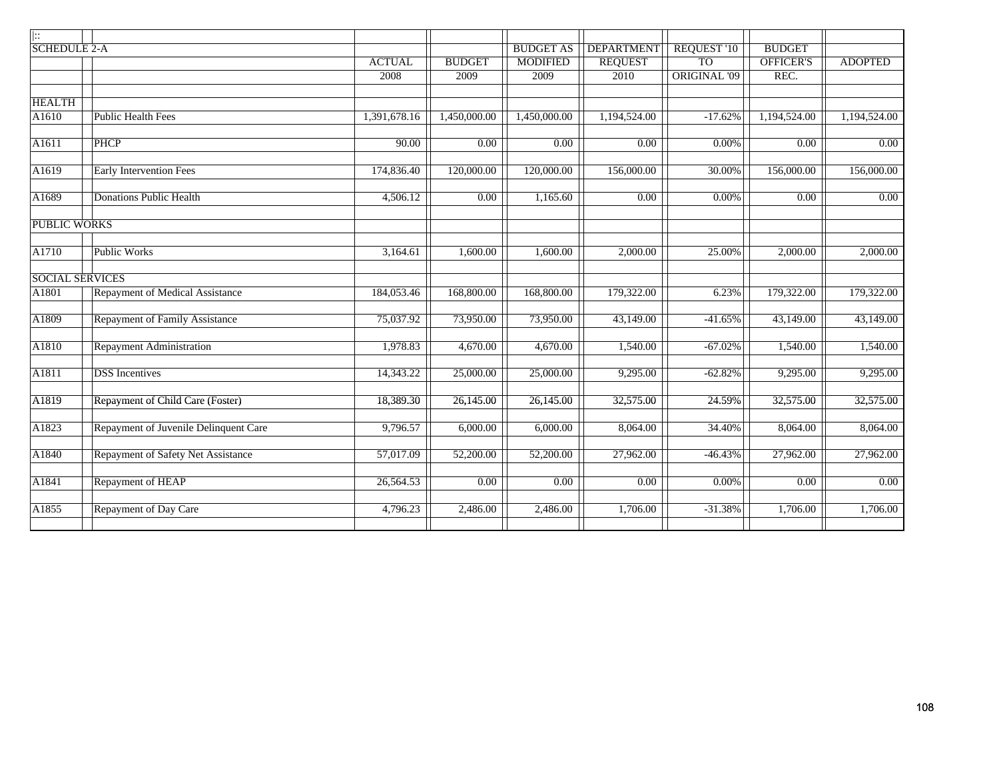| ::                     |                                        |               |                   |                  |                   |              |               |                |
|------------------------|----------------------------------------|---------------|-------------------|------------------|-------------------|--------------|---------------|----------------|
| <b>SCHEDULE 2-A</b>    |                                        |               |                   | <b>BUDGET AS</b> | <b>DEPARTMENT</b> | REQUEST '10  | <b>BUDGET</b> |                |
|                        |                                        | <b>ACTUAL</b> | <b>BUDGET</b>     | <b>MODIFIED</b>  | <b>REQUEST</b>    | <b>TO</b>    | OFFICER'S     | <b>ADOPTED</b> |
|                        |                                        | 2008          | 2009              | 2009             | 2010              | ORIGINAL '09 | REC.          |                |
|                        |                                        |               |                   |                  |                   |              |               |                |
| <b>HEALTH</b>          |                                        |               |                   |                  |                   |              |               |                |
| A1610                  | <b>Public Health Fees</b>              | 1,391,678.16  | 1,450,000.00      | 1,450,000.00     | 1,194,524.00      | $-17.62%$    | 1,194,524.00  | 1,194,524.00   |
|                        |                                        |               |                   |                  |                   |              |               |                |
| A1611                  | <b>PHCP</b>                            | 90.00         | 0.00              | 0.00             | 0.00              | $0.00\%$     | 0.00          | 0.00           |
|                        |                                        |               |                   |                  |                   |              |               |                |
| A1619                  | <b>Early Intervention Fees</b>         | 174,836.40    | 120,000.00        | 120,000.00       | 156,000.00        | 30.00%       | 156,000.00    | 156,000.00     |
|                        |                                        |               |                   |                  |                   |              |               |                |
| A1689                  | <b>Donations Public Health</b>         | 4,506.12      | $\overline{0.00}$ | 1,165.60         | 0.00              | 0.00%        | 0.00          | 0.00           |
|                        |                                        |               |                   |                  |                   |              |               |                |
| <b>PUBLIC WORKS</b>    |                                        |               |                   |                  |                   |              |               |                |
|                        |                                        |               |                   |                  |                   |              |               |                |
| A1710                  | <b>Public Works</b>                    | 3,164.61      | 1,600.00          | 1,600.00         | 2,000.00          | 25.00%       | 2,000.00      | 2,000.00       |
|                        |                                        |               |                   |                  |                   |              |               |                |
| <b>SOCIAL SERVICES</b> |                                        |               |                   |                  |                   |              |               |                |
| A1801                  | <b>Repayment of Medical Assistance</b> | 184,053.46    | 168,800.00        | 168,800.00       | 179,322.00        | 6.23%        | 179,322.00    | 179,322.00     |
|                        |                                        |               |                   |                  |                   |              |               |                |
| A1809                  | <b>Repayment of Family Assistance</b>  | 75,037.92     | 73,950.00         | 73,950.00        | 43,149.00         | $-41.65%$    | 43,149.00     | 43,149.00      |
|                        |                                        |               |                   |                  |                   |              |               |                |
| A1810                  | <b>Repayment Administration</b>        | 1,978.83      | 4,670.00          | 4,670.00         | 1,540.00          | $-67.02%$    | 1,540.00      | 1,540.00       |
|                        |                                        |               |                   |                  |                   |              |               |                |
| A1811                  | <b>DSS</b> Incentives                  | 14,343.22     | 25,000.00         | 25,000.00        | 9,295.00          | $-62.82%$    | 9,295.00      | 9,295.00       |
|                        |                                        |               |                   |                  |                   |              |               |                |
| A1819                  | Repayment of Child Care (Foster)       | 18,389.30     | 26,145.00         | 26,145.00        | 32,575.00         | 24.59%       | 32,575.00     | 32,575.00      |
|                        |                                        |               |                   |                  |                   |              |               |                |
| A1823                  | Repayment of Juvenile Delinquent Care  | 9,796.57      | 6,000.00          | 6,000.00         | 8,064.00          | 34.40%       | 8,064.00      | 8,064.00       |
|                        |                                        |               |                   |                  |                   |              |               |                |
| A1840                  | Repayment of Safety Net Assistance     | 57,017.09     | 52,200.00         | 52,200.00        | 27,962.00         | $-46.43%$    | 27,962.00     | 27,962.00      |
|                        |                                        |               |                   |                  |                   |              |               |                |
| A1841                  | Repayment of HEAP                      | 26,564.53     | 0.00              | 0.00             | 0.00              | $0.00\%$     | 0.00          | 0.00           |
|                        |                                        |               |                   |                  |                   |              |               |                |
|                        |                                        |               |                   |                  |                   |              |               |                |
| A1855                  | <b>Repayment of Day Care</b>           | 4,796.23      | 2,486.00          | 2,486.00         | 1,706.00          | $-31.38%$    | 1,706.00      | 1,706.00       |
|                        |                                        |               |                   |                  |                   |              |               |                |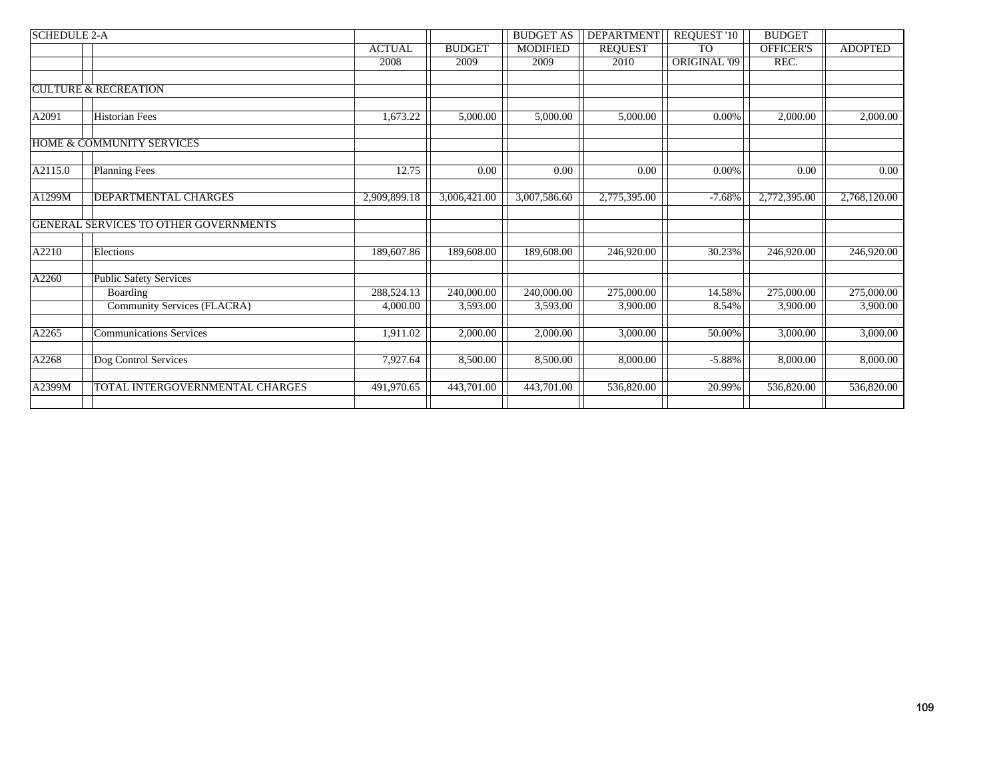| <b>SCHEDULE 2-A</b> |                                       |               |                         | <b>BUDGET AS</b> | <b>DEPARTMENT</b> | <b>REQUEST '10</b>  | <b>BUDGET</b>    |                   |
|---------------------|---------------------------------------|---------------|-------------------------|------------------|-------------------|---------------------|------------------|-------------------|
|                     |                                       | <b>ACTUAL</b> | <b>BUDGET</b>           | <b>MODIFIED</b>  | <b>REQUEST</b>    | <b>TO</b>           | <b>OFFICER'S</b> | <b>ADOPTED</b>    |
|                     |                                       | 2008          | 2009                    | 2009             | 2010              | <b>ORIGINAL '09</b> | REC.             |                   |
|                     |                                       |               |                         |                  |                   |                     |                  |                   |
|                     | <b>CULTURE &amp; RECREATION</b>       |               |                         |                  |                   |                     |                  |                   |
| A2091               | <b>Historian Fees</b>                 | 1,673.22      | 5,000.00                | 5,000.00         | 5,000.00          | 0.00%               | 2,000.00         | 2,000.00          |
|                     | <b>HOME &amp; COMMUNITY SERVICES</b>  |               |                         |                  |                   |                     |                  |                   |
| A2115.0             | <b>Planning Fees</b>                  | 12.75         | 0.00                    | 0.00             | 0.00              | $0.00\%$            | 0.00             | $\overline{0.00}$ |
| A1299M              | DEPARTMENTAL CHARGES                  | 2,909,899.18  | 3,006,421.00            | 3,007,586.60     | 2,775,395.00      | $-7.68%$            | 2,772,395.00     | 2,768,120.00      |
|                     | GENERAL SERVICES TO OTHER GOVERNMENTS |               |                         |                  |                   |                     |                  |                   |
| A2210               | Elections                             | 189,607.86    | 189,608.00              | 189,608.00       | 246,920.00        | 30.23%              | 246,920.00       | 246,920.00        |
| A2260               | <b>Public Safety Services</b>         |               |                         |                  |                   |                     |                  |                   |
|                     | <b>Boarding</b>                       | 288,524.13    | $\overline{240,000.00}$ | 240,000.00       | 275,000.00        | 14.58%              | 275,000.00       | 275,000.00        |
|                     | Community Services (FLACRA)           | 4,000.00      | 3,593.00                | 3,593.00         | 3,900.00          | 8.54%               | 3,900.00         | 3,900.00          |
| A2265               | <b>Communications Services</b>        | 1,911.02      | 2,000.00                | 2,000.00         | 3,000.00          | 50.00%              | 3,000.00         | 3,000.00          |
| A2268               | Dog Control Services                  | 7,927.64      | 8,500.00                | 8,500.00         | 8,000.00          | $-5.88%$            | 8,000.00         | 8,000.00          |
| A2399M              | TOTAL INTERGOVERNMENTAL CHARGES       | 491,970.65    | 443,701.00              | 443,701.00       | 536,820.00        | 20.99%              | 536,820.00       | 536,820.00        |
|                     |                                       |               |                         |                  |                   |                     |                  |                   |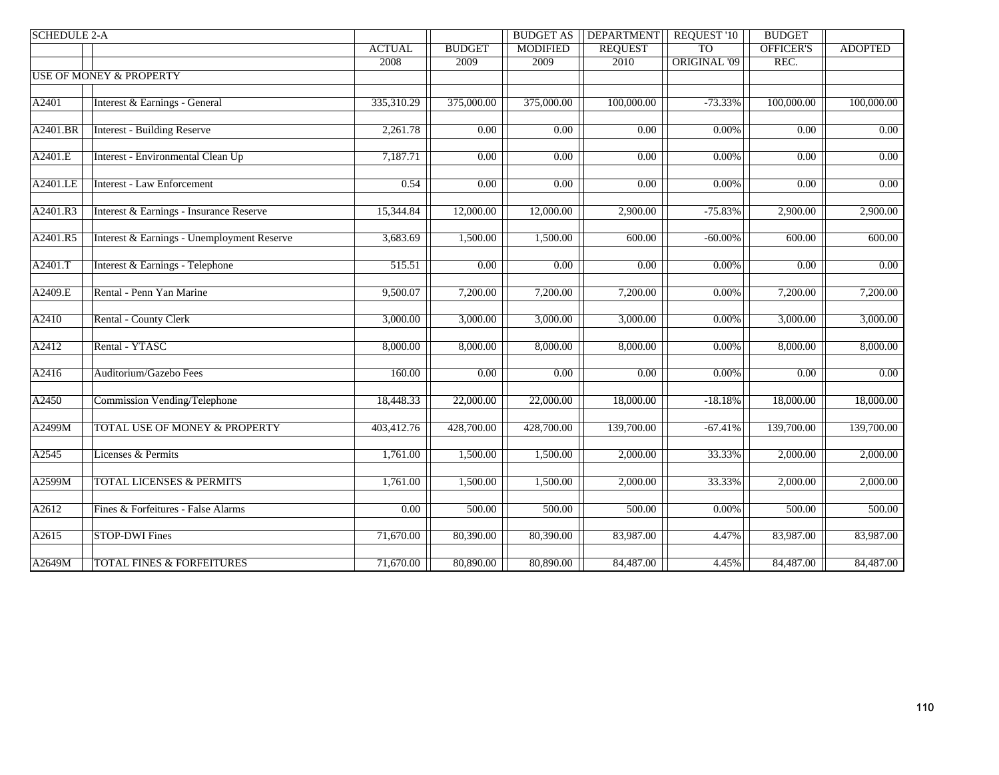| <b>REQUEST</b><br><b>TO</b><br>OFFICER'S<br><b>ACTUAL</b><br><b>BUDGET</b><br><b>MODIFIED</b><br><b>ADOPTED</b><br><b>ORIGINAL '09</b><br>REC.<br>2008<br>2009<br>2009<br>2010<br><b>USE OF MONEY &amp; PROPERTY</b><br>A2401<br>Interest & Earnings - General<br>335,310.29<br>375,000.00<br>375,000.00<br>100,000.00<br>$-73.33\%$<br>100,000.00<br>100,000.00<br>A2401.BR<br><b>Interest - Building Reserve</b><br>2,261.78<br>0.00<br>0.00<br>$\overline{0.00}$<br>$\overline{0.00}$<br>$0.00\%$<br>0.00<br>Interest - Environmental Clean Up<br>A2401.E<br>0.00<br>7,187.71<br>0.00<br>0.00<br>0.00<br>$0.00\%$<br>0.00<br>0.00<br>A2401.LE<br><b>Interest - Law Enforcement</b><br>0.54<br>0.00<br>0.00<br>0.00<br>0.00<br>$0.00\%$<br>Interest & Earnings - Insurance Reserve<br>A2401.R3<br>15,344.84<br>12,000.00<br>12,000.00<br>$-75.83%$<br>2,900.00<br>2,900.00<br>2,900.00<br>Interest & Earnings - Unemployment Reserve<br>A2401.R5<br>3,683.69<br>1,500.00<br>1,500.00<br>$-60.00\%$<br>600.00<br>600.00<br>600.00<br>A2401.T<br>Interest & Earnings - Telephone<br>0.00<br>515.51<br>0.00<br>0.00<br>0.00<br>$0.00\%$<br>0.00<br>A2409.E<br>Rental - Penn Yan Marine<br>9,500.07<br>7,200.00<br>7,200.00<br>7,200.00<br>7,200.00<br>$0.00\%$<br>7,200.00<br>Rental - County Clerk<br>A2410<br>3,000.00<br>3,000.00<br>3,000.00<br>3,000.00<br>$0.00\%$<br>3,000.00<br>3,000.00<br>A2412<br>Rental - YTASC<br>8,000.00<br>8,000.00<br>8,000.00<br>8,000.00<br>8,000.00<br>$0.00\%$<br>8,000.00<br>A2416<br>0.00<br>$\overline{0.00}$<br>Auditorium/Gazebo Fees<br>160.00<br>$\overline{0.00}$<br>$\overline{0.00}$<br>$0.00\%$<br>$\overline{0.00}$<br>A2450<br><b>Commission Vending/Telephone</b><br>18,448.33<br>22,000.00<br>18,000.00<br>22,000.00<br>18,000.00<br>$-18.18%$<br>18,000.00<br>A2499M<br><b>TOTAL USE OF MONEY &amp; PROPERTY</b><br>403,412.76<br>139,700.00<br>139,700.00<br>139,700.00<br>428,700.00<br>428,700.00<br>$-67.41%$<br>A2545<br>Licenses & Permits<br>33.33%<br>2,000.00<br>2,000.00<br>1,761.00<br>1,500.00<br>1,500.00<br>2,000.00<br>A2599M<br><b>TOTAL LICENSES &amp; PERMITS</b><br>1,761.00<br>1,500.00<br>1,500.00<br>2,000.00<br>33.33%<br>2,000.00<br>2,000.00<br>A2612<br>Fines & Forfeitures - False Alarms<br>$\overline{0.00}$<br>500.00<br>500.00<br>500.00<br>$0.00\%$<br>500.00<br>500.00<br>A2615<br><b>STOP-DWI Fines</b><br>71,670.00<br>80,390.00<br>80,390.00<br>83,987.00<br>4.47%<br>83,987.00<br>83,987.00<br><b>TOTAL FINES &amp; FORFEITURES</b><br>71,670.00<br>80,890.00<br>80,890.00<br>84,487.00<br>84,487.00<br>84,487.00<br>4.45% | <b>SCHEDULE 2-A</b> |  | <b>BUDGET AS</b> | <b>DEPARTMENT</b> | <b>REQUEST '10</b> | <b>BUDGET</b> |  |
|---------------------------------------------------------------------------------------------------------------------------------------------------------------------------------------------------------------------------------------------------------------------------------------------------------------------------------------------------------------------------------------------------------------------------------------------------------------------------------------------------------------------------------------------------------------------------------------------------------------------------------------------------------------------------------------------------------------------------------------------------------------------------------------------------------------------------------------------------------------------------------------------------------------------------------------------------------------------------------------------------------------------------------------------------------------------------------------------------------------------------------------------------------------------------------------------------------------------------------------------------------------------------------------------------------------------------------------------------------------------------------------------------------------------------------------------------------------------------------------------------------------------------------------------------------------------------------------------------------------------------------------------------------------------------------------------------------------------------------------------------------------------------------------------------------------------------------------------------------------------------------------------------------------------------------------------------------------------------------------------------------------------------------------------------------------------------------------------------------------------------------------------------------------------------------------------------------------------------------------------------------------------------------------------------------------------------------------------------------------------------------------------------------------------------------------------------------------------------------------------------------------------------------------------------------------------------------------------------------------------|---------------------|--|------------------|-------------------|--------------------|---------------|--|
|                                                                                                                                                                                                                                                                                                                                                                                                                                                                                                                                                                                                                                                                                                                                                                                                                                                                                                                                                                                                                                                                                                                                                                                                                                                                                                                                                                                                                                                                                                                                                                                                                                                                                                                                                                                                                                                                                                                                                                                                                                                                                                                                                                                                                                                                                                                                                                                                                                                                                                                                                                                                                     |                     |  |                  |                   |                    |               |  |
|                                                                                                                                                                                                                                                                                                                                                                                                                                                                                                                                                                                                                                                                                                                                                                                                                                                                                                                                                                                                                                                                                                                                                                                                                                                                                                                                                                                                                                                                                                                                                                                                                                                                                                                                                                                                                                                                                                                                                                                                                                                                                                                                                                                                                                                                                                                                                                                                                                                                                                                                                                                                                     |                     |  |                  |                   |                    |               |  |
|                                                                                                                                                                                                                                                                                                                                                                                                                                                                                                                                                                                                                                                                                                                                                                                                                                                                                                                                                                                                                                                                                                                                                                                                                                                                                                                                                                                                                                                                                                                                                                                                                                                                                                                                                                                                                                                                                                                                                                                                                                                                                                                                                                                                                                                                                                                                                                                                                                                                                                                                                                                                                     |                     |  |                  |                   |                    |               |  |
|                                                                                                                                                                                                                                                                                                                                                                                                                                                                                                                                                                                                                                                                                                                                                                                                                                                                                                                                                                                                                                                                                                                                                                                                                                                                                                                                                                                                                                                                                                                                                                                                                                                                                                                                                                                                                                                                                                                                                                                                                                                                                                                                                                                                                                                                                                                                                                                                                                                                                                                                                                                                                     |                     |  |                  |                   |                    |               |  |
|                                                                                                                                                                                                                                                                                                                                                                                                                                                                                                                                                                                                                                                                                                                                                                                                                                                                                                                                                                                                                                                                                                                                                                                                                                                                                                                                                                                                                                                                                                                                                                                                                                                                                                                                                                                                                                                                                                                                                                                                                                                                                                                                                                                                                                                                                                                                                                                                                                                                                                                                                                                                                     |                     |  |                  |                   |                    |               |  |
|                                                                                                                                                                                                                                                                                                                                                                                                                                                                                                                                                                                                                                                                                                                                                                                                                                                                                                                                                                                                                                                                                                                                                                                                                                                                                                                                                                                                                                                                                                                                                                                                                                                                                                                                                                                                                                                                                                                                                                                                                                                                                                                                                                                                                                                                                                                                                                                                                                                                                                                                                                                                                     |                     |  |                  |                   |                    |               |  |
|                                                                                                                                                                                                                                                                                                                                                                                                                                                                                                                                                                                                                                                                                                                                                                                                                                                                                                                                                                                                                                                                                                                                                                                                                                                                                                                                                                                                                                                                                                                                                                                                                                                                                                                                                                                                                                                                                                                                                                                                                                                                                                                                                                                                                                                                                                                                                                                                                                                                                                                                                                                                                     |                     |  |                  |                   |                    |               |  |
|                                                                                                                                                                                                                                                                                                                                                                                                                                                                                                                                                                                                                                                                                                                                                                                                                                                                                                                                                                                                                                                                                                                                                                                                                                                                                                                                                                                                                                                                                                                                                                                                                                                                                                                                                                                                                                                                                                                                                                                                                                                                                                                                                                                                                                                                                                                                                                                                                                                                                                                                                                                                                     |                     |  |                  |                   |                    |               |  |
|                                                                                                                                                                                                                                                                                                                                                                                                                                                                                                                                                                                                                                                                                                                                                                                                                                                                                                                                                                                                                                                                                                                                                                                                                                                                                                                                                                                                                                                                                                                                                                                                                                                                                                                                                                                                                                                                                                                                                                                                                                                                                                                                                                                                                                                                                                                                                                                                                                                                                                                                                                                                                     |                     |  |                  |                   |                    |               |  |
|                                                                                                                                                                                                                                                                                                                                                                                                                                                                                                                                                                                                                                                                                                                                                                                                                                                                                                                                                                                                                                                                                                                                                                                                                                                                                                                                                                                                                                                                                                                                                                                                                                                                                                                                                                                                                                                                                                                                                                                                                                                                                                                                                                                                                                                                                                                                                                                                                                                                                                                                                                                                                     |                     |  |                  |                   |                    |               |  |
|                                                                                                                                                                                                                                                                                                                                                                                                                                                                                                                                                                                                                                                                                                                                                                                                                                                                                                                                                                                                                                                                                                                                                                                                                                                                                                                                                                                                                                                                                                                                                                                                                                                                                                                                                                                                                                                                                                                                                                                                                                                                                                                                                                                                                                                                                                                                                                                                                                                                                                                                                                                                                     |                     |  |                  |                   |                    |               |  |
|                                                                                                                                                                                                                                                                                                                                                                                                                                                                                                                                                                                                                                                                                                                                                                                                                                                                                                                                                                                                                                                                                                                                                                                                                                                                                                                                                                                                                                                                                                                                                                                                                                                                                                                                                                                                                                                                                                                                                                                                                                                                                                                                                                                                                                                                                                                                                                                                                                                                                                                                                                                                                     |                     |  |                  |                   |                    |               |  |
|                                                                                                                                                                                                                                                                                                                                                                                                                                                                                                                                                                                                                                                                                                                                                                                                                                                                                                                                                                                                                                                                                                                                                                                                                                                                                                                                                                                                                                                                                                                                                                                                                                                                                                                                                                                                                                                                                                                                                                                                                                                                                                                                                                                                                                                                                                                                                                                                                                                                                                                                                                                                                     |                     |  |                  |                   |                    |               |  |
|                                                                                                                                                                                                                                                                                                                                                                                                                                                                                                                                                                                                                                                                                                                                                                                                                                                                                                                                                                                                                                                                                                                                                                                                                                                                                                                                                                                                                                                                                                                                                                                                                                                                                                                                                                                                                                                                                                                                                                                                                                                                                                                                                                                                                                                                                                                                                                                                                                                                                                                                                                                                                     |                     |  |                  |                   |                    |               |  |
|                                                                                                                                                                                                                                                                                                                                                                                                                                                                                                                                                                                                                                                                                                                                                                                                                                                                                                                                                                                                                                                                                                                                                                                                                                                                                                                                                                                                                                                                                                                                                                                                                                                                                                                                                                                                                                                                                                                                                                                                                                                                                                                                                                                                                                                                                                                                                                                                                                                                                                                                                                                                                     |                     |  |                  |                   |                    |               |  |
|                                                                                                                                                                                                                                                                                                                                                                                                                                                                                                                                                                                                                                                                                                                                                                                                                                                                                                                                                                                                                                                                                                                                                                                                                                                                                                                                                                                                                                                                                                                                                                                                                                                                                                                                                                                                                                                                                                                                                                                                                                                                                                                                                                                                                                                                                                                                                                                                                                                                                                                                                                                                                     |                     |  |                  |                   |                    |               |  |
|                                                                                                                                                                                                                                                                                                                                                                                                                                                                                                                                                                                                                                                                                                                                                                                                                                                                                                                                                                                                                                                                                                                                                                                                                                                                                                                                                                                                                                                                                                                                                                                                                                                                                                                                                                                                                                                                                                                                                                                                                                                                                                                                                                                                                                                                                                                                                                                                                                                                                                                                                                                                                     |                     |  |                  |                   |                    |               |  |
|                                                                                                                                                                                                                                                                                                                                                                                                                                                                                                                                                                                                                                                                                                                                                                                                                                                                                                                                                                                                                                                                                                                                                                                                                                                                                                                                                                                                                                                                                                                                                                                                                                                                                                                                                                                                                                                                                                                                                                                                                                                                                                                                                                                                                                                                                                                                                                                                                                                                                                                                                                                                                     |                     |  |                  |                   |                    |               |  |
|                                                                                                                                                                                                                                                                                                                                                                                                                                                                                                                                                                                                                                                                                                                                                                                                                                                                                                                                                                                                                                                                                                                                                                                                                                                                                                                                                                                                                                                                                                                                                                                                                                                                                                                                                                                                                                                                                                                                                                                                                                                                                                                                                                                                                                                                                                                                                                                                                                                                                                                                                                                                                     |                     |  |                  |                   |                    |               |  |
|                                                                                                                                                                                                                                                                                                                                                                                                                                                                                                                                                                                                                                                                                                                                                                                                                                                                                                                                                                                                                                                                                                                                                                                                                                                                                                                                                                                                                                                                                                                                                                                                                                                                                                                                                                                                                                                                                                                                                                                                                                                                                                                                                                                                                                                                                                                                                                                                                                                                                                                                                                                                                     |                     |  |                  |                   |                    |               |  |
|                                                                                                                                                                                                                                                                                                                                                                                                                                                                                                                                                                                                                                                                                                                                                                                                                                                                                                                                                                                                                                                                                                                                                                                                                                                                                                                                                                                                                                                                                                                                                                                                                                                                                                                                                                                                                                                                                                                                                                                                                                                                                                                                                                                                                                                                                                                                                                                                                                                                                                                                                                                                                     |                     |  |                  |                   |                    |               |  |
|                                                                                                                                                                                                                                                                                                                                                                                                                                                                                                                                                                                                                                                                                                                                                                                                                                                                                                                                                                                                                                                                                                                                                                                                                                                                                                                                                                                                                                                                                                                                                                                                                                                                                                                                                                                                                                                                                                                                                                                                                                                                                                                                                                                                                                                                                                                                                                                                                                                                                                                                                                                                                     |                     |  |                  |                   |                    |               |  |
|                                                                                                                                                                                                                                                                                                                                                                                                                                                                                                                                                                                                                                                                                                                                                                                                                                                                                                                                                                                                                                                                                                                                                                                                                                                                                                                                                                                                                                                                                                                                                                                                                                                                                                                                                                                                                                                                                                                                                                                                                                                                                                                                                                                                                                                                                                                                                                                                                                                                                                                                                                                                                     |                     |  |                  |                   |                    |               |  |
|                                                                                                                                                                                                                                                                                                                                                                                                                                                                                                                                                                                                                                                                                                                                                                                                                                                                                                                                                                                                                                                                                                                                                                                                                                                                                                                                                                                                                                                                                                                                                                                                                                                                                                                                                                                                                                                                                                                                                                                                                                                                                                                                                                                                                                                                                                                                                                                                                                                                                                                                                                                                                     |                     |  |                  |                   |                    |               |  |
|                                                                                                                                                                                                                                                                                                                                                                                                                                                                                                                                                                                                                                                                                                                                                                                                                                                                                                                                                                                                                                                                                                                                                                                                                                                                                                                                                                                                                                                                                                                                                                                                                                                                                                                                                                                                                                                                                                                                                                                                                                                                                                                                                                                                                                                                                                                                                                                                                                                                                                                                                                                                                     |                     |  |                  |                   |                    |               |  |
|                                                                                                                                                                                                                                                                                                                                                                                                                                                                                                                                                                                                                                                                                                                                                                                                                                                                                                                                                                                                                                                                                                                                                                                                                                                                                                                                                                                                                                                                                                                                                                                                                                                                                                                                                                                                                                                                                                                                                                                                                                                                                                                                                                                                                                                                                                                                                                                                                                                                                                                                                                                                                     |                     |  |                  |                   |                    |               |  |
|                                                                                                                                                                                                                                                                                                                                                                                                                                                                                                                                                                                                                                                                                                                                                                                                                                                                                                                                                                                                                                                                                                                                                                                                                                                                                                                                                                                                                                                                                                                                                                                                                                                                                                                                                                                                                                                                                                                                                                                                                                                                                                                                                                                                                                                                                                                                                                                                                                                                                                                                                                                                                     |                     |  |                  |                   |                    |               |  |
|                                                                                                                                                                                                                                                                                                                                                                                                                                                                                                                                                                                                                                                                                                                                                                                                                                                                                                                                                                                                                                                                                                                                                                                                                                                                                                                                                                                                                                                                                                                                                                                                                                                                                                                                                                                                                                                                                                                                                                                                                                                                                                                                                                                                                                                                                                                                                                                                                                                                                                                                                                                                                     |                     |  |                  |                   |                    |               |  |
|                                                                                                                                                                                                                                                                                                                                                                                                                                                                                                                                                                                                                                                                                                                                                                                                                                                                                                                                                                                                                                                                                                                                                                                                                                                                                                                                                                                                                                                                                                                                                                                                                                                                                                                                                                                                                                                                                                                                                                                                                                                                                                                                                                                                                                                                                                                                                                                                                                                                                                                                                                                                                     |                     |  |                  |                   |                    |               |  |
|                                                                                                                                                                                                                                                                                                                                                                                                                                                                                                                                                                                                                                                                                                                                                                                                                                                                                                                                                                                                                                                                                                                                                                                                                                                                                                                                                                                                                                                                                                                                                                                                                                                                                                                                                                                                                                                                                                                                                                                                                                                                                                                                                                                                                                                                                                                                                                                                                                                                                                                                                                                                                     |                     |  |                  |                   |                    |               |  |
|                                                                                                                                                                                                                                                                                                                                                                                                                                                                                                                                                                                                                                                                                                                                                                                                                                                                                                                                                                                                                                                                                                                                                                                                                                                                                                                                                                                                                                                                                                                                                                                                                                                                                                                                                                                                                                                                                                                                                                                                                                                                                                                                                                                                                                                                                                                                                                                                                                                                                                                                                                                                                     |                     |  |                  |                   |                    |               |  |
|                                                                                                                                                                                                                                                                                                                                                                                                                                                                                                                                                                                                                                                                                                                                                                                                                                                                                                                                                                                                                                                                                                                                                                                                                                                                                                                                                                                                                                                                                                                                                                                                                                                                                                                                                                                                                                                                                                                                                                                                                                                                                                                                                                                                                                                                                                                                                                                                                                                                                                                                                                                                                     |                     |  |                  |                   |                    |               |  |
|                                                                                                                                                                                                                                                                                                                                                                                                                                                                                                                                                                                                                                                                                                                                                                                                                                                                                                                                                                                                                                                                                                                                                                                                                                                                                                                                                                                                                                                                                                                                                                                                                                                                                                                                                                                                                                                                                                                                                                                                                                                                                                                                                                                                                                                                                                                                                                                                                                                                                                                                                                                                                     |                     |  |                  |                   |                    |               |  |
|                                                                                                                                                                                                                                                                                                                                                                                                                                                                                                                                                                                                                                                                                                                                                                                                                                                                                                                                                                                                                                                                                                                                                                                                                                                                                                                                                                                                                                                                                                                                                                                                                                                                                                                                                                                                                                                                                                                                                                                                                                                                                                                                                                                                                                                                                                                                                                                                                                                                                                                                                                                                                     |                     |  |                  |                   |                    |               |  |
|                                                                                                                                                                                                                                                                                                                                                                                                                                                                                                                                                                                                                                                                                                                                                                                                                                                                                                                                                                                                                                                                                                                                                                                                                                                                                                                                                                                                                                                                                                                                                                                                                                                                                                                                                                                                                                                                                                                                                                                                                                                                                                                                                                                                                                                                                                                                                                                                                                                                                                                                                                                                                     |                     |  |                  |                   |                    |               |  |
|                                                                                                                                                                                                                                                                                                                                                                                                                                                                                                                                                                                                                                                                                                                                                                                                                                                                                                                                                                                                                                                                                                                                                                                                                                                                                                                                                                                                                                                                                                                                                                                                                                                                                                                                                                                                                                                                                                                                                                                                                                                                                                                                                                                                                                                                                                                                                                                                                                                                                                                                                                                                                     |                     |  |                  |                   |                    |               |  |
|                                                                                                                                                                                                                                                                                                                                                                                                                                                                                                                                                                                                                                                                                                                                                                                                                                                                                                                                                                                                                                                                                                                                                                                                                                                                                                                                                                                                                                                                                                                                                                                                                                                                                                                                                                                                                                                                                                                                                                                                                                                                                                                                                                                                                                                                                                                                                                                                                                                                                                                                                                                                                     |                     |  |                  |                   |                    |               |  |
|                                                                                                                                                                                                                                                                                                                                                                                                                                                                                                                                                                                                                                                                                                                                                                                                                                                                                                                                                                                                                                                                                                                                                                                                                                                                                                                                                                                                                                                                                                                                                                                                                                                                                                                                                                                                                                                                                                                                                                                                                                                                                                                                                                                                                                                                                                                                                                                                                                                                                                                                                                                                                     | A2649M              |  |                  |                   |                    |               |  |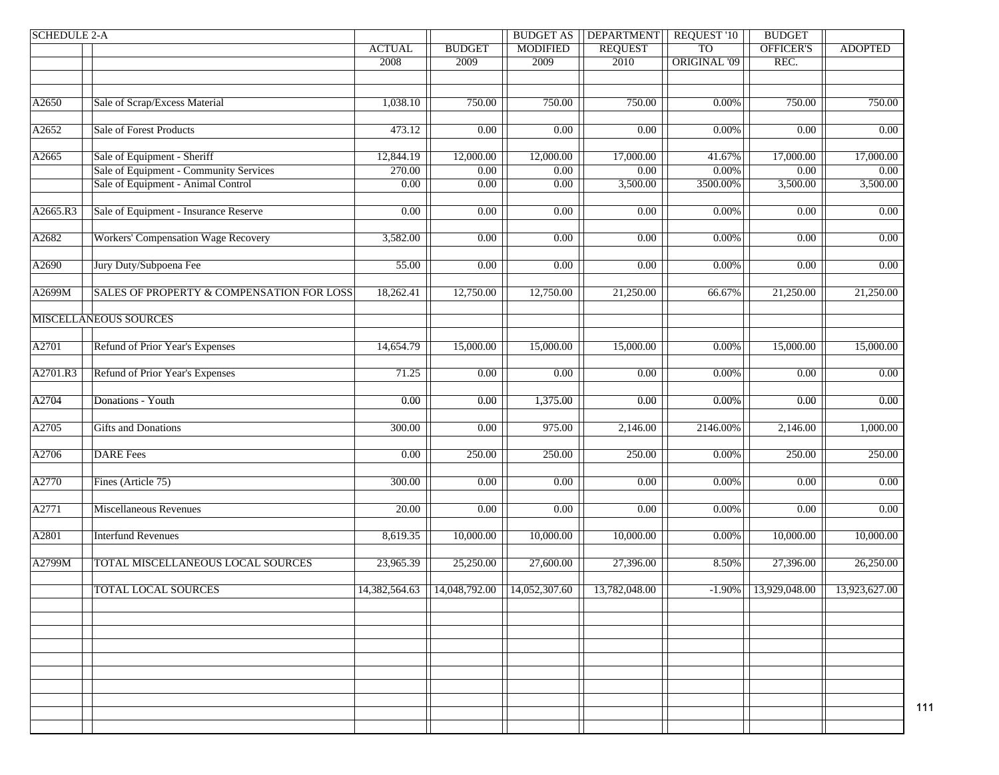| <b>SCHEDULE 2-A</b> |                                            |                     |                   | <b>BUDGET AS</b>  | <b>DEPARTMENT</b> | <b>REQUEST '10</b> | <b>BUDGET</b>     |                |
|---------------------|--------------------------------------------|---------------------|-------------------|-------------------|-------------------|--------------------|-------------------|----------------|
|                     |                                            | <b>ACTUAL</b>       | <b>BUDGET</b>     | <b>MODIFIED</b>   | <b>REQUEST</b>    | T <sub>O</sub>     | OFFICER'S         | <b>ADOPTED</b> |
|                     |                                            | 2008                | 2009              | 2009              | 2010              | ORIGINAL '09       | REC.              |                |
|                     |                                            |                     |                   |                   |                   |                    |                   |                |
|                     |                                            |                     |                   |                   |                   |                    |                   |                |
| A2650               | Sale of Scrap/Excess Material              | 1,038.10            | 750.00            | 750.00            | 750.00            | $0.00\%$           | 750.00            | 750.00         |
|                     |                                            |                     |                   |                   |                   |                    |                   |                |
| A2652               | <b>Sale of Forest Products</b>             | 473.12              | 0.00              | 0.00              | $\overline{0.00}$ | $0.00\%$           | $\overline{0.00}$ | 0.00           |
|                     |                                            |                     |                   |                   |                   |                    |                   |                |
| A2665               | Sale of Equipment - Sheriff                | 12,844.19           | 12,000.00         | 12,000.00         | 17,000.00         | 41.67%             | 17,000.00         | 17,000.00      |
|                     | Sale of Equipment - Community Services     | 270.00              | 0.00              | 0.00              | $\overline{0.00}$ | $0.00\%$           | $\overline{0.00}$ | 0.00           |
|                     | Sale of Equipment - Animal Control         | $\overline{0.00}$   | 0.00              | $\overline{0.00}$ | 3,500.00          | 3500.00%           | 3,500.00          | 3,500.00       |
|                     |                                            |                     |                   |                   |                   |                    |                   |                |
| A2665.R3            | Sale of Equipment - Insurance Reserve      | 0.00                | 0.00              | 0.00              | $\overline{0.00}$ | $0.00\%$           | 0.00              | 0.00           |
|                     |                                            |                     |                   |                   |                   |                    |                   |                |
| A2682               | <b>Workers' Compensation Wage Recovery</b> | 3,582.00            | 0.00              | 0.00              | $\overline{0.00}$ | $0.00\%$           | $\overline{0.00}$ | 0.00           |
|                     |                                            |                     |                   |                   |                   |                    |                   |                |
| A2690               | Jury Duty/Subpoena Fee                     | 55.00               | 0.00              | 0.00              | 0.00              | $0.00\%$           | 0.00              | 0.00           |
|                     |                                            |                     |                   |                   |                   |                    |                   |                |
| A2699M              | SALES OF PROPERTY & COMPENSATION FOR LOSS  | 18,262.41           | 12,750.00         | 12,750.00         | 21,250.00         | 66.67%             | 21,250.00         | 21,250.00      |
|                     |                                            |                     |                   |                   |                   |                    |                   |                |
|                     | <b>MISCELLANEOUS SOURCES</b>               |                     |                   |                   |                   |                    |                   |                |
|                     |                                            |                     |                   |                   |                   |                    |                   |                |
| A2701               | Refund of Prior Year's Expenses            | 14,654.79           | 15,000.00         | 15,000.00         | 15,000.00         | $0.00\%$           | 15,000.00         | 15,000.00      |
|                     |                                            |                     |                   |                   |                   |                    |                   |                |
| A2701.R3            | Refund of Prior Year's Expenses            | 71.25               | 0.00              | 0.00              | 0.00              | 0.00%              | 0.00              | $0.00\,$       |
|                     |                                            |                     |                   |                   |                   |                    |                   |                |
| A2704               | Donations - Youth                          | $0.00\,$            | 0.00              | 1,375.00          | 0.00              | 0.00%              | $0.00\,$          | 0.00           |
|                     |                                            |                     |                   |                   |                   |                    |                   |                |
| A2705               | <b>Gifts and Donations</b>                 | 300.00              | $\overline{0.00}$ | 975.00            | 2,146.00          | 2146.00%           | 2,146.00          | 1,000.00       |
|                     |                                            |                     |                   |                   |                   |                    |                   |                |
| A2706               | <b>DARE</b> Fees                           | 0.00                | 250.00            | 250.00            | 250.00            | 0.00%              | 250.00            | 250.00         |
|                     |                                            |                     |                   |                   |                   |                    |                   |                |
| A2770               | Fines (Article 75)                         | $\overline{300.00}$ | 0.00              | 0.00              | $\overline{0.00}$ | $0.00\%$           | 0.00              | 0.00           |
|                     |                                            |                     |                   |                   |                   |                    |                   |                |
| A2771               | Miscellaneous Revenues                     | 20.00               | $0.00\,$          | 0.00              | $0.00\,$          | $0.00\%$           | 0.00              | 0.00           |
|                     |                                            |                     |                   |                   |                   |                    |                   |                |
| A2801               | <b>Interfund Revenues</b>                  | 8,619.35            | 10,000.00         | 10,000.00         | 10,000.00         | $0.00\%$           | 10,000.00         | 10,000.00      |
|                     |                                            |                     |                   |                   |                   |                    |                   |                |
| A2799M              | TOTAL MISCELLANEOUS LOCAL SOURCES          | 23,965.39           | 25,250.00         | 27,600.00         | 27,396.00         | 8.50%              | 27,396.00         | 26,250.00      |
|                     | <b>TOTAL LOCAL SOURCES</b>                 |                     |                   |                   |                   |                    |                   | 13,923,627.00  |
|                     |                                            | 14,382,564.63       | 14,048,792.00     | 14,052,307.60     | 13,782,048.00     | $-1.90\%$          | 13,929,048.00     |                |
|                     |                                            |                     |                   |                   |                   |                    |                   |                |
|                     |                                            |                     |                   |                   |                   |                    |                   |                |
|                     |                                            |                     |                   |                   |                   |                    |                   |                |
|                     |                                            |                     |                   |                   |                   |                    |                   |                |
|                     |                                            |                     |                   |                   |                   |                    |                   |                |
|                     |                                            |                     |                   |                   |                   |                    |                   |                |
|                     |                                            |                     |                   |                   |                   |                    |                   |                |
|                     |                                            |                     |                   |                   |                   |                    |                   |                |
|                     |                                            |                     |                   |                   |                   |                    |                   |                |
|                     |                                            |                     |                   |                   |                   |                    |                   |                |

111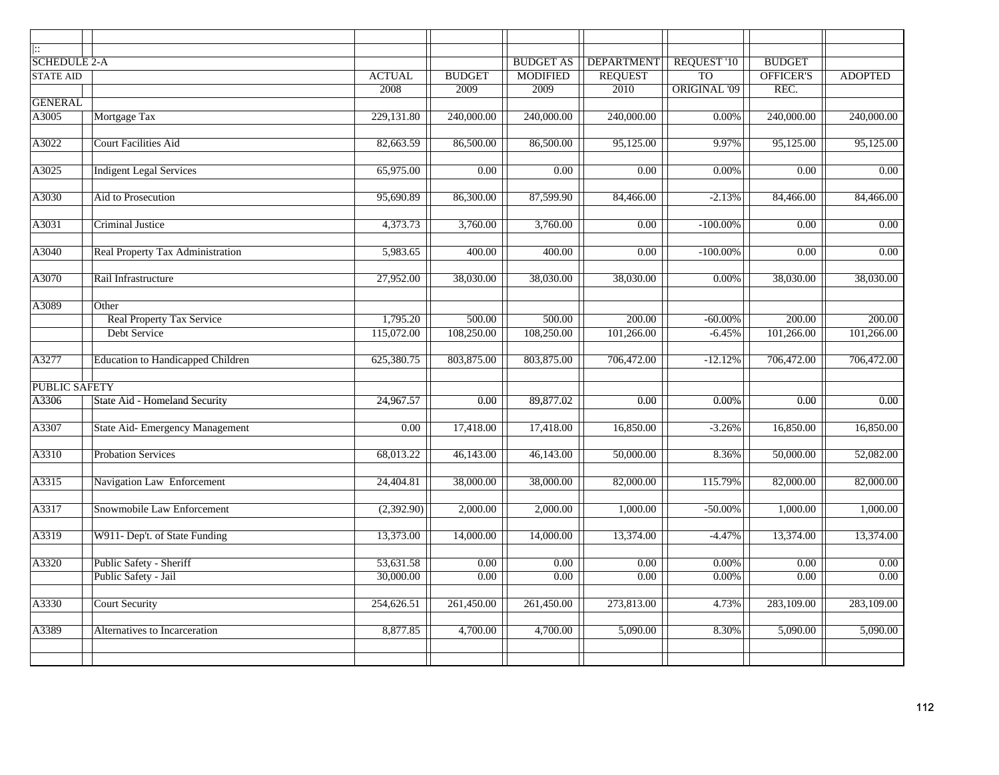| Ħ.<br><b>SCHEDULE 2-A</b> |                                          |               |                     | <b>BUDGET AS</b> | <b>DEPARTMENT</b> | <b>REQUEST '10</b>  | <b>BUDGET</b>          |                   |
|---------------------------|------------------------------------------|---------------|---------------------|------------------|-------------------|---------------------|------------------------|-------------------|
| <b>STATE AID</b>          |                                          | <b>ACTUAL</b> | <b>BUDGET</b>       | <b>MODIFIED</b>  | <b>REQUEST</b>    | <b>TO</b>           | OFFICER'S              | <b>ADOPTED</b>    |
|                           |                                          | 2008          | 2009                | 2009             | 2010              | <b>ORIGINAL '09</b> | REC.                   |                   |
| <b>GENERAL</b>            |                                          |               |                     |                  |                   |                     |                        |                   |
| A3005                     | Mortgage Tax                             | 229,131.80    | 240,000.00          | 240,000.00       | 240,000.00        | $0.00\%$            | 240,000.00             | 240,000.00        |
|                           |                                          |               |                     |                  |                   |                     |                        |                   |
| A3022                     | Court Facilities Aid                     | 82,663.59     | 86,500.00           | 86,500.00        | 95,125.00         | 9.97%               | 95,125.00              | 95,125.00         |
|                           |                                          |               |                     |                  |                   |                     |                        |                   |
| A3025                     | <b>Indigent Legal Services</b>           | 65,975.00     | 0.00                | 0.00             | 0.00              | 0.00%               | 0.00                   | 0.00              |
|                           |                                          |               |                     |                  |                   |                     |                        |                   |
| A3030                     | Aid to Prosecution                       | 95,690.89     | 86,300.00           | 87,599.90        | 84,466.00         | $-2.13%$            | 84,466.00              | 84,466.00         |
|                           |                                          |               |                     |                  |                   |                     |                        |                   |
| A3031                     | Criminal Justice                         | 4,373.73      | 3,760.00            | 3,760.00         | 0.00              | $-100.00\%$         | 0.00                   | $0.00\,$          |
| A3040                     | Real Property Tax Administration         | 5,983.65      | 400.00              | 400.00           | $\overline{0.00}$ | $-100.00\%$         | $\overline{0.00}$      | $\overline{0.00}$ |
|                           |                                          |               |                     |                  |                   |                     |                        |                   |
| A3070                     | Rail Infrastructure                      | 27,952.00     | 38,030.00           | 38,030.00        | 38,030.00         | $0.00\%$            | 38,030.00              | 38,030.00         |
|                           |                                          |               |                     |                  |                   |                     |                        |                   |
| A3089                     | Other                                    |               |                     |                  |                   |                     |                        |                   |
|                           | <b>Real Property Tax Service</b>         | 1,795.20      | $\overline{500.00}$ | 500.00           | 200.00            | $-60.00\%$          | 200.00                 | 200.00            |
|                           | Debt Service                             | 115,072.00    | 108,250.00          | 108,250.00       | 101,266.00        | $-6.45%$            | 101,266.00             | 101,266.00        |
| A3277                     | <b>Education to Handicapped Children</b> | 625,380.75    | 803,875.00          | 803,875.00       | 706,472.00        | $-12.12%$           | 706,472.00             | 706,472.00        |
| <b>PUBLIC SAFETY</b>      |                                          |               |                     |                  |                   |                     |                        |                   |
| A3306                     | State Aid - Homeland Security            | 24,967.57     | $\overline{0.00}$   | 89,877.02        | $\overline{0.00}$ | 0.00%               | 0.00                   | $\overline{0.00}$ |
|                           |                                          |               |                     |                  |                   |                     |                        |                   |
| A3307                     | State Aid-Emergency Management           | 0.00          | 17,418.00           | 17,418.00        | 16,850.00         | $-3.26%$            | 16,850.00              | 16,850.00         |
|                           |                                          |               |                     |                  |                   |                     |                        |                   |
| A3310                     | <b>Probation Services</b>                | 68,013.22     | 46,143.00           | 46,143.00        | 50,000.00         | 8.36%               | $\overline{50,000.00}$ | 52,082.00         |
|                           |                                          |               |                     |                  |                   |                     |                        |                   |
| A3315                     | Navigation Law Enforcement               | 24,404.81     | 38,000.00           | 38,000.00        | 82,000.00         | 115.79%             | 82,000.00              | 82,000.00         |
|                           |                                          |               |                     |                  |                   |                     |                        |                   |
| A3317                     | Snowmobile Law Enforcement               | (2,392.90)    | 2,000.00            | 2,000.00         | 1,000.00          | $-50.00\%$          | 1,000.00               | 1,000.00          |
|                           |                                          |               |                     |                  |                   |                     |                        |                   |
| A3319                     | W911- Dep't. of State Funding            | 13,373.00     | 14,000.00           | 14,000.00        | 13,374.00         | $-4.47%$            | 13,374.00              | 13,374.00         |
| A3320                     | Public Safety - Sheriff                  | 53,631.58     | 0.00                | 0.00             | 0.00              | $0.00\%$            | 0.00                   | 0.00              |
|                           | Public Safety - Jail                     | 30,000.00     | 0.00                | 0.00             | 0.00              | $0.00\%$            | 0.00                   | 0.00              |
|                           |                                          |               |                     |                  |                   |                     |                        |                   |
| A3330                     | <b>Court Security</b>                    | 254,626.51    | 261,450.00          | 261,450.00       | 273,813.00        | 4.73%               | 283,109.00             | 283,109.00        |
|                           |                                          |               |                     |                  |                   |                     |                        |                   |
| A3389                     | Alternatives to Incarceration            | 8,877.85      | 4,700.00            | 4,700.00         | 5,090.00          | 8.30%               | $\overline{5,090.00}$  | 5,090.00          |
|                           |                                          |               |                     |                  |                   |                     |                        |                   |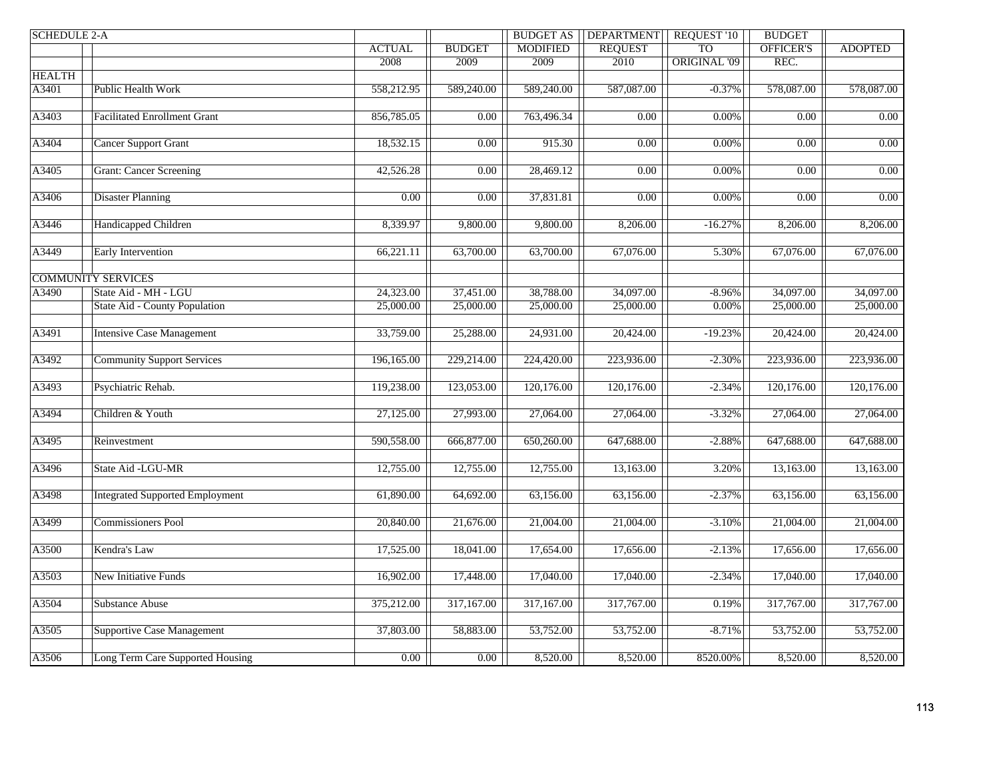| <b>SCHEDULE 2-A</b> |                                        |               |                         | <b>BUDGET AS</b>       | <b>DEPARTMENT</b>      | <b>REQUEST '10</b>  | <b>BUDGET</b>     |                   |
|---------------------|----------------------------------------|---------------|-------------------------|------------------------|------------------------|---------------------|-------------------|-------------------|
|                     |                                        | <b>ACTUAL</b> | <b>BUDGET</b>           | <b>MODIFIED</b>        | <b>REQUEST</b>         | <b>TO</b>           | OFFICER'S         | <b>ADOPTED</b>    |
|                     |                                        | 2008          | 2009                    | 2009                   | 2010                   | <b>ORIGINAL '09</b> | REC.              |                   |
| <b>HEALTH</b>       |                                        |               |                         |                        |                        |                     |                   |                   |
| A3401               | <b>Public Health Work</b>              | 558,212.95    | $\overline{589,240.00}$ | 589,240.00             | 587,087.00             | $-0.37%$            | 578,087.00        | 578,087.00        |
|                     |                                        |               |                         |                        |                        |                     |                   |                   |
| A3403               | <b>Facilitated Enrollment Grant</b>    | 856,785.05    | $\overline{0.00}$       | 763,496.34             | $\overline{0.00}$      | $0.00\%$            | 0.00              | 0.00              |
| A3404               | <b>Cancer Support Grant</b>            | 18,532.15     | $\overline{0.00}$       | 915.30                 | $\overline{0.00}$      | $0.00\%$            | $\overline{0.00}$ | 0.00              |
|                     |                                        |               |                         |                        |                        |                     |                   |                   |
| A3405               | <b>Grant: Cancer Screening</b>         | 42,526.28     | 0.00                    | 28,469.12              | 0.00                   | 0.00%               | 0.00              | $\overline{0.00}$ |
|                     |                                        |               |                         |                        |                        |                     |                   |                   |
| A3406               | <b>Disaster Planning</b>               | 0.00          | 0.00                    | 37,831.81              | 0.00                   | 0.00%               | 0.00              | $0.00\,$          |
|                     |                                        |               |                         |                        |                        |                     |                   |                   |
| A3446               | Handicapped Children                   | 8,339.97      | 9,800.00                | 9,800.00               | 8,206.00               | $-16.27%$           | 8,206.00          | 8,206.00          |
| A3449               | <b>Early Intervention</b>              | 66,221.11     | 63,700.00               | 63,700.00              | 67,076.00              | 5.30%               | 67,076.00         | 67,076.00         |
|                     |                                        |               |                         |                        |                        |                     |                   |                   |
|                     | <b>COMMUNITY SERVICES</b>              |               |                         |                        |                        |                     |                   |                   |
| A3490               | State Aid - MH - LGU                   | 24,323.00     | 37,451.00               | 38,788.00              | 34,097.00              | $-8.96%$            | 34,097.00         | 34,097.00         |
|                     | <b>State Aid - County Population</b>   | 25,000.00     | 25,000.00               | 25,000.00              | 25,000.00              | 0.00%               | 25,000.00         | 25,000.00         |
|                     |                                        |               |                         |                        |                        |                     |                   |                   |
| A3491               | <b>Intensive Case Management</b>       | 33,759.00     | 25,288.00               | 24,931.00              | 20,424.00              | $-19.23%$           | 20,424.00         | 20,424.00         |
|                     |                                        |               |                         |                        |                        |                     |                   |                   |
| A3492               | <b>Community Support Services</b>      | 196,165.00    | 229,214.00              | 224,420.00             | 223,936.00             | $-2.30%$            | 223,936.00        | 223,936.00        |
| A3493               | Psychiatric Rehab.                     | 119,238.00    | 123,053.00              | 120,176.00             | 120,176.00             | $-2.34%$            | 120,176.00        | 120,176.00        |
|                     |                                        |               |                         |                        |                        |                     |                   |                   |
| A3494               | Children & Youth                       | 27,125.00     | 27,993.00               | 27,064.00              | 27,064.00              | $-3.32%$            | 27,064.00         | 27,064.00         |
|                     |                                        |               |                         |                        |                        |                     |                   |                   |
| A3495               | Reinvestment                           | 590,558.00    | 666,877.00              | 650,260.00             | 647,688.00             | $-2.88%$            | 647,688.00        | 647,688.00        |
|                     |                                        |               |                         |                        |                        |                     |                   |                   |
| A3496               | State Aid -LGU-MR                      | 12,755.00     | 12,755.00               | 12,755.00              | 13,163.00              | 3.20%               | 13,163.00         | 13,163.00         |
|                     |                                        |               |                         |                        |                        |                     |                   |                   |
| A3498               | <b>Integrated Supported Employment</b> | 61,890.00     | 64,692.00               | $\overline{63,156.00}$ | $\overline{63,156.00}$ | $-2.37%$            | 63,156.00         | 63,156.00         |
| A3499               | <b>Commissioners Pool</b>              | 20,840.00     | 21,676.00               | 21,004.00              | 21,004.00              | $-3.10%$            | 21,004.00         | 21,004.00         |
|                     |                                        |               |                         |                        |                        |                     |                   |                   |
| A3500               | Kendra's Law                           | 17,525.00     | 18,041.00               | 17,654.00              | 17,656.00              | $-2.13%$            | 17,656.00         | 17,656.00         |
|                     |                                        |               |                         |                        |                        |                     |                   |                   |
| A3503               | New Initiative Funds                   | 16,902.00     | 17,448.00               | 17,040.00              | 17,040.00              | $-2.34%$            | 17,040.00         | 17,040.00         |
|                     |                                        |               |                         |                        |                        |                     |                   |                   |
| A3504               | <b>Substance Abuse</b>                 | 375,212.00    | 317,167.00              | 317,167.00             | 317,767.00             | 0.19%               | 317,767.00        | 317,767.00        |
|                     |                                        |               |                         |                        |                        |                     |                   |                   |
| A3505               | <b>Supportive Case Management</b>      | 37,803.00     | 58,883.00               | 53,752.00              | 53,752.00              | $-8.71%$            | 53,752.00         | 53,752.00         |
|                     |                                        |               |                         |                        |                        |                     |                   |                   |
| A3506               | Long Term Care Supported Housing       | 0.00          | 0.00                    | 8,520.00               | 8,520.00               | 8520.00%            | 8,520.00          | 8,520.00          |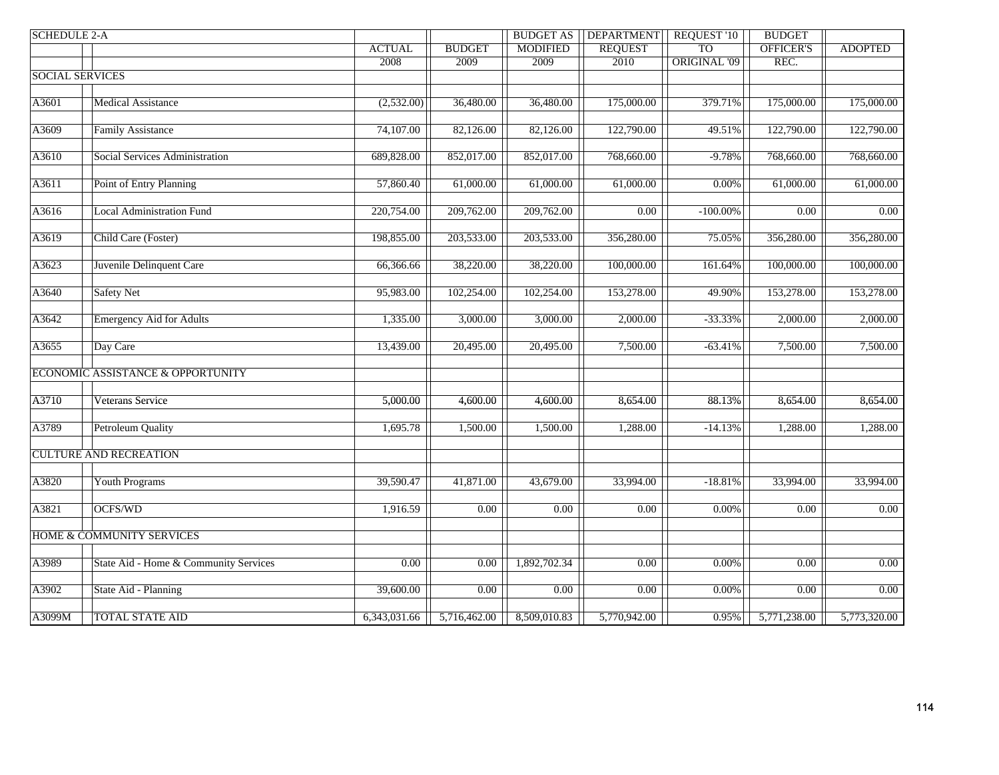| <b>SCHEDULE 2-A</b>    |                                       |               |               | <b>BUDGET AS</b> | <b>DEPARTMENT</b> | <b>REQUEST '10</b>  | <b>BUDGET</b>    |                        |
|------------------------|---------------------------------------|---------------|---------------|------------------|-------------------|---------------------|------------------|------------------------|
|                        |                                       | <b>ACTUAL</b> | <b>BUDGET</b> | <b>MODIFIED</b>  | <b>REQUEST</b>    | <b>TO</b>           | <b>OFFICER'S</b> | <b>ADOPTED</b>         |
|                        |                                       | 2008          | 2009          | 2009             | 2010              | <b>ORIGINAL '09</b> | REC.             |                        |
| <b>SOCIAL SERVICES</b> |                                       |               |               |                  |                   |                     |                  |                        |
|                        |                                       |               |               |                  |                   |                     |                  |                        |
| A3601                  | Medical Assistance                    | (2,532.00)    | 36,480.00     | 36,480.00        | 175,000.00        | 379.71%             | 175,000.00       | 175,000.00             |
|                        |                                       |               |               |                  |                   |                     |                  |                        |
| A3609                  | <b>Family Assistance</b>              | 74,107.00     | 82,126.00     | 82,126.00        | 122,790.00        | 49.51%              | 122,790.00       | 122,790.00             |
|                        |                                       |               |               |                  |                   |                     |                  |                        |
| A3610                  | Social Services Administration        | 689,828.00    | 852,017.00    | 852,017.00       | 768,660.00        | $-9.78%$            | 768,660.00       | 768,660.00             |
|                        |                                       |               |               |                  |                   |                     |                  |                        |
| A3611                  | Point of Entry Planning               | 57,860.40     | 61,000.00     | 61,000.00        | 61,000.00         | 0.00%               | 61,000.00        | 61,000.00              |
|                        |                                       |               |               |                  |                   |                     |                  |                        |
| A3616                  | <b>Local Administration Fund</b>      | 220,754.00    | 209,762.00    | 209,762.00       | 0.00              | $-100.00\%$         | 0.00             | $\overline{0.00}$      |
| A3619                  | Child Care (Foster)                   | 198,855.00    | 203,533.00    | 203,533.00       | 356,280.00        | 75.05%              | 356,280.00       | 356,280.00             |
|                        |                                       |               |               |                  |                   |                     |                  |                        |
| A3623                  | Juvenile Delinquent Care              | 66,366.66     | 38,220.00     | 38,220.00        | 100,000.00        | 161.64%             | 100,000.00       | 100,000.00             |
|                        |                                       |               |               |                  |                   |                     |                  |                        |
| A3640                  | <b>Safety Net</b>                     | 95,983.00     | 102,254.00    | 102,254.00       | 153,278.00        | 49.90%              | 153,278.00       | 153,278.00             |
|                        |                                       |               |               |                  |                   |                     |                  |                        |
| A3642                  | <b>Emergency Aid for Adults</b>       | 1,335.00      | 3,000.00      | 3,000.00         | 2,000.00          | $-33.33%$           | 2,000.00         | 2,000.00               |
|                        |                                       |               |               |                  |                   |                     |                  |                        |
| A3655                  | Day Care                              | 13,439.00     | 20,495.00     | 20,495.00        | 7,500.00          | $-63.41%$           | 7,500.00         | 7,500.00               |
|                        |                                       |               |               |                  |                   |                     |                  |                        |
|                        | ECONOMIC ASSISTANCE & OPPORTUNITY     |               |               |                  |                   |                     |                  |                        |
|                        |                                       |               |               |                  |                   |                     |                  |                        |
| A3710                  | Veterans Service                      | 5,000.00      | 4,600.00      | 4,600.00         | 8,654.00          | 88.13%              | 8,654.00         | 8,654.00               |
|                        |                                       |               |               |                  |                   |                     |                  |                        |
| A3789                  | Petroleum Quality                     | 1,695.78      | 1,500.00      | 1,500.00         | 1,288.00          | $-14.13%$           | 1,288.00         | 1,288.00               |
|                        |                                       |               |               |                  |                   |                     |                  |                        |
|                        | <b>CULTURE AND RECREATION</b>         |               |               |                  |                   |                     |                  |                        |
|                        |                                       |               |               |                  |                   |                     |                  |                        |
| A3820                  | <b>Youth Programs</b>                 | 39,590.47     | 41,871.00     | 43,679.00        | 33,994.00         | $-18.81%$           | 33,994.00        | $\overline{33,994.00}$ |
|                        |                                       |               |               |                  |                   |                     |                  |                        |
| A3821                  | OCFS/WD                               | 1,916.59      | 0.00          | 0.00             | 0.00              | $0.00\%$            | 0.00             | 0.00                   |
|                        |                                       |               |               |                  |                   |                     |                  |                        |
|                        | <b>HOME &amp; COMMUNITY SERVICES</b>  |               |               |                  |                   |                     |                  |                        |
| A3989                  | State Aid - Home & Community Services | 0.00          | 0.00          | 1,892,702.34     | 0.00              | 0.00%               | 0.00             | 0.00                   |
|                        |                                       |               |               |                  |                   |                     |                  |                        |
| A3902                  | State Aid - Planning                  | 39,600.00     | 0.00          | 0.00             | 0.00              | 0.00%               | 0.00             | 0.00                   |
|                        |                                       |               |               |                  |                   |                     |                  |                        |
| A3099M                 | <b>TOTAL STATE AID</b>                | 6,343,031.66  | 5,716,462.00  | 8,509,010.83     | 5,770,942.00      | 0.95%               | 5,771,238.00     | 5,773,320.00           |
|                        |                                       |               |               |                  |                   |                     |                  |                        |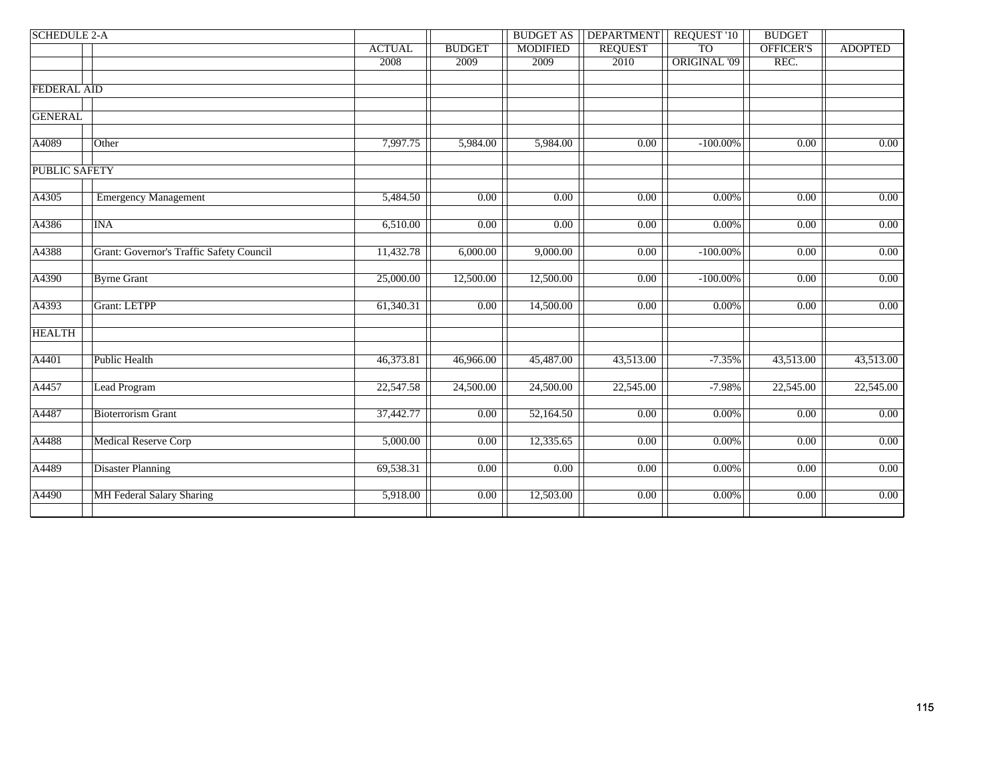| <b>SCHEDULE 2-A</b>                      |                |               | <b>BUDGET AS</b>  | <b>DEPARTMENT</b> | REQUEST '10 | <b>BUDGET</b>                    |                |
|------------------------------------------|----------------|---------------|-------------------|-------------------|-------------|----------------------------------|----------------|
|                                          | <b>ACTUAL</b>  | <b>BUDGET</b> | <b>MODIFIED</b>   | <b>REQUEST</b>    |             | OFFICER'S                        | <b>ADOPTED</b> |
|                                          | 2008           | 2009          | 2009              |                   |             |                                  |                |
| <b>FEDERAL AID</b>                       |                |               |                   |                   |             |                                  |                |
|                                          |                |               |                   |                   |             |                                  |                |
|                                          |                |               |                   |                   |             |                                  |                |
| Other                                    | 7,997.75       | 5,984.00      | 5,984.00          | $\overline{0.00}$ | $-100.00\%$ | 0.00                             | 0.00           |
| <b>PUBLIC SAFETY</b>                     |                |               |                   |                   |             |                                  |                |
| <b>Emergency Management</b>              | 5,484.50       | 0.00          | $\overline{0.00}$ | $\overline{0.00}$ | 0.00%       | 0.00                             | 0.00           |
| <b>INA</b>                               | 6,510.00       | 0.00          | 0.00              | 0.00              | 0.00%       | $0.00\,$                         | 0.00           |
| Grant: Governor's Traffic Safety Council | 11,432.78      | 6,000.00      | 9,000.00          | $\overline{0.00}$ | $-100.00\%$ | 0.00                             | 0.00           |
| <b>Byrne Grant</b>                       | 25,000.00      | 12,500.00     | 12,500.00         | 0.00              | $-100.00\%$ | $0.00\,$                         | 0.00           |
| Grant: LETPP                             | 61,340.31      | 0.00          | 14,500.00         | 0.00              | $0.00\%$    | 0.00                             | 0.00           |
|                                          |                |               |                   |                   |             |                                  |                |
| Public Health                            | 46,373.81      | 46,966.00     | 45,487.00         | 43,513.00         | $-7.35%$    | 43,513.00                        | 43,513.00      |
| Lead Program                             | 22,547.58      | 24,500.00     | 24,500.00         | 22,545.00         | $-7.98%$    | 22,545.00                        | 22,545.00      |
| <b>Bioterrorism Grant</b>                | 37,442.77      | 0.00          | 52,164.50         | 0.00              | $0.00\%$    | 0.00                             | 0.00           |
| Medical Reserve Corp                     | 5,000.00       | 0.00          | 12,335.65         | 0.00              | $0.00\%$    | 0.00                             | 0.00           |
| <b>Disaster Planning</b>                 | 69,538.31      | 0.00          | 0.00              | 0.00              | $0.00\%$    | 0.00                             | 0.00           |
| <b>MH</b> Federal Salary Sharing         | 5,918.00       | 0.00          | 12,503.00         | 0.00              | $0.00\%$    | 0.00                             | $0.00\,$       |
|                                          | <b>GENERAL</b> |               |                   |                   | 2010        | <b>TO</b><br><b>ORIGINAL '09</b> | REC.           |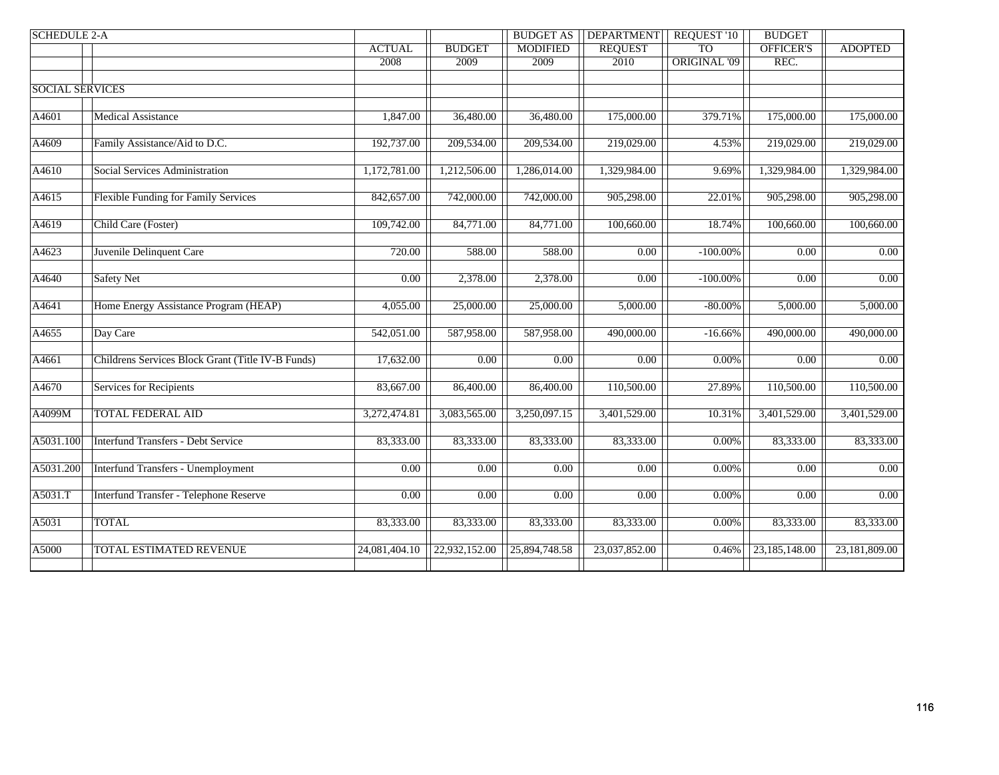| <b>SCHEDULE 2-A</b>    |                                                   |                   |                        | <b>BUDGET AS</b>  | <b>DEPARTMENT</b>          | <b>REQUEST '10</b> | <b>BUDGET</b>     |                   |
|------------------------|---------------------------------------------------|-------------------|------------------------|-------------------|----------------------------|--------------------|-------------------|-------------------|
|                        |                                                   | <b>ACTUAL</b>     | <b>BUDGET</b>          | <b>MODIFIED</b>   | <b>REQUEST</b>             | <b>TO</b>          | OFFICER'S         | <b>ADOPTED</b>    |
|                        |                                                   | 2008              | 2009                   | 2009              | 2010                       | ORIGINAL '09       | REC.              |                   |
|                        |                                                   |                   |                        |                   |                            |                    |                   |                   |
| <b>SOCIAL SERVICES</b> |                                                   |                   |                        |                   |                            |                    |                   |                   |
|                        |                                                   |                   |                        |                   |                            |                    |                   |                   |
| A4601                  | <b>Medical Assistance</b>                         | 1,847.00          | 36,480.00              | 36,480.00         | 175,000.00                 | 379.71%            | 175,000.00        | 175,000.00        |
|                        |                                                   |                   |                        |                   |                            |                    |                   |                   |
| A4609                  | Family Assistance/Aid to D.C.                     | 192,737.00        | 209,534.00             | 209,534.00        | 219,029.00                 | 4.53%              | 219,029.00        | 219,029.00        |
|                        |                                                   |                   |                        |                   |                            |                    |                   |                   |
| A4610                  | Social Services Administration                    | 1,172,781.00      | 1,212,506.00           | 1,286,014.00      | 1,329,984.00               | 9.69%              | 1,329,984.00      | 1,329,984.00      |
|                        |                                                   |                   |                        |                   |                            |                    |                   |                   |
| A4615                  | Flexible Funding for Family Services              | 842,657.00        | 742,000.00             | 742,000.00        | 905,298.00                 | 22.01%             | 905,298.00        | 905,298.00        |
|                        |                                                   |                   |                        |                   |                            |                    |                   |                   |
| A4619                  | Child Care (Foster)                               | 109,742.00        | $\overline{84,771.00}$ | 84,771.00         | 100,660.00                 | 18.74%             | 100,660.00        | 100,660.00        |
|                        |                                                   |                   |                        |                   |                            |                    |                   |                   |
| A4623                  | Juvenile Delinquent Care                          | 720.00            | 588.00                 | 588.00            | 0.00                       | $-100.00\%$        | 0.00              | 0.00              |
|                        |                                                   | 0.00              |                        |                   |                            |                    | $\overline{0.00}$ |                   |
| A4640                  | <b>Safety Net</b>                                 |                   | 2,378.00               | 2,378.00          | $\overline{0.00}$          | $-100.00\%$        |                   | 0.00              |
| A4641                  | Home Energy Assistance Program (HEAP)             | 4,055.00          | 25,000.00              | 25,000.00         | 5,000.00                   | $-80.00\%$         | 5,000.00          | 5,000.00          |
|                        |                                                   |                   |                        |                   |                            |                    |                   |                   |
| A4655                  | Day Care                                          | 542,051.00        | 587,958.00             | 587,958.00        | 490,000.00                 | $-16.66%$          | 490,000.00        | 490,000.00        |
|                        |                                                   |                   |                        |                   |                            |                    |                   |                   |
| A4661                  | Childrens Services Block Grant (Title IV-B Funds) | 17,632.00         | 0.00                   | 0.00              | 0.00                       | $0.00\%$           | 0.00              | 0.00              |
|                        |                                                   |                   |                        |                   |                            |                    |                   |                   |
| A4670                  | <b>Services for Recipients</b>                    | 83,667.00         | 86,400.00              | 86,400.00         | 110,500.00                 | 27.89%             | 110,500.00        | 110,500.00        |
|                        |                                                   |                   |                        |                   |                            |                    |                   |                   |
| A4099M                 | <b>TOTAL FEDERAL AID</b>                          | 3,272,474.81      | 3,083,565.00           | 3,250,097.15      | 3,401,529.00               | 10.31%             | 3,401,529.00      | 3,401,529.00      |
|                        |                                                   |                   |                        |                   |                            |                    |                   |                   |
| A5031.100              | <b>Interfund Transfers - Debt Service</b>         | 83,333.00         | 83,333.00              | 83,333.00         | 83,333.00                  | $0.00\%$           | 83,333.00         | 83,333.00         |
|                        |                                                   |                   |                        |                   |                            |                    |                   |                   |
| A5031.200              | <b>Interfund Transfers - Unemployment</b>         | $\overline{0.00}$ | $\overline{0.00}$      | $\overline{0.00}$ | $\overline{0.00}$          | 0.00%              | $\overline{0.00}$ | $\overline{0.00}$ |
|                        |                                                   |                   |                        |                   |                            |                    |                   |                   |
| A5031.T                | Interfund Transfer - Telephone Reserve            | 0.00              | 0.00                   | $\overline{0.00}$ | 0.00                       | 0.00%              | 0.00              | 0.00              |
|                        |                                                   |                   |                        |                   |                            |                    |                   |                   |
| A5031                  | <b>TOTAL</b>                                      | 83,333.00         | 83,333.00              | 83,333.00         | 83,333.00                  | $0.00\%$           | 83,333.00         | 83,333.00         |
|                        |                                                   |                   |                        |                   |                            |                    |                   |                   |
| A5000                  | TOTAL ESTIMATED REVENUE                           | 24,081,404.10     | 22,932,152.00          | 25,894,748.58     | $\overline{23,037,852.00}$ | 0.46%              | 23,185,148.00     | 23,181,809.00     |
|                        |                                                   |                   |                        |                   |                            |                    |                   |                   |
|                        |                                                   |                   |                        |                   |                            |                    |                   |                   |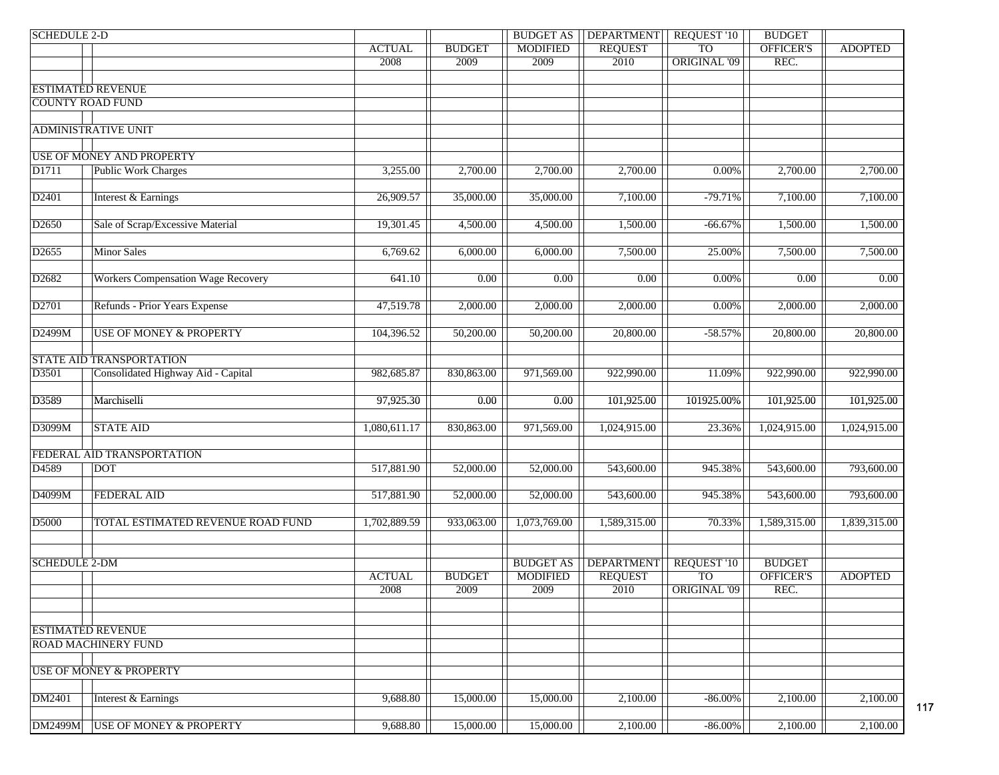| <b>SCHEDULE 2-D</b>     |                                           |               |               | <b>BUDGET AS</b>  | <b>DEPARTMENT</b> | <b>REQUEST '10</b>  | <b>BUDGET</b>    |                |
|-------------------------|-------------------------------------------|---------------|---------------|-------------------|-------------------|---------------------|------------------|----------------|
|                         |                                           | <b>ACTUAL</b> | <b>BUDGET</b> | <b>MODIFIED</b>   | <b>REQUEST</b>    | TO <sub>1</sub>     | OFFICER'S        | <b>ADOPTED</b> |
|                         |                                           | 2008          | 2009          | 2009              | 2010              | <b>ORIGINAL '09</b> | REC.             |                |
|                         |                                           |               |               |                   |                   |                     |                  |                |
|                         | <b>ESTIMATED REVENUE</b>                  |               |               |                   |                   |                     |                  |                |
| <b>COUNTY ROAD FUND</b> |                                           |               |               |                   |                   |                     |                  |                |
|                         |                                           |               |               |                   |                   |                     |                  |                |
|                         | <b>ADMINISTRATIVE UNIT</b>                |               |               |                   |                   |                     |                  |                |
|                         |                                           |               |               |                   |                   |                     |                  |                |
|                         | <b>USE OF MONEY AND PROPERTY</b>          |               |               |                   |                   |                     |                  |                |
| D1711                   | <b>Public Work Charges</b>                | 3,255.00      | 2,700.00      | 2,700.00          | 2,700.00          | 0.00%               | 2,700.00         | 2,700.00       |
| D2401                   | Interest & Earnings                       | 26,909.57     | 35,000.00     | 35,000.00         | 7,100.00          | $-79.71%$           | 7,100.00         | 7,100.00       |
|                         |                                           |               |               |                   |                   |                     |                  |                |
| D <sub>2650</sub>       | Sale of Scrap/Excessive Material          | 19,301.45     | 4,500.00      | 4,500.00          | 1,500.00          | $-66.67%$           | 1,500.00         | 1,500.00       |
|                         |                                           |               |               |                   |                   |                     |                  |                |
| D <sub>2655</sub>       | <b>Minor Sales</b>                        | 6,769.62      | 6,000.00      | 6,000.00          | 7,500.00          | 25.00%              | 7,500.00         | 7,500.00       |
|                         |                                           |               |               |                   |                   |                     |                  |                |
| D <sub>2682</sub>       | <b>Workers Compensation Wage Recovery</b> | 641.10        | 0.00          | 0.00              | $\overline{0.00}$ | $0.00\%$            | 0.00             | 0.00           |
|                         |                                           |               |               |                   |                   |                     |                  |                |
| D <sub>2701</sub>       | Refunds - Prior Years Expense             | 47,519.78     | 2,000.00      | 2,000.00          | 2,000.00          | $0.00\%$            | 2,000.00         | 2,000.00       |
|                         |                                           |               |               |                   |                   |                     |                  |                |
| D2499M                  | <b>USE OF MONEY &amp; PROPERTY</b>        | 104,396.52    | 50,200.00     | 50,200.00         | 20,800.00         | $-58.57%$           | 20,800.00        | 20,800.00      |
|                         |                                           |               |               |                   |                   |                     |                  |                |
|                         | STATE AID TRANSPORTATION                  |               |               |                   |                   |                     |                  |                |
| D3501                   | Consolidated Highway Aid - Capital        | 982,685.87    | 830,863.00    | 971,569.00        | 922,990.00        | 11.09%              | 922,990.00       | 922,990.00     |
|                         |                                           |               |               |                   |                   |                     |                  |                |
| D3589                   | Marchiselli                               | 97,925.30     | 0.00          | $\overline{0.00}$ | 101,925.00        | 101925.00%          | 101,925.00       | 101,925.00     |
|                         |                                           |               |               |                   |                   |                     |                  |                |
| D3099M                  | <b>STATE AID</b>                          | 1,080,611.17  | 830,863.00    | 971,569.00        | 1,024,915.00      | 23.36%              | 1,024,915.00     | 1,024,915.00   |
|                         |                                           |               |               |                   |                   |                     |                  |                |
|                         | FEDERAL AID TRANSPORTATION                |               |               |                   |                   |                     |                  |                |
| D4589                   | <b>DOT</b>                                | 517,881.90    | 52,000.00     | 52,000.00         | 543,600.00        | 945.38%             | 543,600.00       | 793,600.00     |
|                         |                                           |               |               |                   |                   |                     |                  |                |
| D4099M                  | <b>FEDERAL AID</b>                        | 517,881.90    | 52,000.00     | 52,000.00         | 543,600.00        | 945.38%             | 543,600.00       | 793,600.00     |
| D5000                   | TOTAL ESTIMATED REVENUE ROAD FUND         | 1,702,889.59  | 933,063.00    | 1,073,769.00      | 1,589,315.00      | 70.33%              | 1,589,315.00     | 1,839,315.00   |
|                         |                                           |               |               |                   |                   |                     |                  |                |
|                         |                                           |               |               |                   |                   |                     |                  |                |
| <b>SCHEDULE 2-DM</b>    |                                           |               |               | <b>BUDGET AS</b>  | <b>DEPARTMENT</b> | REQUEST '10         | <b>BUDGET</b>    |                |
|                         |                                           | <b>ACTUAL</b> | <b>BUDGET</b> | <b>MODIFIED</b>   | <b>REQUEST</b>    | TO <sub>1</sub>     | <b>OFFICER'S</b> | <b>ADOPTED</b> |
|                         |                                           | 2008          | 2009          | 2009              | 2010              | <b>ORIGINAL '09</b> | REC.             |                |
|                         |                                           |               |               |                   |                   |                     |                  |                |
|                         |                                           |               |               |                   |                   |                     |                  |                |
|                         | <b>ESTIMATED REVENUE</b>                  |               |               |                   |                   |                     |                  |                |
|                         | <b>ROAD MACHINERY FUND</b>                |               |               |                   |                   |                     |                  |                |
|                         |                                           |               |               |                   |                   |                     |                  |                |
|                         | <b>USE OF MONEY &amp; PROPERTY</b>        |               |               |                   |                   |                     |                  |                |
|                         |                                           |               |               |                   |                   |                     |                  |                |
| DM2401                  | Interest & Earnings                       | 9,688.80      | 15,000.00     | 15,000.00         | 2,100.00          | $-86.00\%$          | 2,100.00         | 2,100.00       |
|                         |                                           |               |               |                   |                   |                     |                  |                |
| <b>DM2499M</b>          | <b>USE OF MONEY &amp; PROPERTY</b>        | 9,688.80      | 15,000.00     | 15,000.00         | 2,100.00          | $-86.00\%$          | 2,100.00         | 2,100.00       |

117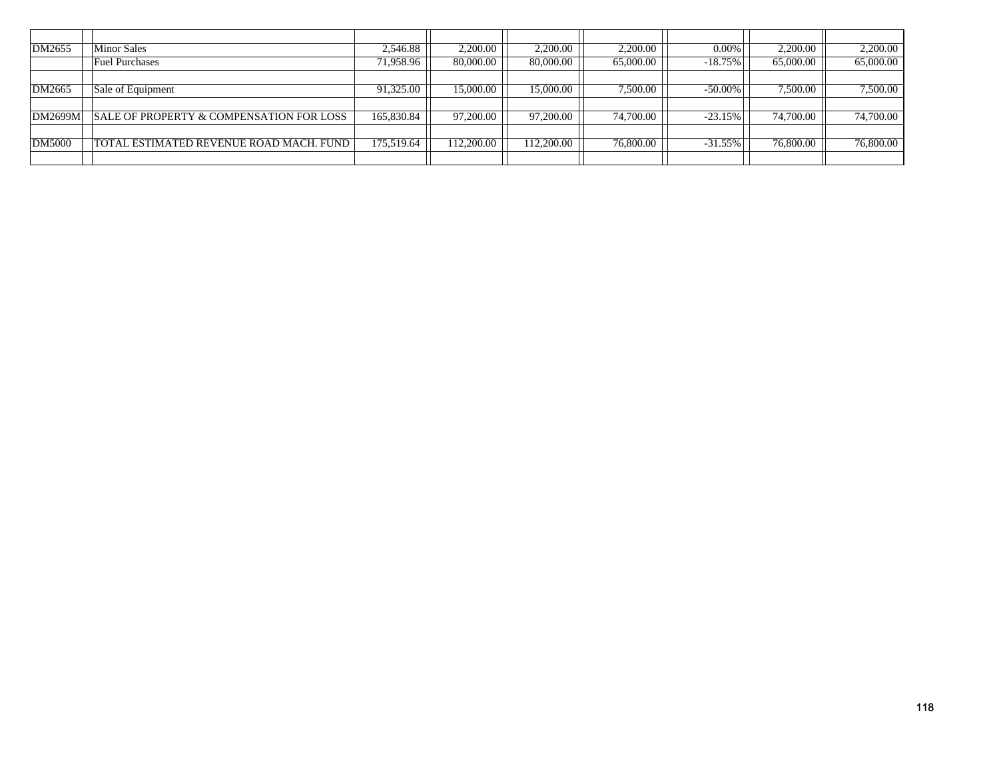| DM2655         | <b>Minor Sales</b>                       | 2,546.88   | 2,200.00   | 2,200.00   | 2,200.00  | $0.00\%$   | 2,200.00  | 2,200.00  |
|----------------|------------------------------------------|------------|------------|------------|-----------|------------|-----------|-----------|
|                | <b>Fuel Purchases</b>                    | 71,958.96  | 80,000.00  | 80,000.00  | 65,000.00 | $-18.75\%$ | 65,000.00 | 65,000.00 |
|                |                                          |            |            |            |           |            |           |           |
| DM2665         | Sale of Equipment                        | 91,325.00  | 15,000.00  | 15,000.00  | 7,500.00  | -50.00%    | 7,500.00  | 7,500.00  |
|                |                                          |            |            |            |           |            |           |           |
| <b>DM2699M</b> | SALE OF PROPERTY & COMPENSATION FOR LOSS | 165,830.84 | 97,200.00  | 97,200.00  | 74,700.00 | $-23.15\%$ | 74,700.00 | 74,700.00 |
|                |                                          |            |            |            |           |            |           |           |
| DM5000         | TOTAL ESTIMATED REVENUE ROAD MACH. FUND  | 175,519.64 | 112,200.00 | 112.200.00 | 76,800.00 | $-31.55\%$ | 76,800.00 | 76,800.00 |
|                |                                          |            |            |            |           |            |           |           |